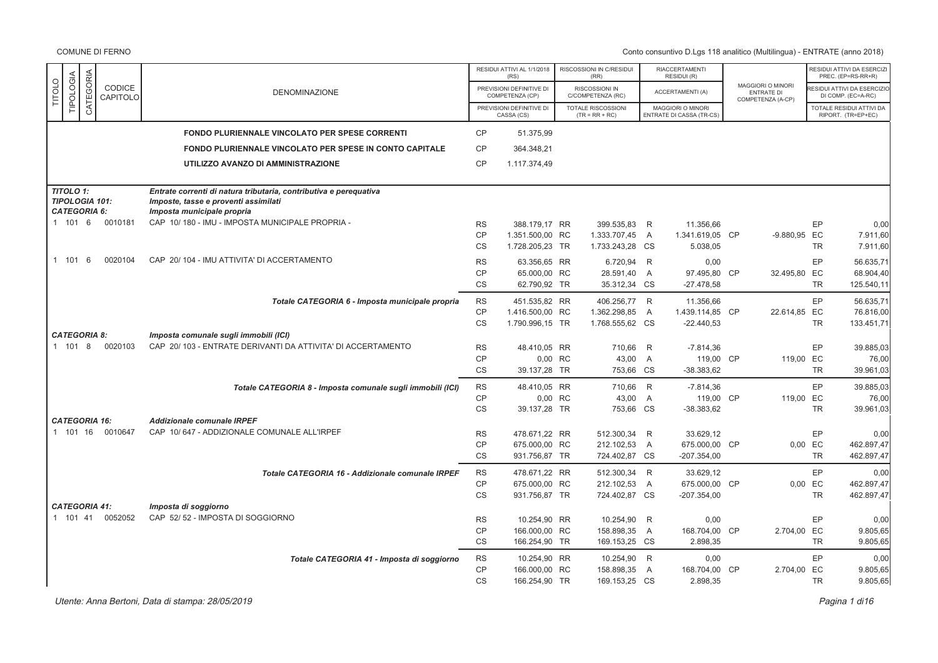|               |                                  |           |                                 |                                                                                                                                         |                                     | RESIDUI ATTIVI AL 1/1/2018<br>(RS)                  | RISCOSSIONI IN C/RESIDUI<br>(RR)                  |                     | RIACCERTAMENTI<br>RESIDUI (R)                 |                                                             |                            | RESIDUI ATTIVI DA ESERCIZ<br>PREC. (EP=RS-RR+R)  |
|---------------|----------------------------------|-----------|---------------------------------|-----------------------------------------------------------------------------------------------------------------------------------------|-------------------------------------|-----------------------------------------------------|---------------------------------------------------|---------------------|-----------------------------------------------|-------------------------------------------------------------|----------------------------|--------------------------------------------------|
| <b>TITOLO</b> | TIPOLOGIA                        | CATEGORIA | CODICE<br>CAPITOLO              | <b>DENOMINAZIONE</b>                                                                                                                    |                                     | PREVISIONI DEFINITIVE DI<br>COMPETENZA (CP)         | RISCOSSIONI IN<br>C/COMPETENZA (RC)               |                     | ACCERTAMENTI (A)                              | MAGGIORI O MINORI<br><b>ENTRATE DI</b><br>COMPETENZA (A-CP) |                            | ESIDUI ATTIVI DA ESERCIZIO<br>DI COMP. (EC=A-RC) |
|               |                                  |           |                                 |                                                                                                                                         |                                     | PREVISIONI DEFINITIVE DI<br>CASSA (CS)              | TOTALE RISCOSSIONI<br>$(TR = RR + RC)$            |                     | MAGGIORI O MINORI<br>ENTRATE DI CASSA (TR-CS) |                                                             |                            | TOTALE RESIDUI ATTIVI DA<br>RIPORT. (TR=EP+EC)   |
|               |                                  |           |                                 | <b>FONDO PLURIENNALE VINCOLATO PER SPESE CORRENTI</b>                                                                                   | <b>CP</b>                           | 51.375,99                                           |                                                   |                     |                                               |                                                             |                            |                                                  |
|               |                                  |           |                                 | <b>FONDO PLURIENNALE VINCOLATO PER SPESE IN CONTO CAPITALE</b>                                                                          | <b>CP</b>                           | 364.348,21                                          |                                                   |                     |                                               |                                                             |                            |                                                  |
|               |                                  |           |                                 | UTILIZZO AVANZO DI AMMINISTRAZIONE                                                                                                      | <b>CP</b>                           | 1.117.374,49                                        |                                                   |                     |                                               |                                                             |                            |                                                  |
|               | TITOLO 1:<br><b>CATEGORIA 6:</b> |           | <b>TIPOLOGIA 101:</b>           | Entrate correnti di natura tributaria, contributiva e pereguativa<br>Imposte, tasse e proventi assimilati<br>Imposta municipale propria |                                     |                                                     |                                                   |                     |                                               |                                                             |                            |                                                  |
|               | 1 101 6                          |           | 0010181                         | CAP 10/180 - IMU - IMPOSTA MUNICIPALE PROPRIA -                                                                                         | <b>RS</b><br><b>CP</b><br><b>CS</b> | 388.179.17 RR<br>1.351.500,00 RC<br>1.728.205,23 TR | 399.535,83 R<br>1.333.707,45 A<br>1.733.243,28 CS |                     | 11.356,66<br>1.341.619,05 CP<br>5.038,05      | -9.880,95 EC                                                | EP<br><b>TR</b>            | 0,00<br>7.911,60<br>7.911,60                     |
|               | 1 101                            | - 6       | 0020104                         | CAP 20/104 - IMU ATTIVITA' DI ACCERTAMENTO                                                                                              | <b>RS</b><br>CP<br><b>CS</b>        | 63.356,65 RR<br>65.000,00 RC<br>62.790,92 TR        | 6.720,94 R<br>28.591,40<br>35.312,34 CS           | A                   | 0,00<br>97.495,80 CP<br>$-27.478,58$          | 32.495,80 EC                                                | EP<br><b>TR</b>            | 56.635,71<br>68.904,40<br>125.540,11             |
|               |                                  |           |                                 | Totale CATEGORIA 6 - Imposta municipale propria                                                                                         | <b>RS</b><br>CP<br>CS               | 451.535,82 RR<br>1.416.500,00 RC<br>1.790.996,15 TR | 406.256,77 R<br>1.362.298,85<br>1.768.555,62 CS   | $\overline{A}$      | 11.356,66<br>1.439.114,85 CP<br>$-22.440.53$  | 22.614,85 EC                                                | EP<br><b>TR</b>            | 56.635,71<br>76.816,00<br>133.451.71             |
|               | <b>CATEGORIA 8:</b><br>1 101 8   |           | 0020103                         | Imposta comunale sugli immobili (ICI)<br>CAP 20/103 - ENTRATE DERIVANTI DA ATTIVITA' DI ACCERTAMENTO                                    | <b>RS</b><br><b>CP</b><br><b>CS</b> | 48.410,05 RR<br>0,00 RC<br>39.137,28 TR             | 710,66<br>43,00 A<br>753,66 CS                    | R                   | $-7.814,36$<br>119,00 CP<br>$-38.383,62$      | 119,00 EC                                                   | EP<br><b>TR</b>            | 39.885,03<br>76,00<br>39.961,03                  |
|               |                                  |           |                                 | Totale CATEGORIA 8 - Imposta comunale sugli immobili (ICI)                                                                              | <b>RS</b><br>CP<br><b>CS</b>        | 48.410,05 RR<br>0,00 RC<br>39.137,28 TR             | 710,66 R<br>43,00 A<br>753,66 CS                  |                     | $-7.814,36$<br>119,00 CP<br>$-38.383.62$      | 119,00 EC                                                   | EP<br><b>TR</b>            | 39.885.03<br>76,00<br>39.961,03                  |
|               | 1 101 16                         |           | <b>CATEGORIA 16:</b><br>0010647 | <b>Addizionale comunale IRPEF</b><br>CAP 10/647 - ADDIZIONALE COMUNALE ALL'IRPEF                                                        | <b>RS</b><br><b>CP</b><br><b>CS</b> | 478.671,22 RR<br>675.000,00 RC<br>931.756,87 TR     | 512.300,34<br>212.102,53<br>724.402,87 CS         | R<br>$\overline{A}$ | 33.629,12<br>675.000,00 CP<br>$-207.354,00$   |                                                             | EP<br>0,00 EC<br><b>TR</b> | 0,00<br>462.897,47<br>462.897,47                 |
|               |                                  |           |                                 | Totale CATEGORIA 16 - Addizionale comunale IRPEF                                                                                        | <b>RS</b><br><b>CP</b><br><b>CS</b> | 478.671,22 RR<br>675.000,00 RC<br>931.756,87 TR     | 512.300,34 R<br>212.102,53<br>724.402,87 CS       | A                   | 33.629,12<br>675.000,00 CP<br>$-207.354,00$   |                                                             | EP<br>0,00 EC<br><b>TR</b> | 0,00<br>462.897,47<br>462.897,47                 |
|               | 1 101 41                         |           | <b>CATEGORIA 41:</b><br>0052052 | Imposta di soggiorno<br>CAP 52/52 - IMPOSTA DI SOGGIORNO                                                                                | <b>RS</b><br><b>CP</b><br><b>CS</b> | 10.254,90 RR<br>166.000,00 RC<br>166.254,90 TR      | 10.254,90 R<br>158.898,35 A<br>169.153,25 CS      |                     | 0,00<br>168.704,00 CP<br>2.898,35             | 2.704,00 EC                                                 | EP<br><b>TR</b>            | 0,00<br>9.805,65<br>9.805,65                     |
|               |                                  |           |                                 | Totale CATEGORIA 41 - Imposta di soggiorno                                                                                              | <b>RS</b><br><b>CP</b><br><b>CS</b> | 10.254,90 RR<br>166.000,00 RC<br>166.254,90 TR      | 10.254,90 R<br>158.898,35<br>169.153,25 CS        | $\overline{A}$      | 0,00<br>168.704,00 CP<br>2.898,35             | 2.704,00 EC                                                 | EP<br><b>TR</b>            | 0,00<br>9.805,65<br>9.805,65                     |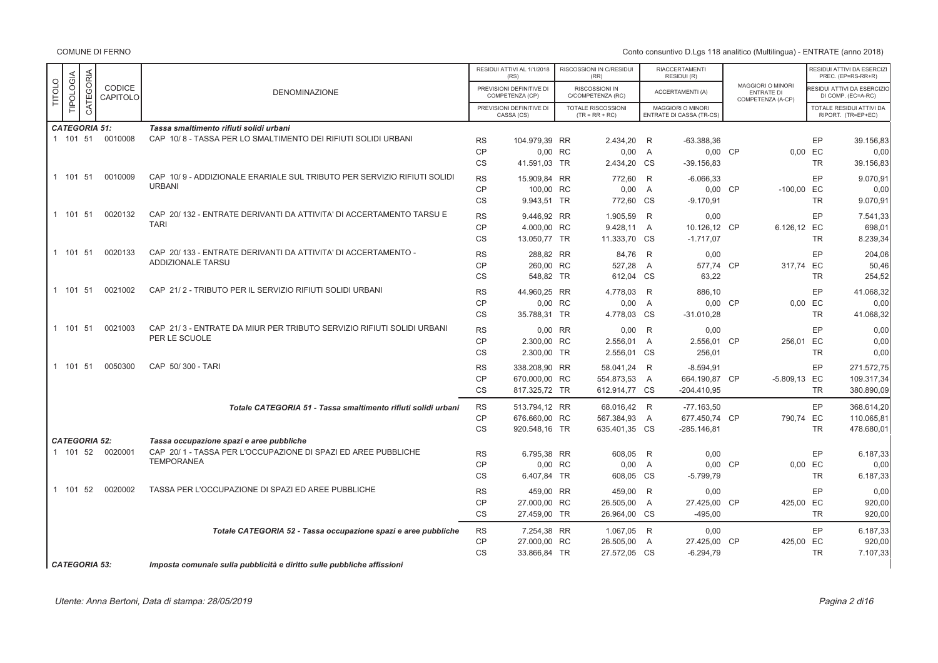Conto consuntivo D.Lgs 118 analitico (Multilingua) - ENTRATE (anno 2018)

|               |                      |           |                    |                                                                         |           | RESIDUI ATTIVI AL 1/1/2018<br>(RS)          | RISCOSSIONI IN C/RESIDUI<br>(RR)              |                | <b>RIACCERTAMENTI</b><br>RESIDUI (R)                 |                                                                    |           | RESIDUI ATTIVI DA ESERCIZI<br>PREC. (EP=RS-RR+R) |
|---------------|----------------------|-----------|--------------------|-------------------------------------------------------------------------|-----------|---------------------------------------------|-----------------------------------------------|----------------|------------------------------------------------------|--------------------------------------------------------------------|-----------|--------------------------------------------------|
| <b>TITOLO</b> | TIPOLOGIA            | CATEGORIA | CODICE<br>CAPITOLO | <b>DENOMINAZIONE</b>                                                    |           | PREVISIONI DEFINITIVE DI<br>COMPETENZA (CP) | RISCOSSIONI IN<br>C/COMPETENZA (RC)           |                | ACCERTAMENTI (A)                                     | <b>MAGGIORI O MINORI</b><br><b>ENTRATE DI</b><br>COMPETENZA (A-CP) |           | ESIDUI ATTIVI DA ESERCIZIO<br>DI COMP. (EC=A-RC) |
|               |                      |           |                    |                                                                         |           | PREVISIONI DEFINITIVE DI<br>CASSA (CS)      | <b>TOTALE RISCOSSIONI</b><br>$(TR = RR + RC)$ |                | MAGGIORI O MINORI<br><b>ENTRATE DI CASSA (TR-CS)</b> |                                                                    |           | TOTALE RESIDUI ATTIVI DA<br>RIPORT. (TR=EP+EC)   |
|               | <b>CATEGORIA 51:</b> |           |                    | Tassa smaltimento rifiuti solidi urbani                                 |           |                                             |                                               |                |                                                      |                                                                    |           |                                                  |
|               | 1 101 51             |           | 0010008            | CAP 10/8 - TASSA PER LO SMALTIMENTO DEI RIFIUTI SOLIDI URBANI           | <b>RS</b> | 104.979,39 RR                               | 2.434,20                                      | R              | $-63.388.36$                                         |                                                                    | EP        | 39.156,83                                        |
|               |                      |           |                    |                                                                         | <b>CP</b> | 0,00 RC                                     | 0,00                                          | A              | 0,00 CP                                              |                                                                    | 0,00 EC   | 0,00                                             |
|               |                      |           |                    |                                                                         | <b>CS</b> | 41.591,03 TR                                | 2.434,20 CS                                   |                | $-39.156.83$                                         |                                                                    | <b>TR</b> | 39.156,83                                        |
|               | 1 101 51             |           | 0010009            | CAP 10/9 - ADDIZIONALE ERARIALE SUL TRIBUTO PER SERVIZIO RIFIUTI SOLIDI | <b>RS</b> | 15.909,84 RR                                | 772,60                                        | R              | $-6.066,33$                                          |                                                                    | EP        | 9.070,91                                         |
|               |                      |           |                    | <b>URBANI</b>                                                           | CP        | 100,00 RC                                   | 0,00                                          | A              | 0,00 CP                                              | $-100,00$                                                          | EC        | 0,00                                             |
|               |                      |           |                    |                                                                         | <b>CS</b> | 9.943.51 TR                                 | 772,60 CS                                     |                | $-9.170.91$                                          |                                                                    | <b>TR</b> | 9.070,91                                         |
|               | 1 101 51             |           | 0020132            | CAP 20/132 - ENTRATE DERIVANTI DA ATTIVITA' DI ACCERTAMENTO TARSU E     | <b>RS</b> | 9.446,92 RR                                 | 1.905,59                                      | R              | 0,00                                                 |                                                                    | EP        | 7.541,33                                         |
|               |                      |           |                    | <b>TARI</b>                                                             | <b>CP</b> | 4.000,00 RC                                 | 9.428,11                                      | $\overline{A}$ | 10.126,12 CP                                         | 6.126,12 EC                                                        |           | 698,01                                           |
|               |                      |           |                    |                                                                         | <b>CS</b> | 13.050,77 TR                                | 11.333,70 CS                                  |                | $-1.717,07$                                          |                                                                    | <b>TR</b> | 8.239,34                                         |
|               |                      |           |                    |                                                                         |           |                                             |                                               |                |                                                      |                                                                    |           |                                                  |
|               | 1 101 51             |           | 0020133            | CAP 20/133 - ENTRATE DERIVANTI DA ATTIVITA' DI ACCERTAMENTO -           | <b>RS</b> | 288,82 RR                                   | 84,76                                         | - R            | 0,00                                                 |                                                                    | EP        | 204,06                                           |
|               |                      |           |                    | <b>ADDIZIONALE TARSU</b>                                                | <b>CP</b> | 260.00 RC                                   | 527,28                                        | A              | 577.74 CP                                            | 317.74 EC                                                          |           | 50,46                                            |
|               |                      |           |                    |                                                                         | <b>CS</b> | 548,82 TR                                   | 612,04 CS                                     |                | 63,22                                                |                                                                    | <b>TR</b> | 254,52                                           |
|               | 1 101 51             |           | 0021002            | CAP 21/2 - TRIBUTO PER IL SERVIZIO RIFIUTI SOLIDI URBANI                | <b>RS</b> | 44.960,25 RR                                | 4.778,03 R                                    |                | 886,10                                               |                                                                    | <b>EP</b> | 41.068,32                                        |
|               |                      |           |                    |                                                                         | <b>CP</b> | 0,00 RC                                     | 0,00                                          | A              | 0,00 CP                                              | 0,00                                                               | EC        | 0,00                                             |
|               |                      |           |                    |                                                                         | <b>CS</b> | 35.788,31 TR                                | 4.778,03 CS                                   |                | $-31.010,28$                                         |                                                                    | <b>TR</b> | 41.068,32                                        |
|               | 1 101 51             |           | 0021003            | CAP 21/3 - ENTRATE DA MIUR PER TRIBUTO SERVIZIO RIFIUTI SOLIDI URBANI   | <b>RS</b> | 0,00 RR                                     | 0,00                                          | $\mathsf{R}$   | 0,00                                                 |                                                                    | EP        | 0,00                                             |
|               |                      |           |                    | PER LE SCUOLE                                                           | <b>CP</b> | 2.300,00 RC                                 | 2.556,01                                      | A              | 2.556,01 CP                                          | 256,01 EC                                                          |           | 0,00                                             |
|               |                      |           |                    |                                                                         | <b>CS</b> | 2.300,00 TR                                 | 2.556,01 CS                                   |                | 256,01                                               |                                                                    | <b>TR</b> | 0.00                                             |
|               |                      |           |                    |                                                                         |           |                                             |                                               |                |                                                      |                                                                    |           |                                                  |
|               | 1 101 51             |           | 0050300            | CAP 50/300 - TARI                                                       | <b>RS</b> | 338.208,90 RR                               | 58.041,24 R                                   |                | $-8.594,91$                                          |                                                                    | EP        | 271.572,75                                       |
|               |                      |           |                    |                                                                         | <b>CP</b> | 670.000,00 RC                               | 554.873,53                                    | A              | 664.190,87 CP                                        | -5.809,13 EC                                                       |           | 109.317,34                                       |
|               |                      |           |                    |                                                                         | <b>CS</b> | 817.325,72 TR                               | 612.914,77 CS                                 |                | $-204.410,95$                                        |                                                                    | <b>TR</b> | 380.890,09                                       |
|               |                      |           |                    | Totale CATEGORIA 51 - Tassa smaltimento rifiuti solidi urbani           | <b>RS</b> | 513.794,12 RR                               | 68.016,42 R                                   |                | $-77.163,50$                                         |                                                                    | EP        | 368.614,20                                       |
|               |                      |           |                    |                                                                         | CP        | 676.660,00 RC                               | 567.384,93                                    | A              | 677.450,74 CP                                        | 790,74                                                             | EC        | 110.065,81                                       |
|               |                      |           |                    |                                                                         | <b>CS</b> | 920.548,16 TR                               | 635.401,35 CS                                 |                | -285.146,81                                          |                                                                    | <b>TR</b> | 478.680,01                                       |
|               | <b>CATEGORIA 52:</b> |           |                    | Tassa occupazione spazi e aree pubbliche                                |           |                                             |                                               |                |                                                      |                                                                    |           |                                                  |
|               | 1 101 52             |           | 0020001            | CAP 20/1 - TASSA PER L'OCCUPAZIONE DI SPAZI ED AREE PUBBLICHE           | <b>RS</b> | 6.795,38 RR                                 | 608,05 R                                      |                | 0,00                                                 |                                                                    | EP        | 6.187,33                                         |
|               |                      |           |                    | <b>TEMPORANEA</b>                                                       | <b>CP</b> | 0.00 RC                                     | 0,00                                          | A              | 0,00 CP                                              | 0.00                                                               | EC        | 0,00                                             |
|               |                      |           |                    |                                                                         | <b>CS</b> | 6.407,84 TR                                 | 608,05 CS                                     |                | $-5.799.79$                                          |                                                                    | <b>TR</b> | 6.187,33                                         |
|               | 1 101 52             |           | 0020002            | TASSA PER L'OCCUPAZIONE DI SPAZI ED AREE PUBBLICHE                      | <b>RS</b> | 459,00 RR                                   | 459,00                                        | R              | 0,00                                                 |                                                                    | EP        | 0,00                                             |
|               |                      |           |                    |                                                                         | <b>CP</b> | 27.000,00 RC                                | 26.505,00                                     | $\overline{A}$ | 27.425,00 CP                                         | 425,00 EC                                                          |           | 920,00                                           |
|               |                      |           |                    |                                                                         | <b>CS</b> | 27.459,00 TR                                | 26.964,00 CS                                  |                | $-495,00$                                            |                                                                    | <b>TR</b> | 920,00                                           |
|               |                      |           |                    |                                                                         |           |                                             |                                               |                |                                                      |                                                                    |           |                                                  |
|               |                      |           |                    | Totale CATEGORIA 52 - Tassa occupazione spazi e aree pubbliche          | <b>RS</b> | 7.254,38 RR                                 | 1.067,05 R                                    |                | 0,00                                                 |                                                                    | EP        | 6.187,33                                         |
|               |                      |           |                    |                                                                         | <b>CP</b> | 27.000,00 RC                                | 26.505,00                                     | A              | 27.425,00 CP                                         | 425,00                                                             | EC        | 920,00                                           |
|               |                      |           |                    |                                                                         | <b>CS</b> | 33.866,84 TR                                | 27.572,05 CS                                  |                | $-6.294,79$                                          |                                                                    | <b>TR</b> | 7.107,33                                         |
|               | <b>CATEGORIA 53:</b> |           |                    | Imposta comunale sulla pubblicità e diritto sulle pubbliche affissioni  |           |                                             |                                               |                |                                                      |                                                                    |           |                                                  |

Utente: Anna Bertoni, Data di stampa: 28/05/2019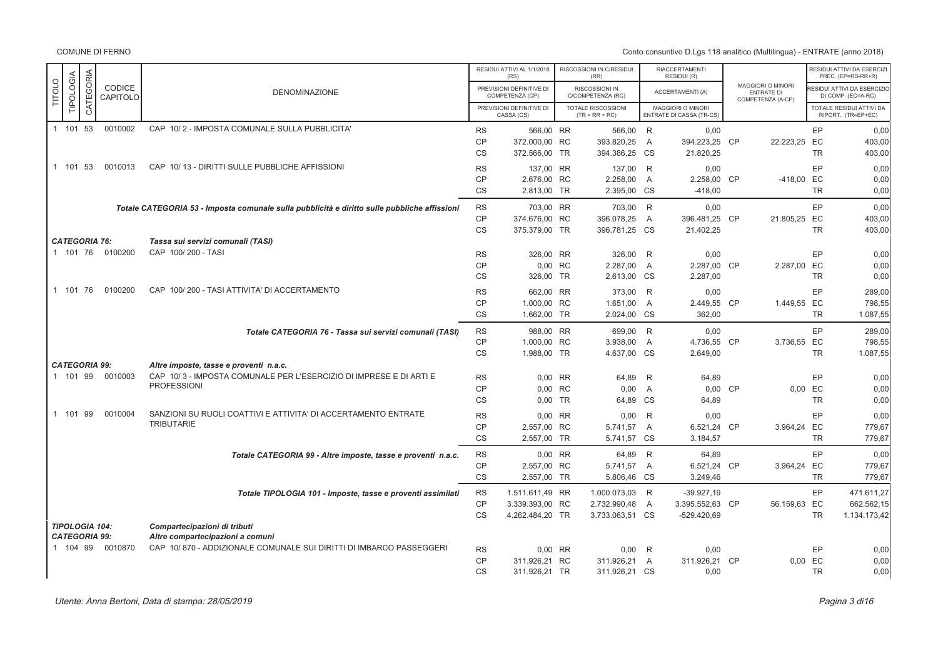|                                               |           |           |                    |                                                                                              |                        | RESIDUI ATTIVI AL 1/1/2018<br>(RS)          | RISCOSSIONI IN C/RESIDUI<br>(RR)       |   | <b>RIACCERTAMENTI</b><br>RESIDUI (R)          |                                                             |           | RESIDUI ATTIVI DA ESERCIZI<br>PREC. (EP=RS-RR+R) |
|-----------------------------------------------|-----------|-----------|--------------------|----------------------------------------------------------------------------------------------|------------------------|---------------------------------------------|----------------------------------------|---|-----------------------------------------------|-------------------------------------------------------------|-----------|--------------------------------------------------|
| <b>TITOLO</b>                                 | TIPOLOGIA | CATEGORIA | CODICE<br>CAPITOLO | <b>DENOMINAZIONE</b>                                                                         |                        | PREVISIONI DEFINITIVE DI<br>COMPETENZA (CP) | RISCOSSIONI IN<br>C/COMPETENZA (RC)    |   | ACCERTAMENTI (A)                              | MAGGIORI O MINORI<br><b>ENTRATE DI</b><br>COMPETENZA (A-CP) |           | ESIDUI ATTIVI DA ESERCIZIO<br>DI COMP. (EC=A-RC) |
|                                               |           |           |                    |                                                                                              |                        | PREVISIONI DEFINITIVE DI<br>CASSA (CS)      | TOTALE RISCOSSIONI<br>$(TR = RR + RC)$ |   | MAGGIORI O MINORI<br>ENTRATE DI CASSA (TR-CS) |                                                             |           | TOTALE RESIDUI ATTIVI DA<br>RIPORT. (TR=EP+EC)   |
| 1 101 53                                      |           |           | 0010002            | CAP 10/2 - IMPOSTA COMUNALE SULLA PUBBLICITA'                                                | <b>RS</b>              | 566,00 RR                                   | 566,00 R                               |   | 0,00                                          |                                                             | EP        | 0,00                                             |
|                                               |           |           |                    |                                                                                              | <b>CP</b>              | 372.000,00 RC                               | 393.820,25                             | A | 394.223,25 CP                                 | 22.223,25 EC                                                |           | 403,00                                           |
|                                               |           |           |                    |                                                                                              | CS                     | 372.566,00 TR                               | 394.386,25 CS                          |   | 21.820,25                                     |                                                             | <b>TR</b> | 403,00                                           |
| 1 101 53                                      |           |           | 0010013            | CAP 10/13 - DIRITTI SULLE PUBBLICHE AFFISSIONI                                               | <b>RS</b>              | 137,00 RR                                   | 137,00 R                               |   | 0,00                                          |                                                             | EP        | 0,00                                             |
|                                               |           |           |                    |                                                                                              | <b>CP</b>              | 2.676,00 RC                                 | 2.258,00 A                             |   | 2.258,00 CP                                   | -418,00 EC                                                  |           | 0,00                                             |
|                                               |           |           |                    |                                                                                              | <b>CS</b>              | 2.813,00 TR                                 | 2.395,00 CS                            |   | $-418,00$                                     |                                                             | <b>TR</b> | 0,00                                             |
|                                               |           |           |                    | Totale CATEGORIA 53 - Imposta comunale sulla pubblicità e diritto sulle pubbliche affissioni | <b>RS</b>              | 703,00 RR                                   | 703,00 R                               |   | 0.00                                          |                                                             | EP        | 0.00                                             |
|                                               |           |           |                    |                                                                                              | <b>CP</b>              | 374.676,00 RC                               | 396.078,25                             | A | 396.481,25 CP                                 | 21.805,25 EC                                                |           | 403,00                                           |
|                                               |           |           |                    |                                                                                              | <b>CS</b>              | 375.379,00 TR                               | 396.781,25 CS                          |   | 21.402,25                                     |                                                             | <b>TR</b> | 403,00                                           |
| <b>CATEGORIA 76:</b>                          |           |           |                    | Tassa sui servizi comunali (TASI)                                                            |                        |                                             |                                        |   |                                               |                                                             |           |                                                  |
| 1 101 76                                      |           |           | 0100200            | CAP 100/200 - TASI                                                                           | <b>RS</b>              | 326,00 RR                                   | 326,00 R                               |   | 0,00                                          |                                                             | EP        | 0,00                                             |
|                                               |           |           |                    |                                                                                              | <b>CP</b>              | 0,00 RC                                     | 2.287,00 A                             |   | 2.287,00 CP                                   | 2.287,00 EC                                                 |           | 0,00                                             |
|                                               |           |           |                    |                                                                                              | <b>CS</b>              | 326,00 TR                                   | 2.613,00 CS                            |   | 2.287,00                                      |                                                             | <b>TR</b> | 0,00                                             |
| 1 101 76                                      |           |           | 0100200            | CAP 100/200 - TASI ATTIVITA' DI ACCERTAMENTO                                                 | <b>RS</b>              | 662,00 RR                                   | 373,00 R                               |   | 0,00                                          |                                                             | EP        | 289.00                                           |
|                                               |           |           |                    |                                                                                              | <b>CP</b>              | 1.000,00 RC                                 | 1.651,00 A                             |   | 2.449,55 CP                                   | 1.449,55 EC                                                 |           | 798,55                                           |
|                                               |           |           |                    |                                                                                              | <b>CS</b>              | 1.662.00 TR                                 | 2.024,00 CS                            |   | 362.00                                        |                                                             | <b>TR</b> | 1.087,55                                         |
|                                               |           |           |                    |                                                                                              |                        | 988,00 RR                                   |                                        |   | 0,00                                          |                                                             | EP        | 289,00                                           |
|                                               |           |           |                    | Totale CATEGORIA 76 - Tassa sui servizi comunali (TASI)                                      | <b>RS</b><br>CP        | 1.000,00 RC                                 | 699,00 R<br>3.938,00                   | A | 4.736,55 CP                                   | 3.736,55 EC                                                 |           | 798,55                                           |
|                                               |           |           |                    |                                                                                              | <b>CS</b>              | 1.988,00 TR                                 | 4.637,00 CS                            |   | 2.649,00                                      |                                                             | <b>TR</b> | 1.087,55                                         |
| <b>CATEGORIA 99:</b>                          |           |           |                    | Altre imposte, tasse e proventi n.a.c.                                                       |                        |                                             |                                        |   |                                               |                                                             |           |                                                  |
| 1 101 99                                      |           |           | 0010003            | CAP 10/3 - IMPOSTA COMUNALE PER L'ESERCIZIO DI IMPRESE E DI ARTI E                           | <b>RS</b>              | 0,00 RR                                     | 64,89                                  | R | 64,89                                         |                                                             | EP        | 0,00                                             |
|                                               |           |           |                    | <b>PROFESSIONI</b>                                                                           | CP                     | 0,00 RC                                     | 0,00                                   | A | 0,00 CP                                       |                                                             | 0,00 EC   | 0,00                                             |
|                                               |           |           |                    |                                                                                              | CS                     | 0,00 TR                                     | 64,89 CS                               |   | 64,89                                         |                                                             | <b>TR</b> | 0,00                                             |
| 1 101 99                                      |           |           | 0010004            | SANZIONI SU RUOLI COATTIVI E ATTIVITA' DI ACCERTAMENTO ENTRATE                               | <b>RS</b>              | 0,00 RR                                     | 0,00                                   | R | 0,00                                          |                                                             | EP        | 0,00                                             |
|                                               |           |           |                    | TRIBUTARIE                                                                                   | <b>CP</b>              | 2.557,00 RC                                 | 5.741,57 A                             |   | 6.521,24 CP                                   | 3.964,24 EC                                                 |           | 779,67                                           |
|                                               |           |           |                    |                                                                                              | CS                     | 2.557,00 TR                                 | 5.741,57 CS                            |   | 3.184,57                                      |                                                             | <b>TR</b> | 779,67                                           |
|                                               |           |           |                    |                                                                                              |                        |                                             |                                        |   |                                               |                                                             |           |                                                  |
|                                               |           |           |                    | Totale CATEGORIA 99 - Altre imposte, tasse e proventi n.a.c.                                 | <b>RS</b>              | 0,00 RR                                     | 64,89 R                                |   | 64.89                                         |                                                             | EP        | 0,00                                             |
|                                               |           |           |                    |                                                                                              | <b>CP</b>              | 2.557,00 RC                                 | 5.741,57 A                             |   | 6.521,24 CP                                   | 3.964,24 EC                                                 |           | 779,67                                           |
|                                               |           |           |                    |                                                                                              | <b>CS</b>              | 2.557,00 TR                                 | 5.806,46 CS                            |   | 3.249,46                                      |                                                             | <b>TR</b> | 779,67                                           |
|                                               |           |           |                    | Totale TIPOLOGIA 101 - Imposte, tasse e proventi assimilati                                  | <b>RS</b>              | 1.511.611,49 RR                             | 1.000.073,03 R                         |   | $-39.927,19$                                  |                                                             | EP        | 471.611.27                                       |
|                                               |           |           |                    |                                                                                              | <b>CP</b>              | 3.339.393,00 RC                             | 2.732.990,48                           | A | 3.395.552,63 CP                               | 56.159,63 EC                                                |           | 662.562.15                                       |
|                                               |           |           |                    |                                                                                              | <b>CS</b>              | 4.262.484,20 TR                             | 3.733.063,51 CS                        |   | $-529.420.69$                                 |                                                             | <b>TR</b> | 1.134.173,42                                     |
| <b>TIPOLOGIA 104:</b><br><b>CATEGORIA 99:</b> |           |           |                    | Compartecipazioni di tributi<br>Altre compartecipazioni a comuni                             |                        |                                             |                                        |   |                                               |                                                             |           |                                                  |
| 1 104 99                                      |           |           | 0010870            | CAP 10/870 - ADDIZIONALE COMUNALE SUI DIRITTI DI IMBARCO PASSEGGERI                          |                        | 0,00 RR                                     |                                        | R |                                               |                                                             | EP        |                                                  |
|                                               |           |           |                    |                                                                                              | <b>RS</b><br><b>CP</b> | 311.926,21 RC                               | 0,00<br>311.926,21                     | A | 0,00<br>311.926,21 CP                         |                                                             | 0,00 EC   | 0,00<br>0,00                                     |
|                                               |           |           |                    |                                                                                              | CS                     | 311.926,21 TR                               | 311.926,21 CS                          |   | 0,00                                          |                                                             | <b>TR</b> | 0,00                                             |
|                                               |           |           |                    |                                                                                              |                        |                                             |                                        |   |                                               |                                                             |           |                                                  |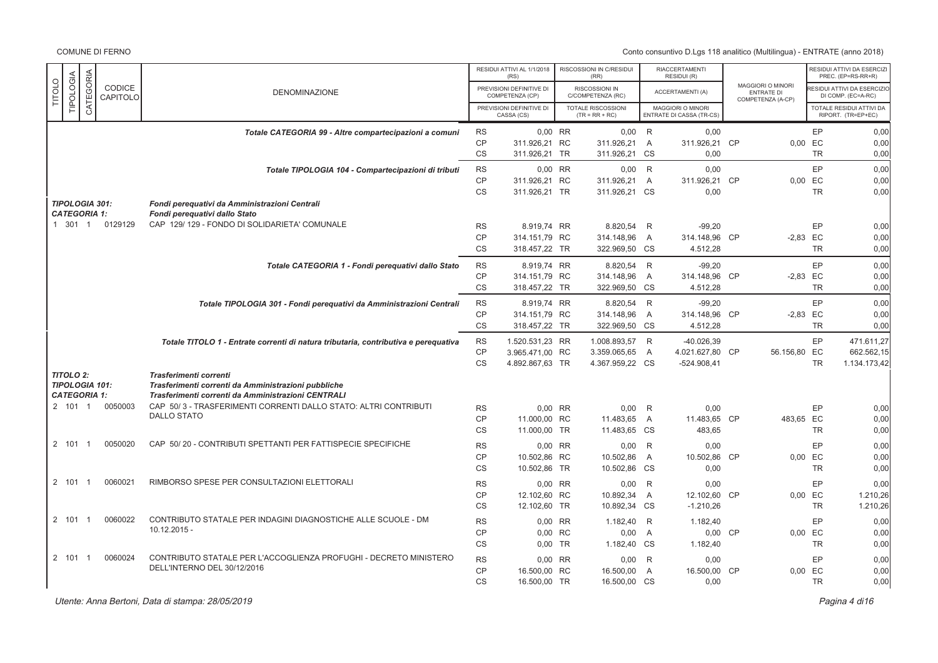|               |                                              |                |                    |                                                                                                           |                        | RESIDUI ATTIVI AL 1/1/2018<br>(RS)          | RISCOSSIONI IN C/RESIDUI<br>(RR)              |                | <b>RIACCERTAMENTI</b><br>RESIDUI (R)                 |                                                             |           | RESIDUI ATTIVI DA ESERCIZI<br>PREC. (EP=RS-RR+R)  |
|---------------|----------------------------------------------|----------------|--------------------|-----------------------------------------------------------------------------------------------------------|------------------------|---------------------------------------------|-----------------------------------------------|----------------|------------------------------------------------------|-------------------------------------------------------------|-----------|---------------------------------------------------|
| <b>TITOLO</b> | TIPOLOGIA                                    | CATEGORIA      | CODICE<br>CAPITOLO | <b>DENOMINAZIONE</b>                                                                                      |                        | PREVISIONI DEFINITIVE DI<br>COMPETENZA (CP) | RISCOSSIONI IN<br>C/COMPETENZA (RC)           |                | <b>ACCERTAMENTI (A)</b>                              | MAGGIORI O MINORI<br><b>ENTRATE DI</b><br>COMPETENZA (A-CP) |           | RESIDUI ATTIVI DA ESERCIZIO<br>DI COMP. (EC=A-RC) |
|               |                                              |                |                    |                                                                                                           |                        | PREVISIONI DEFINITIVE DI<br>CASSA (CS)      | <b>TOTALE RISCOSSIONI</b><br>$(TR = RR + RC)$ |                | <b>MAGGIORI O MINORI</b><br>ENTRATE DI CASSA (TR-CS) |                                                             |           | TOTALE RESIDUI ATTIVI DA<br>RIPORT. (TR=EP+EC)    |
|               |                                              |                |                    | Totale CATEGORIA 99 - Altre compartecipazioni a comuni                                                    | <b>RS</b>              | 0,00 RR                                     | $0,00$ R                                      |                | 0,00                                                 |                                                             | EP        | 0,00                                              |
|               |                                              |                |                    |                                                                                                           | <b>CP</b>              | 311.926.21 RC                               | 311.926.21                                    | $\overline{A}$ | 311.926,21 CP                                        | $0.00$ EC                                                   |           | 0,00                                              |
|               |                                              |                |                    |                                                                                                           | <b>CS</b>              | 311.926,21 TR                               | 311.926,21                                    | <b>CS</b>      | 0,00                                                 |                                                             | <b>TR</b> | 0,00                                              |
|               |                                              |                |                    | Totale TIPOLOGIA 104 - Compartecipazioni di tributi                                                       | <b>RS</b><br>CP        | 0,00 RR<br>311.926,21 RC                    | $0,00$ R<br>311.926,21                        | $\overline{A}$ | 0,00<br>311.926,21 CP                                | 0,00 EC                                                     | EP        | 0,00<br>0,00                                      |
|               |                                              |                |                    |                                                                                                           | <b>CS</b>              | 311.926,21 TR                               | 311.926,21 CS                                 |                | 0,00                                                 |                                                             | <b>TR</b> | 0,00                                              |
|               | <b>TIPOLOGIA 301:</b><br><b>CATEGORIA 1:</b> |                |                    | Fondi perequativi da Amministrazioni Centrali<br>Fondi perequativi dallo Stato                            |                        |                                             |                                               |                |                                                      |                                                             |           |                                                   |
|               | 1 301 1                                      |                | 0129129            | CAP 129/129 - FONDO DI SOLIDARIETA' COMUNALE                                                              | <b>RS</b>              | 8.919.74 RR                                 | 8.820,54 R                                    |                | $-99,20$                                             |                                                             | EP        | 0,00                                              |
|               |                                              |                |                    |                                                                                                           | CP                     | 314.151,79 RC                               | 314.148,96                                    | $\overline{A}$ | 314.148,96 CP                                        | $-2,83$ EC                                                  |           | 0,00                                              |
|               |                                              |                |                    |                                                                                                           | <b>CS</b>              | 318.457,22 TR                               | 322.969,50 CS                                 |                | 4.512.28                                             |                                                             | <b>TR</b> | 0,00                                              |
|               |                                              |                |                    | Totale CATEGORIA 1 - Fondi perequativi dallo Stato                                                        | <b>RS</b>              | 8.919.74 RR                                 | 8.820,54 R                                    |                | $-99,20$                                             |                                                             | EP        | 0,00                                              |
|               |                                              |                |                    |                                                                                                           | CP                     | 314.151,79 RC                               | 314.148,96                                    | $\overline{A}$ | 314.148,96 CP                                        | $-2,83$ EC                                                  |           | 0,00                                              |
|               |                                              |                |                    |                                                                                                           | <b>CS</b>              | 318.457,22 TR                               | 322.969,50 CS                                 |                | 4.512,28                                             |                                                             | <b>TR</b> | 0.00                                              |
|               |                                              |                |                    | Totale TIPOLOGIA 301 - Fondi perequativi da Amministrazioni Centrali                                      | <b>RS</b>              | 8.919,74 RR                                 | 8.820,54 R                                    |                | $-99,20$                                             |                                                             | EP        | 0,00                                              |
|               |                                              |                |                    |                                                                                                           | CP                     | 314.151,79 RC                               | 314.148,96                                    | $\overline{A}$ | 314.148,96 CP                                        | $-2,83$ EC                                                  | <b>TR</b> | 0,00                                              |
|               |                                              |                |                    |                                                                                                           | CS                     | 318.457,22 TR                               | 322.969,50 CS                                 |                | 4.512,28                                             |                                                             |           | 0,00                                              |
|               |                                              |                |                    | Totale TITOLO 1 - Entrate correnti di natura tributaria, contributiva e perequativa                       | <b>RS</b><br>CP        | 1.520.531,23 RR<br>3.965.471,00 RC          | 1.008.893,57 R<br>3.359.065,65 A              |                | $-40.026,39$<br>4.021.627,80 CP                      | 56.156,80 EC                                                | EP        | 471.611,27<br>662.562,15                          |
|               |                                              |                |                    |                                                                                                           | <b>CS</b>              | 4.892.867,63 TR                             | 4.367.959,22 CS                               |                | $-524.908,41$                                        |                                                             | <b>TR</b> | 1.134.173,42                                      |
|               | <b>TITOLO 2:</b>                             |                |                    | Trasferimenti correnti                                                                                    |                        |                                             |                                               |                |                                                      |                                                             |           |                                                   |
|               | <b>TIPOLOGIA 101:</b><br><b>CATEGORIA 1:</b> |                |                    | Trasferimenti correnti da Amministrazioni pubbliche<br>Trasferimenti correnti da Amministrazioni CENTRALI |                        |                                             |                                               |                |                                                      |                                                             |           |                                                   |
|               | 2 101 1                                      |                | 0050003            | CAP 50/3 - TRASFERIMENTI CORRENTI DALLO STATO: ALTRI CONTRIBUTI<br><b>DALLO STATO</b>                     | <b>RS</b>              | 0,00 RR                                     | 0,00                                          | R              | 0,00                                                 |                                                             | EP        | 0,00                                              |
|               |                                              |                |                    |                                                                                                           | <b>CP</b>              | 11.000.00 RC                                | 11.483,65                                     | $\overline{A}$ | 11.483.65 CP                                         | 483.65 EC                                                   |           | 0,00                                              |
|               |                                              |                |                    |                                                                                                           | <b>CS</b>              | 11.000,00 TR                                | 11.483,65 CS                                  |                | 483,65                                               |                                                             | <b>TR</b> | 0,00                                              |
|               | 2 101                                        | - 1            | 0050020            | CAP 50/20 - CONTRIBUTI SPETTANTI PER FATTISPECIE SPECIFICHE                                               | <b>RS</b><br><b>CP</b> | $0.00$ RR                                   | $0,00$ R                                      |                | 0,00                                                 |                                                             | EP        | 0,00                                              |
|               |                                              |                |                    |                                                                                                           | <b>CS</b>              | 10.502,86 RC<br>10.502,86 TR                | 10.502,86<br>10.502,86 CS                     | $\overline{A}$ | 10.502,86 CP<br>0,00                                 | 0,00 EC                                                     | <b>TR</b> | 0,00<br>0,00                                      |
|               | 2 101                                        | $\overline{1}$ | 0060021            | RIMBORSO SPESE PER CONSULTAZIONI ELETTORALI                                                               | <b>RS</b>              | 0,00 RR                                     | $0,00$ R                                      |                | 0,00                                                 |                                                             | EP        | 0,00                                              |
|               |                                              |                |                    |                                                                                                           | <b>CP</b>              | 12.102,60 RC                                | 10.892,34                                     | $\overline{A}$ | 12.102,60 CP                                         | $0,00$ EC                                                   |           | 1.210,26                                          |
|               |                                              |                |                    |                                                                                                           | CS                     | 12.102,60 TR                                | 10.892,34 CS                                  |                | $-1.210,26$                                          |                                                             | <b>TR</b> | 1.210,26                                          |
|               | 2 101 1                                      |                | 0060022            | CONTRIBUTO STATALE PER INDAGINI DIAGNOSTICHE ALLE SCUOLE - DM                                             | <b>RS</b>              | 0,00 RR                                     | 1.182,40 R                                    |                | 1.182,40                                             |                                                             | EP        | 0,00                                              |
|               |                                              |                |                    | $10.12.2015 -$                                                                                            | <b>CP</b>              | 0.00 RC                                     | 0,00                                          | $\overline{A}$ | 0,00 CP                                              | 0.00 EC                                                     |           | 0,00                                              |
|               |                                              |                |                    |                                                                                                           | <b>CS</b>              | $0.00$ TR                                   | 1.182,40 CS                                   |                | 1.182,40                                             |                                                             | <b>TR</b> | 0,00                                              |
|               | 2 101                                        | $\overline{1}$ | 0060024            | CONTRIBUTO STATALE PER L'ACCOGLIENZA PROFUGHI - DECRETO MINISTERO                                         | <b>RS</b>              | 0,00 RR                                     | 0,00                                          | R              | 0,00                                                 |                                                             | EP        | 0,00                                              |
|               |                                              |                |                    | DELL'INTERNO DEL 30/12/2016                                                                               | <b>CP</b>              | 16.500,00 RC                                | 16.500,00                                     | $\overline{A}$ | 16.500,00 CP                                         | $0.00$ EC                                                   |           | 0,00                                              |
|               |                                              |                |                    |                                                                                                           | <b>CS</b>              | 16.500,00 TR                                | 16.500,00 CS                                  |                | 0,00                                                 |                                                             | <b>TR</b> | 0,00                                              |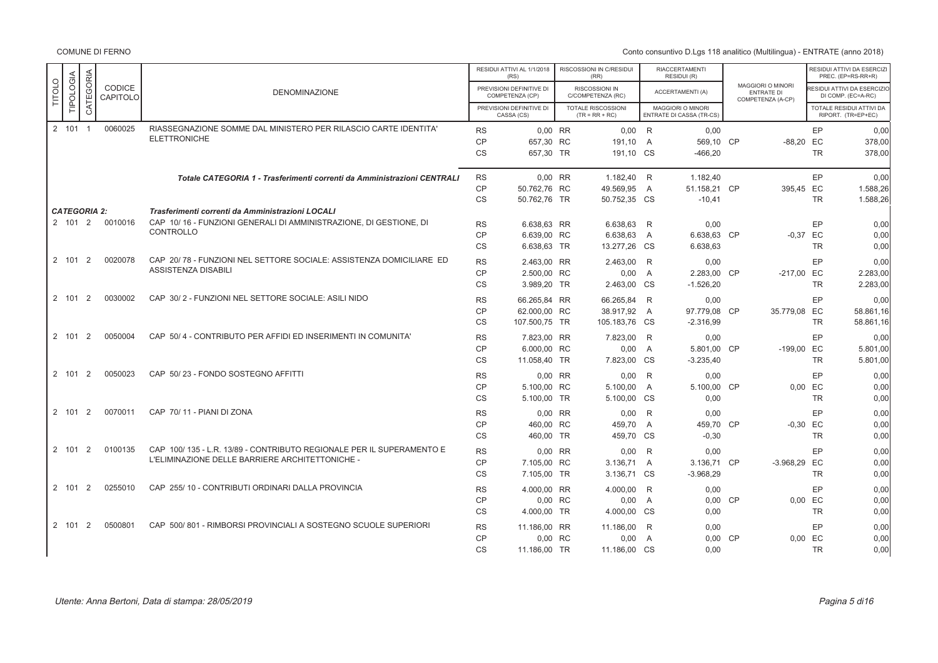COMUNE DI FERNO

|               |                     |                |                    |                                                                                                                         |                        | RESIDUI ATTIVI AL 1/1/2018<br>(RS)          | RISCOSSIONI IN C/RESIDUI<br>(RR)              |                | RIACCERTAMENTI<br>RESIDUI (R)                        |    |                                                             |           | RESIDUI ATTIVI DA ESERCIZI<br>PREC. (EP=RS-RR+R)        |
|---------------|---------------------|----------------|--------------------|-------------------------------------------------------------------------------------------------------------------------|------------------------|---------------------------------------------|-----------------------------------------------|----------------|------------------------------------------------------|----|-------------------------------------------------------------|-----------|---------------------------------------------------------|
| <b>TITOLO</b> | TIPOLOGIA           | CATEGORIA      | CODICE<br>CAPITOLO | <b>DENOMINAZIONE</b>                                                                                                    |                        | PREVISIONI DEFINITIVE DI<br>COMPETENZA (CP) | RISCOSSIONI IN<br>C/COMPETENZA (RC)           |                | <b>ACCERTAMENTI (A)</b>                              |    | MAGGIORI O MINORI<br><b>ENTRATE DI</b><br>COMPETENZA (A-CP) |           | <b>ESIDUI ATTIVI DA ESERCIZIO</b><br>DI COMP. (EC=A-RC) |
|               |                     |                |                    |                                                                                                                         |                        | PREVISIONI DEFINITIVE DI<br>CASSA (CS)      | <b>TOTALE RISCOSSIONI</b><br>$(TR = RR + RC)$ |                | <b>MAGGIORI O MINORI</b><br>ENTRATE DI CASSA (TR-CS) |    |                                                             |           | TOTALE RESIDUI ATTIVI DA<br>RIPORT. (TR=EP+EC)          |
|               | 2 101               | $\overline{1}$ | 0060025            | RIASSEGNAZIONE SOMME DAL MINISTERO PER RILASCIO CARTE IDENTITA'                                                         | <b>RS</b>              | 0.00 RR                                     | 0.00                                          | R              | 0.00                                                 |    |                                                             | EP        | 0,00                                                    |
|               |                     |                |                    | <b>ELETTRONICHE</b>                                                                                                     | <b>CP</b>              | 657,30 RC                                   | 191.10                                        | $\overline{A}$ | 569.10 CP                                            |    | $-88.20$                                                    | EC        | 378,00                                                  |
|               |                     |                |                    |                                                                                                                         | <b>CS</b>              | 657,30 TR                                   | 191,10 CS                                     |                | $-466,20$                                            |    |                                                             | <b>TR</b> | 378,00                                                  |
|               |                     |                |                    | Totale CATEGORIA 1 - Trasferimenti correnti da Amministrazioni CENTRALI                                                 | <b>RS</b>              | 0,00 RR                                     | 1.182.40                                      | R              | 1.182,40                                             |    |                                                             | EP        | 0,00                                                    |
|               |                     |                |                    |                                                                                                                         | <b>CP</b>              | 50.762.76 RC                                | 49.569,95                                     | $\overline{A}$ | 51.158,21 CP                                         |    | 395.45                                                      | EC        | 1.588,26                                                |
|               |                     |                |                    |                                                                                                                         | CS                     | 50.762,76 TR                                | 50.752,35 CS                                  |                | $-10,41$                                             |    |                                                             | <b>TR</b> | 1.588,26                                                |
|               | <b>CATEGORIA 2:</b> |                |                    | Trasferimenti correnti da Amministrazioni LOCALI                                                                        |                        |                                             |                                               |                |                                                      |    |                                                             |           |                                                         |
|               | 2 101 2             |                | 0010016            | CAP 10/16 - FUNZIONI GENERALI DI AMMINISTRAZIONE, DI GESTIONE, DI                                                       | <b>RS</b>              | 6.638,63 RR                                 | 6.638,63                                      | R              | 0,00                                                 |    |                                                             | EP        | 0,00                                                    |
|               |                     |                |                    | CONTROLLO                                                                                                               | <b>CP</b>              | 6.639,00 RC                                 | 6.638,63                                      | A              | 6.638,63 CP                                          |    | $-0,37$                                                     | EC        | 0,00                                                    |
|               |                     |                |                    |                                                                                                                         | CS                     | 6.638,63 TR                                 | 13.277,26                                     | CS             | 6.638,63                                             |    |                                                             | <b>TR</b> | 0.00                                                    |
|               | 2 101               | 2              | 0020078            | CAP 20/78 - FUNZIONI NEL SETTORE SOCIALE: ASSISTENZA DOMICILIARE ED                                                     | <b>RS</b>              | 2.463.00 RR                                 | 2.463,00                                      | R              | 0.00                                                 |    |                                                             | EP        | 0,00                                                    |
|               |                     |                |                    | <b>ASSISTENZA DISABILI</b>                                                                                              | <b>CP</b>              | 2.500,00 RC                                 | 0,00                                          | $\overline{A}$ | 2.283.00 CP                                          |    | $-217.00$                                                   | EC        | 2.283,00                                                |
|               |                     |                |                    |                                                                                                                         | CS                     | 3.989,20 TR                                 | 2.463,00                                      | <b>CS</b>      | $-1.526,20$                                          |    |                                                             | <b>TR</b> | 2.283,00                                                |
|               |                     |                |                    |                                                                                                                         |                        |                                             |                                               |                |                                                      |    |                                                             |           |                                                         |
|               | 2 101               | 2              | 0030002            | CAP 30/2 - FUNZIONI NEL SETTORE SOCIALE: ASILI NIDO                                                                     | <b>RS</b>              | 66.265,84 RR                                | 66.265,84                                     | R              | 0,00                                                 |    |                                                             | EP        | 0,00                                                    |
|               |                     |                |                    |                                                                                                                         | <b>CP</b>              | 62,000.00 RC                                | 38.917.92                                     | A              | 97.779.08 CP                                         |    | 35.779,08                                                   | EC        | 58.861.16                                               |
|               |                     |                |                    |                                                                                                                         | <b>CS</b>              | 107.500,75 TR                               | 105.183,76                                    | <b>CS</b>      | $-2.316,99$                                          |    |                                                             | <b>TR</b> | 58.861,16                                               |
|               | 2 101               | 2              | 0050004            | CAP 50/4 - CONTRIBUTO PER AFFIDI ED INSERIMENTI IN COMUNITA'                                                            | <b>RS</b>              | 7.823.00 RR                                 | 7.823,00                                      | R              | 0.00                                                 |    |                                                             | EP        | 0,00                                                    |
|               |                     |                |                    |                                                                                                                         | <b>CP</b>              | 6.000,00 RC                                 | 0,00                                          | A              | 5.801,00 CP                                          |    | $-199,00$                                                   | EC        | 5.801,00                                                |
|               |                     |                |                    |                                                                                                                         | CS                     | 11.058,40 TR                                | 7.823,00 CS                                   |                | $-3.235,40$                                          |    |                                                             | <b>TR</b> | 5.801,00                                                |
|               | 2 101               | 2              | 0050023            | CAP 50/23 - FONDO SOSTEGNO AFFITTI                                                                                      | <b>RS</b>              | 0.00 RR                                     | 0.00                                          | R              | 0.00                                                 |    |                                                             | EP        | 0,00                                                    |
|               |                     |                |                    |                                                                                                                         | <b>CP</b>              | 5.100,00 RC                                 | 5.100,00                                      | A              | 5.100,00 CP                                          |    | 0.00                                                        | EC        | 0,00                                                    |
|               |                     |                |                    |                                                                                                                         | <b>CS</b>              | 5.100,00 TR                                 | 5.100,00                                      | <b>CS</b>      | 0,00                                                 |    |                                                             | <b>TR</b> | 0,00                                                    |
|               | 2 101               | 2              | 0070011            | CAP 70/11 - PIANI DI ZONA                                                                                               |                        |                                             |                                               | R              |                                                      |    |                                                             | EP        |                                                         |
|               |                     |                |                    |                                                                                                                         | <b>RS</b><br><b>CP</b> | 0,00 RR<br>460,00 RC                        | 0,00<br>459,70                                | A              | 0,00<br>459,70 CP                                    |    | $-0,30$                                                     | EC        | 0,00<br>0,00                                            |
|               |                     |                |                    |                                                                                                                         | <b>CS</b>              | 460.00 TR                                   | 459.70                                        | <b>CS</b>      | $-0,30$                                              |    |                                                             | <b>TR</b> | 0,00                                                    |
|               |                     |                |                    |                                                                                                                         |                        |                                             |                                               |                |                                                      |    |                                                             |           |                                                         |
|               | 2 101               | 2              | 0100135            | CAP 100/135 - L.R. 13/89 - CONTRIBUTO REGIONALE PER IL SUPERAMENTO E<br>L'ELIMINAZIONE DELLE BARRIERE ARCHITETTONICHE - | <b>RS</b>              | 0.00 RR                                     | 0,00                                          | R              | 0,00                                                 |    |                                                             | EP        | 0,00                                                    |
|               |                     |                |                    |                                                                                                                         | <b>CP</b>              | 7.105.00 RC                                 | 3.136,71                                      | $\overline{A}$ | 3.136,71 CP                                          |    | $-3.968.29$                                                 | EC        | 0,00                                                    |
|               |                     |                |                    |                                                                                                                         | <b>CS</b>              | 7.105,00 TR                                 | 3.136,71 CS                                   |                | $-3.968,29$                                          |    |                                                             | <b>TR</b> | 0,00                                                    |
|               | 2 101               | 2              | 0255010            | CAP 255/10 - CONTRIBUTI ORDINARI DALLA PROVINCIA                                                                        | <b>RS</b>              | 4.000,00 RR                                 | 4.000,00                                      | R              | 0,00                                                 |    |                                                             | EP        | 0,00                                                    |
|               |                     |                |                    |                                                                                                                         | CP                     | 0.00 RC                                     | 0,00                                          | $\overline{A}$ | 0.00                                                 | CP | 0.00                                                        | EC        | 0,00                                                    |
|               |                     |                |                    |                                                                                                                         | CS                     | 4.000,00 TR                                 | 4.000,00                                      | <b>CS</b>      | 0,00                                                 |    |                                                             | <b>TR</b> | 0,00                                                    |
|               | 2 101               | 2              | 0500801            | CAP 500/801 - RIMBORSI PROVINCIALI A SOSTEGNO SCUOLE SUPERIORI                                                          | <b>RS</b>              | 11.186,00 RR                                | 11.186,00                                     | R              | 0,00                                                 |    |                                                             | EP        | 0,00                                                    |
|               |                     |                |                    |                                                                                                                         | <b>CP</b>              | 0,00 RC                                     | 0,00                                          | A              | 0,00 CP                                              |    | 0.00                                                        | EC        | 0,00                                                    |
|               |                     |                |                    |                                                                                                                         | <b>CS</b>              | 11.186,00 TR                                | 11.186,00                                     | CS             | 0,00                                                 |    |                                                             | <b>TR</b> | 0,00                                                    |
|               |                     |                |                    |                                                                                                                         |                        |                                             |                                               |                |                                                      |    |                                                             |           |                                                         |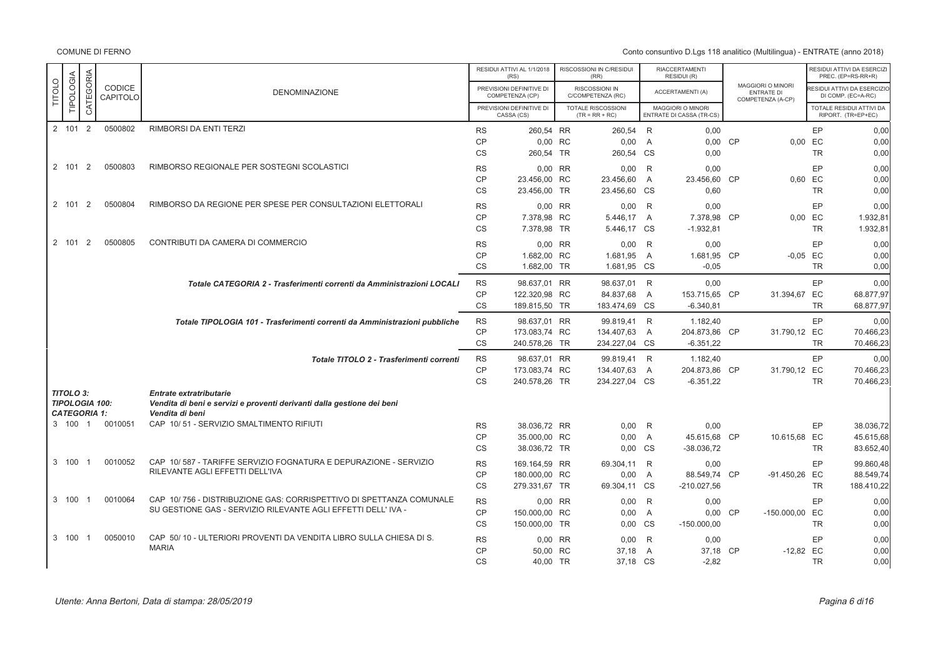|               |                                                           |                |                    |                                                                                                                             |           | RESIDUI ATTIVI AL 1/1/2018<br>(RS)          | RISCOSSIONI IN C/RESIDUI<br>(RR)       |                | <b>RIACCERTAMENTI</b><br>RESIDUI (R)          |                                                             |           | RESIDUI ATTIVI DA ESERCIZI<br>PREC. (EP=RS-RR+R) |
|---------------|-----------------------------------------------------------|----------------|--------------------|-----------------------------------------------------------------------------------------------------------------------------|-----------|---------------------------------------------|----------------------------------------|----------------|-----------------------------------------------|-------------------------------------------------------------|-----------|--------------------------------------------------|
| <b>TITOLO</b> | TIPOLOGIA                                                 | CATEGORIA      | CODICE<br>CAPITOLO | <b>DENOMINAZIONE</b>                                                                                                        |           | PREVISIONI DEFINITIVE DI<br>COMPETENZA (CP) | RISCOSSIONI IN<br>C/COMPETENZA (RC)    |                | <b>ACCERTAMENTI (A)</b>                       | MAGGIORI O MINORI<br><b>ENTRATE DI</b><br>COMPETENZA (A-CP) |           | ESIDUI ATTIVI DA ESERCIZIO<br>DI COMP. (EC=A-RC) |
|               |                                                           |                |                    |                                                                                                                             |           | PREVISIONI DEFINITIVE DI<br>CASSA (CS)      | TOTALE RISCOSSIONI<br>$(TR = RR + RC)$ |                | MAGGIORI O MINORI<br>ENTRATE DI CASSA (TR-CS) |                                                             |           | TOTALE RESIDUI ATTIVI DA<br>RIPORT. (TR=EP+EC)   |
|               | 2 101 2                                                   |                | 0500802            | <b>RIMBORSI DA ENTI TERZI</b>                                                                                               | <b>RS</b> | 260,54 RR                                   | 260.54 R                               |                | 0.00                                          |                                                             | EP        | 0,00                                             |
|               |                                                           |                |                    |                                                                                                                             | <b>CP</b> | 0,00 RC                                     | 0,00                                   | $\overline{A}$ | 0,00 CP                                       | 0,00 EC                                                     |           | 0,00                                             |
|               |                                                           |                |                    |                                                                                                                             | <b>CS</b> | 260,54 TR                                   | 260,54 CS                              |                | 0,00                                          |                                                             | <b>TR</b> | 0,00                                             |
|               | 2 101 2                                                   |                | 0500803            | RIMBORSO REGIONALE PER SOSTEGNI SCOLASTICI                                                                                  | <b>RS</b> | 0,00 RR                                     | 0,00                                   | R              | 0,00                                          |                                                             | EP        | 0,00                                             |
|               |                                                           |                |                    |                                                                                                                             | CP        | 23.456,00 RC                                | 23.456,60                              | $\overline{A}$ | 23.456,60 CP                                  | 0.60 EC                                                     |           | 0.00                                             |
|               |                                                           |                |                    |                                                                                                                             | <b>CS</b> | 23.456,00 TR                                | 23.456,60 CS                           |                | 0.60                                          |                                                             | <b>TR</b> | 0.00                                             |
|               | 2 101                                                     | $\overline{2}$ | 0500804            | RIMBORSO DA REGIONE PER SPESE PER CONSULTAZIONI ELETTORALI                                                                  | <b>RS</b> | 0,00 RR                                     | 0,00                                   | R              | 0,00                                          |                                                             | EP        | 0.00                                             |
|               |                                                           |                |                    |                                                                                                                             | CP        | 7.378,98 RC                                 | 5.446,17 A                             |                | 7.378.98 CP                                   | 0.00 EC                                                     |           | 1.932,81                                         |
|               |                                                           |                |                    |                                                                                                                             | <b>CS</b> | 7.378,98 TR                                 | 5.446,17 CS                            |                | $-1.932,81$                                   |                                                             | <b>TR</b> | 1.932,81                                         |
|               | 2 101                                                     | 2              | 0500805            | CONTRIBUTI DA CAMERA DI COMMERCIO                                                                                           | <b>RS</b> | 0.00 RR                                     | 0.00                                   | R              | 0.00                                          |                                                             | EP        | 0.00                                             |
|               |                                                           |                |                    |                                                                                                                             | CP        | 1.682,00 RC                                 | 1.681,95                               | A              | 1.681,95 CP                                   | $-0.05$ EC                                                  |           | 0,00                                             |
|               |                                                           |                |                    |                                                                                                                             | <b>CS</b> | 1.682,00 TR                                 | 1.681,95 CS                            |                | $-0,05$                                       |                                                             | <b>TR</b> | 0.00                                             |
|               |                                                           |                |                    | Totale CATEGORIA 2 - Trasferimenti correnti da Amministrazioni LOCALI                                                       | <b>RS</b> | 98.637.01 RR                                | 98.637,01 R                            |                | 0.00                                          |                                                             | EP        | 0.00                                             |
|               |                                                           |                |                    |                                                                                                                             | <b>CP</b> | 122.320,98 RC                               | 84.837,68                              | $\overline{A}$ | 153.715.65 CP                                 | 31.394,67 EC                                                |           | 68.877.97                                        |
|               |                                                           |                |                    |                                                                                                                             | <b>CS</b> | 189.815,50 TR                               | 183.474,69 CS                          |                | $-6.340,81$                                   |                                                             | <b>TR</b> | 68.877,97                                        |
|               |                                                           |                |                    | Totale TIPOLOGIA 101 - Trasferimenti correnti da Amministrazioni pubbliche                                                  | <b>RS</b> | 98.637.01 RR                                | 99.819,41 R                            |                | 1.182,40                                      |                                                             | EP        | 0.00                                             |
|               |                                                           |                |                    |                                                                                                                             | <b>CP</b> | 173.083,74 RC                               | 134.407,63                             | A              | 204.873,86 CP                                 | 31.790,12 EC                                                |           | 70.466,23                                        |
|               |                                                           |                |                    |                                                                                                                             | <b>CS</b> | 240.578,26 TR                               | 234.227,04 CS                          |                | $-6.351,22$                                   |                                                             | <b>TR</b> | 70.466,23                                        |
|               |                                                           |                |                    | Totale TITOLO 2 - Trasferimenti correnti                                                                                    | <b>RS</b> | 98.637,01 RR                                | 99.819,41 R                            |                | 1.182,40                                      |                                                             | EP        | 0,00                                             |
|               |                                                           |                |                    |                                                                                                                             | <b>CP</b> | 173.083,74 RC                               | 134.407,63                             | A              | 204.873,86 CP                                 | 31.790,12 EC                                                |           | 70.466,23                                        |
|               |                                                           |                |                    |                                                                                                                             | <b>CS</b> | 240.578,26 TR                               | 234.227,04 CS                          |                | $-6.351,22$                                   |                                                             | <b>TR</b> | 70.466,23                                        |
|               | TITOLO 3:<br><b>TIPOLOGIA 100:</b><br><b>CATEGORIA 1:</b> |                |                    | <b>Entrate extratributarie</b><br>Vendita di beni e servizi e proventi derivanti dalla gestione dei beni<br>Vendita di beni |           |                                             |                                        |                |                                               |                                                             |           |                                                  |
|               | 3 100 1                                                   |                | 0010051            | CAP 10/51 - SERVIZIO SMALTIMENTO RIFIUTI                                                                                    | <b>RS</b> | 38.036.72 RR                                | 0.00                                   | R              | 0.00                                          |                                                             | EP        | 38.036.72                                        |
|               |                                                           |                |                    |                                                                                                                             | <b>CP</b> | 35.000,00 RC                                | 0,00                                   | A              | 45.615,68 CP                                  | 10.615,68 EC                                                |           | 45.615,68                                        |
|               |                                                           |                |                    |                                                                                                                             | CS        | 38.036,72 TR                                | 0.00 CS                                |                | $-38.036,72$                                  |                                                             | <b>TR</b> | 83.652,40                                        |
|               | 3 100                                                     | $\overline{1}$ | 0010052            | CAP 10/587 - TARIFFE SERVIZIO FOGNATURA E DEPURAZIONE - SERVIZIO                                                            | <b>RS</b> | 169.164,59 RR                               | 69.304,11 R                            |                | 0,00                                          |                                                             | EP        | 99.860,48                                        |
|               |                                                           |                |                    | RILEVANTE AGLI EFFETTI DELL'IVA                                                                                             | <b>CP</b> | 180.000,00 RC                               | 0,00                                   | $\overline{A}$ | 88.549,74 CP                                  | -91.450,26 EC                                               |           | 88.549,74                                        |
|               |                                                           |                |                    |                                                                                                                             | <b>CS</b> | 279.331,67 TR                               | 69.304.11 CS                           |                | $-210.027,56$                                 |                                                             | <b>TR</b> | 188.410,22                                       |
|               | 3 100                                                     | $\overline{1}$ | 0010064            | CAP 10/756 - DISTRIBUZIONE GAS: CORRISPETTIVO DI SPETTANZA COMUNALE                                                         | <b>RS</b> | 0,00 RR                                     | 0.00                                   | -R             | 0.00                                          |                                                             | EP        | 0,00                                             |
|               |                                                           |                |                    | SU GESTIONE GAS - SERVIZIO RILEVANTE AGLI EFFETTI DELL'IVA -                                                                | <b>CP</b> | 150.000,00 RC                               | 0.00                                   | $\overline{A}$ | 0.00 CP                                       | -150.000,00 EC                                              |           | 0.00                                             |
|               |                                                           |                |                    |                                                                                                                             | <b>CS</b> | 150.000,00 TR                               | 0,00 CS                                |                | $-150.000,00$                                 |                                                             | <b>TR</b> | 0.00                                             |
|               | 3 100                                                     | $\overline{1}$ | 0050010            | CAP 50/10 - ULTERIORI PROVENTI DA VENDITA LIBRO SULLA CHIESA DI S.                                                          | <b>RS</b> | 0.00 RR                                     | 0.00                                   | R              | 0.00                                          |                                                             | EP        | 0.00                                             |
|               |                                                           |                |                    | <b>MARIA</b>                                                                                                                | <b>CP</b> | 50,00 RC                                    | 37,18                                  | $\overline{A}$ | 37,18 CP                                      | $-12,82$ EC                                                 |           | 0,00                                             |
|               |                                                           |                |                    |                                                                                                                             | <b>CS</b> | 40,00 TR                                    | 37,18 CS                               |                | $-2,82$                                       |                                                             | <b>TR</b> | 0,00                                             |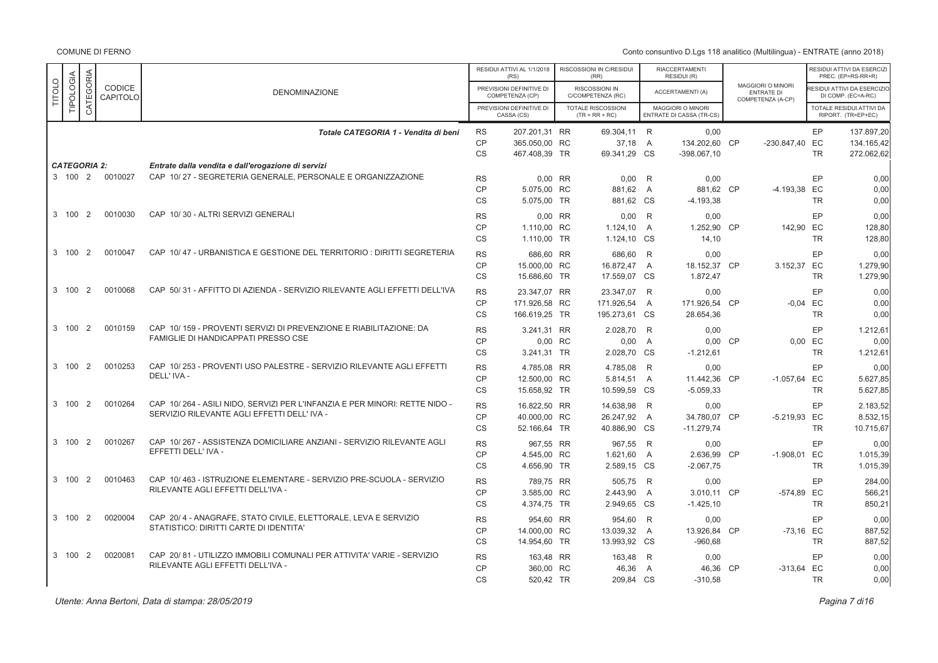Conto consuntivo D.Lgs 118 analitico (Multilingua) - ENTRATE (anno 2018)

|               |                     |                |                    |                                                                                                                           |                                     | RESIDUI ATTIVI AL 1/1/2018<br>(RS)             |           | RISCOSSIONI IN C/RESIDUI<br>(RR)         |                     | <b>RIACCERTAMENTI</b><br>RESIDUI (R)          |           |                                                                    |                            | RESIDUI ATTIVI DA ESERCIZ<br>PREC. (EP=RS-RR+R)   |
|---------------|---------------------|----------------|--------------------|---------------------------------------------------------------------------------------------------------------------------|-------------------------------------|------------------------------------------------|-----------|------------------------------------------|---------------------|-----------------------------------------------|-----------|--------------------------------------------------------------------|----------------------------|---------------------------------------------------|
| <b>TITOLO</b> | <b>TIPOLOGIA</b>    | CATEGORIA      | CODICE<br>CAPITOLO | <b>DENOMINAZIONE</b>                                                                                                      |                                     | PREVISIONI DEFINITIVE DI<br>COMPETENZA (CP)    |           | RISCOSSIONI IN<br>C/COMPETENZA (RC)      |                     | <b>ACCERTAMENTI (A)</b>                       |           | <b>MAGGIORI O MINORI</b><br><b>ENTRATE DI</b><br>COMPETENZA (A-CP) |                            | RESIDUI ATTIVI DA ESERCIZIO<br>DI COMP. (EC=A-RC) |
|               |                     |                |                    |                                                                                                                           |                                     | PREVISIONI DEFINITIVE DI<br>CASSA (CS)         |           | TOTALE RISCOSSIONI<br>$(TR = RR + RC)$   |                     | MAGGIORI O MINORI<br>ENTRATE DI CASSA (TR-CS) |           |                                                                    |                            | TOTALE RESIDUI ATTIVI DA<br>RIPORT. (TR=EP+EC)    |
|               |                     |                |                    | Totale CATEGORIA 1 - Vendita di beni                                                                                      | <b>RS</b><br><b>CP</b>              | 207.201,31 RR<br>365.050.00 RC                 |           | 69.304,11 R<br>37,18                     | $\overline{A}$      | 0,00<br>134.202,60 CP                         |           | -230.847.40 EC                                                     | EP<br><b>TR</b>            | 137.897,20<br>134.165,42                          |
|               | <b>CATEGORIA 2:</b> |                |                    | Entrate dalla vendita e dall'erogazione di servizi                                                                        | <b>CS</b>                           | 467.408,39 TR                                  |           | 69.341,29 CS                             |                     | $-398.067,10$                                 |           |                                                                    |                            | 272.062,62                                        |
|               | 3 100 2             |                | 0010027            | CAP 10/27 - SEGRETERIA GENERALE, PERSONALE E ORGANIZZAZIONE                                                               | <b>RS</b><br><b>CP</b><br><b>CS</b> | 0.00 RR<br>5.075,00 RC<br>5.075,00 TR          |           | 0.00<br>881,62 A<br>881,62 CS            | R                   | 0.00<br>881,62 CP<br>$-4.193,38$              |           | -4.193,38 EC                                                       | EP<br><b>TR</b>            | 0.00<br>0,00<br>0.00                              |
|               | 3 100               | $\overline{2}$ | 0010030            | CAP 10/30 - ALTRI SERVIZI GENERALI                                                                                        | <b>RS</b><br>CP<br>CS               | 1.110.00 RC<br>1.110,00 TR                     | $0.00$ RR | 0,00<br>1.124.10 A<br>1.124,10 CS        | – R                 | 0,00<br>1.252,90 CP<br>14,10                  |           | 142.90 EC                                                          | EP<br><b>TR</b>            | 0,00<br>128,80<br>128,80                          |
|               | 3 100               | 2              | 0010047            | CAP 10/47 - URBANISTICA E GESTIONE DEL TERRITORIO : DIRITTI SEGRETERIA                                                    | <b>RS</b><br>CP<br>CS               | 686,60 RR<br>15.000,00 RC<br>15.686,60 TR      |           | 686,60<br>16.872,47<br>17.559,07 CS      | R<br>$\overline{A}$ | 0,00<br>18.152,37 CP<br>1.872,47              |           | 3.152,37 EC                                                        | EP<br><b>TR</b>            | 0.00<br>1.279,90<br>1.279,90                      |
|               | 3 100               | $\overline{2}$ | 0010068            | CAP 50/31 - AFFITTO DI AZIENDA - SERVIZIO RILEVANTE AGLI EFFETTI DELL'IVA                                                 | <b>RS</b><br>CP<br><b>CS</b>        | 23.347,07 RR<br>171.926.58 RC<br>166.619,25 TR |           | 23.347,07<br>171.926.54<br>195.273,61 CS | R<br>$\overline{A}$ | 0,00<br>171.926.54 CP<br>28.654,36            |           | $-0.04$ EC                                                         | EP<br><b>TR</b>            | 0,00<br>0.00<br>0.00                              |
|               | 3 100               | $\overline{2}$ | 0010159            | CAP 10/159 - PROVENTI SERVIZI DI PREVENZIONE E RIABILITAZIONE: DA<br>FAMIGLIE DI HANDICAPPATI PRESSO CSE                  | <b>RS</b><br><b>CP</b><br>CS        | 3.241,31 RR<br>0,00 RC<br>3.241,31 TR          |           | 2.028,70 R<br>0,00<br>2.028,70 CS        | A                   | 0.00<br>0,00<br>$-1.212,61$                   | <b>CP</b> |                                                                    | EP<br>0,00 EC<br><b>TR</b> | 1.212,61<br>0,00<br>1.212,61                      |
|               | 3 100               | $\overline{2}$ | 0010253            | CAP 10/253 - PROVENTI USO PALESTRE - SERVIZIO RILEVANTE AGLI EFFETTI<br>DELL' IVA -                                       | <b>RS</b><br>CP<br><b>CS</b>        | 4.785,08 RR<br>12.500,00 RC<br>15.658.92 TR    |           | 4.785,08<br>5.814,51<br>10.599,59 CS     | R<br>A              | 0.00<br>11.442,36 CP<br>$-5.059.33$           |           | $-1.057,64$ EC                                                     | EP<br><b>TR</b>            | 0.00<br>5.627,85<br>5.627.85                      |
|               | 3 100 2             |                | 0010264            | CAP 10/264 - ASILI NIDO, SERVIZI PER L'INFANZIA E PER MINORI: RETTE NIDO -<br>SERVIZIO RILEVANTE AGLI EFFETTI DELL' IVA - | <b>RS</b><br><b>CP</b><br>CS        | 16.822.50 RR<br>40.000,00 RC<br>52.166,64 TR   |           | 14.638.98<br>26.247,92<br>40.886,90 CS   | R<br>A              | 0.00<br>34.780,07<br>$-11.279,74$             | <b>CP</b> | -5.219,93 EC                                                       | EP<br><b>TR</b>            | 2.183.52<br>8.532,15<br>10.715,67                 |
|               | 3 100               | 2              | 0010267            | CAP 10/267 - ASSISTENZA DOMICILIARE ANZIANI - SERVIZIO RILEVANTE AGLI<br>EFFETTI DELL' IVA -                              | <b>RS</b><br><b>CP</b><br>CS        | 967,55 RR<br>4.545,00 RC<br>4.656,90 TR        |           | 967,55<br>1.621,60<br>2.589,15 CS        | R<br>$\overline{A}$ | 0,00<br>2.636,99<br>$-2.067,75$               | <b>CP</b> | $-1.908,01$ EC                                                     | EP<br><b>TR</b>            | 0,00<br>1.015,39<br>1.015,39                      |
|               | 3 100               | $\overline{2}$ | 0010463            | CAP 10/463 - ISTRUZIONE ELEMENTARE - SERVIZIO PRE-SCUOLA - SERVIZIO<br>RILEVANTE AGLI EFFETTI DELL'IVA -                  | <b>RS</b><br><b>CP</b><br><b>CS</b> | 789,75 RR<br>3.585,00 RC<br>4.374,75 TR        |           | 505,75 R<br>2.443,90 A<br>2.949,65 CS    |                     | 0,00<br>3.010,11 CP<br>$-1.425, 10$           |           | -574.89 EC                                                         | EP<br><b>TR</b>            | 284,00<br>566,21<br>850,21                        |
|               | 3 100 2             |                | 0020004            | CAP 20/4 - ANAGRAFE, STATO CIVILE, ELETTORALE, LEVA E SERVIZIO<br>STATISTICO: DIRITTI CARTE DI IDENTITA'                  | <b>RS</b><br><b>CP</b><br>CS        | 954,60 RR<br>14.000,00 RC<br>14.954,60 TR      |           | 954,60<br>13.039,32<br>13.993,92 CS      | R<br>A              | 0,00<br>13.926,84<br>$-960,68$                | <b>CP</b> | $-73,16$ EC                                                        | EP<br><b>TR</b>            | 0,00<br>887,52<br>887,52                          |
|               | 3 100               | $\overline{2}$ | 0020081            | CAP 20/81 - UTILIZZO IMMOBILI COMUNALI PER ATTIVITA' VARIE - SERVIZIO<br>RILEVANTE AGLI EFFETTI DELL'IVA -                | <b>RS</b><br><b>CP</b><br><b>CS</b> | 163.48 RR<br>360,00 RC<br>520,42 TR            |           | 163,48 R<br>46,36<br>209,84 CS           | $\overline{A}$      | 0,00<br>46,36<br>$-310,58$                    | <b>CP</b> | $-313,64$ EC                                                       | EP<br><b>TR</b>            | 0.00<br>0,00<br>0.00                              |

Utente: Anna Bertoni, Data di stampa: 28/05/2019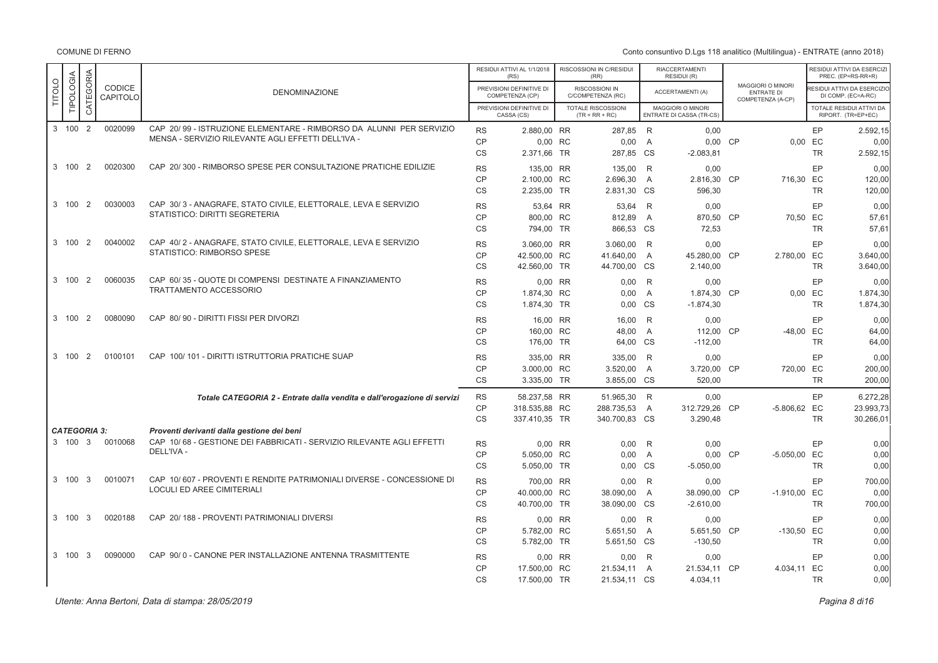Conto consuntivo D.Lgs 118 analitico (Multilingua) - ENTRATE (anno 2018)

|               |                                |                |                    |                                                                                                                                   |                                     | RESIDUI ATTIVI AL 1/1/2018<br>(RS)             | RISCOSSIONI IN C/RESIDUI<br>(RR)              |                           | RIACCERTAMENTI<br>RESIDUI (R)                 |           |                                                             |                            | RESIDUI ATTIVI DA ESERCIZI<br>PREC. (EP=RS-RR+R)        |
|---------------|--------------------------------|----------------|--------------------|-----------------------------------------------------------------------------------------------------------------------------------|-------------------------------------|------------------------------------------------|-----------------------------------------------|---------------------------|-----------------------------------------------|-----------|-------------------------------------------------------------|----------------------------|---------------------------------------------------------|
| <b>TITOLO</b> | TIPOLOGIA                      | CATEGORIA      | CODICE<br>CAPITOLO | <b>DENOMINAZIONE</b>                                                                                                              |                                     | PREVISIONI DEFINITIVE DI<br>COMPETENZA (CP)    | <b>RISCOSSIONI IN</b><br>C/COMPETENZA (RC)    |                           | <b>ACCERTAMENTI (A)</b>                       |           | MAGGIORI O MINORI<br><b>ENTRATE DI</b><br>COMPETENZA (A-CP) |                            | <b>ESIDUI ATTIVI DA ESERCIZIO</b><br>DI COMP. (EC=A-RC) |
|               |                                |                |                    |                                                                                                                                   |                                     | PREVISIONI DEFINITIVE DI<br>CASSA (CS)         | <b>TOTALE RISCOSSIONI</b><br>$(TR = RR + RC)$ |                           | MAGGIORI O MINORI<br>ENTRATE DI CASSA (TR-CS) |           |                                                             |                            | TOTALE RESIDUI ATTIVI DA<br>RIPORT. (TR=EP+EC)          |
|               | 3 100 2                        |                | 0020099            | CAP 20/99 - ISTRUZIONE ELEMENTARE - RIMBORSO DA ALUNNI PER SERVIZIO<br>MENSA - SERVIZIO RILEVANTE AGLI EFFETTI DELL'IVA -         | <b>RS</b><br>CP                     | 2.880,00 RR<br>0,00 RC                         | 287.85 R<br>$0,00$ A                          |                           | 0.00<br>0,00 CP                               |           |                                                             | EP<br>0,00 EC              | 2.592.15<br>0,00                                        |
|               |                                |                |                    |                                                                                                                                   | <b>CS</b>                           | 2.371,66 TR                                    | 287,85 CS                                     |                           | $-2.083,81$                                   |           |                                                             | <b>TR</b>                  | 2.592,15                                                |
|               | 3 100                          | $\overline{2}$ | 0020300            | CAP 20/300 - RIMBORSO SPESE PER CONSULTAZIONE PRATICHE EDILIZIE                                                                   | <b>RS</b><br><b>CP</b><br>CS        | 135,00 RR<br>2.100.00 RC<br>2.235,00 TR        | 135,00<br>2.696,30<br>2.831,30 CS             | R<br>$\overline{A}$       | 0.00<br>2.816,30 CP<br>596,30                 |           | 716,30 EC                                                   | EP<br><b>TR</b>            | 0.00<br>120.00<br>120,00                                |
|               | 3 100                          | 2              | 0030003            | CAP 30/3 - ANAGRAFE, STATO CIVILE, ELETTORALE, LEVA E SERVIZIO<br>STATISTICO: DIRITTI SEGRETERIA                                  | <b>RS</b><br><b>CP</b><br><b>CS</b> | 53,64 RR<br>800,00 RC<br>794,00 TR             | 53,64<br>812,89<br>866.53 CS                  | R<br>$\overline{A}$       | 0,00<br>870,50 CP<br>72,53                    |           | 70,50 EC                                                    | EP<br><b>TR</b>            | 0,00<br>57,61<br>57.61                                  |
|               | 3 100                          | $\overline{2}$ | 0040002            | CAP 40/2 - ANAGRAFE, STATO CIVILE, ELETTORALE, LEVA E SERVIZIO<br>STATISTICO: RIMBORSO SPESE                                      | <b>RS</b><br>CP<br><b>CS</b>        | 3.060.00 RR<br>42.500,00 RC<br>42.560,00 TR    | 3.060,00 R<br>41.640,00<br>44.700,00 CS       | $\overline{A}$            | 0.00<br>45.280,00 CP<br>2.140,00              |           | 2.780,00 EC                                                 | EP<br><b>TR</b>            | 0.00<br>3.640,00<br>3.640,00                            |
|               | 3 100                          | $\overline{2}$ | 0060035            | CAP 60/35 - QUOTE DI COMPENSI DESTINATE A FINANZIAMENTO<br><b>TRATTAMENTO ACCESSORIO</b>                                          | <b>RS</b><br><b>CP</b><br>CS        | 0,00 RR<br>1.874,30 RC<br>1.874,30 TR          | 0,00<br>0,00<br>0,00                          | R<br>$\overline{A}$<br>CS | 0,00<br>1.874,30 CP<br>$-1.874,30$            |           |                                                             | EP<br>0,00 EC<br><b>TR</b> | 0.00<br>1.874,30<br>1.874,30                            |
|               | 3 100                          | $\overline{2}$ | 0080090            | CAP 80/90 - DIRITTI FISSI PER DIVORZI                                                                                             | <b>RS</b><br><b>CP</b><br><b>CS</b> | 16.00 RR<br>160,00 RC<br>176,00 TR             | 16.00<br>48,00<br>64,00 CS                    | R<br>$\overline{A}$       | 0.00<br>112,00<br>$-112,00$                   | <b>CP</b> | -48,00 EC                                                   | EP<br><b>TR</b>            | 0.00<br>64,00<br>64,00                                  |
|               | 3 100                          | 2              | 0100101            | CAP 100/101 - DIRITTI ISTRUTTORIA PRATICHE SUAP                                                                                   | <b>RS</b><br><b>CP</b><br><b>CS</b> | 335,00 RR<br>3.000,00 RC<br>3.335,00 TR        | 335,00<br>3.520,00<br>3.855,00 CS             | R<br>$\overline{A}$       | 0,00<br>3.720,00 CP<br>520,00                 |           | 720.00 EC                                                   | EP<br><b>TR</b>            | 0.00<br>200,00<br>200,00                                |
|               |                                |                |                    | Totale CATEGORIA 2 - Entrate dalla vendita e dall'erogazione di servizi                                                           | <b>RS</b><br><b>CP</b><br><b>CS</b> | 58.237,58 RR<br>318.535,88 RC<br>337.410,35 TR | 51.965,30 R<br>288.735,53<br>340.700,83 CS    | $\overline{A}$            | 0,00<br>312.729,26 CP<br>3.290,48             |           | -5.806,62 EC                                                | EP<br><b>TR</b>            | 6.272,28<br>23.993,73<br>30.266,01                      |
|               | <b>CATEGORIA 3:</b><br>3 100 3 |                | 0010068            | Proventi derivanti dalla gestione dei beni<br>CAP 10/68 - GESTIONE DEI FABBRICATI - SERVIZIO RILEVANTE AGLI EFFETTI<br>DELL'IVA - | <b>RS</b><br><b>CP</b><br><b>CS</b> | 0.00 RR<br>5.050,00 RC<br>5.050,00 TR          | 0.00<br>0,00<br>0.00 CS                       | R<br>$\overline{A}$       | 0.00<br>0,00 CP<br>$-5.050,00$                |           | -5.050,00 EC                                                | EP<br><b>TR</b>            | 0.00<br>0,00<br>0,00                                    |
|               | 3 100 3                        |                | 0010071            | CAP 10/607 - PROVENTI E RENDITE PATRIMONIALI DIVERSE - CONCESSIONE DI<br>LOCULI ED AREE CIMITERIALI                               | <b>RS</b><br><b>CP</b><br><b>CS</b> | 700,00 RR<br>40,000,00 RC<br>40.700,00 TR      | 0.00<br>38.090,00<br>38.090,00 CS             | R<br>A                    | 0.00<br>38,090.00 CP<br>$-2.610,00$           |           | $-1.910,00$ EC                                              | EP<br><b>TR</b>            | 700,00<br>0.00<br>700,00                                |
|               | 3 100                          | -3             | 0020188            | CAP 20/188 - PROVENTI PATRIMONIALI DIVERSI                                                                                        | <b>RS</b><br><b>CP</b><br><b>CS</b> | 0,00 RR<br>5.782,00 RC<br>5.782,00 TR          | 0,00<br>5.651,50<br>5.651,50 CS               | R<br>$\overline{A}$       | 0,00<br>5.651,50 CP<br>$-130,50$              |           | $-130,50$ EC                                                | EP<br><b>TR</b>            | 0,00<br>0,00<br>0.00                                    |
|               | 3 100                          | - 3            | 0090000            | CAP 90/0 - CANONE PER INSTALLAZIONE ANTENNA TRASMITTENTE                                                                          | <b>RS</b><br>CP<br><b>CS</b>        | 0.00 RR<br>17.500,00 RC<br>17.500,00 TR        | 0.00<br>21.534,11<br>21.534,11 CS             | R<br>A                    | 0.00<br>21.534,11 CP<br>4.034,11              |           | 4.034,11 EC                                                 | EP<br><b>TR</b>            | 0,00<br>0,00<br>0,00                                    |

Pagina 8 di16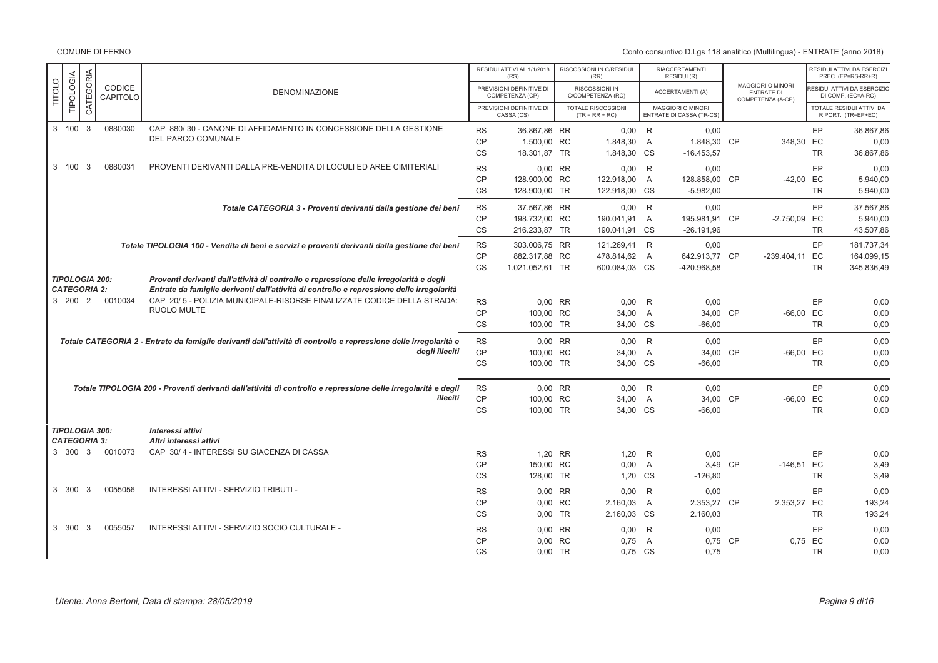|               |                                              |              |                    |                                                                                                                                                                                     |           | RESIDUI ATTIVI AL 1/1/2018<br>(RS)          | RISCOSSIONI IN C/RESIDUI<br>(RR)       |                | <b>RIACCERTAMENTI</b><br>RESIDUI (R)          |                                                                    |           | RESIDUI ATTIVI DA ESERCIZI<br>PREC. (EP=RS-RR+R)  |
|---------------|----------------------------------------------|--------------|--------------------|-------------------------------------------------------------------------------------------------------------------------------------------------------------------------------------|-----------|---------------------------------------------|----------------------------------------|----------------|-----------------------------------------------|--------------------------------------------------------------------|-----------|---------------------------------------------------|
| <b>TITOLO</b> | TIPOLOGIA                                    | CATEGORIA    | CODICE<br>CAPITOLO | <b>DENOMINAZIONE</b>                                                                                                                                                                |           | PREVISIONI DEFINITIVE DI<br>COMPETENZA (CP) | RISCOSSIONI IN<br>C/COMPETENZA (RC)    |                | <b>ACCERTAMENTI (A)</b>                       | <b>MAGGIORI O MINORI</b><br><b>ENTRATE DI</b><br>COMPETENZA (A-CP) |           | RESIDUI ATTIVI DA ESERCIZIO<br>DI COMP. (EC=A-RC) |
|               |                                              |              |                    |                                                                                                                                                                                     |           | PREVISIONI DEFINITIVE DI<br>CASSA (CS)      | TOTALE RISCOSSIONI<br>$(TR = RR + RC)$ |                | MAGGIORI O MINORI<br>ENTRATE DI CASSA (TR-CS) |                                                                    |           | TOTALE RESIDUI ATTIVI DA<br>RIPORT. (TR=EP+EC)    |
|               | 3 100                                        | $\mathbf{3}$ | 0880030            | CAP 880/30 - CANONE DI AFFIDAMENTO IN CONCESSIONE DELLA GESTIONE                                                                                                                    | <b>RS</b> | 36.867,86 RR                                | 0,00                                   | R              | 0,00                                          |                                                                    | EP        | 36.867,86                                         |
|               |                                              |              |                    | DEL PARCO COMUNALE                                                                                                                                                                  | CP        | 1.500,00 RC                                 | 1.848,30                               | $\overline{A}$ | 1.848,30 CP                                   | 348,30 EC                                                          |           | 0,00                                              |
|               |                                              |              |                    |                                                                                                                                                                                     | <b>CS</b> | 18.301,87 TR                                | 1.848,30                               | <b>CS</b>      | $-16.453,57$                                  |                                                                    | <b>TR</b> | 36.867,86                                         |
|               | 3 100                                        | - 3          | 0880031            | PROVENTI DERIVANTI DALLA PRE-VENDITA DI LOCULI ED AREE CIMITERIALI                                                                                                                  | <b>RS</b> | 0,00 RR                                     | 0,00                                   | R              | 0,00                                          |                                                                    | EP        | 0,00                                              |
|               |                                              |              |                    |                                                                                                                                                                                     | <b>CP</b> | 128.900,00 RC                               | 122.918,00                             | A              | 128.858,00 CP                                 | $-42,00$ EC                                                        |           | 5.940,00                                          |
|               |                                              |              |                    |                                                                                                                                                                                     | <b>CS</b> | 128.900,00 TR                               | 122.918,00 CS                          |                | $-5.982,00$                                   |                                                                    | <b>TR</b> | 5.940,00                                          |
|               |                                              |              |                    | Totale CATEGORIA 3 - Proventi derivanti dalla gestione dei beni                                                                                                                     | <b>RS</b> | 37.567,86 RR                                | 0,00                                   | R              | 0.00                                          |                                                                    | EP        | 37.567,86                                         |
|               |                                              |              |                    |                                                                                                                                                                                     | <b>CP</b> | 198.732.00 RC                               | 190.041,91                             | $\overline{A}$ | 195.981,91 CP                                 | $-2.750,09$                                                        | EC        | 5.940,00                                          |
|               |                                              |              |                    |                                                                                                                                                                                     | <b>CS</b> | 216.233,87 TR                               | 190.041,91 CS                          |                | $-26.191,96$                                  |                                                                    | <b>TR</b> | 43.507,86                                         |
|               |                                              |              |                    | Totale TIPOLOGIA 100 - Vendita di beni e servizi e proventi derivanti dalla gestione dei beni                                                                                       | <b>RS</b> | 303.006,75 RR                               | 121.269,41                             | R              | 0,00                                          |                                                                    | EP        | 181.737,34                                        |
|               |                                              |              |                    |                                                                                                                                                                                     | <b>CP</b> | 882.317,88 RC                               | 478.814,62                             | A              | 642.913,77 CP                                 | -239.404,11 EC                                                     |           | 164.099,15                                        |
|               |                                              |              |                    |                                                                                                                                                                                     | <b>CS</b> | 1.021.052,61 TR                             | 600.084,03 CS                          |                | -420.968,58                                   |                                                                    | <b>TR</b> | 345.836,49                                        |
|               | <b>TIPOLOGIA 200:</b><br><b>CATEGORIA 2:</b> |              |                    | Proventi derivanti dall'attività di controllo e repressione delle irregolarità e degli<br>Entrate da famiglie derivanti dall'attività di controllo e repressione delle irregolarità |           |                                             |                                        |                |                                               |                                                                    |           |                                                   |
|               | 3 200 2                                      |              | 0010034            | CAP 20/ 5 - POLIZIA MUNICIPALE-RISORSE FINALIZZATE CODICE DELLA STRADA:                                                                                                             | <b>RS</b> | 0,00 RR                                     | 0,00                                   | R              | 0,00                                          |                                                                    | EP        | 0,00                                              |
|               |                                              |              |                    | <b>RUOLO MULTE</b>                                                                                                                                                                  | <b>CP</b> | 100.00 RC                                   | 34,00                                  | $\overline{A}$ | 34,00 CP                                      | $-66,00$ EC                                                        |           | 0,00                                              |
|               |                                              |              |                    |                                                                                                                                                                                     | <b>CS</b> | 100.00 TR                                   | 34.00 CS                               |                | $-66.00$                                      |                                                                    | <b>TR</b> | 0,00                                              |
|               |                                              |              |                    | Totale CATEGORIA 2 - Entrate da famiglie derivanti dall'attività di controllo e repressione delle irregolarità e                                                                    | <b>RS</b> | 0.00 RR                                     | 0,00                                   | R <sup>1</sup> | 0.00                                          |                                                                    | EP        | 0,00                                              |
|               |                                              |              |                    | deali illeciti                                                                                                                                                                      | <b>CP</b> | 100.00 RC                                   | 34,00                                  | $\overline{A}$ | 34,00 CP                                      | $-66,00$ EC                                                        |           | 0,00                                              |
|               |                                              |              |                    |                                                                                                                                                                                     | <b>CS</b> | 100,00 TR                                   | 34,00 CS                               |                | $-66,00$                                      |                                                                    | <b>TR</b> | 0,00                                              |
|               |                                              |              |                    | Totale TIPOLOGIA 200 - Proventi derivanti dall'attività di controllo e repressione delle irregolarità e degli                                                                       | <b>RS</b> | 0,00 RR                                     | 0,00                                   | R              | 0,00                                          |                                                                    | EP        | 0,00                                              |
|               |                                              |              |                    | illeciti                                                                                                                                                                            | CP        | 100,00 RC                                   | 34,00                                  | $\overline{A}$ | 34,00 CP                                      | $-66,00$ EC                                                        |           | 0,00                                              |
|               |                                              |              |                    |                                                                                                                                                                                     | <b>CS</b> | 100,00 TR                                   | 34,00                                  | <b>CS</b>      | $-66,00$                                      |                                                                    | <b>TR</b> | 0,00                                              |
|               | <b>TIPOLOGIA 300:</b>                        |              |                    | Interessi attivi                                                                                                                                                                    |           |                                             |                                        |                |                                               |                                                                    |           |                                                   |
|               | <b>CATEGORIA 3:</b>                          |              |                    | Altri interessi attivi                                                                                                                                                              |           |                                             |                                        |                |                                               |                                                                    |           |                                                   |
|               | 3 300 3                                      |              | 0010073            | CAP 30/4 - INTERESSI SU GIACENZA DI CASSA                                                                                                                                           | <b>RS</b> | 1,20 RR                                     | 1,20                                   | $\mathsf{R}$   | 0,00                                          |                                                                    | EP        | 0,00                                              |
|               |                                              |              |                    |                                                                                                                                                                                     | CP        | 150.00 RC                                   | 0,00                                   | $\overline{A}$ | 3,49 CP                                       | $-146,51$ EC                                                       |           | 3,49                                              |
|               |                                              |              |                    |                                                                                                                                                                                     | <b>CS</b> | 128,00 TR                                   | 1,20                                   | <b>CS</b>      | $-126,80$                                     |                                                                    | <b>TR</b> | 3,49                                              |
|               | 3 300                                        | 3            | 0055056            | INTERESSI ATTIVI - SERVIZIO TRIBUTI -                                                                                                                                               | <b>RS</b> | 0.00 RR                                     | 0,00                                   | R              | 0,00                                          |                                                                    | EP        | 0,00                                              |
|               |                                              |              |                    |                                                                                                                                                                                     | <b>CP</b> | 0,00 RC                                     | 2.160,03                               | $\overline{A}$ | 2.353,27 CP                                   | 2.353,27                                                           | EC        | 193,24                                            |
|               |                                              |              |                    |                                                                                                                                                                                     | <b>CS</b> | 0,00 TR                                     | 2.160,03                               | <b>CS</b>      | 2.160,03                                      |                                                                    | <b>TR</b> | 193,24                                            |
|               | 3 300                                        | -3           | 0055057            | INTERESSI ATTIVI - SERVIZIO SOCIO CULTURALE -                                                                                                                                       | <b>RS</b> | 0,00 RR                                     | 0,00                                   | R              | 0,00                                          |                                                                    | EP        | 0,00                                              |
|               |                                              |              |                    |                                                                                                                                                                                     | CP        | 0,00 RC                                     | 0,75                                   | $\overline{A}$ | 0,75 CP                                       |                                                                    | 0,75 EC   | 0,00                                              |
|               |                                              |              |                    |                                                                                                                                                                                     | <b>CS</b> | 0,00 TR                                     | 0,75 CS                                |                | 0,75                                          |                                                                    | <b>TR</b> | 0,00                                              |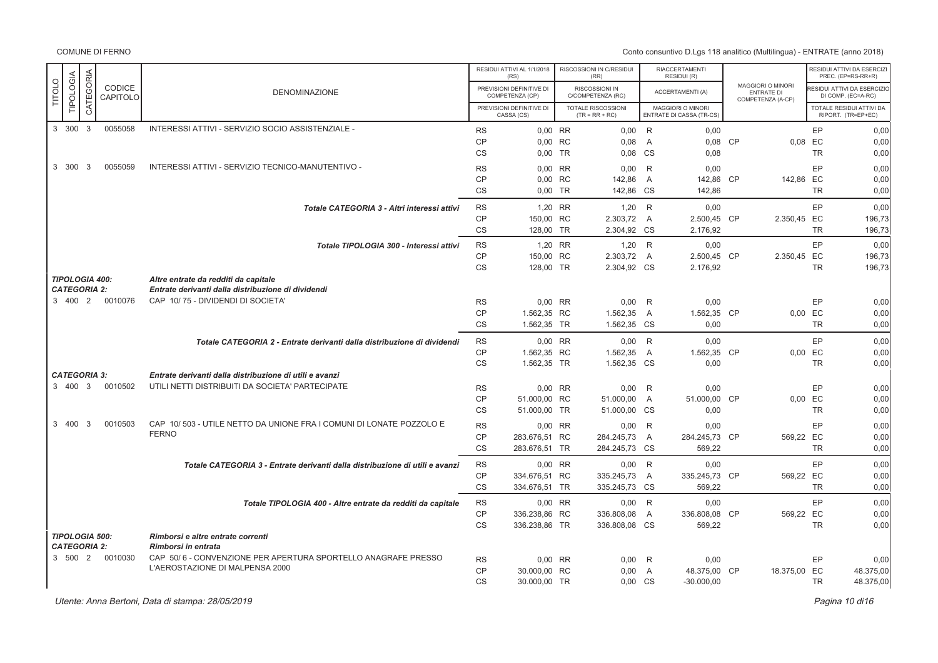Conto consuntivo D.Lgs 118 analitico (Multilingua) - ENTRATE (anno 2018)

| COMUNE DI FERNO |  |
|-----------------|--|
|-----------------|--|

|                                                                      |                                                                                                            |                        | RESIDUI ATTIVI AL 1/1/2018<br>(RS)          | RISCOSSIONI IN C/RESIDUI<br>(RR)              |                | <b>RIACCERTAMENTI</b><br>RESIDUI (R)          |                                                                    | RESIDUI ATTIVI DA ESERCIZI<br>PREC. (EP=RS-RR+R)      |
|----------------------------------------------------------------------|------------------------------------------------------------------------------------------------------------|------------------------|---------------------------------------------|-----------------------------------------------|----------------|-----------------------------------------------|--------------------------------------------------------------------|-------------------------------------------------------|
| CATEGORIA<br>TIPOLOGIA<br><b>TITOLO</b><br><b>CODICE</b><br>CAPITOLO | <b>DENOMINAZIONE</b>                                                                                       |                        | PREVISIONI DEFINITIVE DI<br>COMPETENZA (CP) | RISCOSSIONI IN<br>C/COMPETENZA (RC)           |                | <b>ACCERTAMENTI (A)</b>                       | <b>MAGGIORI O MINORI</b><br><b>ENTRATE DI</b><br>COMPETENZA (A-CP) | ESIDUI ATTIVI DA ESERCIZIO<br>DI COMP. (EC=A-RC)      |
|                                                                      |                                                                                                            |                        | PREVISIONI DEFINITIVE DI<br>CASSA (CS)      | <b>TOTALE RISCOSSIONI</b><br>$(TR = RR + RC)$ |                | MAGGIORI O MINORI<br>ENTRATE DI CASSA (TR-CS) |                                                                    | <b>TOTALE RESIDUI ATTIVI DA</b><br>RIPORT. (TR=EP+EC) |
| 3 300 3<br>0055058                                                   | INTERESSI ATTIVI - SERVIZIO SOCIO ASSISTENZIALE -                                                          | <b>RS</b>              | 0.00 RR                                     | $0,00$ R                                      |                | 0,00                                          |                                                                    | EP<br>0,00                                            |
|                                                                      |                                                                                                            | <b>CP</b>              | 0.00 RC                                     | 0.08                                          | $\overline{A}$ | 0.08 CP                                       | 0.08 EC                                                            | 0,00                                                  |
|                                                                      |                                                                                                            | <b>CS</b>              | 0.00 TR                                     | 0,08                                          | CS             | 0,08                                          |                                                                    | <b>TR</b><br>0,00                                     |
| 3 300<br>-3<br>0055059                                               | INTERESSI ATTIVI - SERVIZIO TECNICO-MANUTENTIVO -                                                          | <b>RS</b>              | 0.00 RR                                     | 0.00                                          | R              | 0.00                                          |                                                                    | EP<br>0,00                                            |
|                                                                      |                                                                                                            | <b>CP</b>              | 0,00 RC                                     | 142,86                                        | A              | 142,86 CP                                     | 142,86 EC                                                          | 0,00                                                  |
|                                                                      |                                                                                                            | CS                     | 0,00 TR                                     | 142,86 CS                                     |                | 142,86                                        |                                                                    | <b>TR</b><br>0,00                                     |
|                                                                      | Totale CATEGORIA 3 - Altri interessi attivi                                                                | <b>RS</b>              | 1,20 RR                                     | $1,20$ R                                      |                | 0.00                                          |                                                                    | EP<br>0,00                                            |
|                                                                      |                                                                                                            | CP                     | 150,00 RC                                   | 2.303,72                                      | A              | 2.500,45 CP                                   | 2.350,45 EC                                                        | 196,73                                                |
|                                                                      |                                                                                                            | <b>CS</b>              | 128,00 TR                                   | 2.304,92 CS                                   |                | 2.176,92                                      |                                                                    | <b>TR</b><br>196,73                                   |
|                                                                      | Totale TIPOLOGIA 300 - Interessi attivi                                                                    | <b>RS</b>              | 1,20 RR                                     | $1,20$ R                                      |                | 0.00                                          |                                                                    | EP<br>0,00                                            |
|                                                                      |                                                                                                            | CP                     | 150,00 RC                                   | 2.303,72 A                                    |                | 2.500,45 CP                                   | 2.350,45 EC                                                        | 196,73                                                |
|                                                                      |                                                                                                            | CS                     | 128,00 TR                                   | 2.304,92 CS                                   |                | 2.176,92                                      |                                                                    | <b>TR</b><br>196,73                                   |
| <b>TIPOLOGIA 400:</b>                                                | Altre entrate da redditi da capitale                                                                       |                        |                                             |                                               |                |                                               |                                                                    |                                                       |
| <b>CATEGORIA 2:</b>                                                  | Entrate derivanti dalla distribuzione di dividendi                                                         |                        |                                             |                                               |                |                                               |                                                                    |                                                       |
| 3 400 2<br>0010076                                                   | CAP 10/75 - DIVIDENDI DI SOCIETA'                                                                          | <b>RS</b>              | 0,00 RR                                     | 0,00                                          | R              | 0,00                                          |                                                                    | EP<br>0,00                                            |
|                                                                      |                                                                                                            | CP                     | 1.562,35 RC                                 | 1.562,35                                      | A              | 1.562,35 CP                                   | 0,00 EC                                                            | 0,00                                                  |
|                                                                      |                                                                                                            | CS                     | 1.562,35 TR                                 | 1.562,35 CS                                   |                | 0,00                                          |                                                                    | <b>TR</b><br>0,00                                     |
|                                                                      | Totale CATEGORIA 2 - Entrate derivanti dalla distribuzione di dividendi                                    | <b>RS</b>              | 0.00 RR                                     | $0,00$ R                                      |                | 0.00                                          |                                                                    | EP<br>0,00                                            |
|                                                                      |                                                                                                            | CP                     | 1.562,35 RC                                 | 1.562,35                                      | A              | 1.562,35 CP                                   | 0,00 EC                                                            | 0,00                                                  |
|                                                                      |                                                                                                            | CS                     | 1.562,35 TR                                 | 1.562,35 CS                                   |                | 0,00                                          |                                                                    | 0,00<br><b>TR</b>                                     |
| <b>CATEGORIA 3:</b><br>3 400 3<br>0010502                            | Entrate derivanti dalla distribuzione di utili e avanzi<br>UTILI NETTI DISTRIBUITI DA SOCIETA' PARTECIPATE |                        |                                             |                                               |                |                                               |                                                                    |                                                       |
|                                                                      |                                                                                                            | <b>RS</b>              | 0.00 RR                                     | 0,00                                          | R              | 0,00                                          |                                                                    | EP<br>0,00                                            |
|                                                                      |                                                                                                            | <b>CP</b><br><b>CS</b> | 51.000,00 RC<br>51.000,00 TR                | 51.000,00<br>51.000,00                        | A<br>CS        | 51.000,00 CP<br>0,00                          | $0,00$ EC                                                          | 0,00<br><b>TR</b><br>0,00                             |
|                                                                      |                                                                                                            |                        |                                             |                                               |                |                                               |                                                                    |                                                       |
| 3 400<br>-3<br>0010503                                               | CAP 10/503 - UTILE NETTO DA UNIONE FRA I COMUNI DI LONATE POZZOLO E<br><b>FERNO</b>                        | <b>RS</b>              | $0.00$ RR                                   | 0,00                                          | R              | 0,00                                          |                                                                    | EP<br>0,00                                            |
|                                                                      |                                                                                                            | <b>CP</b><br><b>CS</b> | 283.676.51 RC<br>283.676,51 TR              | 284.245,73<br>284.245,73 CS                   | $\overline{A}$ | 284.245,73 CP<br>569,22                       | 569,22 EC                                                          | 0,00<br><b>TR</b><br>0,00                             |
|                                                                      |                                                                                                            |                        |                                             |                                               |                |                                               |                                                                    |                                                       |
|                                                                      | Totale CATEGORIA 3 - Entrate derivanti dalla distribuzione di utili e avanzi                               | <b>RS</b>              | 0.00 RR                                     | $0,00$ R                                      |                | 0,00                                          |                                                                    | EP<br>0,00                                            |
|                                                                      |                                                                                                            | <b>CP</b>              | 334.676,51 RC                               | 335.245,73                                    | A              | 335.245,73 CP                                 | 569,22 EC                                                          | 0,00                                                  |
|                                                                      |                                                                                                            | <b>CS</b>              | 334.676,51 TR                               | 335.245,73                                    | CS             | 569,22                                        |                                                                    | <b>TR</b><br>0,00                                     |
|                                                                      | Totale TIPOLOGIA 400 - Altre entrate da redditi da capitale                                                | <b>RS</b>              | 0,00 RR                                     | 0,00                                          | R              | 0,00                                          |                                                                    | EP<br>0,00                                            |
|                                                                      |                                                                                                            | <b>CP</b>              | 336.238,86 RC                               | 336.808,08                                    | A              | 336.808,08 CP                                 | 569,22 EC                                                          | 0,00                                                  |
|                                                                      |                                                                                                            | CS                     | 336.238,86 TR                               | 336.808,08 CS                                 |                | 569,22                                        |                                                                    | <b>TR</b><br>0,00                                     |
| <b>TIPOLOGIA 500:</b><br><b>CATEGORIA 2:</b>                         | Rimborsi e altre entrate correnti<br>Rimborsi in entrata                                                   |                        |                                             |                                               |                |                                               |                                                                    |                                                       |
| 3 500 2<br>0010030                                                   | CAP 50/6 - CONVENZIONE PER APERTURA SPORTELLO ANAGRAFE PRESSO                                              | <b>RS</b>              | 0,00 RR                                     | 0,00                                          | R              | 0,00                                          |                                                                    | EP<br>0,00                                            |
|                                                                      | L'AEROSTAZIONE DI MALPENSA 2000                                                                            | <b>CP</b>              | 30,000.00 RC                                | 0,00                                          | $\overline{A}$ | 48.375,00 CP                                  | 18.375,00 EC                                                       | 48.375,00                                             |
|                                                                      |                                                                                                            | CS                     | 30.000,00 TR                                | 0,00 CS                                       |                | $-30.000,00$                                  |                                                                    | <b>TR</b><br>48.375,00                                |
|                                                                      |                                                                                                            |                        |                                             |                                               |                |                                               |                                                                    |                                                       |

Utente: Anna Bertoni, Data di stampa: 28/05/2019

er di secondo di Santo Carlo di Santo Carlo di Santo Carlo di Santo Carlo di Santo Carlo di Santo Carlo di 16<br>Pagina 10 di 16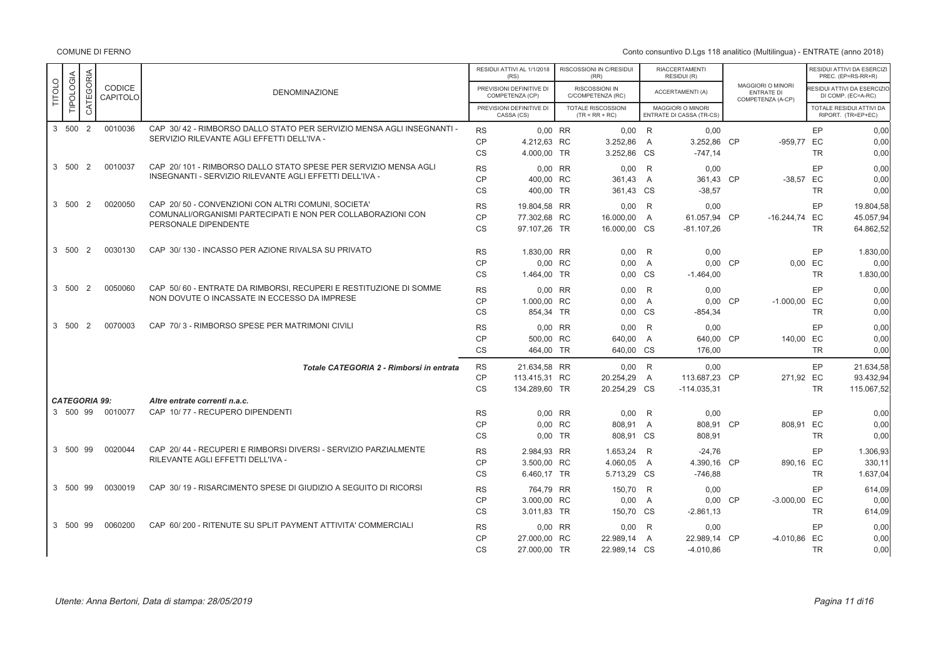|               |                                  |                |                    |                                                                                                                                           |                                     | RESIDUI ATTIVI AL 1/1/2018<br>(RS)             | RISCOSSIONI IN C/RESIDUI<br>(RR)              |                                  | <b>RIACCERTAMENTI</b><br>RESIDUI (R)                 |           |                                                             |                            | RESIDUI ATTIVI DA ESERCIZI<br>PREC. (EP=RS-RR+R)  |
|---------------|----------------------------------|----------------|--------------------|-------------------------------------------------------------------------------------------------------------------------------------------|-------------------------------------|------------------------------------------------|-----------------------------------------------|----------------------------------|------------------------------------------------------|-----------|-------------------------------------------------------------|----------------------------|---------------------------------------------------|
| <b>TITOLO</b> | TIPOLOGIA                        | CATEGORIA      | CODICE<br>CAPITOLO | <b>DENOMINAZIONE</b>                                                                                                                      |                                     | PREVISIONI DEFINITIVE DI<br>COMPETENZA (CP)    | RISCOSSIONI IN<br>C/COMPETENZA (RC)           |                                  | <b>ACCERTAMENTI (A)</b>                              |           | MAGGIORI O MINORI<br><b>ENTRATE DI</b><br>COMPETENZA (A-CP) |                            | RESIDUI ATTIVI DA ESERCIZIO<br>DI COMP. (EC=A-RC) |
|               |                                  |                |                    |                                                                                                                                           |                                     | PREVISIONI DEFINITIVE DI<br>CASSA (CS)         | <b>TOTALE RISCOSSIONI</b><br>$(TR = RR + RC)$ |                                  | <b>MAGGIORI O MINORI</b><br>ENTRATE DI CASSA (TR-CS) |           |                                                             |                            | TOTALE RESIDUI ATTIVI DA<br>RIPORT. (TR=EP+EC)    |
|               | 3 500 2                          |                | 0010036            | CAP 30/42 - RIMBORSO DALLO STATO PER SERVIZIO MENSA AGLI INSEGNANTI -<br>SERVIZIO RILEVANTE AGLI EFFETTI DELL'IVA -                       | <b>RS</b><br><b>CP</b><br>CS        | $0.00$ RR<br>4.212.63 RC<br>4.000,00 TR        | $0.00$ R<br>3.252.86<br>3.252,86              | $\overline{A}$<br><b>CS</b>      | 0.00<br>3.252.86<br>$-747,14$                        | <b>CP</b> | -959.77 EC                                                  | EP<br><b>TR</b>            | 0.00<br>0.00<br>0,00                              |
|               | 3 500                            | $\overline{2}$ | 0010037            | CAP 20/101 - RIMBORSO DALLO STATO SPESE PER SERVIZIO MENSA AGLI<br>INSEGNANTI - SERVIZIO RILEVANTE AGLI EFFETTI DELL'IVA -                | <b>RS</b><br>CP<br>CS               | 0.00 RR<br>400,00 RC<br>400,00 TR              | 0.00<br>361,43<br>361,43 CS                   | R<br>A                           | 0,00<br>361,43 CP<br>$-38,57$                        |           | $-38,57$ EC                                                 | EP<br><b>TR</b>            | 0,00<br>0,00<br>0,00                              |
|               | 3 500 2                          |                | 0020050            | CAP 20/50 - CONVENZIONI CON ALTRI COMUNI, SOCIETA'<br>COMUNALI/ORGANISMI PARTECIPATI E NON PER COLLABORAZIONI CON<br>PERSONALE DIPENDENTE | <b>RS</b><br>CP<br><b>CS</b>        | 19,804.58 RR<br>77.302.68 RC<br>97.107,26 TR   | 0.00<br>16.000,00<br>16.000,00 CS             | R<br>A                           | 0.00<br>61.057.94 CP<br>$-81.107,26$                 |           | $-16.244,74$ EC                                             | EP<br><b>TR</b>            | 19.804,58<br>45.057,94<br>64.862,52               |
|               | 3 500 2                          |                | 0030130            | CAP 30/130 - INCASSO PER AZIONE RIVALSA SU PRIVATO                                                                                        | <b>RS</b><br><b>CP</b><br><b>CS</b> | 1.830.00 RR<br>0,00 RC<br>1.464.00 TR          | 0.00<br>0,00<br>0.00 CS                       | R<br>A                           | 0.00<br>0,00 CP<br>$-1.464,00$                       |           |                                                             | EP<br>0,00 EC<br><b>TR</b> | 1.830,00<br>0,00<br>1.830,00                      |
|               | 3 500 2                          |                | 0050060            | CAP 50/60 - ENTRATE DA RIMBORSI, RECUPERI E RESTITUZIONE DI SOMME<br>NON DOVUTE O INCASSATE IN ECCESSO DA IMPRESE                         | <b>RS</b><br>CP<br><b>CS</b>        | 0.00 RR<br>1.000,00 RC<br>854,34 TR            | 0.00<br>0.00<br>0.00                          | R<br>$\overline{A}$<br><b>CS</b> | 0.00<br>$0.00$ CP<br>$-854,34$                       |           | $-1.000,00$ EC                                              | EP<br><b>TR</b>            | 0.00<br>0.00<br>0,00                              |
|               | 3 500                            | 2              | 0070003            | CAP 70/3 - RIMBORSO SPESE PER MATRIMONI CIVILI                                                                                            | <b>RS</b><br>CP<br><b>CS</b>        | 0,00 RR<br>500,00 RC<br>464.00 TR              | 0,00<br>640,00<br>640.00 CS                   | R<br>A                           | 0,00<br>640,00 CP<br>176.00                          |           | 140,00 EC                                                   | EP<br><b>TR</b>            | 0,00<br>0,00<br>0,00                              |
|               |                                  |                |                    | Totale CATEGORIA 2 - Rimborsi in entrata                                                                                                  | <b>RS</b><br><b>CP</b><br><b>CS</b> | 21.634,58 RR<br>113.415,31 RC<br>134.289,60 TR | $0.00$ R<br>20.254,29<br>20.254,29 CS         | $\overline{A}$                   | 0.00<br>113.687.23 CP<br>$-114.035,31$               |           | 271.92 EC                                                   | EP<br><b>TR</b>            | 21.634,58<br>93.432,94<br>115.067,52              |
|               | <b>CATEGORIA 99:</b><br>3 500 99 |                | 0010077            | Altre entrate correnti n.a.c.<br>CAP 10/77 - RECUPERO DIPENDENTI                                                                          | <b>RS</b><br>CP<br><b>CS</b>        | $0.00$ RR<br>0.00 RC<br>0.00 TR                | 0.00<br>808.91<br>808,91 CS                   | R<br>A                           | 0.00<br>808.91 CP<br>808,91                          |           | 808.91 EC                                                   | EP<br><b>TR</b>            | 0.00<br>0.00<br>0,00                              |
|               | 3 500 99                         |                | 0020044            | CAP 20/44 - RECUPERI E RIMBORSI DIVERSI - SERVIZIO PARZIALMENTE<br>RILEVANTE AGLI EFFETTI DELL'IVA -                                      | <b>RS</b><br><b>CP</b><br><b>CS</b> | 2.984,93 RR<br>3.500,00 RC<br>6.460,17 TR      | 1.653,24<br>4.060,05<br>5.713,29 CS           | R<br>$\overline{A}$              | $-24,76$<br>4.390,16 CP<br>$-746.88$                 |           | 890,16 EC                                                   | EP<br>TR                   | 1.306,93<br>330,11<br>1.637,04                    |
|               | 3 500                            | 99             | 0030019            | CAP 30/19 - RISARCIMENTO SPESE DI GIUDIZIO A SEGUITO DI RICORSI                                                                           | <b>RS</b><br>CP<br><b>CS</b>        | 764.79 RR<br>3.000.00 RC<br>3.011,83 TR        | 150.70<br>0,00<br>150,70 CS                   | R<br>A                           | 0.00<br>$0.00$ CP<br>$-2.861, 13$                    |           | $-3.000,00$ EC                                              | EP<br><b>TR</b>            | 614.09<br>0.00<br>614,09                          |
|               | 3 500 99                         |                | 0060200            | CAP 60/200 - RITENUTE SU SPLIT PAYMENT ATTIVITA' COMMERCIALI                                                                              | <b>RS</b><br>CP<br><b>CS</b>        | 0,00 RR<br>27.000,00 RC<br>27.000,00 TR        | 0,00<br>22.989,14<br>22.989,14 CS             | R<br>$\overline{A}$              | 0,00<br>22.989,14 CP<br>$-4.010,86$                  |           | -4.010,86 EC                                                | EP<br><b>TR</b>            | 0,00<br>0,00<br>0,00                              |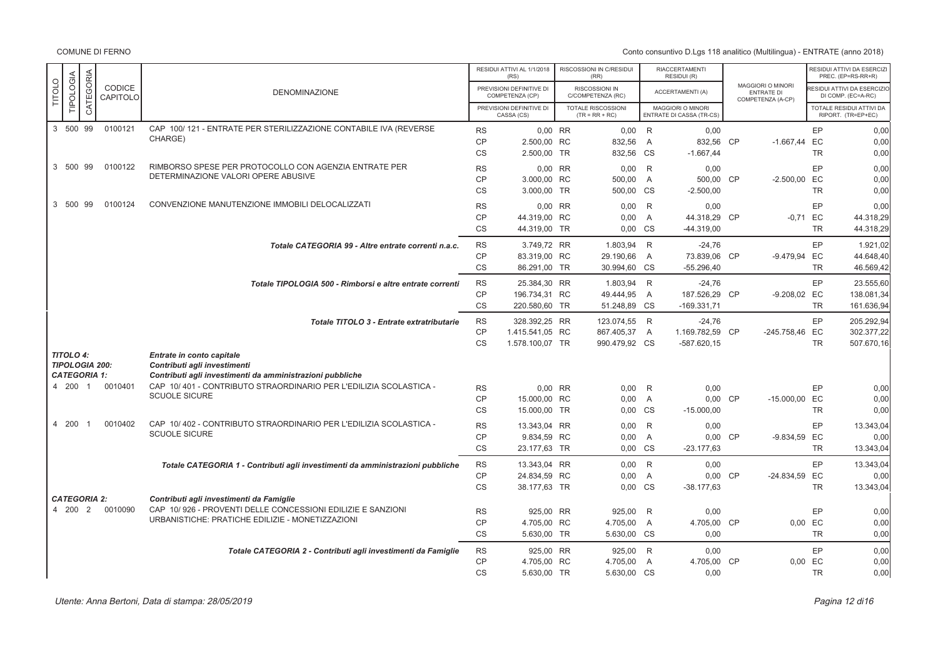|               |                                           |           |                    |                                                                                |           | RESIDUI ATTIVI AL 1/1/2018<br>(RS)          | RISCOSSIONI IN C/RESIDUI<br>(RR)       |                | <b>RIACCERTAMENTI</b><br>RESIDUI (R)          |                                                                    |           | RESIDUI ATTIVI DA ESERCIZI<br>PREC. (EP=RS-RR+R) |
|---------------|-------------------------------------------|-----------|--------------------|--------------------------------------------------------------------------------|-----------|---------------------------------------------|----------------------------------------|----------------|-----------------------------------------------|--------------------------------------------------------------------|-----------|--------------------------------------------------|
| <b>TITOLO</b> | TIPOLOGIA                                 | CATEGORIA | CODICE<br>CAPITOLO | <b>DENOMINAZIONE</b>                                                           |           | PREVISIONI DEFINITIVE DI<br>COMPETENZA (CP) | RISCOSSIONI IN<br>C/COMPETENZA (RC)    |                | ACCERTAMENTI (A)                              | <b>MAGGIORI O MINORI</b><br><b>ENTRATE DI</b><br>COMPETENZA (A-CP) |           | ESIDUI ATTIVI DA ESERCIZIO<br>DI COMP. (EC=A-RC) |
|               |                                           |           |                    |                                                                                |           | PREVISIONI DEFINITIVE DI<br>CASSA (CS)      | TOTALE RISCOSSIONI<br>$(TR = RR + RC)$ |                | MAGGIORI O MINORI<br>ENTRATE DI CASSA (TR-CS) |                                                                    |           | TOTALE RESIDUI ATTIVI DA<br>RIPORT. (TR=EP+EC)   |
|               | 3 500 99                                  |           | 0100121            | CAP 100/121 - ENTRATE PER STERILIZZAZIONE CONTABILE IVA (REVERSE               | <b>RS</b> | 0,00 RR                                     | $0,00$ R                               |                | 0,00                                          |                                                                    | EP        | 0,00                                             |
|               |                                           |           |                    | CHARGE)                                                                        | <b>CP</b> | 2.500,00 RC                                 | 832,56 A                               |                | 832,56 CP                                     | $-1.667,44$                                                        | EC        | 0,00                                             |
|               |                                           |           |                    |                                                                                | <b>CS</b> | 2.500,00 TR                                 | 832,56 CS                              |                | $-1.667,44$                                   |                                                                    | <b>TR</b> | 0,00                                             |
|               | 3 500 99                                  |           | 0100122            | RIMBORSO SPESE PER PROTOCOLLO CON AGENZIA ENTRATE PER                          | <b>RS</b> | 0.00 RR                                     | 0,00                                   | R              | 0.00                                          |                                                                    | EP        | 0,00                                             |
|               |                                           |           |                    | DETERMINAZIONE VALORI OPERE ABUSIVE                                            | CP        | 3.000.00 RC                                 | 500,00 A                               |                | 500,00 CP                                     | $-2.500,00$ EC                                                     |           | 0,00                                             |
|               |                                           |           |                    |                                                                                | <b>CS</b> | 3.000.00 TR                                 | 500,00 CS                              |                | $-2.500,00$                                   |                                                                    | <b>TR</b> | 0,00                                             |
|               | 3 500 99                                  |           | 0100124            | CONVENZIONE MANUTENZIONE IMMOBILI DELOCALIZZATI                                | <b>RS</b> | 0,00 RR                                     | 0,00                                   | R              | 0,00                                          |                                                                    | EP        | 0,00                                             |
|               |                                           |           |                    |                                                                                | <b>CP</b> | 44.319,00 RC                                | 0,00                                   | A              | 44.318,29 CP                                  | $-0.71$ EC                                                         |           | 44.318,29                                        |
|               |                                           |           |                    |                                                                                | <b>CS</b> | 44.319,00 TR                                | 0,00 CS                                |                | $-44.319,00$                                  |                                                                    | <b>TR</b> | 44.318,29                                        |
|               |                                           |           |                    | Totale CATEGORIA 99 - Altre entrate correnti n.a.c.                            | <b>RS</b> | 3.749,72 RR                                 | 1.803,94 R                             |                | $-24,76$                                      |                                                                    | EP        | 1.921,02                                         |
|               |                                           |           |                    |                                                                                | <b>CP</b> | 83.319,00 RC                                | 29.190,66                              | A              | 73.839,06 CP                                  | -9.479,94 EC                                                       |           | 44.648,40                                        |
|               |                                           |           |                    |                                                                                | CS        | 86.291,00 TR                                | 30.994,60 CS                           |                | $-55.296,40$                                  |                                                                    | <b>TR</b> | 46.569,42                                        |
|               |                                           |           |                    | Totale TIPOLOGIA 500 - Rimborsi e altre entrate correnti                       | <b>RS</b> | 25.384,30 RR                                | 1.803,94 R                             |                | $-24,76$                                      |                                                                    | EP        | 23.555,60                                        |
|               |                                           |           |                    |                                                                                | <b>CP</b> | 196.734,31 RC                               | 49.444,95 A                            |                | 187.526.29 CP                                 | -9.208,02 EC                                                       |           | 138.081,34                                       |
|               |                                           |           |                    |                                                                                | <b>CS</b> | 220.580,60 TR                               | 51.248,89 CS                           |                | $-169.331,71$                                 |                                                                    | <b>TR</b> | 161.636,94                                       |
|               |                                           |           |                    | Totale TITOLO 3 - Entrate extratributarie                                      | <b>RS</b> | 328.392,25 RR                               | 123.074,55 R                           |                | $-24,76$                                      |                                                                    | EP        | 205.292,94                                       |
|               |                                           |           |                    |                                                                                | <b>CP</b> | 1.415.541,05 RC                             | 867.405,37 A                           |                | 1.169.782,59 CP                               | -245.758,46 EC                                                     |           | 302.377,22                                       |
|               |                                           |           |                    |                                                                                | <b>CS</b> | 1.578.100,07 TR                             | 990.479,92 CS                          |                | $-587.620, 15$                                |                                                                    | <b>TR</b> | 507.670,16                                       |
|               | <b>TITOLO 4:</b><br><b>TIPOLOGIA 200:</b> |           |                    | Entrate in conto capitale<br>Contributi agli investimenti                      |           |                                             |                                        |                |                                               |                                                                    |           |                                                  |
|               | <b>CATEGORIA 1:</b>                       |           |                    | Contributi agli investimenti da amministrazioni pubbliche                      |           |                                             |                                        |                |                                               |                                                                    |           |                                                  |
|               | 4 200 1                                   |           | 0010401            | CAP 10/401 - CONTRIBUTO STRAORDINARIO PER L'EDILIZIA SCOLASTICA -              | <b>RS</b> | 0,00 RR                                     | 0,00                                   | R              | 0,00                                          |                                                                    | EP        | 0,00                                             |
|               |                                           |           |                    | <b>SCUOLE SICURE</b>                                                           | <b>CP</b> | 15.000,00 RC                                | 0,00                                   | $\overline{A}$ | 0,00 CP                                       | -15.000,00 EC                                                      |           | 0,00                                             |
|               |                                           |           |                    |                                                                                | CS        | 15.000,00 TR                                | 0,00 CS                                |                | $-15.000,00$                                  |                                                                    | <b>TR</b> | 0,00                                             |
|               | 4 200                                     |           | 0010402            | CAP 10/402 - CONTRIBUTO STRAORDINARIO PER L'EDILIZIA SCOLASTICA -              | <b>RS</b> | 13.343,04 RR                                | $0,00$ R                               |                | 0,00                                          |                                                                    | EP        | 13.343,04                                        |
|               |                                           |           |                    | <b>SCUOLE SICURE</b>                                                           | <b>CP</b> | 9.834,59 RC                                 | 0,00                                   | $\overline{A}$ | 0,00 CP                                       | -9.834,59 EC                                                       |           | 0,00                                             |
|               |                                           |           |                    |                                                                                | <b>CS</b> | 23.177,63 TR                                | 0.00 CS                                |                | $-23.177,63$                                  |                                                                    | <b>TR</b> | 13.343,04                                        |
|               |                                           |           |                    | Totale CATEGORIA 1 - Contributi agli investimenti da amministrazioni pubbliche | <b>RS</b> | 13.343.04 RR                                | 0.00 R                                 |                | 0.00                                          |                                                                    | EP        | 13.343.04                                        |
|               |                                           |           |                    |                                                                                | <b>CP</b> | 24.834,59 RC                                | 0.00                                   | $\overline{A}$ | 0,00 CP                                       | -24.834,59 EC                                                      |           | 0,00                                             |
|               |                                           |           |                    |                                                                                | <b>CS</b> | 38.177.63 TR                                | 0.00 CS                                |                | $-38.177.63$                                  |                                                                    | <b>TR</b> | 13.343,04                                        |
|               | <b>CATEGORIA 2:</b>                       |           |                    | Contributi agli investimenti da Famiglie                                       |           |                                             |                                        |                |                                               |                                                                    |           |                                                  |
|               | 4 200 2                                   |           | 0010090            | CAP 10/926 - PROVENTI DELLE CONCESSIONI EDILIZIE E SANZIONI                    | <b>RS</b> | 925.00 RR                                   | 925,00                                 | R              | 0,00                                          |                                                                    | EP        | 0,00                                             |
|               |                                           |           |                    | URBANISTICHE: PRATICHE EDILIZIE - MONETIZZAZIONI                               | <b>CP</b> | 4.705,00 RC                                 | 4.705,00 A                             |                | 4.705,00 CP                                   |                                                                    | 0,00 EC   | 0,00                                             |
|               |                                           |           |                    |                                                                                | <b>CS</b> | 5.630,00 TR                                 | 5.630,00 CS                            |                | 0,00                                          |                                                                    | <b>TR</b> | 0,00                                             |
|               |                                           |           |                    | Totale CATEGORIA 2 - Contributi agli investimenti da Famiglie                  | <b>RS</b> | 925,00 RR                                   | 925,00 R                               |                | 0,00                                          |                                                                    | EP        | 0,00                                             |
|               |                                           |           |                    |                                                                                | CP        | 4.705,00 RC                                 | 4.705,00                               | A              | 4.705,00 CP                                   |                                                                    | 0,00 EC   | 0,00                                             |
|               |                                           |           |                    |                                                                                | <b>CS</b> | 5.630,00 TR                                 | 5.630,00 CS                            |                | 0,00                                          |                                                                    | <b>TR</b> | 0,00                                             |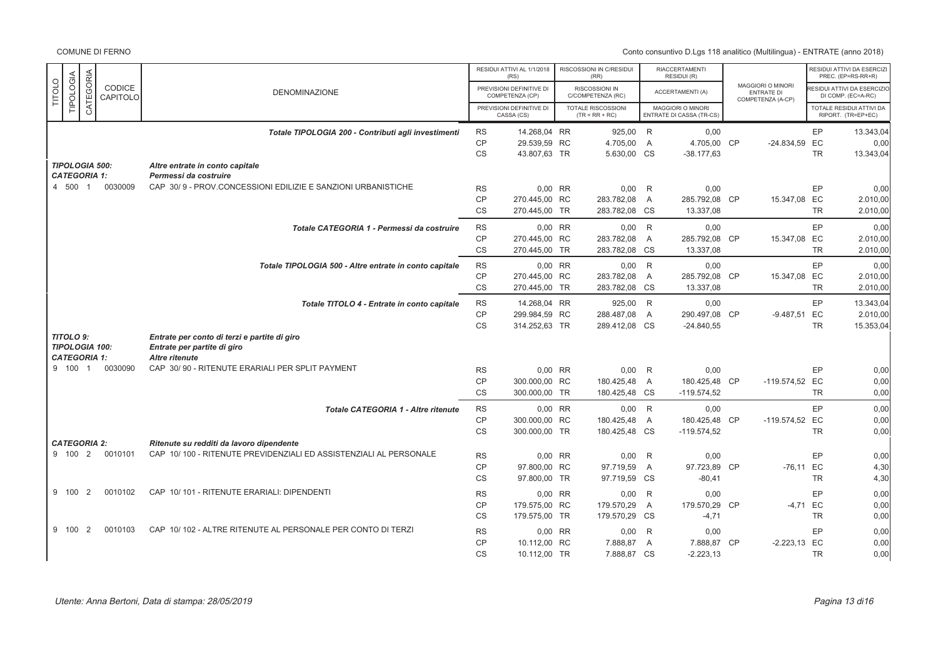|               |           |                       |                    |                                                                                       |                        | RESIDUI ATTIVI AL 1/1/2018<br>(RS)          | RISCOSSIONI IN C/RESIDUI<br>(RR)       |                | <b>RIACCERTAMENTI</b><br>RESIDUI (R)          |           |                                                      |           | RESIDUI ATTIVI DA ESERCIZI<br>PREC. (EP=RS-RR+R) |
|---------------|-----------|-----------------------|--------------------|---------------------------------------------------------------------------------------|------------------------|---------------------------------------------|----------------------------------------|----------------|-----------------------------------------------|-----------|------------------------------------------------------|-----------|--------------------------------------------------|
| <b>TITOLO</b> | TIPOLOGIA | CATEGORIA             | CODICE<br>CAPITOLO | <b>DENOMINAZIONE</b>                                                                  |                        | PREVISIONI DEFINITIVE DI<br>COMPETENZA (CP) | RISCOSSIONI IN<br>C/COMPETENZA (RC)    |                | <b>ACCERTAMENTI (A)</b>                       |           | MAGGIORI O MINORI<br>ENTRATE DI<br>COMPETENZA (A-CP) |           | ESIDUI ATTIVI DA ESERCIZIO<br>DI COMP. (EC=A-RC) |
|               |           |                       |                    |                                                                                       |                        | PREVISIONI DEFINITIVE DI<br>CASSA (CS)      | TOTALE RISCOSSIONI<br>$(TR = RR + RC)$ |                | MAGGIORI O MINORI<br>ENTRATE DI CASSA (TR-CS) |           |                                                      |           | TOTALE RESIDUI ATTIVI DA<br>RIPORT. (TR=EP+EC)   |
|               |           |                       |                    | Totale TIPOLOGIA 200 - Contributi agli investimenti                                   | <b>RS</b>              | 14.268,04 RR                                | 925,00                                 | R              | 0,00                                          |           |                                                      | EP        | 13.343,04                                        |
|               |           |                       |                    |                                                                                       | <b>CP</b>              | 29.539,59 RC                                | 4.705,00                               | A              | 4.705,00 CP                                   |           | $-24.834,59$                                         | EC        | 0.00                                             |
|               |           |                       |                    |                                                                                       | <b>CS</b>              | 43.807,63 TR                                | 5.630,00 CS                            |                | $-38.177,63$                                  |           |                                                      | <b>TR</b> | 13.343,04                                        |
|               |           | <b>TIPOLOGIA 500:</b> |                    | Altre entrate in conto capitale                                                       |                        |                                             |                                        |                |                                               |           |                                                      |           |                                                  |
|               | 4 500 1   | <b>CATEGORIA 1:</b>   | 0030009            | Permessi da costruire<br>CAP 30/9 - PROV.CONCESSIONI EDILIZIE E SANZIONI URBANISTICHE |                        |                                             |                                        |                |                                               |           |                                                      |           |                                                  |
|               |           |                       |                    |                                                                                       | <b>RS</b>              | 0,00 RR                                     | 0,00                                   | R              | 0,00                                          |           |                                                      | EP        | 0,00                                             |
|               |           |                       |                    |                                                                                       | <b>CP</b><br><b>CS</b> | 270.445,00 RC                               | 283.782,08                             | A              | 285.792,08 CP                                 |           | 15.347,08 EC                                         |           | 2.010,00                                         |
|               |           |                       |                    |                                                                                       |                        | 270.445,00 TR                               | 283.782,08 CS                          |                | 13.337,08                                     |           |                                                      | <b>TR</b> | 2.010,00                                         |
|               |           |                       |                    | Totale CATEGORIA 1 - Permessi da costruire                                            | <b>RS</b>              | 0,00 RR                                     | $0,00$ R                               |                | 0,00                                          |           |                                                      | EP        | 0,00                                             |
|               |           |                       |                    |                                                                                       | <b>CP</b>              | 270.445.00 RC                               | 283.782,08                             | $\overline{A}$ | 285.792,08 CP                                 |           | 15.347,08 EC                                         |           | 2.010,00                                         |
|               |           |                       |                    |                                                                                       | <b>CS</b>              | 270.445,00 TR                               | 283.782,08 CS                          |                | 13.337,08                                     |           |                                                      | <b>TR</b> | 2.010,00                                         |
|               |           |                       |                    | Totale TIPOLOGIA 500 - Altre entrate in conto capitale                                | <b>RS</b>              | 0,00 RR                                     | $0,00$ R                               |                | 0.00                                          |           |                                                      | EP        | 0.00                                             |
|               |           |                       |                    |                                                                                       | <b>CP</b>              | 270.445,00 RC                               | 283.782,08                             | A              | 285.792,08 CP                                 |           | 15.347,08 EC                                         |           | 2.010,00                                         |
|               |           |                       |                    |                                                                                       | <b>CS</b>              | 270.445,00 TR                               | 283.782,08 CS                          |                | 13.337,08                                     |           |                                                      | <b>TR</b> | 2.010,00                                         |
|               |           |                       |                    | Totale TITOLO 4 - Entrate in conto capitale                                           | <b>RS</b>              | 14.268,04 RR                                | 925,00 R                               |                | 0,00                                          |           |                                                      | EP        | 13.343,04                                        |
|               |           |                       |                    |                                                                                       | CP                     | 299.984,59 RC                               | 288.487,08                             | A              | 290.497,08 CP                                 |           | -9.487,51 EC                                         |           | 2.010,00                                         |
|               |           |                       |                    |                                                                                       | <b>CS</b>              | 314.252,63 TR                               | 289.412,08 CS                          |                | $-24.840,55$                                  |           |                                                      | <b>TR</b> | 15.353,04                                        |
|               | TITOLO 9: |                       |                    | Entrate per conto di terzi e partite di giro                                          |                        |                                             |                                        |                |                                               |           |                                                      |           |                                                  |
|               |           | <b>TIPOLOGIA 100:</b> |                    | Entrate per partite di giro                                                           |                        |                                             |                                        |                |                                               |           |                                                      |           |                                                  |
|               |           | <b>CATEGORIA 1:</b>   |                    | Altre ritenute                                                                        |                        |                                             |                                        |                |                                               |           |                                                      |           |                                                  |
|               | 9 100     | $\overline{1}$        | 0030090            | CAP 30/90 - RITENUTE ERARIALI PER SPLIT PAYMENT                                       | <b>RS</b>              | 0,00 RR                                     | 0,00                                   | R              | 0,00                                          |           |                                                      | EP        | 0,00                                             |
|               |           |                       |                    |                                                                                       | CP                     | 300.000,00 RC                               | 180.425.48                             | $\overline{A}$ | 180.425,48 CP                                 |           | -119.574,52 EC                                       |           | 0,00                                             |
|               |           |                       |                    |                                                                                       | <b>CS</b>              | 300.000,00 TR                               | 180.425,48 CS                          |                | $-119.574.52$                                 |           |                                                      | <b>TR</b> | 0,00                                             |
|               |           |                       |                    | Totale CATEGORIA 1 - Altre ritenute                                                   | <b>RS</b>              | 0,00 RR                                     | $0,00$ R                               |                | 0,00                                          |           |                                                      | EP        | 0,00                                             |
|               |           |                       |                    |                                                                                       | <b>CP</b>              | 300.000,00 RC                               | 180.425.48                             | $\overline{A}$ | 180.425.48 CP                                 |           | -119.574,52 EC                                       |           | 0,00                                             |
|               |           |                       |                    |                                                                                       | <b>CS</b>              | 300.000,00 TR                               | 180.425,48 CS                          |                | $-119.574.52$                                 |           |                                                      | <b>TR</b> | 0.00                                             |
|               |           | <b>CATEGORIA 2:</b>   |                    | Ritenute su redditi da lavoro dipendente                                              |                        |                                             |                                        |                |                                               |           |                                                      |           |                                                  |
|               | 9 100 2   |                       | 0010101            | CAP 10/100 - RITENUTE PREVIDENZIALI ED ASSISTENZIALI AL PERSONALE                     | <b>RS</b>              | 0,00 RR                                     | 0,00                                   | R              | 0,00                                          |           |                                                      | EP        | 0,00                                             |
|               |           |                       |                    |                                                                                       | <b>CP</b>              | 97.800,00 RC                                | 97.719,59                              | $\overline{A}$ | 97.723,89 CP                                  |           | $-76.11$ EC                                          |           | 4,30                                             |
|               |           |                       |                    |                                                                                       | <b>CS</b>              | 97.800,00 TR                                | 97.719,59 CS                           |                | $-80,41$                                      |           |                                                      | <b>TR</b> | 4,30                                             |
|               | 9 100     | $\overline{2}$        | 0010102            | CAP 10/101 - RITENUTE ERARIALI: DIPENDENTI                                            | <b>RS</b>              | 0,00 RR                                     | 0,00                                   | R              | 0,00                                          |           |                                                      | EP        | 0,00                                             |
|               |           |                       |                    |                                                                                       | <b>CP</b>              | 179.575,00 RC                               | 179.570,29                             | A              | 179.570,29                                    | <b>CP</b> | $-4.71$ EC                                           |           | 0.00                                             |
|               |           |                       |                    |                                                                                       | CS                     | 179.575,00 TR                               | 179.570,29 CS                          |                | $-4,71$                                       |           |                                                      | <b>TR</b> | 0,00                                             |
|               | 9 100     | 2                     | 0010103            | CAP 10/102 - ALTRE RITENUTE AL PERSONALE PER CONTO DI TERZI                           | <b>RS</b>              | 0,00 RR                                     | 0,00                                   | R              | 0.00                                          |           |                                                      | EP        | 0.00                                             |
|               |           |                       |                    |                                                                                       | CP                     | 10.112,00 RC                                | 7.888,87                               | $\overline{A}$ | 7.888,87                                      | <b>CP</b> | $-2.223,13$ EC                                       |           | 0,00                                             |
|               |           |                       |                    |                                                                                       | <b>CS</b>              | 10.112.00 TR                                | 7.888,87 CS                            |                | $-2.223, 13$                                  |           |                                                      | <b>TR</b> | 0.00                                             |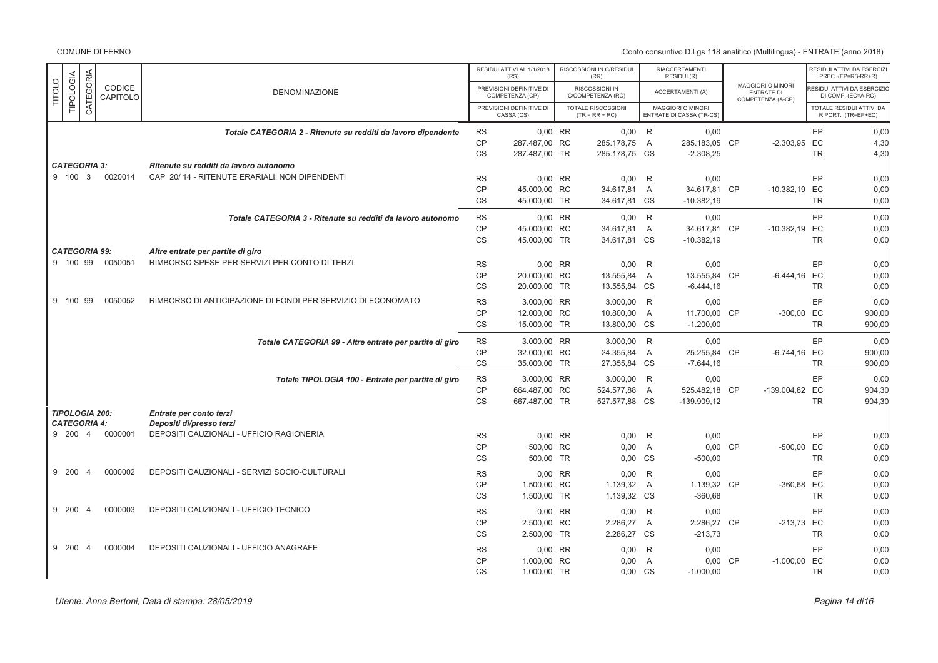|               |           |                       |                           |                                                               |               | RESIDUI ATTIVI AL 1/1/2018                          | RISCOSSIONI IN C/RESIDUI                           |                | <b>RIACCERTAMENTI</b>                         |           |                                 |           | RESIDUI ATTIVI DA ESERCIZI<br>PREC. (EP=RS-RR+R) |
|---------------|-----------|-----------------------|---------------------------|---------------------------------------------------------------|---------------|-----------------------------------------------------|----------------------------------------------------|----------------|-----------------------------------------------|-----------|---------------------------------|-----------|--------------------------------------------------|
| <b>TITOLO</b> | TIPOLOGIA | CATEGORIA             | <b>CODICE</b><br>CAPITOLO | <b>DENOMINAZIONE</b>                                          |               | (RS)<br>PREVISIONI DEFINITIVE DI<br>COMPETENZA (CP) | (RR)<br><b>RISCOSSIONI IN</b><br>C/COMPETENZA (RC) |                | RESIDUI (R)<br><b>ACCERTAMENTI (A)</b>        |           | MAGGIORI O MINORI<br>ENTRATE DI |           | ESIDUI ATTIVI DA ESERCIZIO<br>DI COMP. (EC=A-RC) |
|               |           |                       |                           |                                                               |               | PREVISIONI DEFINITIVE DI<br>CASSA (CS)              | TOTALE RISCOSSIONI<br>$(TR = RR + RC)$             |                | MAGGIORI O MINORI<br>ENTRATE DI CASSA (TR-CS) |           | COMPETENZA (A-CP)               |           | TOTALE RESIDUI ATTIVI DA<br>RIPORT. (TR=EP+EC)   |
|               |           |                       |                           | Totale CATEGORIA 2 - Ritenute su redditi da lavoro dipendente | <b>RS</b>     | 0,00 RR                                             | $0,00$ R                                           |                | 0,00                                          |           |                                 | EP        | 0,00                                             |
|               |           |                       |                           |                                                               | $\mathsf{CP}$ | 287.487,00 RC                                       | 285.178,75                                         | A              | 285.183,05 CP                                 |           | $-2.303,95$ EC                  |           | 4,30                                             |
|               |           |                       |                           |                                                               | <b>CS</b>     | 287.487,00 TR                                       | 285.178,75 CS                                      |                | $-2.308,25$                                   |           |                                 | <b>TR</b> | 4,30                                             |
|               |           | <b>CATEGORIA 3:</b>   |                           | Ritenute su redditi da lavoro autonomo                        |               |                                                     |                                                    |                |                                               |           |                                 |           |                                                  |
|               | 9 100 3   |                       | 0020014                   | CAP 20/14 - RITENUTE ERARIALI: NON DIPENDENTI                 | <b>RS</b>     | 0,00 RR                                             | 0,00                                               | R              | 0,00                                          |           |                                 | EP        | 0,00                                             |
|               |           |                       |                           |                                                               | CP            | 45.000,00 RC                                        | 34.617,81                                          | A              | 34.617,81 CP                                  |           | -10.382,19 EC                   |           | 0,00                                             |
|               |           |                       |                           |                                                               | <b>CS</b>     | 45.000,00 TR                                        | 34.617,81 CS                                       |                | $-10.382, 19$                                 |           |                                 | <b>TR</b> | 0,00                                             |
|               |           |                       |                           | Totale CATEGORIA 3 - Ritenute su redditi da lavoro autonomo   | <b>RS</b>     | 0,00 RR                                             | $0,00$ R                                           |                | 0.00                                          |           |                                 | EP        | 0,00                                             |
|               |           |                       |                           |                                                               | <b>CP</b>     | 45.000,00 RC                                        | 34.617.81                                          | $\overline{A}$ | 34.617.81 CP                                  |           | -10.382,19 EC                   |           | 0.00                                             |
|               |           |                       |                           |                                                               | CS            | 45.000,00 TR                                        | 34.617,81 CS                                       |                | $-10.382,19$                                  |           |                                 | <b>TR</b> | 0.00                                             |
|               |           | <b>CATEGORIA 99:</b>  |                           | Altre entrate per partite di giro                             |               |                                                     |                                                    |                |                                               |           |                                 |           |                                                  |
|               | 9 100 99  |                       | 0050051                   | RIMBORSO SPESE PER SERVIZI PER CONTO DI TERZI                 | <b>RS</b>     | 0,00 RR                                             | 0,00                                               | R              | 0,00                                          |           |                                 | EP        | 0,00                                             |
|               |           |                       |                           |                                                               | <b>CP</b>     | 20.000,00 RC                                        | 13.555,84                                          | A              | 13.555,84 CP                                  |           | $-6.444, 16$ EC                 |           | 0,00                                             |
|               |           |                       |                           |                                                               | <b>CS</b>     | 20.000,00 TR                                        | 13.555,84 CS                                       |                | $-6.444, 16$                                  |           |                                 | <b>TR</b> | 0,00                                             |
|               | 9 100     | 99                    | 0050052                   | RIMBORSO DI ANTICIPAZIONE DI FONDI PER SERVIZIO DI ECONOMATO  | <b>RS</b>     | 3.000.00 RR                                         | 3.000,00                                           | R              | 0,00                                          |           |                                 | EP        | 0.00                                             |
|               |           |                       |                           |                                                               | CP            | 12.000,00 RC                                        | 10.800,00                                          | A              | 11.700,00                                     | <b>CP</b> | -300,00 EC                      |           | 900,00                                           |
|               |           |                       |                           |                                                               | <b>CS</b>     | 15.000,00 TR                                        | 13.800,00 CS                                       |                | $-1.200,00$                                   |           |                                 | <b>TR</b> | 900.00                                           |
|               |           |                       |                           | Totale CATEGORIA 99 - Altre entrate per partite di giro       | <b>RS</b>     | 3.000,00 RR                                         | 3.000,00 R                                         |                | 0,00                                          |           |                                 | EP        | 0,00                                             |
|               |           |                       |                           |                                                               | CP            | 32.000,00 RC                                        | 24.355,84                                          | A              | 25.255,84 CP                                  |           | $-6.744, 16$ EC                 |           | 900,00                                           |
|               |           |                       |                           |                                                               | <b>CS</b>     | 35.000,00 TR                                        | 27.355,84 CS                                       |                | $-7.644, 16$                                  |           |                                 | <b>TR</b> | 900,00                                           |
|               |           |                       |                           | Totale TIPOLOGIA 100 - Entrate per partite di giro            | <b>RS</b>     | 3.000,00 RR                                         | 3.000,00 R                                         |                | 0,00                                          |           |                                 | EP        | 0.00                                             |
|               |           |                       |                           |                                                               | <b>CP</b>     | 664.487,00 RC                                       | 524.577,88                                         | $\overline{A}$ | 525.482,18 CP                                 |           | -139.004,82 EC                  |           | 904.30                                           |
|               |           |                       |                           |                                                               | <b>CS</b>     | 667.487,00 TR                                       | 527.577,88 CS                                      |                | $-139.909.12$                                 |           |                                 | <b>TR</b> | 904,30                                           |
|               |           | <b>TIPOLOGIA 200:</b> |                           | Entrate per conto terzi                                       |               |                                                     |                                                    |                |                                               |           |                                 |           |                                                  |
|               |           | <b>CATEGORIA 4:</b>   |                           | Depositi di/presso terzi                                      |               |                                                     |                                                    |                |                                               |           |                                 |           |                                                  |
|               | 9 200 4   |                       | 0000001                   | DEPOSITI CAUZIONALI - UFFICIO RAGIONERIA                      | <b>RS</b>     | 0,00 RR                                             | 0,00                                               | R              | 0,00                                          |           |                                 | EP        | 0,00                                             |
|               |           |                       |                           |                                                               | <b>CP</b>     | 500,00 RC                                           | 0,00                                               | A              | 0,00                                          | CP        | -500,00 EC                      |           | 0,00                                             |
|               |           |                       |                           |                                                               | <b>CS</b>     | 500,00 TR                                           | 0,00 CS                                            |                | $-500,00$                                     |           |                                 | <b>TR</b> | 0,00                                             |
|               | 9 200     | $\overline{4}$        | 0000002                   | DEPOSITI CAUZIONALI - SERVIZI SOCIO-CULTURALI                 | <b>RS</b>     | 0.00 RR                                             | 0,00                                               | R              | 0.00                                          |           |                                 | EP        | 0,00                                             |
|               |           |                       |                           |                                                               | CP            | 1.500,00 RC                                         | 1.139,32                                           | $\overline{A}$ | 1.139,32 CP                                   |           | -360,68 EC                      |           | 0,00                                             |
|               |           |                       |                           |                                                               | <b>CS</b>     | 1.500,00 TR                                         | 1.139,32 CS                                        |                | $-360,68$                                     |           |                                 | <b>TR</b> | 0,00                                             |
|               | 9 200     | $\overline{4}$        | 0000003                   | DEPOSITI CAUZIONALI - UFFICIO TECNICO                         | <b>RS</b>     | 0.00 RR                                             | 0,00                                               | R              | 0,00                                          |           |                                 | EP        | 0,00                                             |
|               |           |                       |                           |                                                               | CP            | 2.500,00 RC                                         | 2.286,27                                           | $\overline{A}$ | 2.286,27 CP                                   |           | -213,73 EC                      |           | 0,00                                             |
|               |           |                       |                           |                                                               | CS            | 2.500,00 TR                                         | 2.286,27 CS                                        |                | $-213,73$                                     |           |                                 | <b>TR</b> | 0,00                                             |
|               | 9 200     | $\overline{4}$        | 0000004                   | DEPOSITI CAUZIONALI - UFFICIO ANAGRAFE                        | <b>RS</b>     | 0,00 RR                                             | 0,00                                               | R              | 0,00                                          |           |                                 | EP        | 0,00                                             |
|               |           |                       |                           |                                                               | CP            | 1.000,00 RC                                         | 0,00                                               | $\overline{A}$ | 0,00 CP                                       |           | $-1.000,00$ EC                  |           | 0,00                                             |
|               |           |                       |                           |                                                               | <b>CS</b>     | 1.000,00 TR                                         | 0,00                                               | CS             | $-1.000,00$                                   |           |                                 | <b>TR</b> | 0,00                                             |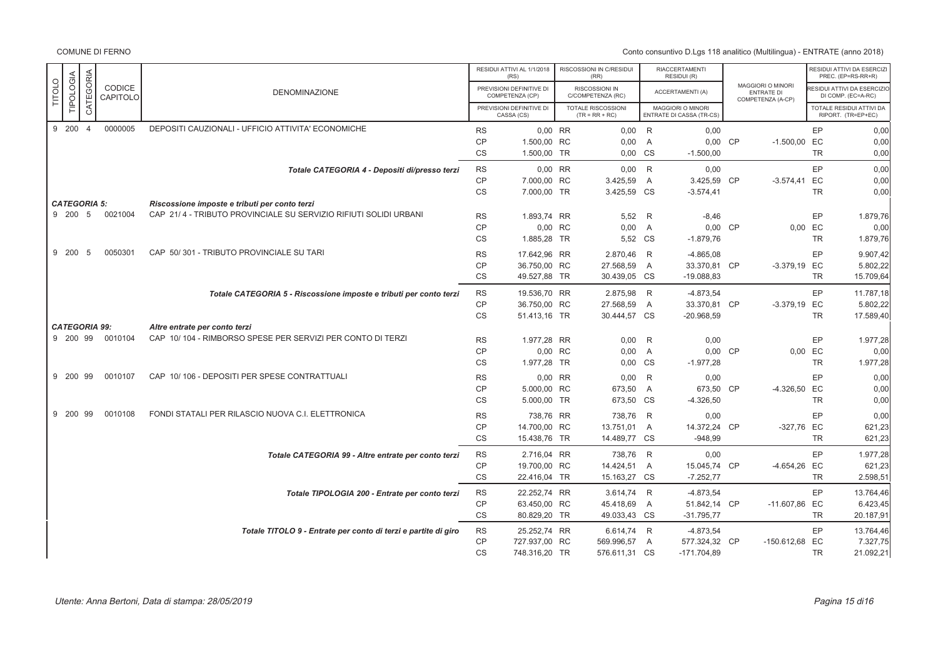|               |                      |           |                    |                                                                    |                                     | RESIDUI ATTIVI AL 1/1/2018<br>(RS)             | RISCOSSIONI IN C/RESIDUI<br>(RR)          |                     | <b>RIACCERTAMENTI</b><br>RESIDUI (R)          |                                                             |                       | RESIDUI ATTIVI DA ESERCIZI<br>PREC. (EP=RS-RR+R) |
|---------------|----------------------|-----------|--------------------|--------------------------------------------------------------------|-------------------------------------|------------------------------------------------|-------------------------------------------|---------------------|-----------------------------------------------|-------------------------------------------------------------|-----------------------|--------------------------------------------------|
| <b>TITOLO</b> | TIPOLOGIA            | CATEGORIA | CODICE<br>CAPITOLO | <b>DENOMINAZIONE</b>                                               |                                     | PREVISIONI DEFINITIVE DI<br>COMPETENZA (CP)    | RISCOSSIONI IN<br>C/COMPETENZA (RC)       |                     | ACCERTAMENTI (A)                              | MAGGIORI O MINORI<br><b>ENTRATE DI</b><br>COMPETENZA (A-CP) |                       | ESIDUI ATTIVI DA ESERCIZIO<br>DI COMP. (EC=A-RC) |
|               |                      |           |                    |                                                                    |                                     | PREVISIONI DEFINITIVE DI<br>CASSA (CS)         | TOTALE RISCOSSIONI<br>$(TR = RR + RC)$    |                     | MAGGIORI O MINORI<br>ENTRATE DI CASSA (TR-CS) |                                                             |                       | TOTALE RESIDUI ATTIVI DA<br>RIPORT. (TR=EP+EC)   |
|               | 9 200 4              |           | 0000005            | DEPOSITI CAUZIONALI - UFFICIO ATTIVITA' ECONOMICHE                 | <b>RS</b><br><b>CP</b>              | 0,00 RR<br>1.500,00 RC                         | $0,00$ R<br>0,00                          | $\overline{A}$      | 0,00<br>0,00 CP                               | $-1.500,00$ EC                                              | EP                    | 0,00<br>0,00                                     |
|               |                      |           |                    |                                                                    | <b>CS</b>                           | 1.500,00 TR                                    | 0,00 CS                                   |                     | $-1.500,00$                                   |                                                             | <b>TR</b>             | 0,00                                             |
|               |                      |           |                    | Totale CATEGORIA 4 - Depositi di/presso terzi                      | <b>RS</b><br><b>CP</b>              | 0,00 RR<br>7.000,00 RC                         | $0,00$ R<br>3.425,59                      | A                   | 0,00<br>3.425,59 CP                           | $-3.574,41$                                                 | EP<br>EC              | 0,00<br>0,00                                     |
|               | <b>CATEGORIA 5:</b>  |           |                    | Riscossione imposte e tributi per conto terzi                      | CS                                  | 7.000,00 TR                                    | 3.425,59 CS                               |                     | $-3.574,41$                                   |                                                             | <b>TR</b>             | 0,00                                             |
|               | 9 200 5              |           | 0021004            | CAP 21/4 - TRIBUTO PROVINCIALE SU SERVIZIO RIFIUTI SOLIDI URBANI   | <b>RS</b><br><b>CP</b>              | 1.893,74 RR<br>0,00 RC                         | 5,52<br>0,00                              | R<br>A              | $-8,46$<br>0,00 CP                            |                                                             | EP<br>0.00 EC         | 1.879,76<br>0,00                                 |
|               |                      |           |                    |                                                                    | CS                                  | 1.885,28 TR                                    | 5,52 CS                                   |                     | $-1.879,76$                                   |                                                             | <b>TR</b>             | 1.879,76                                         |
|               | 9 200                | 5         | 0050301            | CAP 50/301 - TRIBUTO PROVINCIALE SU TARI                           | <b>RS</b><br><b>CP</b><br><b>CS</b> | 17.642.96 RR<br>36.750,00 RC<br>49.527,88 TR   | 2.870,46<br>27.568,59<br>30.439,05 CS     | R<br>$\overline{A}$ | $-4.865,08$<br>33.370,81 CP<br>$-19.088,83$   | -3.379,19 EC                                                | EP<br><b>TR</b>       | 9.907,42<br>5.802,22<br>15.709,64                |
|               |                      |           |                    | Totale CATEGORIA 5 - Riscossione imposte e tributi per conto terzi | <b>RS</b><br><b>CP</b><br><b>CS</b> | 19.536,70 RR<br>36.750,00 RC<br>51.413,16 TR   | 2.875,98<br>27.568,59<br>30.444,57 CS     | R<br>A              | $-4.873,54$<br>33.370,81 CP<br>$-20.968,59$   | $-3.379,19$                                                 | EP<br>EC<br><b>TR</b> | 11.787,18<br>5.802,22<br>17.589,40               |
|               | <b>CATEGORIA 99:</b> |           |                    | Altre entrate per conto terzi                                      |                                     |                                                |                                           |                     |                                               |                                                             |                       |                                                  |
|               | 9 200 99             |           | 0010104            | CAP 10/104 - RIMBORSO SPESE PER SERVIZI PER CONTO DI TERZI         | <b>RS</b><br><b>CP</b>              | 1.977,28 RR<br>0,00 RC                         | 0,00<br>0,00                              | R<br>$\mathsf{A}$   | 0,00<br>0,00 CP                               | 0,00 EC                                                     | EP                    | 1.977,28<br>0,00                                 |
|               | 9 200 99             |           | 0010107            | CAP 10/106 - DEPOSITI PER SPESE CONTRATTUALI                       | <b>CS</b><br><b>RS</b>              | 1.977,28 TR<br>0,00 RR                         | 0,00                                      | CS<br>R             | $-1.977,28$                                   |                                                             | <b>TR</b><br>EP       | 1.977,28<br>0,00                                 |
|               |                      |           |                    |                                                                    | <b>CP</b><br><b>CS</b>              | 5.000,00 RC<br>5.000,00 TR                     | 0,00<br>673,50<br>673,50 CS               | A                   | 0,00<br>673,50 CP<br>$-4.326,50$              | -4.326,50 EC                                                | <b>TR</b>             | 0,00<br>0,00                                     |
|               | 9 200 99             |           | 0010108            | FONDI STATALI PER RILASCIO NUOVA C.I. ELETTRONICA                  | <b>RS</b><br><b>CP</b><br><b>CS</b> | 738,76 RR<br>14.700,00 RC<br>15.438,76 TR      | 738,76<br>13.751,01<br>14.489,77 CS       | R<br>$\overline{A}$ | 0,00<br>14.372,24 CP<br>$-948.99$             | -327,76 EC                                                  | EP<br><b>TR</b>       | 0,00<br>621,23<br>621,23                         |
|               |                      |           |                    | Totale CATEGORIA 99 - Altre entrate per conto terzi                | <b>RS</b><br><b>CP</b><br>CS        | 2.716,04 RR<br>19.700,00 RC<br>22.416,04 TR    | 738,76 R<br>14.424,51<br>15.163,27 CS     | $\overline{A}$      | 0,00<br>15.045,74 CP<br>$-7.252,77$           | -4.654,26                                                   | EP<br>EC<br><b>TR</b> | 1.977,28<br>621,23<br>2.598,51                   |
|               |                      |           |                    | Totale TIPOLOGIA 200 - Entrate per conto terzi                     | <b>RS</b><br><b>CP</b><br>CS        | 22.252,74 RR<br>63.450,00 RC<br>80.829,20 TR   | 3.614,74 R<br>45.418,69<br>49.033,43 CS   | A                   | $-4.873,54$<br>51.842,14 CP<br>$-31.795,77$   | -11.607,86 EC                                               | EP<br><b>TR</b>       | 13.764,46<br>6.423,45<br>20.187,91               |
|               |                      |           |                    | Totale TITOLO 9 - Entrate per conto di terzi e partite di giro     | <b>RS</b><br>CP<br><b>CS</b>        | 25.252,74 RR<br>727.937,00 RC<br>748.316,20 TR | 6.614,74 R<br>569.996,57<br>576.611,31 CS | A                   | $-4.873,54$<br>577.324,32 CP<br>$-171.704,89$ | -150.612,68 EC                                              | EP<br><b>TR</b>       | 13.764,46<br>7.327,75<br>21.092,21               |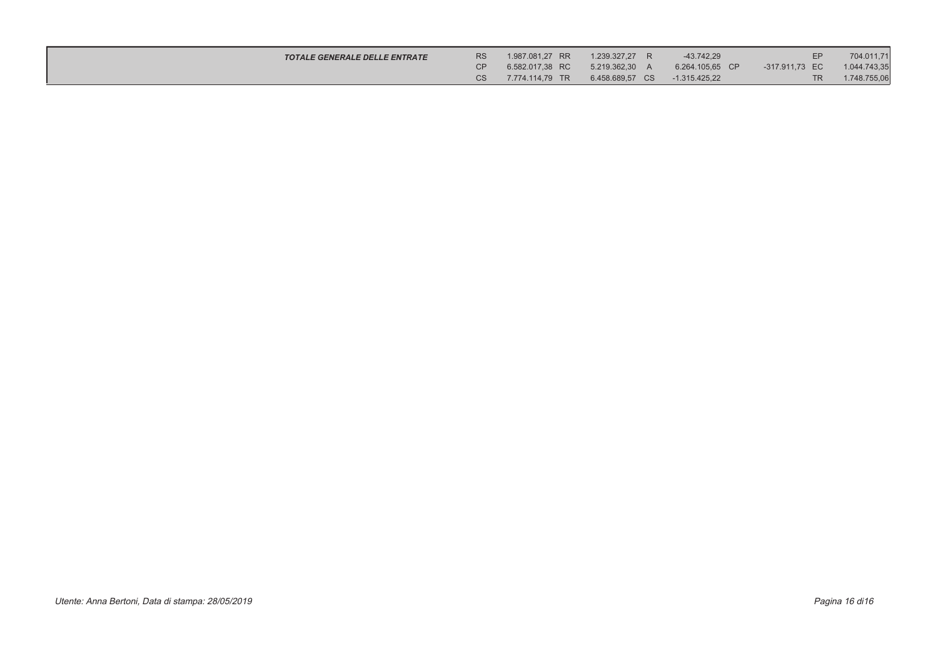| <b>TOTALE GENERALE DELLE ENTRATE</b> | <b>RS</b> | 1.987.081.27 RR | 1.239.327.27 R  | $-43.742.29$    | EP             | 704.011,71   |
|--------------------------------------|-----------|-----------------|-----------------|-----------------|----------------|--------------|
|                                      |           | 6.582.017.38 RC | 5.219.362.30 A  | 6.264.105.65 CP | -317.911.73 EC | 1.044.743,35 |
|                                      |           | 7.774.114.79 TR | 6.458.689.57 CS | $-1.315.425.22$ | TR.            | 1.748.755,06 |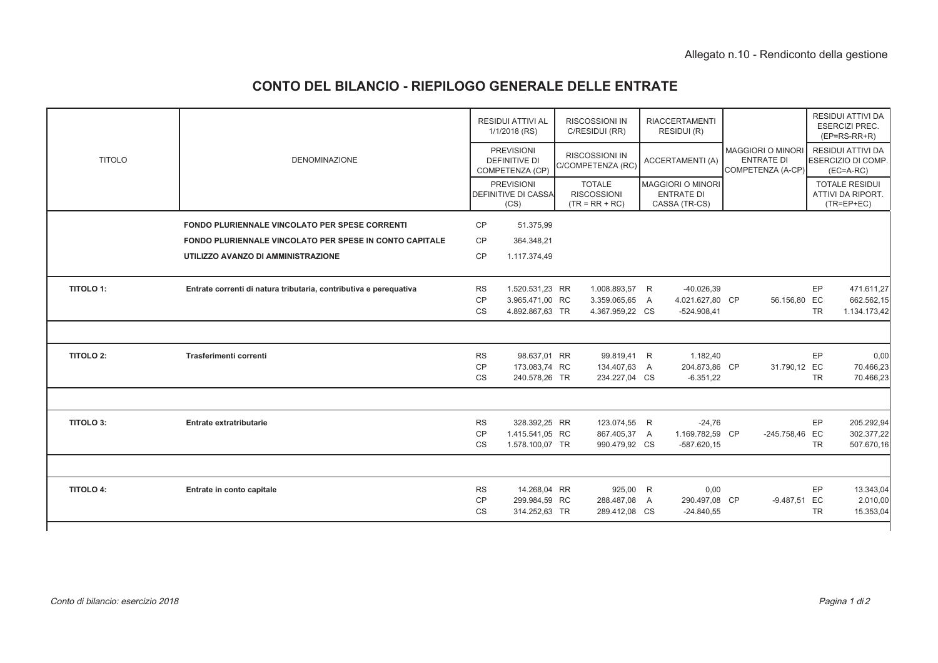# **CONTO DEL BILANCIO - RIEPILOGO GENERALE DELLE ENTRATE**

|                  |                                                                   |                        | <b>RESIDUI ATTIVI AL</b><br>1/1/2018 (RS)                    | <b>RISCOSSIONI IN</b><br>C/RESIDUI (RR)                 | <b>RIACCERTAMENTI</b><br>RESIDUI (R)                           |                                                                    |           | RESIDUI ATTIVI DA<br><b>ESERCIZI PREC.</b><br>$(EP=RS-RR+R)$         |
|------------------|-------------------------------------------------------------------|------------------------|--------------------------------------------------------------|---------------------------------------------------------|----------------------------------------------------------------|--------------------------------------------------------------------|-----------|----------------------------------------------------------------------|
| <b>TITOLO</b>    | <b>DENOMINAZIONE</b>                                              |                        | <b>PREVISIONI</b><br><b>DEFINITIVE DI</b><br>COMPETENZA (CP) | <b>RISCOSSIONI IN</b><br>C/COMPETENZA (RC)              | <b>ACCERTAMENTI (A)</b>                                        | <b>MAGGIORI O MINORI</b><br><b>ENTRATE DI</b><br>COMPETENZA (A-CP) |           | <b>RESIDUI ATTIVI DA</b><br><b>ESERCIZIO DI COMP.</b><br>$(EC=A-RC)$ |
|                  |                                                                   |                        | <b>PREVISIONI</b><br>DEFINITIVE DI CASSA<br>(CS)             | <b>TOTALE</b><br><b>RISCOSSIONI</b><br>$(TR = RR + RC)$ | <b>MAGGIORI O MINORI</b><br><b>ENTRATE DI</b><br>CASSA (TR-CS) |                                                                    |           | <b>TOTALE RESIDUI</b><br>ATTIVI DA RIPORT.<br>$(TR = EP + EC)$       |
|                  | <b>FONDO PLURIENNALE VINCOLATO PER SPESE CORRENTI</b>             | CP                     | 51.375,99                                                    |                                                         |                                                                |                                                                    |           |                                                                      |
|                  | FONDO PLURIENNALE VINCOLATO PER SPESE IN CONTO CAPITALE           | <b>CP</b>              | 364.348,21                                                   |                                                         |                                                                |                                                                    |           |                                                                      |
|                  | UTILIZZO AVANZO DI AMMINISTRAZIONE                                | <b>CP</b>              | 1.117.374,49                                                 |                                                         |                                                                |                                                                    |           |                                                                      |
| <b>TITOLO 1:</b> | Entrate correnti di natura tributaria, contributiva e perequativa | <b>RS</b>              | 1.520.531,23 RR                                              | 1.008.893,57 R                                          | $-40.026,39$                                                   |                                                                    | EP        | 471.611,27                                                           |
|                  |                                                                   | CP<br><b>CS</b>        | 3.965.471,00 RC<br>4.892.867,63 TR                           | 3.359.065,65 A<br>4.367.959,22 CS                       | 4.021.627,80 CP<br>$-524.908,41$                               | 56.156,80 EC                                                       | <b>TR</b> | 662.562,15<br>1.134.173,42                                           |
|                  |                                                                   |                        |                                                              |                                                         |                                                                |                                                                    |           |                                                                      |
| <b>TITOLO 2:</b> | Trasferimenti correnti                                            | <b>RS</b>              | 98.637,01 RR                                                 | 99.819,41 R                                             | 1.182,40                                                       |                                                                    | EP        | 0,00                                                                 |
|                  |                                                                   | <b>CP</b><br><b>CS</b> | 173.083,74 RC<br>240.578,26 TR                               | 134.407,63 A<br>234.227,04 CS                           | 204.873,86 CP<br>$-6.351,22$                                   | 31.790,12 EC                                                       | <b>TR</b> | 70.466,23<br>70.466,23                                               |
|                  |                                                                   |                        |                                                              |                                                         |                                                                |                                                                    |           |                                                                      |
| <b>TITOLO 3:</b> | Entrate extratributarie                                           | <b>RS</b>              | 328.392,25 RR                                                | 123.074,55 R                                            | $-24,76$                                                       |                                                                    | EP        | 205.292,94                                                           |
|                  |                                                                   | CP<br><b>CS</b>        | 1.415.541,05 RC<br>1.578.100,07 TR                           | 867.405,37 A<br>990.479,92 CS                           | 1.169.782,59 CP<br>$-587.620.15$                               | -245.758,46 EC                                                     | <b>TR</b> | 302.377,22<br>507.670,16                                             |
|                  |                                                                   |                        |                                                              |                                                         |                                                                |                                                                    |           |                                                                      |
| <b>TITOLO 4:</b> | Entrate in conto capitale                                         | <b>RS</b>              | 14.268,04 RR                                                 | 925,00 R                                                | 0,00                                                           |                                                                    | EP        | 13.343,04                                                            |
|                  |                                                                   | CP<br><b>CS</b>        | 299.984,59 RC<br>314.252,63 TR                               | 288.487,08 A<br>289.412,08 CS                           | 290.497,08 CP<br>$-24.840,55$                                  | -9.487,51 EC                                                       | <b>TR</b> | 2.010,00<br>15.353,04                                                |
|                  |                                                                   |                        |                                                              |                                                         |                                                                |                                                                    |           |                                                                      |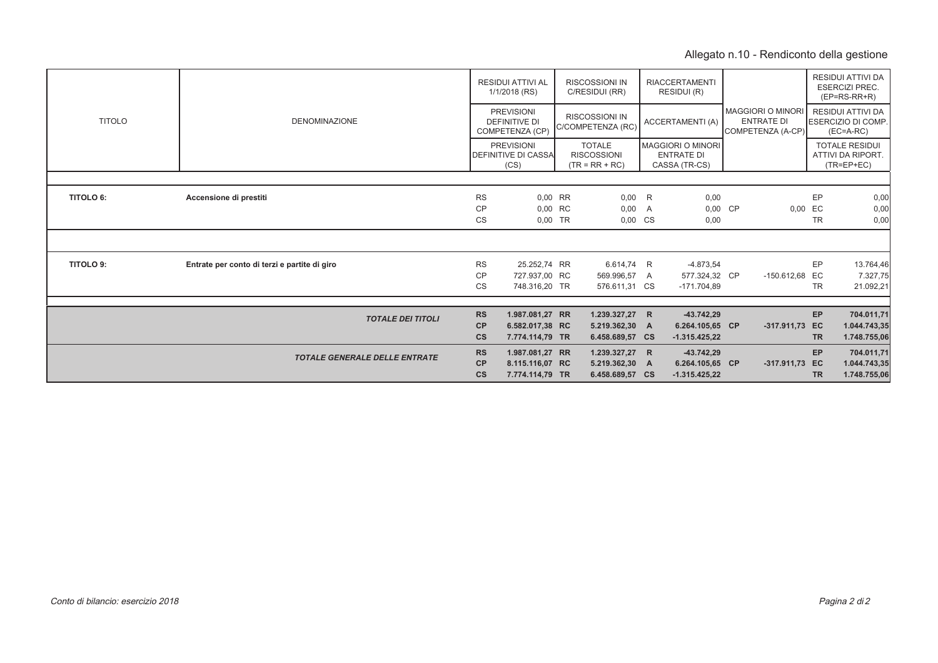# Allegato n.10 - Rendiconto della gestione

|                  |                                              |           | <b>RESIDUI ATTIVI AL</b><br>1/1/2018 (RS)                    | <b>RISCOSSIONI IN</b><br>C/RESIDUI (RR)                 |                | <b>RIACCERTAMENTI</b><br>RESIDUI (R)                    |                                                                    |           | RESIDUI ATTIVI DA<br><b>ESERCIZI PREC.</b><br>$(EP=RS-RR+R)$         |
|------------------|----------------------------------------------|-----------|--------------------------------------------------------------|---------------------------------------------------------|----------------|---------------------------------------------------------|--------------------------------------------------------------------|-----------|----------------------------------------------------------------------|
| <b>TITOLO</b>    | <b>DENOMINAZIONE</b>                         |           | <b>PREVISIONI</b><br><b>DEFINITIVE DI</b><br>COMPETENZA (CP) | <b>RISCOSSIONI IN</b><br>C/COMPETENZA (RC)              |                | <b>ACCERTAMENTI (A)</b>                                 | <b>MAGGIORI O MINORI</b><br><b>ENTRATE DI</b><br>COMPETENZA (A-CP) |           | <b>RESIDUI ATTIVI DA</b><br><b>ESERCIZIO DI COMP.</b><br>$(EC=A-RC)$ |
|                  |                                              |           | <b>PREVISIONI</b><br><b>DEFINITIVE DI CASSA</b><br>(CS)      | <b>TOTALE</b><br><b>RISCOSSIONI</b><br>$(TR = RR + RC)$ |                | MAGGIORI O MINORI<br><b>ENTRATE DI</b><br>CASSA (TR-CS) |                                                                    |           | <b>TOTALE RESIDUI</b><br>ATTIVI DA RIPORT.<br>$(TR = EP + EC)$       |
|                  |                                              |           |                                                              |                                                         |                |                                                         |                                                                    |           |                                                                      |
| <b>TITOLO 6:</b> | Accensione di prestiti                       | <b>RS</b> | $0.00$ RR                                                    | 0,00                                                    | <b>R</b>       | 0,00                                                    |                                                                    | EP        | 0,00                                                                 |
|                  |                                              | <b>CP</b> | 0.00 RC                                                      | 0,00                                                    | $\overline{A}$ | 0,00 CP                                                 | 0,00 EC                                                            |           | 0,00                                                                 |
|                  |                                              | CS        | $0.00$ TR                                                    | 0,00                                                    | <b>CS</b>      | 0,00                                                    |                                                                    | <b>TR</b> | 0,00                                                                 |
|                  |                                              |           |                                                              |                                                         |                |                                                         |                                                                    |           |                                                                      |
| <b>TITOLO 9:</b> | Entrate per conto di terzi e partite di giro | <b>RS</b> | 25.252,74 RR                                                 | 6.614,74 R                                              |                | $-4.873,54$                                             |                                                                    | EP        | 13.764,46                                                            |
|                  |                                              | <b>CP</b> | 727.937,00 RC                                                | 569.996,57                                              | A              | 577.324,32 CP                                           | -150.612,68 EC                                                     |           | 7.327,75                                                             |
|                  |                                              | CS        | 748.316,20 TR                                                | 576.611,31 CS                                           |                | $-171.704.89$                                           |                                                                    | TR        | 21.092,21                                                            |
|                  |                                              |           |                                                              |                                                         |                |                                                         |                                                                    |           |                                                                      |
|                  | <b>TOTALE DEI TITOLI</b>                     | <b>RS</b> | 1.987.081,27 RR                                              | 1.239.327,27 R                                          |                | $-43.742.29$                                            |                                                                    | EP        | 704.011,71                                                           |
|                  |                                              | <b>CP</b> | 6.582.017,38 RC                                              | 5.219.362,30 A                                          |                | 6.264.105,65 CP                                         | -317.911,73 EC                                                     |           | 1.044.743,35                                                         |
|                  |                                              | <b>CS</b> | 7.774.114,79 TR                                              | 6.458.689,57 CS                                         |                | $-1.315.425.22$                                         |                                                                    | <b>TR</b> | 1.748.755,06                                                         |
|                  | <b>TOTALE GENERALE DELLE ENTRATE</b>         | <b>RS</b> | 1.987.081,27 RR                                              | 1.239.327,27 R                                          |                | $-43.742.29$                                            |                                                                    | EP        | 704.011,71                                                           |
|                  |                                              | CP        | 8.115.116,07 RC                                              | 5.219.362,30 A                                          |                | 6.264.105,65 CP                                         | -317.911,73 EC                                                     |           | 1.044.743,35                                                         |
|                  |                                              | <b>CS</b> | 7.774.114,79 TR                                              | 6.458.689,57 CS                                         |                | $-1.315.425.22$                                         |                                                                    | <b>TR</b> | 1.748.755,06                                                         |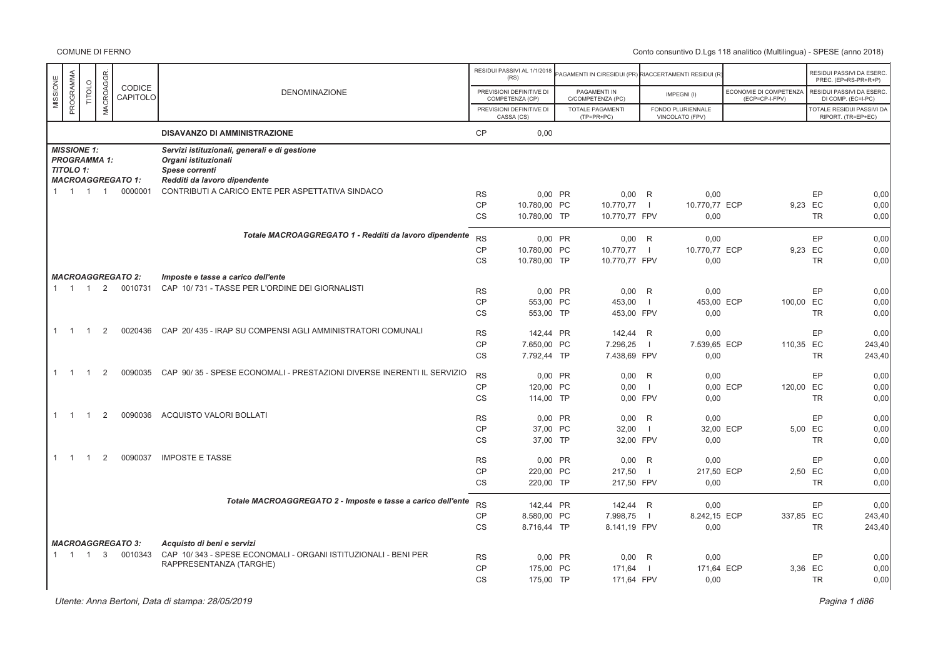|                       |                |                     |                          |                                                                        |                        | RESIDUI PASSIVI AL 1/1/2018                 |                                                      |                |                    |          |                                          |           | RESIDUI PASSIVI DA ESERC                       |
|-----------------------|----------------|---------------------|--------------------------|------------------------------------------------------------------------|------------------------|---------------------------------------------|------------------------------------------------------|----------------|--------------------|----------|------------------------------------------|-----------|------------------------------------------------|
|                       |                |                     |                          |                                                                        |                        | (RS)                                        | AGAMENTI IN C/RESIDUI (PR) RIACCERTAMENTI RESIDUI (R |                |                    |          |                                          |           | PREC. (EP=RS-PR+R+P)                           |
| PROGRAMMA<br>MISSIONE | TITOLO         | MACROAGGR           | CODICE<br>CAPITOLO       | <b>DENOMINAZIONE</b>                                                   |                        | PREVISIONI DEFINITIVE DI<br>COMPETENZA (CP) | PAGAMENTI IN<br>C/COMPETENZA (PC)                    |                | IMPEGNI(I)         |          | ECONOMIE DI COMPETENZA<br>(ECP=CP-I-FPV) |           | RESIDUI PASSIVI DA ESERC<br>DI COMP. (EC=I-PC) |
|                       |                |                     |                          |                                                                        |                        | PREVISIONI DEFINITIVE DI                    | TOTALE PAGAMENTI                                     |                | FONDO PLURIENNALE  |          |                                          |           | <b>TOTALE RESIDUI PASSIVI DA</b>               |
|                       |                |                     |                          |                                                                        |                        | CASSA (CS)                                  | $(TP=PR+PC)$                                         |                | VINCOLATO (FPV)    |          |                                          |           | RIPORT. (TR=EP+EC)                             |
|                       |                |                     |                          | <b>DISAVANZO DI AMMINISTRAZIONE</b>                                    | <b>CP</b>              | 0,00                                        |                                                      |                |                    |          |                                          |           |                                                |
| <b>MISSIONE 1:</b>    |                |                     |                          | Servizi istituzionali, generali e di gestione                          |                        |                                             |                                                      |                |                    |          |                                          |           |                                                |
| <b>TITOLO 1:</b>      |                | <b>PROGRAMMA 1:</b> |                          | Organi istituzionali                                                   |                        |                                             |                                                      |                |                    |          |                                          |           |                                                |
|                       |                |                     | <b>MACROAGGREGATO 1:</b> | Spese correnti<br>Redditi da lavoro dipendente                         |                        |                                             |                                                      |                |                    |          |                                          |           |                                                |
| $1 \quad 1$           | $\overline{1}$ | $\overline{1}$      | 0000001                  | CONTRIBUTI A CARICO ENTE PER ASPETTATIVA SINDACO                       | <b>RS</b>              | 0,00 PR                                     | $0,00$ R                                             |                | 0,00               |          |                                          | EP        | 0,00                                           |
|                       |                |                     |                          |                                                                        | <b>CP</b>              | 10.780,00 PC                                | 10.770,77                                            | $\blacksquare$ | 10.770,77 ECP      |          | 9,23 EC                                  |           | 0,00                                           |
|                       |                |                     |                          |                                                                        | CS                     | 10.780,00 TP                                | 10.770,77 FPV                                        |                | 0,00               |          |                                          | <b>TR</b> | 0,00                                           |
|                       |                |                     |                          |                                                                        |                        |                                             |                                                      |                |                    |          |                                          |           |                                                |
|                       |                |                     |                          | Totale MACROAGGREGATO 1 - Redditi da lavoro dipendente                 | <b>RS</b>              | 0,00 PR                                     | $0,00$ R                                             |                | 0,00               |          |                                          | EP        | 0,00                                           |
|                       |                |                     |                          |                                                                        | <b>CP</b>              | 10.780,00 PC                                | 10.770,77                                            | $\Box$         | 10.770,77 ECP      |          | 9,23 EC                                  |           | 0,00                                           |
|                       |                |                     |                          |                                                                        | CS                     | 10.780,00 TP                                | 10.770,77 FPV                                        |                | 0,00               |          |                                          | <b>TR</b> | 0,00                                           |
|                       |                |                     | <b>MACROAGGREGATO 2:</b> | Imposte e tasse a carico dell'ente                                     |                        |                                             |                                                      |                |                    |          |                                          |           |                                                |
| $1 \quad 1 \quad 1$   |                | 2                   | 0010731                  | CAP 10/731 - TASSE PER L'ORDINE DEI GIORNALISTI                        | <b>RS</b>              | 0.00 PR                                     | $0.00$ R                                             |                | 0.00               |          |                                          | EP        | 0,00                                           |
|                       |                |                     |                          |                                                                        | <b>CP</b>              | 553,00 PC                                   | 453,00                                               | $\blacksquare$ | 453,00 ECP         |          | 100,00 EC                                |           | 0,00                                           |
|                       |                |                     |                          |                                                                        | <b>CS</b>              | 553,00 TP                                   | 453,00 FPV                                           |                | 0,00               |          |                                          | <b>TR</b> | 0,00                                           |
| $1 \quad 1$           |                | 2                   | 0020436                  | CAP 20/ 435 - IRAP SU COMPENSI AGLI AMMINISTRATORI COMUNALI            | <b>RS</b>              | 142.44 PR                                   | 142,44                                               | R              | 0,00               |          |                                          | EP        | 0,00                                           |
|                       |                |                     |                          |                                                                        | <b>CP</b>              | 7.650,00 PC                                 | 7.296,25                                             | $\blacksquare$ | 7.539,65 ECP       |          | 110,35 EC                                |           | 243,40                                         |
|                       |                |                     |                          |                                                                        | CS                     | 7.792,44 TP                                 | 7.438,69 FPV                                         |                | 0,00               |          |                                          | <b>TR</b> | 243,40                                         |
| $1 \quad 1$           |                | 2                   | 0090035                  | CAP 90/35 - SPESE ECONOMALI - PRESTAZIONI DIVERSE INERENTI IL SERVIZIO | <b>RS</b>              | 0,00 PR                                     | $0,00$ R                                             |                | 0,00               |          |                                          | EP        | 0,00                                           |
|                       |                |                     |                          |                                                                        | CP                     | 120,00 PC                                   | 0,00                                                 | $\blacksquare$ |                    | 0,00 ECP | 120,00 EC                                |           | 0,00                                           |
|                       |                |                     |                          |                                                                        | CS                     | 114,00 TP                                   | 0,00 FPV                                             |                | 0,00               |          |                                          | <b>TR</b> | 0,00                                           |
| $1 \quad 1$           | $\overline{1}$ | 2                   | 0090036                  | ACQUISTO VALORI BOLLATI                                                |                        |                                             |                                                      |                |                    |          |                                          |           |                                                |
|                       |                |                     |                          |                                                                        | <b>RS</b><br><b>CP</b> | 0.00 PR<br>37,00 PC                         | 0.00<br>32,00                                        | R<br>$\Box$    | 0.00<br>32,00 ECP  |          | 5,00 EC                                  | EP        | 0,00<br>0,00                                   |
|                       |                |                     |                          |                                                                        | <b>CS</b>              | 37,00 TP                                    | 32,00 FPV                                            |                | 0,00               |          |                                          | <b>TR</b> | 0,00                                           |
|                       |                |                     |                          |                                                                        |                        |                                             |                                                      |                |                    |          |                                          |           |                                                |
| $\overline{1}$        | -1             | 2                   | 0090037                  | <b>IMPOSTE E TASSE</b>                                                 | <b>RS</b>              | 0,00 PR                                     | 0,00                                                 | R              | 0,00               |          |                                          | EP        | 0,00                                           |
|                       |                |                     |                          |                                                                        | <b>CP</b>              | 220.00 PC                                   | 217,50                                               | $\blacksquare$ | 217,50 ECP         |          | 2,50 EC                                  |           | 0,00                                           |
|                       |                |                     |                          |                                                                        | CS                     | 220,00 TP                                   | 217,50 FPV                                           |                | 0,00               |          |                                          | <b>TR</b> | 0,00                                           |
|                       |                |                     |                          | Totale MACROAGGREGATO 2 - Imposte e tasse a carico dell'ente           | <b>RS</b>              | 142,44 PR                                   | 142,44 R                                             |                | 0,00               |          |                                          | EP        | 0,00                                           |
|                       |                |                     |                          |                                                                        | <b>CP</b>              | 8.580,00 PC                                 | 7.998,75                                             | $\blacksquare$ | 8.242,15 ECP       |          | 337,85 EC                                |           | 243,40                                         |
|                       |                |                     |                          |                                                                        | CS                     | 8.716,44 TP                                 | 8.141,19 FPV                                         |                | 0,00               |          |                                          | <b>TR</b> | 243,40                                         |
|                       |                |                     | <b>MACROAGGREGATO 3:</b> | Acquisto di beni e servizi                                             |                        |                                             |                                                      |                |                    |          |                                          |           |                                                |
|                       | $1 \t1 \t1$    | 3                   | 0010343                  | CAP 10/343 - SPESE ECONOMALI - ORGANI ISTITUZIONALI - BENI PER         |                        |                                             |                                                      |                |                    |          |                                          |           |                                                |
|                       |                |                     |                          | RAPPRESENTANZA (TARGHE)                                                | <b>RS</b><br><b>CP</b> | 0,00 PR<br>175.00 PC                        | 0,00                                                 | R              | 0,00               |          |                                          | EP        | 0,00                                           |
|                       |                |                     |                          |                                                                        | <b>CS</b>              | 175,00 TP                                   | 171,64<br>171,64 FPV                                 | - 1            | 171,64 ECP<br>0,00 |          | 3,36 EC                                  | <b>TR</b> | 0,00<br>0,00                                   |
|                       |                |                     |                          |                                                                        |                        |                                             |                                                      |                |                    |          |                                          |           |                                                |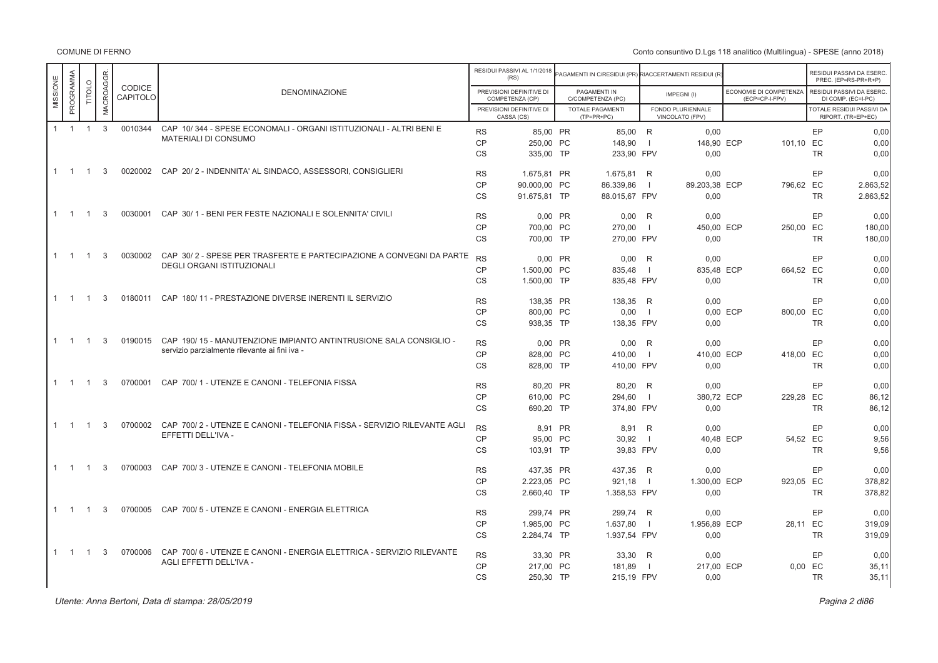COMUNE DI FERNO

|          |             |                |              |                           |                                                                             |                        | RESIDUI PASSIVI AL 1/1/2018<br>(RS)         | AGAMENTI IN C/RESIDUI (PR) RIACCERTAMENTI RESIDUI (R |                |                                      |                                          |          | RESIDUI PASSIVI DA ESERC.<br>PREC. (EP=RS-PR+R+P) |
|----------|-------------|----------------|--------------|---------------------------|-----------------------------------------------------------------------------|------------------------|---------------------------------------------|------------------------------------------------------|----------------|--------------------------------------|------------------------------------------|----------|---------------------------------------------------|
| MISSIONE | PROGRAMMA   | TITOLO         | MACROAGGR    | <b>CODICE</b><br>CAPITOLO | <b>DENOMINAZIONE</b>                                                        |                        | PREVISIONI DEFINITIVE DI<br>COMPETENZA (CP) | PAGAMENTI IN<br>C/COMPETENZA (PC)                    |                | IMPEGNI(I)                           | ECONOMIE DI COMPETENZA<br>(ECP=CP-I-FPV) |          | RESIDUI PASSIVI DA ESERC.<br>DI COMP. (EC=I-PC)   |
|          |             |                |              |                           |                                                                             |                        | PREVISIONI DEFINITIVE DI<br>CASSA (CS)      | <b>TOTALE PAGAMENTI</b><br>(TP=PR+PC)                |                | FONDO PLURIENNALE<br>VINCOLATO (FPV) |                                          |          | TOTALE RESIDUI PASSIVI DA<br>RIPORT. (TR=EP+EC)   |
|          | $1 \quad 1$ | $\overline{1}$ | $\mathbf{3}$ | 0010344                   | CAP 10/344 - SPESE ECONOMALI - ORGANI ISTITUZIONALI - ALTRI BENI E          | <b>RS</b>              | 85.00 PR                                    | 85,00 R                                              |                | 0.00                                 |                                          |          | EP<br>0,00                                        |
|          |             |                |              |                           | <b>MATERIALI DI CONSUMO</b>                                                 | <b>CP</b>              | 250,00 PC                                   | 148,90                                               | $\blacksquare$ | 148,90 ECP                           | 101,10 EC                                |          | 0,00                                              |
|          |             |                |              |                           |                                                                             | <b>CS</b>              | 335,00 TP                                   | 233,90 FPV                                           |                | 0,00                                 |                                          |          | <b>TR</b><br>0,00                                 |
|          | $1 \quad 1$ | $\overline{1}$ | 3            |                           | 0020002 CAP 20/2 - INDENNITA' AL SINDACO, ASSESSORI, CONSIGLIERI            | <b>RS</b>              | 1.675.81 PR                                 | 1.675.81 R                                           |                | 0.00                                 |                                          |          | EP<br>0.00                                        |
|          |             |                |              |                           |                                                                             | <b>CP</b>              | 90.000,00 PC                                | 86.339,86                                            | $\blacksquare$ | 89.203,38 ECP                        | 796,62 EC                                |          | 2.863,52                                          |
|          |             |                |              |                           |                                                                             | <b>CS</b>              | 91.675,81 TP                                | 88.015,67 FPV                                        |                | 0,00                                 |                                          |          | <b>TR</b><br>2.863,52                             |
|          | $1 \quad 1$ | $\overline{1}$ | 3            | 0030001                   | CAP 30/1 - BENI PER FESTE NAZIONALI E SOLENNITA' CIVILI                     |                        |                                             |                                                      |                |                                      |                                          |          | EP                                                |
|          |             |                |              |                           |                                                                             | <b>RS</b>              | 0.00 PR                                     | $0.00$ R                                             |                | 0.00                                 |                                          |          | 0.00                                              |
|          |             |                |              |                           |                                                                             | <b>CP</b><br><b>CS</b> | 700.00 PC<br>700.00 TP                      | 270,00<br>270,00 FPV                                 | $\blacksquare$ | 450,00 ECP<br>0.00                   | 250,00 EC                                |          | 180,00<br><b>TR</b><br>180,00                     |
|          |             |                |              |                           |                                                                             |                        |                                             |                                                      |                |                                      |                                          |          |                                                   |
|          | $1 \quad 1$ | $\overline{1}$ | 3            |                           | 0030002 CAP 30/2 - SPESE PER TRASFERTE E PARTECIPAZIONE A CONVEGNI DA PARTE | <b>RS</b>              | 0.00 PR                                     | $0.00$ R                                             |                | 0.00                                 |                                          |          | EP<br>0.00                                        |
|          |             |                |              |                           | DEGLI ORGANI ISTITUZIONALI                                                  | <b>CP</b>              | 1.500.00 PC                                 | 835,48                                               | $\blacksquare$ | 835,48 ECP                           | 664,52 EC                                |          | 0,00                                              |
|          |             |                |              |                           |                                                                             | <b>CS</b>              | 1.500,00 TP                                 | 835,48 FPV                                           |                | 0,00                                 |                                          |          | <b>TR</b><br>0,00                                 |
|          | $1 \quad 1$ | $\overline{1}$ | 3            |                           | 0180011 CAP 180/11 - PRESTAZIONE DIVERSE INERENTI IL SERVIZIO               | <b>RS</b>              | 138,35 PR                                   | 138,35 R                                             |                | 0,00                                 |                                          |          | EP<br>0,00                                        |
|          |             |                |              |                           |                                                                             | <b>CP</b>              | 800.00 PC                                   | 0,00                                                 | - 1            |                                      | 0.00 ECP<br>800,00 EC                    |          | 0,00                                              |
|          |             |                |              |                           |                                                                             | <b>CS</b>              | 938,35 TP                                   | 138,35 FPV                                           |                | 0.00                                 |                                          |          | <b>TR</b><br>0,00                                 |
|          | $1 \quad 1$ | $\overline{1}$ | 3            | 0190015                   | CAP 190/15 - MANUTENZIONE IMPIANTO ANTINTRUSIONE SALA CONSIGLIO -           | <b>RS</b>              | 0,00 PR                                     | $0,00$ R                                             |                | 0,00                                 |                                          |          | EP<br>0,00                                        |
|          |             |                |              |                           | servizio parzialmente rilevante ai fini iva -                               | CP                     | 828.00 PC                                   | 410,00                                               | $\blacksquare$ | 410,00 ECP                           | 418,00 EC                                |          | 0,00                                              |
|          |             |                |              |                           |                                                                             | <b>CS</b>              | 828,00 TP                                   | 410,00 FPV                                           |                | 0,00                                 |                                          |          | <b>TR</b><br>0,00                                 |
|          | $1 \quad 1$ | $\overline{1}$ | 3            | 0700001                   | CAP 700/1 - UTENZE E CANONI - TELEFONIA FISSA                               | <b>RS</b>              | 80,20 PR                                    | 80,20                                                | R              | 0,00                                 |                                          |          | EP<br>0,00                                        |
|          |             |                |              |                           |                                                                             | <b>CP</b>              | 610.00 PC                                   | 294,60                                               | $\blacksquare$ | 380,72 ECP                           | 229,28 EC                                |          | 86,12                                             |
|          |             |                |              |                           |                                                                             | <b>CS</b>              | 690,20 TP                                   | 374,80 FPV                                           |                | 0.00                                 |                                          |          | <b>TR</b><br>86,12                                |
|          |             |                |              |                           |                                                                             |                        |                                             |                                                      |                |                                      |                                          |          |                                                   |
|          | $1 \quad 1$ | $\overline{1}$ | 3            | 0700002                   | CAP 700/2 - UTENZE E CANONI - TELEFONIA FISSA - SERVIZIO RILEVANTE AGLI     | <b>RS</b>              | 8.91 PR                                     | 8,91                                                 | R              | 0.00                                 |                                          |          | EP<br>0,00                                        |
|          |             |                |              |                           | EFFETTI DELL'IVA -                                                          | <b>CP</b>              | 95.00 PC                                    | 30,92                                                | $\blacksquare$ | 40,48 ECP                            |                                          | 54,52 EC | 9,56                                              |
|          |             |                |              |                           |                                                                             | <b>CS</b>              | 103,91 TP                                   | 39,83 FPV                                            |                | 0.00                                 |                                          |          | <b>TR</b><br>9,56                                 |
|          | $1 \quad 1$ | $\overline{1}$ | 3            | 0700003                   | CAP 700/3 - UTENZE E CANONI - TELEFONIA MOBILE                              | <b>RS</b>              | 437,35 PR                                   | 437,35 R                                             |                | 0.00                                 |                                          |          | EP<br>0,00                                        |
|          |             |                |              |                           |                                                                             | <b>CP</b>              | 2.223,05 PC                                 | 921,18                                               | $\blacksquare$ | 1.300,00 ECP                         | 923,05 EC                                |          | 378,82                                            |
|          |             |                |              |                           |                                                                             | <b>CS</b>              | 2.660,40 TP                                 | 1.358,53 FPV                                         |                | 0.00                                 |                                          |          | <b>TR</b><br>378,82                               |
|          | $1 \quad 1$ | $\overline{1}$ | 3            | 0700005                   | CAP 700/5 - UTENZE E CANONI - ENERGIA ELETTRICA                             | <b>RS</b>              | 299.74 PR                                   | 299,74 R                                             |                | 0.00                                 |                                          |          | EP<br>0.00                                        |
|          |             |                |              |                           |                                                                             | <b>CP</b>              | 1.985.00 PC                                 | 1.637,80                                             | $\blacksquare$ | 1.956,89 ECP                         |                                          | 28.11 EC | 319,09                                            |
|          |             |                |              |                           |                                                                             | CS                     | 2.284,74 TP                                 | 1.937,54 FPV                                         |                | 0,00                                 |                                          |          | <b>TR</b><br>319,09                               |
|          | $1 \quad 1$ | $\overline{1}$ | 3            | 0700006                   | CAP 700/6 - UTENZE E CANONI - ENERGIA ELETTRICA - SERVIZIO RILEVANTE        | <b>RS</b>              | 33.30 PR                                    |                                                      |                |                                      |                                          |          | EP<br>0.00                                        |
|          |             |                |              |                           | AGLI EFFETTI DELL'IVA -                                                     | <b>CP</b>              | 217.00 PC                                   | 33,30 R<br>181,89                                    | - 1            | 0,00<br>217,00 ECP                   |                                          | 0,00 EC  | 35,11                                             |
|          |             |                |              |                           |                                                                             | <b>CS</b>              | 250,30 TP                                   | 215,19 FPV                                           |                | 0,00                                 |                                          |          | 35,11<br><b>TR</b>                                |
|          |             |                |              |                           |                                                                             |                        |                                             |                                                      |                |                                      |                                          |          |                                                   |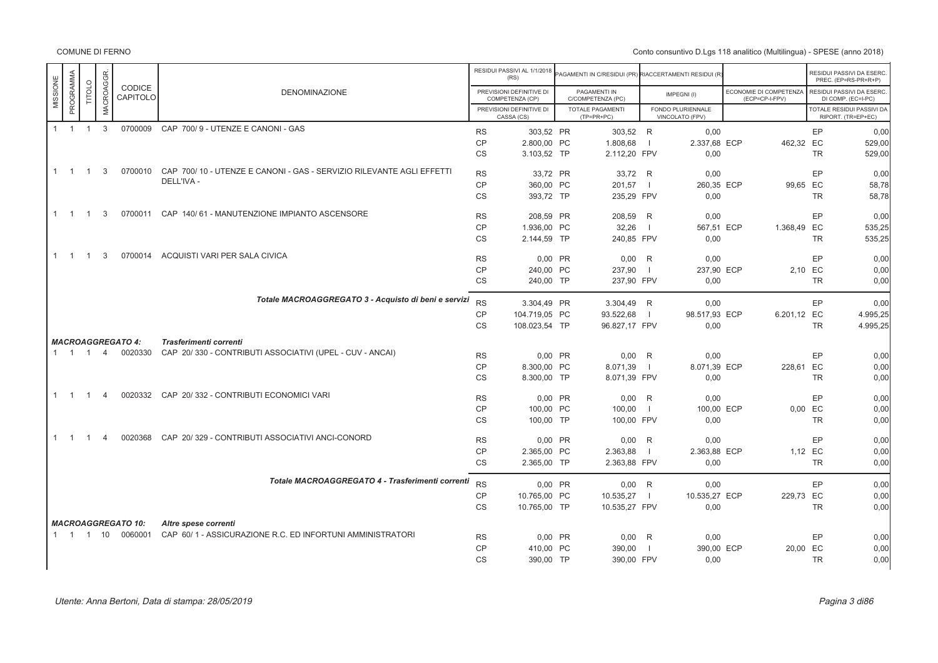|          |             |                |                |                           |                                                                      |           | RESIDUI PASSIVI AL 1/1/2018<br>(RS)         | PAGAMENTI IN C/RESIDUI (PR) RIACCERTAMENTI RESIDUI (R |                          |                                      |                                          |           | RESIDUI PASSIVI DA ESERC<br>PREC. (EP=RS-PR+R+P) |
|----------|-------------|----------------|----------------|---------------------------|----------------------------------------------------------------------|-----------|---------------------------------------------|-------------------------------------------------------|--------------------------|--------------------------------------|------------------------------------------|-----------|--------------------------------------------------|
| MISSIONE | PROGRAMMA   | TITOLO         | MACROAGGR.     | CODICE<br>CAPITOLO        | <b>DENOMINAZIONE</b>                                                 |           | PREVISIONI DEFINITIVE DI<br>COMPETENZA (CP) | PAGAMENTI IN<br>C/COMPETENZA (PC)                     |                          | IMPEGNI(I)                           | ECONOMIE DI COMPETENZA<br>(ECP=CP-I-FPV) |           | RESIDUI PASSIVI DA ESERC<br>DI COMP. (EC=I-PC)   |
|          |             |                |                |                           |                                                                      |           | PREVISIONI DEFINITIVE DI<br>CASSA (CS)      | <b>TOTALE PAGAMENTI</b><br>$(TP=PR+PC)$               |                          | FONDO PLURIENNALE<br>VINCOLATO (FPV) |                                          |           | TOTALE RESIDUI PASSIVI DA<br>RIPORT. (TR=EP+EC)  |
|          | $1 \quad 1$ | $\overline{1}$ | $\mathbf{3}$   | 0700009                   | CAP 700/9 - UTENZE E CANONI - GAS                                    | <b>RS</b> | 303,52 PR                                   | 303,52 R                                              |                          | 0,00                                 |                                          | EP        | 0.00                                             |
|          |             |                |                |                           |                                                                      | <b>CP</b> | 2.800,00 PC                                 | 1.808,68                                              |                          | 2.337,68 ECP                         | 462,32 EC                                |           | 529,00                                           |
|          |             |                |                |                           |                                                                      | CS        | 3.103,52 TP                                 | 2.112,20 FPV                                          |                          | 0,00                                 |                                          | <b>TR</b> | 529,00                                           |
|          | $1 \quad 1$ | $\overline{1}$ | 3              | 0700010                   | CAP 700/10 - UTENZE E CANONI - GAS - SERVIZIO RILEVANTE AGLI EFFETTI | <b>RS</b> | 33,72 PR                                    | 33,72 R                                               |                          | 0,00                                 |                                          | EP        | 0,00                                             |
|          |             |                |                |                           | DELL'IVA -                                                           | CP        | 360,00 PC                                   | 201,57                                                |                          | 260,35 ECP                           | 99,65 EC                                 |           | 58,78                                            |
|          |             |                |                |                           |                                                                      | <b>CS</b> | 393.72 TP                                   | 235.29 FPV                                            |                          | 0.00                                 |                                          | <b>TR</b> | 58,78                                            |
|          | $1 \quad 1$ | $\overline{1}$ | 3              | 0700011                   | CAP 140/61 - MANUTENZIONE IMPIANTO ASCENSORE                         | <b>RS</b> | 208.59 PR                                   | 208.59                                                | R                        | 0.00                                 |                                          | EP        | 0.00                                             |
|          |             |                |                |                           |                                                                      | <b>CP</b> | 1.936,00 PC                                 | 32,26                                                 | $\overline{\phantom{0}}$ | 567,51 ECP                           | 1.368,49 EC                              |           | 535,25                                           |
|          |             |                |                |                           |                                                                      | <b>CS</b> | 2.144,59 TP                                 | 240.85 FPV                                            |                          | 0.00                                 |                                          | <b>TR</b> | 535.25                                           |
|          | $1 \quad 1$ | $\overline{1}$ | 3              | 0700014                   | ACQUISTI VARI PER SALA CIVICA                                        | <b>RS</b> | 0,00 PR                                     | 0,00                                                  | R                        | 0,00                                 |                                          | EP        | 0.00                                             |
|          |             |                |                |                           |                                                                      | <b>CP</b> | 240,00 PC                                   | 237,90                                                | $\blacksquare$           | 237,90 ECP                           |                                          | 2,10 EC   | 0,00                                             |
|          |             |                |                |                           |                                                                      | <b>CS</b> | 240.00 TP                                   | 237,90 FPV                                            |                          | 0.00                                 |                                          | <b>TR</b> | 0.00                                             |
|          |             |                |                |                           | Totale MACROAGGREGATO 3 - Acquisto di beni e servizi                 | <b>RS</b> | 3.304,49 PR                                 | 3.304,49 R                                            |                          | 0,00                                 |                                          | EP        | 0.00                                             |
|          |             |                |                |                           |                                                                      | CP        | 104.719,05 PC                               | 93.522,68                                             | $\overline{\phantom{0}}$ | 98.517,93 ECP                        | 6.201,12 EC                              |           | 4.995,25                                         |
|          |             |                |                |                           |                                                                      | <b>CS</b> | 108.023,54 TP                               | 96.827,17 FPV                                         |                          | 0,00                                 |                                          | <b>TR</b> | 4.995,25                                         |
|          |             |                |                | <b>MACROAGGREGATO 4:</b>  | Trasferimenti correnti                                               |           |                                             |                                                       |                          |                                      |                                          |           |                                                  |
|          | $1 \t1 \t1$ |                | $\overline{4}$ | 0020330                   | CAP 20/330 - CONTRIBUTI ASSOCIATIVI (UPEL - CUV - ANCAI)             | <b>RS</b> | 0,00 PR                                     | 0,00                                                  | R                        | 0.00                                 |                                          | EP        | 0.00                                             |
|          |             |                |                |                           |                                                                      | <b>CP</b> | 8.300,00 PC                                 | 8.071,39                                              | $\blacksquare$           | 8.071,39 ECP                         | 228,61 EC                                |           | 0,00                                             |
|          |             |                |                |                           |                                                                      | CS        | 8.300.00 TP                                 | 8.071,39 FPV                                          |                          | 0.00                                 |                                          | <b>TR</b> | 0.00                                             |
|          | $1 \quad 1$ | $\overline{1}$ | $\overline{4}$ | 0020332                   | CAP 20/332 - CONTRIBUTI ECONOMICI VARI                               | <b>RS</b> | 0,00 PR                                     | $0.00$ R                                              |                          | 0,00                                 |                                          | EP        | 0,00                                             |
|          |             |                |                |                           |                                                                      | <b>CP</b> | 100,00 PC                                   | 100,00                                                | $\blacksquare$           | 100,00 ECP                           |                                          | 0,00 EC   | 0,00                                             |
|          |             |                |                |                           |                                                                      | CS        | 100,00 TP                                   | 100,00 FPV                                            |                          | 0.00                                 |                                          | <b>TR</b> | 0,00                                             |
|          | $1 \quad 1$ | $\overline{1}$ | $\overline{4}$ | 0020368                   | CAP 20/329 - CONTRIBUTI ASSOCIATIVI ANCI-CONORD                      | <b>RS</b> | 0,00 PR                                     | 0,00                                                  | R                        | 0,00                                 |                                          | EP        | 0,00                                             |
|          |             |                |                |                           |                                                                      | CP        | 2.365,00 PC                                 | 2.363,88                                              | $\blacksquare$           | 2.363,88 ECP                         |                                          | 1,12 EC   | 0.00                                             |
|          |             |                |                |                           |                                                                      | CS        | 2.365,00 TP                                 | 2.363,88 FPV                                          |                          | 0,00                                 |                                          | <b>TR</b> | 0,00                                             |
|          |             |                |                |                           | Totale MACROAGGREGATO 4 - Trasferimenti correnti                     | <b>RS</b> | 0,00 PR                                     | $0,00$ R                                              |                          | 0,00                                 |                                          | EP        | 0,00                                             |
|          |             |                |                |                           |                                                                      | <b>CP</b> | 10.765.00 PC                                | 10.535,27                                             | $\Box$                   | 10.535,27 ECP                        | 229,73 EC                                |           | 0.00                                             |
|          |             |                |                |                           |                                                                      | <b>CS</b> | 10.765,00 TP                                | 10.535,27 FPV                                         |                          | 0,00                                 |                                          | <b>TR</b> | 0,00                                             |
|          |             |                |                | <b>MACROAGGREGATO 10:</b> | Altre spese correnti                                                 |           |                                             |                                                       |                          |                                      |                                          |           |                                                  |
|          |             |                |                | 1 1 1 10 0060001          | CAP 60/1 - ASSICURAZIONE R.C. ED INFORTUNI AMMINISTRATORI            | <b>RS</b> | 0,00 PR                                     | 0,00                                                  | R                        | 0,00                                 |                                          | EP        | 0,00                                             |
|          |             |                |                |                           |                                                                      | <b>CP</b> | 410.00 PC                                   | 390,00                                                | $\overline{1}$           | 390,00 ECP                           | 20,00 EC                                 |           | 0,00                                             |
|          |             |                |                |                           |                                                                      | <b>CS</b> | 390,00 TP                                   | 390,00 FPV                                            |                          | 0,00                                 |                                          | <b>TR</b> | 0.00                                             |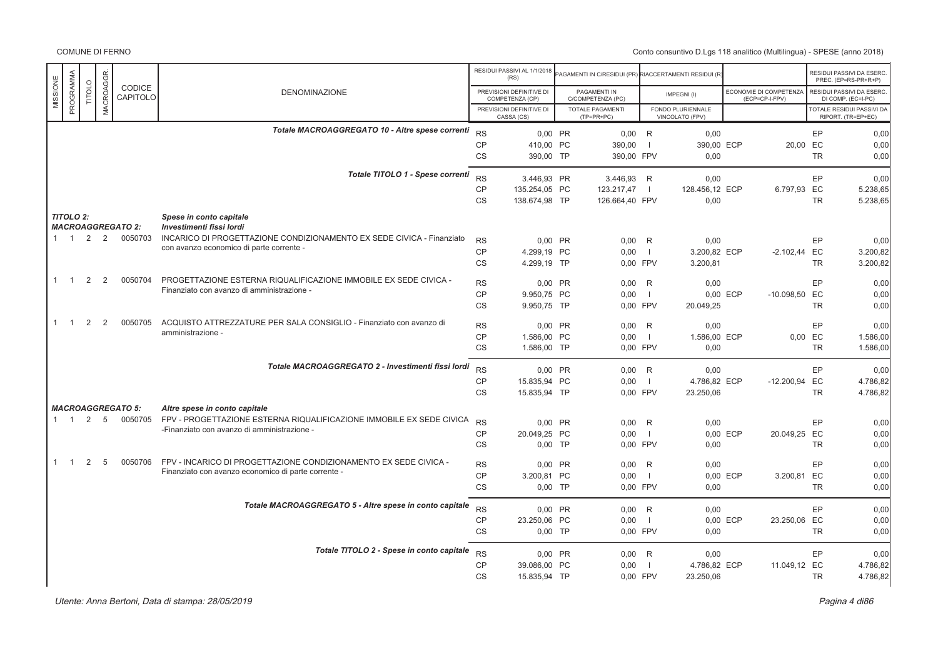|              |                  |                |           |                                     |                                                                                                                   |                 | RESIDUI PASSIVI AL 1/1/2018<br>(RS)         | PAGAMENTI IN C/RESIDUI (PR) RIACCERTAMENTI RESIDUI (R |                |                                      |          |                                          |                      | RESIDUI PASSIVI DA ESERC<br>PREC. (EP=RS-PR+R+P) |
|--------------|------------------|----------------|-----------|-------------------------------------|-------------------------------------------------------------------------------------------------------------------|-----------------|---------------------------------------------|-------------------------------------------------------|----------------|--------------------------------------|----------|------------------------------------------|----------------------|--------------------------------------------------|
| MISSIONE     | PROGRAMMA        | TITOLO         | MACROAGGR | CODICE<br>CAPITOLO                  | <b>DENOMINAZIONE</b>                                                                                              |                 | PREVISIONI DEFINITIVE DI<br>COMPETENZA (CP) | PAGAMENTI IN<br>C/COMPETENZA (PC)                     |                | IMPEGNI(I)                           |          | ECONOMIE DI COMPETENZA<br>(ECP=CP-I-FPV) |                      | RESIDUI PASSIVI DA ESERC<br>DI COMP. (EC=I-PC)   |
|              |                  |                |           |                                     |                                                                                                                   |                 | PREVISIONI DEFINITIVE DI<br>CASSA (CS)      | <b>TOTALE PAGAMENTI</b><br>$(TP=PR+PC)$               |                | FONDO PLURIENNALE<br>VINCOLATO (FPV) |          |                                          |                      | TOTALE RESIDUI PASSIVI DA<br>RIPORT. (TR=EP+EC)  |
|              |                  |                |           |                                     | Totale MACROAGGREGATO 10 - Altre spese correnti                                                                   | <b>RS</b>       | 0.00 PR                                     | $0,00$ R                                              |                | 0,00                                 |          |                                          | EP                   | 0,00                                             |
|              |                  |                |           |                                     |                                                                                                                   | CP              | 410,00 PC                                   | 390,00                                                | $\overline{1}$ | 390,00 ECP                           |          | 20,00 EC                                 |                      | 0,00                                             |
|              |                  |                |           |                                     |                                                                                                                   | <b>CS</b>       | 390,00 TP                                   | 390.00 FPV                                            |                | 0.00                                 |          |                                          | <b>TR</b>            | 0,00                                             |
|              |                  |                |           |                                     | Totale TITOLO 1 - Spese correnti                                                                                  | <b>RS</b>       | 3.446.93 PR                                 | 3.446.93 R                                            |                | 0.00                                 |          |                                          | EP                   | 0,00                                             |
|              |                  |                |           |                                     |                                                                                                                   | CP<br><b>CS</b> | 135.254,05 PC<br>138.674,98 TP              | 123.217,47<br>126.664,40 FPV                          | $\blacksquare$ | 128.456,12 ECP<br>0,00               |          | 6.797,93 EC                              | <b>TR</b>            | 5.238,65<br>5.238,65                             |
|              | <b>TITOLO 2:</b> |                |           |                                     | Spese in conto capitale                                                                                           |                 |                                             |                                                       |                |                                      |          |                                          |                      |                                                  |
|              |                  | 2              | 2         | <b>MACROAGGREGATO 2:</b><br>0050703 | Investimenti fissi lordi                                                                                          |                 |                                             |                                                       |                |                                      |          |                                          |                      |                                                  |
|              | $1 \quad 1$      |                |           |                                     | INCARICO DI PROGETTAZIONE CONDIZIONAMENTO EX SEDE CIVICA - Finanziato<br>con avanzo economico di parte corrente - | <b>RS</b>       | 0,00 PR                                     | 0,00                                                  | R<br>$\Box$    | 0,00                                 |          |                                          | EP                   | 0,00                                             |
|              |                  |                |           |                                     |                                                                                                                   | CP<br><b>CS</b> | 4.299,19 PC<br>4.299.19 TP                  | 0.00<br>0.00 FPV                                      |                | 3.200,82 ECP<br>3.200,81             |          | $-2.102,44$ EC                           | <b>TR</b>            | 3.200,82<br>3.200,82                             |
|              |                  |                |           |                                     |                                                                                                                   |                 |                                             |                                                       |                |                                      |          |                                          |                      |                                                  |
| $\mathbf{1}$ | $\overline{1}$   | 2              | 2         | 0050704                             | PROGETTAZIONE ESTERNA RIQUALIFICAZIONE IMMOBILE EX SEDE CIVICA -<br>Finanziato con avanzo di amministrazione -    | <b>RS</b>       | 0,00 PR                                     | $0,00$ R                                              |                | 0,00                                 |          |                                          | EP                   | 0,00                                             |
|              |                  |                |           |                                     |                                                                                                                   | CP<br><b>CS</b> | 9.950,75 PC<br>9.950,75 TP                  | 0.00<br>0,00 FPV                                      | $\mathbf{I}$   | 20.049,25                            | 0,00 ECP | -10.098,50 EC                            | TR                   | 0,00<br>0,00                                     |
|              |                  |                |           |                                     |                                                                                                                   |                 |                                             |                                                       |                |                                      |          |                                          |                      |                                                  |
| $\mathbf{1}$ | $\overline{1}$   | 2              | 2         | 0050705                             | ACQUISTO ATTREZZATURE PER SALA CONSIGLIO - Finanziato con avanzo di<br>amministrazione -                          | <b>RS</b>       | 0,00 PR                                     | 0,00                                                  | R              | 0,00                                 |          |                                          | EP                   | 0,00                                             |
|              |                  |                |           |                                     |                                                                                                                   | CP<br><b>CS</b> | 1.586,00 PC<br>1.586,00 TP                  | 0,00<br>0,00 FPV                                      | $\Box$         | 1.586,00 ECP<br>0,00                 |          |                                          | 0,00 EC<br><b>TR</b> | 1.586,00<br>1.586,00                             |
|              |                  |                |           |                                     | Totale MACROAGGREGATO 2 - Investimenti fissi lordi                                                                | RS              | 0.00 PR                                     | 0.00 R                                                |                | 0,00                                 |          |                                          | EP                   | 0,00                                             |
|              |                  |                |           |                                     |                                                                                                                   | <b>CP</b>       | 15.835,94 PC                                | 0,00                                                  | $\mathbf{I}$   | 4.786,82 ECP                         |          | $-12.200,94$                             | EC                   | 4.786,82                                         |
|              |                  |                |           |                                     |                                                                                                                   | <b>CS</b>       | 15.835,94 TP                                | 0,00 FPV                                              |                | 23.250,06                            |          |                                          | <b>TR</b>            | 4.786,82                                         |
|              |                  |                |           | <b>MACROAGGREGATO 5:</b>            | Altre spese in conto capitale                                                                                     |                 |                                             |                                                       |                |                                      |          |                                          |                      |                                                  |
|              | $\overline{1}$   | $\overline{2}$ | 5         | 0050705                             | FPV - PROGETTAZIONE ESTERNA RIQUALIFICAZIONE IMMOBILE EX SEDE CIVICA                                              | <b>RS</b>       | 0.00 PR                                     | $0,00$ R                                              |                | 0,00                                 |          |                                          | EP                   | 0,00                                             |
|              |                  |                |           |                                     | -Finanziato con avanzo di amministrazione -                                                                       | CP              | 20.049,25 PC                                | 0,00                                                  | $\overline{1}$ |                                      | 0,00 ECP | 20.049,25 EC                             |                      | 0,00                                             |
|              |                  |                |           |                                     |                                                                                                                   | <b>CS</b>       | $0.00$ TP                                   | 0.00 FPV                                              |                | 0,00                                 |          |                                          | <b>TR</b>            | 0,00                                             |
| $\mathbf{1}$ | $\overline{1}$   | 2              | 5         | 0050706                             | FPV - INCARICO DI PROGETTAZIONE CONDIZIONAMENTO EX SEDE CIVICA -                                                  | <b>RS</b>       | 0,00 PR                                     | 0.00                                                  | R              | 0,00                                 |          |                                          | EP                   | 0,00                                             |
|              |                  |                |           |                                     | Finanziato con avanzo economico di parte corrente -                                                               | CP              | 3.200,81 PC                                 | 0,00                                                  | $\overline{1}$ |                                      | 0,00 ECP | 3.200,81 EC                              |                      | 0,00                                             |
|              |                  |                |           |                                     |                                                                                                                   | CS              | $0,00$ TP                                   | 0,00 FPV                                              |                | 0,00                                 |          |                                          | TR                   | 0,00                                             |
|              |                  |                |           |                                     | Totale MACROAGGREGATO 5 - Altre spese in conto capitale                                                           | <b>RS</b>       | 0,00 PR                                     | $0,00$ R                                              |                | 0.00                                 |          |                                          | <b>EP</b>            | 0,00                                             |
|              |                  |                |           |                                     |                                                                                                                   | CP              | 23.250,06 PC                                | 0,00                                                  | $\overline{1}$ |                                      | 0,00 ECP | 23.250,06 EC                             |                      | 0,00                                             |
|              |                  |                |           |                                     |                                                                                                                   | <b>CS</b>       | $0.00$ TP                                   | 0,00 FPV                                              |                | 0.00                                 |          |                                          | <b>TR</b>            | 0,00                                             |
|              |                  |                |           |                                     | Totale TITOLO 2 - Spese in conto capitale                                                                         | <b>RS</b>       | 0,00 PR                                     | $0,00$ R                                              |                | 0,00                                 |          |                                          | EP                   | 0,00                                             |
|              |                  |                |           |                                     |                                                                                                                   | <b>CP</b>       | 39.086,00 PC                                | 0.00                                                  | $\mathbf{I}$   | 4.786,82 ECP                         |          | 11.049,12 EC                             |                      | 4.786,82                                         |
|              |                  |                |           |                                     |                                                                                                                   | <b>CS</b>       | 15.835,94 TP                                | 0.00 FPV                                              |                | 23.250,06                            |          |                                          | <b>TR</b>            | 4.786,82                                         |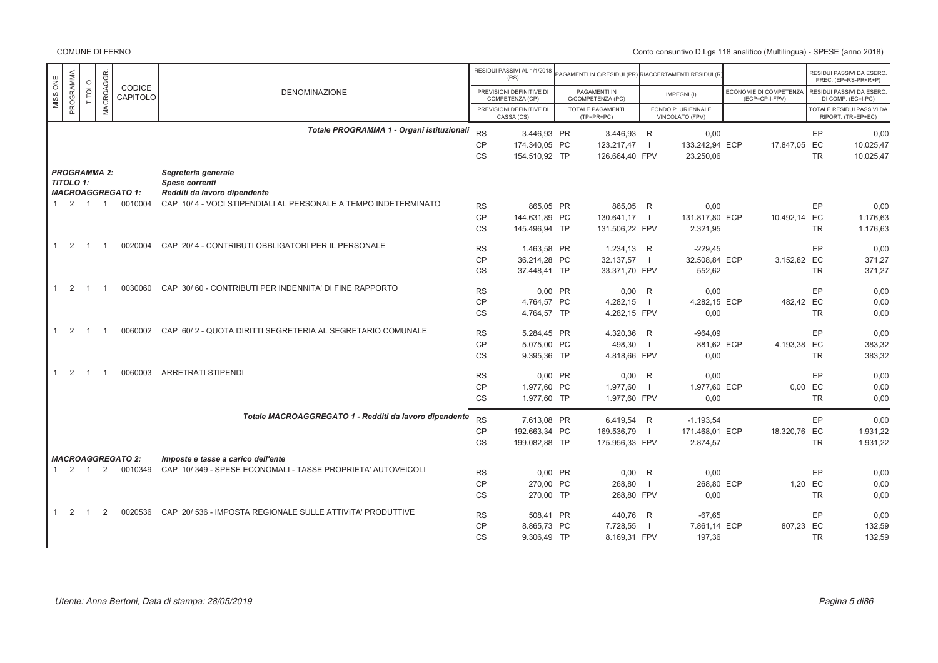|                                |                            |                     |                           |                                                                    |           | RESIDUI PASSIVI AL 1/1/2018<br>(RS)         | PAGAMENTI IN C/RESIDUI (PR) RIACCERTAMENTI RESIDUI (R |                |                                      |                                          |         | RESIDUI PASSIVI DA ESERC<br>PREC. (EP=RS-PR+R+P)       |
|--------------------------------|----------------------------|---------------------|---------------------------|--------------------------------------------------------------------|-----------|---------------------------------------------|-------------------------------------------------------|----------------|--------------------------------------|------------------------------------------|---------|--------------------------------------------------------|
| MISSIONE                       | PROGRAMMA<br><b>TITOLO</b> | <b>MACROAGGR</b>    | CODICE<br><b>CAPITOLO</b> | <b>DENOMINAZIONE</b>                                               |           | PREVISIONI DEFINITIVE DI<br>COMPETENZA (CP) | PAGAMENTI IN<br>C/COMPETENZA (PC)                     |                | IMPEGNI(I)                           | ECONOMIE DI COMPETENZA<br>(ECP=CP-I-FPV) |         | RESIDUI PASSIVI DA ESERC<br>DI COMP. (EC=I-PC)         |
|                                |                            |                     |                           |                                                                    |           | PREVISIONI DEFINITIVE DI<br>CASSA (CS)      | <b>TOTALE PAGAMENTI</b><br>$(TP=PR+PC)$               |                | FONDO PLURIENNALE<br>VINCOLATO (FPV) |                                          |         | <b>TOTALE RESIDUI PASSIVI DA</b><br>RIPORT. (TR=EP+EC) |
|                                |                            |                     |                           | Totale PROGRAMMA 1 - Organi istituzionali                          | <b>RS</b> | 3.446,93 PR                                 | 3.446,93 R                                            |                | 0,00                                 |                                          |         | EP<br>0,00                                             |
|                                |                            |                     |                           |                                                                    | CP        | 174.340,05 PC                               | 123.217,47                                            | $\blacksquare$ | 133.242,94 ECP                       | 17.847,05 EC                             |         | 10.025,47                                              |
|                                |                            |                     |                           |                                                                    | <b>CS</b> | 154.510,92 TP                               | 126.664,40 FPV                                        |                | 23.250,06                            |                                          |         | <b>TR</b><br>10.025,47                                 |
|                                |                            | <b>PROGRAMMA 2:</b> |                           | Segreteria generale                                                |           |                                             |                                                       |                |                                      |                                          |         |                                                        |
| <b>TITOLO 1:</b>               |                            |                     | <b>MACROAGGREGATO 1:</b>  | Spese correnti<br>Redditi da lavoro dipendente                     |           |                                             |                                                       |                |                                      |                                          |         |                                                        |
|                                |                            |                     |                           |                                                                    |           |                                             |                                                       |                |                                      |                                          |         |                                                        |
|                                | $1 \t2 \t1 \t1$            |                     | 0010004                   | CAP 10/4 - VOCI STIPENDIALI AL PERSONALE A TEMPO INDETERMINATO     | <b>RS</b> | 865,05 PR                                   | 865,05 R                                              |                | 0,00                                 |                                          |         | EP<br>0.00                                             |
|                                |                            |                     |                           |                                                                    | <b>CP</b> | 144.631.89 PC                               | 130.641,17                                            | $\blacksquare$ | 131.817.80 ECP                       | 10.492,14 EC                             |         | 1.176,63                                               |
|                                |                            |                     |                           |                                                                    | <b>CS</b> | 145.496,94 TP                               | 131.506,22 FPV                                        |                | 2.321,95                             |                                          |         | <b>TR</b><br>1.176,63                                  |
| 2<br>$\mathbf{1}$              | $\overline{1}$             | - 1                 | 0020004                   | CAP 20/4 - CONTRIBUTI OBBLIGATORI PER IL PERSONALE                 | <b>RS</b> | 1.463.58 PR                                 | 1.234,13 R                                            |                | $-229.45$                            |                                          |         | EP<br>0.00                                             |
|                                |                            |                     |                           |                                                                    | <b>CP</b> | 36.214,28 PC                                | 32.137,57                                             | $\blacksquare$ | 32.508,84 ECP                        | 3.152,82 EC                              |         | 371,27                                                 |
|                                |                            |                     |                           |                                                                    | <b>CS</b> | 37.448,41 TP                                | 33.371,70 FPV                                         |                | 552,62                               |                                          |         | <b>TR</b><br>371,27                                    |
| $\overline{2}$<br>$\mathbf{1}$ | $\overline{1}$             |                     | 0030060                   | CAP 30/60 - CONTRIBUTI PER INDENNITA' DI FINE RAPPORTO             | <b>RS</b> | 0.00 PR                                     | $0,00$ R                                              |                | 0,00                                 |                                          |         | EP<br>0,00                                             |
|                                |                            |                     |                           |                                                                    | CP        | 4.764,57 PC                                 | 4.282,15                                              | $\blacksquare$ | 4.282,15 ECP                         | 482,42 EC                                |         | 0.00                                                   |
|                                |                            |                     |                           |                                                                    | <b>CS</b> | 4.764,57 TP                                 | 4.282,15 FPV                                          |                | 0.00                                 |                                          |         | <b>TR</b><br>0,00                                      |
| $1 \quad 2$                    | $\overline{1}$             |                     |                           | 0060002 CAP 60/2 - QUOTA DIRITTI SEGRETERIA AL SEGRETARIO COMUNALE | <b>RS</b> | 5.284,45 PR                                 | 4.320,36                                              | R              | $-964,09$                            |                                          |         | EP<br>0.00                                             |
|                                |                            |                     |                           |                                                                    | CP        | 5.075.00 PC                                 | 498.30                                                | - 1            | 881.62 ECP                           | 4.193,38 EC                              |         | 383.32                                                 |
|                                |                            |                     |                           |                                                                    | CS        | 9.395,36 TP                                 | 4.818,66 FPV                                          |                | 0,00                                 |                                          |         | <b>TR</b><br>383,32                                    |
| 2<br>$\mathbf{1}$              | $\overline{1}$             | -1                  | 0060003                   | <b>ARRETRATI STIPENDI</b>                                          | <b>RS</b> | 0.00 PR                                     | $0.00$ R                                              |                | 0.00                                 |                                          |         | EP<br>0.00                                             |
|                                |                            |                     |                           |                                                                    |           |                                             |                                                       |                |                                      |                                          |         |                                                        |
|                                |                            |                     |                           |                                                                    | CP        | 1.977,60 PC                                 | 1.977,60                                              | $\Box$         | 1.977,60 ECP                         |                                          | 0,00 EC | 0,00<br><b>TR</b>                                      |
|                                |                            |                     |                           |                                                                    | <b>CS</b> | 1.977,60 TP                                 | 1.977,60 FPV                                          |                | 0,00                                 |                                          |         | 0,00                                                   |
|                                |                            |                     |                           | Totale MACROAGGREGATO 1 - Redditi da lavoro dipendente             | <b>RS</b> | 7.613,08 PR                                 | 6.419,54 R                                            |                | $-1.193,54$                          |                                          |         | EP<br>0.00                                             |
|                                |                            |                     |                           |                                                                    | CP        | 192.663,34 PC                               | 169.536,79                                            | $\blacksquare$ | 171.468,01 ECP                       | 18.320,76 EC                             |         | 1.931,22                                               |
|                                |                            |                     |                           |                                                                    | <b>CS</b> | 199.082.88 TP                               | 175.956,33 FPV                                        |                | 2.874,57                             |                                          |         | <b>TR</b><br>1.931,22                                  |
|                                |                            |                     | <b>MACROAGGREGATO 2:</b>  | Imposte e tasse a carico dell'ente                                 |           |                                             |                                                       |                |                                      |                                          |         |                                                        |
|                                | $1 \quad 2 \quad 1$        | 2                   | 0010349                   | CAP 10/349 - SPESE ECONOMALI - TASSE PROPRIETA' AUTOVEICOLI        | <b>RS</b> | 0,00 PR                                     | 0,00                                                  | R              | 0,00                                 |                                          |         | EP<br>0,00                                             |
|                                |                            |                     |                           |                                                                    | <b>CP</b> | 270,00 PC                                   | 268,80                                                | $\blacksquare$ | 268,80 ECP                           |                                          | 1.20 EC | 0,00                                                   |
|                                |                            |                     |                           |                                                                    | <b>CS</b> | 270,00 TP                                   | 268,80 FPV                                            |                |                                      |                                          |         | <b>TR</b>                                              |
|                                |                            |                     |                           |                                                                    |           |                                             |                                                       |                | 0,00                                 |                                          |         | 0,00                                                   |
| $1 \quad 2$                    | $\overline{1}$             | 2                   | 0020536                   | CAP 20/ 536 - IMPOSTA REGIONALE SULLE ATTIVITA' PRODUTTIVE         | <b>RS</b> | 508.41 PR                                   | 440.76 R                                              |                | $-67.65$                             |                                          |         | EP<br>0.00                                             |
|                                |                            |                     |                           |                                                                    | CP        | 8.865,73 PC                                 | 7.728,55                                              | - 1            | 7.861,14 ECP                         | 807,23 EC                                |         | 132,59                                                 |
|                                |                            |                     |                           |                                                                    | <b>CS</b> | 9.306,49 TP                                 | 8.169,31 FPV                                          |                | 197,36                               |                                          |         | 132,59<br><b>TR</b>                                    |
|                                |                            |                     |                           |                                                                    |           |                                             |                                                       |                |                                      |                                          |         |                                                        |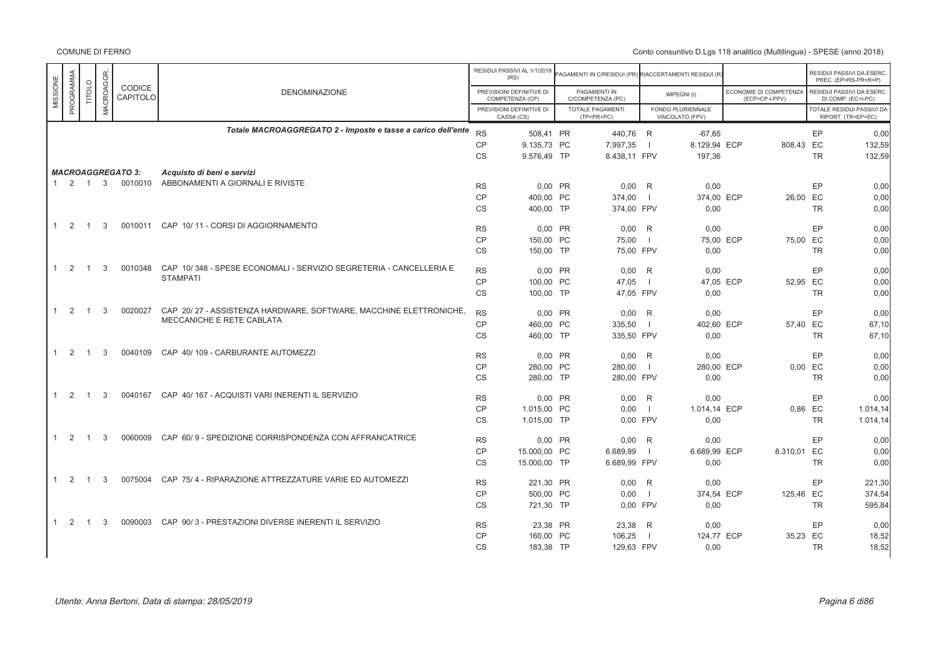|              |                   |                |           |                           |                                                                    |                        | RESIDUI PASSIVI AL 1/1/2018<br>(RS)         | AGAMENTI IN C/RESIDUI (PR) RIACCERTAMENTI RESIDUI (R) |                     |                                      |                                          |           | RESIDUI PASSIVI DA ESERC.<br>PREC. (EP=RS-PR+R+P) |
|--------------|-------------------|----------------|-----------|---------------------------|--------------------------------------------------------------------|------------------------|---------------------------------------------|-------------------------------------------------------|---------------------|--------------------------------------|------------------------------------------|-----------|---------------------------------------------------|
| MISSIONE     | PROGRAMMA         | <b>TITOLO</b>  | MACROAGGR | <b>CODICE</b><br>CAPITOLO | <b>DENOMINAZIONE</b>                                               |                        | PREVISIONI DEFINITIVE DI<br>COMPETENZA (CP) | PAGAMENTI IN<br>C/COMPETENZA (PC)                     |                     | IMPEGNI(I)                           | ECONOMIE DI COMPETENZA<br>(ECP=CP-I-FPV) |           | RESIDUI PASSIVI DA ESERC.<br>DI COMP. (EC=I-PC)   |
|              |                   |                |           |                           |                                                                    |                        | PREVISIONI DEFINITIVE DI<br>CASSA (CS)      | <b>TOTALE PAGAMENTI</b><br>$(TP=PR+PC)$               |                     | FONDO PLURIENNALE<br>VINCOLATO (FPV) |                                          |           | TOTALE RESIDUI PASSIVI DA<br>RIPORT. (TR=EP+EC)   |
|              |                   |                |           |                           | Totale MACROAGGREGATO 2 - Imposte e tasse a carico dell'ente       | <b>RS</b>              | 508,41 PR                                   | 440,76 R                                              |                     | $-67.65$                             |                                          | EP        | 0.00                                              |
|              |                   |                |           |                           |                                                                    | <b>CP</b>              | 9.135,73 PC                                 | 7.997,35                                              |                     | 8.129,94 ECP                         | 808,43 EC                                |           | 132,59                                            |
|              |                   |                |           |                           |                                                                    | <b>CS</b>              | 9.576,49 TP                                 | 8.438,11 FPV                                          |                     | 197,36                               |                                          | <b>TR</b> | 132,59                                            |
|              |                   |                |           | <b>MACROAGGREGATO 3:</b>  | Acquisto di beni e servizi                                         |                        |                                             |                                                       |                     |                                      |                                          |           |                                                   |
|              | $1\quad 2\quad 1$ |                | 3         | 0010010                   | ABBONAMENTI A GIORNALI E RIVISTE                                   | <b>RS</b>              | $0.00$ PR                                   | $0.00$ R                                              |                     |                                      |                                          | EP        | 0.00                                              |
|              |                   |                |           |                           |                                                                    | <b>CP</b>              | 400.00 PC                                   | 374,00                                                |                     | 0,00<br>374,00 ECP                   | 26,00 EC                                 |           | 0,00                                              |
|              |                   |                |           |                           |                                                                    | CS                     | 400.00 TP                                   | 374,00 FPV                                            |                     | 0,00                                 |                                          | <b>TR</b> | 0,00                                              |
|              |                   |                |           |                           |                                                                    |                        |                                             |                                                       |                     |                                      |                                          |           |                                                   |
|              | $\overline{2}$    | $\overline{1}$ | 3         | 0010011                   | CAP 10/11 - CORSI DI AGGIORNAMENTO                                 | <b>RS</b>              | 0,00 PR                                     | $0.00$ R                                              |                     | 0,00                                 |                                          | EP        | 0,00                                              |
|              |                   |                |           |                           |                                                                    | <b>CP</b>              | 150,00 PC                                   | 75,00                                                 | $\perp$             | 75,00 ECP                            | 75,00 EC                                 |           | 0,00                                              |
|              |                   |                |           |                           |                                                                    | CS                     | 150.00 TP                                   | 75.00 FPV                                             |                     | 0,00                                 |                                          | <b>TR</b> | 0,00                                              |
| $\mathbf{1}$ | 2                 | $\overline{1}$ | 3         | 0010348                   | CAP 10/348 - SPESE ECONOMALI - SERVIZIO SEGRETERIA - CANCELLERIA E |                        |                                             |                                                       |                     |                                      |                                          |           |                                                   |
|              |                   |                |           |                           | <b>STAMPATI</b>                                                    | <b>RS</b><br><b>CP</b> | 0,00 PR<br>100,00 PC                        | 0.00<br>47,05                                         | R<br>$\overline{1}$ | 0,00<br>47,05 ECP                    | 52,95 EC                                 | EP        | 0,00<br>0,00                                      |
|              |                   |                |           |                           |                                                                    | CS                     | 100,00 TP                                   | 47,05 FPV                                             |                     | 0,00                                 |                                          | <b>TR</b> | 0,00                                              |
|              |                   |                |           |                           |                                                                    |                        |                                             |                                                       |                     |                                      |                                          |           |                                                   |
|              | $1 \quad 2$       | $\overline{1}$ | 3         | 0020027                   | CAP 20/27 - ASSISTENZA HARDWARE, SOFTWARE, MACCHINE ELETTRONICHE,  | <b>RS</b>              | 0.00 PR                                     | $0.00$ R                                              |                     | 0.00                                 |                                          | EP        | 0.00                                              |
|              |                   |                |           |                           | MECCANICHE E RETE CABLATA                                          | <b>CP</b>              | 460.00 PC                                   | 335,50                                                | $\Box$              | 402.60 ECP                           | 57.40 EC                                 |           | 67.10                                             |
|              |                   |                |           |                           |                                                                    | <b>CS</b>              | 460,00 TP                                   | 335,50 FPV                                            |                     | 0,00                                 |                                          | <b>TR</b> | 67,10                                             |
| 1            | 2                 | $\overline{1}$ | 3         | 0040109                   | CAP 40/109 - CARBURANTE AUTOMEZZI                                  | <b>RS</b>              | 0,00 PR                                     | $0,00$ R                                              |                     | 0,00                                 |                                          | EP        | 0,00                                              |
|              |                   |                |           |                           |                                                                    | <b>CP</b>              | 280,00 PC                                   | 280,00                                                |                     | 280,00 ECP                           |                                          | $0,00$ EC | 0,00                                              |
|              |                   |                |           |                           |                                                                    | <b>CS</b>              | 280,00 TP                                   | 280,00 FPV                                            |                     | 0,00                                 |                                          | <b>TR</b> | 0,00                                              |
|              |                   |                | 3         | 0040167                   |                                                                    |                        |                                             |                                                       |                     |                                      |                                          |           |                                                   |
| $\mathbf{1}$ | 2                 | $\overline{1}$ |           |                           | CAP 40/167 - ACQUISTI VARI INERENTI IL SERVIZIO                    | <b>RS</b>              | 0.00 PR                                     | 0.00                                                  | R                   | 0,00                                 |                                          | EP        | 0,00                                              |
|              |                   |                |           |                           |                                                                    | <b>CP</b>              | 1.015,00 PC                                 | 0,00                                                  | $\blacksquare$      | 1.014,14 ECP                         |                                          | 0,86 EC   | 1.014, 14                                         |
|              |                   |                |           |                           |                                                                    | CS                     | 1.015,00 TP                                 | 0,00 FPV                                              |                     | 0,00                                 |                                          | TR        | 1.014, 14                                         |
| $\mathbf{1}$ | 2                 | $\overline{1}$ | 3         | 0060009                   | CAP 60/9 - SPEDIZIONE CORRISPONDENZA CON AFFRANCATRICE             | <b>RS</b>              | 0,00 PR                                     | 0.00                                                  | R                   | 0.00                                 |                                          | EP        | 0,00                                              |
|              |                   |                |           |                           |                                                                    | <b>CP</b>              | 15.000,00 PC                                | 6.689,99                                              |                     | 6.689,99 ECP                         | 8.310,01 EC                              |           | 0,00                                              |
|              |                   |                |           |                           |                                                                    | CS                     | 15.000,00 TP                                | 6.689,99 FPV                                          |                     | 0,00                                 |                                          | <b>TR</b> | 0,00                                              |
| $\mathbf{1}$ | 2                 | -1             | 3         | 0075004                   | CAP 75/4 - RIPARAZIONE ATTREZZATURE VARIE ED AUTOMEZZI             | <b>RS</b>              | 221,30 PR                                   | $0.00$ R                                              |                     | 0,00                                 |                                          | EP        | 221,30                                            |
|              |                   |                |           |                           |                                                                    | CP                     | 500.00 PC                                   | 0.00                                                  | $\blacksquare$      | 374,54 ECP                           | 125.46 EC                                |           | 374.54                                            |
|              |                   |                |           |                           |                                                                    | <b>CS</b>              | 721,30 TP                                   | 0.00 FPV                                              |                     | 0,00                                 |                                          | <b>TR</b> | 595,84                                            |
|              |                   |                |           |                           |                                                                    |                        |                                             |                                                       |                     |                                      |                                          |           |                                                   |
|              | $1\quad 2$        | $\overline{1}$ | 3         |                           | 0090003 CAP 90/3 - PRESTAZIONI DIVERSE INERENTI IL SERVIZIO        | <b>RS</b>              | 23,38 PR                                    | 23,38 R                                               |                     | 0,00                                 |                                          | EP        | 0,00                                              |
|              |                   |                |           |                           |                                                                    | <b>CP</b>              | 160,00 PC                                   | 106,25                                                |                     | 124,77 ECP                           | 35,23 EC                                 |           | 18,52                                             |
|              |                   |                |           |                           |                                                                    | CS                     | 183,38 TP                                   | 129,63 FPV                                            |                     | 0,00                                 |                                          | <b>TR</b> | 18,52                                             |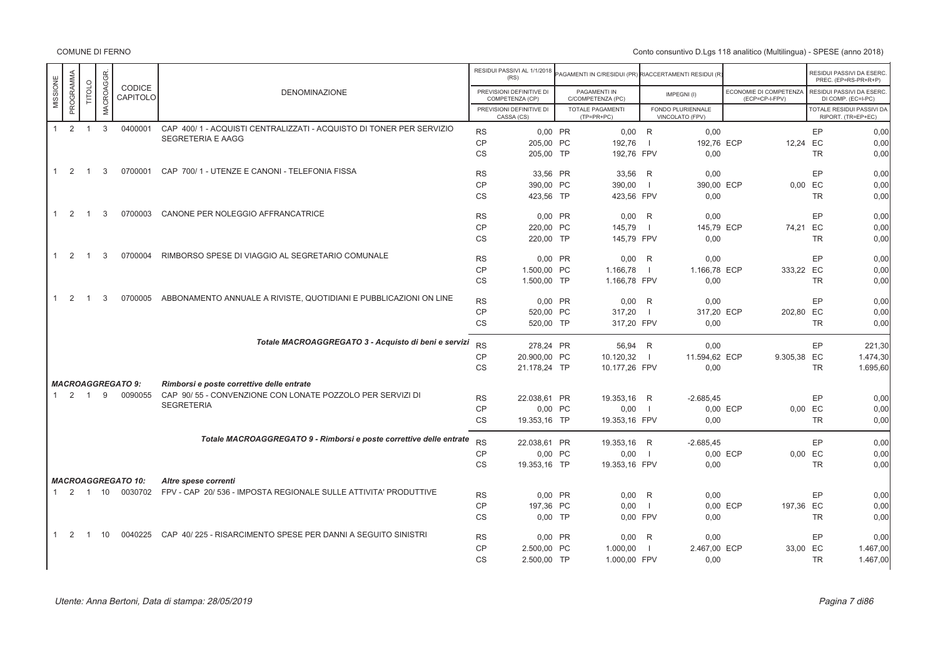COMUNE DI FERNO

|                                |                     |              |                           |                                                                     |           | RESIDUI PASSIVI AL 1/1/2018<br>(RS)         | AGAMENTI IN C/RESIDUI (PR) RIACCERTAMENTI RESIDUI (R' |                |                                      |                                          |           | RESIDUI PASSIVI DA ESERC<br>PREC. (EP=RS-PR+R+P) |
|--------------------------------|---------------------|--------------|---------------------------|---------------------------------------------------------------------|-----------|---------------------------------------------|-------------------------------------------------------|----------------|--------------------------------------|------------------------------------------|-----------|--------------------------------------------------|
| PROGRAMMA<br>MISSIONE          | TITOLO              | MACROAGGR.   | CODICE<br>CAPITOLO        | <b>DENOMINAZIONE</b>                                                |           | PREVISIONI DEFINITIVE DI<br>COMPETENZA (CP) | PAGAMENTI IN<br>C/COMPETENZA (PC)                     |                | IMPEGNI(I)                           | ECONOMIE DI COMPETENZA<br>(ECP=CP-I-FPV) |           | RESIDUI PASSIVI DA ESERC.<br>DI COMP. (EC=I-PC)  |
|                                |                     |              |                           |                                                                     |           | PREVISIONI DEFINITIVE DI<br>CASSA (CS)      | <b>TOTALE PAGAMENTI</b><br>$(TP=PR+PC)$               |                | FONDO PLURIENNALE<br>VINCOLATO (FPV) |                                          |           | TOTALE RESIDUI PASSIVI DA<br>RIPORT. (TR=EP+EC)  |
| $\mathbf{1}$                   | $2 \quad 1$         | $\mathbf{3}$ | 0400001                   | CAP 400/1 - ACQUISTI CENTRALIZZATI - ACQUISTO DI TONER PER SERVIZIO | <b>RS</b> | 0.00 PR                                     | $0,00$ R                                              |                | 0,00                                 |                                          | EP        | 0,00                                             |
|                                |                     |              |                           | SEGRETERIA E AAGG                                                   | <b>CP</b> | 205.00 PC                                   | 192.76                                                | $\blacksquare$ | 192.76 ECP                           | 12.24 EC                                 |           | 0.00                                             |
|                                |                     |              |                           |                                                                     | <b>CS</b> | 205,00 TP                                   | 192,76 FPV                                            |                | 0,00                                 |                                          | <b>TR</b> | 0,00                                             |
| $1\quad 2$                     | $\overline{1}$      | 3            | 0700001                   | CAP 700/1 - UTENZE E CANONI - TELEFONIA FISSA                       | <b>RS</b> | 33,56 PR                                    | 33,56 R                                               |                | 0,00                                 |                                          | EP        | 0,00                                             |
|                                |                     |              |                           |                                                                     | <b>CP</b> | 390,00 PC                                   | 390,00                                                | $\blacksquare$ | 390,00 ECP                           |                                          | 0,00 EC   | 0,00                                             |
|                                |                     |              |                           |                                                                     | <b>CS</b> | 423,56 TP                                   | 423,56 FPV                                            |                | 0,00                                 |                                          | <b>TR</b> | 0,00                                             |
| $\overline{2}$<br>$\mathbf{1}$ | $\overline{1}$      | 3            | 0700003                   | CANONE PER NOLEGGIO AFFRANCATRICE                                   | <b>RS</b> | 0.00 PR                                     | $0.00$ R                                              |                | 0,00                                 |                                          | EP        | 0,00                                             |
|                                |                     |              |                           |                                                                     | CP        | 220.00 PC                                   | 145.79                                                | $\blacksquare$ | 145,79 ECP                           | 74,21 EC                                 |           | 0,00                                             |
|                                |                     |              |                           |                                                                     |           |                                             |                                                       |                |                                      |                                          |           |                                                  |
|                                |                     |              |                           |                                                                     | <b>CS</b> | 220,00 TP                                   | 145,79 FPV                                            |                | 0,00                                 |                                          | <b>TR</b> | 0,00                                             |
| 2<br>1                         | $\overline{1}$      | 3            | 0700004                   | RIMBORSO SPESE DI VIAGGIO AL SEGRETARIO COMUNALE                    | <b>RS</b> | 0,00 PR                                     | $0,00$ R                                              |                | 0,00                                 |                                          | EP        | 0,00                                             |
|                                |                     |              |                           |                                                                     | <b>CP</b> | 1.500,00 PC                                 | 1.166,78                                              |                | 1.166,78 ECP                         | 333,22 EC                                |           | 0,00                                             |
|                                |                     |              |                           |                                                                     | <b>CS</b> | 1.500,00 TP                                 | 1.166,78 FPV                                          |                | 0,00                                 |                                          | <b>TR</b> | 0,00                                             |
| 2<br>$\mathbf{1}$              | $\overline{1}$      | 3            | 0700005                   | ABBONAMENTO ANNUALE A RIVISTE, QUOTIDIANI E PUBBLICAZIONI ON LINE   | <b>RS</b> | 0,00 PR                                     | $0,00$ R                                              |                | 0,00                                 |                                          | EP        | 0,00                                             |
|                                |                     |              |                           |                                                                     | <b>CP</b> | 520,00 PC                                   | 317,20                                                | $\blacksquare$ | 317,20 ECP                           | 202,80 EC                                |           | 0,00                                             |
|                                |                     |              |                           |                                                                     | <b>CS</b> | 520.00 TP                                   | 317.20 FPV                                            |                | 0.00                                 |                                          | <b>TR</b> | 0.00                                             |
|                                |                     |              |                           | Totale MACROAGGREGATO 3 - Acquisto di beni e servizi                |           |                                             |                                                       |                |                                      |                                          |           |                                                  |
|                                |                     |              |                           |                                                                     | <b>RS</b> | 278.24 PR                                   | 56.94 R                                               |                | 0.00                                 |                                          | EP        | 221,30                                           |
|                                |                     |              |                           |                                                                     | CP        | 20.900,00 PC                                | 10.120,32                                             | $\blacksquare$ | 11.594,62 ECP                        | 9.305,38 EC                              |           | 1.474,30                                         |
|                                |                     |              |                           |                                                                     | <b>CS</b> | 21.178,24 TP                                | 10.177,26 FPV                                         |                | 0,00                                 |                                          | <b>TR</b> | 1.695,60                                         |
|                                |                     |              | <b>MACROAGGREGATO 9:</b>  | Rimborsi e poste correttive delle entrate                           |           |                                             |                                                       |                |                                      |                                          |           |                                                  |
|                                | $1 \quad 2 \quad 1$ | 9            | 0090055                   | CAP 90/55 - CONVENZIONE CON LONATE POZZOLO PER SERVIZI DI           | <b>RS</b> | 22.038,61 PR                                | 19.353,16 R                                           |                | $-2.685,45$                          |                                          | EP        | 0,00                                             |
|                                |                     |              |                           | <b>SEGRETERIA</b>                                                   | CP        | 0,00 PC                                     | 0,00                                                  | $\Box$         |                                      | 0,00 ECP                                 | 0,00 EC   | 0.00                                             |
|                                |                     |              |                           |                                                                     | <b>CS</b> | 19.353,16 TP                                | 19.353,16 FPV                                         |                | 0,00                                 |                                          | <b>TR</b> | 0,00                                             |
|                                |                     |              |                           | Totale MACROAGGREGATO 9 - Rimborsi e poste correttive delle entrate |           |                                             |                                                       |                |                                      |                                          |           |                                                  |
|                                |                     |              |                           |                                                                     | <b>RS</b> | 22.038,61 PR                                | 19.353,16 R                                           |                | $-2.685,45$                          |                                          | EP        | 0,00                                             |
|                                |                     |              |                           |                                                                     | <b>CP</b> | 0,00 PC                                     | 0,00                                                  | $\blacksquare$ |                                      | 0,00 ECP                                 | 0,00 EC   | 0,00                                             |
|                                |                     |              |                           |                                                                     | <b>CS</b> | 19.353,16 TP                                | 19.353,16 FPV                                         |                | 0,00                                 |                                          | <b>TR</b> | 0,00                                             |
|                                |                     |              | <b>MACROAGGREGATO 10:</b> | Altre spese correnti                                                |           |                                             |                                                       |                |                                      |                                          |           |                                                  |
|                                |                     |              | 1 2 1 10 0030702          | FPV - CAP 20/ 536 - IMPOSTA REGIONALE SULLE ATTIVITA' PRODUTTIVE    | <b>RS</b> | 0,00 PR                                     | 0.00 R                                                |                | 0.00                                 |                                          | EP        | 0,00                                             |
|                                |                     |              |                           |                                                                     | <b>CP</b> | 197,36 PC                                   | 0,00                                                  | $\Box$         |                                      | 0,00 ECP<br>197,36 EC                    |           | 0,00                                             |
|                                |                     |              |                           |                                                                     | <b>CS</b> | $0.00$ TP                                   | 0.00 FPV                                              |                | 0.00                                 |                                          | <b>TR</b> | 0,00                                             |
| 2<br>1                         | $\overline{1}$      | 10           | 0040225                   | CAP 40/225 - RISARCIMENTO SPESE PER DANNI A SEGUITO SINISTRI        | <b>RS</b> | 0,00 PR                                     | $0,00$ R                                              |                | 0,00                                 |                                          | EP        | 0,00                                             |
|                                |                     |              |                           |                                                                     |           |                                             |                                                       |                |                                      |                                          |           |                                                  |
|                                |                     |              |                           |                                                                     | <b>CP</b> | 2.500,00 PC                                 | 1.000,00                                              | $\Box$         | 2.467,00 ECP                         | 33,00 EC                                 |           | 1.467,00                                         |
|                                |                     |              |                           |                                                                     | <b>CS</b> | 2.500,00 TP                                 | 1.000,00 FPV                                          |                | 0,00                                 |                                          | <b>TR</b> | 1.467,00                                         |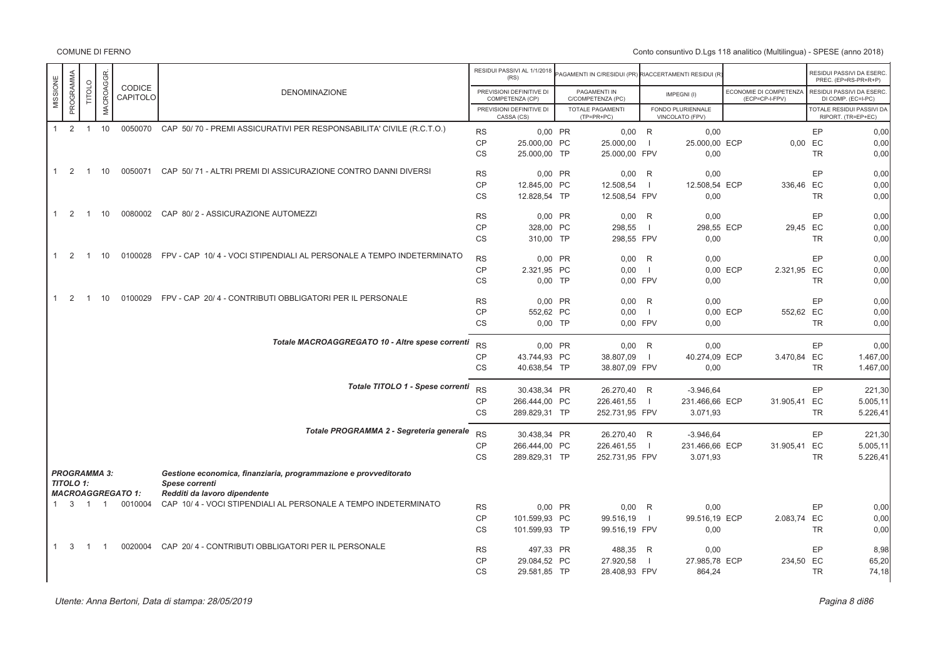|              |                                  |                |                |                          |                                                                                    |                        | RESIDUI PASSIVI AL 1/1/2018<br>(RS)         | PAGAMENTI IN C/RESIDUI (PR) RIACCERTAMENTI RESIDUI (R |                |                                      |                                          |           | RESIDUI PASSIVI DA ESERC<br>PREC. (EP=RS-PR+R+P) |
|--------------|----------------------------------|----------------|----------------|--------------------------|------------------------------------------------------------------------------------|------------------------|---------------------------------------------|-------------------------------------------------------|----------------|--------------------------------------|------------------------------------------|-----------|--------------------------------------------------|
| MISSIONE     | PROGRAMMA                        | <b>TITOLO</b>  | MACROAGGR.     | CODICE<br>CAPITOLO       | <b>DENOMINAZIONE</b>                                                               |                        | PREVISIONI DEFINITIVE DI<br>COMPETENZA (CP) | PAGAMENTI IN<br>C/COMPETENZA (PC)                     |                | IMPEGNI(I)                           | ECONOMIE DI COMPETENZA<br>(ECP=CP-I-FPV) |           | RESIDUI PASSIVI DA ESERC<br>DI COMP. (EC=I-PC)   |
|              |                                  |                |                |                          |                                                                                    |                        | PREVISIONI DEFINITIVE DI<br>CASSA (CS)      | TOTALE PAGAMENTI<br>$(TP=PR+PC)$                      |                | FONDO PLURIENNALE<br>VINCOLATO (FPV) |                                          |           | TOTALE RESIDUI PASSIVI DA<br>RIPORT. (TR=EP+EC)  |
| $\mathbf{1}$ | 2                                | $\overline{1}$ | 10             | 0050070                  | CAP 50/70 - PREMI ASSICURATIVI PER RESPONSABILITA' CIVILE (R.C.T.O.)               | <b>RS</b>              | 0,00 PR                                     | $0,00$ R                                              |                | 0,00                                 |                                          | EP        | 0,00                                             |
|              |                                  |                |                |                          |                                                                                    | <b>CP</b>              | 25.000,00 PC                                | 25.000,00                                             | - 11           | 25.000,00 ECP                        |                                          | 0,00 EC   | 0,00                                             |
|              |                                  |                |                |                          |                                                                                    | <b>CS</b>              | 25.000,00 TP                                | 25.000,00 FPV                                         |                | 0,00                                 |                                          | <b>TR</b> | 0,00                                             |
|              | 2                                | $\overline{1}$ | 10             | 0050071                  | CAP 50/71 - ALTRI PREMI DI ASSICURAZIONE CONTRO DANNI DIVERSI                      | <b>RS</b>              | 0,00 PR                                     | 0,00                                                  | R              | 0,00                                 |                                          | EP        | 0,00                                             |
|              |                                  |                |                |                          |                                                                                    | <b>CP</b>              | 12.845,00 PC                                | 12.508,54                                             | $\blacksquare$ | 12.508,54 ECP                        | 336,46 EC                                |           | 0,00                                             |
|              |                                  |                |                |                          |                                                                                    | CS                     | 12.828,54 TP                                | 12.508,54 FPV                                         |                | 0,00                                 |                                          | <b>TR</b> | 0,00                                             |
|              | $\overline{2}$                   | $\overline{1}$ | 10             | 0080002                  | CAP 80/2 - ASSICURAZIONE AUTOMEZZI                                                 |                        |                                             |                                                       |                |                                      |                                          |           |                                                  |
|              |                                  |                |                |                          |                                                                                    | <b>RS</b>              | 0,00 PR                                     | 0,00                                                  | R              | 0,00                                 |                                          | EP        | 0,00                                             |
|              |                                  |                |                |                          |                                                                                    | CP<br><b>CS</b>        | 328,00 PC<br>310,00 TP                      | 298,55                                                | $\blacksquare$ | 298,55 ECP                           | 29,45 EC                                 | <b>TR</b> | 0,00                                             |
|              |                                  |                |                |                          |                                                                                    |                        |                                             | 298,55 FPV                                            |                | 0,00                                 |                                          |           | 0,00                                             |
| $\mathbf{1}$ | 2                                | $\overline{1}$ | 10             | 0100028                  | FPV - CAP 10/4 - VOCI STIPENDIALI AL PERSONALE A TEMPO INDETERMINATO               | <b>RS</b>              | 0,00 PR                                     | 0,00                                                  | R              | 0,00                                 |                                          | EP        | 0,00                                             |
|              |                                  |                |                |                          |                                                                                    | CP                     | 2.321,95 PC                                 | 0,00                                                  | - 11           |                                      | 2.321,95 EC<br>0.00 ECP                  |           | 0,00                                             |
|              |                                  |                |                |                          |                                                                                    | <b>CS</b>              | $0.00$ TP                                   | 0.00 FPV                                              |                | 0,00                                 |                                          | <b>TR</b> | 0,00                                             |
|              | 2                                | -1             | 10             | 0100029                  | FPV - CAP 20/4 - CONTRIBUTI OBBLIGATORI PER IL PERSONALE                           |                        |                                             |                                                       |                |                                      |                                          |           |                                                  |
|              |                                  |                |                |                          |                                                                                    | <b>RS</b><br><b>CP</b> | 0.00 PR<br>552.62 PC                        | 0,00<br>0.00                                          | R<br>- 11      | 0,00                                 | 0.00 ECP<br>552.62 EC                    | EP        | 0,00<br>0,00                                     |
|              |                                  |                |                |                          |                                                                                    | CS                     | $0,00$ TP                                   | 0,00 FPV                                              |                | 0,00                                 |                                          | <b>TR</b> | 0,00                                             |
|              |                                  |                |                |                          | Totale MACROAGGREGATO 10 - Altre spese correnti                                    |                        |                                             |                                                       |                |                                      |                                          |           |                                                  |
|              |                                  |                |                |                          |                                                                                    | <b>RS</b>              | 0,00 PR                                     | $0,00$ R                                              |                | 0,00                                 |                                          | EP        | 0,00                                             |
|              |                                  |                |                |                          |                                                                                    | CP                     | 43.744,93 PC                                | 38.807,09                                             | $\overline{1}$ | 40.274,09 ECP                        | 3.470,84                                 | EC        | 1.467,00                                         |
|              |                                  |                |                |                          |                                                                                    | CS                     | 40.638,54 TP                                | 38.807,09 FPV                                         |                | 0,00                                 |                                          | <b>TR</b> | 1.467,00                                         |
|              |                                  |                |                |                          | Totale TITOLO 1 - Spese correnti                                                   | <b>RS</b>              | 30.438,34 PR                                | 26.270,40 R                                           |                | $-3.946,64$                          |                                          | EP        | 221,30                                           |
|              |                                  |                |                |                          |                                                                                    | CP                     | 266.444,00 PC                               | 226.461,55                                            | - 1            | 231.466,66 ECP                       | 31.905,41                                | EC        | 5.005,11                                         |
|              |                                  |                |                |                          |                                                                                    | CS                     | 289.829,31 TP                               | 252.731,95 FPV                                        |                | 3.071,93                             |                                          | <b>TR</b> | 5.226,41                                         |
|              |                                  |                |                |                          | Totale PROGRAMMA 2 - Segreteria generale                                           | <b>RS</b>              | 30.438,34 PR                                | 26.270,40 R                                           |                | $-3.946.64$                          |                                          | EP        | 221,30                                           |
|              |                                  |                |                |                          |                                                                                    | <b>CP</b>              | 266.444,00 PC                               | 226.461,55                                            | $\blacksquare$ | 231.466,66 ECP                       | 31.905,41 EC                             |           | 5.005,11                                         |
|              |                                  |                |                |                          |                                                                                    | CS                     | 289.829,31 TP                               | 252.731,95 FPV                                        |                | 3.071,93                             |                                          | <b>TR</b> | 5.226,41                                         |
|              | <b>PROGRAMMA 3:</b><br>TITOLO 1: |                |                |                          | Gestione economica, finanziaria, programmazione e provveditorato<br>Spese correnti |                        |                                             |                                                       |                |                                      |                                          |           |                                                  |
|              |                                  |                |                | <b>MACROAGGREGATO 1:</b> | Redditi da lavoro dipendente                                                       |                        |                                             |                                                       |                |                                      |                                          |           |                                                  |
|              | $1 \quad 3$                      | $\overline{1}$ | $\overline{1}$ | 0010004                  | CAP 10/4 - VOCI STIPENDIALI AL PERSONALE A TEMPO INDETERMINATO                     | <b>RS</b>              | 0.00 PR                                     | 0.00 R                                                |                | 0.00                                 |                                          | EP        | 0,00                                             |
|              |                                  |                |                |                          |                                                                                    | CP                     | 101.599,93 PC                               | 99.516,19                                             | - 1            | 99.516,19 ECP                        | 2.083,74 EC                              |           | 0,00                                             |
|              |                                  |                |                |                          |                                                                                    | CS                     | 101.599,93 TP                               | 99.516,19 FPV                                         |                | 0,00                                 |                                          | <b>TR</b> | 0,00                                             |
| $\mathbf{1}$ | 3                                | $\overline{1}$ | $\overline{1}$ | 0020004                  | CAP 20/4 - CONTRIBUTI OBBLIGATORI PER IL PERSONALE                                 | <b>RS</b>              | 497,33 PR                                   | 488,35 R                                              |                | 0,00                                 |                                          | EP        | 8,98                                             |
|              |                                  |                |                |                          |                                                                                    | <b>CP</b>              | 29.084,52 PC                                | 27.920,58                                             | - 1            | 27.985,78 ECP                        | 234,50 EC                                |           | 65,20                                            |
|              |                                  |                |                |                          |                                                                                    | <b>CS</b>              | 29.581,85 TP                                | 28.408,93 FPV                                         |                | 864,24                               |                                          | <b>TR</b> | 74,18                                            |
|              |                                  |                |                |                          |                                                                                    |                        |                                             |                                                       |                |                                      |                                          |           |                                                  |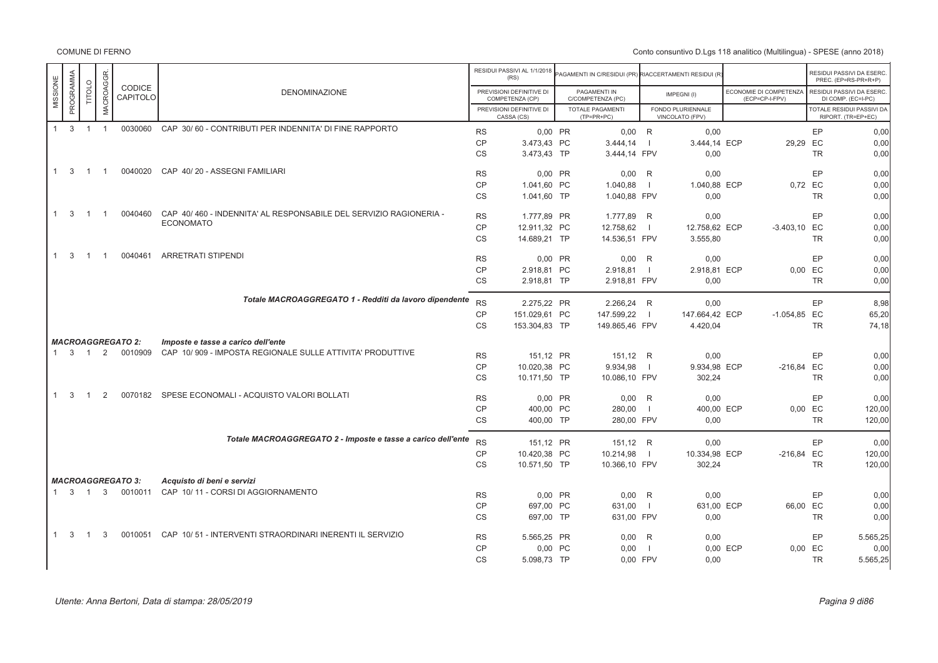|                              |                     |                |                          |                                                                   |                        | RESIDUI PASSIVI AL 1/1/2018<br>(RS)         | AGAMENTI IN C/RESIDUI (PR) RIACCERTAMENTI RESIDUI (R |                |                                      |                                          |           | RESIDUI PASSIVI DA ESERC<br>PREC. (EP=RS-PR+R+P) |
|------------------------------|---------------------|----------------|--------------------------|-------------------------------------------------------------------|------------------------|---------------------------------------------|------------------------------------------------------|----------------|--------------------------------------|------------------------------------------|-----------|--------------------------------------------------|
| PROGRAMMA<br>MISSIONE        | TITOLO              | MACROAGGR.     | CODICE<br>CAPITOLO       | <b>DENOMINAZIONE</b>                                              |                        | PREVISIONI DEFINITIVE DI<br>COMPETENZA (CP) | PAGAMENTI IN<br>C/COMPETENZA (PC)                    |                | IMPEGNI(I)                           | ECONOMIE DI COMPETENZA<br>(ECP=CP-I-FPV) |           | RESIDUI PASSIVI DA ESERC.<br>DI COMP. (EC=I-PC)  |
|                              |                     |                |                          |                                                                   |                        | PREVISIONI DEFINITIVE DI<br>CASSA (CS)      | <b>TOTALE PAGAMENTI</b><br>$(TP=PR+PC)$              |                | FONDO PLURIENNALE<br>VINCOLATO (FPV) |                                          |           | TOTALE RESIDUI PASSIVI DA<br>RIPORT. (TR=EP+EC)  |
| $\mathbf{3}$<br>1            | $\overline{1}$      | $\overline{1}$ | 0030060                  | CAP 30/60 - CONTRIBUTI PER INDENNITA' DI FINE RAPPORTO            | <b>RS</b>              | 0.00 PR                                     | $0,00$ R                                             |                | 0,00                                 |                                          | EP        | 0,00                                             |
|                              |                     |                |                          |                                                                   | <b>CP</b>              | 3.473,43 PC                                 | 3.444,14                                             | $\blacksquare$ | 3.444,14 ECP                         | 29,29 EC                                 |           | 0,00                                             |
|                              |                     |                |                          |                                                                   | CS                     | 3.473,43 TP                                 | 3.444,14 FPV                                         |                | 0,00                                 |                                          | <b>TR</b> | 0,00                                             |
| $1 \quad 3$                  | $\overline{1}$      | $\overline{1}$ | 0040020                  | CAP 40/20 - ASSEGNI FAMILIARI                                     | <b>RS</b>              | 0.00 PR                                     | $0,00$ R                                             |                | 0.00                                 |                                          | EP        | 0,00                                             |
|                              |                     |                |                          |                                                                   | <b>CP</b>              | 1.041,60 PC                                 | 1.040,88                                             | $\overline{1}$ | 1.040,88 ECP                         |                                          | 0,72 EC   | 0,00                                             |
|                              |                     |                |                          |                                                                   | <b>CS</b>              | 1.041.60 TP                                 | 1.040.88 FPV                                         |                | 0.00                                 |                                          | <b>TR</b> | 0,00                                             |
| $1 \quad 3$                  | $\overline{1}$      | $\overline{1}$ | 0040460                  | CAP 40/460 - INDENNITA' AL RESPONSABILE DEL SERVIZIO RAGIONERIA - | <b>RS</b>              | 1.777.89 PR                                 | 1.777.89 R                                           |                | 0.00                                 |                                          | EP        | 0,00                                             |
|                              |                     |                |                          | <b>ECONOMATO</b>                                                  | <b>CP</b>              | 12.911,32 PC                                | 12.758,62                                            | $\Box$         | 12.758,62 ECP                        | $-3.403,10$ EC                           |           | 0,00                                             |
|                              |                     |                |                          |                                                                   | <b>CS</b>              | 14.689,21 TP                                | 14.536,51 FPV                                        |                | 3.555,80                             |                                          | <b>TR</b> | 0,00                                             |
| $\mathbf{3}$<br>$\mathbf{1}$ | $\overline{1}$      | - 1            | 0040461                  | <b>ARRETRATI STIPENDI</b>                                         | <b>RS</b>              | 0,00 PR                                     | $0,00$ R                                             |                | 0,00                                 |                                          | EP        | 0,00                                             |
|                              |                     |                |                          |                                                                   | <b>CP</b>              | 2.918,81 PC                                 | 2.918,81                                             |                | 2.918,81 ECP                         |                                          | 0,00 EC   | 0,00                                             |
|                              |                     |                |                          |                                                                   | <b>CS</b>              | 2.918,81 TP                                 | 2.918,81 FPV                                         |                | 0,00                                 |                                          | <b>TR</b> | 0,00                                             |
|                              |                     |                |                          | Totale MACROAGGREGATO 1 - Redditi da lavoro dipendente            | <b>RS</b>              | 2.275.22 PR                                 | 2.266.24 R                                           |                | 0.00                                 |                                          | EP        | 8.98                                             |
|                              |                     |                |                          |                                                                   |                        |                                             |                                                      |                |                                      |                                          |           |                                                  |
|                              |                     |                |                          |                                                                   | <b>CP</b><br><b>CS</b> | 151.029,61 PC                               | 147.599,22                                           | $\blacksquare$ | 147.664,42 ECP                       | $-1.054,85$ EC                           | <b>TR</b> | 65,20<br>74,18                                   |
|                              |                     |                |                          |                                                                   |                        | 153.304,83 TP                               | 149.865,46 FPV                                       |                | 4.420,04                             |                                          |           |                                                  |
|                              |                     |                | <b>MACROAGGREGATO 2:</b> | Imposte e tasse a carico dell'ente                                |                        |                                             |                                                      |                |                                      |                                          |           |                                                  |
|                              | $1 \quad 3 \quad 1$ | 2              | 0010909                  | CAP 10/909 - IMPOSTA REGIONALE SULLE ATTIVITA' PRODUTTIVE         | <b>RS</b>              | 151,12 PR                                   | 151,12 R                                             |                | 0.00                                 |                                          | EP        | 0,00                                             |
|                              |                     |                |                          |                                                                   | CP                     | 10.020,38 PC                                | 9.934,98                                             |                | 9.934,98 ECP                         | $-216,84$ EC                             |           | 0,00                                             |
|                              |                     |                |                          |                                                                   | <b>CS</b>              | 10.171.50 TP                                | 10.086,10 FPV                                        |                | 302,24                               |                                          | <b>TR</b> | 0,00                                             |
| 3<br>1                       | $\overline{1}$      | 2              | 0070182                  | SPESE ECONOMALI - ACQUISTO VALORI BOLLATI                         | <b>RS</b>              | 0.00 PR                                     | $0,00$ R                                             |                | 0.00                                 |                                          | EP        | 0,00                                             |
|                              |                     |                |                          |                                                                   | <b>CP</b>              | 400,00 PC                                   | 280,00                                               | $\Box$         | 400,00 ECP                           |                                          | 0,00 EC   | 120,00                                           |
|                              |                     |                |                          |                                                                   | <b>CS</b>              | 400,00 TP                                   | 280,00 FPV                                           |                | 0.00                                 |                                          | <b>TR</b> | 120,00                                           |
|                              |                     |                |                          | Totale MACROAGGREGATO 2 - Imposte e tasse a carico dell'ente      | <b>RS</b>              | 151,12 PR                                   | 151,12 R                                             |                | 0,00                                 |                                          | EP        | 0,00                                             |
|                              |                     |                |                          |                                                                   | <b>CP</b>              | 10.420,38 PC                                | 10.214,98                                            | $\blacksquare$ | 10.334,98 ECP                        | $-216,84$ EC                             |           | 120,00                                           |
|                              |                     |                |                          |                                                                   | <b>CS</b>              | 10.571,50 TP                                | 10.366,10 FPV                                        |                | 302,24                               |                                          | <b>TR</b> | 120,00                                           |
|                              |                     |                | <b>MACROAGGREGATO 3:</b> | Acquisto di beni e servizi                                        |                        |                                             |                                                      |                |                                      |                                          |           |                                                  |
|                              | $1 \quad 3 \quad 1$ |                |                          | 3 0010011 CAP 10/11 - CORSI DI AGGIORNAMENTO                      | <b>RS</b>              | 0.00 PR                                     | $0.00$ R                                             |                | 0.00                                 |                                          | EP        | 0,00                                             |
|                              |                     |                |                          |                                                                   | <b>CP</b>              | 697,00 PC                                   | 631,00                                               | $\Box$         | 631,00 ECP                           | 66,00 EC                                 |           | 0,00                                             |
|                              |                     |                |                          |                                                                   | <b>CS</b>              | 697.00 TP                                   | 631,00 FPV                                           |                | 0.00                                 |                                          | <b>TR</b> | 0,00                                             |
| $1 \quad 3$                  | $\overline{1}$      | 3              |                          | 0010051 CAP 10/51 - INTERVENTI STRAORDINARI INERENTI IL SERVIZIO  | <b>RS</b>              | 5.565,25 PR                                 | 0,00                                                 | R              | 0,00                                 |                                          | EP        | 5.565,25                                         |
|                              |                     |                |                          |                                                                   | <b>CP</b>              | 0,00 PC                                     | 0,00                                                 | $\Box$         |                                      | 0,00 ECP                                 | 0,00 EC   | 0,00                                             |
|                              |                     |                |                          |                                                                   | <b>CS</b>              | 5.098,73 TP                                 | 0,00 FPV                                             |                | 0,00                                 |                                          | <b>TR</b> | 5.565,25                                         |
|                              |                     |                |                          |                                                                   |                        |                                             |                                                      |                |                                      |                                          |           |                                                  |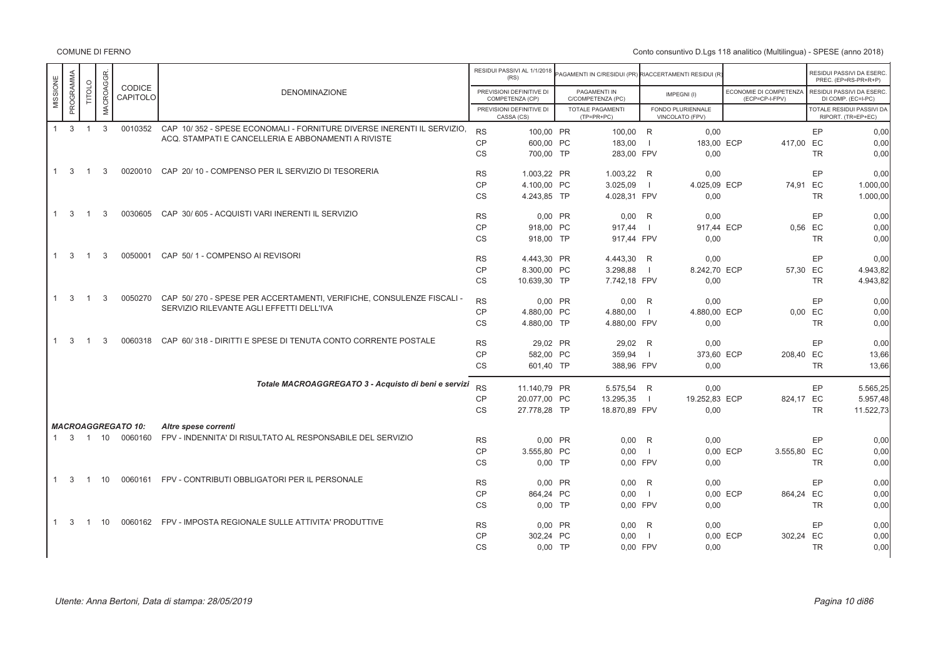|                              |                |               |                           |                                                                                |           | RESIDUI PASSIVI AL 1/1/2018<br>(RS)         | PAGAMENTI IN C/RESIDUI (PR) RIACCERTAMENTI RESIDUI (R |                |                                      |                                          |           | RESIDUI PASSIVI DA ESERC.<br>PREC. (EP=RS-PR+R+P) |
|------------------------------|----------------|---------------|---------------------------|--------------------------------------------------------------------------------|-----------|---------------------------------------------|-------------------------------------------------------|----------------|--------------------------------------|------------------------------------------|-----------|---------------------------------------------------|
| PROGRAMMA<br>MISSIONE        | <b>TITOLO</b>  | MACROAGGR.    | CODICE<br>CAPITOLO        | <b>DENOMINAZIONE</b>                                                           |           | PREVISIONI DEFINITIVE DI<br>COMPETENZA (CP) | PAGAMENTI IN<br>C/COMPETENZA (PC)                     |                | IMPEGNI(I)                           | ECONOMIE DI COMPETENZA<br>(ECP=CP-I-FPV) |           | RESIDUI PASSIVI DA ESERC.<br>DI COMP. (EC=I-PC)   |
|                              |                |               |                           |                                                                                |           | PREVISIONI DEFINITIVE DI<br>CASSA (CS)      | <b>TOTALE PAGAMENTI</b><br>$(TP=PR+PC)$               |                | FONDO PLURIENNALE<br>VINCOLATO (FPV) |                                          |           | TOTALE RESIDUI PASSIVI DA<br>RIPORT. (TR=EP+EC)   |
| $\mathbf{3}$<br>$\mathbf{1}$ | $\overline{1}$ | $\mathbf{3}$  |                           | 0010352 CAP 10/352 - SPESE ECONOMALI - FORNITURE DIVERSE INERENTI IL SERVIZIO. | <b>RS</b> | 100.00 PR                                   | 100.00 R                                              |                | 0.00                                 |                                          | EP        | 0,00                                              |
|                              |                |               |                           | ACQ. STAMPATI E CANCELLERIA E ABBONAMENTI A RIVISTE                            | <b>CP</b> | 600,00 PC                                   | 183,00                                                |                | 183,00 ECP                           | 417,00 EC                                |           | 0,00                                              |
|                              |                |               |                           |                                                                                | <b>CS</b> | 700,00 TP                                   | 283,00 FPV                                            |                | 0,00                                 |                                          | <b>TR</b> | 0,00                                              |
| 3<br>$\mathbf{1}$            | $\overline{1}$ | 3             | 0020010                   | CAP 20/10 - COMPENSO PER IL SERVIZIO DI TESORERIA                              | <b>RS</b> | 1.003.22 PR                                 | 1.003.22 R                                            |                | 0.00                                 |                                          | EP        | 0.00                                              |
|                              |                |               |                           |                                                                                | CP        | 4.100.00 PC                                 | 3.025,09                                              |                | 4.025,09 ECP                         | 74.91 EC                                 |           | 1.000,00                                          |
|                              |                |               |                           |                                                                                | <b>CS</b> | 4.243,85 TP                                 | 4.028,31 FPV                                          |                | 0,00                                 |                                          | <b>TR</b> | 1.000,00                                          |
| 3                            | $\overline{1}$ | 3             | 0030605                   | CAP 30/605 - ACQUISTI VARI INERENTI IL SERVIZIO                                | <b>RS</b> | 0,00 PR                                     | $0,00$ R                                              |                | 0,00                                 |                                          | EP        | 0,00                                              |
|                              |                |               |                           |                                                                                | CP        | 918.00 PC                                   | 917.44                                                | $\blacksquare$ | 917.44 ECP                           |                                          | 0.56 EC   | 0.00                                              |
|                              |                |               |                           |                                                                                | <b>CS</b> | 918.00 TP                                   | 917.44 FPV                                            |                | 0,00                                 |                                          | <b>TR</b> | 0,00                                              |
| $1 \quad 3$                  | $\overline{1}$ | 3             | 0050001                   | CAP 50/1 - COMPENSO AI REVISORI                                                | <b>RS</b> | 4.443,30 PR                                 | 4.443,30 R                                            |                | 0,00                                 |                                          | EP        | 0,00                                              |
|                              |                |               |                           |                                                                                | CP        | 8.300,00 PC                                 | 3.298,88                                              |                | 8.242,70 ECP                         | 57,30 EC                                 |           | 4.943,82                                          |
|                              |                |               |                           |                                                                                | <b>CS</b> | 10.639.30 TP                                | 7.742,18 FPV                                          |                | 0.00                                 |                                          | <b>TR</b> | 4.943.82                                          |
|                              |                |               |                           |                                                                                |           |                                             |                                                       |                |                                      |                                          |           |                                                   |
| 3<br>1                       | $\overline{1}$ | 3             | 0050270                   | CAP 50/270 - SPESE PER ACCERTAMENTI, VERIFICHE, CONSULENZE FISCALI -           | <b>RS</b> | 0.00 PR                                     | $0.00$ R                                              |                | 0.00                                 |                                          | EP        | 0.00                                              |
|                              |                |               |                           | SERVIZIO RILEVANTE AGLI EFFETTI DELL'IVA                                       | <b>CP</b> | 4.880,00 PC                                 | 4.880,00                                              | - 1            | 4.880,00 ECP                         |                                          | $0,00$ EC | 0,00                                              |
|                              |                |               |                           |                                                                                | <b>CS</b> | 4.880,00 TP                                 | 4.880,00 FPV                                          |                | 0,00                                 |                                          | <b>TR</b> | 0,00                                              |
| 3<br>$\mathbf{1}$            | $\mathbf{1}$   | $\mathcal{S}$ | 0060318                   | CAP 60/318 - DIRITTI E SPESE DI TENUTA CONTO CORRENTE POSTALE                  | <b>RS</b> | 29.02 PR                                    | 29.02 R                                               |                | 0.00                                 |                                          | EP        | 0.00                                              |
|                              |                |               |                           |                                                                                | <b>CP</b> | 582,00 PC                                   | 359,94                                                |                | 373,60 ECP                           | 208,40 EC                                |           | 13,66                                             |
|                              |                |               |                           |                                                                                | <b>CS</b> | 601.40 TP                                   | 388,96 FPV                                            |                | 0,00                                 |                                          | <b>TR</b> | 13,66                                             |
|                              |                |               |                           | Totale MACROAGGREGATO 3 - Acquisto di beni e servizi                           | <b>RS</b> | 11.140,79 PR                                | 5.575,54 R                                            |                | 0,00                                 |                                          | EP        | 5.565,25                                          |
|                              |                |               |                           |                                                                                | <b>CP</b> | 20.077.00 PC                                | 13.295,35                                             | $\blacksquare$ | 19.252.83 ECP                        | 824.17 EC                                |           | 5.957.48                                          |
|                              |                |               |                           |                                                                                | <b>CS</b> | 27.778.28 TP                                | 18.870,89 FPV                                         |                | 0.00                                 |                                          | <b>TR</b> | 11.522,73                                         |
|                              |                |               | <b>MACROAGGREGATO 10:</b> | Altre spese correnti                                                           |           |                                             |                                                       |                |                                      |                                          |           |                                                   |
| $1 \quad 3$                  |                | 1 10          | 0060160                   | FPV - INDENNITA' DI RISULTATO AL RESPONSABILE DEL SERVIZIO                     | <b>RS</b> | 0,00 PR                                     | 0,00                                                  | R              | 0,00                                 |                                          | EP        | 0,00                                              |
|                              |                |               |                           |                                                                                | CP        | 3.555.80 PC                                 | 0.00                                                  | - 11           |                                      | 0.00 ECP<br>3.555,80 EC                  |           | 0,00                                              |
|                              |                |               |                           |                                                                                | <b>CS</b> | $0,00$ TP                                   | 0.00 FPV                                              |                | 0,00                                 |                                          | <b>TR</b> | 0,00                                              |
| -3<br>1                      | $\mathbf{1}$   | 10            | 0060161                   | FPV - CONTRIBUTI OBBLIGATORI PER IL PERSONALE                                  | <b>RS</b> | 0,00 PR                                     | $0,00$ R                                              |                | 0,00                                 |                                          | EP        | 0,00                                              |
|                              |                |               |                           |                                                                                | <b>CP</b> | 864,24 PC                                   | 0,00                                                  |                |                                      | 864,24 EC<br>0,00 ECP                    |           | 0,00                                              |
|                              |                |               |                           |                                                                                | <b>CS</b> | $0.00$ TP                                   | 0.00 FPV                                              |                | 0,00                                 |                                          | <b>TR</b> | 0,00                                              |
| $\mathbf{3}$<br>$\mathbf{1}$ | $\overline{1}$ | 10            |                           | 0060162 FPV - IMPOSTA REGIONALE SULLE ATTIVITA' PRODUTTIVE                     | <b>RS</b> | 0.00 PR                                     | 0.00                                                  | R              | 0,00                                 |                                          | EP        | 0,00                                              |
|                              |                |               |                           |                                                                                | <b>CP</b> | 302,24 PC                                   | 0,00                                                  | -11            |                                      | 302,24 EC<br>0,00 ECP                    |           | 0,00                                              |
|                              |                |               |                           |                                                                                | <b>CS</b> | $0,00$ TP                                   | 0,00 FPV                                              |                | 0,00                                 |                                          | <b>TR</b> | 0,00                                              |
|                              |                |               |                           |                                                                                |           |                                             |                                                       |                |                                      |                                          |           |                                                   |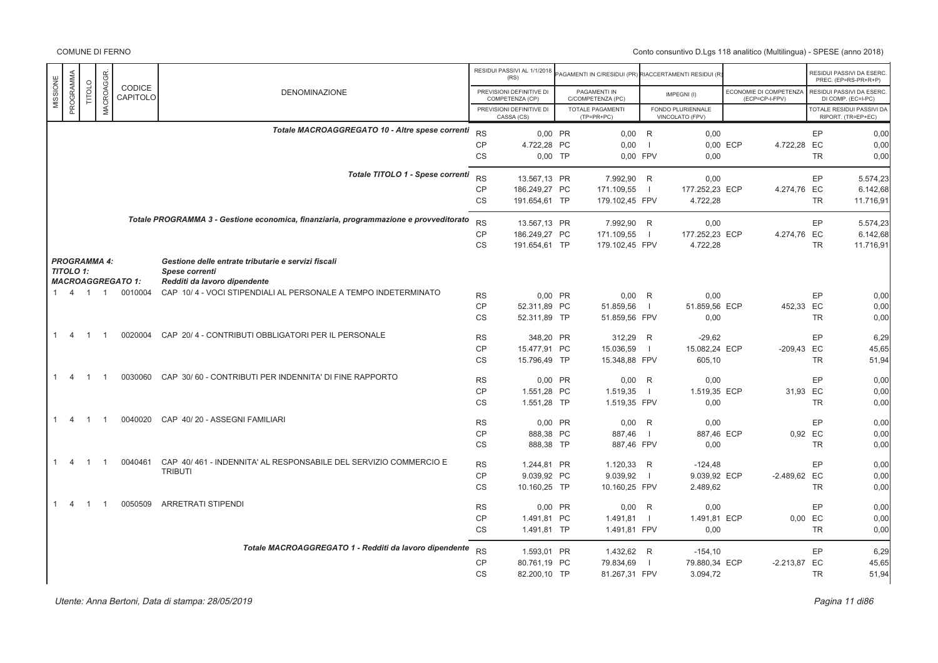|                                |                |                  |                          |                                                                                       |                 | RESIDUI PASSIVI AL 1/1/2018                 | <b>PAGAMENTI IN C/RESIDUI (PR) RIACCERTAMENTI RESIDUI (R</b> |                          |                                      |          |                                          |           | RESIDUI PASSIVI DA ESERC                               |
|--------------------------------|----------------|------------------|--------------------------|---------------------------------------------------------------------------------------|-----------------|---------------------------------------------|--------------------------------------------------------------|--------------------------|--------------------------------------|----------|------------------------------------------|-----------|--------------------------------------------------------|
|                                |                |                  | CODICE                   |                                                                                       |                 | (RS)                                        |                                                              |                          |                                      |          |                                          |           | PREC. (EP=RS-PR+R+P)                                   |
| PROGRAMMA<br>MISSIONE          | TITOLO         |                  | CAPITOLO                 | <b>DENOMINAZIONE</b>                                                                  |                 | PREVISIONI DEFINITIVE DI<br>COMPETENZA (CP) | PAGAMENTI IN<br>C/COMPETENZA (PC)                            |                          | IMPEGNI(I)                           |          | ECONOMIE DI COMPETENZA<br>(ECP=CP-I-FPV) |           | RESIDUI PASSIVI DA ESERC<br>DI COMP. (EC=I-PC)         |
|                                |                | <b>MACROAGGR</b> |                          |                                                                                       |                 | PREVISIONI DEFINITIVE DI<br>CASSA (CS)      | <b>TOTALE PAGAMENTI</b><br>$(TP=PR+PC)$                      |                          | FONDO PLURIENNALE<br>VINCOLATO (FPV) |          |                                          |           | <b>TOTALE RESIDUI PASSIVI DA</b><br>RIPORT. (TR=EP+EC) |
|                                |                |                  |                          | Totale MACROAGGREGATO 10 - Altre spese correnti                                       |                 |                                             |                                                              |                          |                                      |          |                                          |           |                                                        |
|                                |                |                  |                          |                                                                                       | <b>RS</b><br>CP | 0,00 PR<br>4.722,28 PC                      | $0,00$ R<br>0,00                                             | $\overline{\phantom{0}}$ | 0,00                                 | 0,00 ECP |                                          | EP        | 0,00<br>0,00                                           |
|                                |                |                  |                          |                                                                                       | <b>CS</b>       | $0.00$ TP                                   | 0.00 FPV                                                     |                          | 0.00                                 |          | 4.722,28 EC                              | <b>TR</b> | 0.00                                                   |
|                                |                |                  |                          | Totale TITOLO 1 - Spese correnti                                                      |                 |                                             |                                                              |                          |                                      |          |                                          |           |                                                        |
|                                |                |                  |                          |                                                                                       | <b>RS</b>       | 13.567,13 PR                                | 7.992,90                                                     | R                        | 0,00                                 |          |                                          | EP        | 5.574,23                                               |
|                                |                |                  |                          |                                                                                       | <b>CP</b><br>CS | 186.249,27 PC<br>191.654,61 TP              | 171.109,55<br>179.102,45 FPV                                 | $\blacksquare$           | 177.252,23 ECP<br>4.722,28           |          | 4.274,76 EC                              | <b>TR</b> | 6.142,68<br>11.716,91                                  |
|                                |                |                  |                          |                                                                                       |                 |                                             |                                                              |                          |                                      |          |                                          |           |                                                        |
|                                |                |                  |                          | Totale PROGRAMMA 3 - Gestione economica, finanziaria, programmazione e provveditorato | <b>RS</b>       | 13.567,13 PR                                | 7.992,90 R                                                   |                          | 0.00                                 |          |                                          | EP        | 5.574,23                                               |
|                                |                |                  |                          |                                                                                       | CP              | 186.249,27 PC                               | 171.109,55                                                   | $\blacksquare$           | 177.252,23 ECP                       |          | 4.274,76 EC                              |           | 6.142,68                                               |
|                                |                |                  |                          |                                                                                       | <b>CS</b>       | 191.654,61 TP                               | 179.102,45 FPV                                               |                          | 4.722,28                             |          |                                          | <b>TR</b> | 11.716,91                                              |
| <b>PROGRAMMA 4:</b>            |                |                  |                          | Gestione delle entrate tributarie e servizi fiscali                                   |                 |                                             |                                                              |                          |                                      |          |                                          |           |                                                        |
| <b>TITOLO 1:</b>               |                |                  |                          | Spese correnti                                                                        |                 |                                             |                                                              |                          |                                      |          |                                          |           |                                                        |
|                                |                |                  | <b>MACROAGGREGATO 1:</b> | Redditi da lavoro dipendente                                                          |                 |                                             |                                                              |                          |                                      |          |                                          |           |                                                        |
| 1 4 1 1                        |                |                  | 0010004                  | CAP 10/4 - VOCI STIPENDIALI AL PERSONALE A TEMPO INDETERMINATO                        | <b>RS</b>       | 0,00 PR                                     | 0,00                                                         | R                        | 0,00                                 |          |                                          | EP        | 0,00                                                   |
|                                |                |                  |                          |                                                                                       | <b>CP</b>       | 52.311,89 PC                                | 51.859,56                                                    | $\Box$                   | 51.859,56 ECP                        |          | 452,33 EC                                |           | 0,00                                                   |
|                                |                |                  |                          |                                                                                       | <b>CS</b>       | 52.311.89 TP                                | 51.859.56 FPV                                                |                          | 0.00                                 |          |                                          | <b>TR</b> | 0,00                                                   |
| $\overline{4}$<br>1.           | $\overline{1}$ | $\overline{1}$   | 0020004                  | CAP 20/4 - CONTRIBUTI OBBLIGATORI PER IL PERSONALE                                    | <b>RS</b>       | 348.20 PR                                   | 312,29                                                       | R                        | $-29.62$                             |          |                                          | EP        | 6.29                                                   |
|                                |                |                  |                          |                                                                                       | <b>CP</b>       | 15.477,91 PC                                | 15.036,59                                                    | $\overline{1}$           | 15.082,24 ECP                        |          | -209,43 EC                               |           | 45,65                                                  |
|                                |                |                  |                          |                                                                                       | <b>CS</b>       | 15.796,49 TP                                | 15.348,88 FPV                                                |                          | 605,10                               |          |                                          | <b>TR</b> | 51,94                                                  |
| $\overline{4}$                 | $\overline{1}$ | $\overline{1}$   | 0030060                  | CAP 30/60 - CONTRIBUTI PER INDENNITA' DI FINE RAPPORTO                                |                 |                                             |                                                              |                          |                                      |          |                                          |           |                                                        |
|                                |                |                  |                          |                                                                                       | <b>RS</b>       | 0,00 PR                                     | $0,00$ R                                                     |                          | 0,00                                 |          |                                          | EP        | 0,00                                                   |
|                                |                |                  |                          |                                                                                       | CP<br><b>CS</b> | 1.551,28 PC<br>1.551,28 TP                  | 1.519,35<br>1.519,35 FPV                                     | $\blacksquare$           | 1.519,35 ECP<br>0,00                 |          | 31.93 EC                                 | <b>TR</b> | 0.00<br>0,00                                           |
|                                |                |                  |                          |                                                                                       |                 |                                             |                                                              |                          |                                      |          |                                          |           |                                                        |
| $\mathbf{1}$<br>$\overline{4}$ | $\overline{1}$ | $\overline{1}$   | 0040020                  | CAP 40/20 - ASSEGNI FAMILIARI                                                         | <b>RS</b>       | 0,00 PR                                     | 0,00                                                         | R                        | 0,00                                 |          |                                          | EP        | 0,00                                                   |
|                                |                |                  |                          |                                                                                       | <b>CP</b>       | 888,38 PC                                   | 887,46                                                       | $\blacksquare$           | 887,46 ECP                           |          | 0,92 EC                                  |           | 0,00                                                   |
|                                |                |                  |                          |                                                                                       | CS              | 888,38 TP                                   | 887,46 FPV                                                   |                          | 0.00                                 |          |                                          | <b>TR</b> | 0,00                                                   |
| $\overline{4}$<br>1.           | $\overline{1}$ | $\overline{1}$   | 0040461                  | CAP 40/461 - INDENNITA' AL RESPONSABILE DEL SERVIZIO COMMERCIO E                      | <b>RS</b>       | 1.244.81 PR                                 | 1.120.33 R                                                   |                          | $-124.48$                            |          |                                          | EP        | 0,00                                                   |
|                                |                |                  |                          | <b>TRIBUTI</b>                                                                        | CP              | 9.039,92 PC                                 | 9.039,92                                                     | $\blacksquare$           | 9.039,92 ECP                         |          | -2.489,62 EC                             |           | 0,00                                                   |
|                                |                |                  |                          |                                                                                       | <b>CS</b>       | 10.160,25 TP                                | 10.160,25 FPV                                                |                          | 2.489,62                             |          |                                          | <b>TR</b> | 0,00                                                   |
|                                |                |                  |                          |                                                                                       |                 |                                             |                                                              |                          |                                      |          |                                          |           |                                                        |
| 1<br>$\overline{4}$            | $\overline{1}$ | -1               | 0050509                  | <b>ARRETRATI STIPENDI</b>                                                             | <b>RS</b>       | 0,00 PR                                     | 0,00                                                         | R                        | 0,00                                 |          |                                          | EP        | 0,00                                                   |
|                                |                |                  |                          |                                                                                       | <b>CP</b>       | 1.491,81 PC                                 | $1.491,81$                                                   |                          | 1.491,81 ECP                         |          | 0,00 EC                                  |           | 0,00                                                   |
|                                |                |                  |                          |                                                                                       | CS              | 1.491,81 TP                                 | 1.491,81 FPV                                                 |                          | 0,00                                 |          |                                          | <b>TR</b> | 0,00                                                   |
|                                |                |                  |                          | Totale MACROAGGREGATO 1 - Redditi da lavoro dipendente                                | <b>RS</b>       | 1.593,01 PR                                 | 1.432,62 R                                                   |                          | $-154, 10$                           |          |                                          | EP        | 6,29                                                   |
|                                |                |                  |                          |                                                                                       | <b>CP</b>       | 80.761,19 PC                                | 79.834,69                                                    | $\Box$                   | 79.880,34 ECP                        |          | $-2.213,87$ EC                           |           | 45,65                                                  |
|                                |                |                  |                          |                                                                                       | CS              | 82.200,10 TP                                | 81.267,31 FPV                                                |                          | 3.094,72                             |          |                                          | <b>TR</b> | 51,94                                                  |
|                                |                |                  |                          |                                                                                       |                 |                                             |                                                              |                          |                                      |          |                                          |           |                                                        |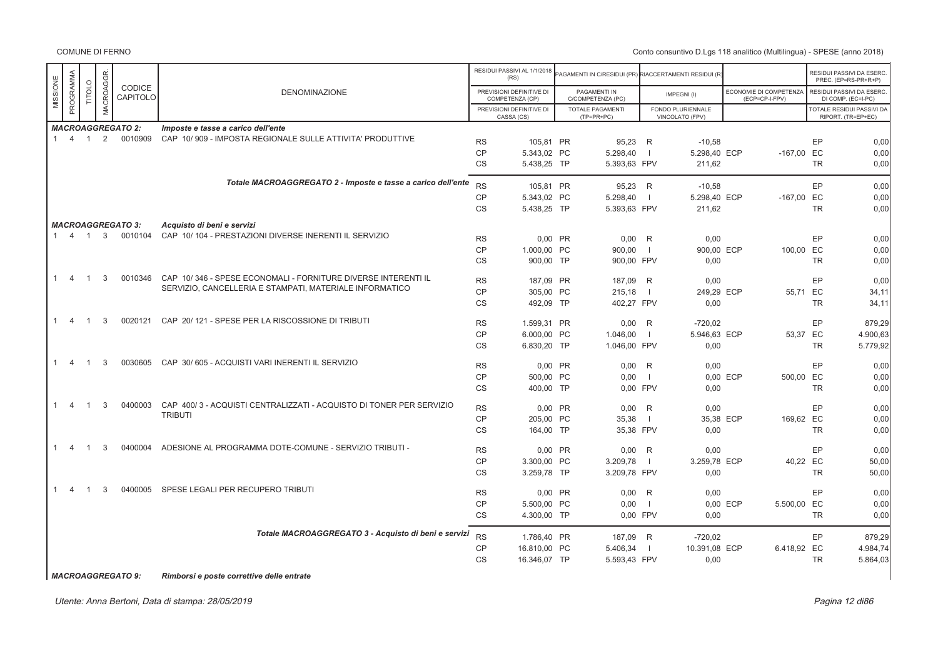Conto consuntivo D.Lgs 118 analitico (Multilingua) - SPESE (anno 2018)

|              |                |                |           |                          |                                                                     |           | RESIDUI PASSIVI AL 1/1/2018<br>(RS)         | PAGAMENTI IN C/RESIDUI (PR) RIACCERTAMENTI RESIDUI (R |                          |                                      |          |                                          |           | RESIDUI PASSIVI DA ESERC.<br>PREC. (EP=RS-PR+R+P) |
|--------------|----------------|----------------|-----------|--------------------------|---------------------------------------------------------------------|-----------|---------------------------------------------|-------------------------------------------------------|--------------------------|--------------------------------------|----------|------------------------------------------|-----------|---------------------------------------------------|
| MISSIONE     | PROGRAMMA      | TITOLO         | MACROAGGR | CODICE<br>CAPITOLO       | <b>DENOMINAZIONE</b>                                                |           | PREVISIONI DEFINITIVE DI<br>COMPETENZA (CP) | PAGAMENTI IN<br>C/COMPETENZA (PC)                     |                          | IMPEGNI(I)                           |          | ECONOMIE DI COMPETENZA<br>(ECP=CP-I-FPV) |           | RESIDUI PASSIVI DA ESERC.<br>DI COMP. (EC=I-PC)   |
|              |                |                |           |                          |                                                                     |           | PREVISIONI DEFINITIVE DI<br>CASSA (CS)      | TOTALE PAGAMENTI<br>$(TP=PR+PC)$                      |                          | FONDO PLURIENNALE<br>VINCOLATO (FPV) |          |                                          |           | TOTALE RESIDUI PASSIVI DA<br>RIPORT. (TR=EP+EC)   |
|              |                |                |           | <b>MACROAGGREGATO 2:</b> | Imposte e tasse a carico dell'ente                                  |           |                                             |                                                       |                          |                                      |          |                                          |           |                                                   |
| $\mathbf{1}$ | $\overline{4}$ | $\overline{1}$ | 2         | 0010909                  | CAP 10/909 - IMPOSTA REGIONALE SULLE ATTIVITA' PRODUTTIVE           | <b>RS</b> | 105,81 PR                                   | 95,23 R                                               |                          | $-10,58$                             |          |                                          | EP        | 0,00                                              |
|              |                |                |           |                          |                                                                     | <b>CP</b> | 5.343,02 PC                                 | 5.298,40                                              | - 1                      | 5.298,40 ECP                         |          | $-167,00$ EC                             |           | 0,00                                              |
|              |                |                |           |                          |                                                                     | <b>CS</b> | 5.438,25 TP                                 | 5.393,63 FPV                                          |                          | 211,62                               |          |                                          | <b>TR</b> | 0,00                                              |
|              |                |                |           |                          | Totale MACROAGGREGATO 2 - Imposte e tasse a carico dell'ente        | <b>RS</b> | 105,81 PR                                   | 95,23 R                                               |                          | $-10,58$                             |          |                                          | EP        | 0,00                                              |
|              |                |                |           |                          |                                                                     | CP        | 5.343,02 PC                                 | 5.298,40                                              |                          | 5.298,40 ECP                         |          | $-167,00$ EC                             |           | 0,00                                              |
|              |                |                |           |                          |                                                                     | <b>CS</b> | 5.438.25 TP                                 | 5.393.63 FPV                                          |                          | 211,62                               |          |                                          | <b>TR</b> | 0,00                                              |
|              |                |                |           | <b>MACROAGGREGATO 3:</b> | Acquisto di beni e servizi                                          |           |                                             |                                                       |                          |                                      |          |                                          |           |                                                   |
| $\mathbf{1}$ | $\overline{4}$ | $\overline{1}$ | 3         | 0010104                  | CAP 10/104 - PRESTAZIONI DIVERSE INERENTI IL SERVIZIO               | <b>RS</b> | 0,00 PR                                     | $0,00$ R                                              |                          | 0,00                                 |          |                                          | EP        | 0,00                                              |
|              |                |                |           |                          |                                                                     | <b>CP</b> | 1.000,00 PC                                 | 900,00                                                | - 1                      | 900,00 ECP                           |          | 100,00 EC                                |           | 0,00                                              |
|              |                |                |           |                          |                                                                     | <b>CS</b> | 900.00 TP                                   | 900,00 FPV                                            |                          | 0,00                                 |          |                                          | <b>TR</b> | 0,00                                              |
|              | $\overline{4}$ |                | 3         | 0010346                  | CAP 10/346 - SPESE ECONOMALI - FORNITURE DIVERSE INTERENTI IL       | <b>RS</b> | 187.09 PR                                   | 187,09                                                | R                        | 0,00                                 |          |                                          | EP        | 0.00                                              |
|              |                |                |           |                          | SERVIZIO, CANCELLERIA E STAMPATI, MATERIALE INFORMATICO             | CP        | 305,00 PC                                   | 215,18                                                | - 1                      | 249,29 ECP                           |          | 55,71 EC                                 |           | 34,11                                             |
|              |                |                |           |                          |                                                                     | <b>CS</b> | 492,09 TP                                   | 402.27 FPV                                            |                          | 0,00                                 |          |                                          | <b>TR</b> | 34,11                                             |
| -1           | 4              | -1             | 3         | 0020121                  | CAP 20/121 - SPESE PER LA RISCOSSIONE DI TRIBUTI                    | <b>RS</b> | 1.599,31 PR                                 | 0,00                                                  | R                        | $-720,02$                            |          |                                          | EP        | 879,29                                            |
|              |                |                |           |                          |                                                                     | <b>CP</b> | 6.000,00 PC                                 | 1.046,00                                              |                          | 5.946,63 ECP                         |          | 53,37 EC                                 |           | 4.900,63                                          |
|              |                |                |           |                          |                                                                     | <b>CS</b> | 6.830,20 TP                                 | 1.046,00 FPV                                          |                          | 0,00                                 |          |                                          | <b>TR</b> | 5.779,92                                          |
|              | $\overline{4}$ |                | 3         | 0030605                  | CAP 30/605 - ACQUISTI VARI INERENTI IL SERVIZIO                     | <b>RS</b> | 0,00 PR                                     | 0,00                                                  | R                        | 0,00                                 |          |                                          | EP        | 0,00                                              |
|              |                |                |           |                          |                                                                     | <b>CP</b> | 500,00 PC                                   | 0,00                                                  | $\overline{\phantom{0}}$ |                                      | 0.00 ECP | 500,00 EC                                |           | 0,00                                              |
|              |                |                |           |                          |                                                                     | <b>CS</b> | 400.00 TP                                   | 0.00 FPV                                              |                          | 0,00                                 |          |                                          | <b>TR</b> | 0.00                                              |
| -1           | $\overline{4}$ | -1             | 3         | 0400003                  | CAP 400/3 - ACQUISTI CENTRALIZZATI - ACQUISTO DI TONER PER SERVIZIO | <b>RS</b> | 0,00 PR                                     | 0,00                                                  | R                        | 0,00                                 |          |                                          | EP        | 0,00                                              |
|              |                |                |           |                          | <b>TRIBUTI</b>                                                      | <b>CP</b> | 205,00 PC                                   | 35,38                                                 |                          | 35,38 ECP                            |          | 169,62 EC                                |           | 0,00                                              |
|              |                |                |           |                          |                                                                     | <b>CS</b> | 164,00 TP                                   | 35,38 FPV                                             |                          | 0,00                                 |          |                                          | <b>TR</b> | 0,00                                              |
|              | -4             | -1             | 3         | 0400004                  | ADESIONE AL PROGRAMMA DOTE-COMUNE - SERVIZIO TRIBUTI -              | <b>RS</b> | $0,00$ PR                                   | $0,00$ R                                              |                          | 0,00                                 |          |                                          | EP        | 0,00                                              |
|              |                |                |           |                          |                                                                     | <b>CP</b> | 3.300,00 PC                                 | 3.209,78                                              | $\overline{\phantom{0}}$ | 3.259,78 ECP                         |          | 40,22 EC                                 |           | 50,00                                             |
|              |                |                |           |                          |                                                                     | CS        | 3.259,78 TP                                 | 3.209,78 FPV                                          |                          | 0,00                                 |          |                                          | TR        | 50,00                                             |
| $\mathbf{1}$ | 4              | -1             | 3         | 0400005                  | SPESE LEGALI PER RECUPERO TRIBUTI                                   | <b>RS</b> | 0,00 PR                                     | $0,00$ R                                              |                          | 0,00                                 |          |                                          | EP        | 0,00                                              |
|              |                |                |           |                          |                                                                     | <b>CP</b> | 5.500,00 PC                                 | 0,00                                                  | - 1                      |                                      | 0,00 ECP | 5.500,00 EC                              |           | 0,00                                              |
|              |                |                |           |                          |                                                                     | <b>CS</b> | 4.300,00 TP                                 | 0.00 FPV                                              |                          | 0.00                                 |          |                                          | <b>TR</b> | 0,00                                              |
|              |                |                |           |                          | Totale MACROAGGREGATO 3 - Acquisto di beni e servizi                | <b>RS</b> | 1.786,40 PR                                 | 187,09 R                                              |                          | $-720,02$                            |          |                                          | EP        | 879,29                                            |
|              |                |                |           |                          |                                                                     | CP        | 16.810,00 PC                                | 5.406,34                                              |                          | 10.391,08 ECP                        |          | 6.418,92 EC                              |           | 4.984,74                                          |
|              |                |                |           |                          |                                                                     | <b>CS</b> | 16.346,07 TP                                | 5.593,43 FPV                                          |                          | 0,00                                 |          |                                          | <b>TR</b> | 5.864,03                                          |

*MACROAGGREGATO 9: Rimborsi e poste correttive delle entrate*

Utente: Anna Bertoni, Data di stampa: 28/05/2019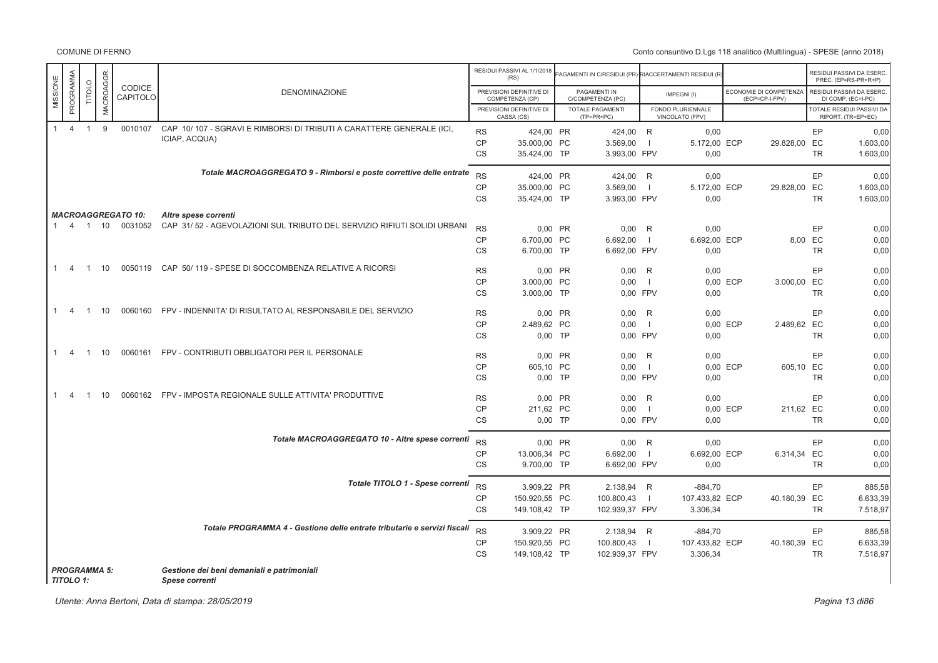COMUNE DI FERNO

Conto consuntivo D.Lgs 118 analitico (Multilingua) - SPESE (anno 2018)

|                                |                     |            |                           |                                                                          |                        | RESIDUI PASSIVI AL 1/1/2018<br>(RS)         | AGAMENTI IN C/RESIDUI (PR) RIACCERTAMENTI RESIDUI (R |                     |                                      |                                          | RESIDUI PASSIVI DA ESERC<br>PREC. (EP=RS-PR+R+P) |                      |
|--------------------------------|---------------------|------------|---------------------------|--------------------------------------------------------------------------|------------------------|---------------------------------------------|------------------------------------------------------|---------------------|--------------------------------------|------------------------------------------|--------------------------------------------------|----------------------|
| PROGRAMMA<br>MISSIONE          | TITOLO              | MACROAGGR. | CODICE<br>CAPITOLO        | <b>DENOMINAZIONE</b>                                                     |                        | PREVISIONI DEFINITIVE DI<br>COMPETENZA (CP) | PAGAMENTI IN<br>C/COMPETENZA (PC)                    |                     | IMPEGNI(I)                           | ECONOMIE DI COMPETENZA<br>(ECP=CP-I-FPV) | RESIDUI PASSIVI DA ESERC<br>DI COMP. (EC=I-PC)   |                      |
|                                |                     |            |                           |                                                                          |                        | PREVISIONI DEFINITIVE DI<br>CASSA (CS)      | <b>TOTALE PAGAMENTI</b><br>(TP=PR+PC)                |                     | FONDO PLURIENNALE<br>VINCOLATO (FPV) |                                          | TOTALE RESIDUI PASSIVI DA<br>RIPORT. (TR=EP+EC)  |                      |
| $\overline{4}$<br>$\mathbf{1}$ | $\overline{1}$      | 9          | 0010107                   | CAP 10/107 - SGRAVI E RIMBORSI DI TRIBUTI A CARATTERE GENERALE (ICI,     | <b>RS</b>              | 424,00 PR                                   | 424,00 R                                             |                     | 0,00                                 |                                          | EP                                               | 0,00                 |
|                                |                     |            |                           | ICIAP, ACQUA)                                                            | <b>CP</b>              | 35,000.00 PC                                | 3.569,00                                             | $\overline{1}$      | 5.172,00 ECP                         | 29.828,00 EC                             |                                                  | 1.603,00             |
|                                |                     |            |                           |                                                                          | <b>CS</b>              | 35.424,00 TP                                | 3.993,00 FPV                                         |                     | 0,00                                 |                                          | <b>TR</b>                                        | 1.603,00             |
|                                |                     |            |                           | Totale MACROAGGREGATO 9 - Rimborsi e poste correttive delle entrate      | <b>RS</b>              | 424,00 PR                                   | 424,00 R                                             |                     | 0,00                                 |                                          | EP                                               | 0,00                 |
|                                |                     |            |                           |                                                                          | CP                     | 35.000,00 PC                                | 3.569,00                                             | $\mathbf{I}$        | 5.172,00 ECP                         | 29.828,00 EC                             |                                                  | 1.603,00             |
|                                |                     |            |                           |                                                                          | <b>CS</b>              | 35.424,00 TP                                | 3.993,00 FPV                                         |                     | 0,00                                 |                                          | <b>TR</b>                                        | 1.603,00             |
|                                |                     |            | <b>MACROAGGREGATO 10:</b> | Altre spese correnti                                                     |                        |                                             |                                                      |                     |                                      |                                          |                                                  |                      |
|                                |                     |            | 1 4 1 10 0031052          | CAP 31/52 - AGEVOLAZIONI SUL TRIBUTO DEL SERVIZIO RIFIUTI SOLIDI URBANI  | <b>RS</b>              | 0,00 PR                                     | $0,00$ R                                             |                     | 0,00                                 |                                          | EP                                               | 0,00                 |
|                                |                     |            |                           |                                                                          | <b>CP</b>              | 6.700,00 PC                                 | 6.692,00                                             | $\overline{1}$      | 6.692,00 ECP                         |                                          | 8,00 EC                                          | 0,00                 |
|                                |                     |            |                           |                                                                          | <b>CS</b>              | 6.700,00 TP                                 | 6.692,00 FPV                                         |                     | 0,00                                 |                                          | <b>TR</b>                                        | 0,00                 |
| $\overline{4}$                 | $\overline{1}$      | 10         |                           | 0050119 CAP 50/119 - SPESE DI SOCCOMBENZA RELATIVE A RICORSI             |                        |                                             |                                                      |                     |                                      |                                          | <b>EP</b>                                        |                      |
|                                |                     |            |                           |                                                                          | <b>RS</b><br>CP        | 0,00 PR<br>3.000,00 PC                      | 0.00<br>0.00                                         | R<br>$\overline{1}$ | 0,00                                 | 0,00 ECP<br>3.000,00 EC                  |                                                  | 0,00<br>0,00         |
|                                |                     |            |                           |                                                                          | <b>CS</b>              | 3.000,00 TP                                 | 0.00 FPV                                             |                     | 0,00                                 |                                          | <b>TR</b>                                        | 0,00                 |
|                                | $\overline{1}$      |            |                           | FPV - INDENNITA' DI RISULTATO AL RESPONSABILE DEL SERVIZIO               |                        |                                             |                                                      |                     |                                      |                                          |                                                  |                      |
| 1<br>-4                        |                     | 10         | 0060160                   |                                                                          | <b>RS</b>              | 0.00 PR                                     | 0.00                                                 | R                   | 0,00                                 |                                          | EP                                               | 0,00                 |
|                                |                     |            |                           |                                                                          | <b>CP</b><br>CS        | 2.489,62 PC<br>0,00 TP                      | 0,00<br>0,00 FPV                                     | $\overline{1}$      | 0,00                                 | 0,00 ECP<br>2.489,62 EC                  | <b>TR</b>                                        | 0,00<br>0,00         |
|                                |                     |            |                           |                                                                          |                        |                                             |                                                      |                     |                                      |                                          |                                                  |                      |
| 1.<br>-4                       | $\overline{1}$      | 10         |                           | 0060161 FPV - CONTRIBUTI OBBLIGATORI PER IL PERSONALE                    | <b>RS</b>              | 0,00 PR                                     | 0,00                                                 | R                   | 0,00                                 |                                          | EP                                               | 0,00                 |
|                                |                     |            |                           |                                                                          | CP                     | 605,10 PC                                   | 0,00                                                 | $\overline{1}$      |                                      | 0,00 ECP<br>605,10 EC                    |                                                  | 0,00                 |
|                                |                     |            |                           |                                                                          | <b>CS</b>              | 0,00 TP                                     | 0.00 FPV                                             |                     | 0,00                                 |                                          | <b>TR</b>                                        | 0,00                 |
| -4                             | $\overline{1}$      | 10         | 0060162                   | FPV - IMPOSTA REGIONALE SULLE ATTIVITA' PRODUTTIVE                       | <b>RS</b>              | 0,00 PR                                     | 0,00                                                 | R                   | 0,00                                 |                                          | EP                                               | 0,00                 |
|                                |                     |            |                           |                                                                          | <b>CP</b>              | 211,62 PC                                   | 0,00                                                 | $\overline{1}$      |                                      | 0,00 ECP<br>211,62 EC                    |                                                  | 0,00                 |
|                                |                     |            |                           |                                                                          | <b>CS</b>              | $0,00$ TP                                   | 0.00 FPV                                             |                     | 0,00                                 |                                          | <b>TR</b>                                        | 0,00                 |
|                                |                     |            |                           | Totale MACROAGGREGATO 10 - Altre spese correnti                          | <b>RS</b>              | 0.00 PR                                     | 0.00 R                                               |                     | 0.00                                 |                                          | EP                                               | 0,00                 |
|                                |                     |            |                           |                                                                          | CP                     | 13.006,34 PC                                | 6.692,00                                             | -1                  | 6.692,00 ECP                         | 6.314,34 EC                              |                                                  | 0,00                 |
|                                |                     |            |                           |                                                                          | <b>CS</b>              | 9.700,00 TP                                 | 6.692,00 FPV                                         |                     | 0,00                                 |                                          | <b>TR</b>                                        | 0,00                 |
|                                |                     |            |                           | Totale TITOLO 1 - Spese correnti                                         |                        |                                             |                                                      |                     |                                      |                                          |                                                  |                      |
|                                |                     |            |                           |                                                                          | <b>RS</b><br><b>CP</b> | 3.909,22 PR<br>150.920,55 PC                | 2.138,94 R                                           | $\overline{1}$      | $-884,70$                            |                                          | EP                                               | 885,58               |
|                                |                     |            |                           |                                                                          | <b>CS</b>              | 149.108,42 TP                               | 100.800,43<br>102.939,37 FPV                         |                     | 107.433,82 ECP<br>3.306,34           | 40.180,39 EC                             | <b>TR</b>                                        | 6.633,39<br>7.518,97 |
|                                |                     |            |                           |                                                                          |                        |                                             |                                                      |                     |                                      |                                          |                                                  |                      |
|                                |                     |            |                           | Totale PROGRAMMA 4 - Gestione delle entrate tributarie e servizi fiscali | <b>RS</b>              | 3.909,22 PR                                 | 2.138,94 R                                           |                     | $-884,70$                            |                                          | EP                                               | 885,58               |
|                                |                     |            |                           |                                                                          | CP                     | 150.920,55 PC                               | 100.800,43                                           | -1                  | 107.433,82 ECP                       | 40.180,39 EC                             |                                                  | 6.633,39             |
|                                |                     |            |                           |                                                                          | <b>CS</b>              | 149.108,42 TP                               | 102.939,37 FPV                                       |                     | 3.306,34                             |                                          | <b>TR</b>                                        | 7.518,97             |
| <b>TITOLO 1:</b>               | <b>PROGRAMMA 5:</b> |            |                           | Gestione dei beni demaniali e patrimoniali<br>Spese correnti             |                        |                                             |                                                      |                     |                                      |                                          |                                                  |                      |

Utente: Anna Bertoni, Data di stampa: 28/05/2019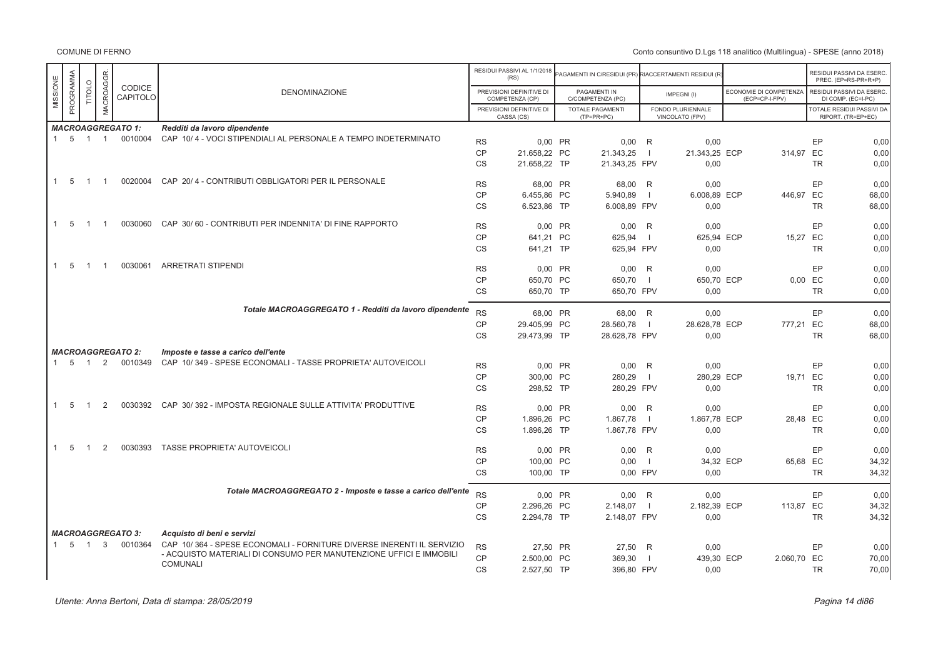|              |                          |                |                |                           |                                                                                       |           | RESIDUI PASSIVI AL 1/1/2018<br>(RS)         | AGAMENTI IN C/RESIDUI (PR) RIACCERTAMENTI RESIDUI (R |                |                                      |                                          |           | RESIDUI PASSIVI DA ESERC.<br>PREC. (EP=RS-PR+R+P) |
|--------------|--------------------------|----------------|----------------|---------------------------|---------------------------------------------------------------------------------------|-----------|---------------------------------------------|------------------------------------------------------|----------------|--------------------------------------|------------------------------------------|-----------|---------------------------------------------------|
| MISSIONE     | PROGRAMMA                | <b>TITOLO</b>  | MACROAGGR      | <b>CODICE</b><br>CAPITOLO | <b>DENOMINAZIONE</b>                                                                  |           | PREVISIONI DEFINITIVE DI<br>COMPETENZA (CP) | PAGAMENTI IN<br>C/COMPETENZA (PC)                    |                | IMPEGNI(I)                           | ECONOMIE DI COMPETENZA<br>(ECP=CP-I-FPV) |           | RESIDUI PASSIVI DA ESERC.<br>DI COMP. (EC=I-PC)   |
|              |                          |                |                |                           |                                                                                       |           | PREVISIONI DEFINITIVE DI<br>CASSA (CS)      | <b>TOTALE PAGAMENTI</b><br>$(TP=PR+PC)$              |                | FONDO PLURIENNALE<br>VINCOLATO (FPV) |                                          |           | TOTALE RESIDUI PASSIVI DA<br>RIPORT. (TR=EP+EC)   |
|              |                          |                |                | <b>MACROAGGREGATO 1:</b>  | Redditi da lavoro dipendente                                                          |           |                                             |                                                      |                |                                      |                                          |           |                                                   |
|              | $1\quad 5\quad 1\quad 1$ |                |                | 0010004                   | CAP 10/4 - VOCI STIPENDIALI AL PERSONALE A TEMPO INDETERMINATO                        | <b>RS</b> | 0,00 PR                                     | $0,00$ R                                             |                | 0,00                                 |                                          | EP        | 0,00                                              |
|              |                          |                |                |                           |                                                                                       | CP        | 21.658,22 PC                                | 21.343,25                                            | - 1            | 21.343,25 ECP                        | 314,97 EC                                |           | 0,00                                              |
|              |                          |                |                |                           |                                                                                       | <b>CS</b> | 21.658,22 TP                                | 21.343,25 FPV                                        |                | 0,00                                 |                                          | <b>TR</b> | 0,00                                              |
|              |                          |                |                |                           |                                                                                       |           |                                             |                                                      |                |                                      |                                          |           |                                                   |
|              | $1\quad 5$               | $\overline{1}$ | $\overline{1}$ |                           | 0020004 CAP 20/4 - CONTRIBUTI OBBLIGATORI PER IL PERSONALE                            | <b>RS</b> | 68.00 PR                                    | 68.00 R                                              |                | 0.00                                 |                                          | EP        | 0.00                                              |
|              |                          |                |                |                           |                                                                                       | <b>CP</b> | 6.455,86 PC                                 | 5.940,89                                             | $\blacksquare$ | 6.008,89 ECP                         | 446.97 EC                                |           | 68,00                                             |
|              |                          |                |                |                           |                                                                                       | <b>CS</b> | 6.523,86 TP                                 | 6.008,89 FPV                                         |                | 0,00                                 |                                          | <b>TR</b> | 68,00                                             |
|              |                          |                |                |                           |                                                                                       |           |                                             |                                                      |                |                                      |                                          |           |                                                   |
|              | $1\quad 5$               | $\overline{1}$ | $\overline{1}$ |                           | 0030060 CAP 30/60 - CONTRIBUTI PER INDENNITA' DI FINE RAPPORTO                        | <b>RS</b> | 0,00 PR                                     | $0,00$ R                                             |                | 0,00                                 |                                          | EP        | 0,00                                              |
|              |                          |                |                |                           |                                                                                       | CP        | 641,21 PC                                   | 625,94                                               |                | 625,94 ECP                           | 15,27                                    | EC        | 0,00                                              |
|              |                          |                |                |                           |                                                                                       | <b>CS</b> | 641,21 TP                                   | 625,94 FPV                                           |                | 0,00                                 |                                          | <b>TR</b> | 0,00                                              |
|              |                          |                |                |                           |                                                                                       |           |                                             |                                                      |                |                                      |                                          |           |                                                   |
| $\mathbf{1}$ | - 5                      | $\overline{1}$ | $\overline{1}$ | 0030061                   | ARRETRATI STIPENDI                                                                    | <b>RS</b> | 0.00 PR                                     | $0,00$ R                                             |                | 0,00                                 |                                          | EP        | 0,00                                              |
|              |                          |                |                |                           |                                                                                       | <b>CP</b> | 650,70 PC                                   | 650,70                                               | $\blacksquare$ | 650,70 ECP                           |                                          | $0,00$ EC | 0,00                                              |
|              |                          |                |                |                           |                                                                                       | <b>CS</b> | 650,70 TP                                   | 650,70 FPV                                           |                | 0.00                                 |                                          | <b>TR</b> | 0,00                                              |
|              |                          |                |                |                           |                                                                                       |           |                                             |                                                      |                |                                      |                                          |           |                                                   |
|              |                          |                |                |                           | Totale MACROAGGREGATO 1 - Redditi da lavoro dipendente                                | <b>RS</b> | 68,00 PR                                    | 68,00 R                                              |                | 0,00                                 |                                          | EP        | 0,00                                              |
|              |                          |                |                |                           |                                                                                       | CP        | 29.405,99 PC                                | 28.560,78                                            |                | 28.628,78 ECP                        | 777,21 EC                                |           | 68,00                                             |
|              |                          |                |                |                           |                                                                                       | <b>CS</b> | 29.473,99 TP                                | 28.628,78 FPV                                        |                | 0,00                                 |                                          | <b>TR</b> | 68,00                                             |
|              |                          |                |                |                           |                                                                                       |           |                                             |                                                      |                |                                      |                                          |           |                                                   |
|              |                          |                |                | <b>MACROAGGREGATO 2:</b>  | Imposte e tasse a carico dell'ente                                                    |           |                                             |                                                      |                |                                      |                                          |           |                                                   |
|              | $1 \quad 5 \quad 1$      |                | 2              | 0010349                   | CAP 10/349 - SPESE ECONOMALI - TASSE PROPRIETA' AUTOVEICOLI                           | <b>RS</b> | 0.00 PR                                     | $0.00$ R                                             |                | 0,00                                 |                                          | EP        | 0,00                                              |
|              |                          |                |                |                           |                                                                                       | CP        | 300,00 PC                                   | 280,29                                               | -1             | 280,29 ECP                           | 19,71 EC                                 |           | 0,00                                              |
|              |                          |                |                |                           |                                                                                       | <b>CS</b> | 298.52 TP                                   | 280,29 FPV                                           |                | 0.00                                 |                                          | <b>TR</b> | 0,00                                              |
|              |                          |                |                |                           |                                                                                       |           |                                             |                                                      |                |                                      |                                          |           |                                                   |
| $\mathbf{1}$ | 5                        | $\overline{1}$ | 2              |                           | 0030392 CAP 30/392 - IMPOSTA REGIONALE SULLE ATTIVITA' PRODUTTIVE                     | <b>RS</b> | 0,00 PR                                     | $0,00$ R                                             |                | 0,00                                 |                                          | EP        | 0,00                                              |
|              |                          |                |                |                           |                                                                                       | <b>CP</b> | 1.896,26 PC                                 | 1.867,78                                             | $\blacksquare$ | 1.867,78 ECP                         | 28,48 EC                                 |           | 0,00                                              |
|              |                          |                |                |                           |                                                                                       | <b>CS</b> | 1.896,26 TP                                 | 1.867,78 FPV                                         |                | 0,00                                 |                                          | <b>TR</b> | 0,00                                              |
|              |                          |                |                |                           |                                                                                       |           |                                             |                                                      |                |                                      |                                          |           |                                                   |
| 1            | -5                       | $\overline{1}$ | 2              | 0030393                   | <b>TASSE PROPRIETA' AUTOVEICOLI</b>                                                   | <b>RS</b> | 0.00 PR                                     | $0.00$ R                                             |                | 0.00                                 |                                          | EP        | 0.00                                              |
|              |                          |                |                |                           |                                                                                       | CP        | 100.00 PC                                   | 0.00                                                 | - 1            | 34,32 ECP                            | 65,68 EC                                 |           | 34,32                                             |
|              |                          |                |                |                           |                                                                                       | <b>CS</b> | 100,00 TP                                   | 0.00 FPV                                             |                | 0.00                                 |                                          | <b>TR</b> | 34,32                                             |
|              |                          |                |                |                           |                                                                                       |           |                                             |                                                      |                |                                      |                                          |           |                                                   |
|              |                          |                |                |                           | Totale MACROAGGREGATO 2 - Imposte e tasse a carico dell'ente                          | <b>RS</b> | 0.00 PR                                     | $0.00$ R                                             |                | 0.00                                 |                                          | EP        | 0.00                                              |
|              |                          |                |                |                           |                                                                                       | <b>CP</b> | 2.296,26 PC                                 | 2.148,07                                             | $\Box$         | 2.182,39 ECP                         | 113,87 EC                                |           | 34.32                                             |
|              |                          |                |                |                           |                                                                                       | <b>CS</b> | 2.294,78 TP                                 | 2.148,07 FPV                                         |                | 0,00                                 |                                          | <b>TR</b> | 34,32                                             |
|              |                          |                |                |                           |                                                                                       |           |                                             |                                                      |                |                                      |                                          |           |                                                   |
|              |                          |                |                | <b>MACROAGGREGATO 3:</b>  | Acquisto di beni e servizi                                                            |           |                                             |                                                      |                |                                      |                                          |           |                                                   |
|              | $1\quad 5$               | $\overline{1}$ | $\mathbf{3}$   | 0010364                   | CAP 10/364 - SPESE ECONOMALI - FORNITURE DIVERSE INERENTI IL SERVIZIO                 | <b>RS</b> | 27,50 PR                                    | 27,50 R                                              |                | 0,00                                 |                                          | EP        | 0,00                                              |
|              |                          |                |                |                           | - ACQUISTO MATERIALI DI CONSUMO PER MANUTENZIONE UFFICI E IMMOBILI<br><b>COMUNALI</b> | CP        | 2.500.00 PC                                 | 369,30                                               |                | 439,30 ECP                           | 2.060,70 EC                              |           | 70,00                                             |
|              |                          |                |                |                           |                                                                                       | <b>CS</b> | 2.527,50 TP                                 | 396,80 FPV                                           |                | 0,00                                 |                                          | <b>TR</b> | 70,00                                             |
|              |                          |                |                |                           |                                                                                       |           |                                             |                                                      |                |                                      |                                          |           |                                                   |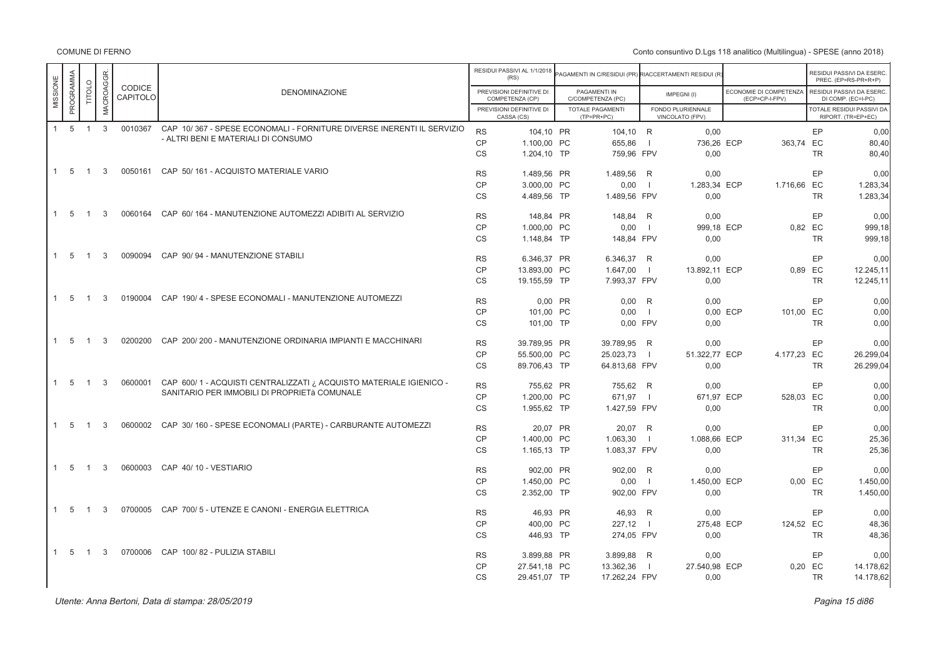Conto consuntivo D.Lgs 118 analitico (Multilingua) - SPESE (anno 2018)

|          |                     |                |                  |                    |                                                                       |           | RESIDUI PASSIVI AL 1/1/2018<br>(RS)         | AGAMENTI IN C/RESIDUI (PR) RIACCERTAMENTI RESIDUI (R) |                |                                      |                                          |                      | RESIDUI PASSIVI DA ESERC<br>PREC. (EP=RS-PR+R+P) |
|----------|---------------------|----------------|------------------|--------------------|-----------------------------------------------------------------------|-----------|---------------------------------------------|-------------------------------------------------------|----------------|--------------------------------------|------------------------------------------|----------------------|--------------------------------------------------|
| MISSIONE | PROGRAMMA           | TITOLO         | <b>MACROAGGR</b> | CODICE<br>CAPITOLO | <b>DENOMINAZIONE</b>                                                  |           | PREVISIONI DEFINITIVE DI<br>COMPETENZA (CP) | PAGAMENTI IN<br>C/COMPETENZA (PC)                     |                | IMPEGNI(I)                           | ECONOMIE DI COMPETENZA<br>(ECP=CP-I-FPV) |                      | RESIDUI PASSIVI DA ESERC.<br>DI COMP. (EC=I-PC)  |
|          |                     |                |                  |                    |                                                                       |           | PREVISIONI DEFINITIVE DI<br>CASSA (CS)      | TOTALE PAGAMENTI<br>$(TP=PR+PC)$                      |                | FONDO PLURIENNALE<br>VINCOLATO (FPV) |                                          |                      | TOTALE RESIDUI PASSIVI DA<br>RIPORT. (TR=EP+EC)  |
|          | $1 \quad 5 \quad 1$ |                | $\mathbf{3}$     | 0010367            | CAP 10/367 - SPESE ECONOMALI - FORNITURE DIVERSE INERENTI IL SERVIZIO | <b>RS</b> | 104,10 PR                                   | 104,10 R                                              |                | 0.00                                 |                                          | EP                   | 0.00                                             |
|          |                     |                |                  |                    | - ALTRI BENI E MATERIALI DI CONSUMO                                   | <b>CP</b> | 1.100,00 PC                                 | 655,86                                                | $\Box$         | 736,26 ECP                           | 363,74 EC                                |                      | 80,40                                            |
|          |                     |                |                  |                    |                                                                       | <b>CS</b> | 1.204,10 TP                                 | 759,96 FPV                                            |                | 0,00                                 |                                          | <b>TR</b>            | 80.40                                            |
|          | $1 \quad 5$         | $\overline{1}$ | 3                |                    | 0050161 CAP 50/161 - ACQUISTO MATERIALE VARIO                         | <b>RS</b> | 1.489.56 PR                                 | 1.489.56 R                                            |                | 0.00                                 |                                          | EP                   | 0.00                                             |
|          |                     |                |                  |                    |                                                                       | <b>CP</b> | 3.000,00 PC                                 | 0,00                                                  | $\Box$         | 1.283,34 ECP                         | 1.716,66 EC                              |                      | 1.283,34                                         |
|          |                     |                |                  |                    |                                                                       | <b>CS</b> | 4.489,56 TP                                 | 1.489,56 FPV                                          |                | 0,00                                 |                                          | <b>TR</b>            | 1.283,34                                         |
|          | $1\quad 5$          | $\overline{1}$ | 3                | 0060164            | CAP 60/164 - MANUTENZIONE AUTOMEZZI ADIBITI AL SERVIZIO               | <b>RS</b> | 148.84 PR                                   | 148.84 R                                              |                | 0.00                                 |                                          | EP                   | 0.00                                             |
|          |                     |                |                  |                    |                                                                       | <b>CP</b> | 1.000.00 PC                                 |                                                       | $\Box$         |                                      |                                          |                      |                                                  |
|          |                     |                |                  |                    |                                                                       | <b>CS</b> | 1.148,84 TP                                 | 0,00<br>148.84 FPV                                    |                | 999,18 ECP<br>0.00                   |                                          | 0,82 EC<br><b>TR</b> | 999,18<br>999.18                                 |
|          |                     |                |                  |                    |                                                                       |           |                                             |                                                       |                |                                      |                                          |                      |                                                  |
|          | $1 \quad 5$         | $\overline{1}$ | 3                | 0090094            | CAP 90/94 - MANUTENZIONE STABILI                                      | <b>RS</b> | 6.346.37 PR                                 | 6.346.37 R                                            |                | 0.00                                 |                                          | EP                   | 0.00                                             |
|          |                     |                |                  |                    |                                                                       | <b>CP</b> | 13.893,00 PC                                | 1.647,00                                              | $\Box$         | 13.892.11 ECP                        |                                          | 0,89 EC              | 12.245,11                                        |
|          |                     |                |                  |                    |                                                                       | <b>CS</b> | 19.155,59 TP                                | 7.993,37 FPV                                          |                | 0.00                                 |                                          | <b>TR</b>            | 12.245,11                                        |
|          | $1\quad 5$          | $\overline{1}$ | 3                | 0190004            | CAP 190/4 - SPESE ECONOMALI - MANUTENZIONE AUTOMEZZI                  | <b>RS</b> | 0,00 PR                                     | $0,00$ R                                              |                | 0,00                                 |                                          | EP                   | 0,00                                             |
|          |                     |                |                  |                    |                                                                       | CP        | 101.00 PC                                   | 0.00                                                  | $\blacksquare$ |                                      | 0.00 ECP<br>101,00 EC                    |                      | 0,00                                             |
|          |                     |                |                  |                    |                                                                       | <b>CS</b> | 101.00 TP                                   | 0.00 FPV                                              |                | 0.00                                 |                                          | <b>TR</b>            | 0,00                                             |
|          | 1 5                 | $\overline{1}$ | 3                |                    | 0200200 CAP 200/200 - MANUTENZIONE ORDINARIA IMPIANTI E MACCHINARI    | <b>RS</b> | 39.789,95 PR                                | 39.789,95 R                                           |                | 0,00                                 |                                          | EP                   | 0,00                                             |
|          |                     |                |                  |                    |                                                                       | <b>CP</b> | 55,500.00 PC                                | 25.023,73                                             | $\blacksquare$ | 51.322.77 ECP                        | 4.177,23 EC                              |                      | 26.299,04                                        |
|          |                     |                |                  |                    |                                                                       | <b>CS</b> | 89.706,43 TP                                | 64.813,68 FPV                                         |                | 0,00                                 |                                          | <b>TR</b>            | 26.299,04                                        |
|          | $1\quad 5\quad 1$   |                | 3                | 0600001            | CAP 600/1 - ACQUISTI CENTRALIZZATI ¿ ACQUISTO MATERIALE IGIENICO -    |           |                                             |                                                       |                |                                      |                                          |                      |                                                  |
|          |                     |                |                  |                    | SANITARIO PER IMMOBILI DI PROPRIETà COMUNALE                          | <b>RS</b> | 755,62 PR                                   | 755,62 R                                              |                | 0,00                                 |                                          | EP                   | 0,00                                             |
|          |                     |                |                  |                    |                                                                       | <b>CP</b> | 1.200.00 PC                                 | 671,97                                                | $\Box$         | 671,97 ECP                           | 528,03 EC                                |                      | 0,00                                             |
|          |                     |                |                  |                    |                                                                       | <b>CS</b> | 1.955,62 TP                                 | 1.427,59 FPV                                          |                | 0.00                                 |                                          | <b>TR</b>            | 0,00                                             |
|          | $1\quad 5$          | $\overline{1}$ | 3                | 0600002            | CAP 30/160 - SPESE ECONOMALI (PARTE) - CARBURANTE AUTOMEZZI           | <b>RS</b> | 20.07 PR                                    | 20,07 R                                               |                | 0.00                                 |                                          | EP                   | 0,00                                             |
|          |                     |                |                  |                    |                                                                       | CP        | 1.400.00 PC                                 | 1.063,30                                              | $\blacksquare$ | 1.088,66 ECP                         | 311,34 EC                                |                      | 25,36                                            |
|          |                     |                |                  |                    |                                                                       | <b>CS</b> | 1.165,13 TP                                 | 1.083,37 FPV                                          |                | 0.00                                 |                                          | <b>TR</b>            | 25,36                                            |
|          | $1\quad 5$          | $\overline{1}$ | 3                | 0600003            | CAP 40/10 - VESTIARIO                                                 | <b>RS</b> | 902.00 PR                                   | 902,00 R                                              |                | 0,00                                 |                                          | EP                   | 0,00                                             |
|          |                     |                |                  |                    |                                                                       | CP        | 1.450,00 PC                                 | 0,00                                                  | $\Box$         | 1.450,00 ECP                         |                                          | 0.00 EC              | 1.450,00                                         |
|          |                     |                |                  |                    |                                                                       | <b>CS</b> | 2.352,00 TP                                 | 902,00 FPV                                            |                | 0.00                                 |                                          | <b>TR</b>            | 1.450,00                                         |
|          | $1\quad 5$          | $\overline{1}$ | 3                |                    | 0700005 CAP 700/5 - UTENZE E CANONI - ENERGIA ELETTRICA               | <b>RS</b> | 46.93 PR                                    |                                                       |                | 0.00                                 |                                          | EP                   | 0,00                                             |
|          |                     |                |                  |                    |                                                                       | CP        |                                             | 46,93 R                                               |                |                                      |                                          |                      |                                                  |
|          |                     |                |                  |                    |                                                                       | <b>CS</b> | 400.00 PC<br>446,93 TP                      | $227,12$  <br>274,05 FPV                              |                | 275,48 ECP<br>0,00                   | 124,52 EC                                | <b>TR</b>            | 48,36<br>48,36                                   |
|          |                     |                |                  |                    |                                                                       |           |                                             |                                                       |                |                                      |                                          |                      |                                                  |
|          | $1\quad 5$          | $\overline{1}$ | 3                |                    | 0700006 CAP 100/82 - PULIZIA STABILI                                  | <b>RS</b> | 3.899,88 PR                                 | 3.899,88 R                                            |                | 0,00                                 |                                          | EP                   | 0,00                                             |
|          |                     |                |                  |                    |                                                                       | CP        | 27.541,18 PC                                | 13.362,36                                             | $\blacksquare$ | 27.540,98 ECP                        |                                          | 0,20 EC              | 14.178,62                                        |
|          |                     |                |                  |                    |                                                                       | <b>CS</b> | 29.451,07 TP                                | 17.262,24 FPV                                         |                | 0,00                                 |                                          | TR                   | 14.178,62                                        |

er di sebagai di sebagai di sebagai di sebagai di sebagai di sebagai di sebagai di sebagai di sebagai di sebag<br>Pagina 15 di86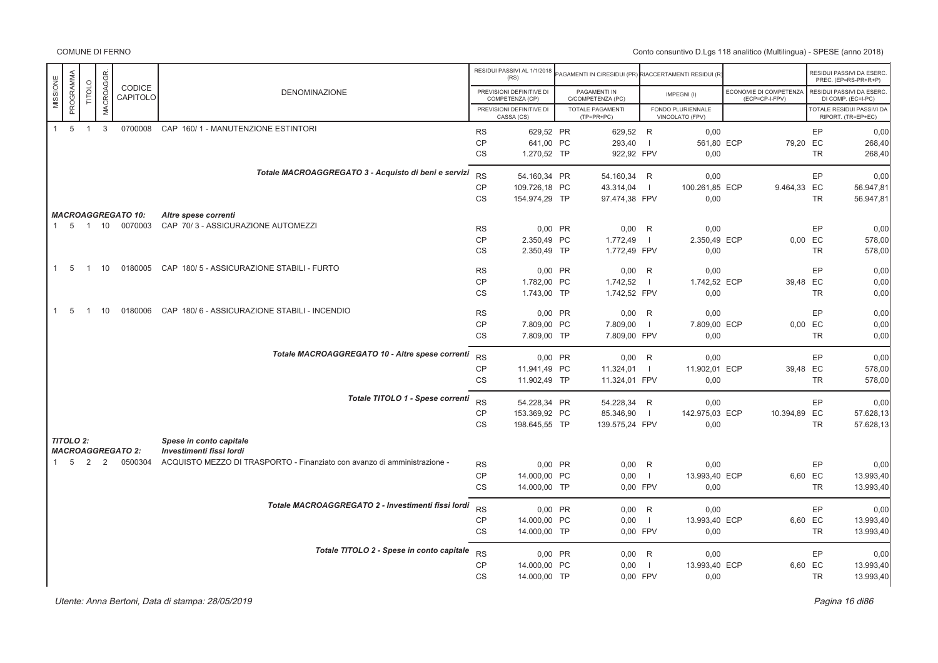Conto consuntivo D.Lgs 118 analitico (Multilingua) - SPESE (anno 2018)

|                |                  |                |                  |                           |                                                                          |           | RESIDUI PASSIVI AL 1/1/2018<br>(RS)         | AGAMENTI IN C/RESIDUI (PR) RIACCERTAMENTI RESIDUI (R) |                |                                      |                                          |           | RESIDUI PASSIVI DA ESERC<br>PREC. (EP=RS-PR+R+P) |
|----------------|------------------|----------------|------------------|---------------------------|--------------------------------------------------------------------------|-----------|---------------------------------------------|-------------------------------------------------------|----------------|--------------------------------------|------------------------------------------|-----------|--------------------------------------------------|
| MISSIONE       | PROGRAMMA        | TITOLO         | <b>MACROAGGR</b> | CODICE<br>CAPITOLO        | <b>DENOMINAZIONE</b>                                                     |           | PREVISIONI DEFINITIVE DI<br>COMPETENZA (CP) | PAGAMENTI IN<br>C/COMPETENZA (PC)                     |                | IMPEGNI(I)                           | ECONOMIE DI COMPETENZA<br>(ECP=CP-I-FPV) |           | RESIDUI PASSIVI DA ESERC<br>DI COMP. (EC=I-PC)   |
|                |                  |                |                  |                           |                                                                          |           | PREVISIONI DEFINITIVE DI<br>CASSA (CS)      | TOTALE PAGAMENTI<br>(TP=PR+PC)                        |                | FONDO PLURIENNALE<br>VINCOLATO (FPV) |                                          |           | TOTALE RESIDUI PASSIVI DA<br>RIPORT. (TR=EP+EC)  |
| $\overline{1}$ | $5\overline{5}$  | $\overline{1}$ | 3                |                           | 0700008 CAP 160/1 - MANUTENZIONE ESTINTORI                               | <b>RS</b> | 629,52 PR                                   | 629,52 R                                              |                | 0,00                                 |                                          | EP        | 0,00                                             |
|                |                  |                |                  |                           |                                                                          | CP        | 641,00 PC                                   | 293,40                                                | - 1            | 561,80 ECP                           | 79,20 EC                                 |           | 268,40                                           |
|                |                  |                |                  |                           |                                                                          | <b>CS</b> | 1.270,52 TP                                 | 922,92 FPV                                            |                | 0,00                                 |                                          | <b>TR</b> | 268,40                                           |
|                |                  |                |                  |                           | Totale MACROAGGREGATO 3 - Acquisto di beni e servizi                     | <b>RS</b> | 54.160.34 PR                                | 54.160.34 R                                           |                | 0.00                                 |                                          | EP        | 0.00                                             |
|                |                  |                |                  |                           |                                                                          | CP        | 109.726,18 PC                               | 43.314,04                                             | - 1            | 100.261,85 ECP                       | 9.464,33 EC                              |           | 56.947,81                                        |
|                |                  |                |                  |                           |                                                                          | <b>CS</b> | 154.974,29 TP                               | 97.474,38 FPV                                         |                | 0,00                                 |                                          | <b>TR</b> | 56.947,81                                        |
|                |                  |                |                  | <b>MACROAGGREGATO 10:</b> | Altre spese correnti                                                     |           |                                             |                                                       |                |                                      |                                          |           |                                                  |
| $\mathbf{1}$   | 5                | 1 10           |                  | 0070003                   | CAP 70/3 - ASSICURAZIONE AUTOMEZZI                                       | <b>RS</b> | 0,00 PR                                     | $0,00$ R                                              |                | 0,00                                 |                                          | EP        | 0.00                                             |
|                |                  |                |                  |                           |                                                                          | CP        | 2.350,49 PC                                 | 1.772,49                                              | $\overline{1}$ | 2.350,49 ECP                         |                                          | 0,00 EC   | 578,00                                           |
|                |                  |                |                  |                           |                                                                          | CS        | 2.350,49 TP                                 | 1.772,49 FPV                                          |                | 0,00                                 |                                          | <b>TR</b> | 578,00                                           |
|                |                  |                |                  |                           |                                                                          |           |                                             |                                                       |                |                                      |                                          |           |                                                  |
| $\mathbf{1}$   | 5                | $\overline{1}$ | 10               |                           | 0180005 CAP 180/5 - ASSICURAZIONE STABILI - FURTO                        | <b>RS</b> | 0.00 PR                                     | $0,00$ R                                              |                | 0.00                                 |                                          | EP        | 0.00                                             |
|                |                  |                |                  |                           |                                                                          | <b>CP</b> | 1.782,00 PC                                 | 1.742,52                                              | $\blacksquare$ | 1.742,52 ECP                         | 39,48 EC                                 |           | 0,00                                             |
|                |                  |                |                  |                           |                                                                          | CS        | 1.743,00 TP                                 | 1.742,52 FPV                                          |                | 0,00                                 |                                          | <b>TR</b> | 0,00                                             |
| $\mathbf{1}$   | 5                | $\mathbf{1}$   | 10               |                           | 0180006 CAP 180/6 - ASSICURAZIONE STABILI - INCENDIO                     | <b>RS</b> | 0.00 PR                                     | $0,00$ R                                              |                | 0.00                                 |                                          | EP        | 0,00                                             |
|                |                  |                |                  |                           |                                                                          | CP        | 7.809,00 PC                                 | 7.809,00                                              | $\Box$         | 7.809,00 ECP                         |                                          | 0,00 EC   | 0,00                                             |
|                |                  |                |                  |                           |                                                                          | CS        | 7.809,00 TP                                 | 7.809,00 FPV                                          |                | 0,00                                 |                                          | <b>TR</b> | 0,00                                             |
|                |                  |                |                  |                           | Totale MACROAGGREGATO 10 - Altre spese correnti                          |           |                                             |                                                       |                |                                      |                                          |           |                                                  |
|                |                  |                |                  |                           |                                                                          | <b>RS</b> | 0.00 PR                                     | $0,00$ R                                              |                | 0,00                                 |                                          | EP        | 0.00                                             |
|                |                  |                |                  |                           |                                                                          | CP        | 11.941,49 PC                                | 11.324,01                                             | - 1            | 11.902,01 ECP                        | 39,48 EC                                 |           | 578,00                                           |
|                |                  |                |                  |                           |                                                                          | <b>CS</b> | 11.902,49 TP                                | 11.324,01 FPV                                         |                | 0,00                                 |                                          | <b>TR</b> | 578,00                                           |
|                |                  |                |                  |                           | Totale TITOLO 1 - Spese correnti                                         | <b>RS</b> | 54.228,34 PR                                | 54.228,34 R                                           |                | 0,00                                 |                                          | EP        | 0,00                                             |
|                |                  |                |                  |                           |                                                                          | CP        | 153.369,92 PC                               | 85.346,90                                             | $\overline{1}$ | 142.975,03 ECP                       | 10.394,89 EC                             |           | 57.628,13                                        |
|                |                  |                |                  |                           |                                                                          | <b>CS</b> | 198.645,55 TP                               | 139.575,24 FPV                                        |                | 0,00                                 |                                          | <b>TR</b> | 57.628,13                                        |
|                | <b>TITOLO 2:</b> |                |                  |                           | Spese in conto capitale                                                  |           |                                             |                                                       |                |                                      |                                          |           |                                                  |
|                |                  |                |                  | <b>MACROAGGREGATO 2:</b>  | Investimenti fissi lordi                                                 |           |                                             |                                                       |                |                                      |                                          |           |                                                  |
|                | $1\quad 5$       | $\overline{2}$ | 2                | 0500304                   | ACQUISTO MEZZO DI TRASPORTO - Finanziato con avanzo di amministrazione - | <b>RS</b> | 0,00 PR                                     | $0,00$ R                                              |                | 0,00                                 |                                          | EP        | 0,00                                             |
|                |                  |                |                  |                           |                                                                          | CP        | 14.000,00 PC                                | 0,00                                                  | $\Box$         | 13.993,40 ECP                        |                                          | 6,60 EC   | 13.993,40                                        |
|                |                  |                |                  |                           |                                                                          | <b>CS</b> | 14.000,00 TP                                | 0.00 FPV                                              |                | 0.00                                 |                                          | <b>TR</b> | 13.993,40                                        |
|                |                  |                |                  |                           | Totale MACROAGGREGATO 2 - Investimenti fissi lordi                       | <b>RS</b> | 0,00 PR                                     | $0,00$ R                                              |                | 0,00                                 |                                          | EP        | 0,00                                             |
|                |                  |                |                  |                           |                                                                          | CP        | 14.000,00 PC                                | 0,00                                                  | $\Box$         | 13.993,40 ECP                        |                                          | 6,60 EC   | 13.993,40                                        |
|                |                  |                |                  |                           |                                                                          | CS        | 14.000,00 TP                                | 0,00 FPV                                              |                | 0,00                                 |                                          | <b>TR</b> | 13.993,40                                        |
|                |                  |                |                  |                           | Totale TITOLO 2 - Spese in conto capitale                                | <b>RS</b> |                                             |                                                       |                |                                      |                                          |           |                                                  |
|                |                  |                |                  |                           |                                                                          |           | 0,00 PR                                     | $0,00$ R                                              |                | 0,00                                 |                                          | EP        | 0,00                                             |
|                |                  |                |                  |                           |                                                                          | CP        | 14.000,00 PC                                | 0,00                                                  | -11            | 13.993,40 ECP                        |                                          | 6,60 EC   | 13.993,40                                        |
|                |                  |                |                  |                           |                                                                          | <b>CS</b> | 14.000,00 TP                                | 0,00 FPV                                              |                | 0,00                                 |                                          | <b>TR</b> | 13.993,40                                        |

er di sebagai di sebagai di sebagai di sebagai di sebagai di sebagai di sebagai di sebagai di sebagai di sebag<br>Pagina 16 di86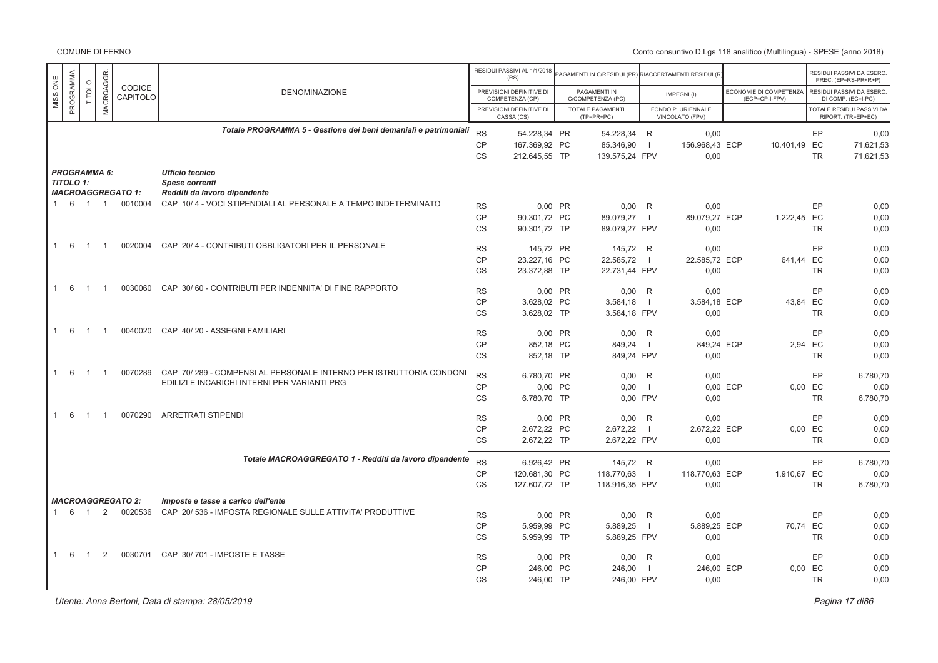# Conto consuntivo D.Lgs 118 analitico (Multilingua) - SPESE (anno 2018)

|          |                     |                |                      |                                     |                                                                                                  |                        | RESIDUI PASSIVI AL 1/1/2018<br>(RS)         |         | AGAMENTI IN C/RESIDUI (PR) RIACCERTAMENTI RESIDUI (R |                          |                                      |          |                                          |           | RESIDUI PASSIVI DA ESERC<br>PREC. (EP=RS-PR+R+P)       |
|----------|---------------------|----------------|----------------------|-------------------------------------|--------------------------------------------------------------------------------------------------|------------------------|---------------------------------------------|---------|------------------------------------------------------|--------------------------|--------------------------------------|----------|------------------------------------------|-----------|--------------------------------------------------------|
| MISSIONE | PROGRAMMA           | TITOLO         | MACROAGGR            | CODICE<br>CAPITOLO                  | <b>DENOMINAZIONE</b>                                                                             |                        | PREVISIONI DEFINITIVE DI<br>COMPETENZA (CP) |         | PAGAMENTI IN<br>C/COMPETENZA (PC)                    |                          | IMPEGNI(I)                           |          | ECONOMIE DI COMPETENZA<br>(ECP=CP-I-FPV) |           | RESIDUI PASSIVI DA ESERC<br>DI COMP. (EC=I-PC)         |
|          |                     |                |                      |                                     |                                                                                                  |                        | PREVISIONI DEFINITIVE DI<br>CASSA (CS)      |         | <b>TOTALE PAGAMENTI</b><br>$(TP=PR+PC)$              |                          | FONDO PLURIENNALE<br>VINCOLATO (FPV) |          |                                          |           | <b>TOTALE RESIDUI PASSIVI DA</b><br>RIPORT. (TR=EP+EC) |
|          |                     |                |                      |                                     | Totale PROGRAMMA 5 - Gestione dei beni demaniali e patrimoniali                                  | <b>RS</b>              | 54.228,34 PR                                |         | 54.228,34                                            | R                        | 0,00                                 |          |                                          | EP        | 0,00                                                   |
|          |                     |                |                      |                                     |                                                                                                  | <b>CP</b>              | 167.369,92 PC                               |         | 85.346,90                                            | $\overline{1}$           | 156.968,43 ECP                       |          | 10.401,49 EC                             |           | 71.621,53                                              |
|          |                     |                |                      |                                     |                                                                                                  | <b>CS</b>              | 212.645.55 TP                               |         | 139.575.24 FPV                                       |                          | 0.00                                 |          |                                          | <b>TR</b> | 71.621.53                                              |
|          | <b>PROGRAMMA 6:</b> |                |                      |                                     | <b>Ufficio tecnico</b>                                                                           |                        |                                             |         |                                                      |                          |                                      |          |                                          |           |                                                        |
|          | <b>TITOLO 1:</b>    |                |                      |                                     | Spese correnti                                                                                   |                        |                                             |         |                                                      |                          |                                      |          |                                          |           |                                                        |
|          | 1 6 1 1             |                |                      | <b>MACROAGGREGATO 1:</b><br>0010004 | Redditi da lavoro dipendente<br>CAP 10/4 - VOCI STIPENDIALI AL PERSONALE A TEMPO INDETERMINATO   |                        |                                             |         |                                                      |                          |                                      |          |                                          |           |                                                        |
|          |                     |                |                      |                                     |                                                                                                  | <b>RS</b>              | 0.00 PR                                     |         | 0.00                                                 | R                        | 0,00                                 |          |                                          | EP        | 0,00                                                   |
|          |                     |                |                      |                                     |                                                                                                  | <b>CP</b><br>CS        | 90.301.72 PC<br>90.301,72 TP                |         | 89.079,27<br>89.079,27 FPV                           | $\blacksquare$           | 89.079.27 ECP<br>0,00                |          | 1.222,45 EC                              | <b>TR</b> | 0.00<br>0,00                                           |
|          |                     |                |                      |                                     |                                                                                                  |                        |                                             |         |                                                      |                          |                                      |          |                                          |           |                                                        |
|          | 1 6                 | $\overline{1}$ | $\overline{1}$       | 0020004                             | CAP 20/4 - CONTRIBUTI OBBLIGATORI PER IL PERSONALE                                               | <b>RS</b>              | 145,72 PR                                   |         | 145,72 R                                             |                          | 0,00                                 |          |                                          | EP        | 0,00                                                   |
|          |                     |                |                      |                                     |                                                                                                  | <b>CP</b>              | 23.227,16 PC                                |         | 22.585,72                                            | $\overline{\phantom{0}}$ | 22.585,72 ECP                        |          | 641,44 EC                                |           | 0,00                                                   |
|          |                     |                |                      |                                     |                                                                                                  | <b>CS</b>              | 23.372.88 TP                                |         | 22.731.44 FPV                                        |                          | 0.00                                 |          |                                          | <b>TR</b> | 0,00                                                   |
|          | 1 6                 | $\overline{1}$ | $\overline{1}$       | 0030060                             | CAP 30/60 - CONTRIBUTI PER INDENNITA' DI FINE RAPPORTO                                           |                        |                                             |         |                                                      |                          |                                      |          |                                          |           |                                                        |
|          |                     |                |                      |                                     |                                                                                                  | <b>RS</b>              | 0.00 PR                                     |         | 0,00                                                 | R                        | 0.00                                 |          |                                          | EP        | 0,00                                                   |
|          |                     |                |                      |                                     |                                                                                                  | <b>CP</b><br><b>CS</b> | 3.628,02 PC<br>3.628,02 TP                  |         | 3.584,18<br>3.584,18 FPV                             | $\overline{\phantom{0}}$ | 3.584,18 ECP<br>0,00                 |          | 43.84 EC                                 | <b>TR</b> | 0.00<br>0,00                                           |
|          |                     |                |                      |                                     |                                                                                                  |                        |                                             |         |                                                      |                          |                                      |          |                                          |           |                                                        |
|          | 1 6                 | $\overline{1}$ | $\mathbf{1}$         | 0040020                             | CAP 40/20 - ASSEGNI FAMILIARI                                                                    | <b>RS</b>              | $0.00$ PR                                   |         | 0,00                                                 | R                        | 0,00                                 |          |                                          | EP        | 0,00                                                   |
|          |                     |                |                      |                                     |                                                                                                  | CP                     | 852,18 PC                                   |         | 849,24                                               | $\overline{\phantom{0}}$ | 849,24 ECP                           |          | 2,94 EC                                  |           | 0,00                                                   |
|          |                     |                |                      |                                     |                                                                                                  | <b>CS</b>              | 852.18 TP                                   |         | 849,24 FPV                                           |                          | 0,00                                 |          |                                          | <b>TR</b> | 0,00                                                   |
|          | 1 6                 | $\overline{1}$ | $\mathbf{1}$         | 0070289                             | CAP 70/289 - COMPENSI AL PERSONALE INTERNO PER ISTRUTTORIA CONDONI                               | <b>RS</b>              | 6.780.70 PR                                 |         | 0.00                                                 | R                        | 0.00                                 |          |                                          | EP        | 6.780,70                                               |
|          |                     |                |                      |                                     | EDILIZI E INCARICHI INTERNI PER VARIANTI PRG                                                     | CP                     |                                             | 0,00 PC | 0,00                                                 | $\blacksquare$           |                                      | 0,00 ECP | 0,00 EC                                  |           | 0,00                                                   |
|          |                     |                |                      |                                     |                                                                                                  | <b>CS</b>              | 6.780,70 TP                                 |         | 0.00 FPV                                             |                          | 0,00                                 |          |                                          | <b>TR</b> | 6.780,70                                               |
|          |                     |                |                      |                                     |                                                                                                  |                        |                                             |         |                                                      |                          |                                      |          |                                          |           |                                                        |
|          | $1 \quad 6$         | $\overline{1}$ | $\blacktriangleleft$ | 0070290                             | <b>ARRETRATI STIPENDI</b>                                                                        | <b>RS</b>              | 0.00 PR                                     |         | 0,00                                                 | R                        | 0,00                                 |          |                                          | EP        | 0,00                                                   |
|          |                     |                |                      |                                     |                                                                                                  | CP                     | 2.672,22 PC                                 |         | 2.672,22                                             | $\blacksquare$           | 2.672,22 ECP                         |          | $0,00$ EC                                |           | 0,00                                                   |
|          |                     |                |                      |                                     |                                                                                                  | <b>CS</b>              | 2.672,22 TP                                 |         | 2.672,22 FPV                                         |                          | 0,00                                 |          |                                          | <b>TR</b> | 0.00                                                   |
|          |                     |                |                      |                                     | Totale MACROAGGREGATO 1 - Redditi da lavoro dipendente                                           | <b>RS</b>              | 6.926.42 PR                                 |         | 145.72 R                                             |                          | 0.00                                 |          |                                          | EP        | 6.780.70                                               |
|          |                     |                |                      |                                     |                                                                                                  | <b>CP</b>              | 120.681,30 PC                               |         | 118.770,63                                           | $\blacksquare$           | 118.770,63 ECP                       |          | 1.910,67 EC                              |           | 0,00                                                   |
|          |                     |                |                      |                                     |                                                                                                  | <b>CS</b>              | 127.607,72 TP                               |         | 118.916,35 FPV                                       |                          | 0,00                                 |          |                                          | <b>TR</b> | 6.780.70                                               |
|          |                     |                |                      |                                     |                                                                                                  |                        |                                             |         |                                                      |                          |                                      |          |                                          |           |                                                        |
|          | $1 \quad 6$         | $\overline{1}$ | 2                    | <b>MACROAGGREGATO 2:</b><br>0020536 | Imposte e tasse a carico dell'ente<br>CAP 20/ 536 - IMPOSTA REGIONALE SULLE ATTIVITA' PRODUTTIVE |                        |                                             |         |                                                      |                          |                                      |          |                                          |           |                                                        |
|          |                     |                |                      |                                     |                                                                                                  | <b>RS</b>              |                                             | 0.00 PR | $0,00$ R                                             |                          | 0.00                                 |          |                                          | EP        | 0.00                                                   |
|          |                     |                |                      |                                     |                                                                                                  | <b>CP</b><br><b>CS</b> | 5.959,99 PC<br>5.959,99 TP                  |         | 5.889,25<br>5.889,25 FPV                             | $\overline{1}$           | 5.889,25 ECP                         |          | 70,74 EC                                 |           | 0,00<br>0,00                                           |
|          |                     |                |                      |                                     |                                                                                                  |                        |                                             |         |                                                      |                          | 0,00                                 |          |                                          | <b>TR</b> |                                                        |
|          | 1<br>- 6            | $\overline{1}$ | 2                    | 0030701                             | CAP 30/701 - IMPOSTE E TASSE                                                                     | <b>RS</b>              | 0,00 PR                                     |         | 0,00                                                 | R                        | 0,00                                 |          |                                          | EP        | 0,00                                                   |
|          |                     |                |                      |                                     |                                                                                                  | CP                     | 246.00 PC                                   |         | 246,00                                               | $\Box$                   | 246,00 ECP                           |          | 0.00 EC                                  |           | 0,00                                                   |
|          |                     |                |                      |                                     |                                                                                                  | <b>CS</b>              | 246,00 TP                                   |         | 246,00 FPV                                           |                          | 0,00                                 |          |                                          | <b>TR</b> | 0,00                                                   |
|          |                     |                |                      |                                     |                                                                                                  |                        |                                             |         |                                                      |                          |                                      |          |                                          |           |                                                        |

en di sebagai pada tahun 17 dikembar 2012 dan ke 1970. Sebagai pada tahun 17 dikembar 2013 dan ke 1970. Sebagai pada tahun 17 dikembar 2014 dan ke 1970. Sebagai pada tahun 17 dikembar 2014 dan ke 1970. Sebagai pada tahun 1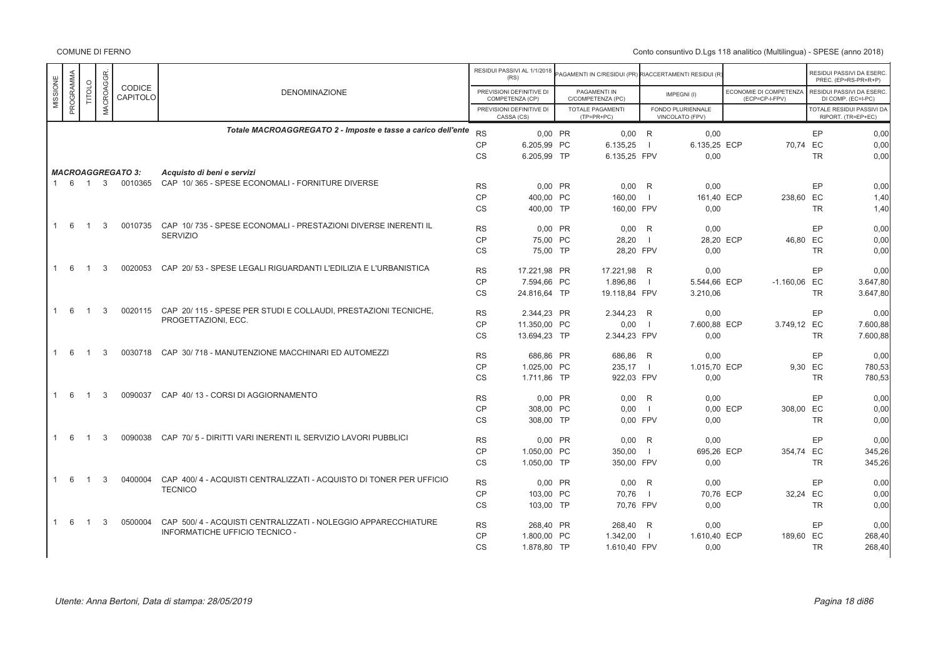|              | PROGRAMMA |                |               | <b>CODICE</b><br>CAPITOLO | <b>DENOMINAZIONE</b>                                               | RESIDUI PASSIVI AL 1/1/2018<br>(RS)<br>PREVISIONI DEFINITIVE DI<br>COMPETENZA (CP)<br>PREVISIONI DEFINITIVE DI<br>CASSA (CS) |              | PAGAMENTI IN<br>C/COMPETENZA (PC)<br><b>TOTALE PAGAMENTI</b><br>$(TP=PR+PC)$ |               | AGAMENTI IN C/RESIDUI (PR) RIACCERTAMENTI RESIDUI (R)<br>IMPEGNI(I)<br>FONDO PLURIENNALE<br>VINCOLATO (FPV) |              | ECONOMIE DI COMPETENZA<br>(ECP=CP-I-FPV) |                | RESIDUI PASSIVI DA ESERC.<br>PREC. (EP=RS-PR+R+P)<br>RESIDUI PASSIVI DA ESERC.<br>DI COMP. (EC=I-PC)<br>TOTALE RESIDUI PASSIVI DA<br>RIPORT. (TR=EP+EC) |          |
|--------------|-----------|----------------|---------------|---------------------------|--------------------------------------------------------------------|------------------------------------------------------------------------------------------------------------------------------|--------------|------------------------------------------------------------------------------|---------------|-------------------------------------------------------------------------------------------------------------|--------------|------------------------------------------|----------------|---------------------------------------------------------------------------------------------------------------------------------------------------------|----------|
| MISSIONE     |           | <b>TITOLO</b>  | MACROAGGR     |                           |                                                                    |                                                                                                                              |              |                                                                              |               |                                                                                                             |              |                                          |                |                                                                                                                                                         |          |
|              |           |                |               |                           |                                                                    |                                                                                                                              |              |                                                                              |               |                                                                                                             |              |                                          |                |                                                                                                                                                         |          |
|              |           |                |               |                           | Totale MACROAGGREGATO 2 - Imposte e tasse a carico dell'ente       | <b>RS</b>                                                                                                                    | 0.00 PR      |                                                                              | $0,00$ R      |                                                                                                             | 0.00         |                                          |                | EP                                                                                                                                                      | 0,00     |
|              |           |                |               |                           |                                                                    | CP                                                                                                                           | 6.205,99 PC  |                                                                              | 6.135,25      |                                                                                                             | 6.135,25 ECP |                                          | 70,74 EC       |                                                                                                                                                         | 0,00     |
|              |           |                |               |                           |                                                                    | <b>CS</b>                                                                                                                    | 6.205,99 TP  |                                                                              | 6.135,25 FPV  |                                                                                                             | 0,00         |                                          |                | <b>TR</b>                                                                                                                                               | 0,00     |
|              |           |                |               | <b>MACROAGGREGATO 3:</b>  | Acquisto di beni e servizi                                         |                                                                                                                              |              |                                                                              |               |                                                                                                             |              |                                          |                |                                                                                                                                                         |          |
|              | 1 6 1     |                | $\mathbf{3}$  | 0010365                   | CAP 10/365 - SPESE ECONOMALI - FORNITURE DIVERSE                   | <b>RS</b>                                                                                                                    | 0,00 PR      |                                                                              | $0.00$ R      |                                                                                                             | 0,00         |                                          |                | EP                                                                                                                                                      | 0,00     |
|              |           |                |               |                           |                                                                    | <b>CP</b>                                                                                                                    | 400.00 PC    |                                                                              | 160,00        |                                                                                                             | 161.40 ECP   |                                          | 238,60 EC      |                                                                                                                                                         | 1,40     |
|              |           |                |               |                           |                                                                    | CS                                                                                                                           | 400,00 TP    |                                                                              | 160,00 FPV    |                                                                                                             | 0,00         |                                          |                | <b>TR</b>                                                                                                                                               | 1,40     |
|              |           |                |               |                           |                                                                    |                                                                                                                              |              |                                                                              |               |                                                                                                             |              |                                          |                |                                                                                                                                                         |          |
|              | -6        | -1             | 3             | 0010735                   | CAP 10/735 - SPESE ECONOMALI - PRESTAZIONI DIVERSE INERENTI IL     | <b>RS</b>                                                                                                                    | $0.00$ PR    |                                                                              | $0.00$ R      |                                                                                                             | 0.00         |                                          |                | EP                                                                                                                                                      | 0.00     |
|              |           |                |               |                           | <b>SERVIZIO</b>                                                    | <b>CP</b>                                                                                                                    | 75.00 PC     |                                                                              | 28,20         | $\blacksquare$                                                                                              | 28,20 ECP    |                                          | 46,80 EC       |                                                                                                                                                         | 0,00     |
|              |           |                |               |                           |                                                                    | <b>CS</b>                                                                                                                    | 75,00 TP     |                                                                              | 28,20 FPV     |                                                                                                             | 0,00         |                                          |                | <b>TR</b>                                                                                                                                               | 0,00     |
| $\mathbf{1}$ | - 6       | -1             | 3             | 0020053                   | CAP 20/53 - SPESE LEGALI RIGUARDANTI L'EDILIZIA E L'URBANISTICA    |                                                                                                                              |              |                                                                              |               |                                                                                                             |              |                                          |                |                                                                                                                                                         |          |
|              |           |                |               |                           |                                                                    | <b>RS</b>                                                                                                                    | 17.221,98 PR |                                                                              | 17.221,98 R   |                                                                                                             | 0,00         |                                          |                | EP                                                                                                                                                      | 0,00     |
|              |           |                |               |                           |                                                                    | <b>CP</b>                                                                                                                    | 7.594.66 PC  |                                                                              | 1.896.86      | - 1                                                                                                         | 5.544.66 ECP |                                          | $-1.160,06$ EC |                                                                                                                                                         | 3.647.80 |
|              |           |                |               |                           |                                                                    | <b>CS</b>                                                                                                                    | 24.816.64 TP |                                                                              | 19.118,84 FPV |                                                                                                             | 3.210,06     |                                          |                | <b>TR</b>                                                                                                                                               | 3.647,80 |
| 1            | 6         | $\overline{1}$ | 3             | 0020115                   | CAP 20/115 - SPESE PER STUDI E COLLAUDI, PRESTAZIONI TECNICHE,     | <b>RS</b>                                                                                                                    | 2.344.23 PR  |                                                                              | 2.344,23 R    |                                                                                                             | 0,00         |                                          |                | EP                                                                                                                                                      | 0,00     |
|              |           |                |               |                           | PROGETTAZIONI, ECC.                                                | <b>CP</b>                                                                                                                    | 11.350,00 PC |                                                                              | 0,00          | $\blacksquare$                                                                                              | 7.600,88 ECP |                                          | 3.749,12 EC    |                                                                                                                                                         | 7.600,88 |
|              |           |                |               |                           |                                                                    | <b>CS</b>                                                                                                                    | 13.694,23 TP |                                                                              | 2.344,23 FPV  |                                                                                                             | 0,00         |                                          |                | <b>TR</b>                                                                                                                                               | 7.600,88 |
|              |           |                |               |                           |                                                                    |                                                                                                                              |              |                                                                              |               |                                                                                                             |              |                                          |                |                                                                                                                                                         |          |
| -1           | 6         | $\mathbf{1}$   | 3             | 0030718                   | CAP 30/718 - MANUTENZIONE MACCHINARI ED AUTOMEZZI                  | <b>RS</b>                                                                                                                    | 686,86 PR    |                                                                              | 686,86 R      |                                                                                                             | 0,00         |                                          |                | EP                                                                                                                                                      | 0.00     |
|              |           |                |               |                           |                                                                    | <b>CP</b>                                                                                                                    | 1.025,00 PC  |                                                                              | 235,17        |                                                                                                             | 1.015,70 ECP |                                          | 9,30 EC        |                                                                                                                                                         | 780,53   |
|              |           |                |               |                           |                                                                    | <b>CS</b>                                                                                                                    | 1.711,86 TP  |                                                                              | 922,03 FPV    |                                                                                                             | 0,00         |                                          |                | <b>TR</b>                                                                                                                                               | 780,53   |
| $\mathbf{1}$ | 6         | $\overline{1}$ | $\mathcal{S}$ | 0090037                   | CAP 40/13 - CORSI DI AGGIORNAMENTO                                 | <b>RS</b>                                                                                                                    | 0.00 PR      |                                                                              | 0.00          | R                                                                                                           | 0.00         |                                          |                | EP                                                                                                                                                      | 0,00     |
|              |           |                |               |                           |                                                                    | CP                                                                                                                           | 308,00 PC    |                                                                              | 0.00          | - 1                                                                                                         |              | 0.00 ECP                                 | 308,00 EC      |                                                                                                                                                         | 0,00     |
|              |           |                |               |                           |                                                                    | CS                                                                                                                           | 308,00 TP    |                                                                              | 0.00 FPV      |                                                                                                             | 0,00         |                                          |                | <b>TR</b>                                                                                                                                               | 0,00     |
|              |           |                |               |                           |                                                                    |                                                                                                                              |              |                                                                              |               |                                                                                                             |              |                                          |                |                                                                                                                                                         |          |
| 1            | - 6       | -1             | 3             | 0090038                   | CAP 70/5 - DIRITTI VARI INERENTI IL SERVIZIO LAVORI PUBBLICI       | <b>RS</b>                                                                                                                    | $0,00$ PR    |                                                                              | 0,00          | R                                                                                                           | 0,00         |                                          |                | EP                                                                                                                                                      | 0,00     |
|              |           |                |               |                           |                                                                    | CP                                                                                                                           | 1.050,00 PC  |                                                                              | 350,00        |                                                                                                             | 695,26 ECP   |                                          | 354,74 EC      |                                                                                                                                                         | 345,26   |
|              |           |                |               |                           |                                                                    | CS                                                                                                                           | 1.050.00 TP  |                                                                              | 350.00 FPV    |                                                                                                             | 0.00         |                                          |                | <b>TR</b>                                                                                                                                               | 345,26   |
| $\mathbf{1}$ | 6         | $\mathbf{1}$   | 3             | 0400004                   | CAP 400/4 - ACQUISTI CENTRALIZZATI - ACQUISTO DI TONER PER UFFICIO | <b>RS</b>                                                                                                                    | 0.00 PR      |                                                                              | $0.00$ R      |                                                                                                             | 0,00         |                                          |                | EP                                                                                                                                                      | 0,00     |
|              |           |                |               |                           | <b>TECNICO</b>                                                     | <b>CP</b>                                                                                                                    | 103,00 PC    |                                                                              | 70,76         | $\overline{1}$                                                                                              | 70,76 ECP    |                                          | 32,24 EC       |                                                                                                                                                         | 0,00     |
|              |           |                |               |                           |                                                                    | <b>CS</b>                                                                                                                    | 103.00 TP    |                                                                              | 70.76 FPV     |                                                                                                             | 0.00         |                                          |                | <b>TR</b>                                                                                                                                               | 0,00     |
|              |           |                |               |                           |                                                                    |                                                                                                                              |              |                                                                              |               |                                                                                                             |              |                                          |                |                                                                                                                                                         |          |
| $\mathbf{1}$ | 6         | $\overline{1}$ | 3             | 0500004                   | CAP 500/4 - ACQUISTI CENTRALIZZATI - NOLEGGIO APPARECCHIATURE      | <b>RS</b>                                                                                                                    | 268,40 PR    |                                                                              | 268,40 R      |                                                                                                             | 0,00         |                                          |                | EP                                                                                                                                                      | 0,00     |
|              |           |                |               |                           | INFORMATICHE UFFICIO TECNICO -                                     | <b>CP</b>                                                                                                                    | 1.800.00 PC  |                                                                              | 1.342,00      |                                                                                                             | 1.610,40 ECP |                                          | 189,60 EC      |                                                                                                                                                         | 268,40   |
|              |           |                |               |                           |                                                                    | CS                                                                                                                           | 1.878,80 TP  |                                                                              | 1.610,40 FPV  |                                                                                                             | 0,00         |                                          |                | <b>TR</b>                                                                                                                                               | 268,40   |
|              |           |                |               |                           |                                                                    |                                                                                                                              |              |                                                                              |               |                                                                                                             |              |                                          |                |                                                                                                                                                         |          |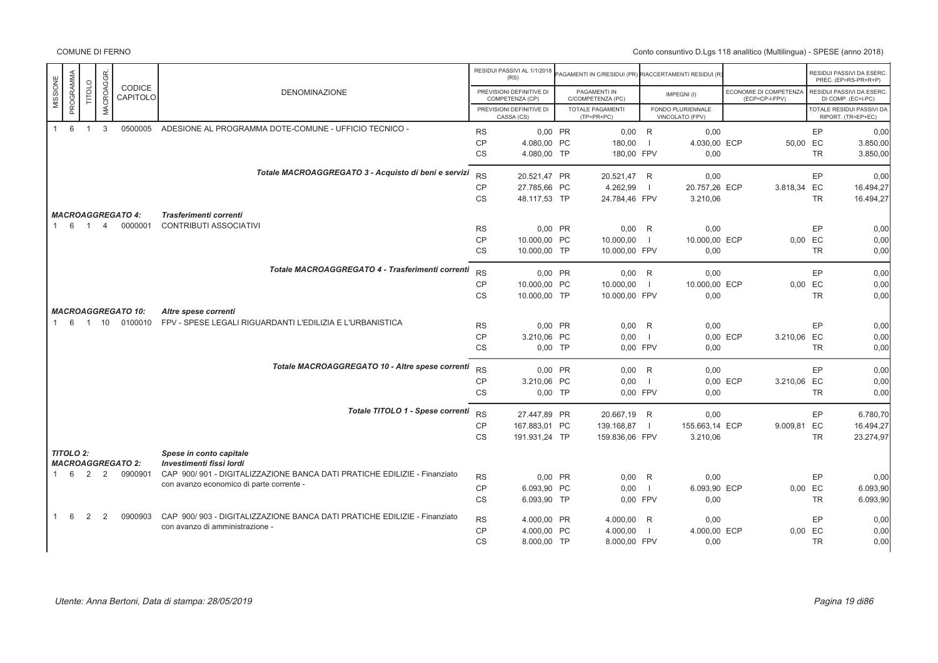|              |                  |                |                |                           |                                                                          |           | RESIDUI PASSIVI AL 1/1/2018<br>(RS)         | AGAMENTI IN C/RESIDUI (PR) RIACCERTAMENTI RESIDUI (R |                |                                      |                                          |           | RESIDUI PASSIVI DA ESERC<br>PREC. (EP=RS-PR+R+P) |
|--------------|------------------|----------------|----------------|---------------------------|--------------------------------------------------------------------------|-----------|---------------------------------------------|------------------------------------------------------|----------------|--------------------------------------|------------------------------------------|-----------|--------------------------------------------------|
| MISSIONE     | PROGRAMMA        | <b>TITOLO</b>  | MACROAGGR.     | CODICE<br>CAPITOLO        | <b>DENOMINAZIONE</b>                                                     |           | PREVISIONI DEFINITIVE DI<br>COMPETENZA (CP) | PAGAMENTI IN<br>C/COMPETENZA (PC)                    |                | IMPEGNI(I)                           | ECONOMIE DI COMPETENZA<br>(ECP=CP-I-FPV) |           | RESIDUI PASSIVI DA ESERC<br>DI COMP. (EC=I-PC)   |
|              |                  |                |                |                           |                                                                          |           | PREVISIONI DEFINITIVE DI<br>CASSA (CS)      | <b>TOTALE PAGAMENTI</b><br>$(TP=PR+PC)$              |                | FONDO PLURIENNALE<br>VINCOLATO (FPV) |                                          |           | TOTALE RESIDUI PASSIVI DA<br>RIPORT. (TR=EP+EC)  |
| 1            | 6                | $\overline{1}$ | 3              | 0500005                   | ADESIONE AL PROGRAMMA DOTE-COMUNE - UFFICIO TECNICO -                    | <b>RS</b> | 0,00 PR                                     | 0.00 R                                               |                | 0.00                                 |                                          | EP.       | 0,00                                             |
|              |                  |                |                |                           |                                                                          | <b>CP</b> | 4.080,00 PC                                 | 180,00                                               |                | 4.030,00 ECP                         | 50,00 EC                                 |           | 3.850,00                                         |
|              |                  |                |                |                           |                                                                          | <b>CS</b> | 4.080,00 TP                                 | 180,00 FPV                                           |                | 0,00                                 |                                          | <b>TR</b> | 3.850,00                                         |
|              |                  |                |                |                           | Totale MACROAGGREGATO 3 - Acquisto di beni e servizi                     | <b>RS</b> | 20.521.47 PR                                | 20.521,47 R                                          |                | 0,00                                 |                                          | EP        | 0,00                                             |
|              |                  |                |                |                           |                                                                          | CP        | 27.785,66 PC                                | 4.262,99                                             | -1             | 20.757,26 ECP                        | 3.818,34 EC                              |           | 16.494,27                                        |
|              |                  |                |                |                           |                                                                          | CS        | 48.117,53 TP                                | 24.784,46 FPV                                        |                | 3.210,06                             |                                          | <b>TR</b> | 16.494,27                                        |
|              |                  |                |                | <b>MACROAGGREGATO 4:</b>  | Trasferimenti correnti                                                   |           |                                             |                                                      |                |                                      |                                          |           |                                                  |
| $\mathbf{1}$ | 6                | $\overline{1}$ | $\overline{4}$ | 0000001                   | <b>CONTRIBUTI ASSOCIATIVI</b>                                            | <b>RS</b> | 0,00 PR                                     | $0,00$ R                                             |                | 0,00                                 |                                          | EP        | 0,00                                             |
|              |                  |                |                |                           |                                                                          | <b>CP</b> | 10.000,00 PC                                | 10.000,00                                            | -1             | 10.000,00 ECP                        |                                          | 0.00 EC   | 0,00                                             |
|              |                  |                |                |                           |                                                                          | <b>CS</b> | 10.000,00 TP                                | 10.000,00 FPV                                        |                | 0,00                                 |                                          | <b>TR</b> | 0,00                                             |
|              |                  |                |                |                           | Totale MACROAGGREGATO 4 - Trasferimenti correnti                         | <b>RS</b> | 0,00 PR                                     |                                                      |                | 0,00                                 |                                          | EP        | 0,00                                             |
|              |                  |                |                |                           |                                                                          | CP        | 10.000,00 PC                                | $0,00$ R<br>10.000,00                                |                | 10.000,00 ECP                        |                                          | 0,00 EC   | 0,00                                             |
|              |                  |                |                |                           |                                                                          | CS        | 10.000,00 TP                                | 10.000,00 FPV                                        |                | 0,00                                 |                                          | <b>TR</b> | 0,00                                             |
|              |                  |                |                | <b>MACROAGGREGATO 10:</b> | Altre spese correnti                                                     |           |                                             |                                                      |                |                                      |                                          |           |                                                  |
|              | 6<br>1           | $\overline{1}$ | 10             | 0100010                   | FPV - SPESE LEGALI RIGUARDANTI L'EDILIZIA E L'URBANISTICA                | <b>RS</b> | 0,00 PR                                     | $0,00$ R                                             |                | 0,00                                 |                                          | EP        | 0,00                                             |
|              |                  |                |                |                           |                                                                          | <b>CP</b> | 3.210,06 PC                                 | 0,00                                                 | $\overline{1}$ |                                      | 0,00 ECP<br>3.210,06 EC                  |           | 0,00                                             |
|              |                  |                |                |                           |                                                                          | <b>CS</b> | $0,00$ TP                                   | 0,00 FPV                                             |                | 0,00                                 |                                          | <b>TR</b> | 0,00                                             |
|              |                  |                |                |                           | Totale MACROAGGREGATO 10 - Altre spese correnti                          | <b>RS</b> | 0,00 PR                                     | $0,00$ R                                             |                | 0,00                                 |                                          | EP        | 0,00                                             |
|              |                  |                |                |                           |                                                                          | CP        | 3.210,06 PC                                 | 0.00                                                 | $\overline{1}$ |                                      | 0,00 ECP<br>3.210,06 EC                  |           | 0,00                                             |
|              |                  |                |                |                           |                                                                          | <b>CS</b> | $0,00$ TP                                   | 0,00 FPV                                             |                | 0,00                                 |                                          | TR        | 0,00                                             |
|              |                  |                |                |                           | Totale TITOLO 1 - Spese correnti                                         | <b>RS</b> | 27.447,89 PR                                |                                                      |                | 0,00                                 |                                          | EP        |                                                  |
|              |                  |                |                |                           |                                                                          | <b>CP</b> | 167.883,01 PC                               | 20.667,19 R<br>139.168,87                            | $\mathbf{I}$   | 155.663,14 ECP                       | 9.009,81 EC                              |           | 6.780,70<br>16.494,27                            |
|              |                  |                |                |                           |                                                                          | <b>CS</b> | 191.931,24 TP                               | 159.836,06 FPV                                       |                | 3.210,06                             |                                          | <b>TR</b> | 23.274,97                                        |
|              | <b>TITOLO 2:</b> |                |                |                           | Spese in conto capitale                                                  |           |                                             |                                                      |                |                                      |                                          |           |                                                  |
|              |                  |                |                | <b>MACROAGGREGATO 2:</b>  | Investimenti fissi lordi                                                 |           |                                             |                                                      |                |                                      |                                          |           |                                                  |
|              | 6                | $\overline{2}$ | $\overline{2}$ | 0900901                   | CAP 900/901 - DIGITALIZZAZIONE BANCA DATI PRATICHE EDILIZIE - Finanziato | <b>RS</b> | 0,00 PR                                     | $0,00$ R                                             |                | 0,00                                 |                                          | EP        | 0,00                                             |
|              |                  |                |                |                           | con avanzo economico di parte corrente -                                 | CP        | 6.093,90 PC                                 | 0.00                                                 | $\mathbf{I}$   | 6.093,90 ECP                         |                                          | 0,00 EC   | 6.093,90                                         |
|              |                  |                |                |                           |                                                                          | CS        | 6.093,90 TP                                 | 0,00 FPV                                             |                | 0,00                                 |                                          | <b>TR</b> | 6.093,90                                         |
|              | 6                | 2              | 2              | 0900903                   | CAP 900/903 - DIGITALIZZAZIONE BANCA DATI PRATICHE EDILIZIE - Finanziato | <b>RS</b> | 4.000,00 PR                                 | 4.000,00                                             | R              | 0,00                                 |                                          | EP        | 0,00                                             |
|              |                  |                |                |                           | con avanzo di amministrazione -                                          | <b>CP</b> | 4.000.00 PC                                 | 4.000,00                                             | -1             | 4.000.00 ECP                         |                                          | 0.00 EC   | 0,00                                             |
|              |                  |                |                |                           |                                                                          | <b>CS</b> | 8.000,00 TP                                 | 8.000,00 FPV                                         |                | 0,00                                 |                                          | <b>TR</b> | 0,00                                             |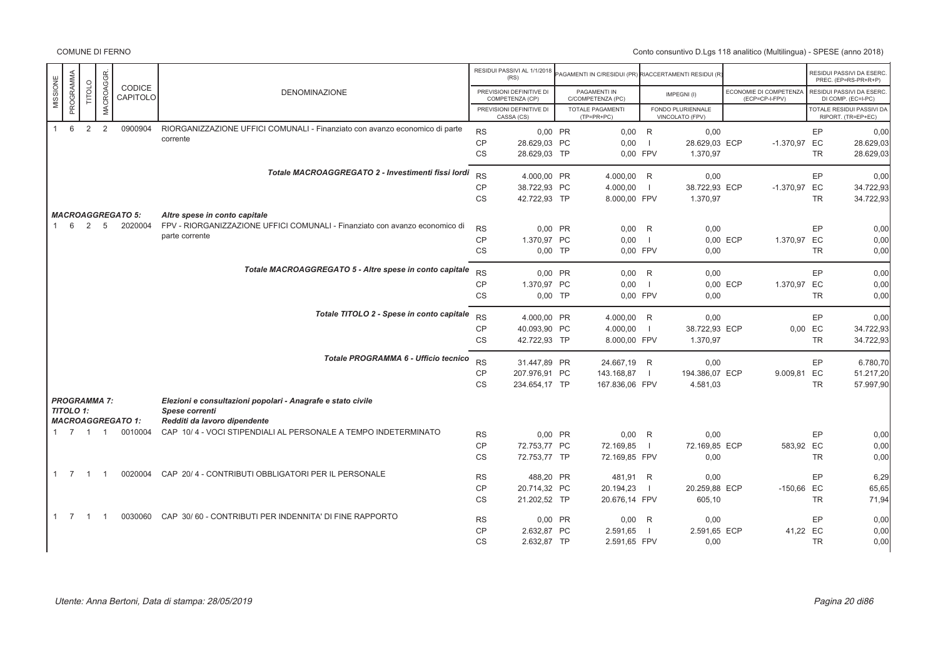COMUNE DI FERNO

|                  |                |                             |                                     |                                                                                                              |                        | RESIDUI PASSIVI AL 1/1/2018<br>(RS)         | PAGAMENTI IN C/RESIDUI (PR) RIACCERTAMENTI RESIDUI (R |                |                                      |          |                                          |           | RESIDUI PASSIVI DA ESERC<br>PREC. (EP=RS-PR+R+P)       |
|------------------|----------------|-----------------------------|-------------------------------------|--------------------------------------------------------------------------------------------------------------|------------------------|---------------------------------------------|-------------------------------------------------------|----------------|--------------------------------------|----------|------------------------------------------|-----------|--------------------------------------------------------|
| MISSIONE         | PROGRAMMA      | MACROAGGR.<br><b>TITOLO</b> | CODICE<br>CAPITOLO                  | <b>DENOMINAZIONE</b>                                                                                         |                        | PREVISIONI DEFINITIVE DI<br>COMPETENZA (CP) | PAGAMENTI IN<br>C/COMPETENZA (PC)                     |                | IMPEGNI(I)                           |          | ECONOMIE DI COMPETENZA<br>(ECP=CP-I-FPV) |           | RESIDUI PASSIVI DA ESERC<br>DI COMP. (EC=I-PC)         |
|                  |                |                             |                                     |                                                                                                              |                        | PREVISIONI DEFINITIVE DI<br>CASSA (CS)      | <b>TOTALE PAGAMENTI</b><br>$(TP=PR+PC)$               |                | FONDO PLURIENNALE<br>VINCOLATO (FPV) |          |                                          |           | <b>TOTALE RESIDUI PASSIVI DA</b><br>RIPORT. (TR=EP+EC) |
| 1                | 6              | 2<br>2                      | 0900904                             | RIORGANIZZAZIONE UFFICI COMUNALI - Finanziato con avanzo economico di parte                                  | <b>RS</b>              | 0,00 PR                                     | $0,00$ R                                              |                | 0,00                                 |          |                                          | EP        | 0,00                                                   |
|                  |                |                             |                                     | corrente                                                                                                     | <b>CP</b>              | 28.629.03 PC                                | 0,00                                                  | - 11           | 28.629,03 ECP                        |          | -1.370,97 EC                             |           | 28.629,03                                              |
|                  |                |                             |                                     |                                                                                                              | <b>CS</b>              | 28.629,03 TP                                | 0,00 FPV                                              |                | 1.370,97                             |          |                                          | <b>TR</b> | 28.629,03                                              |
|                  |                |                             |                                     | Totale MACROAGGREGATO 2 - Investimenti fissi lordi                                                           | <b>RS</b>              | 4.000,00 PR                                 | 4.000,00 R                                            |                | 0,00                                 |          |                                          | EP        | 0,00                                                   |
|                  |                |                             |                                     |                                                                                                              | <b>CP</b>              | 38.722,93 PC                                | 4.000,00                                              | $\blacksquare$ | 38.722,93 ECP                        |          | -1.370,97 EC                             |           | 34.722,93                                              |
|                  |                |                             |                                     |                                                                                                              | CS                     | 42.722,93 TP                                | 8.000,00 FPV                                          |                | 1.370,97                             |          |                                          | <b>TR</b> | 34.722,93                                              |
|                  |                |                             |                                     |                                                                                                              |                        |                                             |                                                       |                |                                      |          |                                          |           |                                                        |
| 1                | 6<br>2         | 5                           | <b>MACROAGGREGATO 5:</b><br>2020004 | Altre spese in conto capitale<br>FPV - RIORGANIZZAZIONE UFFICI COMUNALI - Finanziato con avanzo economico di |                        |                                             |                                                       |                |                                      |          |                                          |           |                                                        |
|                  |                |                             |                                     | parte corrente                                                                                               | <b>RS</b>              | 0.00 PR                                     | $0.00$ R                                              |                | 0.00                                 |          |                                          | EP        | 0,00                                                   |
|                  |                |                             |                                     |                                                                                                              | <b>CP</b>              | 1.370,97 PC                                 | 0,00                                                  | $\Box$         |                                      | 0,00 ECP | 1.370,97 EC                              |           | 0,00                                                   |
|                  |                |                             |                                     |                                                                                                              | <b>CS</b>              | $0,00$ TP                                   | 0,00 FPV                                              |                | 0,00                                 |          |                                          | <b>TR</b> | 0,00                                                   |
|                  |                |                             |                                     | Totale MACROAGGREGATO 5 - Altre spese in conto capitale                                                      | <b>RS</b>              | 0.00 PR                                     | $0,00$ R                                              |                | 0,00                                 |          |                                          | EP        | 0,00                                                   |
|                  |                |                             |                                     |                                                                                                              | <b>CP</b>              | 1.370,97 PC                                 | 0,00                                                  | - 1            |                                      | 0,00 ECP | 1.370,97 EC                              |           | 0.00                                                   |
|                  |                |                             |                                     |                                                                                                              | CS                     | $0,00$ TP                                   | 0,00 FPV                                              |                | 0,00                                 |          |                                          | <b>TR</b> | 0,00                                                   |
|                  |                |                             |                                     | Totale TITOLO 2 - Spese in conto capitale                                                                    |                        |                                             |                                                       |                |                                      |          |                                          |           |                                                        |
|                  |                |                             |                                     |                                                                                                              | <b>RS</b><br><b>CP</b> | 4.000,00 PR<br>40.093,90 PC                 | 4.000,00 R<br>4.000,00                                | $\Box$         | 0,00<br>38.722,93 ECP                |          | 0.00 EC                                  | EP        | 0,00<br>34.722,93                                      |
|                  |                |                             |                                     |                                                                                                              | <b>CS</b>              | 42.722,93 TP                                | 8.000,00 FPV                                          |                | 1.370,97                             |          |                                          | <b>TR</b> | 34.722,93                                              |
|                  |                |                             |                                     |                                                                                                              |                        |                                             |                                                       |                |                                      |          |                                          |           |                                                        |
|                  |                |                             |                                     | Totale PROGRAMMA 6 - Ufficio tecnico                                                                         | <b>RS</b>              | 31.447,89 PR                                | 24.667,19 R                                           |                | 0,00                                 |          |                                          | EP        | 6.780,70                                               |
|                  |                |                             |                                     |                                                                                                              | CP                     | 207.976,91 PC                               | 143.168,87                                            | $\blacksquare$ | 194.386,07 ECP                       |          | 9.009,81 EC                              |           | 51.217,20                                              |
|                  |                |                             |                                     |                                                                                                              | <b>CS</b>              | 234.654,17 TP                               | 167.836,06 FPV                                        |                | 4.581,03                             |          |                                          | <b>TR</b> | 57.997,90                                              |
|                  |                | <b>PROGRAMMA 7:</b>         |                                     | Elezioni e consultazioni popolari - Anagrafe e stato civile                                                  |                        |                                             |                                                       |                |                                      |          |                                          |           |                                                        |
| <b>TITOLO 1:</b> |                |                             |                                     | Spese correnti                                                                                               |                        |                                             |                                                       |                |                                      |          |                                          |           |                                                        |
|                  |                |                             | <b>MACROAGGREGATO 1:</b>            | Redditi da lavoro dipendente                                                                                 |                        |                                             |                                                       |                |                                      |          |                                          |           |                                                        |
|                  |                | 1 7 1 1                     | 0010004                             | CAP 10/4 - VOCI STIPENDIALI AL PERSONALE A TEMPO INDETERMINATO                                               | <b>RS</b>              | 0.00 PR                                     | $0,00$ R                                              |                | 0.00                                 |          |                                          | EP        | 0,00                                                   |
|                  |                |                             |                                     |                                                                                                              | CP                     | 72.753,77 PC                                | 72.169,85                                             | $\blacksquare$ | 72.169,85 ECP                        |          | 583,92 EC                                |           | 0,00                                                   |
|                  |                |                             |                                     |                                                                                                              | <b>CS</b>              | 72.753,77 TP                                | 72.169,85 FPV                                         |                | 0,00                                 |          |                                          | <b>TR</b> | 0,00                                                   |
| $1 \quad 7$      | $\overline{1}$ | $\overline{1}$              | 0020004                             | CAP 20/4 - CONTRIBUTI OBBLIGATORI PER IL PERSONALE                                                           | <b>RS</b>              | 488,20 PR                                   | 481,91 R                                              |                | 0,00                                 |          |                                          | EP        | 6,29                                                   |
|                  |                |                             |                                     |                                                                                                              | <b>CP</b>              | 20.714,32 PC                                | 20.194,23                                             | $\blacksquare$ | 20.259,88 ECP                        |          | -150,66 EC                               |           | 65,65                                                  |
|                  |                |                             |                                     |                                                                                                              | CS                     | 21.202,52 TP                                | 20.676,14 FPV                                         |                | 605,10                               |          |                                          | <b>TR</b> | 71,94                                                  |
| $1 \quad 7$      | $\overline{1}$ | - 1                         | 0030060                             | CAP 30/60 - CONTRIBUTI PER INDENNITA' DI FINE RAPPORTO                                                       | <b>RS</b>              | 0,00 PR                                     | 0,00                                                  | R              | 0,00                                 |          |                                          | EP        | 0,00                                                   |
|                  |                |                             |                                     |                                                                                                              | CP                     | 2.632.87 PC                                 | 2.591,65                                              |                | 2.591.65 ECP                         |          | 41,22 EC                                 |           | 0,00                                                   |
|                  |                |                             |                                     |                                                                                                              | <b>CS</b>              | 2.632,87 TP                                 | 2.591,65 FPV                                          |                | 0,00                                 |          |                                          | <b>TR</b> | 0.00                                                   |
|                  |                |                             |                                     |                                                                                                              |                        |                                             |                                                       |                |                                      |          |                                          |           |                                                        |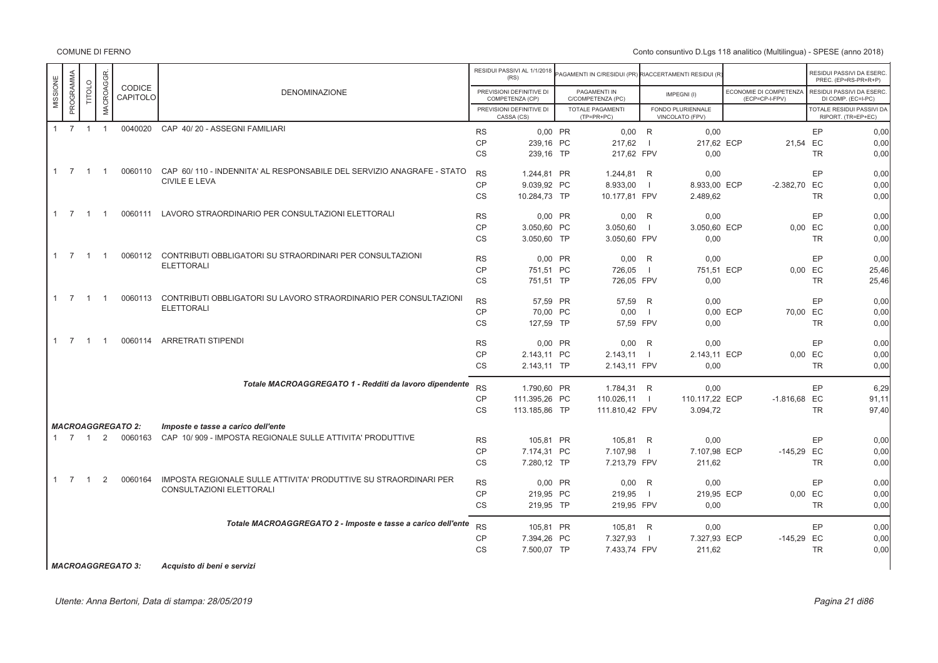Conto consuntivo D.Lgs 118 analitico (Multilingua) - SPESE (anno 2018)

|          |                     |                |                |                          |                                                                               |           | RESIDUI PASSIVI AL 1/1/2018<br>(RS)         | PAGAMENTI IN C/RESIDUI (PR) RIACCERTAMENTI RESIDUI (R |                          |                                      |                                          |           | RESIDUI PASSIVI DA ESERC.<br>PREC. (EP=RS-PR+R+P) |
|----------|---------------------|----------------|----------------|--------------------------|-------------------------------------------------------------------------------|-----------|---------------------------------------------|-------------------------------------------------------|--------------------------|--------------------------------------|------------------------------------------|-----------|---------------------------------------------------|
| MISSIONE | PROGRAMMA           | TITOLO         | MACROAGGR.     | CODICE<br>CAPITOLO       | <b>DENOMINAZIONE</b>                                                          |           | PREVISIONI DEFINITIVE DI<br>COMPETENZA (CP) | PAGAMENTI IN<br>C/COMPETENZA (PC)                     |                          | IMPEGNI(I)                           | ECONOMIE DI COMPETENZA<br>(ECP=CP-I-FPV) |           | RESIDUI PASSIVI DA ESERC.<br>DI COMP. (EC=I-PC)   |
|          |                     |                |                |                          |                                                                               |           | PREVISIONI DEFINITIVE DI<br>CASSA (CS)      | <b>TOTALE PAGAMENTI</b><br>$(TP=PR+PC)$               |                          | FONDO PLURIENNALE<br>VINCOLATO (FPV) |                                          |           | TOTALE RESIDUI PASSIVI DA<br>RIPORT. (TR=EP+EC)   |
|          | $1 \quad 7 \quad 1$ |                | $\overline{1}$ |                          | 0040020 CAP 40/20 - ASSEGNI FAMILIARI                                         | <b>RS</b> | 0.00 PR                                     | 0,00                                                  | R                        | 0,00                                 |                                          | EP        | 0,00                                              |
|          |                     |                |                |                          |                                                                               | <b>CP</b> | 239,16 PC                                   | 217,62                                                |                          | 217,62 ECP                           |                                          | 21,54 EC  | 0,00                                              |
|          |                     |                |                |                          |                                                                               | <b>CS</b> | 239,16 TP                                   | 217,62 FPV                                            |                          | 0,00                                 |                                          | <b>TR</b> | 0,00                                              |
|          | $1 \quad 7$         | $\overline{1}$ | $\overline{1}$ |                          | 0060110 CAP 60/110 - INDENNITA' AL RESPONSABILE DEL SERVIZIO ANAGRAFE - STATO | <b>RS</b> | 1.244.81 PR                                 | 1.244,81                                              | R                        | 0,00                                 |                                          | EP        | 0,00                                              |
|          |                     |                |                |                          | <b>CIVILE E LEVA</b>                                                          | <b>CP</b> | 9.039,92 PC                                 | 8.933,00                                              |                          | 8.933,00 ECP                         | $-2.382,70$                              | EC        | 0,00                                              |
|          |                     |                |                |                          |                                                                               | <b>CS</b> | 10.284,73 TP                                | 10.177,81 FPV                                         |                          | 2.489,62                             |                                          | TR        | 0,00                                              |
|          | $1 \quad 7$         | $\overline{1}$ | $\overline{1}$ |                          | 0060111 LAVORO STRAORDINARIO PER CONSULTAZIONI ELETTORALI                     | <b>RS</b> | 0,00 PR                                     | 0,00                                                  | R                        | 0,00                                 |                                          | EP        | 0,00                                              |
|          |                     |                |                |                          |                                                                               | CP        | 3.050.60 PC                                 | 3.050,60                                              | - 1                      | 3.050.60 ECP                         |                                          | 0.00 EC   | 0,00                                              |
|          |                     |                |                |                          |                                                                               | <b>CS</b> | 3.050.60 TP                                 | 3.050,60 FPV                                          |                          | 0.00                                 |                                          | <b>TR</b> | 0,00                                              |
|          | $1 \quad 7$         | $\overline{1}$ | $\overline{1}$ |                          | 0060112 CONTRIBUTI OBBLIGATORI SU STRAORDINARI PER CONSULTAZIONI              | <b>RS</b> | 0.00 PR                                     | 0,00                                                  | R                        | 0.00                                 |                                          | EP        | 0.00                                              |
|          |                     |                |                |                          | <b>ELETTORALI</b>                                                             | <b>CP</b> | 751,51 PC                                   | 726,05                                                | $\overline{\phantom{0}}$ | 751,51 ECP                           |                                          | 0,00 EC   | 25,46                                             |
|          |                     |                |                |                          |                                                                               | CS        | 751,51 TP                                   | 726,05 FPV                                            |                          | 0,00                                 |                                          | <b>TR</b> | 25,46                                             |
|          | $1 \quad 7 \quad 1$ |                | $\overline{1}$ | 0060113                  | CONTRIBUTI OBBLIGATORI SU LAVORO STRAORDINARIO PER CONSULTAZIONI              |           |                                             |                                                       |                          |                                      |                                          |           |                                                   |
|          |                     |                |                |                          | <b>ELETTORALI</b>                                                             | <b>RS</b> | 57.59 PR                                    | 57.59                                                 | R                        | 0,00                                 |                                          | EP        | 0,00                                              |
|          |                     |                |                |                          |                                                                               | <b>CP</b> | 70,00 PC                                    | 0,00                                                  | - 1                      |                                      | 0,00 ECP                                 | 70,00 EC  | 0,00                                              |
|          |                     |                |                |                          |                                                                               | CS        | 127,59 TP                                   | 57,59 FPV                                             |                          | 0,00                                 |                                          | <b>TR</b> | 0,00                                              |
|          | $1 \quad 7 \quad 1$ |                | $\overline{1}$ |                          | 0060114 ARRETRATI STIPENDI                                                    | <b>RS</b> | $0,00$ PR                                   | 0,00                                                  | R                        | 0,00                                 |                                          | EP        | 0,00                                              |
|          |                     |                |                |                          |                                                                               | <b>CP</b> | 2.143,11 PC                                 | 2.143,11                                              | $\Box$                   | 2.143,11 ECP                         |                                          | 0,00 EC   | 0,00                                              |
|          |                     |                |                |                          |                                                                               | <b>CS</b> | 2.143,11 TP                                 | 2.143,11 FPV                                          |                          | 0,00                                 |                                          | TR        | 0,00                                              |
|          |                     |                |                |                          | Totale MACROAGGREGATO 1 - Redditi da lavoro dipendente                        | <b>RS</b> | 1.790,60 PR                                 | 1.784,31 R                                            |                          | 0,00                                 |                                          | EP        | 6,29                                              |
|          |                     |                |                |                          |                                                                               | <b>CP</b> | 111.395.26 PC                               | 110.026.11                                            | $\Box$                   | 110.117.22 ECP                       | $-1.816,68$ EC                           |           | 91.11                                             |
|          |                     |                |                |                          |                                                                               | <b>CS</b> | 113.185,86 TP                               | 111.810,42 FPV                                        |                          | 3.094,72                             |                                          | <b>TR</b> | 97,40                                             |
|          |                     |                |                | <b>MACROAGGREGATO 2:</b> | Imposte e tasse a carico dell'ente                                            |           |                                             |                                                       |                          |                                      |                                          |           |                                                   |
|          | $1 \quad 7 \quad 1$ |                | 2              | 0060163                  | CAP 10/909 - IMPOSTA REGIONALE SULLE ATTIVITA' PRODUTTIVE                     | <b>RS</b> | 105.81 PR                                   | 105,81                                                | R                        | 0,00                                 |                                          | EP        | 0,00                                              |
|          |                     |                |                |                          |                                                                               | CP        | 7.174,31 PC                                 | 7.107,98                                              |                          | 7.107,98 ECP                         | $-145,29$ EC                             |           | 0,00                                              |
|          |                     |                |                |                          |                                                                               | <b>CS</b> | 7.280,12 TP                                 | 7.213,79 FPV                                          |                          | 211.62                               |                                          | <b>TR</b> | 0,00                                              |
|          | $1 \quad 7$         | $\overline{1}$ | 2              | 0060164                  | IMPOSTA REGIONALE SULLE ATTIVITA' PRODUTTIVE SU STRAORDINARI PER              | <b>RS</b> | 0.00 PR                                     | 0,00                                                  | R                        | 0,00                                 |                                          | EP        | 0,00                                              |
|          |                     |                |                |                          | CONSULTAZIONI ELETTORALI                                                      | <b>CP</b> | 219,95 PC                                   | 219,95                                                | $\overline{1}$           | 219,95 ECP                           |                                          | 0,00 EC   | 0,00                                              |
|          |                     |                |                |                          |                                                                               | <b>CS</b> | 219,95 TP                                   | 219,95 FPV                                            |                          | 0,00                                 |                                          | TR        | 0,00                                              |
|          |                     |                |                |                          | Totale MACROAGGREGATO 2 - Imposte e tasse a carico dell'ente                  | <b>RS</b> | 105,81 PR                                   | 105,81 R                                              |                          | 0,00                                 |                                          | EP        | 0,00                                              |
|          |                     |                |                |                          |                                                                               | <b>CP</b> | 7.394,26 PC                                 | 7.327,93                                              |                          | 7.327,93 ECP                         | $-145,29$ EC                             |           | 0,00                                              |
|          |                     |                |                |                          |                                                                               | <b>CS</b> | 7.500,07 TP                                 | 7.433,74 FPV                                          |                          | 211,62                               |                                          | TR        | 0,00                                              |
|          |                     |                |                |                          |                                                                               |           |                                             |                                                       |                          |                                      |                                          |           |                                                   |

*MACROAGGREGATO 3: Acquisto di beni e servizi*

Utente: Anna Bertoni, Data di stampa: 28/05/2019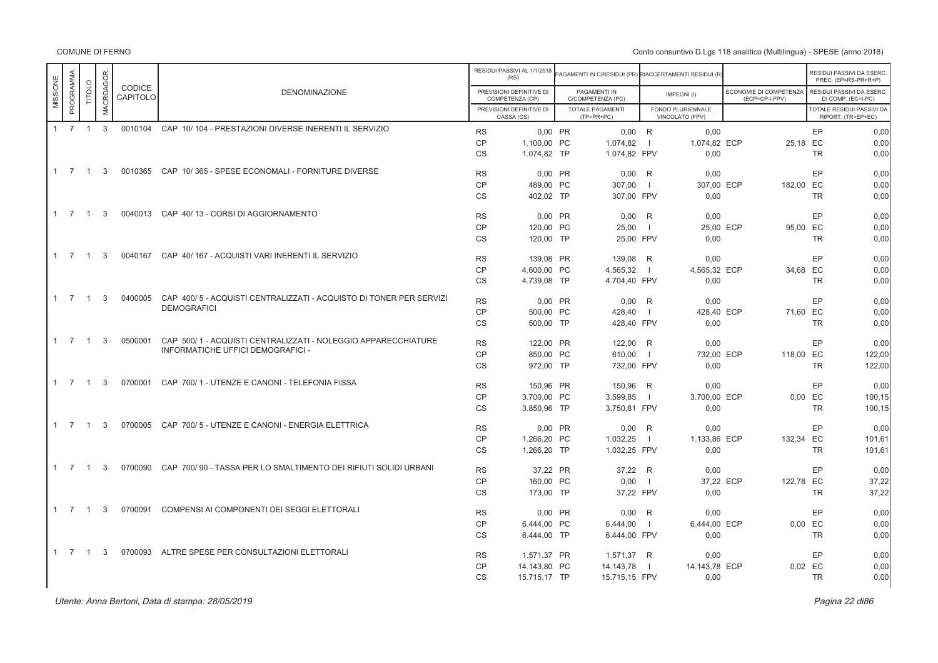Conto consuntivo D.Lgs 118 analitico (Multilingua) - SPESE (anno 2018)

|          |                     |                |                  |                    |                                                                    |                        | RESIDUI PASSIVI AL 1/1/2018<br>(RS)         |         | AGAMENTI IN C/RESIDUI (PR) RIACCERTAMENTI RESIDUI (R |                |                                      |                                          |           | RESIDUI PASSIVI DA ESERC<br>PREC. (EP=RS-PR+R+P) |
|----------|---------------------|----------------|------------------|--------------------|--------------------------------------------------------------------|------------------------|---------------------------------------------|---------|------------------------------------------------------|----------------|--------------------------------------|------------------------------------------|-----------|--------------------------------------------------|
| MISSIONE | PROGRAMMA           | TITOLO         | <b>MACROAGGR</b> | CODICE<br>CAPITOLO | <b>DENOMINAZIONE</b>                                               |                        | PREVISIONI DEFINITIVE DI<br>COMPETENZA (CP) |         | PAGAMENTI IN<br>C/COMPETENZA (PC)                    |                | IMPEGNI(I)                           | ECONOMIE DI COMPETENZA<br>(ECP=CP-I-FPV) |           | RESIDUI PASSIVI DA ESERC<br>DI COMP. (EC=I-PC)   |
|          |                     |                |                  |                    |                                                                    |                        | PREVISIONI DEFINITIVE DI<br>CASSA (CS)      |         | TOTALE PAGAMENTI<br>$(TP=PR+PC)$                     |                | FONDO PLURIENNALE<br>VINCOLATO (FPV) |                                          |           | TOTALE RESIDUI PASSIVI DA<br>RIPORT. (TR=EP+EC)  |
|          | $1 \quad 7 \quad 1$ |                | $\mathbf{3}$     | 0010104            | CAP 10/104 - PRESTAZIONI DIVERSE INERENTI IL SERVIZIO              | <b>RS</b>              | 0,00 PR                                     |         | $0,00$ R                                             |                | 0,00                                 |                                          | EP        | 0,00                                             |
|          |                     |                |                  |                    |                                                                    | CP                     | 1.100.00 PC                                 |         | 1.074.82                                             | $\blacksquare$ | 1.074.82 ECP                         |                                          | 25.18 EC  | 0.00                                             |
|          |                     |                |                  |                    |                                                                    | <b>CS</b>              | 1.074,82 TP                                 |         | 1.074,82 FPV                                         |                | 0.00                                 |                                          | <b>TR</b> | 0,00                                             |
|          | $1 \quad 7$         | $\overline{1}$ | 3                |                    | 0010365 CAP 10/365 - SPESE ECONOMALI - FORNITURE DIVERSE           | <b>RS</b>              | 0,00 PR                                     |         | $0,00$ R                                             |                | 0,00                                 |                                          | EP        | 0,00                                             |
|          |                     |                |                  |                    |                                                                    | <b>CP</b>              | 489.00 PC                                   |         | 307,00                                               | $\overline{1}$ | 307.00 ECP                           | 182,00 EC                                |           | 0.00                                             |
|          |                     |                |                  |                    |                                                                    | <b>CS</b>              | 402,02 TP                                   |         | 307,00 FPV                                           |                | 0,00                                 |                                          | <b>TR</b> | 0,00                                             |
|          | $1 \quad 7$         | $\overline{1}$ | 3                |                    | 0040013 CAP 40/13 - CORSI DI AGGIORNAMENTO                         |                        |                                             |         |                                                      |                |                                      |                                          |           |                                                  |
|          |                     |                |                  |                    |                                                                    | <b>RS</b>              |                                             | 0,00 PR | 0,00                                                 | R              | 0,00                                 |                                          | EP        | 0,00                                             |
|          |                     |                |                  |                    |                                                                    | <b>CP</b>              | 120.00 PC                                   |         | 25.00                                                | $\overline{1}$ | 25.00 ECP                            |                                          | 95.00 EC  | 0.00                                             |
|          |                     |                |                  |                    |                                                                    | <b>CS</b>              | 120,00 TP                                   |         | 25,00 FPV                                            |                | 0.00                                 |                                          | <b>TR</b> | 0,00                                             |
|          | $1 \quad 7$         | $\overline{1}$ | 3                | 0040167            | CAP 40/167 - ACQUISTI VARI INERENTI IL SERVIZIO                    | <b>RS</b>              | 139,08 PR                                   |         | 139,08                                               | R              | 0,00                                 |                                          | EP        | 0,00                                             |
|          |                     |                |                  |                    |                                                                    | <b>CP</b>              | 4.600.00 PC                                 |         | 4.565,32                                             | $\blacksquare$ | 4.565.32 ECP                         |                                          | 34.68 EC  | 0.00                                             |
|          |                     |                |                  |                    |                                                                    | <b>CS</b>              | 4.739,08 TP                                 |         | 4.704,40 FPV                                         |                | 0,00                                 |                                          | <b>TR</b> | 0,00                                             |
|          | $1 \quad 7$         | $\overline{1}$ | 3                | 0400005            | CAP 400/5 - ACQUISTI CENTRALIZZATI - ACQUISTO DI TONER PER SERVIZI | <b>RS</b>              | 0,00 PR                                     |         | $0,00$ R                                             |                | 0,00                                 |                                          | EP        | 0,00                                             |
|          |                     |                |                  |                    | <b>DEMOGRAFICI</b>                                                 | <b>CP</b>              | 500.00 PC                                   |         | 428.40                                               | - 1            | 428.40 ECP                           |                                          | 71.60 EC  | 0.00                                             |
|          |                     |                |                  |                    |                                                                    | <b>CS</b>              | 500,00 TP                                   |         | 428,40 FPV                                           |                | 0,00                                 |                                          | <b>TR</b> | 0,00                                             |
|          | $1 \quad 7$         | $\overline{1}$ | 3                | 0500001            | CAP 500/1 - ACQUISTI CENTRALIZZATI - NOLEGGIO APPARECCHIATURE      |                        |                                             |         |                                                      |                |                                      |                                          | EP        |                                                  |
|          |                     |                |                  |                    | INFORMATICHE UFFICI DEMOGRAFICI -                                  | <b>RS</b><br><b>CP</b> | 122,00 PR<br>850.00 PC                      |         | 122,00 R<br>610.00                                   | $\blacksquare$ | 0,00<br>732.00 ECP                   | 118.00 EC                                |           | 0,00<br>122.00                                   |
|          |                     |                |                  |                    |                                                                    | <b>CS</b>              | 972,00 TP                                   |         | 732,00 FPV                                           |                | 0,00                                 |                                          | <b>TR</b> | 122,00                                           |
|          |                     |                |                  |                    |                                                                    |                        |                                             |         |                                                      |                |                                      |                                          |           |                                                  |
|          | $1 \quad 7$         | $\overline{1}$ | 3                | 0700001            | CAP 700/1 - UTENZE E CANONI - TELEFONIA FISSA                      | <b>RS</b>              | 150,96 PR                                   |         | 150,96 R                                             |                | 0,00                                 |                                          | EP        | 0,00                                             |
|          |                     |                |                  |                    |                                                                    | <b>CP</b>              | 3.700.00 PC                                 |         | 3.599,85                                             | $\blacksquare$ | 3.700.00 ECP                         |                                          | 0.00 EC   | 100,15                                           |
|          |                     |                |                  |                    |                                                                    | CS                     | 3.850,96 TP                                 |         | 3.750,81 FPV                                         |                | 0,00                                 |                                          | <b>TR</b> | 100,15                                           |
|          | $1 \quad 7$         | $\overline{1}$ | 3                | 0700005            | CAP 700/5 - UTENZE E CANONI - ENERGIA ELETTRICA                    | <b>RS</b>              | 0.00 PR                                     |         | $0,00$ R                                             |                | 0.00                                 |                                          | EP        | 0.00                                             |
|          |                     |                |                  |                    |                                                                    | CP                     | 1.266.20 PC                                 |         | 1.032,25                                             | $\blacksquare$ | 1.133.86 ECP                         | 132.34 EC                                |           | 101,61                                           |
|          |                     |                |                  |                    |                                                                    | <b>CS</b>              | 1.266,20 TP                                 |         | 1.032,25 FPV                                         |                | 0,00                                 |                                          | <b>TR</b> | 101,61                                           |
|          | $1 \quad 7$         | $\overline{1}$ | 3                | 0700090            | CAP 700/90 - TASSA PER LO SMALTIMENTO DEI RIFIUTI SOLIDI URBANI    | <b>RS</b>              | 37.22 PR                                    |         | 37,22 R                                              |                | 0.00                                 |                                          | EP        | 0.00                                             |
|          |                     |                |                  |                    |                                                                    | <b>CP</b>              | 160,00 PC                                   |         | 0,00                                                 | $\blacksquare$ | 37,22 ECP                            | 122,78 EC                                |           | 37,22                                            |
|          |                     |                |                  |                    |                                                                    | CS                     | 173,00 TP                                   |         | 37,22 FPV                                            |                | 0,00                                 |                                          | <b>TR</b> | 37,22                                            |
|          |                     |                |                  |                    |                                                                    |                        |                                             |         |                                                      |                |                                      |                                          |           |                                                  |
|          | $1 \quad 7$         | $\overline{1}$ | 3                | 0700091            | COMPENSI AI COMPONENTI DEI SEGGI ELETTORALI                        | <b>RS</b>              | 0.00 PR                                     |         | 0.00                                                 | R              | 0.00                                 |                                          | EP        | 0.00                                             |
|          |                     |                |                  |                    |                                                                    | <b>CP</b>              | 6.444,00 PC                                 |         | 6.444,00                                             | $\blacksquare$ | 6.444.00 ECP                         |                                          | 0.00 EC   | 0,00                                             |
|          |                     |                |                  |                    |                                                                    | CS                     | 6.444,00 TP                                 |         | 6.444,00 FPV                                         |                | 0,00                                 |                                          | <b>TR</b> | 0,00                                             |
|          | $1 \quad 7$         | $\overline{1}$ | 3                | 0700093            | ALTRE SPESE PER CONSULTAZIONI ELETTORALI                           | <b>RS</b>              | 1.571,37 PR                                 |         | 1.571,37 R                                           |                | 0.00                                 |                                          | EP        | 0,00                                             |
|          |                     |                |                  |                    |                                                                    | <b>CP</b>              | 14.143,80 PC                                |         | 14.143,78                                            | $\Box$         | 14.143,78 ECP                        |                                          | 0.02 EC   | 0,00                                             |
|          |                     |                |                  |                    |                                                                    | <b>CS</b>              | 15.715,17 TP                                |         | 15.715,15 FPV                                        |                | 0,00                                 |                                          | <b>TR</b> | 0,00                                             |
|          |                     |                |                  |                    |                                                                    |                        |                                             |         |                                                      |                |                                      |                                          |           |                                                  |

er di secondo di secondo di secondo di secondo di secondo di secondo di secondo di secondo di secondo di secondo di secondo di secondo di secondo di secondo di secondo di secondo di secondo di secondo di secondo di secondo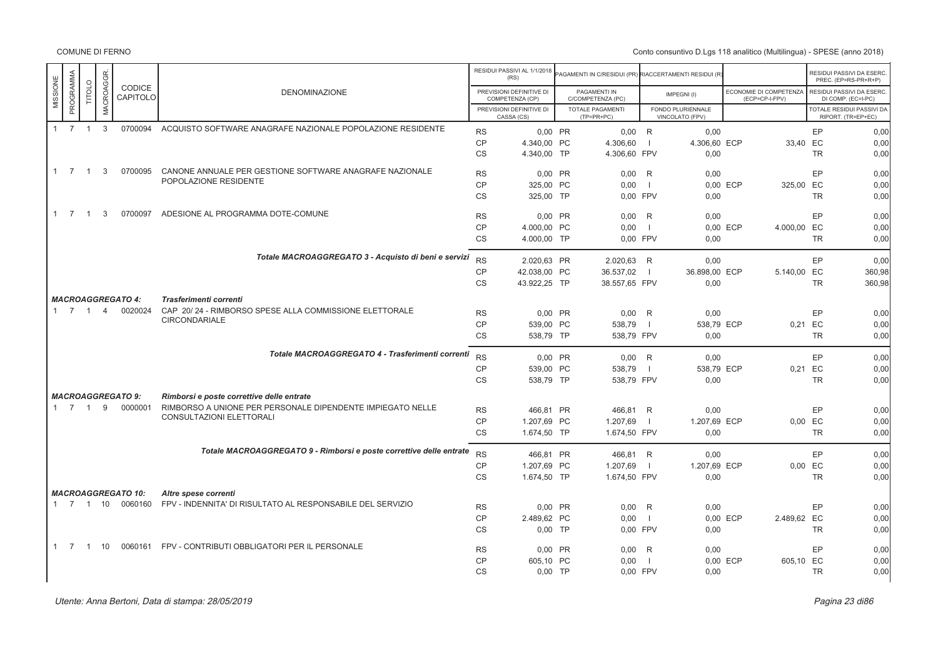|                       |                |                  |                                     |                                                                                  |           | RESIDUI PASSIVI AL 1/1/2018<br>(RS)         | AGAMENTI IN C/RESIDUI (PR) RIACCERTAMENTI RESIDUI (R) |                |                                      |                                          |           | RESIDUI PASSIVI DA ESERC.<br>PREC. (EP=RS-PR+R+P) |
|-----------------------|----------------|------------------|-------------------------------------|----------------------------------------------------------------------------------|-----------|---------------------------------------------|-------------------------------------------------------|----------------|--------------------------------------|------------------------------------------|-----------|---------------------------------------------------|
| PROGRAMMA<br>MISSIONE | <b>TITOLO</b>  | <b>MACROAGGR</b> | <b>CODICE</b><br>CAPITOLO           | <b>DENOMINAZIONE</b>                                                             |           | PREVISIONI DEFINITIVE DI<br>COMPETENZA (CP) | PAGAMENTI IN<br>C/COMPETENZA (PC)                     |                | IMPEGNI(I)                           | ECONOMIE DI COMPETENZA<br>(ECP=CP-I-FPV) |           | RESIDUI PASSIVI DA ESERC.<br>DI COMP. (EC=I-PC)   |
|                       |                |                  |                                     |                                                                                  |           | PREVISIONI DEFINITIVE DI<br>CASSA (CS)      | <b>TOTALE PAGAMENTI</b><br>$(TP=PR+PC)$               |                | FONDO PLURIENNALE<br>VINCOLATO (FPV) |                                          |           | TOTALE RESIDUI PASSIVI DA<br>RIPORT. (TR=EP+EC)   |
| $1 \quad 7 \quad 1$   |                | $\mathbf{3}$     | 0700094                             | ACQUISTO SOFTWARE ANAGRAFE NAZIONALE POPOLAZIONE RESIDENTE                       | <b>RS</b> | 0,00 PR                                     | $0.00$ R                                              |                | 0.00                                 |                                          | EP        | 0.00                                              |
|                       |                |                  |                                     |                                                                                  | CP        | 4.340,00 PC                                 | 4.306,60                                              |                | 4.306,60 ECP                         |                                          | 33,40 EC  | 0,00                                              |
|                       |                |                  |                                     |                                                                                  | <b>CS</b> | 4.340,00 TP                                 | 4.306,60 FPV                                          |                | 0,00                                 |                                          | <b>TR</b> | 0,00                                              |
| $1 \quad 7 \quad 1$   |                | 3                | 0700095                             | CANONE ANNUALE PER GESTIONE SOFTWARE ANAGRAFE NAZIONALE                          | <b>RS</b> | 0.00 PR                                     | $0.00$ R                                              |                | 0.00                                 |                                          | EP        | 0.00                                              |
|                       |                |                  |                                     | POPOLAZIONE RESIDENTE                                                            | CP        | 325.00 PC                                   | 0.00                                                  | $\blacksquare$ |                                      | 325.00 EC<br>0.00 ECP                    |           | 0,00                                              |
|                       |                |                  |                                     |                                                                                  | <b>CS</b> | 325,00 TP                                   | 0.00 FPV                                              |                | 0,00                                 |                                          | <b>TR</b> | 0,00                                              |
| $1 \quad 7$           | $\overline{1}$ | 3                | 0700097                             | ADESIONE AL PROGRAMMA DOTE-COMUNE                                                |           |                                             |                                                       |                |                                      |                                          |           |                                                   |
|                       |                |                  |                                     |                                                                                  | <b>RS</b> | 0.00 PR                                     | $0.00$ R                                              |                | 0.00                                 |                                          | EP        | 0,00                                              |
|                       |                |                  |                                     |                                                                                  | CP        | 4.000.00 PC                                 | 0.00                                                  | - 11           |                                      | 0.00 ECP<br>4.000,00 EC                  |           | 0,00                                              |
|                       |                |                  |                                     |                                                                                  | <b>CS</b> | 4.000,00 TP                                 | 0.00 FPV                                              |                | 0.00                                 |                                          | <b>TR</b> | 0.00                                              |
|                       |                |                  |                                     | Totale MACROAGGREGATO 3 - Acquisto di beni e servizi                             | <b>RS</b> | 2.020,63 PR                                 | 2.020,63 R                                            |                | 0,00                                 |                                          | EP        | 0,00                                              |
|                       |                |                  |                                     |                                                                                  | CP        | 42.038,00 PC                                | 36.537,02                                             | $\blacksquare$ | 36.898,00 ECP                        | 5.140,00 EC                              |           | 360,98                                            |
|                       |                |                  |                                     |                                                                                  | <b>CS</b> | 43.922,25 TP                                | 38.557,65 FPV                                         |                | 0,00                                 |                                          | <b>TR</b> | 360,98                                            |
|                       |                |                  |                                     |                                                                                  |           |                                             |                                                       |                |                                      |                                          |           |                                                   |
| 1 7 1 4               |                |                  | <b>MACROAGGREGATO 4:</b><br>0020024 | Trasferimenti correnti<br>CAP 20/24 - RIMBORSO SPESE ALLA COMMISSIONE ELETTORALE |           |                                             |                                                       |                |                                      |                                          |           |                                                   |
|                       |                |                  |                                     | <b>CIRCONDARIALE</b>                                                             | <b>RS</b> | 0,00 PR                                     | $0,00$ R                                              |                | 0,00                                 |                                          | EP        | 0,00                                              |
|                       |                |                  |                                     |                                                                                  | <b>CP</b> | 539,00 PC                                   | 538,79                                                | $\blacksquare$ | 538,79 ECP                           |                                          | 0,21 EC   | 0,00                                              |
|                       |                |                  |                                     |                                                                                  | <b>CS</b> | 538,79 TP                                   | 538,79 FPV                                            |                | 0,00                                 |                                          | <b>TR</b> | 0,00                                              |
|                       |                |                  |                                     | Totale MACROAGGREGATO 4 - Trasferimenti correnti                                 | <b>RS</b> |                                             |                                                       |                |                                      |                                          |           |                                                   |
|                       |                |                  |                                     |                                                                                  | CP        | 0.00 PR                                     | $0.00$ R                                              | $\Box$         | 0,00<br>538,79 ECP                   |                                          | EP<br>EC  | 0,00<br>0,00                                      |
|                       |                |                  |                                     |                                                                                  | <b>CS</b> | 539,00 PC<br>538,79 TP                      | 538,79<br>538,79 FPV                                  |                | 0,00                                 | 0,21                                     | <b>TR</b> | 0,00                                              |
|                       |                |                  |                                     |                                                                                  |           |                                             |                                                       |                |                                      |                                          |           |                                                   |
|                       |                |                  | <b>MACROAGGREGATO 9:</b>            | Rimborsi e poste correttive delle entrate                                        |           |                                             |                                                       |                |                                      |                                          |           |                                                   |
| $1 \quad 7 \quad 1$   |                | 9                | 0000001                             | RIMBORSO A UNIONE PER PERSONALE DIPENDENTE IMPIEGATO NELLE                       | <b>RS</b> | 466,81 PR                                   | 466,81 R                                              |                | 0,00                                 |                                          | EP        | 0,00                                              |
|                       |                |                  |                                     | CONSULTAZIONI ELETTORALI                                                         | <b>CP</b> | 1.207,69 PC                                 | 1.207,69                                              | $\blacksquare$ | 1.207,69 ECP                         |                                          | $0,00$ EC | 0,00                                              |
|                       |                |                  |                                     |                                                                                  | <b>CS</b> | 1.674,50 TP                                 | 1.674,50 FPV                                          |                | 0,00                                 |                                          | <b>TR</b> | 0,00                                              |
|                       |                |                  |                                     | Totale MACROAGGREGATO 9 - Rimborsi e poste correttive delle entrate              | <b>RS</b> | 466,81 PR                                   | 466,81 R                                              |                | 0,00                                 |                                          | EP        | 0,00                                              |
|                       |                |                  |                                     |                                                                                  | CP        | 1.207,69 PC                                 | 1.207,69                                              | $\Box$         | 1.207,69 ECP                         |                                          | 0,00 EC   | 0.00                                              |
|                       |                |                  |                                     |                                                                                  | <b>CS</b> | 1.674,50 TP                                 | 1.674,50 FPV                                          |                | 0,00                                 |                                          | <b>TR</b> | 0,00                                              |
|                       |                |                  |                                     |                                                                                  |           |                                             |                                                       |                |                                      |                                          |           |                                                   |
|                       |                |                  | <b>MACROAGGREGATO 10:</b>           | Altre spese correnti                                                             |           |                                             |                                                       |                |                                      |                                          |           |                                                   |
| 1 7 1 10              |                |                  | 0060160                             | FPV - INDENNITA' DI RISULTATO AL RESPONSABILE DEL SERVIZIO                       | <b>RS</b> | 0,00 PR                                     | $0,00$ R                                              |                | 0,00                                 |                                          | EP        | 0,00                                              |
|                       |                |                  |                                     |                                                                                  | <b>CP</b> | 2.489,62 PC                                 | 0,00                                                  |                |                                      | 0,00 ECP<br>2.489,62 EC                  |           | 0,00                                              |
|                       |                |                  |                                     |                                                                                  | <b>CS</b> | $0,00$ TP                                   | 0.00 FPV                                              |                | 0,00                                 |                                          | <b>TR</b> | 0,00                                              |
| 1 7                   |                | 1 10             |                                     | 0060161 FPV - CONTRIBUTI OBBLIGATORI PER IL PERSONALE                            | <b>RS</b> | 0,00 PR                                     | $0,00$ R                                              |                | 0,00                                 |                                          | EP        | 0,00                                              |
|                       |                |                  |                                     |                                                                                  | <b>CP</b> | 605,10 PC                                   | 0,00                                                  | - 1            |                                      | 605,10 EC<br>0,00 ECP                    |           | 0,00                                              |
|                       |                |                  |                                     |                                                                                  | <b>CS</b> | $0.00$ TP                                   | 0.00 FPV                                              |                | 0,00                                 |                                          | <b>TR</b> | 0,00                                              |
|                       |                |                  |                                     |                                                                                  |           |                                             |                                                       |                |                                      |                                          |           |                                                   |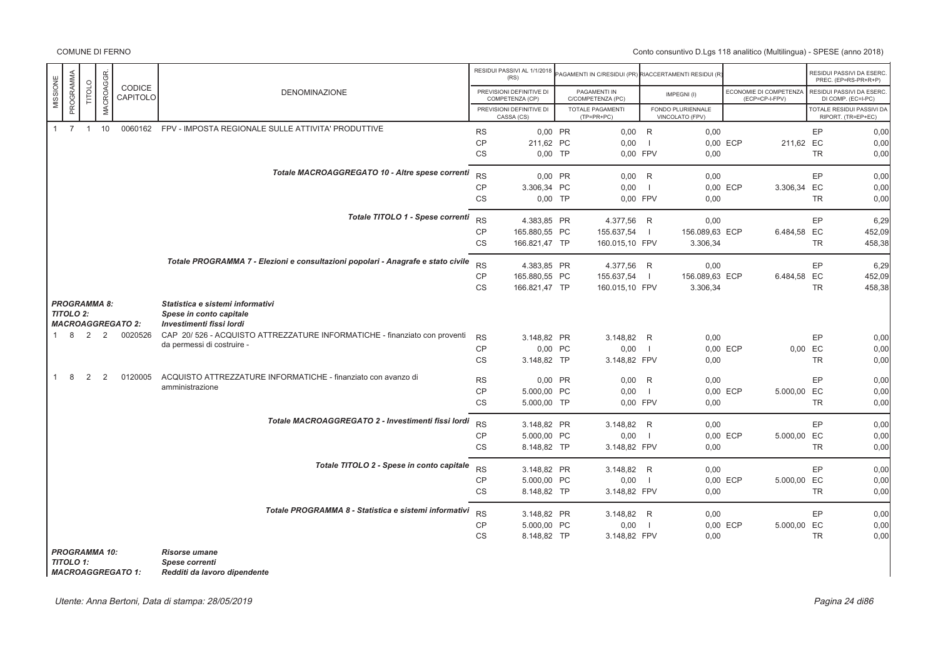# Conto consuntivo D.Lgs 118 analitico (Multilingua) - SPESE (anno 2018)

|              |                                         |        |           |                          |                                                                                         |           | RESIDUI PASSIVI AL 1/1/2018<br>(RS)         | PAGAMENTI IN C/RESIDUI (PR) RIACCERTAMENTI RESIDUI (R |                |                                      |                                          |           | RESIDUI PASSIVI DA ESERC.<br>PREC. (EP=RS-PR+R+P) |
|--------------|-----------------------------------------|--------|-----------|--------------------------|-----------------------------------------------------------------------------------------|-----------|---------------------------------------------|-------------------------------------------------------|----------------|--------------------------------------|------------------------------------------|-----------|---------------------------------------------------|
| MISSIONE     | PROGRAMMA                               | TITOLO | MACROAGGR | CODICE<br>CAPITOLO       | <b>DENOMINAZIONE</b>                                                                    |           | PREVISIONI DEFINITIVE DI<br>COMPETENZA (CP) | PAGAMENTI IN<br>C/COMPETENZA (PC)                     |                | IMPEGNI(I)                           | ECONOMIE DI COMPETENZA<br>(ECP=CP-I-FPV) |           | RESIDUI PASSIVI DA ESERC.<br>DI COMP. (EC=I-PC)   |
|              |                                         |        |           |                          |                                                                                         |           | PREVISIONI DEFINITIVE DI<br>CASSA (CS)      | <b>TOTALE PAGAMENTI</b><br>$(TP=PR+PC)$               |                | FONDO PLURIENNALE<br>VINCOLATO (FPV) |                                          |           | TOTALE RESIDUI PASSIVI DA<br>RIPORT. (TR=EP+EC)   |
| $\mathbf{1}$ |                                         | 7 1 10 |           |                          | 0060162 FPV - IMPOSTA REGIONALE SULLE ATTIVITA' PRODUTTIVE                              | <b>RS</b> | 0.00 PR                                     | $0,00$ R                                              |                | 0,00                                 |                                          | EP        | 0,00                                              |
|              |                                         |        |           |                          |                                                                                         | <b>CP</b> | 211,62 PC                                   | 0,00                                                  | - 1            |                                      | 211,62 EC<br>0,00 ECP                    |           | 0,00                                              |
|              |                                         |        |           |                          |                                                                                         | <b>CS</b> | $0.00$ TP                                   | 0.00 FPV                                              |                | 0,00                                 |                                          | <b>TR</b> | 0,00                                              |
|              |                                         |        |           |                          | Totale MACROAGGREGATO 10 - Altre spese correnti                                         | <b>RS</b> | 0.00 PR                                     | 0,00                                                  | R              | 0,00                                 |                                          | EP        | 0,00                                              |
|              |                                         |        |           |                          |                                                                                         | <b>CP</b> | 3.306.34 PC                                 | 0,00                                                  | $\overline{1}$ |                                      | 0.00 ECP<br>3.306,34 EC                  |           | 0,00                                              |
|              |                                         |        |           |                          |                                                                                         | <b>CS</b> | $0.00$ TP                                   | 0,00 FPV                                              |                | 0,00                                 |                                          | TR        | 0,00                                              |
|              |                                         |        |           |                          |                                                                                         |           |                                             |                                                       |                |                                      |                                          |           |                                                   |
|              |                                         |        |           |                          | Totale TITOLO 1 - Spese correnti                                                        | <b>RS</b> | 4.383.85 PR                                 | 4.377,56 R                                            |                | 0,00                                 |                                          | EP        | 6,29                                              |
|              |                                         |        |           |                          |                                                                                         | <b>CP</b> | 165.880,55 PC                               | 155.637,54                                            | $\overline{1}$ | 156.089,63 ECP                       | 6.484,58                                 | EC        | 452,09                                            |
|              |                                         |        |           |                          |                                                                                         | CS        | 166.821,47 TP                               | 160.015,10 FPV                                        |                | 3.306,34                             |                                          | <b>TR</b> | 458,38                                            |
|              |                                         |        |           |                          | Totale PROGRAMMA 7 - Elezioni e consultazioni popolari - Anagrafe e stato civile        | <b>RS</b> | 4.383,85 PR                                 | 4.377.56 R                                            |                | 0,00                                 |                                          | EP        | 6,29                                              |
|              |                                         |        |           |                          |                                                                                         | CP        | 165.880.55 PC                               | 155.637,54                                            | - 1            | 156.089,63 ECP                       | 6.484,58 EC                              |           | 452.09                                            |
|              |                                         |        |           |                          |                                                                                         | <b>CS</b> | 166.821,47 TP                               | 160.015,10 FPV                                        |                | 3.306,34                             |                                          | <b>TR</b> | 458.38                                            |
|              | <b>PROGRAMMA 8:</b><br><b>TITOLO 2:</b> |        |           | <b>MACROAGGREGATO 2:</b> | Statistica e sistemi informativi<br>Spese in conto capitale<br>Investimenti fissi lordi |           |                                             |                                                       |                |                                      |                                          |           |                                                   |
|              | 8                                       | 2      | 2         | 0020526                  | CAP 20/526 - ACQUISTO ATTREZZATURE INFORMATICHE - finanziato con proventi               | <b>RS</b> | 3.148,82 PR                                 | 3.148,82 R                                            |                | 0,00                                 |                                          | EP        | 0,00                                              |
|              |                                         |        |           |                          | da permessi di costruire -                                                              | CP        | 0,00 PC                                     | 0,00                                                  | $\overline{1}$ |                                      | 0,00 ECP                                 | 0,00 EC   | 0,00                                              |
|              |                                         |        |           |                          |                                                                                         | CS        | 3.148,82 TP                                 | 3.148,82 FPV                                          |                | 0,00                                 |                                          | TR        | 0,00                                              |
| 1            | 8                                       | 2      | 2         | 0120005                  | ACQUISTO ATTREZZATURE INFORMATICHE - finanziato con avanzo di                           | <b>RS</b> | 0.00 PR                                     | 0,00                                                  | R              | 0,00                                 |                                          | EP        | 0,00                                              |
|              |                                         |        |           |                          | amministrazione                                                                         | CP        | 5.000,00 PC                                 | 0,00                                                  | $\overline{1}$ |                                      | 5.000,00 EC<br>0,00 ECP                  |           | 0,00                                              |
|              |                                         |        |           |                          |                                                                                         | CS        | 5.000,00 TP                                 | 0,00 FPV                                              |                | 0,00                                 |                                          | <b>TR</b> | 0,00                                              |
|              |                                         |        |           |                          | Totale MACROAGGREGATO 2 - Investimenti fissi lordi                                      |           |                                             |                                                       |                |                                      |                                          |           |                                                   |
|              |                                         |        |           |                          |                                                                                         | <b>RS</b> | 3.148,82 PR                                 | 3.148,82 R                                            |                | 0,00                                 |                                          | EP        | 0,00                                              |
|              |                                         |        |           |                          |                                                                                         | CP        | 5.000,00 PC                                 | 0,00                                                  | $\overline{1}$ |                                      | 0,00 ECP<br>5.000,00 EC                  |           | 0,00                                              |
|              |                                         |        |           |                          |                                                                                         | <b>CS</b> | 8.148,82 TP                                 | 3.148,82 FPV                                          |                | 0,00                                 |                                          | <b>TR</b> | 0,00                                              |
|              |                                         |        |           |                          | Totale TITOLO 2 - Spese in conto capitale                                               | <b>RS</b> | 3.148.82 PR                                 | 3.148,82 R                                            |                | 0,00                                 |                                          | EP        | 0,00                                              |
|              |                                         |        |           |                          |                                                                                         | <b>CP</b> | 5.000.00 PC                                 | 0,00                                                  | $\overline{1}$ |                                      | 0,00 ECP<br>5.000,00 EC                  |           | 0,00                                              |
|              |                                         |        |           |                          |                                                                                         | <b>CS</b> | 8.148,82 TP                                 | 3.148,82 FPV                                          |                | 0,00                                 |                                          | <b>TR</b> | 0,00                                              |
|              |                                         |        |           |                          | Totale PROGRAMMA 8 - Statistica e sistemi informativi                                   | <b>RS</b> | 3.148,82 PR                                 | 3.148,82 R                                            |                | 0.00                                 |                                          | EP        | 0.00                                              |
|              |                                         |        |           |                          |                                                                                         | <b>CP</b> | 5.000,00 PC                                 | 0,00                                                  | $\blacksquare$ |                                      | 0,00 ECP<br>5.000,00 EC                  |           | 0,00                                              |
|              |                                         |        |           |                          |                                                                                         | <b>CS</b> | 8.148.82 TP                                 | 3.148,82 FPV                                          |                | 0,00                                 |                                          | <b>TR</b> | 0,00                                              |
|              | <b>PROGRAMMA 10:</b>                    |        |           |                          | <b>Risorse umane</b>                                                                    |           |                                             |                                                       |                |                                      |                                          |           |                                                   |
|              | TTOLO4.                                 |        |           |                          | Choon corronti                                                                          |           |                                             |                                                       |                |                                      |                                          |           |                                                   |

*MACROAGGREGATO 1: Redditi da lavoro dipendente*

*TITOLO 1: Spese correnti*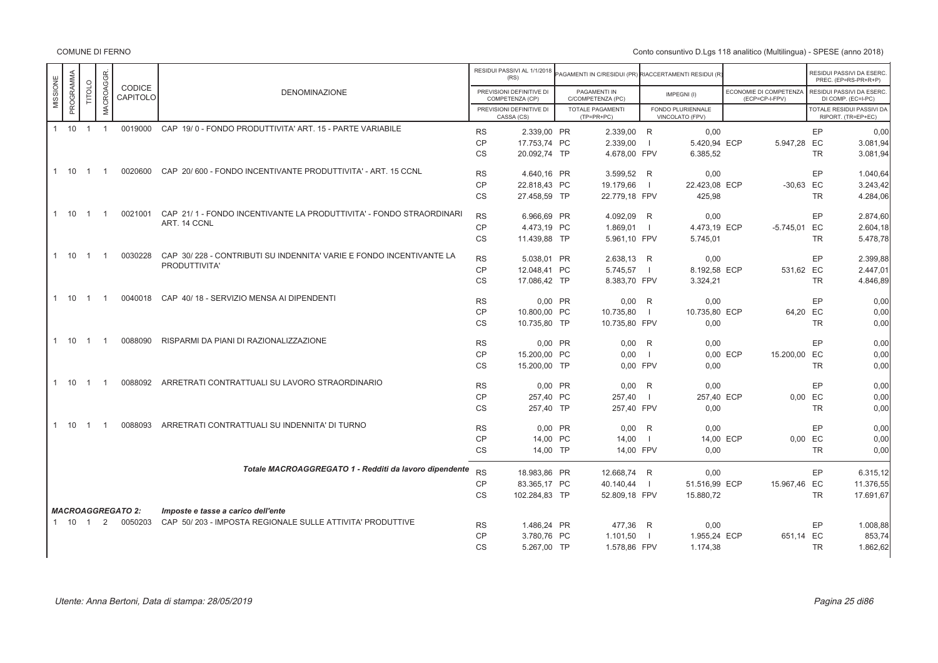|                       |                |                | CODICE                   |                                                                     |           | RESIDUI PASSIVI AL 1/1/2018<br>(RS)         | <b>PAGAMENTI IN C/RESIDUI (PR) RIACCERTAMENTI RESIDUI (R</b> |                |                                      |                                          |           | RESIDUI PASSIVI DA ESERC.<br>PREC. (EP=RS-PR+R+P) |
|-----------------------|----------------|----------------|--------------------------|---------------------------------------------------------------------|-----------|---------------------------------------------|--------------------------------------------------------------|----------------|--------------------------------------|------------------------------------------|-----------|---------------------------------------------------|
| PROGRAMMA<br>MISSIONE | TITOLO         | MACROAGGR.     | CAPITOLO                 | <b>DENOMINAZIONE</b>                                                |           | PREVISIONI DEFINITIVE DI<br>COMPETENZA (CP) | PAGAMENTI IN<br>C/COMPETENZA (PC)                            |                | IMPEGNI(I)                           | ECONOMIE DI COMPETENZA<br>(ECP=CP-I-FPV) |           | RESIDUI PASSIVI DA ESERC.<br>DI COMP. (EC=I-PC)   |
|                       |                |                |                          |                                                                     |           | PREVISIONI DEFINITIVE DI<br>CASSA (CS)      | <b>TOTALE PAGAMENTI</b><br>$(TP=PR+PC)$                      |                | FONDO PLURIENNALE<br>VINCOLATO (FPV) |                                          |           | TOTALE RESIDUI PASSIVI DA<br>RIPORT. (TR=EP+EC)   |
| $1 \quad 10$          | $\overline{1}$ | $\overline{1}$ | 0019000                  | CAP 19/0 - FONDO PRODUTTIVITA' ART. 15 - PARTE VARIABILE            | <b>RS</b> | 2.339,00 PR                                 | 2.339,00 R                                                   |                | 0.00                                 |                                          | EP        | 0,00                                              |
|                       |                |                |                          |                                                                     | <b>CP</b> | 17.753,74 PC                                | 2.339,00                                                     | $\blacksquare$ | 5.420,94 ECP                         | 5.947,28 EC                              |           | 3.081,94                                          |
|                       |                |                |                          |                                                                     | <b>CS</b> | 20.092,74 TP                                | 4.678,00 FPV                                                 |                | 6.385,52                             |                                          | <b>TR</b> | 3.081,94                                          |
| 1 10                  | $\overline{1}$ |                | 0020600                  | CAP 20/600 - FONDO INCENTIVANTE PRODUTTIVITA' - ART. 15 CCNL        | <b>RS</b> | 4.640,16 PR                                 | 3.599,52 R                                                   |                | 0,00                                 |                                          | EP        | 1.040,64                                          |
|                       |                |                |                          |                                                                     | <b>CP</b> | 22.818,43 PC                                | 19.179,66                                                    | $\blacksquare$ | 22.423,08 ECP                        | $-30,63$ EC                              |           | 3.243,42                                          |
|                       |                |                |                          |                                                                     | <b>CS</b> | 27.458,59 TP                                | 22.779.18 FPV                                                |                | 425,98                               |                                          | <b>TR</b> | 4.284,06                                          |
| 1 10                  | $\overline{1}$ | $\overline{1}$ | 0021001                  | CAP 21/1 - FONDO INCENTIVANTE LA PRODUTTIVITA' - FONDO STRAORDINARI | <b>RS</b> | 6.966,69 PR                                 | 4.092,09 R                                                   |                | 0,00                                 |                                          | EP        | 2.874,60                                          |
|                       |                |                |                          | ART. 14 CCNL                                                        | <b>CP</b> | 4.473,19 PC                                 | 1.869,01                                                     | $\Box$         | 4.473,19 ECP                         | -5.745,01 EC                             |           | 2.604,18                                          |
|                       |                |                |                          |                                                                     | <b>CS</b> | 11.439.88 TP                                | 5.961,10 FPV                                                 |                | 5.745,01                             |                                          | <b>TR</b> | 5.478,78                                          |
| $1 \t10 \t1$          |                | $\overline{1}$ | 0030228                  | CAP 30/228 - CONTRIBUTI SU INDENNITA' VARIE E FONDO INCENTIVANTE LA | <b>RS</b> | 5.038,01 PR                                 | 2.638,13 R                                                   |                | 0,00                                 |                                          | EP        | 2.399,88                                          |
|                       |                |                |                          | PRODUTTIVITA'                                                       | <b>CP</b> | 12.048,41 PC                                | 5.745,57                                                     |                | 8.192,58 ECP                         | 531,62 EC                                |           | 2.447,01                                          |
|                       |                |                |                          |                                                                     | CS        | 17.086,42 TP                                | 8.383,70 FPV                                                 |                | 3.324,21                             |                                          | <b>TR</b> | 4.846,89                                          |
|                       |                |                |                          |                                                                     |           |                                             |                                                              |                |                                      |                                          |           |                                                   |
| 1 10                  | $\overline{1}$ | $\overline{1}$ | 0040018                  | CAP 40/18 - SERVIZIO MENSA AI DIPENDENTI                            | <b>RS</b> | 0,00 PR                                     | $0,00$ R                                                     |                | 0,00                                 |                                          | EP        | 0,00                                              |
|                       |                |                |                          |                                                                     | <b>CP</b> | 10.800.00 PC                                | 10.735,80                                                    | $\blacksquare$ | 10.735,80 ECP                        | 64,20 EC                                 |           | 0,00                                              |
|                       |                |                |                          |                                                                     | CS        | 10.735,80 TP                                | 10.735,80 FPV                                                |                | 0,00                                 |                                          | <b>TR</b> | 0,00                                              |
| $1 \quad 10$          | $\overline{1}$ | - 1            | 0088090                  | RISPARMI DA PIANI DI RAZIONALIZZAZIONE                              | <b>RS</b> | 0.00 PR                                     | 0.00 R                                                       |                | 0.00                                 |                                          | EP        | 0,00                                              |
|                       |                |                |                          |                                                                     | <b>CP</b> | 15.200,00 PC                                | 0,00                                                         | $\blacksquare$ |                                      | 15.200,00 EC<br>0,00 ECP                 |           | 0,00                                              |
|                       |                |                |                          |                                                                     | CS        | 15.200,00 TP                                | 0,00 FPV                                                     |                | 0,00                                 |                                          | <b>TR</b> | 0,00                                              |
|                       |                | - 1            | 0088092                  | ARRETRATI CONTRATTUALI SU LAVORO STRAORDINARIO                      |           |                                             |                                                              |                |                                      |                                          |           |                                                   |
| 1 10                  | $\overline{1}$ |                |                          |                                                                     | <b>RS</b> | 0,00 PR                                     | 0,00                                                         | R              | 0,00                                 |                                          | EP        | 0,00                                              |
|                       |                |                |                          |                                                                     | <b>CP</b> | 257,40 PC                                   | 257,40                                                       | $\blacksquare$ | 257,40 ECP                           |                                          | 0,00 EC   | 0,00                                              |
|                       |                |                |                          |                                                                     | <b>CS</b> | 257,40 TP                                   | 257,40 FPV                                                   |                | 0,00                                 |                                          | <b>TR</b> | 0,00                                              |
| 1 10                  | $\overline{1}$ |                | 0088093                  | ARRETRATI CONTRATTUALI SU INDENNITA' DI TURNO                       | <b>RS</b> | 0,00 PR                                     | $0,00$ R                                                     |                | 0,00                                 |                                          | EP        | 0,00                                              |
|                       |                |                |                          |                                                                     | CP        | 14,00 PC                                    | 14,00                                                        | $\blacksquare$ | 14,00 ECP                            |                                          | 0,00 EC   | 0,00                                              |
|                       |                |                |                          |                                                                     | CS        | 14,00 TP                                    | 14,00 FPV                                                    |                | 0,00                                 |                                          | <b>TR</b> | 0,00                                              |
|                       |                |                |                          | Totale MACROAGGREGATO 1 - Redditi da lavoro dipendente              | <b>RS</b> | 18.983.86 PR                                | 12.668.74 R                                                  |                | 0.00                                 |                                          | EP        | 6.315,12                                          |
|                       |                |                |                          |                                                                     | <b>CP</b> | 83.365,17 PC                                | 40.140,44                                                    | $\sim$ 1.      | 51.516,99 ECP                        | 15.967,46 EC                             |           | 11.376,55                                         |
|                       |                |                |                          |                                                                     | <b>CS</b> | 102.284,83 TP                               | 52.809,18 FPV                                                |                | 15.880,72                            |                                          | <b>TR</b> | 17.691,67                                         |
|                       |                |                | <b>MACROAGGREGATO 2:</b> | Imposte e tasse a carico dell'ente                                  |           |                                             |                                                              |                |                                      |                                          |           |                                                   |
| $1 \t10 \t1$          |                |                | 2 0050203                | CAP 50/203 - IMPOSTA REGIONALE SULLE ATTIVITA' PRODUTTIVE           | <b>RS</b> | 1.486,24 PR                                 | 477,36 R                                                     |                | 0,00                                 |                                          | EP        | 1.008,88                                          |
|                       |                |                |                          |                                                                     | CP        | 3.780,76 PC                                 | 1.101,50                                                     | $\blacksquare$ | 1.955,24 ECP                         | 651,14 EC                                |           | 853,74                                            |
|                       |                |                |                          |                                                                     | <b>CS</b> | 5.267,00 TP                                 | 1.578,86 FPV                                                 |                | 1.174,38                             |                                          | <b>TR</b> | 1.862,62                                          |
|                       |                |                |                          |                                                                     |           |                                             |                                                              |                |                                      |                                          |           |                                                   |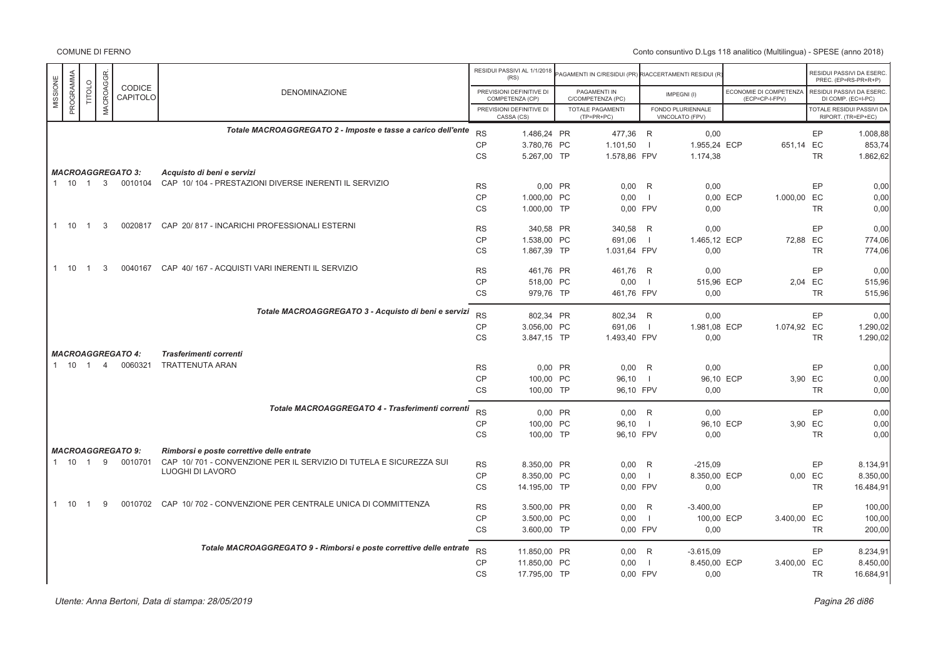|          |              |                |                |                          |                                                                     |                 | RESIDUI PASSIVI AL 1/1/2018<br>(RS)         | AGAMENTI IN C/RESIDUI (PR) RIACCERTAMENTI RESIDUI (F |                |                                      |          |                                          |           | RESIDUI PASSIVI DA ESERO<br>PREC. (EP=RS-PR+R+P) |
|----------|--------------|----------------|----------------|--------------------------|---------------------------------------------------------------------|-----------------|---------------------------------------------|------------------------------------------------------|----------------|--------------------------------------|----------|------------------------------------------|-----------|--------------------------------------------------|
| MISSIONE | PROGRAMMA    | TITOLO         | MACROAGGR      | CODICE<br>CAPITOLO       | <b>DENOMINAZIONE</b>                                                |                 | PREVISIONI DEFINITIVE DI<br>COMPETENZA (CP) | PAGAMENTI IN<br>C/COMPETENZA (PC)                    |                | IMPEGNI(I)                           |          | ECONOMIE DI COMPETENZA<br>(ECP=CP-I-FPV) |           | RESIDUI PASSIVI DA ESERC<br>DI COMP. (EC=I-PC)   |
|          |              |                |                |                          |                                                                     |                 | PREVISIONI DEFINITIVE DI<br>CASSA (CS)      | TOTALE PAGAMENTI<br>$(TP=PR+PC)$                     |                | FONDO PLURIENNALE<br>VINCOLATO (FPV) |          |                                          |           | TOTALE RESIDUI PASSIVI DA<br>RIPORT. (TR=EP+EC)  |
|          |              |                |                |                          | Totale MACROAGGREGATO 2 - Imposte e tasse a carico dell'ente        | <b>RS</b>       | 1.486,24 PR                                 | 477,36 R                                             |                | 0,00                                 |          |                                          | <b>EP</b> | 1.008,88                                         |
|          |              |                |                |                          |                                                                     | <b>CP</b>       | 3.780,76 PC                                 | 1.101,50                                             | - 1            | 1.955,24 ECP                         |          | 651,14 EC                                |           | 853,74                                           |
|          |              |                |                |                          |                                                                     | <b>CS</b>       | 5.267,00 TP                                 | 1.578,86 FPV                                         |                | 1.174,38                             |          |                                          | <b>TR</b> | 1.862,62                                         |
|          |              |                |                | <b>MACROAGGREGATO 3:</b> | Acquisto di beni e servizi                                          |                 |                                             |                                                      |                |                                      |          |                                          |           |                                                  |
|          | 1 10 1 3     |                |                | 0010104                  | CAP 10/104 - PRESTAZIONI DIVERSE INERENTI IL SERVIZIO               | <b>RS</b>       | 0.00 PR                                     | $0,00$ R                                             |                | 0,00                                 |          |                                          | <b>EP</b> | 0,00                                             |
|          |              |                |                |                          |                                                                     | <b>CP</b>       | 1.000,00 PC                                 | 0,00                                                 | - 1            |                                      | 0,00 ECP | 1.000,00 EC                              |           | 0,00                                             |
|          |              |                |                |                          |                                                                     | <b>CS</b>       | 1.000,00 TP                                 | 0,00 FPV                                             |                | 0,00                                 |          |                                          | <b>TR</b> | 0,00                                             |
|          | $1 \t10 \t1$ |                | 3              | 0020817                  | CAP 20/817 - INCARICHI PROFESSIONALI ESTERNI                        |                 |                                             |                                                      |                |                                      |          |                                          |           |                                                  |
|          |              |                |                |                          |                                                                     | <b>RS</b>       | 340,58 PR                                   | 340,58 R                                             |                | 0,00                                 |          |                                          | EP        | 0,00                                             |
|          |              |                |                |                          |                                                                     | CP              | 1.538.00 PC                                 | 691.06                                               | $\Box$         | 1.465.12 ECP                         |          | 72.88 EC                                 |           | 774,06                                           |
|          |              |                |                |                          |                                                                     | CS              | 1.867,39 TP                                 | 1.031,64 FPV                                         |                | 0,00                                 |          |                                          | TR        | 774,06                                           |
|          | 1 10         | $\overline{1}$ | 3              | 0040167                  | CAP 40/167 - ACQUISTI VARI INERENTI IL SERVIZIO                     | <b>RS</b>       | 461,76 PR                                   | 461,76 R                                             |                | 0,00                                 |          |                                          | EP        | 0,00                                             |
|          |              |                |                |                          |                                                                     | <b>CP</b>       | 518,00 PC                                   | 0,00                                                 | - 1            | 515,96 ECP                           |          |                                          | 2.04 EC   | 515,96                                           |
|          |              |                |                |                          |                                                                     | CS              | 979,76 TP                                   | 461,76 FPV                                           |                | 0,00                                 |          |                                          | TR        | 515,96                                           |
|          |              |                |                |                          | Totale MACROAGGREGATO 3 - Acquisto di beni e servizi                |                 |                                             |                                                      |                |                                      |          |                                          |           |                                                  |
|          |              |                |                |                          |                                                                     | <b>RS</b>       | 802,34 PR                                   | 802,34                                               | R              | 0.00                                 |          |                                          | EP        | 0,00                                             |
|          |              |                |                |                          |                                                                     | CP<br><b>CS</b> | 3.056,00 PC<br>3.847,15 TP                  | 691,06<br>1.493,40 FPV                               | - 1            | 1.981,08 ECP<br>0,00                 |          | 1.074,92 EC                              | TR        | 1.290,02<br>1.290,02                             |
|          |              |                |                |                          |                                                                     |                 |                                             |                                                      |                |                                      |          |                                          |           |                                                  |
|          |              |                |                | <b>MACROAGGREGATO 4:</b> | <b>Trasferimenti correnti</b>                                       |                 |                                             |                                                      |                |                                      |          |                                          |           |                                                  |
|          | 1 10 1       |                | $\overline{4}$ | 0060321                  | <b>TRATTENUTA ARAN</b>                                              | <b>RS</b>       | 0.00 PR                                     | 0,00                                                 | R              | 0,00                                 |          |                                          | EP        | 0,00                                             |
|          |              |                |                |                          |                                                                     | <b>CP</b>       | 100.00 PC                                   | 96,10                                                | $\blacksquare$ | 96,10 ECP                            |          | 3.90 EC                                  |           | 0,00                                             |
|          |              |                |                |                          |                                                                     | CS              | 100,00 TP                                   | 96,10 FPV                                            |                | 0,00                                 |          |                                          | TR        | 0,00                                             |
|          |              |                |                |                          | Totale MACROAGGREGATO 4 - Trasferimenti correnti                    | <b>RS</b>       | 0.00 PR                                     | $0,00$ R                                             |                | 0.00                                 |          |                                          | <b>EP</b> | 0,00                                             |
|          |              |                |                |                          |                                                                     | <b>CP</b>       | 100,00 PC                                   | 96,10                                                | $\blacksquare$ | 96,10 ECP                            |          |                                          | 3,90 EC   | 0,00                                             |
|          |              |                |                |                          |                                                                     | <b>CS</b>       | 100,00 TP                                   | 96,10 FPV                                            |                | 0,00                                 |          |                                          | <b>TR</b> | 0,00                                             |
|          |              |                |                | <b>MACROAGGREGATO 9:</b> | Rimborsi e poste correttive delle entrate                           |                 |                                             |                                                      |                |                                      |          |                                          |           |                                                  |
|          | 1 10 1       |                | 9              | 0010701                  | CAP 10/701 - CONVENZIONE PER IL SERVIZIO DI TUTELA E SICUREZZA SUI  |                 | 8.350.00 PR                                 |                                                      |                |                                      |          |                                          | EP        |                                                  |
|          |              |                |                |                          | LUOGHI DI LAVORO                                                    | <b>RS</b><br>CP | 8.350,00 PC                                 | $0,00$ R<br>0,00                                     | $\Box$         | $-215,09$<br>8.350,00 ECP            |          |                                          | 0,00 EC   | 8.134,91<br>8.350,00                             |
|          |              |                |                |                          |                                                                     | <b>CS</b>       | 14.195,00 TP                                | 0,00 FPV                                             |                | 0,00                                 |          |                                          | TR        | 16.484,91                                        |
|          |              |                |                |                          |                                                                     |                 |                                             |                                                      |                |                                      |          |                                          |           |                                                  |
| 1        | 10           |                | q              | 0010702                  | CAP 10/702 - CONVENZIONE PER CENTRALE UNICA DI COMMITTENZA          | <b>RS</b>       | 3.500,00 PR                                 | 0,00                                                 | R              | $-3.400,00$                          |          |                                          | EP        | 100,00                                           |
|          |              |                |                |                          |                                                                     | <b>CP</b>       | 3.500,00 PC                                 | 0,00                                                 | $\Box$         | 100,00 ECP                           |          | 3.400,00 EC                              |           | 100,00                                           |
|          |              |                |                |                          |                                                                     | <b>CS</b>       | 3.600,00 TP                                 | 0.00 FPV                                             |                | 0.00                                 |          |                                          | <b>TR</b> | 200,00                                           |
|          |              |                |                |                          | Totale MACROAGGREGATO 9 - Rimborsi e poste correttive delle entrate | <b>RS</b>       | 11.850,00 PR                                | $0,00$ R                                             |                | $-3.615,09$                          |          |                                          | EP        | 8.234,91                                         |
|          |              |                |                |                          |                                                                     | <b>CP</b>       | 11.850.00 PC                                | 0.00                                                 | $\Box$         | 8.450.00 ECP                         |          | 3.400,00 EC                              |           | 8.450,00                                         |
|          |              |                |                |                          |                                                                     | <b>CS</b>       | 17.795,00 TP                                | 0,00 FPV                                             |                | 0,00                                 |          |                                          | TR        | 16.684,91                                        |
|          |              |                |                |                          |                                                                     |                 |                                             |                                                      |                |                                      |          |                                          |           |                                                  |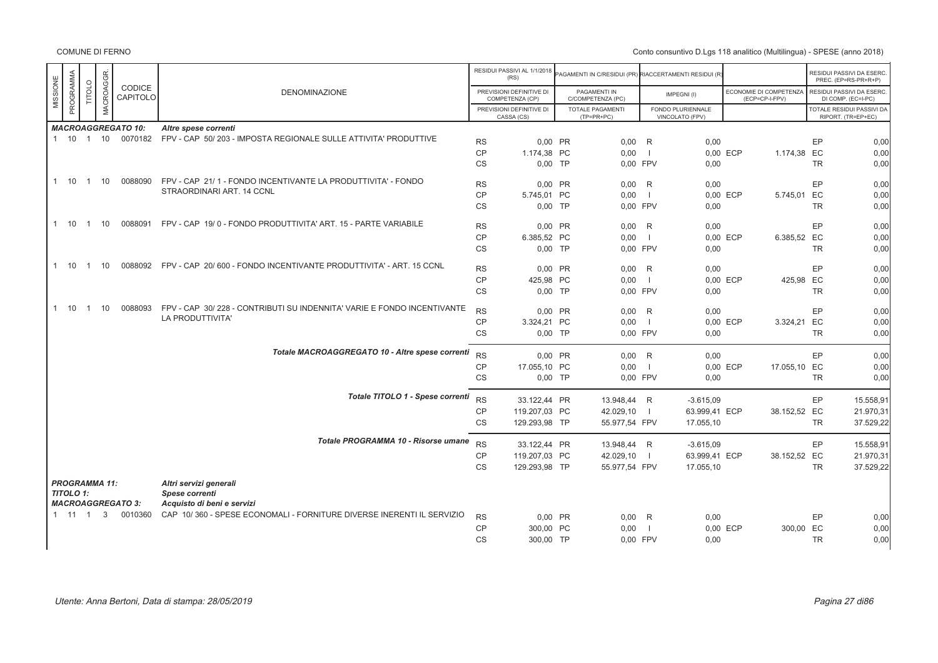COMUNE DI FERNO

|                       |                |                   |                           |                                                                            |           | RESIDUI PASSIVI AL 1/1/2018<br>(RS)         | AGAMENTI IN C/RESIDUI (PR) RIACCERTAMENTI RESIDUI (R) |                          |                                      |          |                                          |           | RESIDUI PASSIVI DA ESERC<br>PREC. (EP=RS-PR+R+P) |
|-----------------------|----------------|-------------------|---------------------------|----------------------------------------------------------------------------|-----------|---------------------------------------------|-------------------------------------------------------|--------------------------|--------------------------------------|----------|------------------------------------------|-----------|--------------------------------------------------|
| PROGRAMMA<br>MISSIONE | <b>TITOLO</b>  | <b>MACROAGGR.</b> | CODICE<br>CAPITOLO        | <b>DENOMINAZIONE</b>                                                       |           | PREVISIONI DEFINITIVE DI<br>COMPETENZA (CP) | PAGAMENTI IN<br>C/COMPETENZA (PC)                     |                          | IMPEGNI(I)                           |          | ECONOMIE DI COMPETENZA<br>(ECP=CP-I-FPV) |           | RESIDUI PASSIVI DA ESERC.<br>DI COMP. (EC=I-PC)  |
|                       |                |                   |                           |                                                                            |           | PREVISIONI DEFINITIVE DI<br>CASSA (CS)      | <b>TOTALE PAGAMENTI</b><br>$(TP=PR+PC)$               |                          | FONDO PLURIENNALE<br>VINCOLATO (FPV) |          |                                          |           | TOTALE RESIDUI PASSIVI DA<br>RIPORT. (TR=EP+EC)  |
|                       |                |                   | <b>MACROAGGREGATO 10:</b> | Altre spese correnti                                                       |           |                                             |                                                       |                          |                                      |          |                                          |           |                                                  |
| 1 10 1 10             |                |                   | 0070182                   | FPV - CAP 50/203 - IMPOSTA REGIONALE SULLE ATTIVITA' PRODUTTIVE            | <b>RS</b> | 0.00 PR                                     | 0,00                                                  | R                        | 0,00                                 |          |                                          | EP        | 0,00                                             |
|                       |                |                   |                           |                                                                            | CP        | 1.174,38 PC                                 | 0.00                                                  | $\blacksquare$           |                                      | 0.00 ECP | 1.174,38 EC                              |           | 0,00                                             |
|                       |                |                   |                           |                                                                            | <b>CS</b> | $0.00$ TP                                   | 0.00 FPV                                              |                          |                                      |          |                                          | <b>TR</b> | 0,00                                             |
|                       |                |                   |                           |                                                                            |           |                                             |                                                       |                          | 0.00                                 |          |                                          |           |                                                  |
| 1 10                  | $\overline{1}$ | 10                | 0088090                   | FPV - CAP 21/1 - FONDO INCENTIVANTE LA PRODUTTIVITA' - FONDO               | <b>RS</b> | 0.00 PR                                     | 0.00                                                  | R                        | 0,00                                 |          |                                          | EP        | 0,00                                             |
|                       |                |                   |                           | STRAORDINARI ART. 14 CCNL                                                  | <b>CP</b> | 5.745,01 PC                                 | 0,00                                                  | $\blacksquare$           |                                      | 0,00 ECP | 5.745,01                                 | EC        | 0,00                                             |
|                       |                |                   |                           |                                                                            | CS        | 0,00 TP                                     | 0,00 FPV                                              |                          | 0,00                                 |          |                                          | <b>TR</b> | 0,00                                             |
|                       |                |                   |                           |                                                                            |           |                                             |                                                       |                          |                                      |          |                                          |           |                                                  |
| 10                    | $\overline{1}$ | 10                | 0088091                   | FPV - CAP 19/0 - FONDO PRODUTTIVITA' ART, 15 - PARTE VARIABILE             | <b>RS</b> | 0,00 PR                                     | 0,00                                                  | R                        | 0,00                                 |          |                                          | EP        | 0,00                                             |
|                       |                |                   |                           |                                                                            | <b>CP</b> | 6.385,52 PC                                 | 0,00                                                  | $\blacksquare$           |                                      | 0.00 ECP | 6.385,52 EC                              |           | 0,00                                             |
|                       |                |                   |                           |                                                                            | <b>CS</b> | 0,00 TP                                     | 0,00 FPV                                              |                          | 0,00                                 |          |                                          | <b>TR</b> | 0,00                                             |
|                       |                |                   |                           |                                                                            |           |                                             |                                                       |                          |                                      |          |                                          |           |                                                  |
| 1 10                  | $\overline{1}$ | 10                |                           | 0088092 FPV - CAP 20/600 - FONDO INCENTIVANTE PRODUTTIVITA' - ART. 15 CCNL | <b>RS</b> | 0.00 PR                                     | 0.00                                                  | R                        | 0.00                                 |          |                                          | EP        | 0,00                                             |
|                       |                |                   |                           |                                                                            | <b>CP</b> | 425,98 PC                                   | 0,00                                                  | $\blacksquare$           |                                      | 0,00 ECP | 425,98                                   | EC        | 0,00                                             |
|                       |                |                   |                           |                                                                            | CS        | $0,00$ TP                                   | 0,00 FPV                                              |                          | 0,00                                 |          |                                          | <b>TR</b> | 0,00                                             |
| 1 10                  | $\overline{1}$ | 10                | 0088093                   | FPV - CAP 30/228 - CONTRIBUTI SU INDENNITA' VARIE E FONDO INCENTIVANTE     |           |                                             |                                                       |                          |                                      |          |                                          |           |                                                  |
|                       |                |                   |                           | LA PRODUTTIVITA'                                                           | <b>RS</b> | 0,00 PR                                     | 0,00                                                  | R                        | 0,00                                 |          |                                          | EP        | 0,00                                             |
|                       |                |                   |                           |                                                                            | <b>CP</b> | 3.324,21 PC                                 | 0,00                                                  | - 1                      |                                      | 0.00 ECP | 3.324,21 EC                              |           | 0,00                                             |
|                       |                |                   |                           |                                                                            | CS        | 0,00 TP                                     | 0,00 FPV                                              |                          | 0,00                                 |          |                                          | <b>TR</b> | 0,00                                             |
|                       |                |                   |                           | Totale MACROAGGREGATO 10 - Altre spese correnti                            | <b>RS</b> |                                             |                                                       |                          |                                      |          |                                          |           |                                                  |
|                       |                |                   |                           |                                                                            |           | 0.00 PR                                     | 0.00 R                                                |                          | 0.00                                 |          |                                          | EP        | 0,00                                             |
|                       |                |                   |                           |                                                                            | <b>CP</b> | 17.055,10 PC                                | 0,00                                                  | $\overline{\phantom{0}}$ |                                      | 0,00 ECP | 17.055,10 EC                             |           | 0,00                                             |
|                       |                |                   |                           |                                                                            | <b>CS</b> | $0.00$ TP                                   | 0.00 FPV                                              |                          | 0.00                                 |          |                                          | <b>TR</b> | 0,00                                             |
|                       |                |                   |                           | Totale TITOLO 1 - Spese correnti                                           | <b>RS</b> | 33.122,44 PR                                | 13.948,44 R                                           |                          | $-3.615,09$                          |          |                                          | EP        | 15.558,91                                        |
|                       |                |                   |                           |                                                                            | <b>CP</b> | 119.207,03 PC                               | 42.029,10                                             | $\overline{1}$           | 63.999.41 ECP                        |          | 38.152,52 EC                             |           | 21.970,31                                        |
|                       |                |                   |                           |                                                                            | CS        | 129.293,98 TP                               | 55.977,54 FPV                                         |                          | 17.055,10                            |          |                                          | <b>TR</b> | 37.529,22                                        |
|                       |                |                   |                           |                                                                            |           |                                             |                                                       |                          |                                      |          |                                          |           |                                                  |
|                       |                |                   |                           | Totale PROGRAMMA 10 - Risorse umane                                        | <b>RS</b> | 33.122.44 PR                                | 13.948.44 R                                           |                          | $-3.615.09$                          |          |                                          | EP        | 15.558,91                                        |
|                       |                |                   |                           |                                                                            | <b>CP</b> | 119.207,03 PC                               | 42.029,10                                             | $\overline{1}$           | 63.999,41 ECP                        |          | 38.152,52 EC                             |           | 21.970,31                                        |
|                       |                |                   |                           |                                                                            | CS        | 129.293,98 TP                               | 55.977,54 FPV                                         |                          | 17.055,10                            |          |                                          | <b>TR</b> | 37.529,22                                        |
|                       |                |                   |                           |                                                                            |           |                                             |                                                       |                          |                                      |          |                                          |           |                                                  |
| <b>PROGRAMMA 11:</b>  |                |                   |                           | Altri servizi generali                                                     |           |                                             |                                                       |                          |                                      |          |                                          |           |                                                  |
| <b>TITOLO 1:</b>      |                |                   |                           | Spese correnti                                                             |           |                                             |                                                       |                          |                                      |          |                                          |           |                                                  |
|                       |                |                   | <b>MACROAGGREGATO 3:</b>  | Acquisto di beni e servizi                                                 |           |                                             |                                                       |                          |                                      |          |                                          |           |                                                  |
| $1 \t11 \t1$          |                |                   | 3 0010360                 | CAP 10/360 - SPESE ECONOMALI - FORNITURE DIVERSE INERENTI IL SERVIZIO      | <b>RS</b> | 0.00 PR                                     | 0.00                                                  | R                        | 0,00                                 |          |                                          | EP        | 0,00                                             |
|                       |                |                   |                           |                                                                            | <b>CP</b> | 300,00 PC                                   | 0,00                                                  | $\blacksquare$           |                                      | 0,00 ECP | 300,00                                   | EC        | 0,00                                             |
|                       |                |                   |                           |                                                                            | <b>CS</b> | 300,00 TP                                   | 0,00 FPV                                              |                          | 0,00                                 |          |                                          | <b>TR</b> | 0,00                                             |
|                       |                |                   |                           |                                                                            |           |                                             |                                                       |                          |                                      |          |                                          |           |                                                  |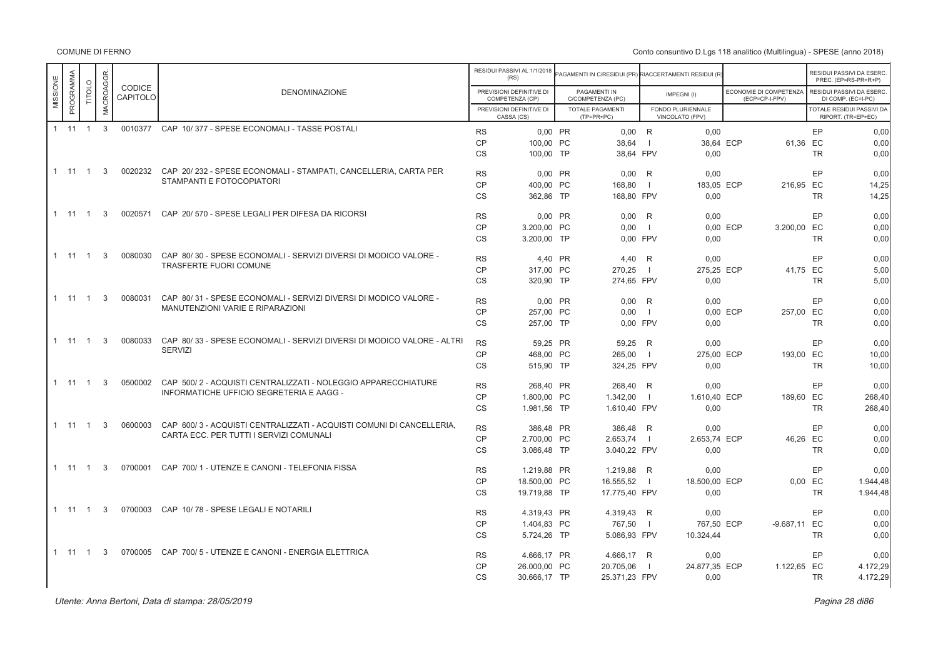Conto consuntivo D.Lgs 118 analitico (Multilingua) - SPESE (anno 2018)

|          |              |                |           |                    |                                                                        |           | RESIDUI PASSIVI AL 1/1/2018<br>(RS)         | AGAMENTI IN C/RESIDUI (PR) RIACCERTAMENTI RESIDUI (R) |                |                                      |                                          |           | RESIDUI PASSIVI DA ESERC.<br>PREC. (EP=RS-PR+R+P) |
|----------|--------------|----------------|-----------|--------------------|------------------------------------------------------------------------|-----------|---------------------------------------------|-------------------------------------------------------|----------------|--------------------------------------|------------------------------------------|-----------|---------------------------------------------------|
| MISSIONE | PROGRAMMA    | TITOLO         | MACROAGGR | CODICE<br>CAPITOLO | <b>DENOMINAZIONE</b>                                                   |           | PREVISIONI DEFINITIVE DI<br>COMPETENZA (CP) | PAGAMENTI IN<br>C/COMPETENZA (PC)                     |                | IMPEGNI(I)                           | ECONOMIE DI COMPETENZA<br>(ECP=CP-I-FPV) |           | RESIDUI PASSIVI DA ESERC.<br>DI COMP. (EC=I-PC)   |
|          |              |                |           |                    |                                                                        |           | PREVISIONI DEFINITIVE DI<br>CASSA (CS)      | TOTALE PAGAMENTI<br>$(TP=PR+PC)$                      |                | FONDO PLURIENNALE<br>VINCOLATO (FPV) |                                          |           | TOTALE RESIDUI PASSIVI DA<br>RIPORT. (TR=EP+EC)   |
|          | $1 \t11 \t1$ |                | 3         |                    | 0010377 CAP 10/377 - SPESE ECONOMALI - TASSE POSTALI                   | <b>RS</b> | 0,00 PR                                     | $0,00$ R                                              |                | 0,00                                 |                                          | EP        | 0,00                                              |
|          |              |                |           |                    |                                                                        | CP        | 100.00 PC                                   | 38.64                                                 | $\blacksquare$ | 38.64 ECP                            |                                          | 61,36 EC  | 0.00                                              |
|          |              |                |           |                    |                                                                        | <b>CS</b> | 100,00 TP                                   | 38.64 FPV                                             |                | 0.00                                 |                                          | <b>TR</b> | 0,00                                              |
|          | $1 \t11 \t1$ |                | 3         | 0020232            | CAP 20/232 - SPESE ECONOMALI - STAMPATI, CANCELLERIA, CARTA PER        | <b>RS</b> | 0,00 PR                                     | 0,00                                                  | R              | 0,00                                 |                                          | EP        | 0,00                                              |
|          |              |                |           |                    | STAMPANTI E FOTOCOPIATORI                                              | <b>CP</b> | 400.00 PC                                   | 168.80                                                | -1             | 183.05 ECP                           | 216.95 EC                                |           | 14,25                                             |
|          |              |                |           |                    |                                                                        | <b>CS</b> | 362,86 TP                                   | 168,80 FPV                                            |                | 0,00                                 |                                          | <b>TR</b> | 14,25                                             |
|          | $1 \t11 \t1$ |                | 3         | 0020571            | CAP 20/570 - SPESE LEGALI PER DIFESA DA RICORSI                        | <b>RS</b> | 0,00 PR                                     | 0,00                                                  | R              | 0,00                                 |                                          | EP        | 0,00                                              |
|          |              |                |           |                    |                                                                        | CP        | 3.200.00 PC                                 | 0.00                                                  | $\overline{1}$ |                                      | 0.00 ECP<br>3.200.00 EC                  |           | 0.00                                              |
|          |              |                |           |                    |                                                                        | <b>CS</b> | 3.200,00 TP                                 | 0.00 FPV                                              |                | 0,00                                 |                                          | <b>TR</b> | 0,00                                              |
|          | 1 11 1       |                | 3         | 0080030            | CAP 80/30 - SPESE ECONOMALI - SERVIZI DIVERSI DI MODICO VALORE -       | <b>RS</b> | 4,40 PR                                     | 4.40                                                  | R              | 0,00                                 |                                          | EP        | 0,00                                              |
|          |              |                |           |                    | TRASFERTE FUORI COMUNE                                                 | CP        | 317,00 PC                                   | 270.25                                                | $\overline{1}$ | 275.25 ECP                           |                                          | 41.75 EC  | 5.00                                              |
|          |              |                |           |                    |                                                                        | CS        | 320,90 TP                                   | 274,65 FPV                                            |                | 0,00                                 |                                          | <b>TR</b> | 5,00                                              |
|          |              |                |           | 0080031            | CAP 80/31 - SPESE ECONOMALI - SERVIZI DIVERSI DI MODICO VALORE -       |           |                                             |                                                       |                |                                      |                                          |           |                                                   |
|          | 1 11         | $\overline{1}$ | 3         |                    | MANUTENZIONI VARIE E RIPARAZIONI                                       | <b>RS</b> | 0.00 PR                                     | $0.00$ R                                              |                | 0,00                                 |                                          | EP        | 0.00                                              |
|          |              |                |           |                    |                                                                        | CP        | 257.00 PC                                   | 0.00                                                  | $\overline{1}$ |                                      | 0.00 ECP<br>257.00 EC                    |           | 0.00                                              |
|          |              |                |           |                    |                                                                        | CS        | 257,00 TP                                   | 0,00 FPV                                              |                | 0,00                                 |                                          | <b>TR</b> | 0,00                                              |
|          | 1 11         | $\overline{1}$ | 3         | 0080033            | CAP 80/33 - SPESE ECONOMALI - SERVIZI DIVERSI DI MODICO VALORE - ALTRI | <b>RS</b> | 59,25 PR                                    | 59,25                                                 | R              | 0,00                                 |                                          | EP        | 0.00                                              |
|          |              |                |           |                    | <b>SERVIZI</b>                                                         | <b>CP</b> | 468.00 PC                                   | 265,00                                                | $\overline{1}$ | 275.00 ECP                           | 193.00 EC                                |           | 10,00                                             |
|          |              |                |           |                    |                                                                        | CS        | 515,90 TP                                   | 324,25 FPV                                            |                | 0,00                                 |                                          | <b>TR</b> | 10,00                                             |
|          | 1 11         | $\overline{1}$ | 3         | 0500002            | CAP 500/2 - ACQUISTI CENTRALIZZATI - NOLEGGIO APPARECCHIATURE          | <b>RS</b> | 268,40 PR                                   | 268,40 R                                              |                | 0,00                                 |                                          | EP        | 0,00                                              |
|          |              |                |           |                    | INFORMATICHE UFFICIO SEGRETERIA E AAGG -                               | CP        | 1.800.00 PC                                 | 1.342.00                                              | $\blacksquare$ | 1.610.40 ECP                         | 189.60 EC                                |           | 268.40                                            |
|          |              |                |           |                    |                                                                        | CS        | 1.981,56 TP                                 | 1.610,40 FPV                                          |                | 0,00                                 |                                          | <b>TR</b> | 268,40                                            |
|          | 1 11         | $\overline{1}$ | 3         | 0600003            | CAP 600/3 - ACQUISTI CENTRALIZZATI - ACQUISTI COMUNI DI CANCELLERIA.   | <b>RS</b> | 386.48 PR                                   | 386,48 R                                              |                | 0.00                                 |                                          | EP        | 0.00                                              |
|          |              |                |           |                    | CARTA ECC. PER TUTTI I SERVIZI COMUNALI                                | <b>CP</b> | 2.700.00 PC                                 | 2.653,74                                              | $\Box$         | 2.653.74 ECP                         |                                          | 46.26 EC  | 0.00                                              |
|          |              |                |           |                    |                                                                        | CS        | 3.086,48 TP                                 | 3.040,22 FPV                                          |                | 0,00                                 |                                          | <b>TR</b> | 0,00                                              |
|          | 1 11         | $\overline{1}$ | 3         |                    | 0700001 CAP 700/1 - UTENZE E CANONI - TELEFONIA FISSA                  | <b>RS</b> | 1.219.88 PR                                 | 1.219,88 R                                            |                | 0.00                                 |                                          | EP        | 0.00                                              |
|          |              |                |           |                    |                                                                        | <b>CP</b> | 18,500.00 PC                                | 16.555,52                                             | $\blacksquare$ | 18.500,00 ECP                        |                                          | $0.00$ EC | 1.944,48                                          |
|          |              |                |           |                    |                                                                        | CS        | 19.719,88 TP                                | 17.775,40 FPV                                         |                | 0,00                                 |                                          | <b>TR</b> | 1.944,48                                          |
|          | $1 \quad 11$ | $\overline{1}$ | 3         | 0700003            | CAP 10/78 - SPESE LEGALI E NOTARILI                                    | <b>RS</b> | 4.319,43 PR                                 | 4.319,43 R                                            |                | 0.00                                 |                                          | EP        | 0.00                                              |
|          |              |                |           |                    |                                                                        | CP        | 1.404,83 PC                                 | 767,50                                                | $\blacksquare$ | 767,50 ECP                           | -9.687,11 EC                             |           | 0,00                                              |
|          |              |                |           |                    |                                                                        | <b>CS</b> | 5.724,26 TP                                 | 5.086,93 FPV                                          |                | 10.324,44                            |                                          | <b>TR</b> | 0,00                                              |
|          | 1 11         | $\overline{1}$ | 3         |                    | 0700005 CAP 700/5 - UTENZE E CANONI - ENERGIA ELETTRICA                | <b>RS</b> |                                             |                                                       |                | 0,00                                 |                                          | EP        | 0,00                                              |
|          |              |                |           |                    |                                                                        | CP        | 4.666,17 PR<br>26.000,00 PC                 | 4.666,17 R<br>20.705,06                               | $\Box$         | 24.877,35 ECP                        | 1.122,65 EC                              |           | 4.172,29                                          |
|          |              |                |           |                    |                                                                        | <b>CS</b> | 30.666,17 TP                                | 25.371,23 FPV                                         |                | 0,00                                 |                                          | <b>TR</b> | 4.172,29                                          |
|          |              |                |           |                    |                                                                        |           |                                             |                                                       |                |                                      |                                          |           |                                                   |

er di secondo di secondo di secondo di secondo di secondo di secondo di secondo di secondo di secondo di secondo di secondo di secondo di secondo di secondo di secondo di secondo di secondo di secondo di secondo di secondo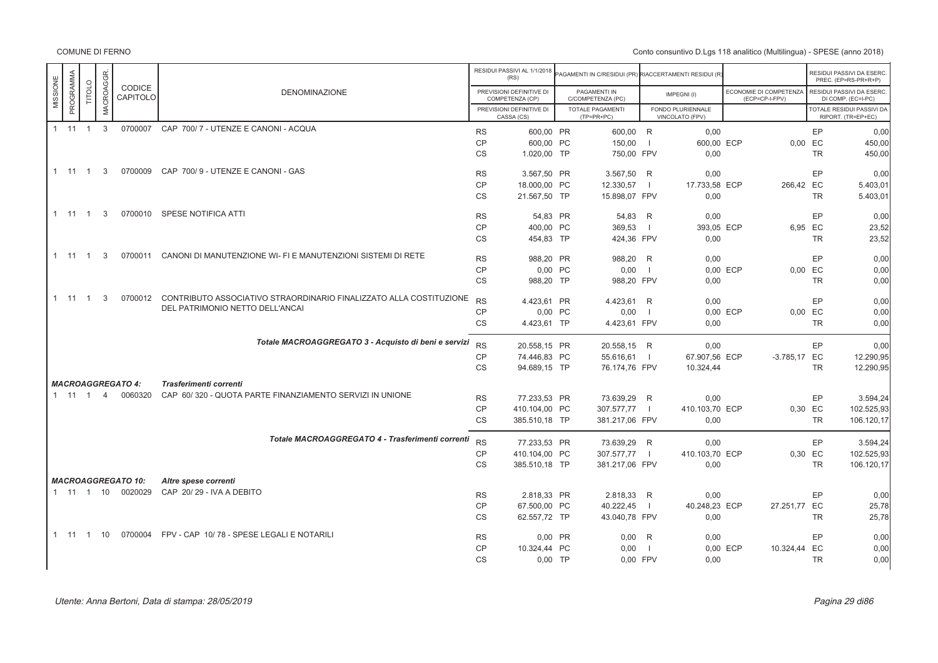|                       |                  |                |                           |                                                                            |                        | RESIDUI PASSIVI AL 1/1/2018<br>(RS)         | PAGAMENTI IN C/RESIDUI (PR) RIACCERTAMENTI RESIDUI (R |                |                                      |                                          |                 | RESIDUI PASSIVI DA ESERC<br>PREC. (EP=RS-PR+R+P) |
|-----------------------|------------------|----------------|---------------------------|----------------------------------------------------------------------------|------------------------|---------------------------------------------|-------------------------------------------------------|----------------|--------------------------------------|------------------------------------------|-----------------|--------------------------------------------------|
| PROGRAMMA<br>MISSIONE | <b>TITOLO</b>    | MACROAGGR.     | <b>CODICE</b><br>CAPITOLO | <b>DENOMINAZIONE</b>                                                       |                        | PREVISIONI DEFINITIVE DI<br>COMPETENZA (CP) | PAGAMENTI IN<br>C/COMPETENZA (PC)                     |                | IMPEGNI(I)                           | ECONOMIE DI COMPETENZA<br>(ECP=CP-I-FPV) |                 | RESIDUI PASSIVI DA ESERC<br>DI COMP. (EC=I-PC)   |
|                       |                  |                |                           |                                                                            |                        | PREVISIONI DEFINITIVE DI<br>CASSA (CS)      | <b>TOTALE PAGAMENTI</b><br>$(TP=PR+PC)$               |                | FONDO PLURIENNALE<br>VINCOLATO (FPV) |                                          |                 | TOTALE RESIDUI PASSIVI DA<br>RIPORT. (TR=EP+EC)  |
|                       | $1 \t11 \t1 \t3$ |                |                           | 0700007 CAP 700/7 - UTENZE E CANONI - ACQUA                                |                        |                                             |                                                       |                |                                      |                                          |                 |                                                  |
|                       |                  |                |                           |                                                                            | <b>RS</b><br><b>CP</b> | 600,00 PR<br>600,00 PC                      | 600,00 R<br>150,00                                    | $\blacksquare$ | 0,00<br>600,00 ECP                   |                                          | EP<br>$0,00$ EC | 0.00<br>450,00                                   |
|                       |                  |                |                           |                                                                            | <b>CS</b>              | 1.020,00 TP                                 | 750,00 FPV                                            |                | 0,00                                 |                                          | <b>TR</b>       | 450,00                                           |
|                       |                  |                |                           |                                                                            |                        |                                             |                                                       |                |                                      |                                          |                 |                                                  |
|                       | $1 \t11 \t1$     | 3              | 0700009                   | CAP 700/9 - UTENZE E CANONI - GAS                                          | <b>RS</b>              | 3.567,50 PR                                 | 3.567,50                                              | R              | 0,00                                 |                                          | EP              | 0,00                                             |
|                       |                  |                |                           |                                                                            | <b>CP</b>              | 18.000,00 PC                                | 12.330,57                                             | $\blacksquare$ | 17.733,58 ECP                        | 266,42 EC                                |                 | 5.403,01                                         |
|                       |                  |                |                           |                                                                            | <b>CS</b>              | 21.567.50 TP                                | 15.898,07 FPV                                         |                | 0.00                                 |                                          | <b>TR</b>       | 5.403,01                                         |
|                       | $1 \t11 \t1$     | $\mathbf{3}$   |                           | 0700010 SPESE NOTIFICA ATTI                                                | <b>RS</b>              | 54.83 PR                                    | 54.83 R                                               |                | 0.00                                 |                                          | EP              | 0.00                                             |
|                       |                  |                |                           |                                                                            | CP                     | 400,00 PC                                   | 369,53                                                | - 1            | 393,05 ECP                           |                                          | 6,95 EC         | 23,52                                            |
|                       |                  |                |                           |                                                                            | <b>CS</b>              | 454.83 TP                                   | 424.36 FPV                                            |                | 0,00                                 |                                          | <b>TR</b>       | 23,52                                            |
|                       |                  |                |                           |                                                                            |                        |                                             |                                                       |                |                                      |                                          |                 |                                                  |
|                       | $1 \t11 \t1$     | 3              | 0700011                   | CANONI DI MANUTENZIONE WI- FI E MANUTENZIONI SISTEMI DI RETE               | <b>RS</b>              | 988,20 PR                                   | 988,20 R                                              |                | 0,00                                 |                                          | EP              | 0.00                                             |
|                       |                  |                |                           |                                                                            | CP                     | 0,00 PC                                     | 0,00                                                  | $\blacksquare$ |                                      | 0,00 ECP                                 | $0,00$ EC       | 0,00                                             |
|                       |                  |                |                           |                                                                            | <b>CS</b>              | 988,20 TP                                   | 988,20 FPV                                            |                | 0,00                                 |                                          | <b>TR</b>       | 0.00                                             |
|                       | 1 11 1           | 3              |                           | 0700012 CONTRIBUTO ASSOCIATIVO STRAORDINARIO FINALIZZATO ALLA COSTITUZIONE | <b>RS</b>              |                                             |                                                       |                |                                      |                                          |                 |                                                  |
|                       |                  |                |                           | DEL PATRIMONIO NETTO DELL'ANCAI                                            | <b>CP</b>              | 4.423,61 PR<br>0,00 PC                      | 4.423,61 R<br>0,00                                    | $\blacksquare$ | 0,00                                 | 0.00 ECP                                 | EP<br>0.00 EC   | 0,00<br>0,00                                     |
|                       |                  |                |                           |                                                                            | <b>CS</b>              | 4.423,61 TP                                 | 4.423,61 FPV                                          |                | 0,00                                 |                                          | <b>TR</b>       | 0,00                                             |
|                       |                  |                |                           |                                                                            |                        |                                             |                                                       |                |                                      |                                          |                 |                                                  |
|                       |                  |                |                           | Totale MACROAGGREGATO 3 - Acquisto di beni e servizi                       | <b>RS</b>              | 20.558,15 PR                                | 20.558,15 R                                           |                | 0,00                                 |                                          | EP              | 0,00                                             |
|                       |                  |                |                           |                                                                            | <b>CP</b>              | 74.446,83 PC                                | 55.616,61                                             | $\blacksquare$ | 67.907,56 ECP                        | $-3.785,17$ EC                           |                 | 12.290,95                                        |
|                       |                  |                |                           |                                                                            | <b>CS</b>              | 94.689,15 TP                                | 76.174,76 FPV                                         |                | 10.324,44                            |                                          | <b>TR</b>       | 12.290,95                                        |
|                       |                  |                | <b>MACROAGGREGATO 4:</b>  | Trasferimenti correnti                                                     |                        |                                             |                                                       |                |                                      |                                          |                 |                                                  |
|                       | $1 \t11 \t1$     | $\overline{4}$ | 0060320                   | CAP 60/320 - QUOTA PARTE FINANZIAMENTO SERVIZI IN UNIONE                   | <b>RS</b>              |                                             |                                                       |                |                                      |                                          | EP              |                                                  |
|                       |                  |                |                           |                                                                            | <b>CP</b>              | 77.233,53 PR<br>410.104,00 PC               | 73.639,29 R<br>307.577,77                             |                | 0,00<br>410.103,70 ECP               |                                          | 0,30 EC         | 3.594,24<br>102.525,93                           |
|                       |                  |                |                           |                                                                            | <b>CS</b>              | 385.510,18 TP                               | 381.217,06 FPV                                        |                | 0,00                                 |                                          | <b>TR</b>       | 106.120,17                                       |
|                       |                  |                |                           |                                                                            |                        |                                             |                                                       |                |                                      |                                          |                 |                                                  |
|                       |                  |                |                           | Totale MACROAGGREGATO 4 - Trasferimenti correnti                           | <b>RS</b>              | 77.233,53 PR                                | 73.639,29 R                                           |                | 0,00                                 |                                          | EP              | 3.594,24                                         |
|                       |                  |                |                           |                                                                            | CP                     | 410.104,00 PC                               | 307.577,77                                            |                | 410.103,70 ECP                       |                                          | 0,30 EC         | 102.525,93                                       |
|                       |                  |                |                           |                                                                            | <b>CS</b>              | 385.510,18 TP                               | 381.217,06 FPV                                        |                | 0,00                                 |                                          | <b>TR</b>       | 106.120,17                                       |
|                       |                  |                | <b>MACROAGGREGATO 10:</b> | Altre spese correnti                                                       |                        |                                             |                                                       |                |                                      |                                          |                 |                                                  |
|                       |                  |                | 1 11 1 10 0020029         | CAP 20/29 - IVA A DEBITO                                                   | <b>RS</b>              | 2.818,33 PR                                 | 2.818,33 R                                            |                | 0,00                                 |                                          | EP              | 0.00                                             |
|                       |                  |                |                           |                                                                            | <b>CP</b>              | 67.500,00 PC                                | 40.222,45                                             | $\blacksquare$ | 40.248,23 ECP                        | 27.251,77 EC                             |                 | 25,78                                            |
|                       |                  |                |                           |                                                                            | <b>CS</b>              | 62.557,72 TP                                | 43.040,78 FPV                                         |                | 0,00                                 |                                          | <b>TR</b>       | 25,78                                            |
|                       |                  |                |                           |                                                                            |                        |                                             |                                                       |                |                                      |                                          |                 |                                                  |
|                       |                  |                |                           | 1 11 1 10 0700004 FPV - CAP 10/78 - SPESE LEGALI E NOTARILI                | <b>RS</b>              | 0,00 PR                                     | 0,00                                                  | R              | 0,00                                 |                                          | EP              | 0,00                                             |
|                       |                  |                |                           |                                                                            | CP                     | 10.324,44 PC                                | 0,00                                                  | $\overline{1}$ |                                      | 0,00 ECP<br>10.324,44 EC                 |                 | 0,00                                             |
|                       |                  |                |                           |                                                                            | <b>CS</b>              | $0,00$ TP                                   | 0,00 FPV                                              |                | 0,00                                 |                                          | <b>TR</b>       | 0.00                                             |
|                       |                  |                |                           |                                                                            |                        |                                             |                                                       |                |                                      |                                          |                 |                                                  |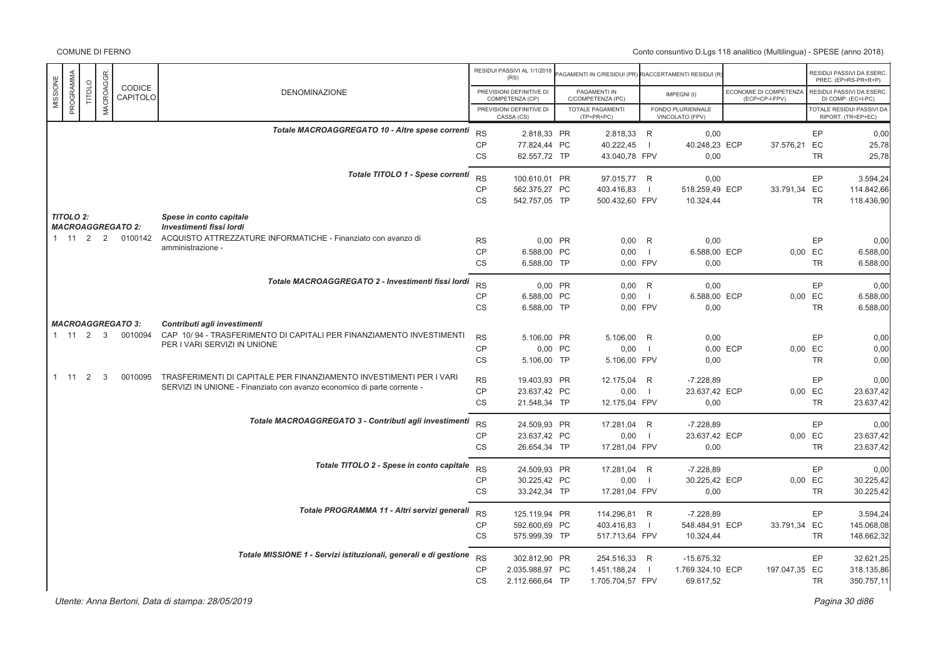Conto consuntivo D.Lgs 118 analitico (Multilingua) - SPESE (anno 2018)

|          |                              |        |                  |                          |                                                                                                                                                |                 | RESIDUI PASSIVI AL 1/1/2018<br>(RS)         | AGAMENTI IN C/RESIDUI (PR) RIACCERTAMENTI RESIDUI (R |                |                                      |          |                                          |                      | RESIDUI PASSIVI DA ESERC<br>PREC. (EP=RS-PR+R+P) |
|----------|------------------------------|--------|------------------|--------------------------|------------------------------------------------------------------------------------------------------------------------------------------------|-----------------|---------------------------------------------|------------------------------------------------------|----------------|--------------------------------------|----------|------------------------------------------|----------------------|--------------------------------------------------|
| MISSIONE | PROGRAMMA                    | TITOLO | <b>MACROAGGR</b> | CODICE<br>CAPITOLO       | <b>DENOMINAZIONE</b>                                                                                                                           |                 | PREVISIONI DEFINITIVE DI<br>COMPETENZA (CP) | PAGAMENTI IN<br>C/COMPETENZA (PC)                    |                | IMPEGNI(I)                           |          | ECONOMIE DI COMPETENZA<br>(ECP=CP-I-FPV) |                      | RESIDUI PASSIVI DA ESERC<br>DI COMP. (EC=I-PC)   |
|          |                              |        |                  |                          |                                                                                                                                                |                 | PREVISIONI DEFINITIVE DI<br>CASSA (CS)      | <b>TOTALE PAGAMENTI</b><br>(TP=PR+PC)                |                | FONDO PLURIENNALE<br>VINCOLATO (FPV) |          |                                          |                      | TOTALE RESIDUI PASSIVI DA<br>RIPORT. (TR=EP+EC)  |
|          |                              |        |                  |                          | Totale MACROAGGREGATO 10 - Altre spese correnti                                                                                                | <b>RS</b>       | 2.818,33 PR                                 | 2.818,33 R                                           |                | 0,00                                 |          |                                          | EP                   | 0,00                                             |
|          |                              |        |                  |                          |                                                                                                                                                | $\mathsf{CP}$   | 77.824,44 PC                                | 40.222,45                                            | $\overline{1}$ | 40.248,23 ECP                        |          | 37.576,21 EC                             |                      | 25,78                                            |
|          |                              |        |                  |                          |                                                                                                                                                | CS              | 62.557,72 TP                                | 43.040,78 FPV                                        |                | 0,00                                 |          |                                          | TR                   | 25,78                                            |
|          |                              |        |                  |                          | Totale TITOLO 1 - Spese correnti                                                                                                               | <b>RS</b>       | 100.610,01 PR                               | 97.015,77 R                                          |                | 0,00                                 |          |                                          | EP                   | 3.594,24                                         |
|          |                              |        |                  |                          |                                                                                                                                                | CP              | 562.375,27 PC                               | 403.416,83                                           | $\overline{1}$ | 518.259,49 ECP                       |          | 33.791,34 EC                             |                      | 114.842,66                                       |
|          |                              |        |                  |                          |                                                                                                                                                | CS              | 542.757,05 TP                               | 500.432,60 FPV                                       |                | 10.324,44                            |          |                                          | TR                   | 118.436,90                                       |
|          | <b>TITOLO 2:</b>             |        |                  | <b>MACROAGGREGATO 2:</b> | Spese in conto capitale<br>Investimenti fissi lordi                                                                                            |                 |                                             |                                                      |                |                                      |          |                                          |                      |                                                  |
|          | $1 \quad 11 \quad 2 \quad 2$ |        |                  | 0100142                  | ACQUISTO ATTREZZATURE INFORMATICHE - Finanziato con avanzo di                                                                                  | <b>RS</b>       | 0.00 PR                                     | 0.00 R                                               |                | 0.00                                 |          |                                          | EP                   | 0,00                                             |
|          |                              |        |                  |                          | amministrazione -                                                                                                                              | CP              | 6.588,00 PC                                 | 0,00                                                 | $\overline{1}$ | 6.588,00 ECP                         |          |                                          | 0,00 EC              | 6.588,00                                         |
|          |                              |        |                  |                          |                                                                                                                                                | CS              | 6.588,00 TP                                 | 0,00 FPV                                             |                | 0,00                                 |          |                                          | TR                   | 6.588,00                                         |
|          |                              |        |                  |                          | Totale MACROAGGREGATO 2 - Investimenti fissi lordi                                                                                             | <b>RS</b>       | 0,00 PR                                     | $0,00$ R                                             |                | 0,00                                 |          |                                          | EP                   | 0,00                                             |
|          |                              |        |                  |                          |                                                                                                                                                | CP              | 6.588,00 PC                                 | 0,00                                                 | $\Box$         | 6.588,00 ECP                         |          |                                          | 0,00 EC              | 6.588,00                                         |
|          |                              |        |                  |                          |                                                                                                                                                | <b>CS</b>       | 6.588,00 TP                                 | 0,00 FPV                                             |                | 0,00                                 |          |                                          | <b>TR</b>            | 6.588,00                                         |
|          |                              |        |                  | <b>MACROAGGREGATO 3:</b> | Contributi agli investimenti                                                                                                                   |                 |                                             |                                                      |                |                                      |          |                                          |                      |                                                  |
|          | $1 \quad 11 \quad 2 \quad 3$ |        |                  | 0010094                  | CAP 10/94 - TRASFERIMENTO DI CAPITALI PER FINANZIAMENTO INVESTIMENTI<br>PER I VARI SERVIZI IN UNIONE                                           | <b>RS</b>       | 5.106,00 PR                                 | 5.106,00 R                                           |                | 0,00                                 |          |                                          | EP                   | 0,00                                             |
|          |                              |        |                  |                          |                                                                                                                                                | <b>CP</b>       | 0,00 PC                                     | 0,00                                                 | - 1            |                                      | 0,00 ECP |                                          | 0,00 EC              | 0,00                                             |
|          |                              |        |                  |                          |                                                                                                                                                | CS              | 5.106,00 TP                                 | 5.106,00 FPV                                         |                | 0,00                                 |          |                                          | <b>TR</b>            | 0,00                                             |
|          | $1 \quad 11 \quad 2$         |        | 3                | 0010095                  | TRASFERIMENTI DI CAPITALE PER FINANZIAMENTO INVESTIMENTI PER I VARI<br>SERVIZI IN UNIONE - Finanziato con avanzo economico di parte corrente - | <b>RS</b>       | 19.403,93 PR                                | 12.175,04                                            | R              | $-7.228,89$                          |          |                                          | EP                   | 0,00                                             |
|          |                              |        |                  |                          |                                                                                                                                                | <b>CP</b><br>CS | 23.637,42 PC<br>21.548,34 TP                | 0,00<br>12.175,04 FPV                                | - 1            | 23.637,42 ECP<br>0,00                |          |                                          | 0,00 EC<br><b>TR</b> | 23.637,42<br>23.637,42                           |
|          |                              |        |                  |                          |                                                                                                                                                |                 |                                             |                                                      |                |                                      |          |                                          |                      |                                                  |
|          |                              |        |                  |                          | Totale MACROAGGREGATO 3 - Contributi agli investimenti                                                                                         | <b>RS</b>       | 24.509,93 PR                                | 17.281,04 R                                          |                | $-7.228.89$                          |          |                                          | EP                   | 0,00                                             |
|          |                              |        |                  |                          |                                                                                                                                                | <b>CP</b><br>CS | 23.637,42 PC                                | 0,00                                                 | $\Box$         | 23.637,42 ECP<br>0.00                |          |                                          | 0,00 EC<br><b>TR</b> | 23.637,42                                        |
|          |                              |        |                  |                          |                                                                                                                                                |                 | 26.654,34 TP                                | 17.281,04 FPV                                        |                |                                      |          |                                          |                      | 23.637,42                                        |
|          |                              |        |                  |                          | Totale TITOLO 2 - Spese in conto capitale                                                                                                      | <b>RS</b>       | 24.509,93 PR                                | 17.281,04 R                                          |                | $-7.228,89$                          |          |                                          | EP                   | 0,00                                             |
|          |                              |        |                  |                          |                                                                                                                                                | <b>CP</b>       | 30.225,42 PC                                | 0,00                                                 | $\Box$         | 30.225,42 ECP                        |          |                                          | 0,00 EC              | 30.225,42                                        |
|          |                              |        |                  |                          |                                                                                                                                                | <b>CS</b>       | 33.242,34 TP                                | 17.281,04 FPV                                        |                | 0,00                                 |          |                                          | <b>TR</b>            | 30.225,42                                        |
|          |                              |        |                  |                          | Totale PROGRAMMA 11 - Altri servizi generali                                                                                                   | <b>RS</b>       | 125.119,94 PR                               | 114.296,81 R                                         |                | $-7.228.89$                          |          |                                          | EP                   | 3.594,24                                         |
|          |                              |        |                  |                          |                                                                                                                                                | <b>CP</b>       | 592.600,69 PC                               | 403.416.83                                           | - 1            | 548.484,91 ECP                       |          | 33.791,34 EC                             |                      | 145.068,08                                       |
|          |                              |        |                  |                          |                                                                                                                                                | CS              | 575.999,39 TP                               | 517.713,64 FPV                                       |                | 10.324,44                            |          |                                          | <b>TR</b>            | 148.662,32                                       |
|          |                              |        |                  |                          | Totale MISSIONE 1 - Servizi istituzionali, generali e di gestione                                                                              | <b>RS</b>       | 302.812,90 PR                               | 254.516,33 R                                         |                | $-15.675.32$                         |          |                                          | EP                   | 32.621,25                                        |
|          |                              |        |                  |                          |                                                                                                                                                | <b>CP</b>       | 2.035.988,97 PC                             | 1.451.188,24                                         | $\overline{1}$ | 1.769.324,10 ECP                     |          | 197.047,35 EC                            |                      | 318.135,86                                       |
|          |                              |        |                  |                          |                                                                                                                                                | <b>CS</b>       | 2.112.666,64 TP                             | 1.705.704,57 FPV                                     |                | 69.617,52                            |          |                                          | <b>TR</b>            | 350.757,11                                       |

er di sebagai pada 20 di pagbabat di sebagai pada 20 di pagbabat di pagbabat di pagbabat di pagbabat di pagbab<br>Pagina 30 di 86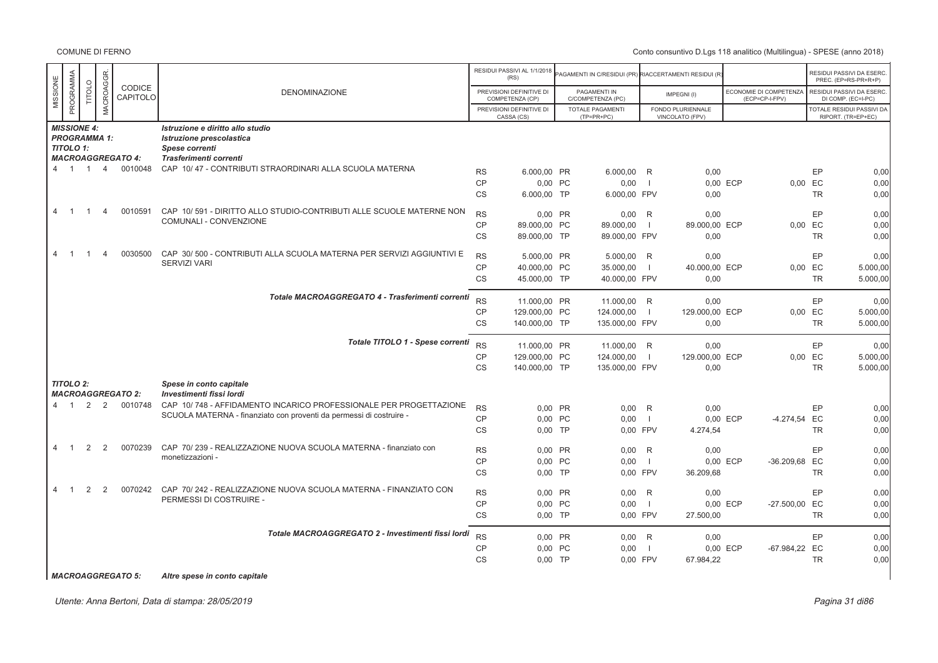|                |                  |                    |                     |                          |                                                                                                          |           | RESIDUI PASSIVI AL 1/1/2018<br>(RS)         | PAGAMENTI IN C/RESIDUI (PR) RIACCERTAMENTI RESIDUI (R) |                |                                      |                                          |           | RESIDUI PASSIVI DA ESERC<br>PREC. (EP=RS-PR+R+P)       |
|----------------|------------------|--------------------|---------------------|--------------------------|----------------------------------------------------------------------------------------------------------|-----------|---------------------------------------------|--------------------------------------------------------|----------------|--------------------------------------|------------------------------------------|-----------|--------------------------------------------------------|
| MISSIONE       | PROGRAMMA        | TITOLO             | <b>MACROAGGR</b>    | CODICE<br>CAPITOLO       | <b>DENOMINAZIONE</b>                                                                                     |           | PREVISIONI DEFINITIVE DI<br>COMPETENZA (CP) | PAGAMENTI IN<br>C/COMPETENZA (PC)                      |                | IMPEGNI(I)                           | ECONOMIE DI COMPETENZA<br>(ECP=CP-I-FPV) |           | RESIDUI PASSIVI DA ESERC.<br>DI COMP. (EC=I-PC)        |
|                |                  |                    |                     |                          |                                                                                                          |           | PREVISIONI DEFINITIVE DI<br>CASSA (CS)      | <b>TOTALE PAGAMENTI</b><br>(TP=PR+PC)                  |                | FONDO PLURIENNALE<br>VINCOLATO (FPV) |                                          |           | <b>TOTALE RESIDUI PASSIVI DA</b><br>RIPORT. (TR=EP+EC) |
|                | TITOLO 1:        | <b>MISSIONE 4:</b> | <b>PROGRAMMA 1:</b> | <b>MACROAGGREGATO 4:</b> | Istruzione e diritto allo studio<br>Istruzione prescolastica<br>Spese correnti<br>Trasferimenti correnti |           |                                             |                                                        |                |                                      |                                          |           |                                                        |
|                | $4 \quad 1$      | $\overline{1}$     | $\overline{4}$      | 0010048                  | CAP 10/47 - CONTRIBUTI STRAORDINARI ALLA SCUOLA MATERNA                                                  | <b>RS</b> | 6.000,00 PR                                 | 6.000,00 R                                             |                | 0,00                                 |                                          | EP        | 0,00                                                   |
|                |                  |                    |                     |                          |                                                                                                          | <b>CP</b> | 0,00 PC                                     | 0,00                                                   | - 1            |                                      | 0.00 ECP                                 | 0,00 EC   | 0,00                                                   |
|                |                  |                    |                     |                          |                                                                                                          | <b>CS</b> | 6.000,00 TP                                 | 6.000,00 FPV                                           |                | 0,00                                 |                                          | <b>TR</b> | 0,00                                                   |
| $\overline{4}$ |                  |                    | $\Delta$            | 0010591                  | CAP 10/591 - DIRITTO ALLO STUDIO-CONTRIBUTI ALLE SCUOLE MATERNE NON                                      | <b>RS</b> | 0,00 PR                                     | 0,00                                                   | R              | 0.00                                 |                                          | <b>EP</b> | 0,00                                                   |
|                |                  |                    |                     |                          | COMUNALI - CONVENZIONE                                                                                   | CP        | 89.000,00 PC                                | 89.000,00                                              | -1             | 89.000,00 ECP                        |                                          | 0,00 EC   | 0,00                                                   |
|                |                  |                    |                     |                          |                                                                                                          | <b>CS</b> | 89.000.00 TP                                | 89.000,00 FPV                                          |                | 0.00                                 |                                          | <b>TR</b> | 0,00                                                   |
| $\overline{4}$ |                  |                    | Δ                   | 0030500                  | CAP 30/500 - CONTRIBUTI ALLA SCUOLA MATERNA PER SERVIZI AGGIUNTIVI E                                     | <b>RS</b> | 5.000,00 PR                                 | 5.000,00                                               | R              | 0,00                                 |                                          | EP        | 0,00                                                   |
|                |                  |                    |                     |                          | <b>SERVIZI VARI</b>                                                                                      | <b>CP</b> | 40.000,00 PC                                | 35.000,00                                              | -1             | 40.000.00 ECP                        | 0.00                                     | EC        | 5.000,00                                               |
|                |                  |                    |                     |                          |                                                                                                          | <b>CS</b> | 45.000,00 TP                                | 40.000,00 FPV                                          |                | 0,00                                 |                                          | TR        | 5.000,00                                               |
|                |                  |                    |                     |                          | Totale MACROAGGREGATO 4 - Trasferimenti correnti                                                         | <b>RS</b> | 11.000,00 PR                                | 11.000,00 R                                            |                | 0,00                                 |                                          | <b>EP</b> | 0,00                                                   |
|                |                  |                    |                     |                          |                                                                                                          | CP        | 129.000,00 PC                               | 124.000,00                                             | $\blacksquare$ | 129.000,00 ECP                       |                                          | 0,00 EC   | 5.000,00                                               |
|                |                  |                    |                     |                          |                                                                                                          | <b>CS</b> | 140,000.00 TP                               | 135,000.00 FPV                                         |                | 0.00                                 |                                          | <b>TR</b> | 5.000,00                                               |
|                |                  |                    |                     |                          | Totale TITOLO 1 - Spese correnti                                                                         | <b>RS</b> | 11.000.00 PR                                | 11.000,00 R                                            |                | 0.00                                 |                                          | <b>EP</b> | 0,00                                                   |
|                |                  |                    |                     |                          |                                                                                                          | <b>CP</b> | 129.000,00 PC                               | 124.000,00                                             | $\overline{1}$ | 129.000,00 ECP                       |                                          | 0,00 EC   | 5.000,00                                               |
|                |                  |                    |                     |                          |                                                                                                          | <b>CS</b> | 140.000,00 TP                               | 135.000,00 FPV                                         |                | 0,00                                 |                                          | <b>TR</b> | 5.000,00                                               |
|                | <b>TITOLO 2:</b> |                    |                     | <b>MACROAGGREGATO 2:</b> | Spese in conto capitale<br>Investimenti fissi lordi                                                      |           |                                             |                                                        |                |                                      |                                          |           |                                                        |
|                | $4 \quad 1$      | 2                  | 2                   | 0010748                  | CAP 10/748 - AFFIDAMENTO INCARICO PROFESSIONALE PER PROGETTAZIONE                                        | <b>RS</b> | 0,00 PR                                     | 0,00                                                   | R              | 0,00                                 |                                          | EP        | 0,00                                                   |
|                |                  |                    |                     |                          | SCUOLA MATERNA - finanziato con proventi da permessi di costruire -                                      | <b>CP</b> | 0.00 PC                                     | 0,00                                                   | $\blacksquare$ |                                      | 0.00 ECP<br>-4.274,54 EC                 |           | 0,00                                                   |
|                |                  |                    |                     |                          |                                                                                                          | <b>CS</b> | $0,00$ TP                                   | 0.00 FPV                                               |                | 4.274,54                             |                                          | <b>TR</b> | 0,00                                                   |
| $\overline{4}$ | $\overline{1}$   | 2                  | 2                   | 0070239                  | CAP 70/239 - REALIZZAZIONE NUOVA SCUOLA MATERNA - finanziato con                                         | <b>RS</b> | 0.00 PR                                     | 0.00                                                   | R              | 0.00                                 |                                          | EP        | 0,00                                                   |
|                |                  |                    |                     |                          | monetizzazioni -                                                                                         | CP        | 0,00 PC                                     | 0,00                                                   | $\overline{1}$ |                                      | 0,00 ECP<br>-36.209,68 EC                |           | 0,00                                                   |
|                |                  |                    |                     |                          |                                                                                                          | <b>CS</b> | $0.00$ TP                                   | 0.00 FPV                                               |                | 36.209,68                            |                                          | <b>TR</b> | 0,00                                                   |
| $\overline{4}$ |                  |                    | $\mathcal{P}$       | 0070242                  | CAP 70/242 - REALIZZAZIONE NUOVA SCUOLA MATERNA - FINANZIATO CON<br>PERMESSI DI COSTRUIRE -              | <b>RS</b> | 0,00 PR                                     | 0,00                                                   | R              | 0,00                                 |                                          | EP        | 0,00                                                   |
|                |                  |                    |                     |                          |                                                                                                          | CP        | 0.00 PC                                     | 0,00                                                   | $\blacksquare$ |                                      | -27.500,00 EC<br>0,00 ECP                |           | 0,00                                                   |
|                |                  |                    |                     |                          |                                                                                                          | <b>CS</b> | $0,00$ TP                                   | 0,00 FPV                                               |                | 27.500,00                            |                                          | <b>TR</b> | 0,00                                                   |
|                |                  |                    |                     |                          | Totale MACROAGGREGATO 2 - Investimenti fissi lordi                                                       | <b>RS</b> | 0.00 PR                                     | 0.00 R                                                 |                | 0.00                                 |                                          | EP        | 0,00                                                   |
|                |                  |                    |                     |                          |                                                                                                          | CP        | 0.00 PC                                     | 0,00                                                   | $\overline{1}$ |                                      | 0,00 ECP<br>-67.984,22 EC                |           | 0,00                                                   |
|                |                  |                    |                     |                          |                                                                                                          | <b>CS</b> | $0.00$ TP                                   | 0.00 FPV                                               |                | 67.984,22                            |                                          | <b>TR</b> | 0,00                                                   |
|                |                  |                    |                     |                          |                                                                                                          |           |                                             |                                                        |                |                                      |                                          |           |                                                        |

*MACROAGGREGATO 5: Altre spese in conto capitale*

Utente: Anna Bertoni, Data di stampa: 28/05/2019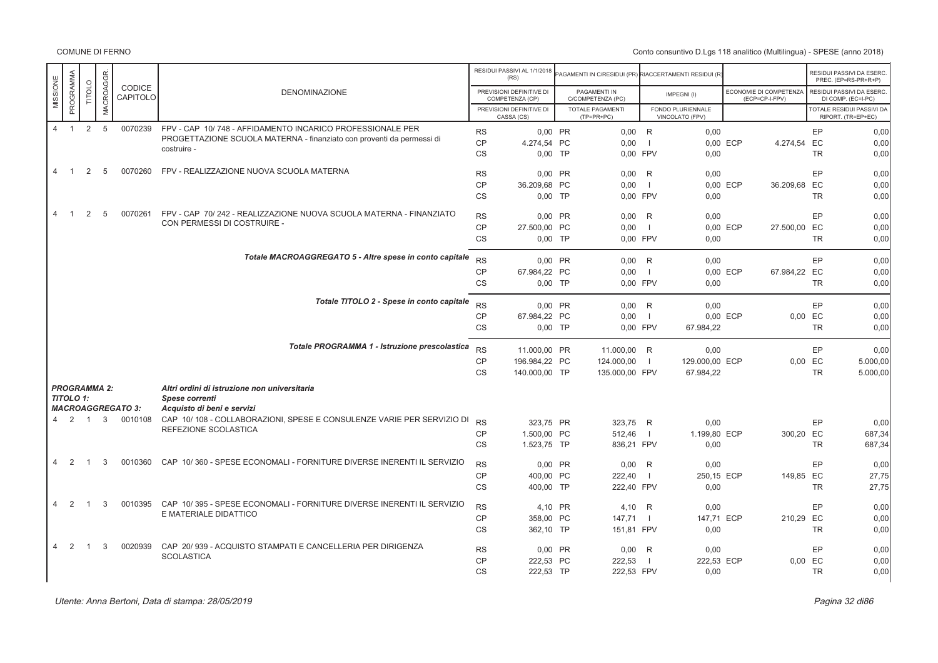|                                  |                            |                     |                          |                                                                                                                                    |                        | RESIDUI PASSIVI AL 1/1/2018<br>(RS)         | AGAMENTI IN C/RESIDUI (PR) RIACCERTAMENTI RESIDUI (R) |                |                                      |                                          |                        | RESIDUI PASSIVI DA ESERC.<br>PREC. (EP=RS-PR+R+P) |
|----------------------------------|----------------------------|---------------------|--------------------------|------------------------------------------------------------------------------------------------------------------------------------|------------------------|---------------------------------------------|-------------------------------------------------------|----------------|--------------------------------------|------------------------------------------|------------------------|---------------------------------------------------|
| MISSIONE                         | PROGRAMMA<br><b>TITOLO</b> | MACROAGGR.          | CODICE<br>CAPITOLO       | <b>DENOMINAZIONE</b>                                                                                                               |                        | PREVISIONI DEFINITIVE DI<br>COMPETENZA (CP) | PAGAMENTI IN<br>C/COMPETENZA (PC)                     |                | IMPEGNI(I)                           | ECONOMIE DI COMPETENZA<br>(ECP=CP-I-FPV) |                        | RESIDUI PASSIVI DA ESERC.<br>DI COMP. (EC=I-PC)   |
|                                  |                            |                     |                          |                                                                                                                                    |                        | PREVISIONI DEFINITIVE DI<br>CASSA (CS)      | TOTALE PAGAMENTI<br>$(TP=PR+PC)$                      |                | FONDO PLURIENNALE<br>VINCOLATO (FPV) |                                          |                        | TOTALE RESIDUI PASSIVI DA<br>RIPORT. (TR=EP+EC)   |
| $\overline{4}$                   | $\overline{1}$             | 2 <sub>5</sub>      | 0070239                  | FPV - CAP 10/748 - AFFIDAMENTO INCARICO PROFESSIONALE PER<br>PROGETTAZIONE SCUOLA MATERNA - finanziato con proventi da permessi di | <b>RS</b><br><b>CP</b> | 0,00 PR<br>4.274,54 PC                      | $0,00$ R<br>0,00                                      | $\overline{1}$ | 0,00                                 | 0,00 ECP<br>4.274,54 EC                  | EP                     | 0,00<br>0,00                                      |
|                                  |                            |                     |                          | costruire -                                                                                                                        | <b>CS</b>              | $0,00$ TP                                   | 0.00 FPV                                              |                | 0,00                                 |                                          | <b>TR</b>              | 0,00                                              |
| 4<br>$\overline{1}$              | 2                          | 5                   | 0070260                  | FPV - REALIZZAZIONE NUOVA SCUOLA MATERNA                                                                                           | <b>RS</b>              | 0,00 PR                                     | $0.00$ R                                              |                | 0,00                                 |                                          | EP                     | 0,00                                              |
|                                  |                            |                     |                          |                                                                                                                                    | CP<br><b>CS</b>        | 36.209,68 PC<br>$0,00$ TP                   | 0.00<br>0.00 FPV                                      | $\blacksquare$ | 0,00                                 | 0.00 ECP<br>36.209,68 EC                 | <b>TR</b>              | 0,00<br>0,00                                      |
| $\overline{4}$<br>$\overline{1}$ | 2                          | 5                   | 0070261                  | FPV - CAP 70/242 - REALIZZAZIONE NUOVA SCUOLA MATERNA - FINANZIATO<br>CON PERMESSI DI COSTRUIRE -                                  | <b>RS</b>              | 0.00 PR                                     | $0.00$ R                                              |                | 0,00                                 |                                          | EP                     | 0,00                                              |
|                                  |                            |                     |                          |                                                                                                                                    | <b>CP</b><br><b>CS</b> | 27.500,00 PC<br>$0.00$ TP                   | 0,00<br>0.00 FPV                                      | - 1            | 0,00                                 | 0,00 ECP<br>27.500,00 EC                 | <b>TR</b>              | 0,00<br>0,00                                      |
|                                  |                            |                     |                          | Totale MACROAGGREGATO 5 - Altre spese in conto capitale                                                                            | <b>RS</b>              | 0.00 PR                                     | $0.00$ R                                              |                | 0.00                                 |                                          | EP                     | 0,00                                              |
|                                  |                            |                     |                          |                                                                                                                                    | <b>CP</b><br>CS        | 67.984.22 PC<br>$0,00$ TP                   | 0.00<br>0,00 FPV                                      | $\Box$         | 0,00                                 | 0.00 ECP<br>67.984,22 EC                 | <b>TR</b>              | 0.00<br>0,00                                      |
|                                  |                            |                     |                          | Totale TITOLO 2 - Spese in conto capitale                                                                                          | <b>RS</b>              | 0.00 PR                                     | $0.00$ R                                              |                | 0.00                                 |                                          | EP                     | 0,00                                              |
|                                  |                            |                     |                          |                                                                                                                                    | <b>CP</b><br><b>CS</b> | 67.984,22 PC<br>$0.00$ TP                   | 0,00<br>0.00 FPV                                      | $\Box$         | 67.984,22                            | 0,00 ECP                                 | 0,00 EC<br><b>TR</b>   | 0,00<br>0,00                                      |
|                                  |                            |                     |                          | Totale PROGRAMMA 1 - Istruzione prescolastica                                                                                      | <b>RS</b>              | 11.000,00 PR                                | 11.000,00 R                                           |                | 0,00                                 |                                          | EP                     | 0,00                                              |
|                                  |                            |                     |                          |                                                                                                                                    | <b>CP</b><br><b>CS</b> | 196.984,22 PC<br>140,000.00 TP              | 124.000,00<br>135.000,00 FPV                          | $\blacksquare$ | 129,000.00 ECP<br>67.984,22          |                                          | 0,00 EC<br><b>TR</b>   | 5.000.00<br>5.000,00                              |
|                                  | <b>TITOLO 1:</b>           | <b>PROGRAMMA 2:</b> | <b>MACROAGGREGATO 3:</b> | Altri ordini di istruzione non universitaria<br>Spese correnti<br>Acquisto di beni e servizi                                       |                        |                                             |                                                       |                |                                      |                                          |                        |                                                   |
| $\overline{4}$                   | 2 1                        |                     | 3 0010108                | CAP 10/108 - COLLABORAZIONI, SPESE E CONSULENZE VARIE PER SERVIZIO DI<br>REFEZIONE SCOLASTICA                                      | <b>RS</b>              | 323.75 PR                                   | 323.75 R                                              |                | 0,00                                 |                                          | EP                     | 0,00                                              |
|                                  |                            |                     |                          |                                                                                                                                    | <b>CP</b><br><b>CS</b> | 1.500,00 PC<br>1.523,75 TP                  | 512,46<br>836,21 FPV                                  | - 1            | 1.199,80 ECP<br>0.00                 | 300,20 EC                                | <b>TR</b>              | 687,34<br>687,34                                  |
| $\overline{4}$<br>2              | $\overline{1}$             | 3                   | 0010360                  | CAP 10/360 - SPESE ECONOMALI - FORNITURE DIVERSE INERENTI IL SERVIZIO                                                              | <b>RS</b>              | 0.00 PR                                     | $0.00$ R                                              |                | 0.00                                 |                                          | EP                     | 0.00                                              |
|                                  |                            |                     |                          |                                                                                                                                    | <b>CP</b><br><b>CS</b> | 400.00 PC<br>400.00 TP                      | 222.40<br>222,40 FPV                                  | -11            | 250.15 ECP<br>0,00                   | 149.85 EC                                | <b>TR</b>              | 27,75<br>27,75                                    |
| $\overline{4}$                   | 2<br>$\overline{1}$        | 3                   | 0010395                  | CAP 10/395 - SPESE ECONOMALI - FORNITURE DIVERSE INERENTI IL SERVIZIO<br>E MATERIALE DIDATTICO                                     | <b>RS</b>              | 4.10 PR                                     | 4.10 R                                                |                | 0.00                                 |                                          | EP                     | 0.00                                              |
|                                  |                            |                     |                          |                                                                                                                                    | CP<br><b>CS</b>        | 358,00 PC<br>362,10 TP                      | 147,71<br>151,81 FPV                                  | - 1            | 147,71 ECP<br>0,00                   | 210,29 EC                                | <b>TR</b>              | 0,00<br>0,00                                      |
| $\overline{4}$                   | 2<br>$\overline{1}$        | 3                   | 0020939                  | CAP 20/939 - ACQUISTO STAMPATI E CANCELLERIA PER DIRIGENZA<br><b>SCOLASTICA</b>                                                    | <b>RS</b>              | 0,00 PR                                     | $0,00$ R                                              |                | 0,00                                 |                                          | EP                     | 0,00                                              |
|                                  |                            |                     |                          |                                                                                                                                    | <b>CP</b><br><b>CS</b> | 222,53 PC<br>222,53 TP                      | 222,53<br>222,53 FPV                                  | - 1            | 222,53 ECP<br>0,00                   |                                          | $0,00$ EC<br><b>TR</b> | 0,00<br>0,00                                      |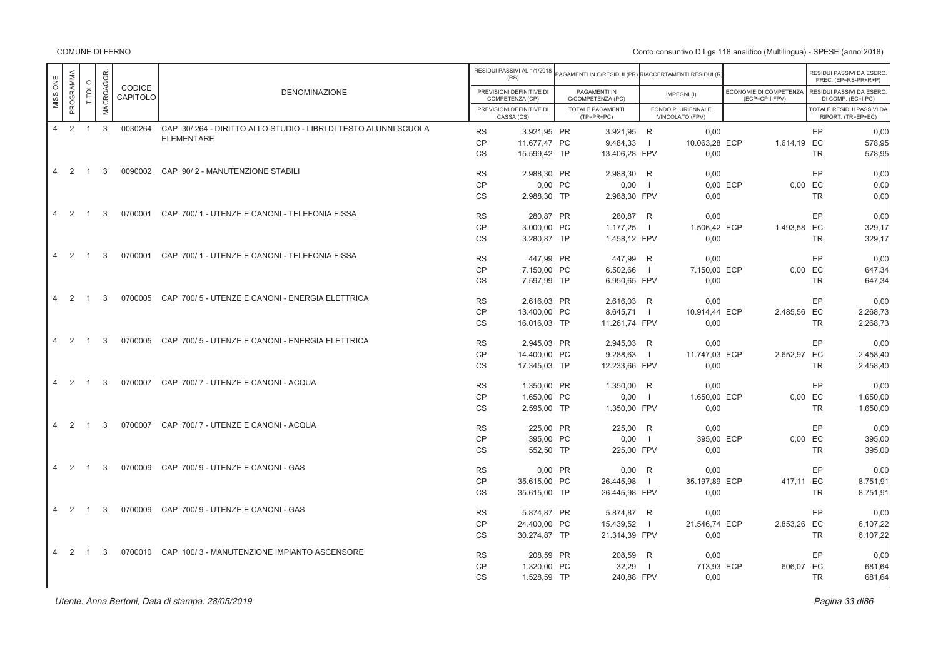COMUNE DI FERNO

|          |                     |                |                  |                    |                                                                 |           | RESIDUI PASSIVI AL 1/1/2018<br>(RS)         | AGAMENTI IN C/RESIDUI (PR) RIACCERTAMENTI RESIDUI (R |                |                                      |          |                                          |           | RESIDUI PASSIVI DA ESERC<br>PREC. (EP=RS-PR+R+P) |
|----------|---------------------|----------------|------------------|--------------------|-----------------------------------------------------------------|-----------|---------------------------------------------|------------------------------------------------------|----------------|--------------------------------------|----------|------------------------------------------|-----------|--------------------------------------------------|
| MISSIONE | PROGRAMMA           | TITOLO         | <b>MACROAGGR</b> | CODICE<br>CAPITOLO | <b>DENOMINAZIONE</b>                                            |           | PREVISIONI DEFINITIVE DI<br>COMPETENZA (CP) | PAGAMENTI IN<br>C/COMPETENZA (PC)                    |                | IMPEGNI(I)                           |          | ECONOMIE DI COMPETENZA<br>(ECP=CP-I-FPV) |           | RESIDUI PASSIVI DA ESERC<br>DI COMP. (EC=I-PC)   |
|          |                     |                |                  |                    |                                                                 |           | PREVISIONI DEFINITIVE DI<br>CASSA (CS)      | <b>TOTALE PAGAMENTI</b><br>$(TP=PR+PC)$              |                | FONDO PLURIENNALE<br>VINCOLATO (FPV) |          |                                          |           | TOTALE RESIDUI PASSIVI DA<br>RIPORT. (TR=EP+EC)  |
|          | 4 2 1               |                | $\mathbf{3}$     | 0030264            | CAP 30/264 - DIRITTO ALLO STUDIO - LIBRI DI TESTO ALUNNI SCUOLA | <b>RS</b> | 3.921,95 PR                                 | 3.921,95 R                                           |                | 0,00                                 |          |                                          | EP        | 0.00                                             |
|          |                     |                |                  |                    | <b>ELEMENTARE</b>                                               | <b>CP</b> | 11.677,47 PC                                | 9.484,33                                             | $\blacksquare$ | 10.063,28 ECP                        |          | 1.614,19 EC                              |           | 578,95                                           |
|          |                     |                |                  |                    |                                                                 | <b>CS</b> | 15.599,42 TP                                | 13.406,28 FPV                                        |                | 0,00                                 |          |                                          | <b>TR</b> | 578.95                                           |
|          | 4 2 1               |                | 3                |                    | 0090002 CAP 90/2 - MANUTENZIONE STABILI                         | <b>RS</b> | 2.988,30 PR                                 | 2.988,30 R                                           |                | 0,00                                 |          |                                          | EP        | 0.00                                             |
|          |                     |                |                  |                    |                                                                 | <b>CP</b> | 0,00 PC                                     | 0,00                                                 | $\blacksquare$ |                                      | 0,00 ECP | $0,00$ EC                                |           | 0,00                                             |
|          |                     |                |                  |                    |                                                                 | <b>CS</b> | 2.988,30 TP                                 | 2.988,30 FPV                                         |                | 0,00                                 |          |                                          | <b>TR</b> | 0.00                                             |
|          | 4 2 1               |                | 3                |                    | 0700001 CAP 700/1 - UTENZE E CANONI - TELEFONIA FISSA           | <b>RS</b> | 280.87 PR                                   | 280,87 R                                             |                | 0.00                                 |          |                                          | EP        | 0.00                                             |
|          |                     |                |                  |                    |                                                                 | <b>CP</b> | 3.000,00 PC                                 | 1.177,25                                             | $\Box$         | 1.506,42 ECP                         |          | 1.493,58 EC                              |           | 329,17                                           |
|          |                     |                |                  |                    |                                                                 | <b>CS</b> | 3.280,87 TP                                 | 1.458,12 FPV                                         |                | 0,00                                 |          |                                          | <b>TR</b> | 329.17                                           |
|          | 2<br>$\overline{4}$ | $\overline{1}$ | 3                |                    | 0700001 CAP 700/1 - UTENZE E CANONI - TELEFONIA FISSA           | <b>RS</b> | 447.99 PR                                   | 447,99 R                                             |                | 0.00                                 |          |                                          | EP        | 0.00                                             |
|          |                     |                |                  |                    |                                                                 | <b>CP</b> | 7.150,00 PC                                 | 6.502,66                                             | $\blacksquare$ | 7.150,00 ECP                         |          | $0,00$ EC                                |           | 647,34                                           |
|          |                     |                |                  |                    |                                                                 | <b>CS</b> | 7.597,99 TP                                 | 6.950,65 FPV                                         |                | 0,00                                 |          |                                          | <b>TR</b> | 647,34                                           |
|          | $\overline{2}$<br>4 | $\overline{1}$ | 3                |                    | 0700005 CAP 700/5 - UTENZE E CANONI - ENERGIA ELETTRICA         | <b>RS</b> | 2.616,03 PR                                 | 2.616,03 R                                           |                | 0,00                                 |          |                                          | EP        | 0,00                                             |
|          |                     |                |                  |                    |                                                                 | <b>CP</b> | 13.400,00 PC                                | 8.645,71                                             |                | 10.914,44 ECP                        |          | 2.485,56 EC                              |           | 2.268,73                                         |
|          |                     |                |                  |                    |                                                                 | <b>CS</b> | 16.016,03 TP                                | 11.261,74 FPV                                        |                | 0,00                                 |          |                                          | <b>TR</b> | 2.268,73                                         |
|          | $\overline{4}$<br>2 | $\overline{1}$ | 3                |                    | 0700005 CAP 700/5 - UTENZE E CANONI - ENERGIA ELETTRICA         | <b>RS</b> | 2.945,03 PR                                 | 2.945,03 R                                           |                | 0,00                                 |          |                                          | EP        | 0,00                                             |
|          |                     |                |                  |                    |                                                                 | CP        | 14.400,00 PC                                | 9.288,63                                             | $\blacksquare$ | 11.747,03 ECP                        |          | 2.652,97                                 | EC        | 2.458,40                                         |
|          |                     |                |                  |                    |                                                                 | <b>CS</b> | 17.345,03 TP                                | 12.233,66 FPV                                        |                | 0,00                                 |          |                                          | <b>TR</b> | 2.458,40                                         |
|          | 4 2                 | $\overline{1}$ | 3                |                    | 0700007 CAP 700/7 - UTENZE E CANONI - ACQUA                     | <b>RS</b> | 1.350,00 PR                                 | 1.350,00 R                                           |                | 0,00                                 |          |                                          | EP        | 0,00                                             |
|          |                     |                |                  |                    |                                                                 | CP        | 1.650,00 PC                                 | 0,00                                                 | $\Box$         | 1.650.00 ECP                         |          | 0.00 EC                                  |           | 1.650,00                                         |
|          |                     |                |                  |                    |                                                                 | CS        | 2.595,00 TP                                 | 1.350,00 FPV                                         |                | 0,00                                 |          |                                          | <b>TR</b> | 1.650,00                                         |
|          | 4 2                 | $\overline{1}$ | 3                |                    | 0700007 CAP 700/7 - UTENZE E CANONI - ACQUA                     | <b>RS</b> | 225.00 PR                                   | 225,00                                               | R              | 0,00                                 |          |                                          | EP        | 0,00                                             |
|          |                     |                |                  |                    |                                                                 | CP        | 395,00 PC                                   | 0,00                                                 | $\blacksquare$ | 395,00 ECP                           |          | 0.00 EC                                  |           | 395,00                                           |
|          |                     |                |                  |                    |                                                                 | CS        | 552,50 TP                                   | 225,00 FPV                                           |                | 0.00                                 |          |                                          | <b>TR</b> | 395,00                                           |
|          | 4 2 1               |                | 3                |                    | 0700009 CAP 700/9 - UTENZE E CANONI - GAS                       | <b>RS</b> | 0,00 PR                                     | 0,00                                                 | R              | 0.00                                 |          |                                          | EP        | 0.00                                             |
|          |                     |                |                  |                    |                                                                 | CP        | 35.615,00 PC                                | 26.445,98                                            | $\blacksquare$ | 35.197,89 ECP                        |          | 417.11 EC                                |           | 8.751,91                                         |
|          |                     |                |                  |                    |                                                                 | <b>CS</b> | 35.615,00 TP                                | 26.445,98 FPV                                        |                | 0,00                                 |          |                                          | <b>TR</b> | 8.751,91                                         |
|          | $4\quad 2$          | $\overline{1}$ | 3                |                    | 0700009 CAP 700/9 - UTENZE E CANONI - GAS                       | <b>RS</b> | 5.874,87 PR                                 | 5.874,87                                             | R              | 0.00                                 |          |                                          | EP        | 0,00                                             |
|          |                     |                |                  |                    |                                                                 | <b>CP</b> | 24.400,00 PC                                | 15.439,52                                            | $\blacksquare$ | 21.546,74 ECP                        |          | 2.853,26 EC                              |           | 6.107,22                                         |
|          |                     |                |                  |                    |                                                                 | <b>CS</b> | 30.274,87 TP                                | 21.314,39 FPV                                        |                | 0,00                                 |          |                                          | <b>TR</b> | 6.107,22                                         |
|          | 4 2                 | $\overline{1}$ | 3                |                    | 0700010 CAP 100/3 - MANUTENZIONE IMPIANTO ASCENSORE             | <b>RS</b> | 208,59 PR                                   | 208,59                                               | R              | 0,00                                 |          |                                          | EP        | 0.00                                             |
|          |                     |                |                  |                    |                                                                 | CP        | 1.320,00 PC                                 | 32,29                                                | $\overline{1}$ | 713,93 ECP                           |          | 606,07 EC                                |           | 681,64                                           |
|          |                     |                |                  |                    |                                                                 | <b>CS</b> | 1.528,59 TP                                 | 240,88 FPV                                           |                | 0,00                                 |          |                                          | <b>TR</b> | 681,64                                           |

Utente: Anna Bertoni, Data di stampa: 28/05/2019

er di sebagai pada 23 di pagbabat di sebagai pada 23 di pagbabat di pagbabat di sebagai pagbabat di pagbabat d<br>Pagina 33 di 86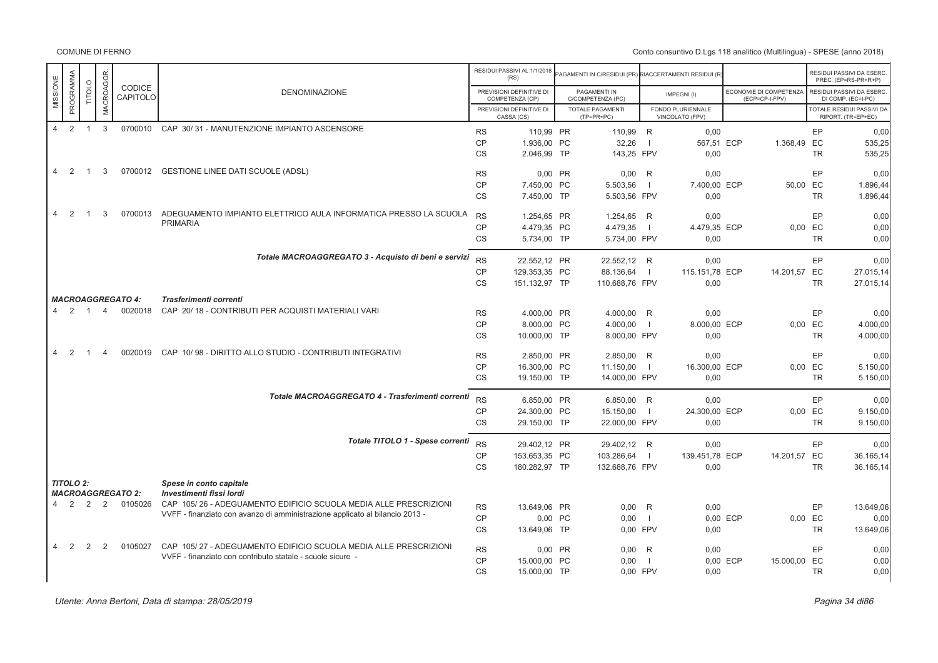|                                  |                            |                |                           |                                                                              |           | RESIDUI PASSIVI AL 1/1/2018<br>(RS)         | AGAMENTI IN C/RESIDUI (PR) RIACCERTAMENTI RESIDUI (R |                          |                                      |                                          |           | RESIDUI PASSIVI DA ESERC.<br>PREC. (EP=RS-PR+R+P) |
|----------------------------------|----------------------------|----------------|---------------------------|------------------------------------------------------------------------------|-----------|---------------------------------------------|------------------------------------------------------|--------------------------|--------------------------------------|------------------------------------------|-----------|---------------------------------------------------|
| MISSIONE                         | PROGRAMMA<br><b>TITOLO</b> | MACROAGGR.     | <b>CODICE</b><br>CAPITOLO | DENOMINAZIONE                                                                |           | PREVISIONI DEFINITIVE DI<br>COMPETENZA (CP) | PAGAMENTI IN<br>C/COMPETENZA (PC)                    |                          | IMPEGNI(I)                           | ECONOMIE DI COMPETENZA<br>(ECP=CP-I-FPV) |           | RESIDUI PASSIVI DA ESERC.<br>DI COMP. (EC=I-PC)   |
|                                  |                            |                |                           |                                                                              |           | PREVISIONI DEFINITIVE DI<br>CASSA (CS)      | TOTALE PAGAMENTI<br>$(TP=PR+PC)$                     |                          | FONDO PLURIENNALE<br>VINCOLATO (FPV) |                                          |           | TOTALE RESIDUI PASSIVI DA<br>RIPORT. (TR=EP+EC)   |
| $\overline{2}$<br>$\overline{4}$ | $\overline{1}$             | $\mathbf{3}$   | 0700010                   | CAP 30/31 - MANUTENZIONE IMPIANTO ASCENSORE                                  | <b>RS</b> | 110,99 PR                                   | 110,99 R                                             |                          | 0,00                                 |                                          | EP        | 0,00                                              |
|                                  |                            |                |                           |                                                                              | <b>CP</b> | 1.936,00 PC                                 | 32,26                                                | - 1                      | 567,51 ECP                           | 1.368,49 EC                              |           | 535,25                                            |
|                                  |                            |                |                           |                                                                              | <b>CS</b> | 2.046,99 TP                                 | 143,25 FPV                                           |                          | 0,00                                 |                                          | <b>TR</b> | 535,25                                            |
| 2<br>$\overline{4}$              | $\overline{1}$             | 3              |                           | 0700012 GESTIONE LINEE DATI SCUOLE (ADSL)                                    | <b>RS</b> | 0,00 PR                                     | $0,00$ R                                             |                          | 0,00                                 |                                          | EP        | 0,00                                              |
|                                  |                            |                |                           |                                                                              | <b>CP</b> | 7.450,00 PC                                 | 5.503,56                                             | $\blacksquare$           | 7.400,00 ECP                         | 50,00 EC                                 |           | 1.896,44                                          |
|                                  |                            |                |                           |                                                                              | <b>CS</b> | 7.450,00 TP                                 | 5.503,56 FPV                                         |                          | 0,00                                 |                                          | <b>TR</b> | 1.896,44                                          |
| 2<br>$\overline{4}$              | $\overline{1}$             | 3              | 0700013                   | ADEGUAMENTO IMPIANTO ELETTRICO AULA INFORMATICA PRESSO LA SCUOLA             | <b>RS</b> | 1.254,65 PR                                 | 1.254,65 R                                           |                          | 0,00                                 |                                          | EP        | 0,00                                              |
|                                  |                            |                |                           | <b>PRIMARIA</b>                                                              | <b>CP</b> | 4.479,35 PC                                 | 4.479,35                                             | - 1                      | 4.479,35 ECP                         |                                          | $0,00$ EC | 0,00                                              |
|                                  |                            |                |                           |                                                                              | <b>CS</b> | 5.734,00 TP                                 | 5.734,00 FPV                                         |                          | 0,00                                 |                                          | <b>TR</b> | 0,00                                              |
|                                  |                            |                |                           | Totale MACROAGGREGATO 3 - Acquisto di beni e servizi                         | <b>RS</b> | 22.552,12 PR                                | 22.552,12 R                                          |                          | 0,00                                 |                                          | EP        | 0,00                                              |
|                                  |                            |                |                           |                                                                              | CP        | 129.353,35 PC                               | 88.136,64                                            | $\blacksquare$           | 115.151,78 ECP                       | 14.201,57 EC                             |           | 27.015,14                                         |
|                                  |                            |                |                           |                                                                              | <b>CS</b> | 151.132,97 TP                               | 110.688,76 FPV                                       |                          | 0,00                                 |                                          | <b>TR</b> | 27.015,14                                         |
|                                  |                            |                |                           |                                                                              |           |                                             |                                                      |                          |                                      |                                          |           |                                                   |
|                                  |                            |                | <b>MACROAGGREGATO 4:</b>  | Trasferimenti correnti                                                       |           |                                             |                                                      |                          |                                      |                                          |           |                                                   |
| 2<br>$\overline{4}$              | $\overline{1}$             | $\overline{4}$ | 0020018                   | CAP 20/18 - CONTRIBUTI PER ACQUISTI MATERIALI VARI                           | <b>RS</b> | 4.000,00 PR                                 | 4.000,00 R                                           |                          | 0,00                                 |                                          | EP        | 0,00                                              |
|                                  |                            |                |                           |                                                                              | CP        | 8.000.00 PC                                 | 4.000,00                                             | $\blacksquare$           | 8.000.00 ECP                         |                                          | 0.00 EC   | 4.000,00                                          |
|                                  |                            |                |                           |                                                                              | <b>CS</b> | 10.000,00 TP                                | 8.000,00 FPV                                         |                          | 0,00                                 |                                          | <b>TR</b> | 4.000,00                                          |
| 2<br>$\overline{4}$              | $\mathbf{1}$               | $\Delta$       | 0020019                   | CAP 10/98 - DIRITTO ALLO STUDIO - CONTRIBUTI INTEGRATIVI                     | <b>RS</b> | 2.850,00 PR                                 | 2.850,00 R                                           |                          | 0,00                                 |                                          | EP        | 0,00                                              |
|                                  |                            |                |                           |                                                                              | CP        | 16.300,00 PC                                | 11.150,00                                            | $\blacksquare$           | 16.300,00 ECP                        |                                          | $0,00$ EC | 5.150,00                                          |
|                                  |                            |                |                           |                                                                              | <b>CS</b> | 19.150,00 TP                                | 14.000,00 FPV                                        |                          | 0,00                                 |                                          | <b>TR</b> | 5.150,00                                          |
|                                  |                            |                |                           |                                                                              |           |                                             |                                                      |                          |                                      |                                          |           |                                                   |
|                                  |                            |                |                           | Totale MACROAGGREGATO 4 - Trasferimenti correnti                             | <b>RS</b> | 6.850.00 PR                                 | 6.850,00 R                                           |                          | 0,00                                 |                                          | EP        | 0,00                                              |
|                                  |                            |                |                           |                                                                              | <b>CP</b> | 24.300,00 PC                                | 15.150,00                                            | $\Box$                   | 24.300,00 ECP                        |                                          | $0,00$ EC | 9.150,00                                          |
|                                  |                            |                |                           |                                                                              | <b>CS</b> | 29.150.00 TP                                | 22.000,00 FPV                                        |                          | 0,00                                 |                                          | <b>TR</b> | 9.150,00                                          |
|                                  |                            |                |                           | Totale TITOLO 1 - Spese correnti                                             | <b>RS</b> | 29.402,12 PR                                | 29.402,12 R                                          |                          | 0,00                                 |                                          | EP        | 0,00                                              |
|                                  |                            |                |                           |                                                                              | <b>CP</b> | 153.653,35 PC                               | 103.286,64                                           | $\Box$                   | 139.451,78 ECP                       | 14.201,57 EC                             |           | 36.165,14                                         |
|                                  |                            |                |                           |                                                                              | <b>CS</b> | 180.282,97 TP                               | 132.688,76 FPV                                       |                          | 0,00                                 |                                          | <b>TR</b> | 36.165,14                                         |
|                                  |                            |                |                           |                                                                              |           |                                             |                                                      |                          |                                      |                                          |           |                                                   |
| TITOLO 2:                        |                            |                | <b>MACROAGGREGATO 2:</b>  | Spese in conto capitale<br>Investimenti fissi lordi                          |           |                                             |                                                      |                          |                                      |                                          |           |                                                   |
| 2<br>$\overline{4}$              | 2                          | 2              | 0105026                   | CAP 105/26 - ADEGUAMENTO EDIFICIO SCUOLA MEDIA ALLE PRESCRIZIONI             | <b>RS</b> | 13.649,06 PR                                | $0,00$ R                                             |                          | 0,00                                 |                                          | EP        | 13.649,06                                         |
|                                  |                            |                |                           | VVFF - finanziato con avanzo di amministrazione applicato al bilancio 2013 - | CP        | 0,00 PC                                     | 0,00                                                 | $\overline{\phantom{0}}$ |                                      | 0,00 ECP                                 | 0,00 EC   | 0,00                                              |
|                                  |                            |                |                           |                                                                              | <b>CS</b> | 13.649,06 TP                                | 0,00 FPV                                             |                          | 0,00                                 |                                          | <b>TR</b> | 13.649,06                                         |
|                                  |                            |                |                           |                                                                              |           |                                             |                                                      |                          |                                      |                                          |           |                                                   |
| 2<br>$\overline{4}$              | 2                          | 2              | 0105027                   | CAP 105/27 - ADEGUAMENTO EDIFICIO SCUOLA MEDIA ALLE PRESCRIZIONI             | <b>RS</b> | 0,00 PR                                     | $0,00$ R                                             |                          | 0,00                                 |                                          | EP        | 0,00                                              |
|                                  |                            |                |                           | VVFF - finanziato con contributo statale - scuole sicure -                   | <b>CP</b> | 15.000,00 PC                                | 0,00                                                 | - 1                      | 0,00 ECP                             | 15.000,00 EC                             |           | 0,00                                              |
|                                  |                            |                |                           |                                                                              | <b>CS</b> | 15.000,00 TP                                | 0,00 FPV                                             |                          | 0,00                                 |                                          | <b>TR</b> | 0,00                                              |
|                                  |                            |                |                           |                                                                              |           |                                             |                                                      |                          |                                      |                                          |           |                                                   |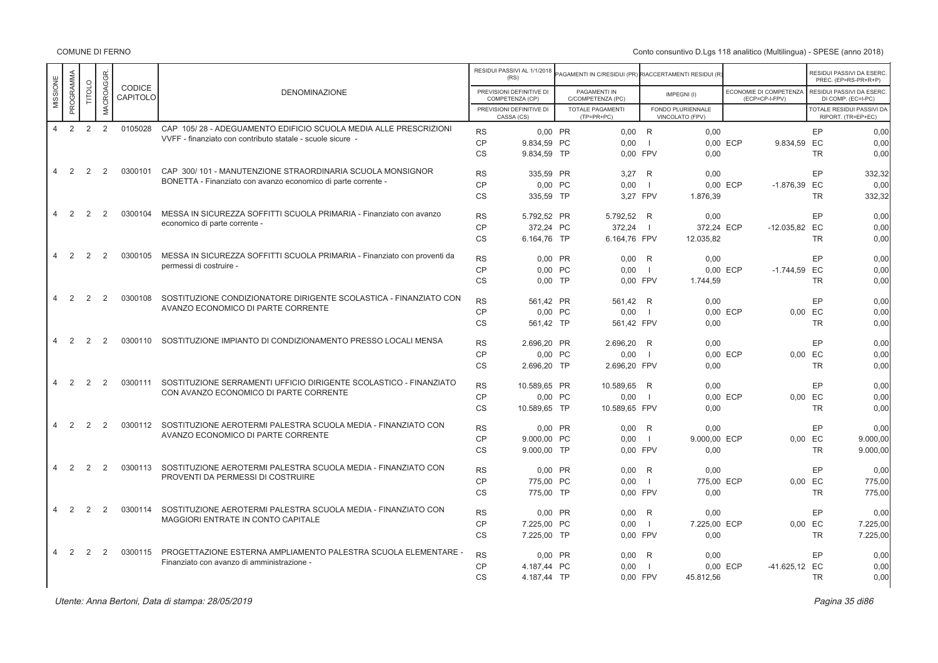COMUNE DI FERNO

| PROGRAMMA<br>MACROAGGR<br>MISSIONE<br>TITOLO<br>PREVISIONI DEFINITIVE DI<br>ECONOMIE DI COMPETENZA<br>RESIDUI PASSIVI DA ESERC<br>PAGAMENTI IN<br><b>DENOMINAZIONE</b><br>IMPEGNI(I)<br>CAPITOLO<br>C/COMPETENZA (PC)<br>(ECP=CP-I-FPV)<br>COMPETENZA (CP)<br>DI COMP. (EC=I-PC)<br>PREVISIONI DEFINITIVE DI<br>TOTALE PAGAMENTI<br>FONDO PLURIENNALE<br>TOTALE RESIDUI PASSIVI DA<br>CASSA (CS)<br>$(TP=PR+PC)$<br>VINCOLATO (FPV)<br>RIPORT. (TR=EP+EC)<br>2<br>2<br>2<br>0105028<br>CAP 105/28 - ADEGUAMENTO EDIFICIO SCUOLA MEDIA ALLE PRESCRIZIONI<br>$\overline{4}$<br><b>RS</b><br>$0,00$ R<br>EP<br>0.00 PR<br>0.00<br>VVFF - finanziato con contributo statale - scuole sicure -<br>CP<br>9.834.59 PC<br>0.00<br>0.00 ECP<br>9.834.59 EC<br>$\blacksquare$<br><b>CS</b><br>9.834,59 TP<br>0.00 FPV<br>0.00<br><b>TR</b><br>CAP 300/101 - MANUTENZIONE STRAORDINARIA SCUOLA MONSIGNOR<br>2<br>2<br>0300101<br>$\overline{4}$<br>2<br>EP<br><b>RS</b><br>332,32<br>335,59 PR<br>3,27<br>R<br>0.00<br>BONETTA - Finanziato con avanzo economico di parte corrente -<br>CP<br>0.00<br>0.00 PC<br>- 11<br>0.00 ECP<br>$-1.876.39$ EC<br>0.00<br><b>CS</b><br>335.59 TP<br>3.27 FPV<br><b>TR</b><br>1.876,39<br>MESSA IN SICUREZZA SOFFITTI SCUOLA PRIMARIA - Finanziato con avanzo<br>2<br>2<br>0300104<br>$\overline{4}$<br>2<br>EP<br><b>RS</b><br>5.792,52 PR<br>5.792,52<br>R<br>0,00<br>0.00<br>economico di parte corrente -<br>CP<br>372.24<br>372.24 PC<br>372.24 ECP<br>$-12.035.82$ EC<br>0.00<br>$\blacksquare$<br><b>CS</b><br>6.164,76 FPV<br><b>TR</b><br>6.164,76 TP<br>12.035,82<br>2<br>2<br>0300105<br>MESSA IN SICUREZZA SOFFITTI SCUOLA PRIMARIA - Finanziato con proventi da<br>$\overline{4}$<br>2<br>EP<br><b>RS</b><br>0.00 PR<br>0.00<br>R<br>0,00<br>0,00<br>permessi di costruire -<br>CP<br>0.00 PC<br>0.00<br>0.00 ECP<br>$-1.744.59$ EC<br>0.00<br>- 1<br><b>CS</b><br><b>TR</b><br>$0,00$ TP<br>0,00 FPV<br>1.744,59<br>SOSTITUZIONE CONDIZIONATORE DIRIGENTE SCOLASTICA - FINANZIATO CON<br>2<br>2<br>0300108<br>2<br>4<br>EP<br><b>RS</b><br>561.42 PR<br>561,42 R<br>0,00<br>0.00<br>AVANZO ECONOMICO DI PARTE CORRENTE<br>CP<br>0.00 PC<br>0.00<br>0.00 ECP<br>$0.00$ EC<br>0.00<br>- 1<br><b>CS</b><br>0,00<br>561,42 TP<br>561,42 FPV<br>0,00<br><b>TR</b><br>SOSTITUZIONE IMPIANTO DI CONDIZIONAMENTO PRESSO LOCALI MENSA<br>2<br>2<br>2<br>0300110<br>$\overline{4}$<br>EP<br><b>RS</b><br>2.696,20 PR<br>2.696.20<br>R<br>0,00<br>0.00<br>CP<br>0.00 PC<br>0.00<br>$\blacksquare$<br>0.00 ECP<br>$0,00$ EC<br><b>CS</b><br>2.696,20 TP<br>2.696,20 FPV<br>0,00<br><b>TR</b><br>SOSTITUZIONE SERRAMENTI UFFICIO DIRIGENTE SCOLASTICO - FINANZIATO<br>2<br>0300111<br>2<br>2<br>$\overline{4}$<br>EP<br><b>RS</b><br>10.589,65 PR<br>10.589,65<br>R<br>0,00<br>CON AVANZO ECONOMICO DI PARTE CORRENTE<br>CP<br>0.00 PC<br>0.00<br>0.00 ECP<br>$0.00$ EC<br>- 1<br><b>CS</b><br>10.589,65 TP<br>10.589,65 FPV<br>0,00<br><b>TR</b><br>0300112<br>SOSTITUZIONE AEROTERMI PALESTRA SCUOLA MEDIA - FINANZIATO CON<br>2<br>2<br>2<br>$\overline{4}$<br><b>RS</b><br>0.00<br>0.00<br>EP<br>0.00 PR<br>R<br>AVANZO ECONOMICO DI PARTE CORRENTE<br>CP<br>0.00 EC<br>9.000.00 PC<br>0.00<br>9.000.00 ECP<br>- 1<br>9.000,00 TP<br><b>CS</b><br>0,00 FPV<br>0,00<br><b>TR</b><br>0300113<br>SOSTITUZIONE AEROTERMI PALESTRA SCUOLA MEDIA - FINANZIATO CON<br>2<br>2<br>2<br>$\overline{4}$<br><b>RS</b><br>0.00 PR<br>0.00<br>EP<br>R<br>0.00<br>PROVENTI DA PERMESSI DI COSTRUIRE<br>CP<br>775.00 PC<br>0.00<br>775.00 ECP<br>$0.00$ EC<br>- 1<br>CS<br>775,00 TP<br>0,00 FPV<br>0,00<br><b>TR</b><br>2<br>0300114<br>SOSTITUZIONE AEROTERMI PALESTRA SCUOLA MEDIA - FINANZIATO CON<br>$\overline{4}$<br>2<br>2<br>EP<br><b>RS</b><br>0.00 PR<br>0.00<br>0.00<br>R<br>MAGGIORI ENTRATE IN CONTO CAPITALE<br>CP<br>7.225,00 PC<br>0.00<br>7.225,00 ECP<br>0.00 EC<br>- 1<br><b>CS</b><br>7.225,00 TP<br>0,00 FPV<br>0,00<br><b>TR</b><br>PROGETTAZIONE ESTERNA AMPLIAMENTO PALESTRA SCUOLA ELEMENTARE -<br>2<br>2<br>2<br>0300115<br>$\overline{4}$<br>EP<br><b>RS</b><br>0,00 PR<br>0,00<br>R<br>0.00<br>Finanziato con avanzo di amministrazione -<br>CP<br>0.00<br>-41.625,12 EC<br>4.187.44 PC<br>- 1<br>0.00 ECP<br><b>CS</b><br>4.187,44 TP<br>0,00 FPV<br>45.812,56<br><b>TR</b> |  |  |        |  | RESIDUI PASSIVI AL 1/1/2018<br>(RS) | AGAMENTI IN C/RESIDUI (PR) RIACCERTAMENTI RESIDUI (R) |  |  | RESIDUI PASSIVI DA ESERC<br>PREC. (EP=RS-PR+R+P) |
|-------------------------------------------------------------------------------------------------------------------------------------------------------------------------------------------------------------------------------------------------------------------------------------------------------------------------------------------------------------------------------------------------------------------------------------------------------------------------------------------------------------------------------------------------------------------------------------------------------------------------------------------------------------------------------------------------------------------------------------------------------------------------------------------------------------------------------------------------------------------------------------------------------------------------------------------------------------------------------------------------------------------------------------------------------------------------------------------------------------------------------------------------------------------------------------------------------------------------------------------------------------------------------------------------------------------------------------------------------------------------------------------------------------------------------------------------------------------------------------------------------------------------------------------------------------------------------------------------------------------------------------------------------------------------------------------------------------------------------------------------------------------------------------------------------------------------------------------------------------------------------------------------------------------------------------------------------------------------------------------------------------------------------------------------------------------------------------------------------------------------------------------------------------------------------------------------------------------------------------------------------------------------------------------------------------------------------------------------------------------------------------------------------------------------------------------------------------------------------------------------------------------------------------------------------------------------------------------------------------------------------------------------------------------------------------------------------------------------------------------------------------------------------------------------------------------------------------------------------------------------------------------------------------------------------------------------------------------------------------------------------------------------------------------------------------------------------------------------------------------------------------------------------------------------------------------------------------------------------------------------------------------------------------------------------------------------------------------------------------------------------------------------------------------------------------------------------------------------------------------------------------------------------------------------------------------------------------------------------------------------------------------------------------------------------------------------------------------------------------------------------------------------------------------------------------------------------------------------------------------------------------------------------------------------------------------------------------------------------------------------------------------------------------------------------------------------------------------------------------------------------------------------------------------------------------------------------------------------------------------------------------------------------------------------------------------------|--|--|--------|--|-------------------------------------|-------------------------------------------------------|--|--|--------------------------------------------------|
|                                                                                                                                                                                                                                                                                                                                                                                                                                                                                                                                                                                                                                                                                                                                                                                                                                                                                                                                                                                                                                                                                                                                                                                                                                                                                                                                                                                                                                                                                                                                                                                                                                                                                                                                                                                                                                                                                                                                                                                                                                                                                                                                                                                                                                                                                                                                                                                                                                                                                                                                                                                                                                                                                                                                                                                                                                                                                                                                                                                                                                                                                                                                                                                                                                                                                                                                                                                                                                                                                                                                                                                                                                                                                                                                                                                                                                                                                                                                                                                                                                                                                                                                                                                                                                                                                                                         |  |  | CODICE |  |                                     |                                                       |  |  |                                                  |
|                                                                                                                                                                                                                                                                                                                                                                                                                                                                                                                                                                                                                                                                                                                                                                                                                                                                                                                                                                                                                                                                                                                                                                                                                                                                                                                                                                                                                                                                                                                                                                                                                                                                                                                                                                                                                                                                                                                                                                                                                                                                                                                                                                                                                                                                                                                                                                                                                                                                                                                                                                                                                                                                                                                                                                                                                                                                                                                                                                                                                                                                                                                                                                                                                                                                                                                                                                                                                                                                                                                                                                                                                                                                                                                                                                                                                                                                                                                                                                                                                                                                                                                                                                                                                                                                                                                         |  |  |        |  |                                     |                                                       |  |  |                                                  |
|                                                                                                                                                                                                                                                                                                                                                                                                                                                                                                                                                                                                                                                                                                                                                                                                                                                                                                                                                                                                                                                                                                                                                                                                                                                                                                                                                                                                                                                                                                                                                                                                                                                                                                                                                                                                                                                                                                                                                                                                                                                                                                                                                                                                                                                                                                                                                                                                                                                                                                                                                                                                                                                                                                                                                                                                                                                                                                                                                                                                                                                                                                                                                                                                                                                                                                                                                                                                                                                                                                                                                                                                                                                                                                                                                                                                                                                                                                                                                                                                                                                                                                                                                                                                                                                                                                                         |  |  |        |  |                                     |                                                       |  |  | 0.00                                             |
|                                                                                                                                                                                                                                                                                                                                                                                                                                                                                                                                                                                                                                                                                                                                                                                                                                                                                                                                                                                                                                                                                                                                                                                                                                                                                                                                                                                                                                                                                                                                                                                                                                                                                                                                                                                                                                                                                                                                                                                                                                                                                                                                                                                                                                                                                                                                                                                                                                                                                                                                                                                                                                                                                                                                                                                                                                                                                                                                                                                                                                                                                                                                                                                                                                                                                                                                                                                                                                                                                                                                                                                                                                                                                                                                                                                                                                                                                                                                                                                                                                                                                                                                                                                                                                                                                                                         |  |  |        |  |                                     |                                                       |  |  | 0.00                                             |
|                                                                                                                                                                                                                                                                                                                                                                                                                                                                                                                                                                                                                                                                                                                                                                                                                                                                                                                                                                                                                                                                                                                                                                                                                                                                                                                                                                                                                                                                                                                                                                                                                                                                                                                                                                                                                                                                                                                                                                                                                                                                                                                                                                                                                                                                                                                                                                                                                                                                                                                                                                                                                                                                                                                                                                                                                                                                                                                                                                                                                                                                                                                                                                                                                                                                                                                                                                                                                                                                                                                                                                                                                                                                                                                                                                                                                                                                                                                                                                                                                                                                                                                                                                                                                                                                                                                         |  |  |        |  |                                     |                                                       |  |  | 0.00                                             |
|                                                                                                                                                                                                                                                                                                                                                                                                                                                                                                                                                                                                                                                                                                                                                                                                                                                                                                                                                                                                                                                                                                                                                                                                                                                                                                                                                                                                                                                                                                                                                                                                                                                                                                                                                                                                                                                                                                                                                                                                                                                                                                                                                                                                                                                                                                                                                                                                                                                                                                                                                                                                                                                                                                                                                                                                                                                                                                                                                                                                                                                                                                                                                                                                                                                                                                                                                                                                                                                                                                                                                                                                                                                                                                                                                                                                                                                                                                                                                                                                                                                                                                                                                                                                                                                                                                                         |  |  |        |  |                                     |                                                       |  |  |                                                  |
|                                                                                                                                                                                                                                                                                                                                                                                                                                                                                                                                                                                                                                                                                                                                                                                                                                                                                                                                                                                                                                                                                                                                                                                                                                                                                                                                                                                                                                                                                                                                                                                                                                                                                                                                                                                                                                                                                                                                                                                                                                                                                                                                                                                                                                                                                                                                                                                                                                                                                                                                                                                                                                                                                                                                                                                                                                                                                                                                                                                                                                                                                                                                                                                                                                                                                                                                                                                                                                                                                                                                                                                                                                                                                                                                                                                                                                                                                                                                                                                                                                                                                                                                                                                                                                                                                                                         |  |  |        |  |                                     |                                                       |  |  |                                                  |
|                                                                                                                                                                                                                                                                                                                                                                                                                                                                                                                                                                                                                                                                                                                                                                                                                                                                                                                                                                                                                                                                                                                                                                                                                                                                                                                                                                                                                                                                                                                                                                                                                                                                                                                                                                                                                                                                                                                                                                                                                                                                                                                                                                                                                                                                                                                                                                                                                                                                                                                                                                                                                                                                                                                                                                                                                                                                                                                                                                                                                                                                                                                                                                                                                                                                                                                                                                                                                                                                                                                                                                                                                                                                                                                                                                                                                                                                                                                                                                                                                                                                                                                                                                                                                                                                                                                         |  |  |        |  |                                     |                                                       |  |  | 332.32                                           |
|                                                                                                                                                                                                                                                                                                                                                                                                                                                                                                                                                                                                                                                                                                                                                                                                                                                                                                                                                                                                                                                                                                                                                                                                                                                                                                                                                                                                                                                                                                                                                                                                                                                                                                                                                                                                                                                                                                                                                                                                                                                                                                                                                                                                                                                                                                                                                                                                                                                                                                                                                                                                                                                                                                                                                                                                                                                                                                                                                                                                                                                                                                                                                                                                                                                                                                                                                                                                                                                                                                                                                                                                                                                                                                                                                                                                                                                                                                                                                                                                                                                                                                                                                                                                                                                                                                                         |  |  |        |  |                                     |                                                       |  |  |                                                  |
|                                                                                                                                                                                                                                                                                                                                                                                                                                                                                                                                                                                                                                                                                                                                                                                                                                                                                                                                                                                                                                                                                                                                                                                                                                                                                                                                                                                                                                                                                                                                                                                                                                                                                                                                                                                                                                                                                                                                                                                                                                                                                                                                                                                                                                                                                                                                                                                                                                                                                                                                                                                                                                                                                                                                                                                                                                                                                                                                                                                                                                                                                                                                                                                                                                                                                                                                                                                                                                                                                                                                                                                                                                                                                                                                                                                                                                                                                                                                                                                                                                                                                                                                                                                                                                                                                                                         |  |  |        |  |                                     |                                                       |  |  |                                                  |
|                                                                                                                                                                                                                                                                                                                                                                                                                                                                                                                                                                                                                                                                                                                                                                                                                                                                                                                                                                                                                                                                                                                                                                                                                                                                                                                                                                                                                                                                                                                                                                                                                                                                                                                                                                                                                                                                                                                                                                                                                                                                                                                                                                                                                                                                                                                                                                                                                                                                                                                                                                                                                                                                                                                                                                                                                                                                                                                                                                                                                                                                                                                                                                                                                                                                                                                                                                                                                                                                                                                                                                                                                                                                                                                                                                                                                                                                                                                                                                                                                                                                                                                                                                                                                                                                                                                         |  |  |        |  |                                     |                                                       |  |  | 0.00                                             |
|                                                                                                                                                                                                                                                                                                                                                                                                                                                                                                                                                                                                                                                                                                                                                                                                                                                                                                                                                                                                                                                                                                                                                                                                                                                                                                                                                                                                                                                                                                                                                                                                                                                                                                                                                                                                                                                                                                                                                                                                                                                                                                                                                                                                                                                                                                                                                                                                                                                                                                                                                                                                                                                                                                                                                                                                                                                                                                                                                                                                                                                                                                                                                                                                                                                                                                                                                                                                                                                                                                                                                                                                                                                                                                                                                                                                                                                                                                                                                                                                                                                                                                                                                                                                                                                                                                                         |  |  |        |  |                                     |                                                       |  |  |                                                  |
|                                                                                                                                                                                                                                                                                                                                                                                                                                                                                                                                                                                                                                                                                                                                                                                                                                                                                                                                                                                                                                                                                                                                                                                                                                                                                                                                                                                                                                                                                                                                                                                                                                                                                                                                                                                                                                                                                                                                                                                                                                                                                                                                                                                                                                                                                                                                                                                                                                                                                                                                                                                                                                                                                                                                                                                                                                                                                                                                                                                                                                                                                                                                                                                                                                                                                                                                                                                                                                                                                                                                                                                                                                                                                                                                                                                                                                                                                                                                                                                                                                                                                                                                                                                                                                                                                                                         |  |  |        |  |                                     |                                                       |  |  |                                                  |
|                                                                                                                                                                                                                                                                                                                                                                                                                                                                                                                                                                                                                                                                                                                                                                                                                                                                                                                                                                                                                                                                                                                                                                                                                                                                                                                                                                                                                                                                                                                                                                                                                                                                                                                                                                                                                                                                                                                                                                                                                                                                                                                                                                                                                                                                                                                                                                                                                                                                                                                                                                                                                                                                                                                                                                                                                                                                                                                                                                                                                                                                                                                                                                                                                                                                                                                                                                                                                                                                                                                                                                                                                                                                                                                                                                                                                                                                                                                                                                                                                                                                                                                                                                                                                                                                                                                         |  |  |        |  |                                     |                                                       |  |  | 0,00                                             |
|                                                                                                                                                                                                                                                                                                                                                                                                                                                                                                                                                                                                                                                                                                                                                                                                                                                                                                                                                                                                                                                                                                                                                                                                                                                                                                                                                                                                                                                                                                                                                                                                                                                                                                                                                                                                                                                                                                                                                                                                                                                                                                                                                                                                                                                                                                                                                                                                                                                                                                                                                                                                                                                                                                                                                                                                                                                                                                                                                                                                                                                                                                                                                                                                                                                                                                                                                                                                                                                                                                                                                                                                                                                                                                                                                                                                                                                                                                                                                                                                                                                                                                                                                                                                                                                                                                                         |  |  |        |  |                                     |                                                       |  |  |                                                  |
|                                                                                                                                                                                                                                                                                                                                                                                                                                                                                                                                                                                                                                                                                                                                                                                                                                                                                                                                                                                                                                                                                                                                                                                                                                                                                                                                                                                                                                                                                                                                                                                                                                                                                                                                                                                                                                                                                                                                                                                                                                                                                                                                                                                                                                                                                                                                                                                                                                                                                                                                                                                                                                                                                                                                                                                                                                                                                                                                                                                                                                                                                                                                                                                                                                                                                                                                                                                                                                                                                                                                                                                                                                                                                                                                                                                                                                                                                                                                                                                                                                                                                                                                                                                                                                                                                                                         |  |  |        |  |                                     |                                                       |  |  |                                                  |
|                                                                                                                                                                                                                                                                                                                                                                                                                                                                                                                                                                                                                                                                                                                                                                                                                                                                                                                                                                                                                                                                                                                                                                                                                                                                                                                                                                                                                                                                                                                                                                                                                                                                                                                                                                                                                                                                                                                                                                                                                                                                                                                                                                                                                                                                                                                                                                                                                                                                                                                                                                                                                                                                                                                                                                                                                                                                                                                                                                                                                                                                                                                                                                                                                                                                                                                                                                                                                                                                                                                                                                                                                                                                                                                                                                                                                                                                                                                                                                                                                                                                                                                                                                                                                                                                                                                         |  |  |        |  |                                     |                                                       |  |  |                                                  |
|                                                                                                                                                                                                                                                                                                                                                                                                                                                                                                                                                                                                                                                                                                                                                                                                                                                                                                                                                                                                                                                                                                                                                                                                                                                                                                                                                                                                                                                                                                                                                                                                                                                                                                                                                                                                                                                                                                                                                                                                                                                                                                                                                                                                                                                                                                                                                                                                                                                                                                                                                                                                                                                                                                                                                                                                                                                                                                                                                                                                                                                                                                                                                                                                                                                                                                                                                                                                                                                                                                                                                                                                                                                                                                                                                                                                                                                                                                                                                                                                                                                                                                                                                                                                                                                                                                                         |  |  |        |  |                                     |                                                       |  |  |                                                  |
|                                                                                                                                                                                                                                                                                                                                                                                                                                                                                                                                                                                                                                                                                                                                                                                                                                                                                                                                                                                                                                                                                                                                                                                                                                                                                                                                                                                                                                                                                                                                                                                                                                                                                                                                                                                                                                                                                                                                                                                                                                                                                                                                                                                                                                                                                                                                                                                                                                                                                                                                                                                                                                                                                                                                                                                                                                                                                                                                                                                                                                                                                                                                                                                                                                                                                                                                                                                                                                                                                                                                                                                                                                                                                                                                                                                                                                                                                                                                                                                                                                                                                                                                                                                                                                                                                                                         |  |  |        |  |                                     |                                                       |  |  |                                                  |
|                                                                                                                                                                                                                                                                                                                                                                                                                                                                                                                                                                                                                                                                                                                                                                                                                                                                                                                                                                                                                                                                                                                                                                                                                                                                                                                                                                                                                                                                                                                                                                                                                                                                                                                                                                                                                                                                                                                                                                                                                                                                                                                                                                                                                                                                                                                                                                                                                                                                                                                                                                                                                                                                                                                                                                                                                                                                                                                                                                                                                                                                                                                                                                                                                                                                                                                                                                                                                                                                                                                                                                                                                                                                                                                                                                                                                                                                                                                                                                                                                                                                                                                                                                                                                                                                                                                         |  |  |        |  |                                     |                                                       |  |  | 0.00                                             |
|                                                                                                                                                                                                                                                                                                                                                                                                                                                                                                                                                                                                                                                                                                                                                                                                                                                                                                                                                                                                                                                                                                                                                                                                                                                                                                                                                                                                                                                                                                                                                                                                                                                                                                                                                                                                                                                                                                                                                                                                                                                                                                                                                                                                                                                                                                                                                                                                                                                                                                                                                                                                                                                                                                                                                                                                                                                                                                                                                                                                                                                                                                                                                                                                                                                                                                                                                                                                                                                                                                                                                                                                                                                                                                                                                                                                                                                                                                                                                                                                                                                                                                                                                                                                                                                                                                                         |  |  |        |  |                                     |                                                       |  |  | 0,00                                             |
|                                                                                                                                                                                                                                                                                                                                                                                                                                                                                                                                                                                                                                                                                                                                                                                                                                                                                                                                                                                                                                                                                                                                                                                                                                                                                                                                                                                                                                                                                                                                                                                                                                                                                                                                                                                                                                                                                                                                                                                                                                                                                                                                                                                                                                                                                                                                                                                                                                                                                                                                                                                                                                                                                                                                                                                                                                                                                                                                                                                                                                                                                                                                                                                                                                                                                                                                                                                                                                                                                                                                                                                                                                                                                                                                                                                                                                                                                                                                                                                                                                                                                                                                                                                                                                                                                                                         |  |  |        |  |                                     |                                                       |  |  | 0.00                                             |
|                                                                                                                                                                                                                                                                                                                                                                                                                                                                                                                                                                                                                                                                                                                                                                                                                                                                                                                                                                                                                                                                                                                                                                                                                                                                                                                                                                                                                                                                                                                                                                                                                                                                                                                                                                                                                                                                                                                                                                                                                                                                                                                                                                                                                                                                                                                                                                                                                                                                                                                                                                                                                                                                                                                                                                                                                                                                                                                                                                                                                                                                                                                                                                                                                                                                                                                                                                                                                                                                                                                                                                                                                                                                                                                                                                                                                                                                                                                                                                                                                                                                                                                                                                                                                                                                                                                         |  |  |        |  |                                     |                                                       |  |  | 0.00                                             |
|                                                                                                                                                                                                                                                                                                                                                                                                                                                                                                                                                                                                                                                                                                                                                                                                                                                                                                                                                                                                                                                                                                                                                                                                                                                                                                                                                                                                                                                                                                                                                                                                                                                                                                                                                                                                                                                                                                                                                                                                                                                                                                                                                                                                                                                                                                                                                                                                                                                                                                                                                                                                                                                                                                                                                                                                                                                                                                                                                                                                                                                                                                                                                                                                                                                                                                                                                                                                                                                                                                                                                                                                                                                                                                                                                                                                                                                                                                                                                                                                                                                                                                                                                                                                                                                                                                                         |  |  |        |  |                                     |                                                       |  |  | 0,00                                             |
|                                                                                                                                                                                                                                                                                                                                                                                                                                                                                                                                                                                                                                                                                                                                                                                                                                                                                                                                                                                                                                                                                                                                                                                                                                                                                                                                                                                                                                                                                                                                                                                                                                                                                                                                                                                                                                                                                                                                                                                                                                                                                                                                                                                                                                                                                                                                                                                                                                                                                                                                                                                                                                                                                                                                                                                                                                                                                                                                                                                                                                                                                                                                                                                                                                                                                                                                                                                                                                                                                                                                                                                                                                                                                                                                                                                                                                                                                                                                                                                                                                                                                                                                                                                                                                                                                                                         |  |  |        |  |                                     |                                                       |  |  | 0.00                                             |
|                                                                                                                                                                                                                                                                                                                                                                                                                                                                                                                                                                                                                                                                                                                                                                                                                                                                                                                                                                                                                                                                                                                                                                                                                                                                                                                                                                                                                                                                                                                                                                                                                                                                                                                                                                                                                                                                                                                                                                                                                                                                                                                                                                                                                                                                                                                                                                                                                                                                                                                                                                                                                                                                                                                                                                                                                                                                                                                                                                                                                                                                                                                                                                                                                                                                                                                                                                                                                                                                                                                                                                                                                                                                                                                                                                                                                                                                                                                                                                                                                                                                                                                                                                                                                                                                                                                         |  |  |        |  |                                     |                                                       |  |  | 9.000.00                                         |
|                                                                                                                                                                                                                                                                                                                                                                                                                                                                                                                                                                                                                                                                                                                                                                                                                                                                                                                                                                                                                                                                                                                                                                                                                                                                                                                                                                                                                                                                                                                                                                                                                                                                                                                                                                                                                                                                                                                                                                                                                                                                                                                                                                                                                                                                                                                                                                                                                                                                                                                                                                                                                                                                                                                                                                                                                                                                                                                                                                                                                                                                                                                                                                                                                                                                                                                                                                                                                                                                                                                                                                                                                                                                                                                                                                                                                                                                                                                                                                                                                                                                                                                                                                                                                                                                                                                         |  |  |        |  |                                     |                                                       |  |  | 9.000,00                                         |
|                                                                                                                                                                                                                                                                                                                                                                                                                                                                                                                                                                                                                                                                                                                                                                                                                                                                                                                                                                                                                                                                                                                                                                                                                                                                                                                                                                                                                                                                                                                                                                                                                                                                                                                                                                                                                                                                                                                                                                                                                                                                                                                                                                                                                                                                                                                                                                                                                                                                                                                                                                                                                                                                                                                                                                                                                                                                                                                                                                                                                                                                                                                                                                                                                                                                                                                                                                                                                                                                                                                                                                                                                                                                                                                                                                                                                                                                                                                                                                                                                                                                                                                                                                                                                                                                                                                         |  |  |        |  |                                     |                                                       |  |  | 0.00                                             |
|                                                                                                                                                                                                                                                                                                                                                                                                                                                                                                                                                                                                                                                                                                                                                                                                                                                                                                                                                                                                                                                                                                                                                                                                                                                                                                                                                                                                                                                                                                                                                                                                                                                                                                                                                                                                                                                                                                                                                                                                                                                                                                                                                                                                                                                                                                                                                                                                                                                                                                                                                                                                                                                                                                                                                                                                                                                                                                                                                                                                                                                                                                                                                                                                                                                                                                                                                                                                                                                                                                                                                                                                                                                                                                                                                                                                                                                                                                                                                                                                                                                                                                                                                                                                                                                                                                                         |  |  |        |  |                                     |                                                       |  |  | 775,00                                           |
|                                                                                                                                                                                                                                                                                                                                                                                                                                                                                                                                                                                                                                                                                                                                                                                                                                                                                                                                                                                                                                                                                                                                                                                                                                                                                                                                                                                                                                                                                                                                                                                                                                                                                                                                                                                                                                                                                                                                                                                                                                                                                                                                                                                                                                                                                                                                                                                                                                                                                                                                                                                                                                                                                                                                                                                                                                                                                                                                                                                                                                                                                                                                                                                                                                                                                                                                                                                                                                                                                                                                                                                                                                                                                                                                                                                                                                                                                                                                                                                                                                                                                                                                                                                                                                                                                                                         |  |  |        |  |                                     |                                                       |  |  | 775,00                                           |
|                                                                                                                                                                                                                                                                                                                                                                                                                                                                                                                                                                                                                                                                                                                                                                                                                                                                                                                                                                                                                                                                                                                                                                                                                                                                                                                                                                                                                                                                                                                                                                                                                                                                                                                                                                                                                                                                                                                                                                                                                                                                                                                                                                                                                                                                                                                                                                                                                                                                                                                                                                                                                                                                                                                                                                                                                                                                                                                                                                                                                                                                                                                                                                                                                                                                                                                                                                                                                                                                                                                                                                                                                                                                                                                                                                                                                                                                                                                                                                                                                                                                                                                                                                                                                                                                                                                         |  |  |        |  |                                     |                                                       |  |  | 0.00                                             |
|                                                                                                                                                                                                                                                                                                                                                                                                                                                                                                                                                                                                                                                                                                                                                                                                                                                                                                                                                                                                                                                                                                                                                                                                                                                                                                                                                                                                                                                                                                                                                                                                                                                                                                                                                                                                                                                                                                                                                                                                                                                                                                                                                                                                                                                                                                                                                                                                                                                                                                                                                                                                                                                                                                                                                                                                                                                                                                                                                                                                                                                                                                                                                                                                                                                                                                                                                                                                                                                                                                                                                                                                                                                                                                                                                                                                                                                                                                                                                                                                                                                                                                                                                                                                                                                                                                                         |  |  |        |  |                                     |                                                       |  |  | 7.225,00                                         |
|                                                                                                                                                                                                                                                                                                                                                                                                                                                                                                                                                                                                                                                                                                                                                                                                                                                                                                                                                                                                                                                                                                                                                                                                                                                                                                                                                                                                                                                                                                                                                                                                                                                                                                                                                                                                                                                                                                                                                                                                                                                                                                                                                                                                                                                                                                                                                                                                                                                                                                                                                                                                                                                                                                                                                                                                                                                                                                                                                                                                                                                                                                                                                                                                                                                                                                                                                                                                                                                                                                                                                                                                                                                                                                                                                                                                                                                                                                                                                                                                                                                                                                                                                                                                                                                                                                                         |  |  |        |  |                                     |                                                       |  |  | 7.225,00                                         |
|                                                                                                                                                                                                                                                                                                                                                                                                                                                                                                                                                                                                                                                                                                                                                                                                                                                                                                                                                                                                                                                                                                                                                                                                                                                                                                                                                                                                                                                                                                                                                                                                                                                                                                                                                                                                                                                                                                                                                                                                                                                                                                                                                                                                                                                                                                                                                                                                                                                                                                                                                                                                                                                                                                                                                                                                                                                                                                                                                                                                                                                                                                                                                                                                                                                                                                                                                                                                                                                                                                                                                                                                                                                                                                                                                                                                                                                                                                                                                                                                                                                                                                                                                                                                                                                                                                                         |  |  |        |  |                                     |                                                       |  |  | 0.00                                             |
|                                                                                                                                                                                                                                                                                                                                                                                                                                                                                                                                                                                                                                                                                                                                                                                                                                                                                                                                                                                                                                                                                                                                                                                                                                                                                                                                                                                                                                                                                                                                                                                                                                                                                                                                                                                                                                                                                                                                                                                                                                                                                                                                                                                                                                                                                                                                                                                                                                                                                                                                                                                                                                                                                                                                                                                                                                                                                                                                                                                                                                                                                                                                                                                                                                                                                                                                                                                                                                                                                                                                                                                                                                                                                                                                                                                                                                                                                                                                                                                                                                                                                                                                                                                                                                                                                                                         |  |  |        |  |                                     |                                                       |  |  | 0,00                                             |
|                                                                                                                                                                                                                                                                                                                                                                                                                                                                                                                                                                                                                                                                                                                                                                                                                                                                                                                                                                                                                                                                                                                                                                                                                                                                                                                                                                                                                                                                                                                                                                                                                                                                                                                                                                                                                                                                                                                                                                                                                                                                                                                                                                                                                                                                                                                                                                                                                                                                                                                                                                                                                                                                                                                                                                                                                                                                                                                                                                                                                                                                                                                                                                                                                                                                                                                                                                                                                                                                                                                                                                                                                                                                                                                                                                                                                                                                                                                                                                                                                                                                                                                                                                                                                                                                                                                         |  |  |        |  |                                     |                                                       |  |  | 0,00                                             |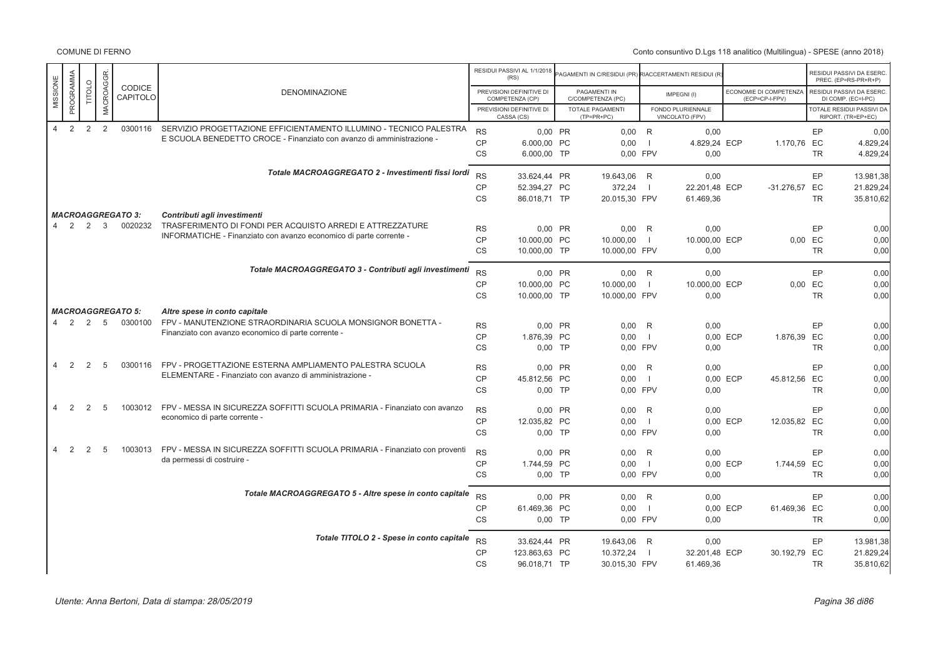|                |                |                |              |                          |                                                                                                            |                        | RESIDUI PASSIVI AL 1/1/2018<br>(RS)         | AGAMENTI IN C/RESIDUI (PR) RIACCERTAMENTI RESIDUI (R |                     |                                      |                                          |           | RESIDUI PASSIVI DA ESERC<br>PREC. (EP=RS-PR+R+P) |
|----------------|----------------|----------------|--------------|--------------------------|------------------------------------------------------------------------------------------------------------|------------------------|---------------------------------------------|------------------------------------------------------|---------------------|--------------------------------------|------------------------------------------|-----------|--------------------------------------------------|
| MISSIONE       | PROGRAMMA      | <b>TITOLO</b>  | MACROAGGR.   | CODICE<br>CAPITOLO       | <b>DENOMINAZIONE</b>                                                                                       |                        | PREVISIONI DEFINITIVE DI<br>COMPETENZA (CP) | PAGAMENTI IN<br>C/COMPETENZA (PC)                    |                     | IMPEGNI(I)                           | ECONOMIE DI COMPETENZA<br>(ECP=CP-I-FPV) |           | RESIDUI PASSIVI DA ESERC<br>DI COMP. (EC=I-PC)   |
|                |                |                |              |                          |                                                                                                            |                        | PREVISIONI DEFINITIVE DI<br>CASSA (CS)      | <b>TOTALE PAGAMENTI</b><br>$(TP=PR+PC)$              |                     | FONDO PLURIENNALE<br>VINCOLATO (FPV) |                                          |           | TOTALE RESIDUI PASSIVI DA<br>RIPORT. (TR=EP+EC)  |
| $\overline{4}$ | 2              | $\overline{2}$ | 2            | 0300116                  | SERVIZIO PROGETTAZIONE EFFICIENTAMENTO ILLUMINO - TECNICO PALESTRA                                         | <b>RS</b>              | 0,00 PR                                     | $0,00$ R                                             |                     | 0,00                                 |                                          | EP        | 0,00                                             |
|                |                |                |              |                          | E SCUOLA BENEDETTO CROCE - Finanziato con avanzo di amministrazione -                                      | CP                     | 6.000,00 PC                                 | 0.00                                                 | $\blacksquare$      | 4.829,24 ECP                         | 1.170,76 EC                              |           | 4.829,24                                         |
|                |                |                |              |                          |                                                                                                            | <b>CS</b>              | 6.000,00 TP                                 | 0.00 FPV                                             |                     | 0,00                                 |                                          | <b>TR</b> | 4.829,24                                         |
|                |                |                |              |                          | Totale MACROAGGREGATO 2 - Investimenti fissi lordi                                                         | <b>RS</b>              | 33.624,44 PR                                | 19.643,06 R                                          |                     | 0,00                                 |                                          | EP        | 13.981,38                                        |
|                |                |                |              |                          |                                                                                                            | CP                     | 52.394,27 PC                                | 372,24                                               |                     | 22.201,48 ECP                        | -31.276,57 EC                            |           | 21.829,24                                        |
|                |                |                |              |                          |                                                                                                            | CS                     | 86.018,71 TP                                | 20.015,30 FPV                                        |                     | 61.469,36                            |                                          | <b>TR</b> | 35.810,62                                        |
|                |                |                |              | <b>MACROAGGREGATO 3:</b> | Contributi agli investimenti                                                                               |                        |                                             |                                                      |                     |                                      |                                          |           |                                                  |
| $\overline{4}$ | 2              | 2              | $\mathbf{3}$ | 0020232                  | TRASFERIMENTO DI FONDI PER ACQUISTO ARREDI E ATTREZZATURE                                                  | <b>RS</b>              | 0.00 PR                                     | $0,00$ R                                             |                     | 0,00                                 |                                          | EP        | 0,00                                             |
|                |                |                |              |                          | INFORMATICHE - Finanziato con avanzo economico di parte corrente -                                         | <b>CP</b>              | 10.000,00 PC                                | 10.000,00                                            | -1                  | 10.000,00 ECP                        |                                          | 0,00 EC   | 0,00                                             |
|                |                |                |              |                          |                                                                                                            | <b>CS</b>              | 10.000,00 TP                                | 10.000,00 FPV                                        |                     | 0,00                                 |                                          | <b>TR</b> | 0,00                                             |
|                |                |                |              |                          | Totale MACROAGGREGATO 3 - Contributi agli investimenti                                                     | <b>RS</b>              | 0.00 PR                                     | 0.00 R                                               |                     | 0.00                                 |                                          | EP        |                                                  |
|                |                |                |              |                          |                                                                                                            | CP                     | 10.000,00 PC                                | 10.000,00                                            | $\overline{1}$      | 10.000,00 ECP                        |                                          | 0,00 EC   | 0,00<br>0,00                                     |
|                |                |                |              |                          |                                                                                                            | <b>CS</b>              | 10.000,00 TP                                | 10.000,00 FPV                                        |                     | 0,00                                 |                                          | <b>TR</b> | 0,00                                             |
|                |                |                |              | <b>MACROAGGREGATO 5:</b> | Altre spese in conto capitale                                                                              |                        |                                             |                                                      |                     |                                      |                                          |           |                                                  |
| 4              | $\overline{2}$ | 2              | 5            | 0300100                  | FPV - MANUTENZIONE STRAORDINARIA SCUOLA MONSIGNOR BONETTA -                                                | <b>RS</b>              | 0,00 PR                                     | $0,00$ R                                             |                     | 0,00                                 |                                          | EP        | 0,00                                             |
|                |                |                |              |                          | Finanziato con avanzo economico di parte corrente -                                                        | <b>CP</b>              | 1.876,39 PC                                 | 0.00                                                 | $\Box$              |                                      | 0.00 ECP<br>1.876,39 EC                  |           | 0,00                                             |
|                |                |                |              |                          |                                                                                                            | <b>CS</b>              | $0.00$ TP                                   | 0.00 FPV                                             |                     | 0,00                                 |                                          | <b>TR</b> | 0,00                                             |
| $\overline{4}$ | 2              | 2              | 5            | 0300116                  | FPV - PROGETTAZIONE ESTERNA AMPLIAMENTO PALESTRA SCUOLA                                                    |                        |                                             |                                                      |                     |                                      |                                          |           |                                                  |
|                |                |                |              |                          | ELEMENTARE - Finanziato con avanzo di amministrazione -                                                    | <b>RS</b><br><b>CP</b> | 0,00 PR<br>45.812,56 PC                     | 0,00<br>0.00                                         | R<br>$\blacksquare$ | 0,00                                 | 0.00 ECP<br>45.812,56 EC                 | EP        | 0,00<br>0,00                                     |
|                |                |                |              |                          |                                                                                                            | <b>CS</b>              | $0,00$ TP                                   | 0.00 FPV                                             |                     | 0,00                                 |                                          | <b>TR</b> | 0,00                                             |
|                |                |                |              |                          |                                                                                                            |                        |                                             |                                                      |                     |                                      |                                          |           |                                                  |
| $\overline{4}$ | 2              | 2              | 5            | 1003012                  | FPV - MESSA IN SICUREZZA SOFFITTI SCUOLA PRIMARIA - Finanziato con avanzo<br>economico di parte corrente - | <b>RS</b>              | 0.00 PR                                     | 0.00                                                 | R                   | 0.00                                 |                                          | <b>EP</b> | 0,00                                             |
|                |                |                |              |                          |                                                                                                            | CP                     | 12.035.82 PC                                | 0.00                                                 | $\overline{1}$      |                                      | 0.00 ECP<br>12.035,82 EC                 |           | 0,00                                             |
|                |                |                |              |                          |                                                                                                            | <b>CS</b>              | $0,00$ TP                                   | 0.00 FPV                                             |                     | 0,00                                 |                                          | <b>TR</b> | 0,00                                             |
| $\overline{4}$ | 2              | 2              | 5            | 1003013                  | FPV - MESSA IN SICUREZZA SOFFITTI SCUOLA PRIMARIA - Finanziato con proventi                                | <b>RS</b>              | 0.00 PR                                     | 0.00                                                 | R                   | 0,00                                 |                                          | EP        | 0,00                                             |
|                |                |                |              |                          | da permessi di costruire -                                                                                 | <b>CP</b>              | 1.744,59 PC                                 | 0.00                                                 | $\overline{1}$      |                                      | 0,00 ECP<br>1.744,59 EC                  |           | 0,00                                             |
|                |                |                |              |                          |                                                                                                            | CS                     | $0,00$ TP                                   | 0.00 FPV                                             |                     | 0,00                                 |                                          | <b>TR</b> | 0,00                                             |
|                |                |                |              |                          | Totale MACROAGGREGATO 5 - Altre spese in conto capitale                                                    | <b>RS</b>              | 0.00 PR                                     | 0.00 R                                               |                     | 0.00                                 |                                          | EP        | 0,00                                             |
|                |                |                |              |                          |                                                                                                            | <b>CP</b>              | 61.469,36 PC                                | 0.00                                                 | $\mathbf{I}$        |                                      | 0,00 ECP<br>61.469,36 EC                 |           | 0,00                                             |
|                |                |                |              |                          |                                                                                                            | <b>CS</b>              | 0,00 TP                                     | 0.00 FPV                                             |                     | 0,00                                 |                                          | <b>TR</b> | 0,00                                             |
|                |                |                |              |                          | Totale TITOLO 2 - Spese in conto capitale                                                                  |                        |                                             |                                                      |                     |                                      |                                          |           |                                                  |
|                |                |                |              |                          |                                                                                                            | <b>RS</b><br><b>CP</b> | 33.624,44 PR<br>123.863,63 PC               | 19.643,06 R<br>10.372,24                             | -11                 | 0,00<br>32.201,48 ECP                | 30.192,79 EC                             | EP        | 13.981,38<br>21.829,24                           |
|                |                |                |              |                          |                                                                                                            | <b>CS</b>              | 96.018,71 TP                                | 30.015,30 FPV                                        |                     | 61.469,36                            |                                          | <b>TR</b> | 35.810,62                                        |
|                |                |                |              |                          |                                                                                                            |                        |                                             |                                                      |                     |                                      |                                          |           |                                                  |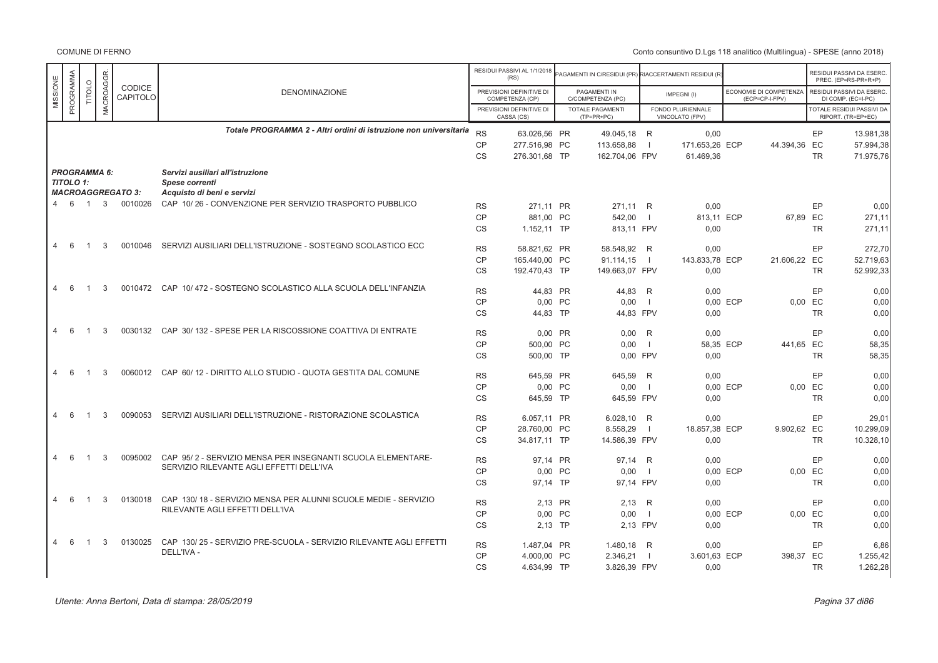|                      |                            |                     |                          |                                                                    |           | RESIDUI PASSIVI AL 1/1/2018<br>(RS)         | PAGAMENTI IN C/RESIDUI (PR) RIACCERTAMENTI RESIDUI (R |                |                                      |                                          |           | RESIDUI PASSIVI DA ESERC<br>PREC. (EP=RS-PR+R+P) |
|----------------------|----------------------------|---------------------|--------------------------|--------------------------------------------------------------------|-----------|---------------------------------------------|-------------------------------------------------------|----------------|--------------------------------------|------------------------------------------|-----------|--------------------------------------------------|
| MISSIONE             | PROGRAMMA<br><b>TITOLO</b> | <b>MACROAGGR</b>    | CODICE<br>CAPITOLO       | <b>DENOMINAZIONE</b>                                               |           | PREVISIONI DEFINITIVE DI<br>COMPETENZA (CP) | PAGAMENTI IN<br>C/COMPETENZA (PC)                     |                | IMPEGNI(I)                           | ECONOMIE DI COMPETENZA<br>(ECP=CP-I-FPV) |           | RESIDUI PASSIVI DA ESERC<br>DI COMP. (EC=I-PC)   |
|                      |                            |                     |                          |                                                                    |           | PREVISIONI DEFINITIVE DI<br>CASSA (CS)      | TOTALE PAGAMENTI<br>$(TP=PR+PC)$                      |                | FONDO PLURIENNALE<br>VINCOLATO (FPV) |                                          |           | TOTALE RESIDUI PASSIVI DA<br>RIPORT. (TR=EP+EC)  |
|                      |                            |                     |                          | Totale PROGRAMMA 2 - Altri ordini di istruzione non universitaria  | RS        | 63.026.56 PR                                | 49.045.18 R                                           |                | 0.00                                 |                                          | EP        | 13.981.38                                        |
|                      |                            |                     |                          |                                                                    | <b>CP</b> | 277.516,98 PC                               | 113.658,88                                            |                | 171.653,26 ECP                       | 44.394,36 EC                             |           | 57.994,38                                        |
|                      |                            |                     |                          |                                                                    | <b>CS</b> | 276.301,68 TP                               | 162.704,06 FPV                                        |                | 61.469,36                            |                                          | <b>TR</b> | 71.975,76                                        |
|                      |                            | <b>PROGRAMMA 6:</b> |                          | Servizi ausiliari all'istruzione                                   |           |                                             |                                                       |                |                                      |                                          |           |                                                  |
| <b>TITOLO 1:</b>     |                            |                     |                          | Spese correnti                                                     |           |                                             |                                                       |                |                                      |                                          |           |                                                  |
|                      |                            |                     | <b>MACROAGGREGATO 3:</b> | Acquisto di beni e servizi                                         |           |                                             |                                                       |                |                                      |                                          |           |                                                  |
| 4 6                  | $\overline{1}$             | 3                   | 0010026                  | CAP 10/26 - CONVENZIONE PER SERVIZIO TRASPORTO PUBBLICO            | <b>RS</b> | 271.11 PR                                   | 271,11 R                                              |                | 0,00                                 |                                          | EP        | 0.00                                             |
|                      |                            |                     |                          |                                                                    | <b>CP</b> | 881,00 PC                                   | 542,00                                                | $\blacksquare$ | 813.11 ECP                           |                                          | 67,89 EC  | 271,11                                           |
|                      |                            |                     |                          |                                                                    | <b>CS</b> | 1.152,11 TP                                 | 813,11 FPV                                            |                | 0,00                                 |                                          | <b>TR</b> | 271,11                                           |
| 6<br>4               | -1                         | 3                   | 0010046                  | SERVIZI AUSILIARI DELL'ISTRUZIONE - SOSTEGNO SCOLASTICO ECC        | <b>RS</b> | 58.821.62 PR                                | 58.548.92 R                                           |                | 0.00                                 |                                          | EP        | 272.70                                           |
|                      |                            |                     |                          |                                                                    | <b>CP</b> | 165.440,00 PC                               | 91.114,15                                             | $\blacksquare$ | 143.833,78 ECP                       | 21.606,22 EC                             |           | 52.719,63                                        |
|                      |                            |                     |                          |                                                                    | <b>CS</b> | 192.470,43 TP                               | 149.663,07 FPV                                        |                | 0,00                                 |                                          | TR.       | 52.992,33                                        |
| $\overline{4}$<br>-6 |                            | 3                   | 0010472                  | CAP 10/472 - SOSTEGNO SCOLASTICO ALLA SCUOLA DELL'INFANZIA         | <b>RS</b> | 44,83 PR                                    | 44,83 R                                               |                | 0,00                                 |                                          | EP        | 0,00                                             |
|                      |                            |                     |                          |                                                                    | <b>CP</b> | 0.00 PC                                     | 0.00                                                  | $\blacksquare$ |                                      | 0.00 ECP                                 | 0.00 EC   | 0.00                                             |
|                      |                            |                     |                          |                                                                    | <b>CS</b> | 44.83 TP                                    | 44.83 FPV                                             |                | 0,00                                 |                                          | <b>TR</b> | 0,00                                             |
| $\overline{4}$<br>6  |                            | 3                   | 0030132                  | CAP 30/132 - SPESE PER LA RISCOSSIONE COATTIVA DI ENTRATE          | <b>RS</b> | 0,00 PR                                     | 0,00                                                  | R              | 0,00                                 |                                          | EP        | 0,00                                             |
|                      |                            |                     |                          |                                                                    | <b>CP</b> | 500,00 PC                                   | 0,00                                                  | $\blacksquare$ | 58,35 ECP                            | 441,65 EC                                |           | 58,35                                            |
|                      |                            |                     |                          |                                                                    | <b>CS</b> | 500,00 TP                                   | 0.00 FPV                                              |                | 0,00                                 |                                          | <b>TR</b> | 58,35                                            |
|                      |                            |                     |                          |                                                                    |           |                                             |                                                       |                |                                      |                                          |           |                                                  |
| 6<br>$\overline{4}$  |                            | 3                   | 0060012                  | CAP 60/12 - DIRITTO ALLO STUDIO - QUOTA GESTITA DAL COMUNE         | <b>RS</b> | 645,59 PR                                   | 645,59 R                                              |                | 0,00                                 |                                          | EP        | 0,00                                             |
|                      |                            |                     |                          |                                                                    | <b>CP</b> | 0,00 PC                                     | 0,00                                                  | $\overline{1}$ |                                      | 0,00 ECP                                 | 0,00 EC   | 0.00                                             |
|                      |                            |                     |                          |                                                                    | <b>CS</b> | 645,59 TP                                   | 645,59 FPV                                            |                | 0,00                                 |                                          | <b>TR</b> | 0,00                                             |
| $\overline{4}$<br>-6 | -1                         | 3                   | 0090053                  | SERVIZI AUSILIARI DELL'ISTRUZIONE - RISTORAZIONE SCOLASTICA        | <b>RS</b> | 6.057.11 PR                                 | 6.028.10                                              | R              | 0,00                                 |                                          | EP        | 29.01                                            |
|                      |                            |                     |                          |                                                                    | <b>CP</b> | 28.760,00 PC                                | 8.558,29                                              | $\blacksquare$ | 18.857,38 ECP                        | 9.902,62 EC                              |           | 10.299,09                                        |
|                      |                            |                     |                          |                                                                    | <b>CS</b> | 34.817,11 TP                                | 14.586,39 FPV                                         |                | 0,00                                 |                                          | <b>TR</b> | 10.328,10                                        |
| $\overline{4}$<br>-6 | $\overline{1}$             | 3                   | 0095002                  | CAP 95/2 - SERVIZIO MENSA PER INSEGNANTI SCUOLA ELEMENTARE-        | <b>RS</b> | 97,14 PR                                    | 97,14 R                                               |                | 0,00                                 |                                          | EP        | 0,00                                             |
|                      |                            |                     |                          | SERVIZIO RILEVANTE AGLI EFFETTI DELL'IVA                           | <b>CP</b> | 0,00 PC                                     | 0,00                                                  | $\blacksquare$ |                                      | 0,00 ECP                                 | 0,00 EC   | 0,00                                             |
|                      |                            |                     |                          |                                                                    | <b>CS</b> | 97.14 TP                                    | 97.14 FPV                                             |                | 0,00                                 |                                          | <b>TR</b> | 0.00                                             |
| $\overline{4}$<br>6  | $\overline{1}$             | 3                   | 0130018                  | CAP 130/18 - SERVIZIO MENSA PER ALUNNI SCUOLE MEDIE - SERVIZIO     |           |                                             |                                                       |                |                                      |                                          |           |                                                  |
|                      |                            |                     |                          | RILEVANTE AGLI EFFETTI DELL'IVA                                    | <b>RS</b> | 2,13 PR                                     | 2,13                                                  | R              | 0,00                                 |                                          | EP        | 0,00                                             |
|                      |                            |                     |                          |                                                                    | <b>CP</b> | 0,00 PC                                     | 0,00                                                  | $\blacksquare$ |                                      | 0,00 ECP                                 | 0,00 EC   | 0,00                                             |
|                      |                            |                     |                          |                                                                    | CS        | 2,13 TP                                     | 2,13 FPV                                              |                | 0,00                                 |                                          | <b>TR</b> | 0,00                                             |
| 6<br>4               | $\overline{1}$             | 3                   | 0130025                  | CAP 130/25 - SERVIZIO PRE-SCUOLA - SERVIZIO RILEVANTE AGLI EFFETTI | <b>RS</b> | 1.487.04 PR                                 | 1.480.18                                              | - R            | 0.00                                 |                                          | EP        | 6.86                                             |
|                      |                            |                     |                          | DELL'IVA -                                                         | <b>CP</b> | 4.000,00 PC                                 | 2.346,21                                              | $\blacksquare$ | 3.601,63 ECP                         | 398,37 EC                                |           | 1.255,42                                         |
|                      |                            |                     |                          |                                                                    | <b>CS</b> | 4.634,99 TP                                 | 3.826,39 FPV                                          |                | 0,00                                 |                                          | <b>TR</b> | 1.262,28                                         |
|                      |                            |                     |                          |                                                                    |           |                                             |                                                       |                |                                      |                                          |           |                                                  |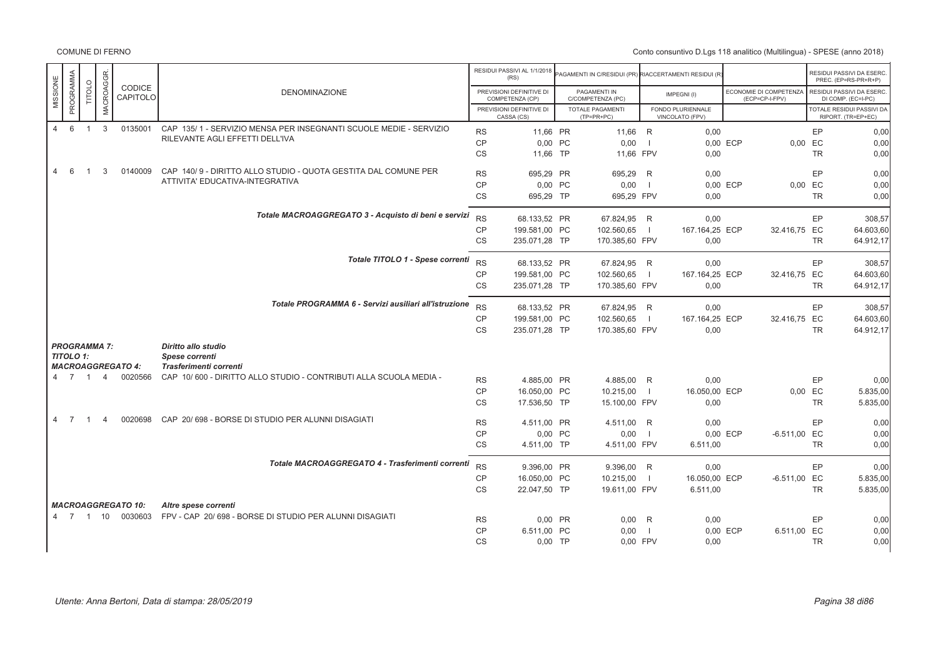|                                  |                |                |                |                           |                                                                   |           | RESIDUI PASSIVI AL 1/1/2018<br>(RS)         | AGAMENTI IN C/RESIDUI (PR) RIACCERTAMENTI RESIDUI (R |                          |                                      |          |                                          |           | RESIDUI PASSIVI DA ESERC<br>PREC. (EP=RS-PR+R+P) |
|----------------------------------|----------------|----------------|----------------|---------------------------|-------------------------------------------------------------------|-----------|---------------------------------------------|------------------------------------------------------|--------------------------|--------------------------------------|----------|------------------------------------------|-----------|--------------------------------------------------|
| MISSIONE                         | PROGRAMMA      | <b>TITOLO</b>  | MACROAGGR.     | <b>CODICE</b><br>CAPITOLO | <b>DENOMINAZIONE</b>                                              |           | PREVISIONI DEFINITIVE DI<br>COMPETENZA (CP) | PAGAMENTI IN<br>C/COMPETENZA (PC)                    |                          | IMPEGNI(I)                           |          | ECONOMIE DI COMPETENZA<br>(ECP=CP-I-FPV) |           | RESIDUI PASSIVI DA ESERC.<br>DI COMP. (EC=I-PC)  |
|                                  |                |                |                |                           |                                                                   |           | PREVISIONI DEFINITIVE DI<br>CASSA (CS)      | TOTALE PAGAMENTI<br>$(TP=PR+PC)$                     |                          | FONDO PLURIENNALE<br>VINCOLATO (FPV) |          |                                          |           | TOTALE RESIDUI PASSIVI DA<br>RIPORT. (TR=EP+EC)  |
| $\overline{4}$                   | 6              | $\overline{1}$ | $\mathbf{3}$   | 0135001                   | CAP 135/1 - SERVIZIO MENSA PER INSEGNANTI SCUOLE MEDIE - SERVIZIO | <b>RS</b> | 11,66 PR                                    | 11,66 R                                              |                          | 0,00                                 |          |                                          | EP        | 0,00                                             |
|                                  |                |                |                |                           | RILEVANTE AGLI EFFETTI DELL'IVA                                   | CP        | 0,00 PC                                     | 0.00                                                 | - 1                      |                                      | 0.00 ECP |                                          | 0,00 EC   | 0,00                                             |
|                                  |                |                |                |                           |                                                                   | <b>CS</b> | 11,66 TP                                    | 11,66 FPV                                            |                          | 0,00                                 |          |                                          | <b>TR</b> | 0,00                                             |
| $\overline{4}$                   | 6              |                | 3              | 0140009                   | CAP 140/9 - DIRITTO ALLO STUDIO - QUOTA GESTITA DAL COMUNE PER    | <b>RS</b> | 695,29 PR                                   | 695,29 R                                             |                          | 0,00                                 |          |                                          | EP        | 0,00                                             |
|                                  |                |                |                |                           | ATTIVITA' EDUCATIVA-INTEGRATIVA                                   | <b>CP</b> | 0,00 PC                                     | 0,00                                                 | $\blacksquare$           |                                      | 0,00 ECP | 0,00                                     | EC        | 0,00                                             |
|                                  |                |                |                |                           |                                                                   | <b>CS</b> | 695,29 TP                                   | 695,29 FPV                                           |                          | 0,00                                 |          |                                          | <b>TR</b> | 0,00                                             |
|                                  |                |                |                |                           | Totale MACROAGGREGATO 3 - Acquisto di beni e servizi              | <b>RS</b> | 68.133,52 PR                                | 67.824,95 R                                          |                          | 0,00                                 |          |                                          | EP        | 308,57                                           |
|                                  |                |                |                |                           |                                                                   | <b>CP</b> | 199.581,00 PC                               | 102.560,65                                           | $\blacksquare$           | 167.164,25 ECP                       |          | 32.416,75 EC                             |           | 64.603,60                                        |
|                                  |                |                |                |                           |                                                                   | <b>CS</b> |                                             |                                                      |                          |                                      |          |                                          | <b>TR</b> | 64.912,17                                        |
|                                  |                |                |                |                           |                                                                   |           | 235.071,28 TP                               | 170.385,60 FPV                                       |                          | 0,00                                 |          |                                          |           |                                                  |
|                                  |                |                |                |                           | Totale TITOLO 1 - Spese correnti                                  | RS        | 68.133,52 PR                                | 67.824,95 R                                          |                          | 0.00                                 |          |                                          | EP        | 308,57                                           |
|                                  |                |                |                |                           |                                                                   | <b>CP</b> | 199.581,00 PC                               | 102.560,65                                           | $\overline{\phantom{0}}$ | 167.164,25 ECP                       |          | 32.416,75 EC                             |           | 64.603,60                                        |
|                                  |                |                |                |                           |                                                                   | <b>CS</b> | 235.071,28 TP                               | 170.385,60 FPV                                       |                          | 0,00                                 |          |                                          | <b>TR</b> | 64.912,17                                        |
|                                  |                |                |                |                           | Totale PROGRAMMA 6 - Servizi ausiliari all'istruzione             | <b>RS</b> | 68.133,52 PR                                | 67.824,95 R                                          |                          | 0,00                                 |          |                                          | EP        | 308,57                                           |
|                                  |                |                |                |                           |                                                                   | <b>CP</b> | 199.581,00 PC                               | 102.560,65                                           | $\blacksquare$           | 167.164,25 ECP                       |          | 32.416,75 EC                             |           | 64.603,60                                        |
|                                  |                |                |                |                           |                                                                   | <b>CS</b> | 235.071,28 TP                               | 170.385,60 FPV                                       |                          | 0.00                                 |          |                                          | <b>TR</b> | 64.912,17                                        |
| <b>PROGRAMMA 7:</b><br>TITOLO 1: |                |                |                | <b>MACROAGGREGATO 4:</b>  | Diritto allo studio<br>Spese correnti<br>Trasferimenti correnti   |           |                                             |                                                      |                          |                                      |          |                                          |           |                                                  |
| 4 7 1 4                          |                |                |                | 0020566                   | CAP 10/600 - DIRITTO ALLO STUDIO - CONTRIBUTI ALLA SCUOLA MEDIA - | <b>RS</b> | 4.885,00 PR                                 | 4.885,00 R                                           |                          | 0,00                                 |          |                                          | EP        | 0,00                                             |
|                                  |                |                |                |                           |                                                                   | <b>CP</b> | 16.050,00 PC                                | 10.215,00                                            | $\blacksquare$           | 16.050,00 ECP                        |          | 0.00                                     | EC        | 5.835,00                                         |
|                                  |                |                |                |                           |                                                                   | CS        | 17.536,50 TP                                | 15.100,00 FPV                                        |                          | 0,00                                 |          |                                          | <b>TR</b> | 5.835,00                                         |
| $\overline{4}$                   | $\overline{7}$ | $\overline{1}$ | $\overline{4}$ | 0020698                   | CAP 20/698 - BORSE DI STUDIO PER ALUNNI DISAGIATI                 | <b>RS</b> | 4.511,00 PR                                 | 4.511,00 R                                           |                          | 0,00                                 |          |                                          | EP        | 0,00                                             |
|                                  |                |                |                |                           |                                                                   | <b>CP</b> | 0,00 PC                                     | 0,00                                                 | $\blacksquare$           |                                      | 0,00 ECP | $-6.511,00$ EC                           |           | 0,00                                             |
|                                  |                |                |                |                           |                                                                   | CS        | 4.511,00 TP                                 | 4.511,00 FPV                                         |                          | 6.511,00                             |          |                                          | <b>TR</b> | 0,00                                             |
|                                  |                |                |                |                           | Totale MACROAGGREGATO 4 - Trasferimenti correnti                  | <b>RS</b> | 9.396.00 PR                                 | 9.396,00 R                                           |                          | 0.00                                 |          |                                          | EP        | 0,00                                             |
|                                  |                |                |                |                           |                                                                   | CP        | 16.050,00 PC                                | 10.215,00                                            | $\Box$                   | 16.050,00 ECP                        |          | $-6.511,00$ EC                           |           | 5.835,00                                         |
|                                  |                |                |                |                           |                                                                   | CS        | 22.047.50 TP                                | 19.611,00 FPV                                        |                          | 6.511.00                             |          |                                          | <b>TR</b> | 5.835,00                                         |
|                                  |                |                |                | <b>MACROAGGREGATO 10:</b> | Altre spese correnti                                              |           |                                             |                                                      |                          |                                      |          |                                          |           |                                                  |
|                                  |                |                |                | 4 7 1 10 0030603          | FPV - CAP 20/698 - BORSE DI STUDIO PER ALUNNI DISAGIATI           | <b>RS</b> | 0,00 PR                                     | 0,00                                                 | R                        | 0,00                                 |          |                                          | EP        | 0,00                                             |
|                                  |                |                |                |                           |                                                                   | CP        | 6.511.00 PC                                 | 0,00                                                 | - 1                      |                                      | 0.00 ECP | 6.511.00 EC                              |           | 0,00                                             |
|                                  |                |                |                |                           |                                                                   | <b>CS</b> | $0,00$ TP                                   | 0,00 FPV                                             |                          | 0,00                                 |          |                                          | <b>TR</b> | 0,00                                             |
|                                  |                |                |                |                           |                                                                   |           |                                             |                                                      |                          |                                      |          |                                          |           |                                                  |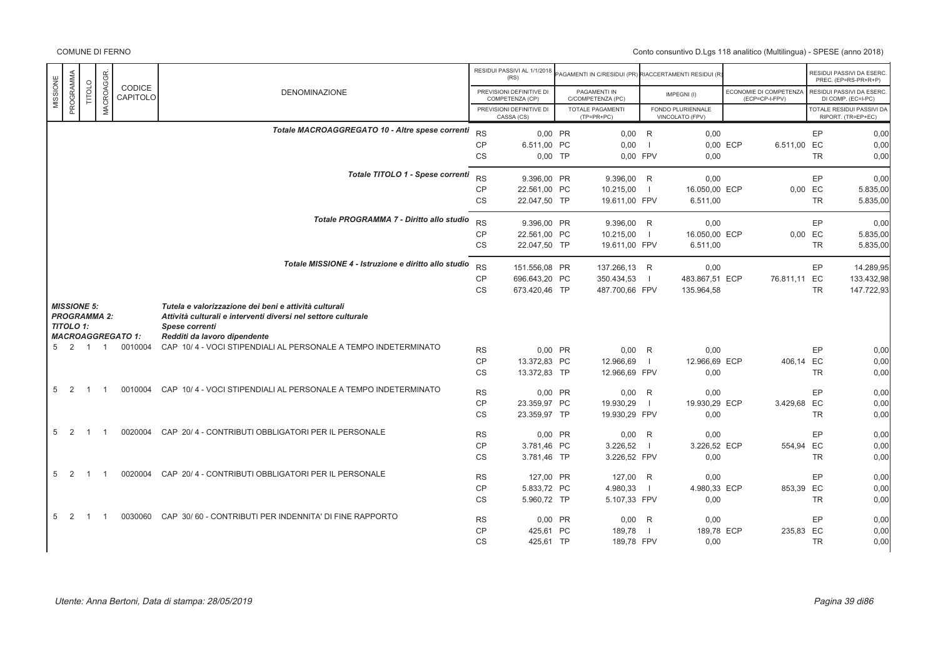|                                 |                            |                     |                          |                                                                                                                                                                          |           | RESIDUI PASSIVI AL 1/1/2018<br>(RS)         | AGAMENTI IN C/RESIDUI (PR) RIACCERTAMENTI RESIDUI (R |                |                                      |          |                                          |           | RESIDUI PASSIVI DA ESERC<br>PREC. (EP=RS-PR+R+P) |
|---------------------------------|----------------------------|---------------------|--------------------------|--------------------------------------------------------------------------------------------------------------------------------------------------------------------------|-----------|---------------------------------------------|------------------------------------------------------|----------------|--------------------------------------|----------|------------------------------------------|-----------|--------------------------------------------------|
| MISSIONE                        | PROGRAMMA<br><b>TITOLO</b> | MACROAGGR.          | CODICE<br>CAPITOLO       | <b>DENOMINAZIONE</b>                                                                                                                                                     |           | PREVISIONI DEFINITIVE DI<br>COMPETENZA (CP) | PAGAMENTI IN<br>C/COMPETENZA (PC)                    |                | IMPEGNI(I)                           |          | ECONOMIE DI COMPETENZA<br>(ECP=CP-I-FPV) |           | RESIDUI PASSIVI DA ESERC.<br>DI COMP. (EC=I-PC)  |
|                                 |                            |                     |                          |                                                                                                                                                                          |           | PREVISIONI DEFINITIVE DI<br>CASSA (CS)      | TOTALE PAGAMENTI<br>$(TP=PR+PC)$                     |                | FONDO PLURIENNALE<br>VINCOLATO (FPV) |          |                                          |           | TOTALE RESIDUI PASSIVI DA<br>RIPORT. (TR=EP+EC)  |
|                                 |                            |                     |                          | Totale MACROAGGREGATO 10 - Altre spese correnti                                                                                                                          | <b>RS</b> | 0,00 PR                                     | $0,00$ R                                             |                | 0,00                                 |          |                                          | <b>EP</b> | 0,00                                             |
|                                 |                            |                     |                          |                                                                                                                                                                          | <b>CP</b> | 6.511.00 PC                                 | 0.00                                                 | $\blacksquare$ |                                      | 0.00 ECP | 6.511.00 EC                              |           | 0,00                                             |
|                                 |                            |                     |                          |                                                                                                                                                                          | <b>CS</b> | $0,00$ TP                                   | 0,00 FPV                                             |                | 0,00                                 |          |                                          | <b>TR</b> | 0,00                                             |
|                                 |                            |                     |                          | Totale TITOLO 1 - Spese correnti                                                                                                                                         | <b>RS</b> | 9.396,00 PR                                 | 9.396,00 R                                           |                | 0,00                                 |          |                                          | <b>EP</b> | 0,00                                             |
|                                 |                            |                     |                          |                                                                                                                                                                          | CP        | 22.561.00 PC                                | 10.215,00                                            | $\blacksquare$ | 16.050,00 ECP                        |          | 0.00 EC                                  |           | 5.835,00                                         |
|                                 |                            |                     |                          |                                                                                                                                                                          | <b>CS</b> | 22.047.50 TP                                | 19.611,00 FPV                                        |                | 6.511.00                             |          |                                          | <b>TR</b> | 5.835,00                                         |
|                                 |                            |                     |                          | Totale PROGRAMMA 7 - Diritto allo studio                                                                                                                                 | RS        | 9.396.00 PR                                 | 9.396.00 R                                           |                | 0.00                                 |          |                                          | EP        | 0,00                                             |
|                                 |                            |                     |                          |                                                                                                                                                                          | <b>CP</b> | 22.561,00 PC                                | 10.215,00                                            | $\blacksquare$ | 16.050,00 ECP                        |          | 0,00                                     | EC        | 5.835,00                                         |
|                                 |                            |                     |                          |                                                                                                                                                                          | CS        | 22.047,50 TP                                | 19.611,00 FPV                                        |                | 6.511,00                             |          |                                          | <b>TR</b> | 5.835,00                                         |
|                                 |                            |                     |                          | Totale MISSIONE 4 - Istruzione e diritto allo studio                                                                                                                     | <b>RS</b> | 151.556.08 PR                               | 137,266.13 R                                         |                | 0.00                                 |          |                                          | EP        | 14.289,95                                        |
|                                 |                            |                     |                          |                                                                                                                                                                          | <b>CP</b> | 696.643,20 PC                               | 350.434,53                                           | $\blacksquare$ | 483.867,51 ECP                       |          | 76.811,11 EC                             |           | 133.432,98                                       |
|                                 |                            |                     |                          |                                                                                                                                                                          | <b>CS</b> | 673.420,46 TP                               | 487.700,66 FPV                                       |                | 135.964,58                           |          |                                          | <b>TR</b> | 147.722,93                                       |
| <b>MISSIONE 5:</b><br>TITOLO 1: |                            | <b>PROGRAMMA 2:</b> | <b>MACROAGGREGATO 1:</b> | Tutela e valorizzazione dei beni e attività culturali<br>Attività culturali e interventi diversi nel settore culturale<br>Spese correnti<br>Redditi da lavoro dipendente |           |                                             |                                                      |                |                                      |          |                                          |           |                                                  |
| 5 <sub>2</sub>                  | $\overline{1}$             | $\overline{1}$      | 0010004                  | CAP 10/4 - VOCI STIPENDIALI AL PERSONALE A TEMPO INDETERMINATO                                                                                                           | <b>RS</b> | 0.00 PR                                     | $0,00$ R                                             |                | 0.00                                 |          |                                          | EP        | 0,00                                             |
|                                 |                            |                     |                          |                                                                                                                                                                          | <b>CP</b> | 13.372,83 PC                                | 12.966,69                                            | $\blacksquare$ | 12.966,69 ECP                        |          | 406,14 EC                                |           | 0,00                                             |
|                                 |                            |                     |                          |                                                                                                                                                                          | <b>CS</b> | 13.372,83 TP                                | 12.966,69 FPV                                        |                | 0,00                                 |          |                                          | <b>TR</b> | 0,00                                             |
| 5<br>2                          |                            |                     | 0010004                  | CAP 10/4 - VOCI STIPENDIALI AL PERSONALE A TEMPO INDETERMINATO                                                                                                           | <b>RS</b> | 0,00 PR                                     | $0,00$ R                                             |                | 0.00                                 |          |                                          | EP        | 0,00                                             |
|                                 |                            |                     |                          |                                                                                                                                                                          | <b>CP</b> | 23.359,97 PC                                | 19.930,29                                            | $\blacksquare$ | 19.930,29 ECP                        |          | 3.429,68 EC                              |           | 0,00                                             |
|                                 |                            |                     |                          |                                                                                                                                                                          | CS        | 23.359,97 TP                                | 19.930,29 FPV                                        |                | 0,00                                 |          |                                          | <b>TR</b> | 0,00                                             |
| 5<br>2                          | $\overline{1}$             | - 1                 | 0020004                  | CAP 20/4 - CONTRIBUTI OBBLIGATORI PER IL PERSONALE                                                                                                                       | <b>RS</b> | 0,00 PR                                     | $0,00$ R                                             |                | 0.00                                 |          |                                          | EP        | 0,00                                             |
|                                 |                            |                     |                          |                                                                                                                                                                          | <b>CP</b> | 3.781,46 PC                                 | 3.226,52                                             | $\blacksquare$ | 3.226,52 ECP                         |          | 554,94 EC                                |           | 0,00                                             |
|                                 |                            |                     |                          |                                                                                                                                                                          | <b>CS</b> | 3.781,46 TP                                 | 3.226,52 FPV                                         |                | 0,00                                 |          |                                          | <b>TR</b> | 0,00                                             |
| 2<br>5                          | $\overline{1}$             |                     | 0020004                  | CAP 20/4 - CONTRIBUTI OBBLIGATORI PER IL PERSONALE                                                                                                                       | <b>RS</b> | 127,00 PR                                   | 127,00 R                                             |                | 0.00                                 |          |                                          | EP        | 0,00                                             |
|                                 |                            |                     |                          |                                                                                                                                                                          | <b>CP</b> | 5.833,72 PC                                 | 4.980,33                                             | $\blacksquare$ | 4.980,33 ECP                         |          | 853.39 EC                                |           | 0,00                                             |
|                                 |                            |                     |                          |                                                                                                                                                                          | <b>CS</b> | 5.960,72 TP                                 | 5.107,33 FPV                                         |                | 0,00                                 |          |                                          | <b>TR</b> | 0,00                                             |
| 5<br>2                          | $\overline{1}$             |                     | 0030060                  | CAP 30/60 - CONTRIBUTI PER INDENNITA' DI FINE RAPPORTO                                                                                                                   | <b>RS</b> | 0,00 PR                                     | 0,00                                                 | R              | 0,00                                 |          |                                          | <b>EP</b> | 0,00                                             |
|                                 |                            |                     |                          |                                                                                                                                                                          | CP        | 425.61 PC                                   | 189.78                                               | $\blacksquare$ | 189.78 ECP                           |          | 235.83 EC                                |           | 0,00                                             |
|                                 |                            |                     |                          |                                                                                                                                                                          | <b>CS</b> | 425,61 TP                                   | 189,78 FPV                                           |                | 0,00                                 |          |                                          | <b>TR</b> | 0,00                                             |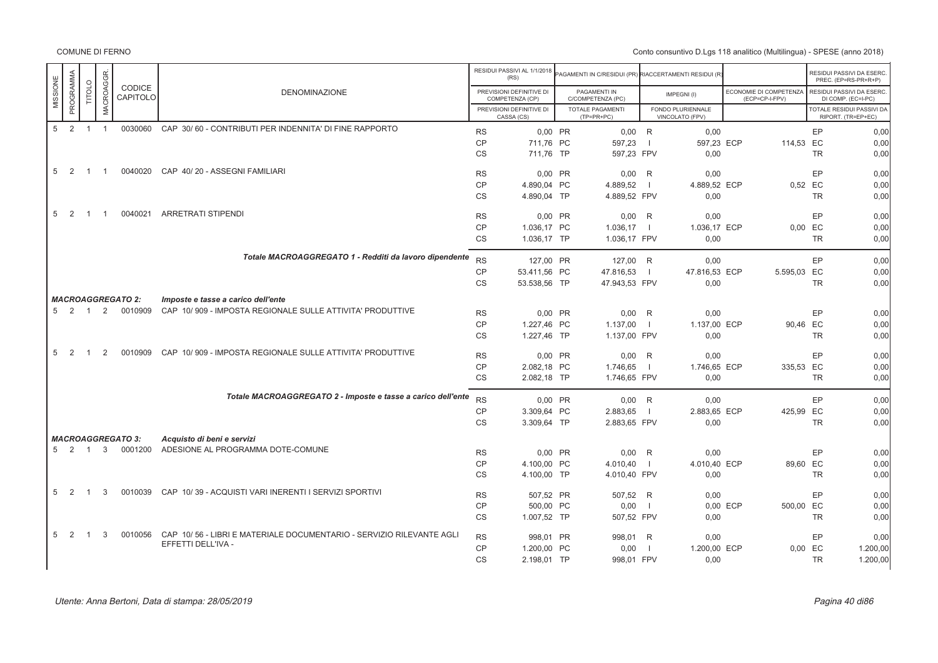|                       |                |                  |                          |                                                                      |                        | RESIDUI PASSIVI AL 1/1/2018<br>(RS)         | <b>PAGAMENTI IN C/RESIDUI (PR) RIACCERTAMENTI RESIDUI (R</b> |                |                                      |                                          |                       | RESIDUI PASSIVI DA ESERC.<br>PREC. (EP=RS-PR+R+P) |
|-----------------------|----------------|------------------|--------------------------|----------------------------------------------------------------------|------------------------|---------------------------------------------|--------------------------------------------------------------|----------------|--------------------------------------|------------------------------------------|-----------------------|---------------------------------------------------|
| PROGRAMMA<br>MISSIONE | TITOLO         | <b>MACROAGGR</b> | CODICE<br>CAPITOLO       | <b>DENOMINAZIONE</b>                                                 |                        | PREVISIONI DEFINITIVE DI<br>COMPETENZA (CP) | PAGAMENTI IN<br>C/COMPETENZA (PC)                            |                | IMPEGNI(I)                           | ECONOMIE DI COMPETENZA<br>(ECP=CP-I-FPV) |                       | RESIDUI PASSIVI DA ESERC.<br>DI COMP. (EC=I-PC)   |
|                       |                |                  |                          |                                                                      |                        | PREVISIONI DEFINITIVE DI<br>CASSA (CS)      | <b>TOTALE PAGAMENTI</b><br>$(TP=PR+PC)$                      |                | FONDO PLURIENNALE<br>VINCOLATO (FPV) |                                          |                       | TOTALE RESIDUI PASSIVI DA<br>RIPORT. (TR=EP+EC)   |
| 5<br>$\overline{2}$   | $\overline{1}$ | $\overline{1}$   | 0030060                  | CAP 30/60 - CONTRIBUTI PER INDENNITA' DI FINE RAPPORTO               | <b>RS</b>              | 0.00 PR                                     | 0.00 R                                                       |                | 0,00                                 |                                          | EP                    | 0,00                                              |
|                       |                |                  |                          |                                                                      | <b>CP</b>              | 711,76 PC                                   | 597,23                                                       | $\overline{1}$ | 597,23 ECP                           | 114,53 EC                                |                       | 0,00                                              |
|                       |                |                  |                          |                                                                      | <b>CS</b>              | 711.76 TP                                   | 597,23 FPV                                                   |                | 0,00                                 |                                          | <b>TR</b>             | 0,00                                              |
| 5 2                   | $\overline{1}$ | $\overline{1}$   | 0040020                  | CAP 40/20 - ASSEGNI FAMILIARI                                        | <b>RS</b>              | 0.00 PR                                     | 0,00                                                         | R              | 0,00                                 |                                          | EP                    | 0,00                                              |
|                       |                |                  |                          |                                                                      | CP                     | 4.890,04 PC                                 | 4.889,52                                                     | $\blacksquare$ | 4.889,52 ECP                         |                                          | 0,52 EC               | 0,00                                              |
|                       |                |                  |                          |                                                                      | CS                     | 4.890,04 TP                                 | 4.889,52 FPV                                                 |                | 0,00                                 |                                          | <b>TR</b>             | 0,00                                              |
| 5<br>$\overline{2}$   | $\overline{1}$ | -1               | 0040021                  | <b>ARRETRATI STIPENDI</b>                                            | <b>RS</b>              | 0,00 PR                                     | $0,00$ R                                                     |                | 0,00                                 |                                          | EP                    | 0,00                                              |
|                       |                |                  |                          |                                                                      | CP                     | 1.036,17 PC                                 | 1.036,17                                                     | $\blacksquare$ | 1.036,17 ECP                         |                                          | $0,00$ EC             | 0,00                                              |
|                       |                |                  |                          |                                                                      | <b>CS</b>              | 1.036,17 TP                                 | 1.036,17 FPV                                                 |                | 0,00                                 |                                          | <b>TR</b>             | 0,00                                              |
|                       |                |                  |                          | Totale MACROAGGREGATO 1 - Redditi da lavoro dipendente               | <b>RS</b>              | 127,00 PR                                   | 127,00 R                                                     |                | 0,00                                 |                                          | EP                    | 0,00                                              |
|                       |                |                  |                          |                                                                      | <b>CP</b>              | 53.411,56 PC                                | 47.816,53                                                    | $\overline{1}$ | 47.816,53 ECP                        | 5.595,03 EC                              |                       | 0,00                                              |
|                       |                |                  |                          |                                                                      | <b>CS</b>              | 53.538,56 TP                                | 47.943,53 FPV                                                |                | 0,00                                 |                                          | <b>TR</b>             | 0,00                                              |
|                       |                |                  | <b>MACROAGGREGATO 2:</b> | Imposte e tasse a carico dell'ente                                   |                        |                                             |                                                              |                |                                      |                                          |                       |                                                   |
| $5 \quad 2$           | $\overline{1}$ | 2                | 0010909                  | CAP 10/909 - IMPOSTA REGIONALE SULLE ATTIVITA' PRODUTTIVE            |                        |                                             |                                                              |                |                                      |                                          | EP                    |                                                   |
|                       |                |                  |                          |                                                                      | <b>RS</b><br><b>CP</b> | 0,00 PR                                     | $0,00$ R                                                     | $\blacksquare$ | 0,00                                 |                                          |                       | 0,00<br>0,00                                      |
|                       |                |                  |                          |                                                                      | <b>CS</b>              | 1.227,46 PC<br>1.227.46 TP                  | 1.137,00<br>1.137,00 FPV                                     |                | 1.137,00 ECP<br>0,00                 |                                          | 90,46 EC<br><b>TR</b> | 0,00                                              |
| 5<br>2                |                | $\mathfrak{p}$   | 0010909                  | CAP 10/909 - IMPOSTA REGIONALE SULLE ATTIVITA' PRODUTTIVE            | <b>RS</b>              | 0,00 PR                                     | $0,00$ R                                                     |                | 0.00                                 |                                          | EP                    | 0,00                                              |
|                       |                |                  |                          |                                                                      | <b>CP</b>              | 2.082,18 PC                                 | 1.746,65                                                     | $\blacksquare$ | 1.746,65 ECP                         | 335,53 EC                                |                       | 0,00                                              |
|                       |                |                  |                          |                                                                      | CS                     | 2.082.18 TP                                 | 1.746,65 FPV                                                 |                | 0,00                                 |                                          | <b>TR</b>             | 0,00                                              |
|                       |                |                  |                          | Totale MACROAGGREGATO 2 - Imposte e tasse a carico dell'ente         | <b>RS</b>              |                                             |                                                              |                | 0,00                                 |                                          | EP                    | 0,00                                              |
|                       |                |                  |                          |                                                                      | <b>CP</b>              | 0,00 PR<br>3.309.64 PC                      | $0,00$ R<br>2.883,65                                         | $\blacksquare$ | 2.883,65 ECP                         | 425,99 EC                                |                       | 0,00                                              |
|                       |                |                  |                          |                                                                      | CS                     | 3.309,64 TP                                 | 2.883,65 FPV                                                 |                | 0,00                                 |                                          | <b>TR</b>             | 0,00                                              |
|                       |                |                  | <b>MACROAGGREGATO 3:</b> | Acquisto di beni e servizi                                           |                        |                                             |                                                              |                |                                      |                                          |                       |                                                   |
|                       | 5 2 1          | 3                | 0001200                  | ADESIONE AL PROGRAMMA DOTE-COMUNE                                    | <b>RS</b>              | 0,00 PR                                     | $0,00$ R                                                     |                | 0.00                                 |                                          | EP                    | 0,00                                              |
|                       |                |                  |                          |                                                                      | <b>CP</b>              | 4.100,00 PC                                 | 4.010,40                                                     | $\blacksquare$ | 4.010,40 ECP                         |                                          | 89,60 EC              | 0,00                                              |
|                       |                |                  |                          |                                                                      | CS                     | 4.100,00 TP                                 | 4.010,40 FPV                                                 |                | 0,00                                 |                                          | <b>TR</b>             | 0,00                                              |
|                       |                |                  |                          |                                                                      |                        |                                             |                                                              |                |                                      |                                          |                       |                                                   |
| 5<br>$\overline{2}$   | $\overline{1}$ | 3                | 0010039                  | CAP 10/39 - ACQUISTI VARI INERENTI I SERVIZI SPORTIVI                | <b>RS</b>              | 507,52 PR                                   | 507,52 R                                                     |                | 0,00                                 |                                          | EP                    | 0,00                                              |
|                       |                |                  |                          |                                                                      | CP                     | 500,00 PC                                   | 0,00                                                         | $\blacksquare$ |                                      | 0,00 ECP<br>500,00 EC                    |                       | 0,00                                              |
|                       |                |                  |                          |                                                                      | <b>CS</b>              | 1.007,52 TP                                 | 507,52 FPV                                                   |                | 0,00                                 |                                          | <b>TR</b>             | 0,00                                              |
| 5<br>2                | $\overline{1}$ | 3                | 0010056                  | CAP 10/56 - LIBRI E MATERIALE DOCUMENTARIO - SERVIZIO RILEVANTE AGLI | <b>RS</b>              | 998.01 PR                                   | 998,01 R                                                     |                | 0,00                                 |                                          | EP                    | 0,00                                              |
|                       |                |                  |                          | EFFETTI DELL'IVA -                                                   | CP                     | 1.200,00 PC                                 | 0,00                                                         | $\overline{1}$ | 1.200,00 ECP                         |                                          | $0,00$ EC             | 1.200,00                                          |
|                       |                |                  |                          |                                                                      | <b>CS</b>              | 2.198,01 TP                                 | 998,01 FPV                                                   |                | 0,00                                 |                                          | <b>TR</b>             | 1.200,00                                          |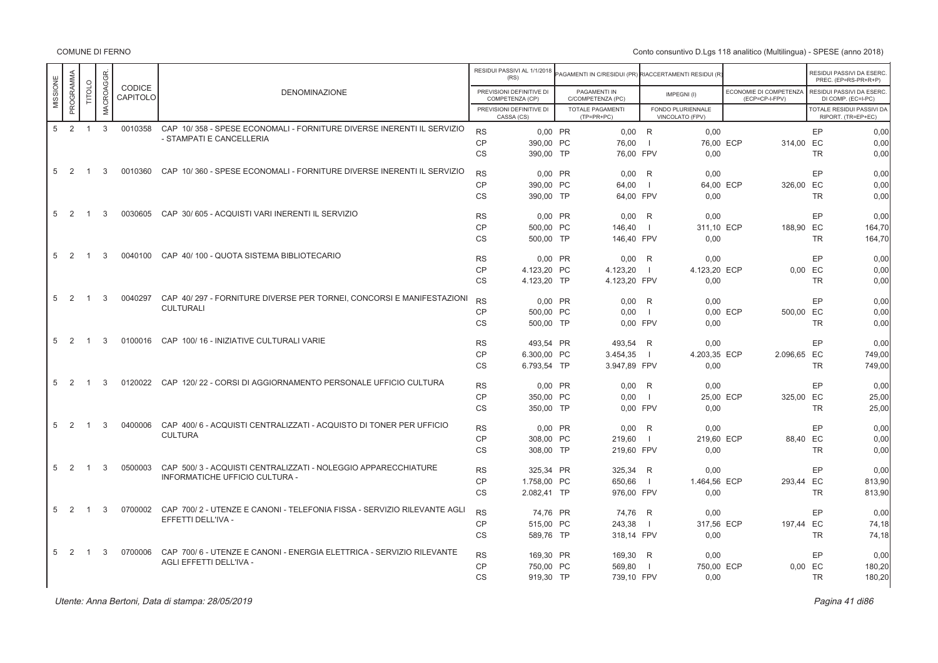COMUNE DI FERNO

|                                  |                |              |                    |                                                                         |                        | RESIDUI PASSIVI AL 1/1/2018<br>(RS)         | AGAMENTI IN C/RESIDUI (PR) RIACCERTAMENTI RESIDUI (R |                          |                                      |                                          |           | RESIDUI PASSIVI DA ESERC<br>PREC. (EP=RS-PR+R+P) |
|----------------------------------|----------------|--------------|--------------------|-------------------------------------------------------------------------|------------------------|---------------------------------------------|------------------------------------------------------|--------------------------|--------------------------------------|------------------------------------------|-----------|--------------------------------------------------|
| PROGRAMMA<br>MISSIONE            | <b>TITOLO</b>  | MACROAGGR    | CODICE<br>CAPITOLO | <b>DENOMINAZIONE</b>                                                    |                        | PREVISIONI DEFINITIVE DI<br>COMPETENZA (CP) | PAGAMENTI IN<br>C/COMPETENZA (PC)                    |                          | IMPEGNI(I)                           | ECONOMIE DI COMPETENZA<br>(ECP=CP-I-FPV) |           | RESIDUI PASSIVI DA ESERC.<br>DI COMP. (EC=I-PC)  |
|                                  |                |              |                    |                                                                         |                        | PREVISIONI DEFINITIVE DI<br>CASSA (CS)      | <b>TOTALE PAGAMENTI</b><br>(TP=PR+PC)                |                          | FONDO PLURIENNALE<br>VINCOLATO (FPV) |                                          |           | TOTALE RESIDUI PASSIVI DA<br>RIPORT. (TR=EP+EC)  |
| $\overline{2}$<br>5 <sup>5</sup> | $\overline{1}$ | $\mathbf{3}$ | 0010358            | CAP 10/358 - SPESE ECONOMALI - FORNITURE DIVERSE INERENTI IL SERVIZIO   | <b>RS</b>              | 0.00 PR                                     | $0,00$ R                                             |                          | 0.00                                 |                                          | EP        | 0,00                                             |
|                                  |                |              |                    | - STAMPATI E CANCELLERIA                                                | <b>CP</b>              | 390,00 PC                                   | 76,00                                                | $\overline{\phantom{0}}$ | 76,00 ECP                            | 314,00 EC                                |           | 0,00                                             |
|                                  |                |              |                    |                                                                         | <b>CS</b>              | 390,00 TP                                   | 76.00 FPV                                            |                          | 0.00                                 |                                          | <b>TR</b> | 0.00                                             |
| $5 \quad 2$                      | $\overline{1}$ | 3            | 0010360            | CAP 10/360 - SPESE ECONOMALI - FORNITURE DIVERSE INERENTI IL SERVIZIO   | <b>RS</b>              | 0.00 PR                                     | 0.00                                                 | R                        | 0.00                                 |                                          | EP        | 0.00                                             |
|                                  |                |              |                    |                                                                         | <b>CP</b>              | 390,00 PC                                   | 64,00                                                | $\blacksquare$           | 64,00 ECP                            | 326,00 EC                                |           | 0,00                                             |
|                                  |                |              |                    |                                                                         | <b>CS</b>              | 390,00 TP                                   | 64.00 FPV                                            |                          | 0.00                                 |                                          | <b>TR</b> | 0.00                                             |
| 5<br>2                           | $\overline{1}$ | 3            |                    | 0030605 CAP 30/605 - ACQUISTI VARI INERENTI IL SERVIZIO                 | <b>RS</b>              | 0.00 PR                                     | 0.00                                                 | R                        | 0.00                                 |                                          | EP        | 0.00                                             |
|                                  |                |              |                    |                                                                         | CP                     | 500,00 PC                                   | 146.40                                               | $\overline{1}$           | 311,10 ECP                           | 188,90 EC                                |           | 164,70                                           |
|                                  |                |              |                    |                                                                         | <b>CS</b>              | 500,00 TP                                   | 146.40 FPV                                           |                          | 0.00                                 |                                          | <b>TR</b> | 164.70                                           |
| 5<br>$\overline{2}$              | $\overline{1}$ | 3            |                    | 0040100 CAP 40/100 - QUOTA SISTEMA BIBLIOTECARIO                        | <b>RS</b>              | 0.00 PR                                     | 0.00                                                 | R                        | 0.00                                 |                                          | EP        | 0.00                                             |
|                                  |                |              |                    |                                                                         | CP                     | 4.123.20 PC                                 | 4.123,20                                             | $\Box$                   | 4.123.20 ECP                         |                                          | 0.00 EC   | 0,00                                             |
|                                  |                |              |                    |                                                                         | <b>CS</b>              | 4.123,20 TP                                 | 4.123,20 FPV                                         |                          | 0.00                                 |                                          | <b>TR</b> | 0.00                                             |
| 5<br>-2                          | $\overline{1}$ | 3            | 0040297            | CAP 40/297 - FORNITURE DIVERSE PER TORNEI, CONCORSI E MANIFESTAZIONI    | <b>RS</b>              | 0,00 PR                                     | 0,00                                                 | R                        | 0,00                                 |                                          | EP        | 0,00                                             |
|                                  |                |              |                    | <b>CULTURALI</b>                                                        | <b>CP</b>              | 500.00 PC                                   | 0.00                                                 | $\blacksquare$           |                                      | 0.00 ECP<br>500.00 EC                    |           | 0,00                                             |
|                                  |                |              |                    |                                                                         | <b>CS</b>              | 500,00 TP                                   | 0.00 FPV                                             |                          | 0.00                                 |                                          | <b>TR</b> | 0.00                                             |
| 5<br>2                           | $\overline{1}$ | 3            |                    | 0100016 CAP 100/16 - INIZIATIVE CULTURALI VARIE                         | <b>RS</b>              | 493,54 PR                                   | 493,54                                               | R                        | 0,00                                 |                                          | EP        | 0,00                                             |
|                                  |                |              |                    |                                                                         | CP                     | 6.300.00 PC                                 | 3.454,35                                             | $\blacksquare$           | 4.203,35 ECP                         | 2.096,65 EC                              |           | 749.00                                           |
|                                  |                |              |                    |                                                                         | <b>CS</b>              | 6.793,54 TP                                 | 3.947,89 FPV                                         |                          | 0,00                                 |                                          | <b>TR</b> | 749,00                                           |
| 5<br>2                           | $\overline{1}$ | 3            |                    | 0120022 CAP 120/22 - CORSI DI AGGIORNAMENTO PERSONALE UFFICIO CULTURA   | <b>RS</b>              | 0,00 PR                                     | 0,00                                                 | R                        | 0,00                                 |                                          | EP        | 0,00                                             |
|                                  |                |              |                    |                                                                         | CP                     | 350,00 PC                                   | 0.00                                                 | $\blacksquare$           | 25,00 ECP                            | 325,00 EC                                |           | 25,00                                            |
|                                  |                |              |                    |                                                                         | CS                     | 350,00 TP                                   | 0.00 FPV                                             |                          | 0.00                                 |                                          | <b>TR</b> | 25,00                                            |
| 5<br>2                           | $\overline{1}$ | 3            | 0400006            | CAP 400/6 - ACQUISTI CENTRALIZZATI - ACQUISTO DI TONER PER UFFICIO      | <b>RS</b>              | 0.00 PR                                     | 0,00                                                 | R                        | 0.00                                 |                                          | EP        | 0.00                                             |
|                                  |                |              |                    | <b>CULTURA</b>                                                          | CP                     | 308,00 PC                                   | 219.60                                               | $\blacksquare$           | 219.60 ECP                           |                                          | 88.40 EC  | 0,00                                             |
|                                  |                |              |                    |                                                                         | <b>CS</b>              | 308,00 TP                                   | 219,60 FPV                                           |                          | 0.00                                 |                                          | <b>TR</b> | 0.00                                             |
| 5<br>-2                          | $\overline{1}$ | 3            | 0500003            | CAP 500/3 - ACQUISTI CENTRALIZZATI - NOLEGGIO APPARECCHIATURE           | <b>RS</b>              | 325.34 PR                                   | 325,34                                               | R                        | 0.00                                 |                                          | EP        | 0.00                                             |
|                                  |                |              |                    | INFORMATICHE UFFICIO CULTURA -                                          | CP                     | 1.758,00 PC                                 | 650,66                                               | $\Box$                   | 1.464,56 ECP                         | 293,44 EC                                |           | 813,90                                           |
|                                  |                |              |                    |                                                                         | <b>CS</b>              | 2.082,41 TP                                 | 976,00 FPV                                           |                          | 0.00                                 |                                          | <b>TR</b> | 813,90                                           |
| 5<br>2                           | $\overline{1}$ | 3            | 0700002            | CAP 700/2 - UTENZE E CANONI - TELEFONIA FISSA - SERVIZIO RILEVANTE AGLI | <b>RS</b>              | 74.76 PR                                    | 74,76                                                | R                        | 0.00                                 |                                          | EP        | 0.00                                             |
|                                  |                |              |                    | EFFETTI DELL'IVA -                                                      | <b>CP</b>              | 515,00 PC                                   | 243,38                                               | $\blacksquare$           | 317,56 ECP                           | 197,44 EC                                |           | 74,18                                            |
|                                  |                |              |                    |                                                                         | <b>CS</b>              | 589,76 TP                                   | 318,14 FPV                                           |                          | 0,00                                 |                                          | <b>TR</b> | 74,18                                            |
| 5<br>2                           | $\overline{1}$ | 3            | 0700006            | CAP 700/6 - UTENZE E CANONI - ENERGIA ELETTRICA - SERVIZIO RILEVANTE    |                        |                                             |                                                      |                          |                                      |                                          | EP        | 0.00                                             |
|                                  |                |              |                    | AGLI EFFETTI DELL'IVA -                                                 | <b>RS</b><br><b>CP</b> | 169,30 PR<br>750,00 PC                      | 169,30<br>569,80                                     | R<br>$\blacksquare$      | 0.00<br>750.00 ECP                   |                                          | $0.00$ EC | 180,20                                           |
|                                  |                |              |                    |                                                                         | <b>CS</b>              | 919,30 TP                                   | 739,10 FPV                                           |                          | 0,00                                 |                                          | <b>TR</b> | 180,20                                           |
|                                  |                |              |                    |                                                                         |                        |                                             |                                                      |                          |                                      |                                          |           |                                                  |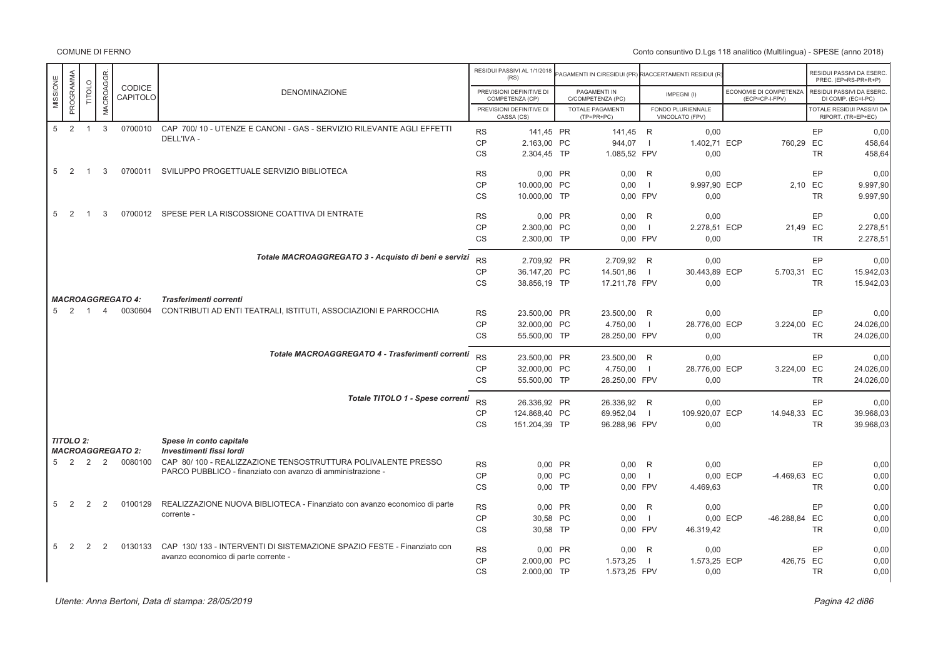|                       |                |                  |                          |                                                                           |           | RESIDUI PASSIVI AL 1/1/2018<br>(RS)         | PAGAMENTI IN C/RESIDUI (PR) RIACCERTAMENTI RESIDUI (R |                |                                      |          |                                          |           | RESIDUI PASSIVI DA ESERC<br>PREC. (EP=RS-PR+R+P)       |
|-----------------------|----------------|------------------|--------------------------|---------------------------------------------------------------------------|-----------|---------------------------------------------|-------------------------------------------------------|----------------|--------------------------------------|----------|------------------------------------------|-----------|--------------------------------------------------------|
| PROGRAMMA<br>MISSIONE | <b>TITOLO</b>  | <b>MACROAGGR</b> | CODICE<br>CAPITOLO       | <b>DENOMINAZIONE</b>                                                      |           | PREVISIONI DEFINITIVE DI<br>COMPETENZA (CP) | PAGAMENTI IN<br>C/COMPETENZA (PC)                     |                | IMPEGNI(I)                           |          | ECONOMIE DI COMPETENZA<br>(ECP=CP-I-FPV) |           | RESIDUI PASSIVI DA ESERC<br>DI COMP. (EC=I-PC)         |
|                       |                |                  |                          |                                                                           |           | PREVISIONI DEFINITIVE DI<br>CASSA (CS)      | <b>TOTALE PAGAMENTI</b><br>$(TP=PR+PC)$               |                | FONDO PLURIENNALE<br>VINCOLATO (FPV) |          |                                          |           | <b>TOTALE RESIDUI PASSIVI DA</b><br>RIPORT. (TR=EP+EC) |
| 2<br>5                | $\overline{1}$ | $\mathbf{3}$     | 0700010                  | CAP 700/10 - UTENZE E CANONI - GAS - SERVIZIO RILEVANTE AGLI EFFETTI      | <b>RS</b> | 141.45 PR                                   | 141.45 R                                              |                | 0.00                                 |          |                                          | EP        | 0.00                                                   |
|                       |                |                  |                          | DELL'IVA -                                                                | <b>CP</b> | 2.163,00 PC                                 | 944,07                                                | $\blacksquare$ | 1.402,71 ECP                         |          | 760,29 EC                                |           | 458,64                                                 |
|                       |                |                  |                          |                                                                           | <b>CS</b> | 2.304,45 TP                                 | 1.085,52 FPV                                          |                | 0,00                                 |          |                                          | <b>TR</b> | 458,64                                                 |
| 5<br>2                | $\overline{1}$ | 3                |                          | 0700011 SVILUPPO PROGETTUALE SERVIZIO BIBLIOTECA                          | <b>RS</b> | 0,00 PR                                     | 0.00                                                  | - R            | 0.00                                 |          |                                          | EP        | 0.00                                                   |
|                       |                |                  |                          |                                                                           | <b>CP</b> | 10.000,00 PC                                | 0.00                                                  | $\blacksquare$ | 9.997,90 ECP                         |          | 2.10 EC                                  |           | 9.997.90                                               |
|                       |                |                  |                          |                                                                           | <b>CS</b> | 10.000,00 TP                                | 0,00 FPV                                              |                | 0,00                                 |          |                                          | <b>TR</b> | 9.997,90                                               |
| 2<br>5                | $\overline{1}$ | 3                |                          | 0700012 SPESE PER LA RISCOSSIONE COATTIVA DI ENTRATE                      | <b>RS</b> | 0,00 PR                                     | 0,00                                                  | R              | 0.00                                 |          |                                          | EP        | 0.00                                                   |
|                       |                |                  |                          |                                                                           | CP        | 2.300.00 PC                                 | 0.00                                                  | $\blacksquare$ | 2.278.51 ECP                         |          | 21.49 EC                                 |           | 2.278.51                                               |
|                       |                |                  |                          |                                                                           | <b>CS</b> | 2.300,00 TP                                 | 0.00 FPV                                              |                | 0.00                                 |          |                                          | <b>TR</b> | 2.278,51                                               |
|                       |                |                  |                          | Totale MACROAGGREGATO 3 - Acquisto di beni e servizi                      | <b>RS</b> | 2.709,92 PR                                 | 2.709,92 R                                            |                | 0,00                                 |          |                                          | EP        | 0,00                                                   |
|                       |                |                  |                          |                                                                           | <b>CP</b> | 36.147,20 PC                                | 14.501,86                                             | $\blacksquare$ | 30.443,89 ECP                        |          | 5.703,31 EC                              |           | 15.942,03                                              |
|                       |                |                  |                          |                                                                           | <b>CS</b> | 38.856,19 TP                                |                                                       |                |                                      |          |                                          | <b>TR</b> | 15.942,03                                              |
|                       |                |                  |                          |                                                                           |           |                                             | 17.211,78 FPV                                         |                | 0,00                                 |          |                                          |           |                                                        |
|                       |                |                  | <b>MACROAGGREGATO 4:</b> | Trasferimenti correnti                                                    |           |                                             |                                                       |                |                                      |          |                                          |           |                                                        |
| $\overline{2}$<br>5   | $\overline{1}$ | $\overline{4}$   | 0030604                  | CONTRIBUTI AD ENTI TEATRALI, ISTITUTI, ASSOCIAZIONI E PARROCCHIA          | <b>RS</b> | 23.500,00 PR                                | 23.500,00 R                                           |                | 0,00                                 |          |                                          | EP        | 0,00                                                   |
|                       |                |                  |                          |                                                                           | <b>CP</b> | 32.000,00 PC                                | 4.750,00                                              | $\blacksquare$ | 28.776,00 ECP                        |          | 3.224,00 EC                              |           | 24.026,00                                              |
|                       |                |                  |                          |                                                                           | <b>CS</b> | 55.500,00 TP                                | 28.250,00 FPV                                         |                | 0,00                                 |          |                                          | <b>TR</b> | 24.026,00                                              |
|                       |                |                  |                          | Totale MACROAGGREGATO 4 - Trasferimenti correnti                          |           |                                             |                                                       |                |                                      |          |                                          |           |                                                        |
|                       |                |                  |                          |                                                                           | <b>RS</b> | 23.500,00 PR                                | 23.500,00 R                                           |                | 0,00                                 |          |                                          | EP        | 0.00                                                   |
|                       |                |                  |                          |                                                                           | <b>CP</b> | 32.000,00 PC                                | 4.750,00                                              | $\blacksquare$ | 28.776,00 ECP                        |          | 3.224,00 EC                              |           | 24.026,00                                              |
|                       |                |                  |                          |                                                                           | <b>CS</b> | 55.500,00 TP                                | 28.250,00 FPV                                         |                | 0,00                                 |          |                                          | <b>TR</b> | 24.026,00                                              |
|                       |                |                  |                          | Totale TITOLO 1 - Spese correnti                                          | <b>RS</b> | 26.336,92 PR                                | 26.336,92 R                                           |                | 0,00                                 |          |                                          | EP        | 0,00                                                   |
|                       |                |                  |                          |                                                                           | <b>CP</b> | 124.868,40 PC                               | 69.952,04                                             | - 11           | 109.920,07 ECP                       |          | 14.948,33 EC                             |           | 39.968,03                                              |
|                       |                |                  |                          |                                                                           | <b>CS</b> | 151.204,39 TP                               | 96.288,96 FPV                                         |                | 0,00                                 |          |                                          | <b>TR</b> | 39.968,03                                              |
| <b>TITOLO 2:</b>      |                |                  |                          | Spese in conto capitale                                                   |           |                                             |                                                       |                |                                      |          |                                          |           |                                                        |
|                       |                |                  | <b>MACROAGGREGATO 2:</b> | Investimenti fissi lordi                                                  |           |                                             |                                                       |                |                                      |          |                                          |           |                                                        |
| $\overline{2}$<br>5   | $\overline{2}$ | 2                | 0080100                  | CAP 80/100 - REALIZZAZIONE TENSOSTRUTTURA POLIVALENTE PRESSO              | <b>RS</b> | 0,00 PR                                     | 0,00                                                  | R              | 0,00                                 |          |                                          | EP        | 0,00                                                   |
|                       |                |                  |                          | PARCO PUBBLICO - finanziato con avanzo di amministrazione -               | <b>CP</b> | 0,00 PC                                     | 0,00                                                  | $\blacksquare$ |                                      | 0,00 ECP | -4.469,63 EC                             |           | 0,00                                                   |
|                       |                |                  |                          |                                                                           | <b>CS</b> | $0.00$ TP                                   | 0,00 FPV                                              |                | 4.469,63                             |          |                                          | <b>TR</b> | 0.00                                                   |
| 2<br>5                | 2              | 2                | 0100129                  | REALIZZAZIONE NUOVA BIBLIOTECA - Finanziato con avanzo economico di parte | <b>RS</b> | 0,00 PR                                     | 0,00                                                  | R              | 0,00                                 |          |                                          | EP        | 0,00                                                   |
|                       |                |                  |                          | corrente -                                                                | CP        | 30,58 PC                                    | 0,00                                                  | - 11           |                                      | 0,00 ECP | -46.288,84 EC                            |           | 0,00                                                   |
|                       |                |                  |                          |                                                                           | <b>CS</b> | 30,58 TP                                    | 0,00 FPV                                              |                | 46.319,42                            |          |                                          | <b>TR</b> | 0,00                                                   |
| 5<br>2                | 2              | 2                | 0130133                  | CAP 130/133 - INTERVENTI DI SISTEMAZIONE SPAZIO FESTE - Finanziato con    | <b>RS</b> | 0,00 PR                                     | 0,00                                                  | R              | 0,00                                 |          |                                          | EP        | 0,00                                                   |
|                       |                |                  |                          | avanzo economico di parte corrente -                                      | <b>CP</b> | 2.000,00 PC                                 | 1.573,25                                              | - 1            | 1.573,25 ECP                         |          | 426,75 EC                                |           | 0,00                                                   |
|                       |                |                  |                          |                                                                           | <b>CS</b> | 2.000,00 TP                                 | 1.573,25 FPV                                          |                | 0,00                                 |          |                                          | <b>TR</b> | 0.00                                                   |
|                       |                |                  |                          |                                                                           |           |                                             |                                                       |                |                                      |          |                                          |           |                                                        |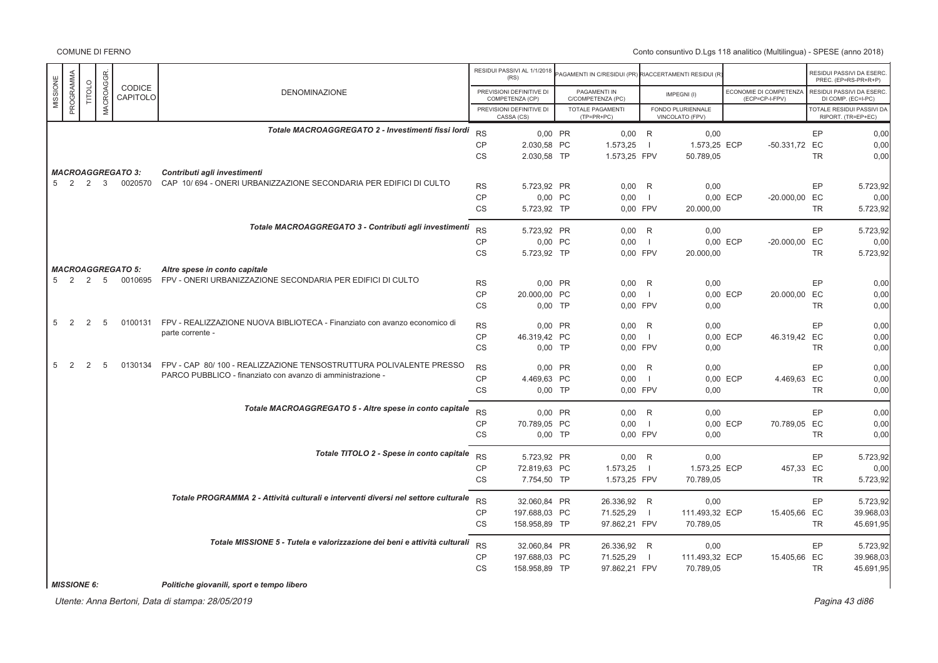Conto consuntivo D.Lgs 118 analitico (Multilingua) - SPESE (anno 2018)

|          |                    |                |                  |                                     |                                                                                                   |                 | RESIDUI PASSIVI AL 1/1/2018<br>(RS)         | AGAMENTI IN C/RESIDUI (PR) RIACCERTAMENTI RESIDUI (R) |              |                                      |          |                                          |           | RESIDUI PASSIVI DA ESERC<br>PREC. (EP=RS-PR+R+P) |
|----------|--------------------|----------------|------------------|-------------------------------------|---------------------------------------------------------------------------------------------------|-----------------|---------------------------------------------|-------------------------------------------------------|--------------|--------------------------------------|----------|------------------------------------------|-----------|--------------------------------------------------|
| MISSIONE | PROGRAMMA          | TITOLO         | <b>MACROAGGR</b> | CODICE<br>CAPITOLO                  | <b>DENOMINAZIONE</b>                                                                              |                 | PREVISIONI DEFINITIVE DI<br>COMPETENZA (CP) | PAGAMENTI IN<br>C/COMPETENZA (PC)                     |              | IMPEGNI(I)                           |          | ECONOMIE DI COMPETENZA<br>(ECP=CP-I-FPV) |           | RESIDUI PASSIVI DA ESERC<br>DI COMP. (EC=I-PC)   |
|          |                    |                |                  |                                     |                                                                                                   |                 | PREVISIONI DEFINITIVE DI<br>CASSA (CS)      | <b>TOTALE PAGAMENTI</b><br>(TP=PR+PC)                 |              | FONDO PLURIENNALE<br>VINCOLATO (FPV) |          |                                          |           | TOTALE RESIDUI PASSIVI DA<br>RIPORT. (TR=EP+EC)  |
|          |                    |                |                  |                                     | Totale MACROAGGREGATO 2 - Investimenti fissi lordi                                                | <b>RS</b>       | 0.00 PR                                     | $0,00$ R                                              |              | 0,00                                 |          |                                          | EP        | 0,00                                             |
|          |                    |                |                  |                                     |                                                                                                   | $\mathsf{CP}$   | 2.030,58 PC                                 | 1.573,25                                              | $\Box$       | 1.573,25 ECP                         |          | -50.331,72 EC                            |           | 0,00                                             |
|          |                    |                |                  |                                     |                                                                                                   | CS              | 2.030,58 TP                                 | 1.573,25 FPV                                          |              | 50.789,05                            |          |                                          | <b>TR</b> | 0,00                                             |
|          | 5 2 2              |                | $\mathbf{3}$     | <b>MACROAGGREGATO 3:</b><br>0020570 | Contributi agli investimenti<br>CAP 10/694 - ONERI URBANIZZAZIONE SECONDARIA PER EDIFICI DI CULTO |                 |                                             |                                                       |              |                                      |          |                                          |           |                                                  |
|          |                    |                |                  |                                     |                                                                                                   | <b>RS</b>       | 5.723,92 PR                                 | 0.00 R                                                |              | 0,00                                 |          |                                          | EP        | 5.723,92                                         |
|          |                    |                |                  |                                     |                                                                                                   | CP<br>CS        | 0,00 PC<br>5.723,92 TP                      | 0,00<br>0,00 FPV                                      | - 11         | 20.000,00                            | 0,00 ECP | -20.000,00 EC                            | <b>TR</b> | 0,00<br>5.723,92                                 |
|          |                    |                |                  |                                     |                                                                                                   |                 |                                             |                                                       |              |                                      |          |                                          |           |                                                  |
|          |                    |                |                  |                                     | Totale MACROAGGREGATO 3 - Contributi agli investimenti                                            | <b>RS</b>       | 5.723,92 PR                                 | $0,00$ R                                              |              | 0,00                                 |          |                                          | EP        | 5.723,92                                         |
|          |                    |                |                  |                                     |                                                                                                   | CP              | 0,00 PC                                     | 0,00                                                  | - 11         |                                      | 0,00 ECP | -20.000,00 EC                            |           | 0,00                                             |
|          |                    |                |                  |                                     |                                                                                                   | <b>CS</b>       | 5.723,92 TP                                 | 0,00 FPV                                              |              | 20.000,00                            |          |                                          | <b>TR</b> | 5.723,92                                         |
|          |                    |                |                  | <b>MACROAGGREGATO 5:</b>            | Altre spese in conto capitale                                                                     |                 |                                             |                                                       |              |                                      |          |                                          |           |                                                  |
|          | 5 2 2 5            |                |                  | 0010695                             | FPV - ONERI URBANIZZAZIONE SECONDARIA PER EDIFICI DI CULTO                                        | <b>RS</b>       | 0.00 PR                                     | $0,00$ R                                              |              | 0,00                                 |          |                                          | EP        | 0,00                                             |
|          |                    |                |                  |                                     |                                                                                                   | CP              | 20.000,00 PC                                | 0,00                                                  | - 1          |                                      | 0,00 ECP | 20.000,00 EC                             |           | 0,00                                             |
|          |                    |                |                  |                                     |                                                                                                   | CS              | $0,00$ TP                                   | 0,00 FPV                                              |              | 0,00                                 |          |                                          | TR        | 0,00                                             |
| 5        | $\overline{2}$     | $\overline{2}$ | 5                | 0100131                             | FPV - REALIZZAZIONE NUOVA BIBLIOTECA - Finanziato con avanzo economico di                         | <b>RS</b>       | 0,00 PR                                     | 0,00                                                  | R            | 0,00                                 |          |                                          | EP        | 0,00                                             |
|          |                    |                |                  |                                     | parte corrente -                                                                                  | CP              | 46.319,42 PC                                | 0,00                                                  | $\Box$       |                                      | 0,00 ECP | 46.319,42 EC                             |           | 0,00                                             |
|          |                    |                |                  |                                     |                                                                                                   | CS              | $0,00$ TP                                   | 0,00 FPV                                              |              | 0,00                                 |          |                                          | <b>TR</b> | 0,00                                             |
| 5        | $\overline{2}$     | 2              | 5                | 0130134                             | FPV - CAP 80/100 - REALIZZAZIONE TENSOSTRUTTURA POLIVALENTE PRESSO                                | <b>RS</b>       | 0,00 PR                                     | 0,00                                                  | R            | 0,00                                 |          |                                          | EP        | 0,00                                             |
|          |                    |                |                  |                                     | PARCO PUBBLICO - finanziato con avanzo di amministrazione -                                       | CP              | 4.469,63 PC                                 | 0,00                                                  | $\Box$       |                                      | 0,00 ECP | 4.469,63 EC                              |           | 0,00                                             |
|          |                    |                |                  |                                     |                                                                                                   | <b>CS</b>       | $0,00$ TP                                   | 0,00 FPV                                              |              | 0,00                                 |          |                                          | <b>TR</b> | 0,00                                             |
|          |                    |                |                  |                                     | Totale MACROAGGREGATO 5 - Altre spese in conto capitale                                           | <b>RS</b>       | 0.00 PR                                     | $0,00$ R                                              |              | 0,00                                 |          |                                          | EP        | 0,00                                             |
|          |                    |                |                  |                                     |                                                                                                   | <b>CP</b>       | 70.789,05 PC                                | 0,00                                                  | $\Box$       |                                      | 0,00 ECP | 70.789,05 EC                             |           | 0,00                                             |
|          |                    |                |                  |                                     |                                                                                                   | <b>CS</b>       | $0.00$ TP                                   | 0.00 FPV                                              |              | 0.00                                 |          |                                          | <b>TR</b> | 0,00                                             |
|          |                    |                |                  |                                     | Totale TITOLO 2 - Spese in conto capitale                                                         | <b>RS</b>       |                                             |                                                       |              |                                      |          |                                          |           |                                                  |
|          |                    |                |                  |                                     |                                                                                                   | <b>CP</b>       | 5.723,92 PR<br>72.819,63 PC                 | $0,00$ R<br>1.573,25                                  | $\Box$       | 0,00<br>1.573,25 ECP                 |          | 457,33 EC                                | EP        | 5.723,92<br>0,00                                 |
|          |                    |                |                  |                                     |                                                                                                   | CS              | 7.754,50 TP                                 | 1.573,25 FPV                                          |              | 70.789,05                            |          |                                          | <b>TR</b> | 5.723,92                                         |
|          |                    |                |                  |                                     | Totale PROGRAMMA 2 - Attività culturali e interventi diversi nel settore culturale                |                 |                                             |                                                       |              |                                      |          |                                          |           |                                                  |
|          |                    |                |                  |                                     |                                                                                                   | <b>RS</b>       | 32.060,84 PR                                | 26.336,92 R                                           |              | 0,00                                 |          |                                          | EP        | 5.723,92                                         |
|          |                    |                |                  |                                     |                                                                                                   | CP<br><b>CS</b> | 197.688,03 PC                               | 71.525,29                                             | $\mathbf{I}$ | 111.493,32 ECP                       |          | 15.405,66 EC                             | <b>TR</b> | 39.968,03                                        |
|          |                    |                |                  |                                     |                                                                                                   |                 | 158.958,89 TP                               | 97.862,21 FPV                                         |              | 70.789,05                            |          |                                          |           | 45.691,95                                        |
|          |                    |                |                  |                                     | Totale MISSIONE 5 - Tutela e valorizzazione dei beni e attività culturali                         | <b>RS</b>       | 32.060,84 PR                                | 26.336,92 R                                           |              | 0,00                                 |          |                                          | EP        | 5.723,92                                         |
|          |                    |                |                  |                                     |                                                                                                   | <b>CP</b>       | 197.688,03 PC                               | 71.525,29                                             | $\Box$       | 111.493,32 ECP                       |          | 15.405,66 EC                             |           | 39.968,03                                        |
|          |                    |                |                  |                                     |                                                                                                   | <b>CS</b>       | 158.958,89 TP                               | 97.862,21 FPV                                         |              | 70.789.05                            |          |                                          | <b>TR</b> | 45.691,95                                        |
|          | <b>MISSIONE 6:</b> |                |                  |                                     | Politiche giovanili, sport e tempo libero                                                         |                 |                                             |                                                       |              |                                      |          |                                          |           |                                                  |

*MISSIONE 6: Politiche giovanili, sport e tempo libero*

Utente: Anna Bertoni, Data di stampa: 28/05/2019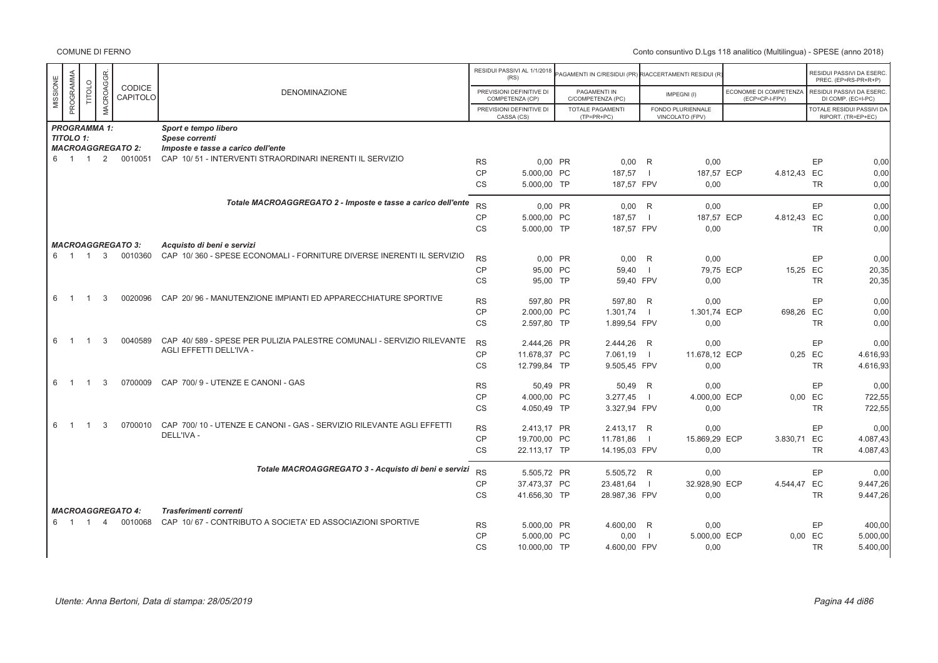|          |                            |                |                |                          |                                                                       |                 | RESIDUI PASSIVI AL 1/1/2018<br>(RS)         | AGAMENTI IN C/RESIDUI (PR) RIACCERTAMENTI RESIDUI (R) |                |                                      |                                          |           | RESIDUI PASSIVI DA ESERC.<br>PREC. (EP=RS-PR+R+P) |
|----------|----------------------------|----------------|----------------|--------------------------|-----------------------------------------------------------------------|-----------------|---------------------------------------------|-------------------------------------------------------|----------------|--------------------------------------|------------------------------------------|-----------|---------------------------------------------------|
| MISSIONE | PROGRAMMA                  | TITOLO         | MACROAGGR.     | CODICE<br>CAPITOLO       | <b>DENOMINAZIONE</b>                                                  |                 | PREVISIONI DEFINITIVE DI<br>COMPETENZA (CP) | PAGAMENTI IN<br>C/COMPETENZA (PC)                     |                | IMPEGNI(I)                           | ECONOMIE DI COMPETENZA<br>(ECP=CP-I-FPV) |           | RESIDUI PASSIVI DA ESERC.<br>DI COMP. (EC=I-PC)   |
|          |                            |                |                |                          |                                                                       |                 | PREVISIONI DEFINITIVE DI<br>CASSA (CS)      | <b>TOTALE PAGAMENTI</b><br>$(TP=PR+PC)$               |                | FONDO PLURIENNALE<br>VINCOLATO (FPV) |                                          |           | TOTALE RESIDUI PASSIVI DA<br>RIPORT. (TR=EP+EC)   |
|          | <b>PROGRAMMA 1:</b>        |                |                |                          | Sport e tempo libero                                                  |                 |                                             |                                                       |                |                                      |                                          |           |                                                   |
|          | <b>TITOLO 1:</b>           |                |                |                          | Spese correnti                                                        |                 |                                             |                                                       |                |                                      |                                          |           |                                                   |
|          |                            |                |                | <b>MACROAGGREGATO 2:</b> | Imposte e tasse a carico dell'ente                                    |                 |                                             |                                                       |                |                                      |                                          |           |                                                   |
|          | 6 1                        | $\overline{1}$ | 2              | 0010051                  | CAP 10/51 - INTERVENTI STRAORDINARI INERENTI IL SERVIZIO              | <b>RS</b>       | 0,00 PR                                     | 0,00                                                  | R              | 0,00                                 |                                          | EP        | 0,00                                              |
|          |                            |                |                |                          |                                                                       | CP              | 5.000.00 PC                                 | 187,57                                                | $\blacksquare$ | 187,57 ECP                           | 4.812,43 EC                              |           | 0,00                                              |
|          |                            |                |                |                          |                                                                       | <b>CS</b>       | 5.000.00 TP                                 | 187,57 FPV                                            |                | 0.00                                 |                                          | <b>TR</b> | 0,00                                              |
|          |                            |                |                |                          | Totale MACROAGGREGATO 2 - Imposte e tasse a carico dell'ente          |                 |                                             |                                                       |                |                                      |                                          |           |                                                   |
|          |                            |                |                |                          |                                                                       | <b>RS</b>       | 0,00 PR                                     | $0,00$ R                                              |                | 0,00                                 |                                          | EP        | 0,00                                              |
|          |                            |                |                |                          |                                                                       | <b>CP</b>       | 5.000.00 PC                                 | 187,57                                                | $\blacksquare$ | 187,57 ECP                           | 4.812,43 EC                              |           | 0,00                                              |
|          |                            |                |                |                          |                                                                       | <b>CS</b>       | 5.000,00 TP                                 | 187,57 FPV                                            |                | 0,00                                 |                                          | <b>TR</b> | 0,00                                              |
|          |                            |                |                | <b>MACROAGGREGATO 3:</b> | Acquisto di beni e servizi                                            |                 |                                             |                                                       |                |                                      |                                          |           |                                                   |
|          |                            |                |                | 6 1 1 3 0010360          | CAP 10/360 - SPESE ECONOMALI - FORNITURE DIVERSE INERENTI IL SERVIZIO | <b>RS</b>       | $0.00$ PR                                   | $0.00$ R                                              |                | 0.00                                 |                                          | EP        | 0.00                                              |
|          |                            |                |                |                          |                                                                       | CP              | 95.00 PC                                    | 59,40                                                 | - 1            | 79.75 ECP                            | 15,25 EC                                 |           | 20,35                                             |
|          |                            |                |                |                          |                                                                       | CS              | 95,00 TP                                    | 59,40 FPV                                             |                | 0,00                                 |                                          | <b>TR</b> | 20,35                                             |
|          |                            |                |                |                          |                                                                       |                 |                                             |                                                       |                |                                      |                                          |           |                                                   |
| 6        | $\overline{\phantom{0}}$ 1 | $\overline{1}$ | 3              | 0020096                  | CAP 20/96 - MANUTENZIONE IMPIANTI ED APPARECCHIATURE SPORTIVE         | <b>RS</b>       | 597,80 PR                                   | 597,80 R                                              |                | 0,00                                 |                                          | EP        | 0,00                                              |
|          |                            |                |                |                          |                                                                       | CP              | 2.000.00 PC                                 | 1.301,74                                              | $\blacksquare$ | 1.301.74 ECP                         | 698,26 EC                                |           | 0,00                                              |
|          |                            |                |                |                          |                                                                       | <b>CS</b>       | 2.597,80 TP                                 | 1.899,54 FPV                                          |                | 0,00                                 |                                          | <b>TR</b> | 0,00                                              |
| 6        | $\overline{1}$             | $\overline{1}$ | 3              | 0040589                  | CAP 40/589 - SPESE PER PULIZIA PALESTRE COMUNALI - SERVIZIO RILEVANTE | <b>RS</b>       | 2.444,26 PR                                 | 2.444,26 R                                            |                | 0,00                                 |                                          | EP        | 0,00                                              |
|          |                            |                |                |                          | AGLI EFFETTI DELL'IVA -                                               | <b>CP</b>       | 11.678,37 PC                                | 7.061,19                                              | $\blacksquare$ | 11.678,12 ECP                        |                                          | 0,25 EC   | 4.616,93                                          |
|          |                            |                |                |                          |                                                                       | CS              | 12.799,84 TP                                | 9.505,45 FPV                                          |                | 0,00                                 |                                          | <b>TR</b> | 4.616,93                                          |
|          |                            |                |                |                          |                                                                       |                 |                                             |                                                       |                |                                      |                                          |           |                                                   |
| 6        | $\overline{\phantom{0}}$   | $\overline{1}$ | 3              | 0700009                  | CAP 700/9 - UTENZE E CANONI - GAS                                     | <b>RS</b>       | 50,49 PR                                    | 50,49 R                                               |                | 0,00                                 |                                          | EP        | 0,00                                              |
|          |                            |                |                |                          |                                                                       | <b>CP</b>       | 4.000,00 PC                                 | 3.277,45                                              | $\overline{1}$ | 4.000,00 ECP                         |                                          | $0,00$ EC | 722,55                                            |
|          |                            |                |                |                          |                                                                       | <b>CS</b>       | 4.050.49 TP                                 | 3.327,94 FPV                                          |                | 0,00                                 |                                          | <b>TR</b> | 722,55                                            |
| 6        | $\overline{1}$             | $\overline{1}$ | 3              | 0700010                  | CAP 700/10 - UTENZE E CANONI - GAS - SERVIZIO RILEVANTE AGLI EFFETTI  | <b>RS</b>       | 2.413,17 PR                                 | 2.413,17 R                                            |                | 0,00                                 |                                          | EP        | 0,00                                              |
|          |                            |                |                |                          | DELL'IVA -                                                            | <b>CP</b>       | 19.700,00 PC                                | 11.781,86                                             | - 1            | 15.869,29 ECP                        | 3.830,71 EC                              |           | 4.087,43                                          |
|          |                            |                |                |                          |                                                                       | CS              | 22.113,17 TP                                | 14.195,03 FPV                                         |                | 0,00                                 |                                          | <b>TR</b> | 4.087,43                                          |
|          |                            |                |                |                          | Totale MACROAGGREGATO 3 - Acquisto di beni e servizi                  | <b>RS</b>       | 5.505,72 PR                                 | 5.505,72 R                                            |                | 0.00                                 |                                          | EP        | 0.00                                              |
|          |                            |                |                |                          |                                                                       | <b>CP</b>       | 37.473,37 PC                                | 23.481,64                                             | $\blacksquare$ | 32.928,90 ECP                        | 4.544,47 EC                              |           | 9.447,26                                          |
|          |                            |                |                |                          |                                                                       | CS              | 41.656,30 TP                                | 28.987,36 FPV                                         |                | 0,00                                 |                                          | <b>TR</b> | 9.447,26                                          |
|          |                            |                |                | <b>MACROAGGREGATO 4:</b> | Trasferimenti correnti                                                |                 |                                             |                                                       |                |                                      |                                          |           |                                                   |
|          | 6 1                        | $\overline{1}$ | $\overline{4}$ | 0010068                  | CAP 10/67 - CONTRIBUTO A SOCIETA' ED ASSOCIAZIONI SPORTIVE            |                 |                                             |                                                       |                |                                      |                                          | EP        |                                                   |
|          |                            |                |                |                          |                                                                       | <b>RS</b><br>CP | 5.000,00 PR<br>5.000,00 PC                  | 4.600,00 R<br>0,00                                    | $\overline{1}$ | 0,00<br>5.000,00 ECP                 |                                          | 0,00 EC   | 400,00<br>5.000,00                                |
|          |                            |                |                |                          |                                                                       | <b>CS</b>       | 10.000,00 TP                                | 4.600,00 FPV                                          |                | 0,00                                 |                                          | <b>TR</b> | 5.400,00                                          |
|          |                            |                |                |                          |                                                                       |                 |                                             |                                                       |                |                                      |                                          |           |                                                   |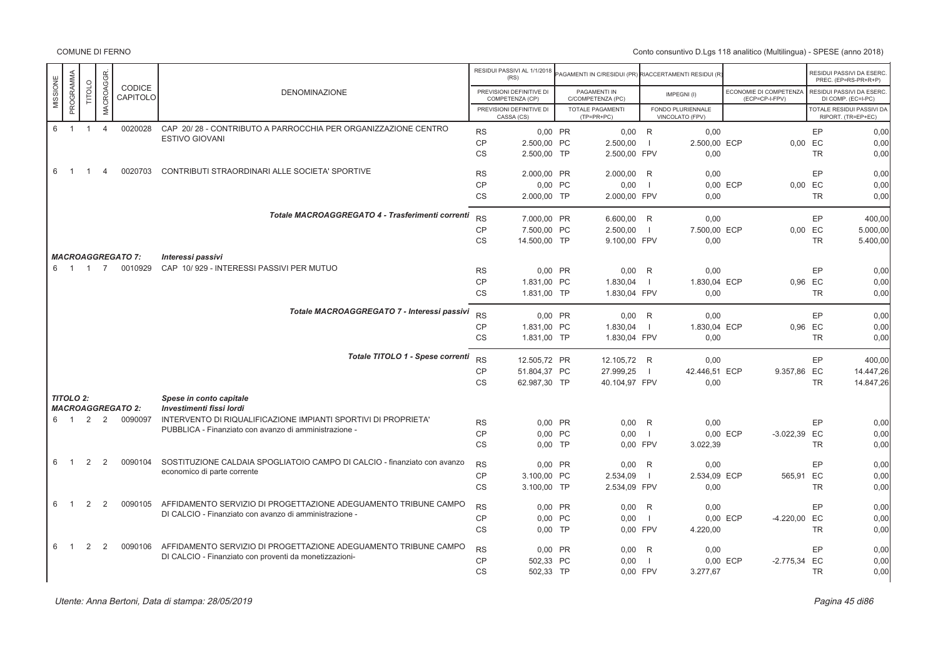COMUNE DI FERNO

|          |                  |                |                |                                     |                                                                                            |           | RESIDUI PASSIVI AL 1/1/2018<br>(RS)         | PAGAMENTI IN C/RESIDUI (PR) RIACCERTAMENTI RESIDUI (R |                          |                                      |                                          |                |           | RESIDUI PASSIVI DA ESERC<br>PREC. (EP=RS-PR+R+P) |
|----------|------------------|----------------|----------------|-------------------------------------|--------------------------------------------------------------------------------------------|-----------|---------------------------------------------|-------------------------------------------------------|--------------------------|--------------------------------------|------------------------------------------|----------------|-----------|--------------------------------------------------|
| MISSIONE | PROGRAMMA        | <b>TITOLO</b>  | MACROAGGR.     | CODICE<br>CAPITOLO                  | DENOMINAZIONE                                                                              |           | PREVISIONI DEFINITIVE DI<br>COMPETENZA (CP) | PAGAMENTI IN<br>C/COMPETENZA (PC)                     |                          | IMPEGNI(I)                           | ECONOMIE DI COMPETENZA<br>(ECP=CP-I-FPV) |                |           | RESIDUI PASSIVI DA ESERC<br>DI COMP. (EC=I-PC)   |
|          |                  |                |                |                                     |                                                                                            |           | PREVISIONI DEFINITIVE DI<br>CASSA (CS)      | TOTALE PAGAMENTI<br>$(TP=PR+PC)$                      |                          | FONDO PLURIENNALE<br>VINCOLATO (FPV) |                                          |                |           | TOTALE RESIDUI PASSIVI DA<br>RIPORT. (TR=EP+EC)  |
| 6        | $\overline{1}$   | $\overline{1}$ | $\overline{4}$ | 0020028                             | CAP 20/28 - CONTRIBUTO A PARROCCHIA PER ORGANIZZAZIONE CENTRO                              | <b>RS</b> | 0.00 PR                                     | $0,00$ R                                              |                          | 0,00                                 |                                          |                | EP        | 0,00                                             |
|          |                  |                |                |                                     | <b>ESTIVO GIOVANI</b>                                                                      | CP        | 2.500,00 PC                                 | 2.500,00                                              | - 11                     | 2.500,00 ECP                         |                                          | $0,00$ EC      |           | 0,00                                             |
|          |                  |                |                |                                     |                                                                                            | <b>CS</b> | 2.500,00 TP                                 | 2.500,00 FPV                                          |                          | 0,00                                 |                                          |                | <b>TR</b> | 0,00                                             |
| 6        | $\overline{1}$   | $\overline{1}$ | $\overline{4}$ | 0020703                             | CONTRIBUTI STRAORDINARI ALLE SOCIETA' SPORTIVE                                             | <b>RS</b> | 2.000,00 PR                                 | 2.000,00                                              | R                        | 0,00                                 |                                          |                | EP        | 0,00                                             |
|          |                  |                |                |                                     |                                                                                            | <b>CP</b> | 0,00 PC                                     | 0,00                                                  | $\blacksquare$           |                                      | 0,00 ECP                                 | 0,00 EC        |           | 0,00                                             |
|          |                  |                |                |                                     |                                                                                            | <b>CS</b> | 2.000,00 TP                                 | 2.000,00 FPV                                          |                          | 0.00                                 |                                          |                | <b>TR</b> | 0.00                                             |
|          |                  |                |                |                                     | Totale MACROAGGREGATO 4 - Trasferimenti correnti                                           | <b>RS</b> | 7.000,00 PR                                 | 6.600.00 R                                            |                          | 0.00                                 |                                          |                | EP        | 400.00                                           |
|          |                  |                |                |                                     |                                                                                            | CP        | 7.500,00 PC                                 | 2.500,00                                              | $\blacksquare$           | 7.500,00 ECP                         |                                          | $0,00$ EC      |           | 5.000,00                                         |
|          |                  |                |                |                                     |                                                                                            | <b>CS</b> | 14.500,00 TP                                | 9.100,00 FPV                                          |                          | 0,00                                 |                                          |                | <b>TR</b> | 5.400,00                                         |
|          |                  |                |                | <b>MACROAGGREGATO 7:</b>            | Interessi passivi                                                                          |           |                                             |                                                       |                          |                                      |                                          |                |           |                                                  |
|          | 6 1 1            |                | $\overline{7}$ | 0010929                             | CAP 10/929 - INTERESSI PASSIVI PER MUTUO                                                   | <b>RS</b> | 0.00 PR                                     | 0,00                                                  | R                        | 0,00                                 |                                          |                | EP        | 0,00                                             |
|          |                  |                |                |                                     |                                                                                            | CP        | 1.831,00 PC                                 | 1.830,04                                              | $\blacksquare$           | 1.830,04 ECP                         |                                          | 0,96 EC        |           | 0,00                                             |
|          |                  |                |                |                                     |                                                                                            | <b>CS</b> | 1.831,00 TP                                 | 1.830,04 FPV                                          |                          | 0.00                                 |                                          |                | <b>TR</b> | 0.00                                             |
|          |                  |                |                |                                     | Totale MACROAGGREGATO 7 - Interessi passivi                                                | <b>RS</b> | 0.00 PR                                     | $0.00$ R                                              |                          | 0.00                                 |                                          |                | EP        | 0.00                                             |
|          |                  |                |                |                                     |                                                                                            | <b>CP</b> | 1.831,00 PC                                 | 1.830,04                                              | - 1                      | 1.830,04 ECP                         |                                          | 0.96 EC        |           | 0.00                                             |
|          |                  |                |                |                                     |                                                                                            | <b>CS</b> | 1.831,00 TP                                 | 1.830,04 FPV                                          |                          | 0.00                                 |                                          |                | <b>TR</b> | 0.00                                             |
|          |                  |                |                |                                     | Totale TITOLO 1 - Spese correnti                                                           | <b>RS</b> | 12.505.72 PR                                | 12.105,72 R                                           |                          | 0,00                                 |                                          |                | EP        | 400,00                                           |
|          |                  |                |                |                                     |                                                                                            | <b>CP</b> | 51.804,37 PC                                | 27.999,25                                             | $\blacksquare$           | 42.446,51 ECP                        |                                          | 9.357,86 EC    |           | 14.447,26                                        |
|          |                  |                |                |                                     |                                                                                            | <b>CS</b> | 62.987,30 TP                                | 40.104,97 FPV                                         |                          | 0,00                                 |                                          |                | <b>TR</b> | 14.847,26                                        |
|          | <b>TITOLO 2:</b> |                |                |                                     | Spese in conto capitale                                                                    |           |                                             |                                                       |                          |                                      |                                          |                |           |                                                  |
|          |                  | 2              | 2              | <b>MACROAGGREGATO 2:</b><br>0090097 | Investimenti fissi lordi<br>INTERVENTO DI RIQUALIFICAZIONE IMPIANTI SPORTIVI DI PROPRIETA' |           |                                             |                                                       |                          |                                      |                                          |                |           |                                                  |
| 6 1      |                  |                |                |                                     | PUBBLICA - Finanziato con avanzo di amministrazione -                                      | <b>RS</b> | 0.00 PR                                     | 0.00                                                  | R                        | 0.00                                 |                                          |                | EP        | 0.00                                             |
|          |                  |                |                |                                     |                                                                                            | <b>CP</b> | 0,00 PC                                     | 0,00                                                  | $\blacksquare$           |                                      | 0,00 ECP                                 | $-3.022,39$ EC |           | 0,00                                             |
|          |                  |                |                |                                     |                                                                                            | <b>CS</b> | $0,00$ TP                                   | 0,00 FPV                                              |                          | 3.022,39                             |                                          |                | <b>TR</b> | 0,00                                             |
| 6        | $\overline{1}$   | 2              | 2              | 0090104                             | SOSTITUZIONE CALDAIA SPOGLIATOIO CAMPO DI CALCIO - finanziato con avanzo                   | <b>RS</b> | 0,00 PR                                     | 0,00                                                  | R                        | 0,00                                 |                                          |                | EP        | 0,00                                             |
|          |                  |                |                |                                     | economico di parte corrente                                                                | <b>CP</b> | 3.100,00 PC                                 | 2.534,09                                              | $\overline{\phantom{0}}$ | 2.534,09 ECP                         |                                          | 565,91 EC      |           | 0,00                                             |
|          |                  |                |                |                                     |                                                                                            | <b>CS</b> | 3.100,00 TP                                 | 2.534,09 FPV                                          |                          | 0,00                                 |                                          |                | <b>TR</b> | 0,00                                             |
| 6        | $\overline{1}$   | 2              | 2              | 0090105                             | AFFIDAMENTO SERVIZIO DI PROGETTAZIONE ADEGUAMENTO TRIBUNE CAMPO                            | <b>RS</b> | 0,00 PR                                     | 0,00                                                  | R                        | 0,00                                 |                                          |                | EP        | 0,00                                             |
|          |                  |                |                |                                     | DI CALCIO - Finanziato con avanzo di amministrazione -                                     | CP        | 0,00 PC                                     | 0,00                                                  | $\overline{\phantom{a}}$ |                                      | 0,00 ECP                                 | -4.220,00 EC   |           | 0,00                                             |
|          |                  |                |                |                                     |                                                                                            | <b>CS</b> | $0,00$ TP                                   | 0,00 FPV                                              |                          | 4.220,00                             |                                          |                | <b>TR</b> | 0,00                                             |
| 6        | $\overline{1}$   | 2              | 2              | 0090106                             | AFFIDAMENTO SERVIZIO DI PROGETTAZIONE ADEGUAMENTO TRIBUNE CAMPO                            | <b>RS</b> | 0,00 PR                                     | 0,00                                                  | R                        | 0,00                                 |                                          |                | EP        | 0,00                                             |
|          |                  |                |                |                                     | DI CALCIO - Finanziato con proventi da monetizzazioni-                                     | CP        | 502,33 PC                                   | 0,00                                                  | $\blacksquare$           |                                      | 0,00 ECP                                 | $-2.775,34$ EC |           | 0,00                                             |
|          |                  |                |                |                                     |                                                                                            | <b>CS</b> | 502,33 TP                                   | 0.00 FPV                                              |                          | 3.277,67                             |                                          |                | <b>TR</b> | 0.00                                             |
|          |                  |                |                |                                     |                                                                                            |           |                                             |                                                       |                          |                                      |                                          |                |           |                                                  |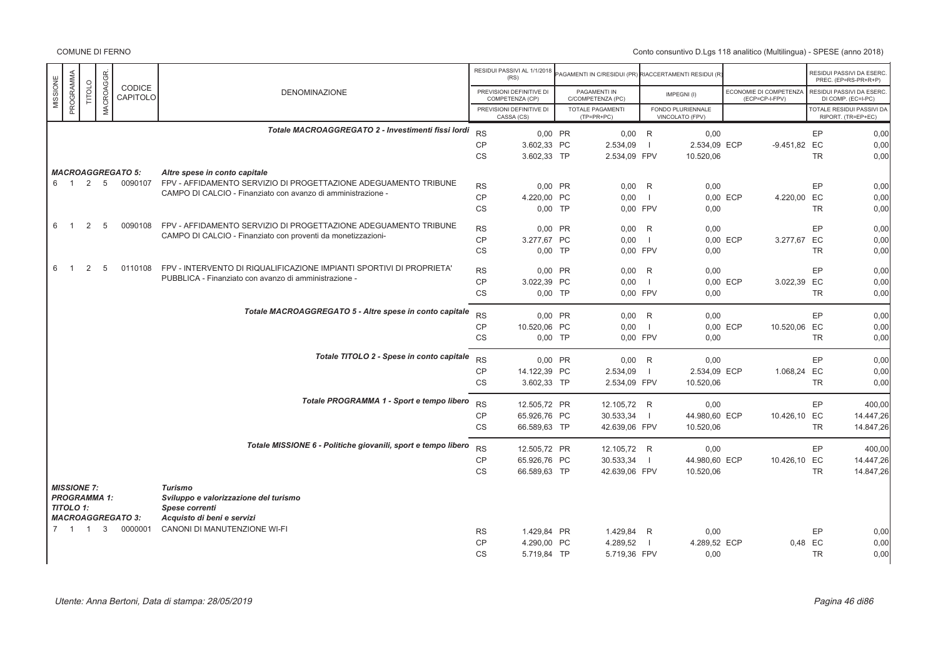|                       |               |                  |                           |                                                                      |                        | RESIDUI PASSIVI AL 1/1/2018<br>(RS)         | PAGAMENTI IN C/RESIDUI (PR) RIACCERTAMENTI RESIDUI (R |                     |                                      |          |                                          |           | RESIDUI PASSIVI DA ESERC<br>PREC. (EP=RS-PR+R+P)       |
|-----------------------|---------------|------------------|---------------------------|----------------------------------------------------------------------|------------------------|---------------------------------------------|-------------------------------------------------------|---------------------|--------------------------------------|----------|------------------------------------------|-----------|--------------------------------------------------------|
| PROGRAMMA<br>MISSIONE | <b>TITOLO</b> | <b>MACROAGGR</b> | <b>CODICE</b><br>CAPITOLO | <b>DENOMINAZIONE</b>                                                 |                        | PREVISIONI DEFINITIVE DI<br>COMPETENZA (CP) | PAGAMENTI IN<br>C/COMPETENZA (PC)                     |                     | IMPEGNI(I)                           |          | ECONOMIE DI COMPETENZA<br>(ECP=CP-I-FPV) |           | RESIDUI PASSIVI DA ESERC<br>DI COMP. (EC=I-PC)         |
|                       |               |                  |                           |                                                                      |                        | PREVISIONI DEFINITIVE DI<br>CASSA (CS)      | <b>TOTALE PAGAMENTI</b><br>$(TP=PR+PC)$               |                     | FONDO PLURIENNALE<br>VINCOLATO (FPV) |          |                                          |           | <b>TOTALE RESIDUI PASSIVI DA</b><br>RIPORT. (TR=EP+EC) |
|                       |               |                  |                           | Totale MACROAGGREGATO 2 - Investimenti fissi lordi                   | <b>RS</b>              | 0.00 PR                                     | $0.00$ R                                              |                     | 0.00                                 |          |                                          | EP        | 0,00                                                   |
|                       |               |                  |                           |                                                                      | <b>CP</b>              | 3.602,33 PC                                 | 2.534,09                                              | $\blacksquare$      | 2.534.09 ECP                         |          | -9.451,82 EC                             |           | 0.00                                                   |
|                       |               |                  |                           |                                                                      | <b>CS</b>              | 3.602.33 TP                                 | 2.534,09 FPV                                          |                     | 10.520,06                            |          |                                          | <b>TR</b> | 0.00                                                   |
|                       |               |                  | <b>MACROAGGREGATO 5:</b>  | Altre spese in conto capitale                                        |                        |                                             |                                                       |                     |                                      |          |                                          |           |                                                        |
| 6 1                   |               | 2 5              | 0090107                   | FPV - AFFIDAMENTO SERVIZIO DI PROGETTAZIONE ADEGUAMENTO TRIBUNE      | <b>RS</b>              | 0,00 PR                                     | $0,00$ R                                              |                     | 0,00                                 |          |                                          | EP        | 0,00                                                   |
|                       |               |                  |                           | CAMPO DI CALCIO - Finanziato con avanzo di amministrazione -         | <b>CP</b>              | 4.220,00 PC                                 | 0,00                                                  | $\blacksquare$      |                                      | 0.00 ECP | 4.220,00 EC                              |           | 0,00                                                   |
|                       |               |                  |                           |                                                                      | CS                     | $0,00$ TP                                   | 0,00 FPV                                              |                     | 0,00                                 |          |                                          | <b>TR</b> | 0,00                                                   |
| 6<br>$\overline{1}$   | 2             | 5                | 0090108                   | FPV - AFFIDAMENTO SERVIZIO DI PROGETTAZIONE ADEGUAMENTO TRIBUNE      |                        |                                             |                                                       |                     |                                      |          |                                          |           |                                                        |
|                       |               |                  |                           | CAMPO DI CALCIO - Finanziato con proventi da monetizzazioni-         | <b>RS</b><br><b>CP</b> | 0.00 PR<br>3.277.67 PC                      | 0.00<br>0.00                                          | R<br>$\blacksquare$ | 0.00                                 | 0.00 ECP |                                          | EP        | 0,00                                                   |
|                       |               |                  |                           |                                                                      | <b>CS</b>              | $0,00$ TP                                   | 0.00 FPV                                              |                     | 0,00                                 |          | 3.277,67 EC                              | <b>TR</b> | 0,00<br>0.00                                           |
|                       |               |                  |                           |                                                                      |                        |                                             |                                                       |                     |                                      |          |                                          |           |                                                        |
| 6<br>$\overline{1}$   | 2             | 5                | 0110108                   | FPV - INTERVENTO DI RIQUALIFICAZIONE IMPIANTI SPORTIVI DI PROPRIETA' | <b>RS</b>              | 0,00 PR                                     | 0,00                                                  | R                   | 0,00                                 |          |                                          | EP        | 0,00                                                   |
|                       |               |                  |                           | PUBBLICA - Finanziato con avanzo di amministrazione -                | <b>CP</b>              | 3.022,39 PC                                 | 0,00                                                  | $\blacksquare$      |                                      | 0,00 ECP | 3.022,39 EC                              |           | 0,00                                                   |
|                       |               |                  |                           |                                                                      | CS                     | $0,00$ TP                                   | 0,00 FPV                                              |                     | 0,00                                 |          |                                          | <b>TR</b> | 0,00                                                   |
|                       |               |                  |                           | Totale MACROAGGREGATO 5 - Altre spese in conto capitale              | <b>RS</b>              | 0,00 PR                                     | 0,00                                                  | R                   | 0.00                                 |          |                                          | EP        | 0,00                                                   |
|                       |               |                  |                           |                                                                      | <b>CP</b>              | 10.520,06 PC                                | 0,00                                                  | $\blacksquare$      |                                      | 0,00 ECP | 10.520,06 EC                             |           | 0,00                                                   |
|                       |               |                  |                           |                                                                      | <b>CS</b>              | $0,00$ TP                                   | 0,00 FPV                                              |                     | 0,00                                 |          |                                          | <b>TR</b> | 0.00                                                   |
|                       |               |                  |                           | Totale TITOLO 2 - Spese in conto capitale                            |                        |                                             |                                                       |                     |                                      |          |                                          |           |                                                        |
|                       |               |                  |                           |                                                                      | <b>RS</b>              | 0.00 PR                                     | $0,00$ R                                              |                     | 0,00                                 |          |                                          | EP        | 0,00                                                   |
|                       |               |                  |                           |                                                                      | CP<br>CS               | 14.122,39 PC<br>3.602,33 TP                 | 2.534,09<br>2.534,09 FPV                              | - 1                 | 2.534,09 ECP<br>10.520,06            |          | 1.068,24 EC                              | <b>TR</b> | 0,00<br>0,00                                           |
|                       |               |                  |                           |                                                                      |                        |                                             |                                                       |                     |                                      |          |                                          |           |                                                        |
|                       |               |                  |                           | Totale PROGRAMMA 1 - Sport e tempo libero                            | <b>RS</b>              | 12.505,72 PR                                | 12.105,72 R                                           |                     | 0,00                                 |          |                                          | EP        | 400,00                                                 |
|                       |               |                  |                           |                                                                      | <b>CP</b>              | 65.926,76 PC                                | 30.533,34                                             | $\blacksquare$      | 44.980,60 ECP                        |          | 10.426,10 EC                             |           | 14.447,26                                              |
|                       |               |                  |                           |                                                                      | CS                     | 66.589,63 TP                                | 42.639,06 FPV                                         |                     | 10.520,06                            |          |                                          | <b>TR</b> | 14.847,26                                              |
|                       |               |                  |                           | Totale MISSIONE 6 - Politiche giovanili, sport e tempo libero        | <b>RS</b>              | 12.505,72 PR                                | 12.105,72 R                                           |                     | 0,00                                 |          |                                          | EP        | 400,00                                                 |
|                       |               |                  |                           |                                                                      | <b>CP</b>              | 65.926,76 PC                                | 30.533,34                                             | $\blacksquare$      | 44.980,60 ECP                        |          | 10.426,10 EC                             |           | 14.447,26                                              |
|                       |               |                  |                           |                                                                      | CS                     | 66.589,63 TP                                | 42.639,06 FPV                                         |                     | 10.520,06                            |          |                                          | <b>TR</b> | 14.847,26                                              |
| <b>MISSIONE 7:</b>    |               |                  |                           | <b>Turismo</b>                                                       |                        |                                             |                                                       |                     |                                      |          |                                          |           |                                                        |
| <b>PROGRAMMA 1:</b>   |               |                  |                           | Sviluppo e valorizzazione del turismo                                |                        |                                             |                                                       |                     |                                      |          |                                          |           |                                                        |
| <b>TITOLO 1:</b>      |               |                  |                           | Spese correnti                                                       |                        |                                             |                                                       |                     |                                      |          |                                          |           |                                                        |
|                       |               |                  | <b>MACROAGGREGATO 3:</b>  | Acquisto di beni e servizi                                           |                        |                                             |                                                       |                     |                                      |          |                                          |           |                                                        |
| 7 1 1                 |               | 3                | 0000001                   | CANONI DI MANUTENZIONE WI-FI                                         | <b>RS</b>              | 1.429.84 PR                                 | 1.429.84                                              | R                   | 0,00                                 |          |                                          | EP        | 0,00                                                   |
|                       |               |                  |                           |                                                                      | CP                     | 4.290,00 PC                                 | 4.289,52                                              | - 1                 | 4.289,52 ECP                         |          | 0,48 EC                                  |           | 0,00                                                   |
|                       |               |                  |                           |                                                                      | <b>CS</b>              | 5.719,84 TP                                 | 5.719,36 FPV                                          |                     | 0,00                                 |          |                                          | <b>TR</b> | 0.00                                                   |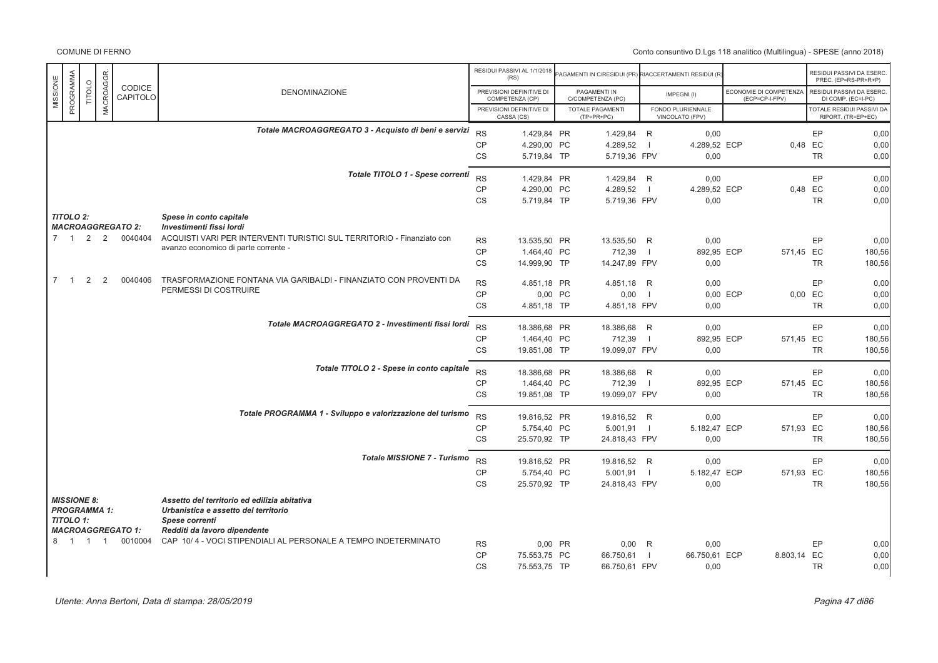|                                        |                            |                     |                          |                                                                                                        |                        | RESIDUI PASSIVI AL 1/1/2018<br>(RS)         | AGAMENTI IN C/RESIDUI (PR) RIACCERTAMENTI RESIDUI (R |                          |                                      |                                          |           | RESIDUI PASSIVI DA ESERC<br>PREC. (EP=RS-PR+R+P) |
|----------------------------------------|----------------------------|---------------------|--------------------------|--------------------------------------------------------------------------------------------------------|------------------------|---------------------------------------------|------------------------------------------------------|--------------------------|--------------------------------------|------------------------------------------|-----------|--------------------------------------------------|
| MISSIONE                               | PROGRAMMA<br><b>TITOLO</b> | <b>MACROAGGR</b>    | CODICE<br>CAPITOLO       | <b>DENOMINAZIONE</b>                                                                                   |                        | PREVISIONI DEFINITIVE DI<br>COMPETENZA (CP) | PAGAMENTI IN<br>C/COMPETENZA (PC)                    |                          | IMPEGNI(I)                           | ECONOMIE DI COMPETENZA<br>(ECP=CP-I-FPV) |           | RESIDUI PASSIVI DA ESERC.<br>DI COMP. (EC=I-PC)  |
|                                        |                            |                     |                          |                                                                                                        |                        | PREVISIONI DEFINITIVE DI<br>CASSA (CS)      | TOTALE PAGAMENTI<br>$(TP=PR+PC)$                     |                          | FONDO PLURIENNALE<br>VINCOLATO (FPV) |                                          |           | TOTALE RESIDUI PASSIVI DA<br>RIPORT. (TR=EP+EC)  |
|                                        |                            |                     |                          | Totale MACROAGGREGATO 3 - Acquisto di beni e servizi                                                   | <b>RS</b>              | 1.429,84 PR                                 | 1.429,84 R                                           |                          | 0,00                                 |                                          | EP        | 0,00                                             |
|                                        |                            |                     |                          |                                                                                                        | <b>CP</b>              | 4.290,00 PC                                 | 4.289,52                                             | $\overline{\phantom{0}}$ | 4.289,52 ECP                         |                                          | 0,48 EC   | 0,00                                             |
|                                        |                            |                     |                          |                                                                                                        | <b>CS</b>              | 5.719,84 TP                                 | 5.719,36 FPV                                         |                          | 0,00                                 |                                          | <b>TR</b> | 0,00                                             |
|                                        |                            |                     |                          | Totale TITOLO 1 - Spese correnti                                                                       | <b>RS</b>              | 1.429,84 PR                                 | 1.429,84 R                                           |                          | 0.00                                 |                                          | EP        | 0,00                                             |
|                                        |                            |                     |                          |                                                                                                        | CP                     | 4.290,00 PC                                 | 4.289,52                                             | $\blacksquare$           | 4.289,52 ECP                         |                                          | 0,48 EC   | 0,00                                             |
|                                        |                            |                     |                          |                                                                                                        | <b>CS</b>              | 5.719,84 TP                                 | 5.719,36 FPV                                         |                          | 0,00                                 |                                          | <b>TR</b> | 0,00                                             |
| <b>TITOLO 2:</b>                       |                            |                     | <b>MACROAGGREGATO 2:</b> | Spese in conto capitale<br>Investimenti fissi lordi                                                    |                        |                                             |                                                      |                          |                                      |                                          |           |                                                  |
| $7 \quad 1 \quad 2$                    |                            | 2                   | 0040404                  | ACQUISTI VARI PER INTERVENTI TURISTICI SUL TERRITORIO - Finanziato con                                 | <b>RS</b>              | 13.535,50 PR                                | 13.535,50 R                                          |                          | 0,00                                 |                                          | EP        | 0,00                                             |
|                                        |                            |                     |                          | avanzo economico di parte corrente -                                                                   | CP                     | 1.464,40 PC                                 | 712,39                                               | $\blacksquare$           | 892,95 ECP                           | 571,45 EC                                |           | 180,56                                           |
|                                        |                            |                     |                          |                                                                                                        | <b>CS</b>              | 14.999,90 TP                                | 14.247,89 FPV                                        |                          | 0,00                                 |                                          | <b>TR</b> | 180,56                                           |
| $7 \quad 1$                            | 2                          | 2                   | 0040406                  | TRASFORMAZIONE FONTANA VIA GARIBALDI - FINANZIATO CON PROVENTI DA                                      | <b>RS</b>              | 4.851,18 PR                                 | 4.851,18 R                                           |                          | 0,00                                 |                                          | <b>EP</b> | 0,00                                             |
|                                        |                            |                     |                          | PERMESSI DI COSTRUIRE                                                                                  | <b>CP</b>              | 0,00 PC                                     | 0,00                                                 | $\blacksquare$           |                                      | 0,00 ECP                                 | 0,00 EC   | 0,00                                             |
|                                        |                            |                     |                          |                                                                                                        | CS                     | 4.851,18 TP                                 | 4.851,18 FPV                                         |                          | 0,00                                 |                                          | <b>TR</b> | 0,00                                             |
|                                        |                            |                     |                          | Totale MACROAGGREGATO 2 - Investimenti fissi lordi                                                     | <b>RS</b>              | 18.386,68 PR                                | 18.386,68 R                                          |                          | 0.00                                 |                                          | EP        | 0,00                                             |
|                                        |                            |                     |                          |                                                                                                        | <b>CP</b>              | 1.464,40 PC                                 | 712,39                                               | $\blacksquare$           | 892,95 ECP                           | 571,45 EC                                |           | 180,56                                           |
|                                        |                            |                     |                          |                                                                                                        | <b>CS</b>              | 19.851,08 TP                                | 19.099,07 FPV                                        |                          | 0,00                                 |                                          | <b>TR</b> | 180,56                                           |
|                                        |                            |                     |                          | Totale TITOLO 2 - Spese in conto capitale                                                              |                        |                                             |                                                      |                          |                                      |                                          |           |                                                  |
|                                        |                            |                     |                          |                                                                                                        | <b>RS</b><br><b>CP</b> | 18.386,68 PR<br>1.464,40 PC                 | 18.386,68 R<br>712,39                                | $\blacksquare$           | 0,00<br>892,95 ECP                   | 571,45 EC                                | EP        | 0,00<br>180,56                                   |
|                                        |                            |                     |                          |                                                                                                        | <b>CS</b>              | 19.851,08 TP                                | 19.099,07 FPV                                        |                          | 0,00                                 |                                          | <b>TR</b> | 180,56                                           |
|                                        |                            |                     |                          |                                                                                                        |                        |                                             |                                                      |                          |                                      |                                          |           |                                                  |
|                                        |                            |                     |                          | Totale PROGRAMMA 1 - Sviluppo e valorizzazione del turismo                                             | <b>RS</b>              | 19.816,52 PR                                | 19.816,52 R                                          |                          | 0.00                                 |                                          | EP        | 0,00                                             |
|                                        |                            |                     |                          |                                                                                                        | <b>CP</b><br><b>CS</b> | 5.754,40 PC<br>25.570,92 TP                 | $5.001,91$  <br>24.818,43 FPV                        |                          | 5.182,47 ECP<br>0,00                 | 571,93 EC                                | <b>TR</b> | 180,56<br>180,56                                 |
|                                        |                            |                     |                          |                                                                                                        |                        |                                             |                                                      |                          |                                      |                                          |           |                                                  |
|                                        |                            |                     |                          | <b>Totale MISSIONE 7 - Turismo</b>                                                                     | <b>RS</b>              | 19.816,52 PR                                | 19.816,52 R                                          |                          | 0,00                                 |                                          | EP        | 0,00                                             |
|                                        |                            |                     |                          |                                                                                                        | CP                     | 5.754,40 PC                                 | 5.001,91                                             | $\blacksquare$           | 5.182,47 ECP                         | 571,93 EC                                |           | 180,56                                           |
|                                        |                            |                     |                          |                                                                                                        | CS                     | 25.570,92 TP                                | 24.818,43 FPV                                        |                          | 0,00                                 |                                          | <b>TR</b> | 180,56                                           |
| <b>MISSIONE 8:</b><br><b>TITOLO 1:</b> |                            | <b>PROGRAMMA 1:</b> |                          | Assetto del territorio ed edilizia abitativa<br>Urbanistica e assetto del territorio<br>Spese correnti |                        |                                             |                                                      |                          |                                      |                                          |           |                                                  |
|                                        |                            |                     | <b>MACROAGGREGATO 1:</b> | Redditi da lavoro dipendente                                                                           |                        |                                             |                                                      |                          |                                      |                                          |           |                                                  |
| 8 1 1                                  |                            | $\overline{1}$      | 0010004                  | CAP 10/4 - VOCI STIPENDIALI AL PERSONALE A TEMPO INDETERMINATO                                         | <b>RS</b>              | 0,00 PR                                     | $0,00$ R                                             |                          | 0,00                                 |                                          | EP        | 0,00                                             |
|                                        |                            |                     |                          |                                                                                                        | <b>CP</b>              | 75.553.75 PC                                | 66.750,61                                            | - 1                      | 66.750,61 ECP                        | 8.803,14 EC                              |           | 0,00                                             |
|                                        |                            |                     |                          |                                                                                                        | <b>CS</b>              | 75.553,75 TP                                | 66.750,61 FPV                                        |                          | 0,00                                 |                                          | <b>TR</b> | 0,00                                             |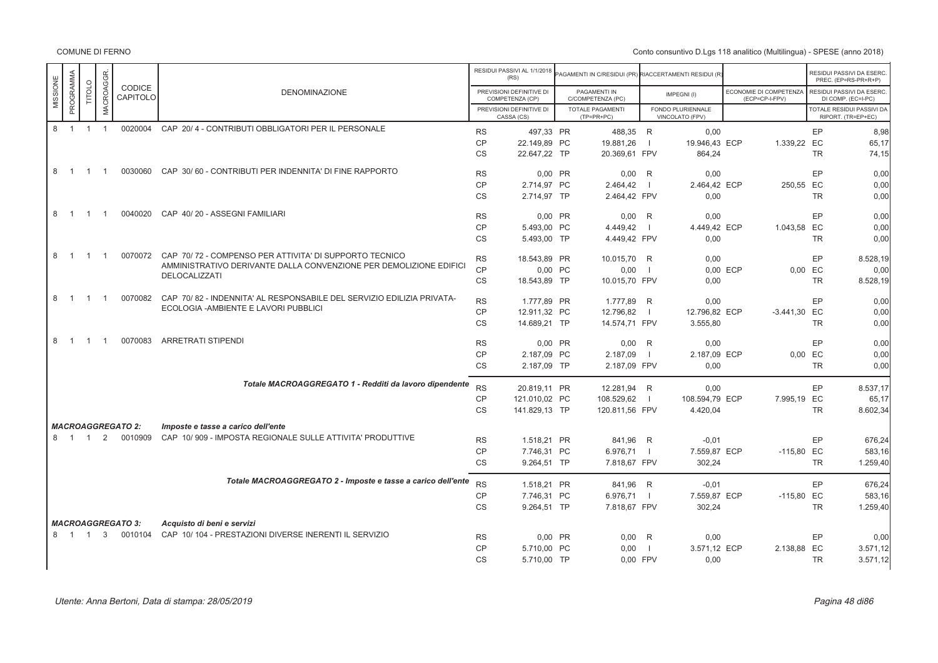|          |           |                |                  |                          |                                                                       |           | RESIDUI PASSIVI AL 1/1/2018<br>(RS)         | <b>PAGAMENTI IN C/RESIDUI (PR) RIACCERTAMENTI RESIDUI (R</b> |                |                                      |                                          | RESIDUI PASSIVI DA ESERC.<br>PREC. (EP=RS-PR+R+P) |           |
|----------|-----------|----------------|------------------|--------------------------|-----------------------------------------------------------------------|-----------|---------------------------------------------|--------------------------------------------------------------|----------------|--------------------------------------|------------------------------------------|---------------------------------------------------|-----------|
| MISSIONE | PROGRAMMA | TITOLO         | <b>MACROAGGR</b> | CODICE<br>CAPITOLO       | <b>DENOMINAZIONE</b>                                                  |           | PREVISIONI DEFINITIVE DI<br>COMPETENZA (CP) | PAGAMENTI IN<br>C/COMPETENZA (PC)                            |                | IMPEGNI(I)                           | ECONOMIE DI COMPETENZA<br>(ECP=CP-I-FPV) | RESIDUI PASSIVI DA ESERC.<br>DI COMP. (EC=I-PC)   |           |
|          |           |                |                  |                          |                                                                       |           | PREVISIONI DEFINITIVE DI<br>CASSA (CS)      | TOTALE PAGAMENTI<br>$(TP=PR+PC)$                             |                | FONDO PLURIENNALE<br>VINCOLATO (FPV) |                                          | TOTALE RESIDUI PASSIVI DA<br>RIPORT. (TR=EP+EC)   |           |
|          | 8 1 1     |                | $\overline{1}$   |                          | 0020004 CAP 20/4 - CONTRIBUTI OBBLIGATORI PER IL PERSONALE            | <b>RS</b> | 497,33 PR                                   | 488,35 R                                                     |                | 0,00                                 |                                          | EP                                                | 8,98      |
|          |           |                |                  |                          |                                                                       | <b>CP</b> | 22.149,89 PC                                | 19.881,26                                                    | $\blacksquare$ | 19.946,43 ECP                        | 1.339,22 EC                              |                                                   | 65,17     |
|          |           |                |                  |                          |                                                                       | CS        | 22.647.22 TP                                | 20.369.61 FPV                                                |                | 864.24                               |                                          | <b>TR</b>                                         | 74,15     |
|          | 8 1       | $\overline{1}$ | $\overline{1}$   |                          | 0030060 CAP 30/60 - CONTRIBUTI PER INDENNITA' DI FINE RAPPORTO        | <b>RS</b> | 0.00 PR                                     | $0.00$ R                                                     |                | 0.00                                 |                                          | EP                                                | 0.00      |
|          |           |                |                  |                          |                                                                       | <b>CP</b> | 2.714,97 PC                                 | 2.464,42                                                     | $\blacksquare$ | 2.464,42 ECP                         | 250,55 EC                                |                                                   | 0,00      |
|          |           |                |                  |                          |                                                                       | <b>CS</b> | 2.714,97 TP                                 | 2.464,42 FPV                                                 |                | 0,00                                 |                                          | <b>TR</b>                                         | 0,00      |
|          | 8 1       | $\overline{1}$ | $\overline{1}$   |                          | 0040020 CAP 40/20 - ASSEGNI FAMILIARI                                 | <b>RS</b> | 0,00 PR                                     | $0,00$ R                                                     |                | 0,00                                 |                                          | EP                                                | 0,00      |
|          |           |                |                  |                          |                                                                       | CP        | 5.493,00 PC                                 | 4.449,42                                                     |                | 4.449,42 ECP                         | 1.043,58 EC                              |                                                   | 0,00      |
|          |           |                |                  |                          |                                                                       | <b>CS</b> | 5.493,00 TP                                 | 4.449,42 FPV                                                 |                | 0,00                                 |                                          | TR                                                | 0,00      |
|          | 8 1       | $\overline{1}$ | $\overline{1}$   |                          | 0070072 CAP 70/72 - COMPENSO PER ATTIVITA' DI SUPPORTO TECNICO        | <b>RS</b> | 18.543,89 PR                                | 10.015,70 R                                                  |                | 0,00                                 |                                          | EP                                                | 8.528,19  |
|          |           |                |                  |                          | AMMINISTRATIVO DERIVANTE DALLA CONVENZIONE PER DEMOLIZIONE EDIFICI    | CP        | 0,00 PC                                     | 0,00                                                         | $\blacksquare$ |                                      | 0.00 ECP                                 | 0,00 EC                                           | 0.00      |
|          |           |                |                  |                          | DELOCALIZZATI                                                         | CS        | 18.543,89 TP                                | 10.015,70 FPV                                                |                | 0,00                                 |                                          | <b>TR</b>                                         | 8.528,19  |
|          | 8 1       | $\overline{1}$ | $\overline{1}$   | 0070082                  | CAP 70/82 - INDENNITA' AL RESPONSABILE DEL SERVIZIO EDILIZIA PRIVATA- | <b>RS</b> | 1.777,89 PR                                 | 1.777,89 R                                                   |                | 0,00                                 |                                          | EP                                                | 0,00      |
|          |           |                |                  |                          | ECOLOGIA - AMBIENTE E LAVORI PUBBLICI                                 | <b>CP</b> | 12.911,32 PC                                | 12.796,82                                                    | $\blacksquare$ | 12.796,82 ECP                        | $-3.441,30$ EC                           |                                                   | 0,00      |
|          |           |                |                  |                          |                                                                       | <b>CS</b> | 14.689,21 TP                                | 14.574,71 FPV                                                |                | 3.555,80                             |                                          | <b>TR</b>                                         | 0,00      |
|          | 8 1       | $\overline{1}$ | $\overline{1}$   | 0070083                  | <b>ARRETRATI STIPENDI</b>                                             | <b>RS</b> | 0,00 PR                                     | $0,00$ R                                                     |                | 0,00                                 |                                          | EP                                                | 0,00      |
|          |           |                |                  |                          |                                                                       | <b>CP</b> | 2.187,09 PC                                 | 2.187,09                                                     | $\blacksquare$ | 2.187,09 ECP                         |                                          | 0,00 EC                                           | 0,00      |
|          |           |                |                  |                          |                                                                       | <b>CS</b> | 2.187,09 TP                                 | 2.187,09 FPV                                                 |                | 0.00                                 |                                          | <b>TR</b>                                         | 0,00      |
|          |           |                |                  |                          | Totale MACROAGGREGATO 1 - Redditi da lavoro dipendente                | <b>RS</b> | 20.819,11 PR                                | 12.281,94 R                                                  |                | 0.00                                 |                                          | EP                                                | 8.537,17  |
|          |           |                |                  |                          |                                                                       | <b>CP</b> | 121.010,02 PC                               | 108.529,62                                                   | $\Box$         | 108.594,79 ECP                       | 7.995,19 EC                              |                                                   | 65,17     |
|          |           |                |                  |                          |                                                                       | <b>CS</b> | 141.829,13 TP                               | 120.811,56 FPV                                               |                | 4.420,04                             |                                          | <b>TR</b>                                         | 8.602,34  |
|          |           |                |                  | <b>MACROAGGREGATO 2:</b> | Imposte e tasse a carico dell'ente                                    |           |                                             |                                                              |                |                                      |                                          |                                                   |           |
|          | 8 1 1     |                |                  | 2 0010909                | CAP 10/909 - IMPOSTA REGIONALE SULLE ATTIVITA' PRODUTTIVE             | <b>RS</b> | 1.518,21 PR                                 | 841,96 R                                                     |                | $-0.01$                              |                                          | EP                                                | 676,24    |
|          |           |                |                  |                          |                                                                       | <b>CP</b> | 7.746,31 PC                                 | 6.976,71                                                     |                | 7.559,87 ECP                         | $-115,80$ EC                             |                                                   | 583,16    |
|          |           |                |                  |                          |                                                                       | CS        | 9.264,51 TP                                 | 7.818,67 FPV                                                 |                | 302,24                               |                                          | <b>TR</b>                                         | 1.259,40  |
|          |           |                |                  |                          | Totale MACROAGGREGATO 2 - Imposte e tasse a carico dell'ente          | <b>RS</b> | 1.518,21 PR                                 | 841,96 R                                                     |                | $-0.01$                              |                                          | EP                                                | 676,24    |
|          |           |                |                  |                          |                                                                       | <b>CP</b> | 7.746,31 PC                                 | 6.976,71                                                     |                | 7.559,87 ECP                         | $-115,80$ EC                             |                                                   | 583,16    |
|          |           |                |                  |                          |                                                                       | <b>CS</b> | 9.264,51 TP                                 | 7.818,67 FPV                                                 |                | 302,24                               |                                          | <b>TR</b>                                         | 1.259,40  |
|          |           |                |                  | <b>MACROAGGREGATO 3:</b> | Acquisto di beni e servizi                                            |           |                                             |                                                              |                |                                      |                                          |                                                   |           |
|          | 8 1 1     |                | 3                | 0010104                  | CAP 10/104 - PRESTAZIONI DIVERSE INERENTI IL SERVIZIO                 | <b>RS</b> | 0,00 PR                                     | $0,00$ R                                                     |                | 0,00                                 |                                          | EP                                                | 0,00      |
|          |           |                |                  |                          |                                                                       | CP        | 5.710,00 PC                                 | 0,00                                                         | - 1            | 3.571,12 ECP                         | 2.138,88 EC                              |                                                   | 3.571, 12 |
|          |           |                |                  |                          |                                                                       | <b>CS</b> | 5.710,00 TP                                 | 0,00 FPV                                                     |                | 0,00                                 |                                          | <b>TR</b>                                         | 3.571, 12 |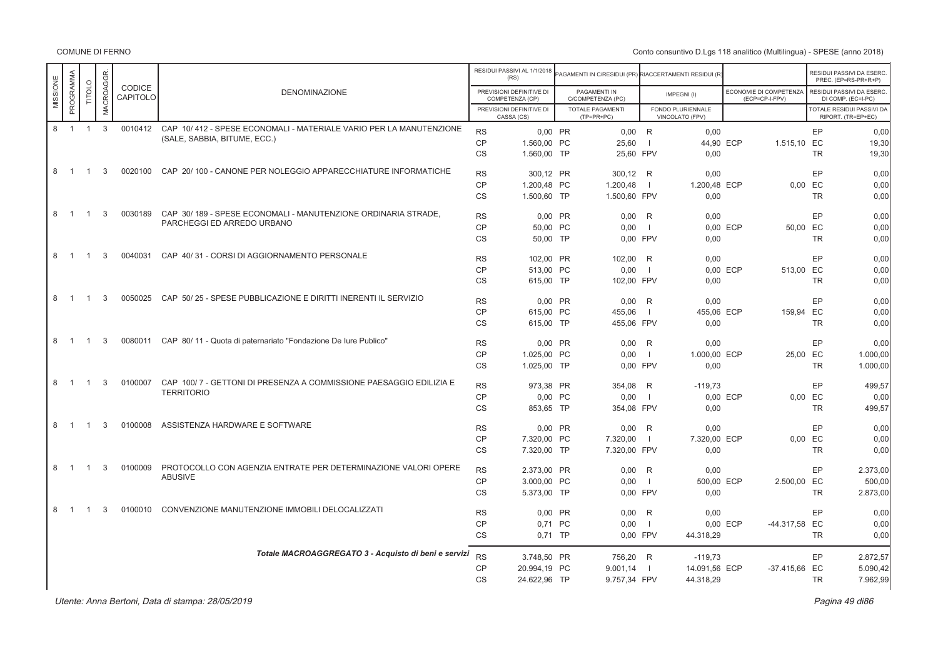COMUNE DI FERNO

|                               |                |           |                    |                                                                        |           | RESIDUI PASSIVI AL 1/1/2018<br>(RS)         | AGAMENTI IN C/RESIDUI (PR) RIACCERTAMENTI RESIDUI (R |                          |                                      |          |                                          |           | RESIDUI PASSIVI DA ESERC<br>PREC. (EP=RS-PR+R+P)       |
|-------------------------------|----------------|-----------|--------------------|------------------------------------------------------------------------|-----------|---------------------------------------------|------------------------------------------------------|--------------------------|--------------------------------------|----------|------------------------------------------|-----------|--------------------------------------------------------|
| PROGRAMMA<br>MISSIONE         | TITOLO         | MACROAGGR | CODICE<br>CAPITOLO | <b>DENOMINAZIONE</b>                                                   |           | PREVISIONI DEFINITIVE DI<br>COMPETENZA (CP) | PAGAMENTI IN<br>C/COMPETENZA (PC)                    |                          | IMPEGNI(I)                           |          | ECONOMIE DI COMPETENZA<br>(ECP=CP-I-FPV) |           | RESIDUI PASSIVI DA ESERC<br>DI COMP. (EC=I-PC)         |
|                               |                |           |                    |                                                                        |           | PREVISIONI DEFINITIVE DI<br>CASSA (CS)      | <b>TOTALE PAGAMENTI</b><br>$(TP=PR+PC)$              |                          | FONDO PLURIENNALE<br>VINCOLATO (FPV) |          |                                          |           | <b>TOTALE RESIDUI PASSIVI DA</b><br>RIPORT. (TR=EP+EC) |
| 8<br>$\overline{1}$           | $\overline{1}$ | 3         | 0010412            | CAP 10/412 - SPESE ECONOMALI - MATERIALE VARIO PER LA MANUTENZIONE     | <b>RS</b> | 0,00 PR                                     | $0,00$ R                                             |                          | 0.00                                 |          |                                          | EP        | 0.00                                                   |
|                               |                |           |                    | (SALE, SABBIA, BITUME, ECC.)                                           | CP        | 1.560,00 PC                                 | 25,60                                                | $\overline{\phantom{a}}$ | 44,90 ECP                            |          | 1.515,10 EC                              |           | 19,30                                                  |
|                               |                |           |                    |                                                                        | <b>CS</b> | 1.560,00 TP                                 | 25.60 FPV                                            |                          | 0.00                                 |          |                                          | <b>TR</b> | 19,30                                                  |
| 8 1                           | $\overline{1}$ | 3         | 0020100            | CAP 20/100 - CANONE PER NOLEGGIO APPARECCHIATURE INFORMATICHE          | <b>RS</b> | 300,12 PR                                   | 300,12 R                                             |                          | 0,00                                 |          |                                          | EP        | 0,00                                                   |
|                               |                |           |                    |                                                                        | <b>CP</b> | 1.200,48 PC                                 | 1.200,48                                             | $\overline{\phantom{0}}$ | 1.200,48 ECP                         |          | 0,00 EC                                  |           | 0,00                                                   |
|                               |                |           |                    |                                                                        | <b>CS</b> | 1.500,60 TP                                 | 1.500,60 FPV                                         |                          | 0,00                                 |          |                                          | <b>TR</b> | 0,00                                                   |
| 8<br>$\overline{1}$           | $\overline{1}$ | 3         | 0030189            | CAP 30/189 - SPESE ECONOMALI - MANUTENZIONE ORDINARIA STRADE,          | <b>RS</b> | 0.00 PR                                     | 0.00                                                 | R                        | 0.00                                 |          |                                          | EP        | 0,00                                                   |
|                               |                |           |                    | PARCHEGGI ED ARREDO URBANO                                             | <b>CP</b> | 50,00 PC                                    | 0,00                                                 | - 1                      |                                      | 0,00 ECP | 50,00 EC                                 |           | 0,00                                                   |
|                               |                |           |                    |                                                                        | <b>CS</b> | 50,00 TP                                    | 0,00 FPV                                             |                          | 0,00                                 |          |                                          | <b>TR</b> | 0,00                                                   |
| 8<br>- 1                      | $\overline{1}$ | 3         | 0040031            | CAP 40/31 - CORSI DI AGGIORNAMENTO PERSONALE                           |           |                                             |                                                      |                          |                                      |          |                                          |           |                                                        |
|                               |                |           |                    |                                                                        | <b>RS</b> | 102,00 PR                                   | 102,00                                               | R                        | 0,00                                 |          |                                          | EP        | 0,00                                                   |
|                               |                |           |                    |                                                                        | <b>CP</b> | 513,00 PC                                   | 0,00                                                 | $\blacksquare$           |                                      | 0.00 ECP | 513,00 EC                                |           | 0,00                                                   |
|                               |                |           |                    |                                                                        | <b>CS</b> | 615,00 TP                                   | 102,00 FPV                                           |                          | 0,00                                 |          |                                          | <b>TR</b> | 0,00                                                   |
| 8<br>$\overline{\phantom{1}}$ | $\overline{1}$ | 3         | 0050025            | CAP 50/25 - SPESE PUBBLICAZIONE E DIRITTI INERENTI IL SERVIZIO         | <b>RS</b> | 0,00 PR                                     | 0.00                                                 | R                        | 0.00                                 |          |                                          | EP        | 0,00                                                   |
|                               |                |           |                    |                                                                        | <b>CP</b> | 615,00 PC                                   | 455,06                                               | $\overline{\phantom{0}}$ | 455,06 ECP                           |          | 159,94 EC                                |           | 0,00                                                   |
|                               |                |           |                    |                                                                        | <b>CS</b> | 615,00 TP                                   | 455,06 FPV                                           |                          | 0,00                                 |          |                                          | <b>TR</b> | 0,00                                                   |
| 8<br>- 1                      | $\overline{1}$ | 3         |                    | 0080011 CAP 80/11 - Quota di paternariato "Fondazione De Iure Publico" | <b>RS</b> | 0,00 PR                                     | 0.00                                                 | R                        | 0,00                                 |          |                                          | EP        | 0,00                                                   |
|                               |                |           |                    |                                                                        | <b>CP</b> | 1.025,00 PC                                 | 0,00                                                 | $\blacksquare$           | 1.000,00 ECP                         |          | 25,00 EC                                 |           | 1.000,00                                               |
|                               |                |           |                    |                                                                        | <b>CS</b> | 1.025,00 TP                                 | 0,00 FPV                                             |                          | 0,00                                 |          |                                          | <b>TR</b> | 1.000,00                                               |
| 8<br>$\overline{1}$           | $\overline{1}$ | 3         | 0100007            | CAP 100/7 - GETTONI DI PRESENZA A COMMISSIONE PAESAGGIO EDILIZIA E     | <b>RS</b> | 973.38 PR                                   | 354.08                                               | R                        | $-119.73$                            |          |                                          | EP        | 499.57                                                 |
|                               |                |           |                    | <b>TERRITORIO</b>                                                      | CP        | 0,00 PC                                     | 0,00                                                 | $\blacksquare$           |                                      | 0,00 ECP | 0,00 EC                                  |           | 0,00                                                   |
|                               |                |           |                    |                                                                        | <b>CS</b> | 853,65 TP                                   | 354,08 FPV                                           |                          | 0,00                                 |          |                                          | <b>TR</b> | 499,57                                                 |
| 8<br>- 1                      | $\overline{1}$ | 3         | 0100008            | ASSISTENZA HARDWARE E SOFTWARE                                         | <b>RS</b> | 0,00 PR                                     | 0,00                                                 | R                        | 0,00                                 |          |                                          | EP        | 0,00                                                   |
|                               |                |           |                    |                                                                        | CP        | 7.320,00 PC                                 | 7.320,00                                             | $\overline{\phantom{0}}$ | 7.320,00 ECP                         |          | 0,00 EC                                  |           | 0.00                                                   |
|                               |                |           |                    |                                                                        | <b>CS</b> | 7.320,00 TP                                 | 7.320,00 FPV                                         |                          | 0,00                                 |          |                                          | <b>TR</b> | 0,00                                                   |
| 8<br>$\overline{1}$           | $\overline{1}$ | 3         | 0100009            | PROTOCOLLO CON AGENZIA ENTRATE PER DETERMINAZIONE VALORI OPERE         | <b>RS</b> | 2.373.00 PR                                 | 0.00                                                 |                          |                                      |          |                                          | EP        |                                                        |
|                               |                |           |                    | <b>ABUSIVE</b>                                                         |           |                                             |                                                      | R                        | 0.00                                 |          |                                          |           | 2.373,00                                               |
|                               |                |           |                    |                                                                        | <b>CP</b> | 3.000,00 PC                                 | 0,00                                                 | $\blacksquare$           | 500,00 ECP                           |          | 2.500,00 EC                              |           | 500,00                                                 |
|                               |                |           |                    |                                                                        | <b>CS</b> | 5.373,00 TP                                 | 0,00 FPV                                             |                          | 0,00                                 |          |                                          | <b>TR</b> | 2.873,00                                               |
| 8<br>- 1                      |                | 3         | 0100010            | CONVENZIONE MANUTENZIONE IMMOBILI DELOCALIZZATI                        | <b>RS</b> | 0,00 PR                                     | 0,00                                                 | $\mathsf{R}$             | 0,00                                 |          |                                          | EP        | 0,00                                                   |
|                               |                |           |                    |                                                                        | CP        | 0,71 PC                                     | 0,00                                                 | $\blacksquare$           |                                      | 0.00 ECP | -44.317,58 EC                            |           | 0.00                                                   |
|                               |                |           |                    |                                                                        | <b>CS</b> | 0,71 TP                                     | 0,00 FPV                                             |                          | 44.318,29                            |          |                                          | <b>TR</b> | 0,00                                                   |
|                               |                |           |                    | Totale MACROAGGREGATO 3 - Acquisto di beni e servizi                   | <b>RS</b> | 3.748,50 PR                                 | 756,20                                               | R                        | $-119,73$                            |          |                                          | EP        | 2.872,57                                               |
|                               |                |           |                    |                                                                        | <b>CP</b> | 20.994,19 PC                                | 9.001,14                                             | $\blacksquare$           | 14.091,56 ECP                        |          | -37.415,66 EC                            |           | 5.090,42                                               |
|                               |                |           |                    |                                                                        | <b>CS</b> | 24.622,96 TP                                | 9.757,34 FPV                                         |                          | 44.318,29                            |          |                                          | <b>TR</b> | 7.962,99                                               |
|                               |                |           |                    |                                                                        |           |                                             |                                                      |                          |                                      |          |                                          |           |                                                        |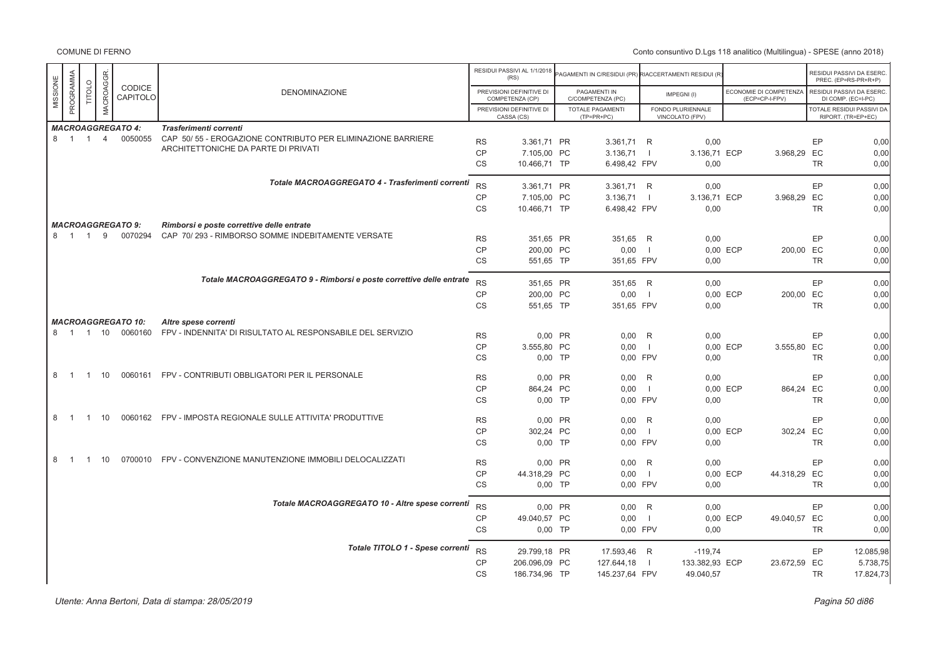|          | MACROAGGR<br>PROGRAMMA |                |                |                           |                                                                     |                        | RESIDUI PASSIVI AL 1/1/2018<br>(RS)         | AGAMENTI IN C/RESIDUI (PR) RIACCERTAMENTI RESIDUI (R |                     |                                      |                                          |           | RESIDUI PASSIVI DA ESERC<br>PREC. (EP=RS-PR+R+P) |
|----------|------------------------|----------------|----------------|---------------------------|---------------------------------------------------------------------|------------------------|---------------------------------------------|------------------------------------------------------|---------------------|--------------------------------------|------------------------------------------|-----------|--------------------------------------------------|
| MISSIONE |                        | TITOLO         |                | CODICE<br>CAPITOLO        | <b>DENOMINAZIONE</b>                                                |                        | PREVISIONI DEFINITIVE DI<br>COMPETENZA (CP) | PAGAMENTI IN<br>C/COMPETENZA (PC)                    |                     | IMPEGNI(I)                           | ECONOMIE DI COMPETENZA<br>(ECP=CP-I-FPV) |           | RESIDUI PASSIVI DA ESERC<br>DI COMP. (EC=I-PC)   |
|          |                        |                |                |                           |                                                                     |                        | PREVISIONI DEFINITIVE DI<br>CASSA (CS)      | <b>TOTALE PAGAMENTI</b><br>$(TP=PR+PC)$              |                     | FONDO PLURIENNALE<br>VINCOLATO (FPV) |                                          |           | TOTALE RESIDUI PASSIVI DA<br>RIPORT. (TR=EP+EC)  |
|          |                        |                |                | <b>MACROAGGREGATO 4:</b>  | Trasferimenti correnti                                              |                        |                                             |                                                      |                     |                                      |                                          |           |                                                  |
|          | 8 1 1                  |                | $\overline{4}$ | 0050055                   | CAP 50/55 - EROGAZIONE CONTRIBUTO PER ELIMINAZIONE BARRIERE         | <b>RS</b>              | 3.361,71 PR                                 | 3.361,71 R                                           |                     | 0,00                                 |                                          |           | EP<br>0,00                                       |
|          |                        |                |                |                           | ARCHITETTONICHE DA PARTE DI PRIVATI                                 | CP                     | 7.105,00 PC                                 | 3.136,71                                             | $\mathbf{I}$        | 3.136,71 ECP                         | 3.968,29 EC                              |           | 0,00                                             |
|          |                        |                |                |                           |                                                                     | <b>CS</b>              | 10.466.71 TP                                | 6.498,42 FPV                                         |                     | 0,00                                 |                                          |           | <b>TR</b><br>0,00                                |
|          |                        |                |                |                           | Totale MACROAGGREGATO 4 - Trasferimenti correnti                    | <b>RS</b>              | 3.361.71 PR                                 | 3.361,71 R                                           |                     | 0.00                                 |                                          |           | EP<br>0,00                                       |
|          |                        |                |                |                           |                                                                     | CP                     | 7.105,00 PC                                 | 3.136,71                                             | $\overline{1}$      | 3.136,71 ECP                         | 3.968,29 EC                              |           | 0,00                                             |
|          |                        |                |                |                           |                                                                     | <b>CS</b>              | 10.466,71 TP                                | 6.498,42 FPV                                         |                     | 0,00                                 |                                          |           | <b>TR</b><br>0,00                                |
|          |                        |                |                | <b>MACROAGGREGATO 9:</b>  | Rimborsi e poste correttive delle entrate                           |                        |                                             |                                                      |                     |                                      |                                          |           |                                                  |
|          | 8 1 1                  |                | 9              | 0070294                   | CAP 70/293 - RIMBORSO SOMME INDEBITAMENTE VERSATE                   | <b>RS</b>              | 351,65 PR                                   | 351,65 R                                             |                     | 0,00                                 |                                          |           | EP<br>0,00                                       |
|          |                        |                |                |                           |                                                                     | <b>CP</b>              | 200.00 PC                                   | 0,00                                                 | $\blacksquare$      |                                      | 0.00 ECP                                 | 200.00 EC | 0,00                                             |
|          |                        |                |                |                           |                                                                     | CS                     | 551,65 TP                                   | 351,65 FPV                                           |                     | 0,00                                 |                                          |           | TR<br>0,00                                       |
|          |                        |                |                |                           | Totale MACROAGGREGATO 9 - Rimborsi e poste correttive delle entrate | <b>RS</b>              | 351,65 PR                                   | 351,65 R                                             |                     | 0,00                                 |                                          |           | <b>EP</b><br>0,00                                |
|          |                        |                |                |                           |                                                                     | CP                     | 200,00 PC                                   | 0,00                                                 | - 1                 |                                      | 0,00 ECP                                 | 200,00 EC | 0,00                                             |
|          |                        |                |                |                           |                                                                     | <b>CS</b>              | 551.65 TP                                   | 351,65 FPV                                           |                     | 0,00                                 |                                          |           | <b>TR</b><br>0,00                                |
|          |                        |                |                | <b>MACROAGGREGATO 10:</b> | Altre spese correnti                                                |                        |                                             |                                                      |                     |                                      |                                          |           |                                                  |
|          |                        |                |                | 8 1 1 10 0060160          | FPV - INDENNITA' DI RISULTATO AL RESPONSABILE DEL SERVIZIO          | <b>RS</b>              | 0,00 PR                                     | $0,00$ R                                             |                     | 0,00                                 |                                          |           | EP<br>0,00                                       |
|          |                        |                |                |                           |                                                                     | CP                     | 3.555,80 PC                                 | 0,00                                                 | $\overline{1}$      |                                      | 0,00 ECP<br>3.555,80 EC                  |           | 0,00                                             |
|          |                        |                |                |                           |                                                                     | <b>CS</b>              | $0,00$ TP                                   | 0.00 FPV                                             |                     | 0,00                                 |                                          |           | <b>TR</b><br>0,00                                |
| 8        | $\overline{1}$         | $\overline{1}$ | 10             |                           | 0060161 FPV - CONTRIBUTI OBBLIGATORI PER IL PERSONALE               |                        |                                             |                                                      |                     |                                      |                                          |           |                                                  |
|          |                        |                |                |                           |                                                                     | <b>RS</b><br><b>CP</b> | 0,00 PR<br>864,24 PC                        | 0,00<br>0.00                                         | R<br>$\blacksquare$ | 0,00                                 | 0,00 ECP                                 | 864,24 EC | EP<br>0,00<br>0,00                               |
|          |                        |                |                |                           |                                                                     | <b>CS</b>              | $0,00$ TP                                   | 0.00 FPV                                             |                     | 0,00                                 |                                          |           | 0,00<br><b>TR</b>                                |
|          |                        |                |                |                           |                                                                     |                        |                                             |                                                      |                     |                                      |                                          |           |                                                  |
| 8        | $\overline{1}$         | $\overline{1}$ | 10             |                           | 0060162 FPV - IMPOSTA REGIONALE SULLE ATTIVITA' PRODUTTIVE          | <b>RS</b>              | 0,00 PR                                     | 0,00                                                 | R                   | 0,00                                 |                                          |           | EP<br>0,00                                       |
|          |                        |                |                |                           |                                                                     | <b>CP</b>              | 302,24 PC                                   | 0.00                                                 | $\Box$              |                                      | 0,00 ECP                                 | 302,24 EC | 0,00                                             |
|          |                        |                |                |                           |                                                                     | <b>CS</b>              | $0,00$ TP                                   | 0.00 FPV                                             |                     | 0,00                                 |                                          |           | <b>TR</b><br>0,00                                |
| 8        | $\overline{1}$         | $\overline{1}$ | 10             |                           | 0700010 FPV - CONVENZIONE MANUTENZIONE IMMOBILI DELOCALIZZATI       | <b>RS</b>              | 0,00 PR                                     | 0.00 R                                               |                     | 0,00                                 |                                          |           | EP<br>0,00                                       |
|          |                        |                |                |                           |                                                                     | CP                     | 44.318,29 PC                                | 0,00                                                 | $\overline{1}$      |                                      | 0,00 ECP<br>44.318,29 EC                 |           | 0,00                                             |
|          |                        |                |                |                           |                                                                     | CS                     | $0,00$ TP                                   | 0,00 FPV                                             |                     | 0,00                                 |                                          |           | 0,00<br>TR                                       |
|          |                        |                |                |                           | Totale MACROAGGREGATO 10 - Altre spese correnti                     | <b>RS</b>              | 0.00 PR                                     | 0.00 R                                               |                     | 0,00                                 |                                          |           | EP<br>0,00                                       |
|          |                        |                |                |                           |                                                                     | CP                     | 49.040,57 PC                                | 0,00                                                 | $\Box$              |                                      | 0,00 ECP<br>49.040,57 EC                 |           | 0,00                                             |
|          |                        |                |                |                           |                                                                     | <b>CS</b>              | $0,00$ TP                                   | 0.00 FPV                                             |                     | 0,00                                 |                                          |           | <b>TR</b><br>0,00                                |
|          |                        |                |                |                           | Totale TITOLO 1 - Spese correnti                                    | <b>RS</b>              | 29.799,18 PR                                | 17.593,46 R                                          |                     | $-119,74$                            |                                          |           | EP<br>12.085,98                                  |
|          |                        |                |                |                           |                                                                     | <b>CP</b>              | 206.096.09 PC                               | 127.644,18                                           | -1                  | 133.382,93 ECP                       | 23.672,59 EC                             |           | 5.738,75                                         |
|          |                        |                |                |                           |                                                                     | <b>CS</b>              | 186.734,96 TP                               | 145.237,64 FPV                                       |                     | 49.040,57                            |                                          |           | <b>TR</b><br>17.824,73                           |
|          |                        |                |                |                           |                                                                     |                        |                                             |                                                      |                     |                                      |                                          |           |                                                  |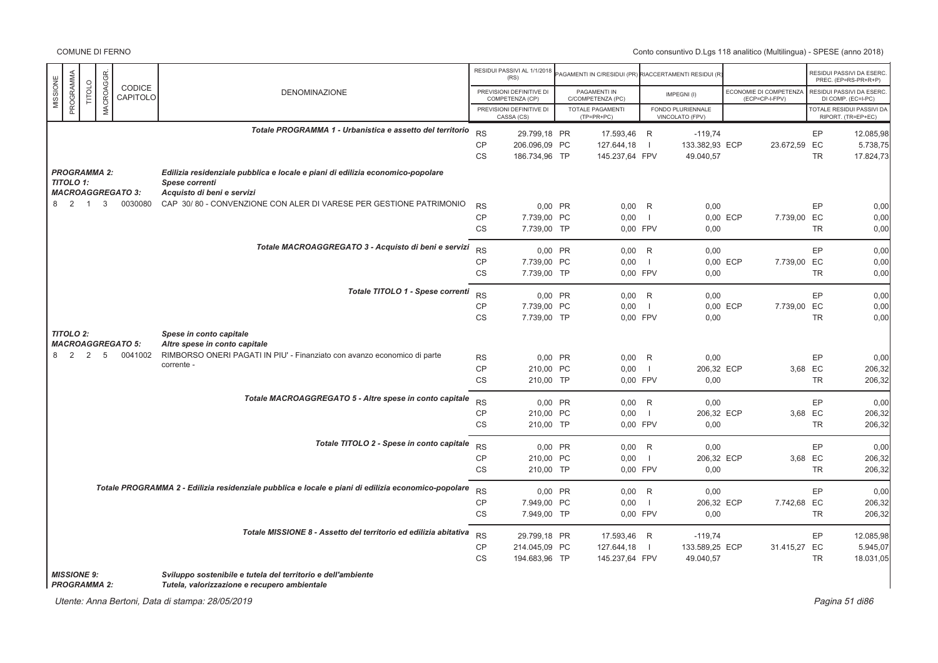COMUNE DI FERNO

|          |                                           |                |              |                          |                                                                                                              |           | RESIDUI PASSIVI AL 1/1/2018<br>(RS)         | PAGAMENTI IN C/RESIDUI (PR) RIACCERTAMENTI RESIDUI (R |                          |                                      |          |                                          |           | RESIDUI PASSIVI DA ESERC<br>PREC. (EP=RS-PR+R+P) |
|----------|-------------------------------------------|----------------|--------------|--------------------------|--------------------------------------------------------------------------------------------------------------|-----------|---------------------------------------------|-------------------------------------------------------|--------------------------|--------------------------------------|----------|------------------------------------------|-----------|--------------------------------------------------|
| MISSIONE | PROGRAMMA                                 | TITOLO         | MACROAGGR.   | CODICE<br>CAPITOLO       | <b>DENOMINAZIONE</b>                                                                                         |           | PREVISIONI DEFINITIVE DI<br>COMPETENZA (CP) | PAGAMENTI IN<br>C/COMPETENZA (PC)                     |                          | IMPEGNI(I)                           |          | ECONOMIE DI COMPETENZA<br>(ECP=CP-I-FPV) |           | RESIDUI PASSIVI DA ESERC<br>DI COMP. (EC=I-PC)   |
|          |                                           |                |              |                          |                                                                                                              |           | PREVISIONI DEFINITIVE DI<br>CASSA (CS)      | <b>TOTALE PAGAMENTI</b><br>$(TP=PR+PC)$               |                          | FONDO PLURIENNALE<br>VINCOLATO (FPV) |          |                                          |           | TOTALE RESIDUI PASSIVI DA<br>RIPORT. (TR=EP+EC)  |
|          |                                           |                |              |                          | Totale PROGRAMMA 1 - Urbanistica e assetto del territorio                                                    | <b>RS</b> | 29.799,18 PR                                | 17.593,46                                             | R                        | $-119,74$                            |          |                                          | EP        | 12.085,98                                        |
|          |                                           |                |              |                          |                                                                                                              | <b>CP</b> | 206.096,09 PC                               | 127.644,18                                            | $\overline{1}$           | 133.382,93 ECP                       |          | 23.672,59 EC                             |           | 5.738,75                                         |
|          |                                           |                |              |                          |                                                                                                              | <b>CS</b> | 186.734,96 TP                               | 145.237,64 FPV                                        |                          | 49.040,57                            |          |                                          | <b>TR</b> | 17.824,73                                        |
|          | <b>PROGRAMMA 2:</b><br><b>TITOLO 1:</b>   |                |              |                          | Edilizia residenziale pubblica e locale e piani di edilizia economico-popolare<br>Spese correnti             |           |                                             |                                                       |                          |                                      |          |                                          |           |                                                  |
|          |                                           |                |              | <b>MACROAGGREGATO 3:</b> | Acquisto di beni e servizi                                                                                   |           |                                             |                                                       |                          |                                      |          |                                          |           |                                                  |
|          | 8 2                                       | $\overline{1}$ | $\mathbf{3}$ | 0030080                  | CAP 30/80 - CONVENZIONE CON ALER DI VARESE PER GESTIONE PATRIMONIO                                           | <b>RS</b> | 0,00 PR                                     | $0,00$ R                                              |                          | 0,00                                 |          |                                          | EP        | 0,00                                             |
|          |                                           |                |              |                          |                                                                                                              | CP        | 7.739,00 PC                                 | 0,00                                                  | $\blacksquare$           | 0,00 ECP                             |          | 7.739,00 EC                              |           | 0,00                                             |
|          |                                           |                |              |                          |                                                                                                              | <b>CS</b> | 7.739.00 TP                                 | 0.00 FPV                                              |                          | 0,00                                 |          |                                          | <b>TR</b> | 0,00                                             |
|          |                                           |                |              |                          | Totale MACROAGGREGATO 3 - Acquisto di beni e servizi                                                         | <b>RS</b> | 0,00 PR                                     | 0,00                                                  | R                        | 0,00                                 |          |                                          | EP        | 0,00                                             |
|          |                                           |                |              |                          |                                                                                                              | CP        | 7.739,00 PC                                 | 0,00                                                  | $\overline{\phantom{0}}$ |                                      | 0.00 ECP | 7.739,00 EC                              |           | 0,00                                             |
|          |                                           |                |              |                          |                                                                                                              | CS        | 7.739,00 TP                                 | 0,00 FPV                                              |                          | 0,00                                 |          |                                          | <b>TR</b> | 0,00                                             |
|          |                                           |                |              |                          | Totale TITOLO 1 - Spese correnti                                                                             | <b>RS</b> | 0,00 PR                                     | $0,00$ R                                              |                          | 0,00                                 |          |                                          | EP        | 0,00                                             |
|          |                                           |                |              |                          |                                                                                                              | CP        | 7.739,00 PC                                 | 0,00                                                  | $\overline{1}$           |                                      | 0,00 ECP | 7.739,00 EC                              |           | 0,00                                             |
|          |                                           |                |              |                          |                                                                                                              | <b>CS</b> | 7.739,00 TP                                 | 0,00 FPV                                              |                          | 0,00                                 |          |                                          | <b>TR</b> | 0.00                                             |
|          | <b>TITOLO 2:</b>                          |                |              |                          | Spese in conto capitale                                                                                      |           |                                             |                                                       |                          |                                      |          |                                          |           |                                                  |
|          |                                           |                |              | <b>MACROAGGREGATO 5:</b> | Altre spese in conto capitale                                                                                |           |                                             |                                                       |                          |                                      |          |                                          |           |                                                  |
|          | 8 2                                       | 2              | 5            | 0041002                  | RIMBORSO ONERI PAGATI IN PIU' - Finanziato con avanzo economico di parte                                     | <b>RS</b> | 0.00 PR                                     | 0,00                                                  | R                        | 0,00                                 |          |                                          | EP        | 0,00                                             |
|          |                                           |                |              |                          | corrente -                                                                                                   | CP        | 210,00 PC                                   | 0,00                                                  | $\overline{\phantom{0}}$ | 206,32 ECP                           |          | 3,68 EC                                  |           | 206,32                                           |
|          |                                           |                |              |                          |                                                                                                              | <b>CS</b> | 210,00 TP                                   | 0,00 FPV                                              |                          | 0,00                                 |          |                                          | <b>TR</b> | 206,32                                           |
|          |                                           |                |              |                          | Totale MACROAGGREGATO 5 - Altre spese in conto capitale                                                      | <b>RS</b> | 0.00 PR                                     | $0,00$ R                                              |                          | 0.00                                 |          |                                          | EP        | 0.00                                             |
|          |                                           |                |              |                          |                                                                                                              | <b>CP</b> | 210,00 PC                                   | 0,00                                                  | $\overline{\phantom{0}}$ | 206,32 ECP                           |          | 3,68 EC                                  |           | 206,32                                           |
|          |                                           |                |              |                          |                                                                                                              | CS        | 210,00 TP                                   | 0,00 FPV                                              |                          | 0,00                                 |          |                                          | <b>TR</b> | 206,32                                           |
|          |                                           |                |              |                          | Totale TITOLO 2 - Spese in conto capitale                                                                    | <b>RS</b> | 0,00 PR                                     | $0,00$ R                                              |                          | 0,00                                 |          |                                          | EP        | 0.00                                             |
|          |                                           |                |              |                          |                                                                                                              | CP        | 210,00 PC                                   | 0,00                                                  | $\overline{1}$           | 206,32 ECP                           |          | 3,68 EC                                  |           | 206,32                                           |
|          |                                           |                |              |                          |                                                                                                              | <b>CS</b> | 210,00 TP                                   | 0,00 FPV                                              |                          | 0,00                                 |          |                                          | TR        | 206,32                                           |
|          |                                           |                |              |                          | Totale PROGRAMMA 2 - Edilizia residenziale pubblica e locale e piani di edilizia economico-popolare          | <b>RS</b> | 0.00 PR                                     | 0.00 R                                                |                          | 0,00                                 |          |                                          | EP        | 0.00                                             |
|          |                                           |                |              |                          |                                                                                                              | CP        | 7.949,00 PC                                 | 0,00                                                  | $\overline{\phantom{0}}$ | 206,32 ECP                           |          | 7.742,68 EC                              |           | 206,32                                           |
|          |                                           |                |              |                          |                                                                                                              | CS        | 7.949,00 TP                                 | 0,00 FPV                                              |                          | 0,00                                 |          |                                          | <b>TR</b> | 206,32                                           |
|          |                                           |                |              |                          | Totale MISSIONE 8 - Assetto del territorio ed edilizia abitativa                                             | <b>RS</b> |                                             |                                                       |                          |                                      |          |                                          | EP        |                                                  |
|          |                                           |                |              |                          |                                                                                                              | CP        | 29.799,18 PR<br>214.045,09 PC               | 17.593,46 R<br>127.644,18                             | $\overline{\phantom{0}}$ | $-119,74$<br>133.589,25 ECP          |          | 31.415,27 EC                             |           | 12.085,98<br>5.945,07                            |
|          |                                           |                |              |                          |                                                                                                              | <b>CS</b> | 194.683,96 TP                               | 145.237,64 FPV                                        |                          | 49.040,57                            |          |                                          | <b>TR</b> | 18.031,05                                        |
|          | <b>MISSIONE 9:</b><br><b>PROGRAMMA 2:</b> |                |              |                          | Sviluppo sostenibile e tutela del territorio e dell'ambiente<br>Tutela, valorizzazione e recupero ambientale |           |                                             |                                                       |                          |                                      |          |                                          |           |                                                  |

Utente: Anna Bertoni, Data di stampa: 28/05/2019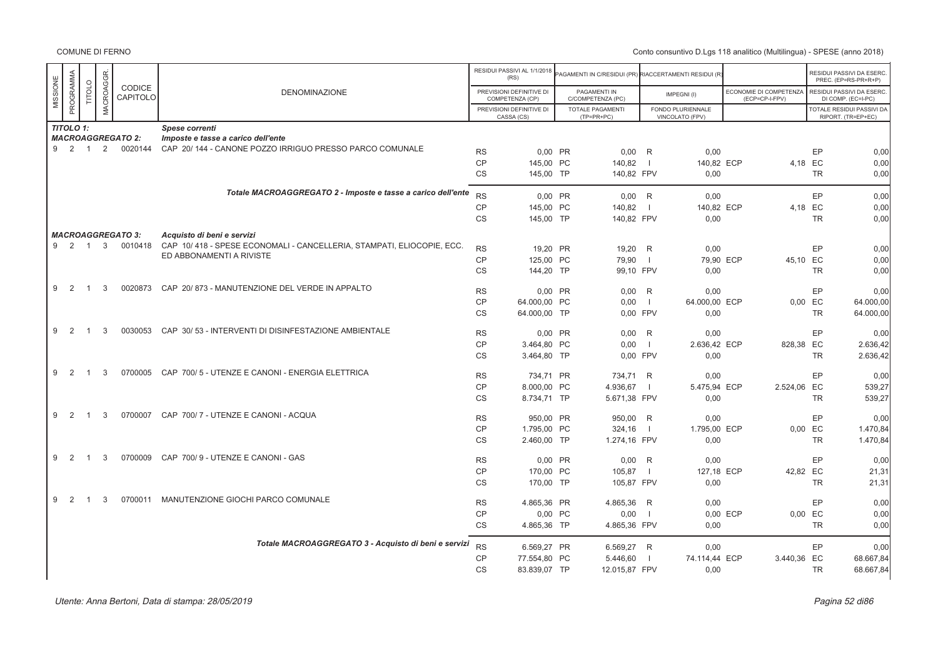|          |                  |                |           |                          |                                                                                                   |           | RESIDUI PASSIVI AL 1/1/2018<br>(RS)         | AGAMENTI IN C/RESIDUI (PR) RIACCERTAMENTI RESIDUI (R |                |                                      |          |                                          |           | RESIDUI PASSIVI DA ESERC<br>PREC. (EP=RS-PR+R+P) |
|----------|------------------|----------------|-----------|--------------------------|---------------------------------------------------------------------------------------------------|-----------|---------------------------------------------|------------------------------------------------------|----------------|--------------------------------------|----------|------------------------------------------|-----------|--------------------------------------------------|
| MISSIONE | PROGRAMMA        | <b>TITOLO</b>  | MACROAGGR | CODICE<br>CAPITOLO       | <b>DENOMINAZIONE</b>                                                                              |           | PREVISIONI DEFINITIVE DI<br>COMPETENZA (CP) | PAGAMENTI IN<br>C/COMPETENZA (PC)                    |                | IMPEGNI(I)                           |          | ECONOMIE DI COMPETENZA<br>(ECP=CP-I-FPV) |           | RESIDUI PASSIVI DA ESERC<br>DI COMP. (EC=I-PC)   |
|          |                  |                |           |                          |                                                                                                   |           | PREVISIONI DEFINITIVE DI<br>CASSA (CS)      | <b>TOTALE PAGAMENTI</b><br>$(TP=PR+PC)$              |                | FONDO PLURIENNALE<br>VINCOLATO (FPV) |          |                                          |           | TOTALE RESIDUI PASSIVI DA<br>RIPORT. (TR=EP+EC)  |
|          | <b>TITOLO 1:</b> |                |           |                          | Spese correnti                                                                                    |           |                                             |                                                      |                |                                      |          |                                          |           |                                                  |
|          |                  |                |           | <b>MACROAGGREGATO 2:</b> | Imposte e tasse a carico dell'ente                                                                |           |                                             |                                                      |                |                                      |          |                                          |           |                                                  |
|          | 9 2 1            |                | 2         | 0020144                  | CAP 20/144 - CANONE POZZO IRRIGUO PRESSO PARCO COMUNALE                                           | <b>RS</b> | 0.00 PR                                     | 0.00                                                 | R              | 0.00                                 |          |                                          | EP        | 0,00                                             |
|          |                  |                |           |                          |                                                                                                   | <b>CP</b> | 145.00 PC                                   | 140.82                                               |                | 140.82 ECP                           |          |                                          | 4.18 EC   | 0,00                                             |
|          |                  |                |           |                          |                                                                                                   | <b>CS</b> | 145,00 TP                                   | 140,82 FPV                                           |                | 0,00                                 |          |                                          | <b>TR</b> | 0,00                                             |
|          |                  |                |           |                          | Totale MACROAGGREGATO 2 - Imposte e tasse a carico dell'ente                                      | <b>RS</b> | 0.00 PR                                     | 0.00 R                                               |                | 0.00                                 |          |                                          | EP        | 0,00                                             |
|          |                  |                |           |                          |                                                                                                   | <b>CP</b> | 145,00 PC                                   | 140,82                                               | - 1            | 140,82 ECP                           |          |                                          | 4,18 EC   | 0,00                                             |
|          |                  |                |           |                          |                                                                                                   | <b>CS</b> | 145.00 TP                                   | 140,82 FPV                                           |                | 0,00                                 |          |                                          | <b>TR</b> | 0,00                                             |
|          |                  |                |           |                          |                                                                                                   |           |                                             |                                                      |                |                                      |          |                                          |           |                                                  |
|          |                  |                |           | <b>MACROAGGREGATO 3:</b> | Acquisto di beni e servizi                                                                        |           |                                             |                                                      |                |                                      |          |                                          |           |                                                  |
|          | 9 2 1            |                | 3         | 0010418                  | CAP 10/418 - SPESE ECONOMALI - CANCELLERIA, STAMPATI, ELIOCOPIE, ECC.<br>ED ABBONAMENTI A RIVISTE | <b>RS</b> | 19,20 PR                                    | 19,20 R                                              |                | 0,00                                 |          |                                          | EP        | 0,00                                             |
|          |                  |                |           |                          |                                                                                                   | CP        | 125,00 PC                                   | 79,90                                                | $\perp$        | 79,90 ECP                            |          | 45,10 EC                                 |           | 0,00                                             |
|          |                  |                |           |                          |                                                                                                   | <b>CS</b> | 144,20 TP                                   | 99,10 FPV                                            |                | 0,00                                 |          |                                          | TR        | 0,00                                             |
| 9        | 2                | $\overline{1}$ | 3         | 0020873                  | CAP 20/873 - MANUTENZIONE DEL VERDE IN APPALTO                                                    | <b>RS</b> | 0.00 PR                                     | $0.00$ R                                             |                | 0.00                                 |          |                                          | EP        | 0,00                                             |
|          |                  |                |           |                          |                                                                                                   | <b>CP</b> | 64.000.00 PC                                | 0,00                                                 | $\Box$         | 64.000,00 ECP                        |          |                                          | 0,00 EC   | 64.000,00                                        |
|          |                  |                |           |                          |                                                                                                   | <b>CS</b> | 64.000,00 TP                                | 0.00 FPV                                             |                | 0,00                                 |          |                                          | <b>TR</b> | 64.000,00                                        |
|          |                  |                |           |                          |                                                                                                   |           |                                             |                                                      |                |                                      |          |                                          |           |                                                  |
| 9        | 2                | $\overline{1}$ | 3         | 0030053                  | CAP 30/53 - INTERVENTI DI DISINFESTAZIONE AMBIENTALE                                              | <b>RS</b> | 0,00 PR                                     | 0,00                                                 | R              | 0,00                                 |          |                                          | EP        | 0,00                                             |
|          |                  |                |           |                          |                                                                                                   | <b>CP</b> | 3.464,80 PC                                 | 0,00                                                 | $\Box$         | 2.636,42 ECP                         |          | 828,38 EC                                |           | 2.636,42                                         |
|          |                  |                |           |                          |                                                                                                   | CS        | 3.464,80 TP                                 | 0,00 FPV                                             |                | 0,00                                 |          |                                          | <b>TR</b> | 2.636,42                                         |
| 9        | 2                | $\overline{1}$ | 3         | 0700005                  | CAP 700/5 - UTENZE E CANONI - ENERGIA ELETTRICA                                                   | <b>RS</b> | 734.71 PR                                   | 734,71 R                                             |                | 0,00                                 |          |                                          | EP.       | 0,00                                             |
|          |                  |                |           |                          |                                                                                                   | <b>CP</b> | 8.000,00 PC                                 | 4.936,67                                             | $\blacksquare$ | 5.475,94 ECP                         |          | 2.524,06 EC                              |           | 539,27                                           |
|          |                  |                |           |                          |                                                                                                   | <b>CS</b> | 8.734,71 TP                                 | 5.671,38 FPV                                         |                | 0,00                                 |          |                                          | <b>TR</b> | 539,27                                           |
|          |                  |                |           |                          |                                                                                                   |           |                                             |                                                      |                |                                      |          |                                          |           |                                                  |
| 9        | 2                | - 1            | 3         | 0700007                  | CAP 700/7 - UTENZE E CANONI - ACQUA                                                               | <b>RS</b> | 950,00 PR                                   | 950,00 R                                             |                | 0,00                                 |          |                                          | EP        | 0,00                                             |
|          |                  |                |           |                          |                                                                                                   | CP        | 1.795,00 PC                                 | 324,16                                               | $\overline{1}$ | 1.795,00 ECP                         |          |                                          | 0,00 EC   | 1.470,84                                         |
|          |                  |                |           |                          |                                                                                                   | <b>CS</b> | 2.460,00 TP                                 | 1.274,16 FPV                                         |                | 0,00                                 |          |                                          | <b>TR</b> | 1.470,84                                         |
| 9        | 2                |                | 3         | 0700009                  | CAP 700/9 - UTENZE E CANONI - GAS                                                                 | <b>RS</b> | 0,00 PR                                     | $0,00$ R                                             |                | 0,00                                 |          |                                          | EP        |                                                  |
|          |                  |                |           |                          |                                                                                                   | CP        | 170,00 PC                                   | 105,87                                               | -1             | 127,18 ECP                           |          | 42,82 EC                                 |           | 0,00<br>21,31                                    |
|          |                  |                |           |                          |                                                                                                   | <b>CS</b> | 170.00 TP                                   | 105,87 FPV                                           |                | 0,00                                 |          |                                          | <b>TR</b> | 21,31                                            |
|          |                  |                |           |                          |                                                                                                   |           |                                             |                                                      |                |                                      |          |                                          |           |                                                  |
| 9        | 2                |                | 3         | 0700011                  | MANUTENZIONE GIOCHI PARCO COMUNALE                                                                | <b>RS</b> | 4.865.36 PR                                 | 4.865,36 R                                           |                | 0.00                                 |          |                                          | EP        | 0,00                                             |
|          |                  |                |           |                          |                                                                                                   | <b>CP</b> | 0,00 PC                                     | 0,00                                                 | - 1            |                                      | 0,00 ECP |                                          | 0,00 EC   | 0,00                                             |
|          |                  |                |           |                          |                                                                                                   | <b>CS</b> | 4.865,36 TP                                 | 4.865,36 FPV                                         |                | 0,00                                 |          |                                          | <b>TR</b> | 0,00                                             |
|          |                  |                |           |                          | Totale MACROAGGREGATO 3 - Acquisto di beni e servizi                                              |           |                                             |                                                      |                |                                      |          |                                          |           |                                                  |
|          |                  |                |           |                          |                                                                                                   | <b>RS</b> | 6.569,27 PR                                 | 6.569,27 R                                           |                | 0,00                                 |          |                                          | EP        | 0,00                                             |
|          |                  |                |           |                          |                                                                                                   | CP        | 77.554,80 PC                                | 5.446,60                                             |                | 74.114,44 ECP                        |          | 3.440,36 EC                              |           | 68.667,84                                        |
|          |                  |                |           |                          |                                                                                                   | <b>CS</b> | 83.839,07 TP                                | 12.015,87 FPV                                        |                | 0,00                                 |          |                                          | <b>TR</b> | 68.667,84                                        |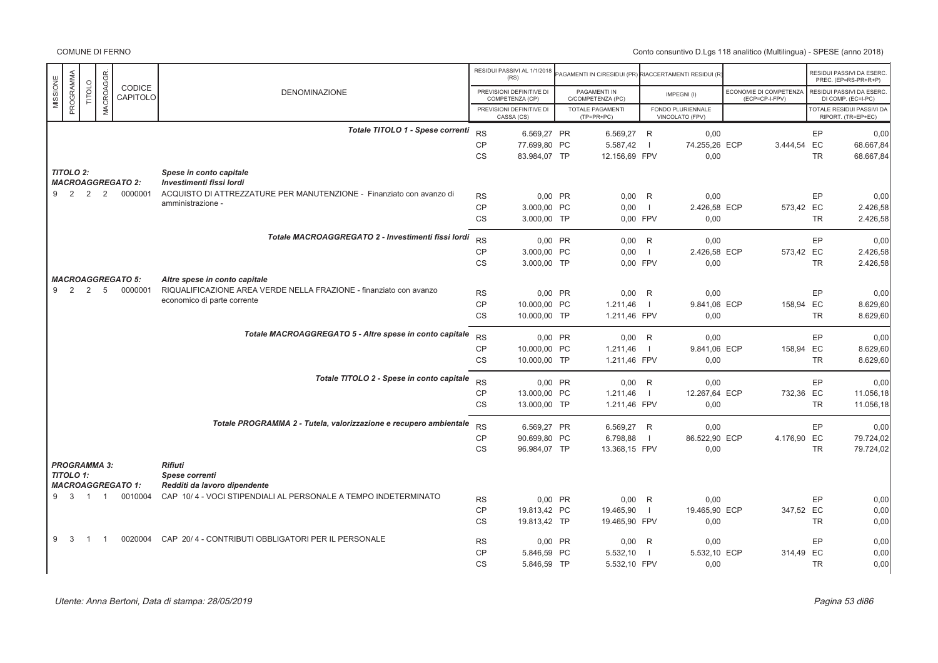|                  |                            |                     |                                     |                                                                                                     |                        | RESIDUI PASSIVI AL 1/1/2018                 | AGAMENTI IN C/RESIDUI (PR) RIACCERTAMENTI RESIDUI (R |                               |                                      |                                          |           | RESIDUI PASSIVI DA ESERC                        |
|------------------|----------------------------|---------------------|-------------------------------------|-----------------------------------------------------------------------------------------------------|------------------------|---------------------------------------------|------------------------------------------------------|-------------------------------|--------------------------------------|------------------------------------------|-----------|-------------------------------------------------|
|                  |                            |                     | CODICE                              |                                                                                                     |                        | (RS)                                        |                                                      |                               |                                      |                                          |           | PREC. (EP=RS-PR+R+P)                            |
| MISSIONE         | PROGRAMMA<br><b>TITOLO</b> | MACROAGGR.          | CAPITOLO                            | <b>DENOMINAZIONE</b>                                                                                |                        | PREVISIONI DEFINITIVE DI<br>COMPETENZA (CP) | PAGAMENTI IN<br>C/COMPETENZA (PC)                    |                               | IMPEGNI(I)                           | ECONOMIE DI COMPETENZA<br>(ECP=CP-I-FPV) |           | RESIDUI PASSIVI DA ESERC.<br>DI COMP. (EC=I-PC) |
|                  |                            |                     |                                     |                                                                                                     |                        | PREVISIONI DEFINITIVE DI<br>CASSA (CS)      | <b>TOTALE PAGAMENTI</b><br>$(TP=PR+PC)$              |                               | FONDO PLURIENNALE<br>VINCOLATO (FPV) |                                          |           | TOTALE RESIDUI PASSIVI DA<br>RIPORT. (TR=EP+EC) |
|                  |                            |                     |                                     | Totale TITOLO 1 - Spese correnti                                                                    |                        |                                             |                                                      |                               |                                      |                                          |           |                                                 |
|                  |                            |                     |                                     |                                                                                                     | <b>RS</b><br><b>CP</b> | 6.569,27 PR<br>77.699,80 PC                 | 6.569,27<br>5.587,42                                 | R<br>$\overline{\phantom{0}}$ | 0,00<br>74.255,26 ECP                | 3.444,54 EC                              | EP        | 0,00                                            |
|                  |                            |                     |                                     |                                                                                                     | <b>CS</b>              | 83.984,07 TP                                | 12.156,69 FPV                                        |                               | 0,00                                 |                                          | <b>TR</b> | 68.667,84<br>68.667,84                          |
|                  |                            |                     |                                     |                                                                                                     |                        |                                             |                                                      |                               |                                      |                                          |           |                                                 |
| <b>TITOLO 2:</b> |                            |                     | <b>MACROAGGREGATO 2:</b>            | Spese in conto capitale<br>Investimenti fissi lordi                                                 |                        |                                             |                                                      |                               |                                      |                                          |           |                                                 |
| 9                | $2 \quad 2$                | $\overline{2}$      | 0000001                             | ACQUISTO DI ATTREZZATURE PER MANUTENZIONE - Finanziato con avanzo di                                | <b>RS</b>              | 0,00 PR                                     | 0,00                                                 | R                             | 0,00                                 |                                          | EP        | 0,00                                            |
|                  |                            |                     |                                     | amministrazione -                                                                                   | <b>CP</b>              | 3.000,00 PC                                 | 0,00                                                 | $\Box$                        | 2.426,58 ECP                         | 573,42 EC                                |           | 2.426,58                                        |
|                  |                            |                     |                                     |                                                                                                     | <b>CS</b>              | 3.000,00 TP                                 | 0,00 FPV                                             |                               | 0,00                                 |                                          | <b>TR</b> | 2.426,58                                        |
|                  |                            |                     |                                     | Totale MACROAGGREGATO 2 - Investimenti fissi lordi                                                  |                        |                                             |                                                      |                               |                                      |                                          |           |                                                 |
|                  |                            |                     |                                     |                                                                                                     | <b>RS</b>              | 0,00 PR                                     | $0,00$ R                                             |                               | 0,00                                 |                                          | EP        | 0,00                                            |
|                  |                            |                     |                                     |                                                                                                     | CP<br><b>CS</b>        | 3.000,00 PC<br>3.000,00 TP                  | 0,00<br>0.00 FPV                                     | $\Box$                        | 2.426,58 ECP<br>0,00                 | 573,42 EC                                | <b>TR</b> | 2.426,58<br>2.426,58                            |
|                  |                            |                     |                                     |                                                                                                     |                        |                                             |                                                      |                               |                                      |                                          |           |                                                 |
| $9$ 2 2          |                            | - 5                 | <b>MACROAGGREGATO 5:</b><br>0000001 | Altre spese in conto capitale<br>RIQUALIFICAZIONE AREA VERDE NELLA FRAZIONE - finanziato con avanzo |                        |                                             |                                                      |                               |                                      |                                          |           |                                                 |
|                  |                            |                     |                                     | economico di parte corrente                                                                         | <b>RS</b>              | 0,00 PR                                     | 0,00                                                 | R                             | 0,00                                 |                                          | EP        | 0,00                                            |
|                  |                            |                     |                                     |                                                                                                     | <b>CP</b><br>CS        | 10.000,00 PC<br>10.000,00 TP                | 1.211,46<br>1.211,46 FPV                             | $\blacksquare$                | 9.841,06 ECP<br>0,00                 | 158,94 EC                                | <b>TR</b> | 8.629,60<br>8.629,60                            |
|                  |                            |                     |                                     |                                                                                                     |                        |                                             |                                                      |                               |                                      |                                          |           |                                                 |
|                  |                            |                     |                                     | Totale MACROAGGREGATO 5 - Altre spese in conto capitale                                             | <b>RS</b>              | 0,00 PR                                     | $0,00$ R                                             |                               | 0,00                                 |                                          | EP        | 0,00                                            |
|                  |                            |                     |                                     |                                                                                                     | <b>CP</b>              | 10.000,00 PC                                | 1.211.46                                             | $\blacksquare$                | 9.841,06 ECP                         | 158,94 EC                                |           | 8.629,60                                        |
|                  |                            |                     |                                     |                                                                                                     | <b>CS</b>              | 10.000,00 TP                                | 1.211,46 FPV                                         |                               | 0,00                                 |                                          | <b>TR</b> | 8.629,60                                        |
|                  |                            |                     |                                     | Totale TITOLO 2 - Spese in conto capitale                                                           | <b>RS</b>              | 0,00 PR                                     | $0,00$ R                                             |                               | 0,00                                 |                                          | EP        | 0,00                                            |
|                  |                            |                     |                                     |                                                                                                     | <b>CP</b>              | 13.000,00 PC                                | 1.211,46                                             | $\blacksquare$                | 12.267,64 ECP                        | 732,36 EC                                |           | 11.056,18                                       |
|                  |                            |                     |                                     |                                                                                                     | <b>CS</b>              | 13.000,00 TP                                | 1.211,46 FPV                                         |                               | 0,00                                 |                                          | <b>TR</b> | 11.056,18                                       |
|                  |                            |                     |                                     | Totale PROGRAMMA 2 - Tutela, valorizzazione e recupero ambientale                                   |                        |                                             |                                                      |                               |                                      |                                          |           |                                                 |
|                  |                            |                     |                                     |                                                                                                     | <b>RS</b>              | 6.569,27 PR                                 | 6.569,27 R                                           |                               | 0,00                                 |                                          | EP        | 0,00                                            |
|                  |                            |                     |                                     |                                                                                                     | <b>CP</b><br><b>CS</b> | 90.699.80 PC<br>96.984,07 TP                | 6.798,88<br>13.368,15 FPV                            | $\Box$                        | 86.522,90 ECP<br>0,00                | 4.176,90 EC                              | <b>TR</b> | 79.724,02<br>79.724,02                          |
|                  |                            |                     |                                     |                                                                                                     |                        |                                             |                                                      |                               |                                      |                                          |           |                                                 |
| TITOLO 1:        |                            | <b>PROGRAMMA 3:</b> |                                     | <b>Rifiuti</b><br>Spese correnti                                                                    |                        |                                             |                                                      |                               |                                      |                                          |           |                                                 |
|                  |                            |                     | <b>MACROAGGREGATO 1:</b>            | Redditi da lavoro dipendente                                                                        |                        |                                             |                                                      |                               |                                      |                                          |           |                                                 |
| 9 3              |                            |                     | 1 1 0010004                         | CAP 10/4 - VOCI STIPENDIALI AL PERSONALE A TEMPO INDETERMINATO                                      | <b>RS</b>              | 0,00 PR                                     | 0,00                                                 | R                             | 0,00                                 |                                          | EP        | 0,00                                            |
|                  |                            |                     |                                     |                                                                                                     | <b>CP</b>              | 19.813,42 PC                                | 19.465,90                                            | $\blacksquare$                | 19.465,90 ECP                        | 347,52 EC                                |           | 0,00                                            |
|                  |                            |                     |                                     |                                                                                                     | CS                     | 19.813,42 TP                                | 19.465,90 FPV                                        |                               | 0,00                                 |                                          | <b>TR</b> | 0,00                                            |
| 9                | 3<br>$\mathbf{1}$          | -1                  |                                     | 0020004 CAP 20/4 - CONTRIBUTI OBBLIGATORI PER IL PERSONALE                                          | <b>RS</b>              | 0,00 PR                                     | 0,00                                                 | R                             | 0,00                                 |                                          | EP        | 0,00                                            |
|                  |                            |                     |                                     |                                                                                                     | CP                     | 5.846,59 PC                                 | 5.532,10                                             | $\blacksquare$                | 5.532,10 ECP                         | 314,49 EC                                |           | 0,00                                            |
|                  |                            |                     |                                     |                                                                                                     | <b>CS</b>              | 5.846,59 TP                                 | 5.532,10 FPV                                         |                               | 0,00                                 |                                          | <b>TR</b> | 0,00                                            |
|                  |                            |                     |                                     |                                                                                                     |                        |                                             |                                                      |                               |                                      |                                          |           |                                                 |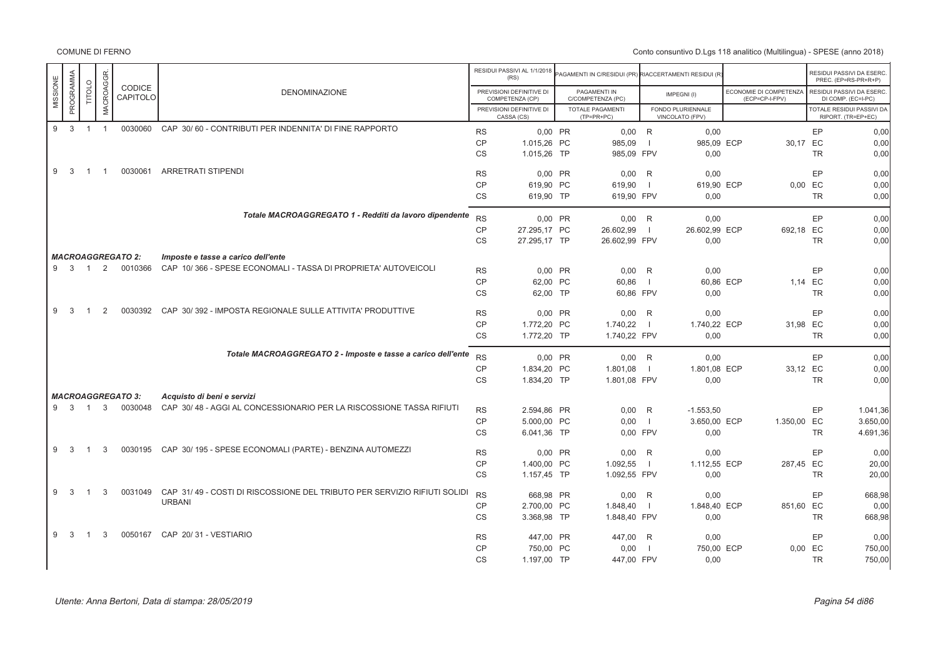|                              |                            |                |                                     |                                                                                                      |           | RESIDUI PASSIVI AL 1/1/2018<br>(RS)         | AGAMENTI IN C/RESIDUI (PR) RIACCERTAMENTI RESIDUI (R |                          |                                      |                                          |           | RESIDUI PASSIVI DA ESERC.<br>PREC. (EP=RS-PR+R+P) |
|------------------------------|----------------------------|----------------|-------------------------------------|------------------------------------------------------------------------------------------------------|-----------|---------------------------------------------|------------------------------------------------------|--------------------------|--------------------------------------|------------------------------------------|-----------|---------------------------------------------------|
| MISSIONE                     | PROGRAMMA<br><b>TITOLO</b> | MACROAGGR      | <b>CODICE</b><br>CAPITOLO           | <b>DENOMINAZIONE</b>                                                                                 |           | PREVISIONI DEFINITIVE DI<br>COMPETENZA (CP) | PAGAMENTI IN<br>C/COMPETENZA (PC)                    |                          | IMPEGNI(I)                           | ECONOMIE DI COMPETENZA<br>(ECP=CP-I-FPV) |           | RESIDUI PASSIVI DA ESERC.<br>DI COMP. (EC=I-PC)   |
|                              |                            |                |                                     |                                                                                                      |           | PREVISIONI DEFINITIVE DI<br>CASSA (CS)      | <b>TOTALE PAGAMENTI</b><br>$(TP=PR+PC)$              |                          | FONDO PLURIENNALE<br>VINCOLATO (FPV) |                                          |           | TOTALE RESIDUI PASSIVI DA<br>RIPORT. (TR=EP+EC)   |
| $\overline{\mathbf{3}}$<br>9 |                            | $1 \quad 1$    |                                     | 0030060 CAP 30/60 - CONTRIBUTI PER INDENNITA' DI FINE RAPPORTO                                       | <b>RS</b> | 0.00 PR                                     | $0,00$ R                                             |                          | 0,00                                 |                                          | EP        | 0,00                                              |
|                              |                            |                |                                     |                                                                                                      | <b>CP</b> | 1.015,26 PC                                 | 985,09                                               | $\blacksquare$           | 985,09 ECP                           |                                          | 30,17 EC  | 0,00                                              |
|                              |                            |                |                                     |                                                                                                      | <b>CS</b> | 1.015,26 TP                                 | 985,09 FPV                                           |                          | 0,00                                 |                                          | <b>TR</b> | 0,00                                              |
| 9                            | 3<br>$\overline{1}$        | $\overline{1}$ | 0030061                             | <b>ARRETRATI STIPENDI</b>                                                                            | <b>RS</b> | 0,00 PR                                     | $0,00$ R                                             |                          | 0,00                                 |                                          | EP        | 0,00                                              |
|                              |                            |                |                                     |                                                                                                      | <b>CP</b> | 619,90 PC                                   | 619,90                                               | $\overline{\phantom{a}}$ | 619,90 ECP                           |                                          | $0,00$ EC | 0,00                                              |
|                              |                            |                |                                     |                                                                                                      | <b>CS</b> | 619,90 TP                                   | 619.90 FPV                                           |                          | 0,00                                 |                                          | <b>TR</b> | 0,00                                              |
|                              |                            |                |                                     | Totale MACROAGGREGATO 1 - Redditi da lavoro dipendente                                               | <b>RS</b> | 0.00 PR                                     | $0.00$ R                                             |                          | 0.00                                 |                                          | EP        | 0.00                                              |
|                              |                            |                |                                     |                                                                                                      | CP        | 27.295,17 PC                                | 26.602,99                                            | - 1                      | 26.602,99 ECP                        | 692,18 EC                                |           | 0,00                                              |
|                              |                            |                |                                     |                                                                                                      | <b>CS</b> | 27.295,17 TP                                | 26.602,99 FPV                                        |                          | 0,00                                 |                                          | <b>TR</b> | 0,00                                              |
|                              |                            |                | <b>MACROAGGREGATO 2:</b>            |                                                                                                      |           |                                             |                                                      |                          |                                      |                                          |           |                                                   |
|                              | 9 3 1                      | 2              | 0010366                             | Imposte e tasse a carico dell'ente<br>CAP 10/366 - SPESE ECONOMALI - TASSA DI PROPRIETA' AUTOVEICOLI |           |                                             |                                                      |                          |                                      |                                          |           |                                                   |
|                              |                            |                |                                     |                                                                                                      | <b>RS</b> | 0,00 PR                                     | $0.00$ R                                             |                          | 0,00                                 |                                          | EP        | 0,00                                              |
|                              |                            |                |                                     |                                                                                                      | <b>CP</b> | 62,00 PC                                    | 60,86                                                |                          | 60,86 ECP                            |                                          | 1,14 EC   | 0,00                                              |
|                              |                            |                |                                     |                                                                                                      | <b>CS</b> | 62,00 TP                                    | 60,86 FPV                                            |                          | 0,00                                 |                                          | <b>TR</b> | 0,00                                              |
| 9                            | -3<br>$\mathbf{1}$         | 2              | 0030392                             | CAP 30/392 - IMPOSTA REGIONALE SULLE ATTIVITA' PRODUTTIVE                                            | <b>RS</b> | 0,00 PR                                     | $0,00$ R                                             |                          | 0,00                                 |                                          | EP        | 0,00                                              |
|                              |                            |                |                                     |                                                                                                      | <b>CP</b> | 1.772,20 PC                                 | 1.740,22                                             |                          | 1.740,22 ECP                         | 31,98 EC                                 |           | 0,00                                              |
|                              |                            |                |                                     |                                                                                                      | <b>CS</b> | 1.772.20 TP                                 | 1.740,22 FPV                                         |                          | 0.00                                 |                                          | <b>TR</b> | 0,00                                              |
|                              |                            |                |                                     | Totale MACROAGGREGATO 2 - Imposte e tasse a carico dell'ente                                         | <b>RS</b> | 0.00 PR                                     | $0.00$ R                                             |                          | 0.00                                 |                                          | EP        | 0.00                                              |
|                              |                            |                |                                     |                                                                                                      | <b>CP</b> | 1.834,20 PC                                 | 1.801,08                                             | $\blacksquare$           | 1.801,08 ECP                         | 33,12 EC                                 |           | 0,00                                              |
|                              |                            |                |                                     |                                                                                                      | <b>CS</b> | 1.834.20 TP                                 | 1.801.08 FPV                                         |                          | 0,00                                 |                                          | <b>TR</b> | 0,00                                              |
|                              |                            |                |                                     |                                                                                                      |           |                                             |                                                      |                          |                                      |                                          |           |                                                   |
| 9 3                          | $\overline{1}$             | $\mathbf{3}$   | <b>MACROAGGREGATO 3:</b><br>0030048 | Acquisto di beni e servizi<br>CAP 30/48 - AGGI AL CONCESSIONARIO PER LA RISCOSSIONE TASSA RIFIUTI    |           |                                             |                                                      |                          |                                      |                                          |           |                                                   |
|                              |                            |                |                                     |                                                                                                      | <b>RS</b> | 2.594,86 PR                                 | $0,00$ R                                             |                          | $-1.553,50$                          |                                          | EP        | 1.041,36                                          |
|                              |                            |                |                                     |                                                                                                      | <b>CP</b> | 5.000,00 PC                                 | 0,00                                                 | - 1                      | 3.650,00 ECP                         | 1.350,00 EC                              |           | 3.650,00                                          |
|                              |                            |                |                                     |                                                                                                      | <b>CS</b> | 6.041,36 TP                                 | 0,00 FPV                                             |                          | 0,00                                 |                                          | <b>TR</b> | 4.691,36                                          |
| 9                            | 3<br>$\mathbf 1$           | 3              | 0030195                             | CAP 30/195 - SPESE ECONOMALI (PARTE) - BENZINA AUTOMEZZI                                             | <b>RS</b> | 0,00 PR                                     | $0,00$ R                                             |                          | 0,00                                 |                                          | EP        | 0,00                                              |
|                              |                            |                |                                     |                                                                                                      | <b>CP</b> | 1.400,00 PC                                 | 1.092,55                                             |                          | 1.112,55 ECP                         | 287,45 EC                                |           | 20,00                                             |
|                              |                            |                |                                     |                                                                                                      | <b>CS</b> | 1.157,45 TP                                 | 1.092,55 FPV                                         |                          | 0,00                                 |                                          | <b>TR</b> | 20,00                                             |
| 9                            | 3<br>$\overline{1}$        | 3              | 0031049                             | CAP 31/49 - COSTI DI RISCOSSIONE DEL TRIBUTO PER SERVIZIO RIFIUTI SOLIDI                             | <b>RS</b> | 668.98 PR                                   | $0.00$ R                                             |                          | 0.00                                 |                                          | EP        | 668,98                                            |
|                              |                            |                |                                     | <b>URBANI</b>                                                                                        | <b>CP</b> | 2.700,00 PC                                 | 1.848,40                                             | $\Box$                   | 1.848,40 ECP                         | 851,60 EC                                |           | 0,00                                              |
|                              |                            |                |                                     |                                                                                                      | <b>CS</b> | 3.368,98 TP                                 | 1.848,40 FPV                                         |                          | 0,00                                 |                                          | <b>TR</b> | 668,98                                            |
| 9                            | 3<br>-1                    | 3              | 0050167                             | CAP 20/31 - VESTIARIO                                                                                | <b>RS</b> | 447,00 PR                                   | 447,00 R                                             |                          | 0,00                                 |                                          | EP        | 0,00                                              |
|                              |                            |                |                                     |                                                                                                      | <b>CP</b> | 750,00 PC                                   | 0,00                                                 | $\blacksquare$           | 750,00 ECP                           |                                          | $0,00$ EC | 750,00                                            |
|                              |                            |                |                                     |                                                                                                      | <b>CS</b> | 1.197,00 TP                                 | 447,00 FPV                                           |                          | 0,00                                 |                                          | <b>TR</b> | 750,00                                            |
|                              |                            |                |                                     |                                                                                                      |           |                                             |                                                      |                          |                                      |                                          |           |                                                   |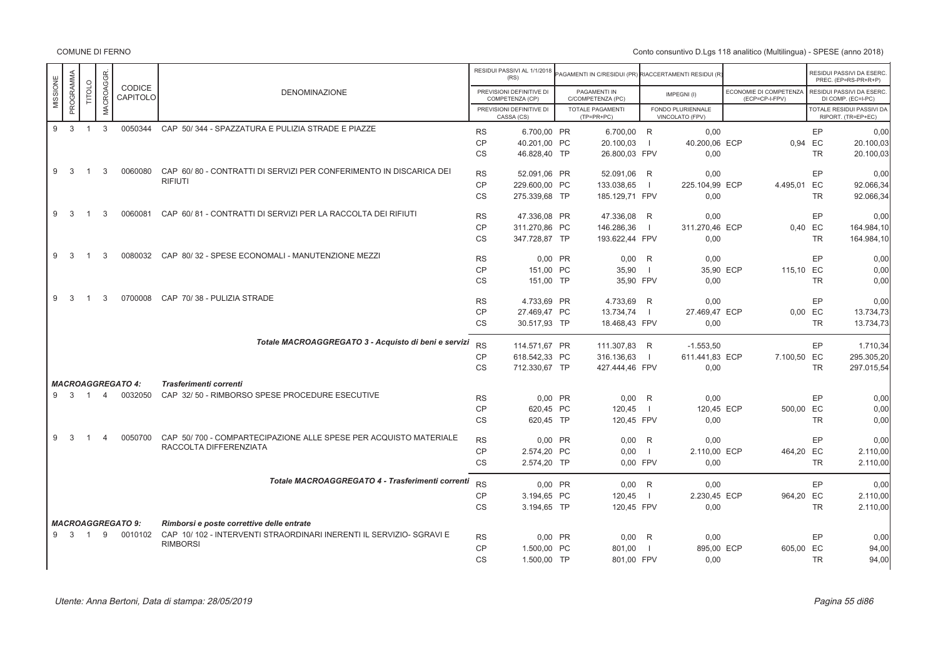|          |                     |                |                  |                                     |                                                                                                                  |           | RESIDUI PASSIVI AL 1/1/2018<br>(RS)         | <b>PAGAMENTI IN C/RESIDUI (PR) RIACCERTAMENTI RESIDUI (R</b> |                          |                                      |                                          |           | RESIDUI PASSIVI DA ESERC<br>PREC. (EP=RS-PR+R+P) |
|----------|---------------------|----------------|------------------|-------------------------------------|------------------------------------------------------------------------------------------------------------------|-----------|---------------------------------------------|--------------------------------------------------------------|--------------------------|--------------------------------------|------------------------------------------|-----------|--------------------------------------------------|
| MISSIONE | PROGRAMMA           | TITOLO         | <b>MACROAGGR</b> | CODICE<br>CAPITOLO                  | <b>DENOMINAZIONE</b>                                                                                             |           | PREVISIONI DEFINITIVE DI<br>COMPETENZA (CP) | PAGAMENTI IN<br>C/COMPETENZA (PC)                            |                          | IMPEGNI(I)                           | ECONOMIE DI COMPETENZA<br>(ECP=CP-I-FPV) |           | RESIDUI PASSIVI DA ESERC<br>DI COMP. (EC=I-PC)   |
|          |                     |                |                  |                                     |                                                                                                                  |           | PREVISIONI DEFINITIVE DI<br>CASSA (CS)      | <b>TOTALE PAGAMENTI</b><br>$(TP=PR+PC)$                      |                          | FONDO PLURIENNALE<br>VINCOLATO (FPV) |                                          |           | TOTALE RESIDUI PASSIVI DA<br>RIPORT. (TR=EP+EC)  |
| 9        | $\overline{3}$      | $\overline{1}$ | $\mathbf{3}$     | 0050344                             | CAP 50/344 - SPAZZATURA E PULIZIA STRADE E PIAZZE                                                                | <b>RS</b> | 6.700.00 PR                                 | 6.700.00 R                                                   |                          | 0.00                                 |                                          | EP        | 0.00                                             |
|          |                     |                |                  |                                     |                                                                                                                  | <b>CP</b> | 40.201,00 PC                                | 20.100,03                                                    | $\blacksquare$           | 40.200,06 ECP                        |                                          | 0,94 EC   | 20.100,03                                        |
|          |                     |                |                  |                                     |                                                                                                                  | <b>CS</b> | 46.828.40 TP                                | 26.800,03 FPV                                                |                          | 0.00                                 |                                          | <b>TR</b> | 20.100,03                                        |
| 9        | - 3                 | $\overline{1}$ | 3                | 0060080                             | CAP 60/80 - CONTRATTI DI SERVIZI PER CONFERIMENTO IN DISCARICA DEI                                               |           |                                             |                                                              |                          |                                      |                                          |           |                                                  |
|          |                     |                |                  |                                     | <b>RIFIUTI</b>                                                                                                   | <b>RS</b> | 52.091.06 PR                                | 52.091,06 R                                                  |                          | 0.00                                 |                                          | EP        | 0,00                                             |
|          |                     |                |                  |                                     |                                                                                                                  | <b>CP</b> | 229.600,00 PC                               | 133.038,65                                                   |                          | 225.104,99 ECP                       | 4.495,01 EC                              |           | 92.066,34                                        |
|          |                     |                |                  |                                     |                                                                                                                  | <b>CS</b> | 275.339,68 TP                               | 185.129,71 FPV                                               |                          | 0,00                                 |                                          | <b>TR</b> | 92.066,34                                        |
| 9        | 3                   | $\overline{1}$ | 3                | 0060081                             | CAP 60/81 - CONTRATTI DI SERVIZI PER LA RACCOLTA DEI RIFIUTI                                                     | <b>RS</b> | 47.336.08 PR                                | 47.336.08                                                    | R                        | 0.00                                 |                                          | EP        | 0.00                                             |
|          |                     |                |                  |                                     |                                                                                                                  | <b>CP</b> | 311.270,86 PC                               | 146.286,36                                                   | $\overline{\phantom{0}}$ | 311.270,46 ECP                       |                                          | 0,40 EC   | 164.984,10                                       |
|          |                     |                |                  |                                     |                                                                                                                  | <b>CS</b> | 347.728,87 TP                               | 193.622,44 FPV                                               |                          | 0,00                                 |                                          | <b>TR</b> | 164.984,10                                       |
| 9        | 3                   | $\overline{1}$ | 3                | 0080032                             | CAP 80/32 - SPESE ECONOMALI - MANUTENZIONE MEZZI                                                                 | <b>RS</b> | 0,00 PR                                     | 0,00                                                         | R                        | 0,00                                 |                                          | EP        | 0,00                                             |
|          |                     |                |                  |                                     |                                                                                                                  | CP        | 151.00 PC                                   | 35,90                                                        | $\overline{\phantom{0}}$ | 35.90 ECP                            | 115,10 EC                                |           | 0,00                                             |
|          |                     |                |                  |                                     |                                                                                                                  | <b>CS</b> | 151,00 TP                                   | 35,90 FPV                                                    |                          | 0,00                                 |                                          | <b>TR</b> | 0,00                                             |
|          |                     |                |                  |                                     |                                                                                                                  |           |                                             |                                                              |                          |                                      |                                          |           |                                                  |
| 9        | 3                   | $\mathbf{1}$   | 3                | 0700008                             | CAP 70/38 - PULIZIA STRADE                                                                                       | <b>RS</b> | 4.733,69 PR                                 | 4.733,69                                                     | R                        | 0,00                                 |                                          | EP        | 0,00                                             |
|          |                     |                |                  |                                     |                                                                                                                  | <b>CP</b> | 27.469,47 PC                                | 13.734,74                                                    | $\Box$                   | 27.469,47 ECP                        |                                          | 0,00 EC   | 13.734,73                                        |
|          |                     |                |                  |                                     |                                                                                                                  | <b>CS</b> | 30.517.93 TP                                | 18.468.43 FPV                                                |                          | 0.00                                 |                                          | <b>TR</b> | 13.734,73                                        |
|          |                     |                |                  |                                     | Totale MACROAGGREGATO 3 - Acquisto di beni e servizi                                                             | <b>RS</b> |                                             |                                                              |                          |                                      |                                          |           |                                                  |
|          |                     |                |                  |                                     |                                                                                                                  |           | 114.571.67 PR                               | 111.307,83 R                                                 |                          | $-1.553,50$                          |                                          | EP        | 1.710,34                                         |
|          |                     |                |                  |                                     |                                                                                                                  | <b>CP</b> | 618.542,33 PC                               | 316.136,63                                                   | $\Box$                   | 611.441,83 ECP                       | 7.100,50 EC                              |           | 295.305,20                                       |
|          |                     |                |                  |                                     |                                                                                                                  | <b>CS</b> | 712.330,67 TP                               | 427.444,46 FPV                                               |                          | 0,00                                 |                                          | <b>TR</b> | 297.015,54                                       |
|          |                     |                |                  | <b>MACROAGGREGATO 4:</b>            | Trasferimenti correnti                                                                                           |           |                                             |                                                              |                          |                                      |                                          |           |                                                  |
|          | $9 \quad 3 \quad 1$ |                | $\overline{4}$   | 0032050                             | CAP 32/50 - RIMBORSO SPESE PROCEDURE ESECUTIVE                                                                   | <b>RS</b> | 0.00 PR                                     | $0.00$ R                                                     |                          | 0.00                                 |                                          | EP        | 0.00                                             |
|          |                     |                |                  |                                     |                                                                                                                  | <b>CP</b> | 620,45 PC                                   | 120,45                                                       | $\blacksquare$           | 120,45 ECP                           | 500,00 EC                                |           | 0,00                                             |
|          |                     |                |                  |                                     |                                                                                                                  | <b>CS</b> | 620,45 TP                                   | 120,45 FPV                                                   |                          | 0.00                                 |                                          | <b>TR</b> | 0,00                                             |
| 9        | 3                   |                | $\Delta$         | 0050700                             | CAP 50/700 - COMPARTECIPAZIONE ALLE SPESE PER ACQUISTO MATERIALE                                                 | <b>RS</b> | 0,00 PR                                     | 0,00                                                         | R                        | 0,00                                 |                                          | EP        | 0,00                                             |
|          |                     |                |                  |                                     | RACCOLTA DIFFERENZIATA                                                                                           | <b>CP</b> |                                             |                                                              | $\blacksquare$           |                                      |                                          |           |                                                  |
|          |                     |                |                  |                                     |                                                                                                                  | <b>CS</b> | 2.574,20 PC                                 | 0,00<br>0,00 FPV                                             |                          | 2.110,00 ECP<br>0,00                 | 464,20 EC                                | <b>TR</b> | 2.110,00<br>2.110,00                             |
|          |                     |                |                  |                                     |                                                                                                                  |           | 2.574,20 TP                                 |                                                              |                          |                                      |                                          |           |                                                  |
|          |                     |                |                  |                                     | Totale MACROAGGREGATO 4 - Trasferimenti correnti                                                                 | <b>RS</b> | 0.00 PR                                     | $0.00$ R                                                     |                          | 0.00                                 |                                          | EP        | 0.00                                             |
|          |                     |                |                  |                                     |                                                                                                                  | <b>CP</b> | 3.194,65 PC                                 | 120,45                                                       | $\Box$                   | 2.230,45 ECP                         | 964,20 EC                                |           | 2.110,00                                         |
|          |                     |                |                  |                                     |                                                                                                                  | <b>CS</b> | 3.194.65 TP                                 | 120.45 FPV                                                   |                          | 0,00                                 |                                          | <b>TR</b> | 2.110.00                                         |
|          |                     |                |                  |                                     |                                                                                                                  |           |                                             |                                                              |                          |                                      |                                          |           |                                                  |
|          | 9 3 1               |                | 9                | <b>MACROAGGREGATO 9:</b><br>0010102 | Rimborsi e poste correttive delle entrate<br>CAP 10/102 - INTERVENTI STRAORDINARI INERENTI IL SERVIZIO- SGRAVI E |           |                                             |                                                              |                          |                                      |                                          |           |                                                  |
|          |                     |                |                  |                                     | <b>RIMBORSI</b>                                                                                                  | <b>RS</b> | 0.00 PR                                     | 0.00                                                         | R                        | 0.00                                 |                                          | EP        | 0.00                                             |
|          |                     |                |                  |                                     |                                                                                                                  | <b>CP</b> | 1.500,00 PC                                 | 801,00                                                       | $\overline{\phantom{0}}$ | 895,00 ECP                           | 605,00 EC                                |           | 94,00                                            |
|          |                     |                |                  |                                     |                                                                                                                  | <b>CS</b> | 1.500,00 TP                                 | 801,00 FPV                                                   |                          | 0.00                                 |                                          | <b>TR</b> | 94.00                                            |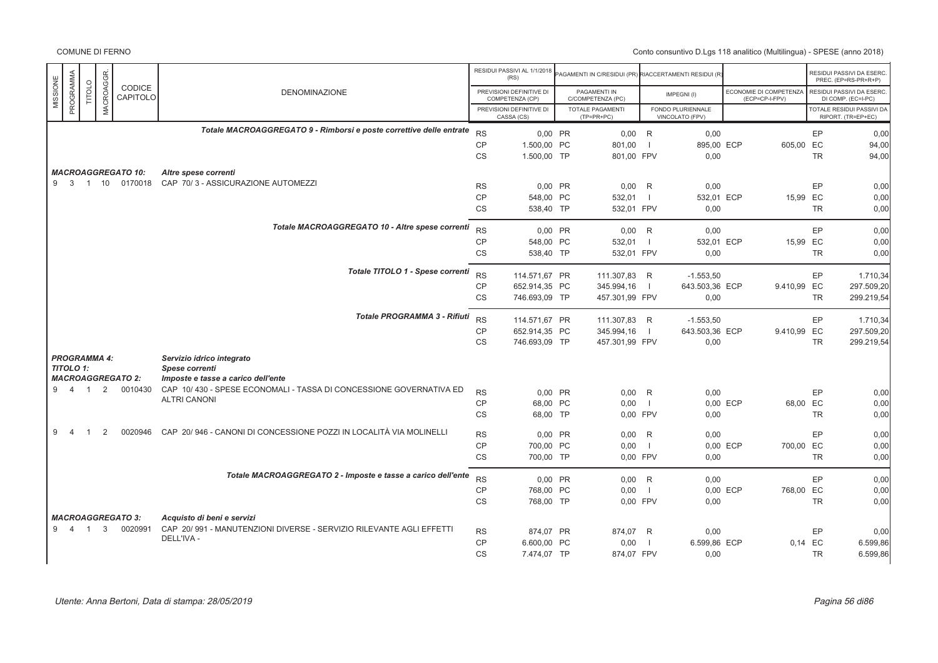|                       |                |                  |                           |                                                                                   |           | RESIDUI PASSIVI AL 1/1/2018<br>(RS)         | <b>PAGAMENTI IN C/RESIDUI (PR) RIACCERTAMENTI RESIDUI (R</b> |                |                                      |          |                                          |           | RESIDUI PASSIVI DA ESERC<br>PREC. (EP=RS-PR+R+P)       |
|-----------------------|----------------|------------------|---------------------------|-----------------------------------------------------------------------------------|-----------|---------------------------------------------|--------------------------------------------------------------|----------------|--------------------------------------|----------|------------------------------------------|-----------|--------------------------------------------------------|
| PROGRAMMA<br>MISSIONE | <b>TITOLO</b>  | <b>MACROAGGR</b> | <b>CODICE</b><br>CAPITOLO | <b>DENOMINAZIONE</b>                                                              |           | PREVISIONI DEFINITIVE DI<br>COMPETENZA (CP) | PAGAMENTI IN<br>C/COMPETENZA (PC)                            |                | IMPEGNI(I)                           |          | ECONOMIE DI COMPETENZA<br>(ECP=CP-I-FPV) |           | RESIDUI PASSIVI DA ESERC.<br>DI COMP. (EC=I-PC)        |
|                       |                |                  |                           |                                                                                   |           | PREVISIONI DEFINITIVE DI<br>CASSA (CS)      | TOTALE PAGAMENTI<br>$(TP=PR+PC)$                             |                | FONDO PLURIENNALE<br>VINCOLATO (FPV) |          |                                          |           | <b>FOTALE RESIDUI PASSIVI DA</b><br>RIPORT. (TR=EP+EC) |
|                       |                |                  |                           | Totale MACROAGGREGATO 9 - Rimborsi e poste correttive delle entrate               | <b>RS</b> | 0,00 PR                                     | $0,00$ R                                                     |                | 0,00                                 |          |                                          | EP        | 0,00                                                   |
|                       |                |                  |                           |                                                                                   | CP        | 1.500.00 PC                                 | 801.00                                                       | $\blacksquare$ | 895,00 ECP                           |          | 605,00 EC                                |           | 94,00                                                  |
|                       |                |                  |                           |                                                                                   | <b>CS</b> | 1.500,00 TP                                 | 801,00 FPV                                                   |                | 0,00                                 |          |                                          | <b>TR</b> | 94,00                                                  |
|                       |                |                  |                           |                                                                                   |           |                                             |                                                              |                |                                      |          |                                          |           |                                                        |
|                       |                |                  | <b>MACROAGGREGATO 10:</b> | Altre spese correnti                                                              |           |                                             |                                                              |                |                                      |          |                                          |           |                                                        |
|                       |                |                  |                           | 9 3 1 10 0170018 CAP 70/3 - ASSICURAZIONE AUTOMEZZI                               | <b>RS</b> | 0,00 PR                                     | 0,00                                                         | R              | 0,00                                 |          |                                          | EP        | 0,00                                                   |
|                       |                |                  |                           |                                                                                   | CP        | 548,00 PC                                   | 532,01                                                       | $\blacksquare$ | 532,01 ECP                           |          | 15,99 EC                                 |           | 0,00                                                   |
|                       |                |                  |                           |                                                                                   | <b>CS</b> | 538,40 TP                                   | 532,01 FPV                                                   |                | 0,00                                 |          |                                          | <b>TR</b> | 0,00                                                   |
|                       |                |                  |                           |                                                                                   |           |                                             |                                                              |                |                                      |          |                                          |           |                                                        |
|                       |                |                  |                           | Totale MACROAGGREGATO 10 - Altre spese correnti                                   | <b>RS</b> | 0,00 PR                                     | $0,00$ R                                                     |                | 0,00                                 |          |                                          | EP        | 0,00                                                   |
|                       |                |                  |                           |                                                                                   | <b>CP</b> | 548,00 PC                                   | 532,01                                                       | - 1            | 532,01 ECP                           |          | 15,99 EC                                 |           | 0,00                                                   |
|                       |                |                  |                           |                                                                                   | CS        | 538,40 TP                                   | 532,01 FPV                                                   |                | 0,00                                 |          |                                          | <b>TR</b> | 0,00                                                   |
|                       |                |                  |                           |                                                                                   |           |                                             |                                                              |                |                                      |          |                                          |           |                                                        |
|                       |                |                  |                           | Totale TITOLO 1 - Spese correnti                                                  | <b>RS</b> | 114.571,67 PR                               | 111.307,83 R                                                 |                | $-1.553,50$                          |          |                                          | EP        | 1.710,34                                               |
|                       |                |                  |                           |                                                                                   | CP        | 652.914,35 PC                               | 345.994,16                                                   | $\blacksquare$ | 643.503,36 ECP                       |          | 9.410,99 EC                              |           | 297.509,20                                             |
|                       |                |                  |                           |                                                                                   | <b>CS</b> | 746.693,09 TP                               | 457.301,99 FPV                                               |                | 0,00                                 |          |                                          | <b>TR</b> | 299.219,54                                             |
|                       |                |                  |                           |                                                                                   |           |                                             |                                                              |                |                                      |          |                                          |           |                                                        |
|                       |                |                  |                           | <b>Totale PROGRAMMA 3 - Rifiuti</b>                                               | <b>RS</b> | 114.571,67 PR                               | 111.307,83 R                                                 |                | $-1.553,50$                          |          |                                          | EP        | 1.710,34                                               |
|                       |                |                  |                           |                                                                                   | <b>CP</b> | 652.914,35 PC                               | 345.994,16                                                   | $\blacksquare$ | 643.503,36 ECP                       |          | 9.410,99 EC                              |           | 297.509,20                                             |
|                       |                |                  |                           |                                                                                   | <b>CS</b> | 746.693,09 TP                               |                                                              |                | 0,00                                 |          |                                          | <b>TR</b> | 299.219,54                                             |
|                       |                |                  |                           |                                                                                   |           |                                             | 457.301,99 FPV                                               |                |                                      |          |                                          |           |                                                        |
| <b>PROGRAMMA 4:</b>   |                |                  |                           | Servizio idrico integrato                                                         |           |                                             |                                                              |                |                                      |          |                                          |           |                                                        |
| <b>TITOLO 1:</b>      |                |                  |                           | Spese correnti                                                                    |           |                                             |                                                              |                |                                      |          |                                          |           |                                                        |
|                       |                |                  | <b>MACROAGGREGATO 2:</b>  | Imposte e tasse a carico dell'ente                                                |           |                                             |                                                              |                |                                      |          |                                          |           |                                                        |
| 9 4 1                 |                |                  | 2 0010430                 | CAP 10/430 - SPESE ECONOMALI - TASSA DI CONCESSIONE GOVERNATIVA ED                | <b>RS</b> | 0.00 PR                                     | 0.00                                                         | R              | 0.00                                 |          |                                          | EP        | 0.00                                                   |
|                       |                |                  |                           | <b>ALTRI CANONI</b>                                                               | <b>CP</b> | 68,00 PC                                    | 0,00                                                         | $\blacksquare$ |                                      | 0,00 ECP | 68,00 EC                                 |           | 0,00                                                   |
|                       |                |                  |                           |                                                                                   | CS        | 68,00 TP                                    | 0,00 FPV                                                     |                | 0,00                                 |          |                                          | <b>TR</b> | 0,00                                                   |
|                       |                |                  |                           |                                                                                   |           |                                             |                                                              |                |                                      |          |                                          |           |                                                        |
| 9                     |                | 2                | 0020946                   | CAP 20/946 - CANONI DI CONCESSIONE POZZI IN LOCALITÀ VIA MOLINELLI                | <b>RS</b> | 0.00 PR                                     | 0,00                                                         | R              | 0,00                                 |          |                                          | EP        | 0,00                                                   |
|                       |                |                  |                           |                                                                                   | <b>CP</b> | 700.00 PC                                   | 0.00                                                         | $\blacksquare$ |                                      | 0.00 ECP | 700,00 EC                                |           | 0.00                                                   |
|                       |                |                  |                           |                                                                                   | CS        | 700,00 TP                                   | 0,00 FPV                                                     |                | 0,00                                 |          |                                          | <b>TR</b> | 0,00                                                   |
|                       |                |                  |                           |                                                                                   |           |                                             |                                                              |                |                                      |          |                                          |           |                                                        |
|                       |                |                  |                           | Totale MACROAGGREGATO 2 - Imposte e tasse a carico dell'ente                      | <b>RS</b> | 0,00 PR                                     | $0,00$ R                                                     |                | 0.00                                 |          |                                          | EP        | 0,00                                                   |
|                       |                |                  |                           |                                                                                   | <b>CP</b> | 768,00 PC                                   | 0,00                                                         | $\blacksquare$ |                                      | 0,00 ECP | 768,00 EC                                |           | 0,00                                                   |
|                       |                |                  |                           |                                                                                   | <b>CS</b> | 768.00 TP                                   | 0.00 FPV                                                     |                | 0.00                                 |          |                                          | <b>TR</b> | 0.00                                                   |
|                       |                |                  |                           |                                                                                   |           |                                             |                                                              |                |                                      |          |                                          |           |                                                        |
|                       |                |                  | <b>MACROAGGREGATO 3:</b>  | Acquisto di beni e servizi                                                        |           |                                             |                                                              |                |                                      |          |                                          |           |                                                        |
| 9<br>$\overline{4}$   | $\overline{1}$ | 3                | 0020991                   | CAP 20/991 - MANUTENZIONI DIVERSE - SERVIZIO RILEVANTE AGLI EFFETTI<br>DELL'IVA - | <b>RS</b> | 874.07 PR                                   | 874,07 R                                                     |                | 0,00                                 |          |                                          | EP        | 0,00                                                   |
|                       |                |                  |                           |                                                                                   | <b>CP</b> | 6.600.00 PC                                 | 0,00                                                         | $\blacksquare$ | 6.599,86 ECP                         |          | 0.14 EC                                  |           | 6.599,86                                               |
|                       |                |                  |                           |                                                                                   | <b>CS</b> | 7.474,07 TP                                 | 874,07 FPV                                                   |                | 0,00                                 |          |                                          | <b>TR</b> | 6.599,86                                               |
|                       |                |                  |                           |                                                                                   |           |                                             |                                                              |                |                                      |          |                                          |           |                                                        |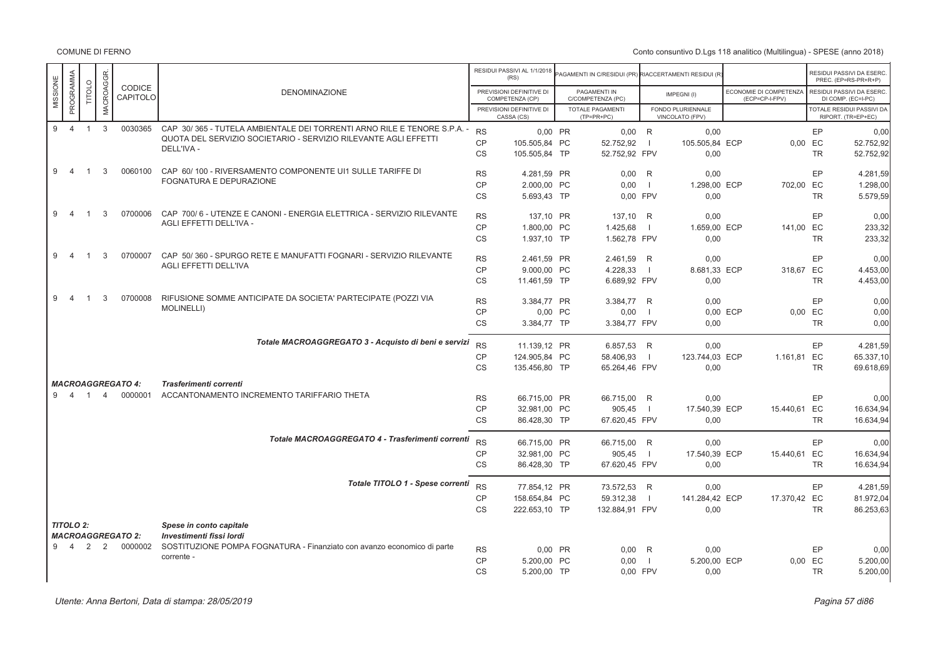|                       |                |                |                                     |                                                                               |           | RESIDUI PASSIVI AL 1/1/2018<br>(RS)         | <b>PAGAMENTI IN C/RESIDUI (PR) RIACCERTAMENTI RESIDUI (R</b> |                |                                      |                                          | RESIDUI PASSIVI DA ESERC<br>PREC. (EP=RS-PR+R+P) |
|-----------------------|----------------|----------------|-------------------------------------|-------------------------------------------------------------------------------|-----------|---------------------------------------------|--------------------------------------------------------------|----------------|--------------------------------------|------------------------------------------|--------------------------------------------------|
| PROGRAMMA<br>MISSIONE | <b>TITOLO</b>  | MACROAGGR.     | CODICE<br>CAPITOLO                  | <b>DENOMINAZIONE</b>                                                          |           | PREVISIONI DEFINITIVE DI<br>COMPETENZA (CP) | PAGAMENTI IN<br>C/COMPETENZA (PC)                            |                | IMPEGNI(I)                           | ECONOMIE DI COMPETENZA<br>(ECP=CP-I-FPV) | RESIDUI PASSIVI DA ESERC<br>DI COMP. (EC=I-PC)   |
|                       |                |                |                                     |                                                                               |           | PREVISIONI DEFINITIVE DI<br>CASSA (CS)      | TOTALE PAGAMENTI<br>$(TP=PR+PC)$                             |                | FONDO PLURIENNALE<br>VINCOLATO (FPV) |                                          | TOTALE RESIDUI PASSIVI DA<br>RIPORT. (TR=EP+EC)  |
| $\overline{4}$<br>9   | $\overline{1}$ | $\mathbf{3}$   | 0030365                             | CAP 30/365 - TUTELA AMBIENTALE DEI TORRENTI ARNO RILE E TENORE S.P.A. -       | <b>RS</b> | 0,00 PR                                     | 0,00                                                         | R              | 0,00                                 |                                          | EP<br>0,00                                       |
|                       |                |                |                                     | QUOTA DEL SERVIZIO SOCIETARIO - SERVIZIO RILEVANTE AGLI EFFETTI<br>DELL'IVA - | <b>CP</b> | 105.505,84 PC                               | 52.752,92                                                    | - 11           | 105.505,84 ECP                       |                                          | 0,00 EC<br>52.752,92                             |
|                       |                |                |                                     |                                                                               | <b>CS</b> | 105.505,84 TP                               | 52.752,92 FPV                                                |                | 0,00                                 |                                          | <b>TR</b><br>52.752,92                           |
| 9<br>$\overline{4}$   | $\overline{1}$ | 3              | 0060100                             | CAP 60/100 - RIVERSAMENTO COMPONENTE UI1 SULLE TARIFFE DI                     | <b>RS</b> | 4.281,59 PR                                 | 0,00                                                         | $\mathsf{R}$   | 0,00                                 |                                          | EP<br>4.281,59                                   |
|                       |                |                |                                     | FOGNATURA E DEPURAZIONE                                                       | CP        | 2.000,00 PC                                 | 0.00                                                         | $\Box$         | 1.298,00 ECP                         | 702,00 EC                                | 1.298,00                                         |
|                       |                |                |                                     |                                                                               | <b>CS</b> | 5.693,43 TP                                 | 0.00 FPV                                                     |                | 0,00                                 |                                          | <b>TR</b><br>5.579,59                            |
| 9<br>$\overline{4}$   | $\overline{1}$ | 3              | 0700006                             | CAP 700/6 - UTENZE E CANONI - ENERGIA ELETTRICA - SERVIZIO RILEVANTE          |           |                                             |                                                              |                |                                      |                                          |                                                  |
|                       |                |                |                                     | AGLI EFFETTI DELL'IVA -                                                       | <b>RS</b> | 137.10 PR                                   | 137,10 R                                                     |                | 0.00                                 |                                          | EP<br>0,00                                       |
|                       |                |                |                                     |                                                                               | CP        | 1.800,00 PC                                 | 1.425,68                                                     | - 1            | 1.659,00 ECP                         | 141,00 EC                                | 233,32                                           |
|                       |                |                |                                     |                                                                               | <b>CS</b> | 1.937,10 TP                                 | 1.562,78 FPV                                                 |                | 0.00                                 |                                          | <b>TR</b><br>233,32                              |
| 9<br>$\overline{4}$   | $\overline{1}$ | 3              | 0700007                             | CAP 50/360 - SPURGO RETE E MANUFATTI FOGNARI - SERVIZIO RILEVANTE             | <b>RS</b> | 2.461,59 PR                                 | 2.461,59 R                                                   |                | 0.00                                 |                                          | EP<br>0,00                                       |
|                       |                |                |                                     | <b>AGLI EFFETTI DELL'IVA</b>                                                  | <b>CP</b> | 9.000.00 PC                                 | 4.228,33                                                     | $\blacksquare$ | 8.681,33 ECP                         | 318,67 EC                                | 4.453,00                                         |
|                       |                |                |                                     |                                                                               | <b>CS</b> | 11.461.59 TP                                | 6.689,92 FPV                                                 |                | 0.00                                 |                                          | <b>TR</b><br>4.453,00                            |
|                       |                |                |                                     |                                                                               |           |                                             |                                                              |                |                                      |                                          |                                                  |
| 9<br>4                | -1             | 3              | 0700008                             | RIFUSIONE SOMME ANTICIPATE DA SOCIETA' PARTECIPATE (POZZI VIA                 | <b>RS</b> | 3.384.77 PR                                 | 3.384.77 R                                                   |                | 0.00                                 |                                          | EP<br>0,00                                       |
|                       |                |                |                                     | <b>MOLINELLI)</b>                                                             | <b>CP</b> | 0.00 PC                                     | 0,00                                                         | $\blacksquare$ |                                      | 0.00 ECP                                 | 0.00 EC<br>0,00                                  |
|                       |                |                |                                     |                                                                               | <b>CS</b> | 3.384,77 TP                                 | 3.384,77 FPV                                                 |                | 0,00                                 |                                          | <b>TR</b><br>0,00                                |
|                       |                |                |                                     | Totale MACROAGGREGATO 3 - Acquisto di beni e servizi                          | <b>RS</b> | 11.139,12 PR                                | 6.857,53 R                                                   |                | 0.00                                 |                                          | EP<br>4.281,59                                   |
|                       |                |                |                                     |                                                                               | CP        | 124.905,84 PC                               | 58.406,93                                                    | $\overline{1}$ | 123.744,03 ECP                       | 1.161,81 EC                              | 65.337,10                                        |
|                       |                |                |                                     |                                                                               | <b>CS</b> | 135.456,80 TP                               | 65.264,46 FPV                                                |                | 0,00                                 |                                          | <b>TR</b><br>69.618,69                           |
|                       |                |                |                                     |                                                                               |           |                                             |                                                              |                |                                      |                                          |                                                  |
| 9<br>$\overline{4}$   | $\overline{1}$ | $\overline{4}$ | <b>MACROAGGREGATO 4:</b><br>0000001 | Trasferimenti correnti<br>ACCANTONAMENTO INCREMENTO TARIFFARIO THETA          |           |                                             |                                                              |                |                                      |                                          |                                                  |
|                       |                |                |                                     |                                                                               | <b>RS</b> | 66.715,00 PR                                | 66.715,00                                                    | R              | 0,00                                 |                                          | EP<br>0,00                                       |
|                       |                |                |                                     |                                                                               | <b>CP</b> | 32.981,00 PC                                | 905,45                                                       | $\blacksquare$ | 17.540,39 ECP                        | 15.440,61 EC                             | 16.634,94                                        |
|                       |                |                |                                     |                                                                               | <b>CS</b> | 86.428,30 TP                                | 67.620,45 FPV                                                |                | 0,00                                 |                                          | <b>TR</b><br>16.634,94                           |
|                       |                |                |                                     | Totale MACROAGGREGATO 4 - Trasferimenti correnti                              | <b>RS</b> | 66.715,00 PR                                | 66.715,00 R                                                  |                | 0.00                                 |                                          | EP<br>0,00                                       |
|                       |                |                |                                     |                                                                               | <b>CP</b> | 32.981,00 PC                                | 905,45                                                       | $\blacksquare$ | 17,540.39 ECP                        | 15.440,61 EC                             | 16.634,94                                        |
|                       |                |                |                                     |                                                                               | <b>CS</b> | 86.428,30 TP                                | 67.620,45 FPV                                                |                | 0,00                                 |                                          | <b>TR</b><br>16.634,94                           |
|                       |                |                |                                     | Totale TITOLO 1 - Spese correnti                                              |           |                                             |                                                              |                |                                      |                                          |                                                  |
|                       |                |                |                                     |                                                                               | <b>RS</b> | 77.854,12 PR                                | 73.572,53 R                                                  |                | 0.00                                 |                                          | EP<br>4.281,59                                   |
|                       |                |                |                                     |                                                                               | CP        | 158.654,84 PC                               | 59.312,38                                                    | - 11           | 141.284,42 ECP                       | 17.370,42 EC                             | 81.972,04                                        |
|                       |                |                |                                     |                                                                               | <b>CS</b> | 222.653,10 TP                               | 132.884,91 FPV                                               |                | 0.00                                 |                                          | <b>TR</b><br>86.253,63                           |
| <b>TITOLO 2:</b>      |                |                |                                     | Spese in conto capitale                                                       |           |                                             |                                                              |                |                                      |                                          |                                                  |
|                       |                |                | <b>MACROAGGREGATO 2:</b>            | Investimenti fissi lordi                                                      |           |                                             |                                                              |                |                                      |                                          |                                                  |
| 9<br>$\overline{4}$   | 2              | 2              | 0000002                             | SOSTITUZIONE POMPA FOGNATURA - Finanziato con avanzo economico di parte       | <b>RS</b> | 0,00 PR                                     | 0,00                                                         | R              | 0,00                                 |                                          | EP<br>0,00                                       |
|                       |                |                |                                     | corrente -                                                                    | CP        | 5.200,00 PC                                 | 0,00                                                         | - 11           | 5.200,00 ECP                         |                                          | 0,00 EC<br>5.200,00                              |
|                       |                |                |                                     |                                                                               | <b>CS</b> | 5.200,00 TP                                 | 0.00 FPV                                                     |                | 0,00                                 |                                          | <b>TR</b><br>5.200,00                            |
|                       |                |                |                                     |                                                                               |           |                                             |                                                              |                |                                      |                                          |                                                  |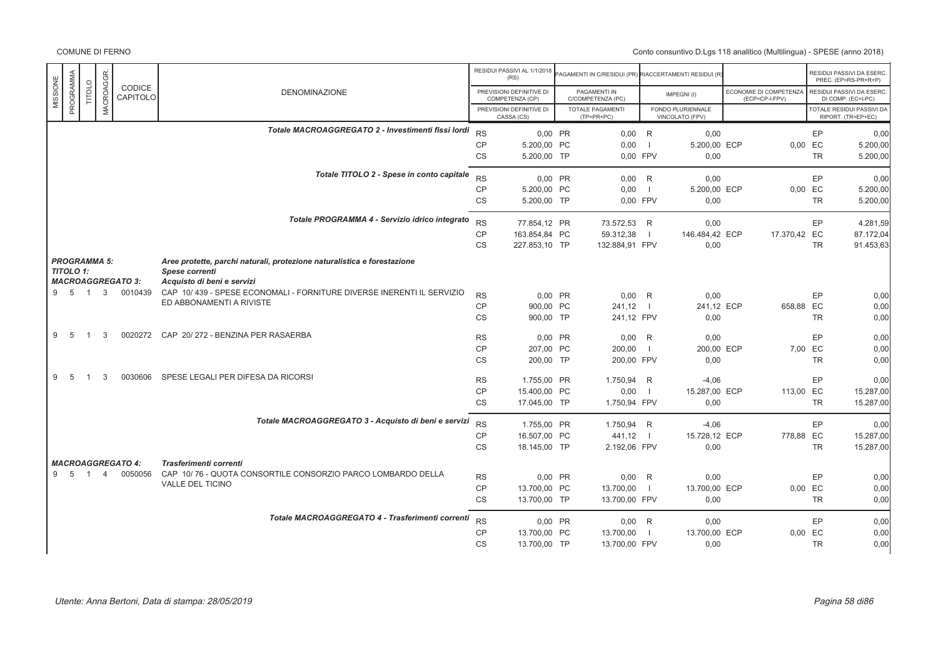|                       |                |                     |                          |                                                                         |                        | RESIDUI PASSIVI AL 1/1/2018<br>(RS)         | PAGAMENTI IN C/RESIDUI (PR) RIACCERTAMENTI RESIDUI (R) |                          |                                      |                                          |                 | RESIDUI PASSIVI DA ESERC.<br>PREC. (EP=RS-PR+R+P) |
|-----------------------|----------------|---------------------|--------------------------|-------------------------------------------------------------------------|------------------------|---------------------------------------------|--------------------------------------------------------|--------------------------|--------------------------------------|------------------------------------------|-----------------|---------------------------------------------------|
| PROGRAMMA<br>MISSIONE | <b>TITOLO</b>  | MACROAGGR.          | CODICE<br>CAPITOLO       | <b>DENOMINAZIONE</b>                                                    |                        | PREVISIONI DEFINITIVE DI<br>COMPETENZA (CP) | PAGAMENTI IN<br>C/COMPETENZA (PC)                      |                          | IMPEGNI(I)                           | ECONOMIE DI COMPETENZA<br>(ECP=CP-I-FPV) |                 | RESIDUI PASSIVI DA ESERC.<br>DI COMP. (EC=I-PC)   |
|                       |                |                     |                          |                                                                         |                        | PREVISIONI DEFINITIVE DI<br>CASSA (CS)      | <b>TOTALE PAGAMENTI</b><br>$(TP=PR+PC)$                |                          | FONDO PLURIENNALE<br>VINCOLATO (FPV) |                                          |                 | TOTALE RESIDUI PASSIVI DA<br>RIPORT. (TR=EP+EC)   |
|                       |                |                     |                          | Totale MACROAGGREGATO 2 - Investimenti fissi lordi                      | <b>RS</b>              | 0.00 PR                                     | $0.00$ R                                               |                          | 0.00                                 |                                          | EP              | 0,00                                              |
|                       |                |                     |                          |                                                                         | <b>CP</b>              | 5.200,00 PC                                 | 0,00                                                   | $\overline{\phantom{0}}$ | 5.200,00 ECP                         |                                          | 0,00 EC         | 5.200,00                                          |
|                       |                |                     |                          |                                                                         | <b>CS</b>              | 5.200,00 TP                                 | 0.00 FPV                                               |                          | 0,00                                 |                                          | <b>TR</b>       | 5.200,00                                          |
|                       |                |                     |                          | Totale TITOLO 2 - Spese in conto capitale                               | <b>RS</b>              | 0,00 PR                                     | $0,00$ R                                               |                          | 0,00                                 |                                          | EP              | 0,00                                              |
|                       |                |                     |                          |                                                                         | <b>CP</b>              | 5.200,00 PC                                 | 0,00                                                   | - 11                     | 5.200,00 ECP                         |                                          | 0,00 EC         | 5.200,00                                          |
|                       |                |                     |                          |                                                                         | <b>CS</b>              | 5.200,00 TP                                 | 0,00 FPV                                               |                          | 0,00                                 |                                          | <b>TR</b>       | 5.200,00                                          |
|                       |                |                     |                          | Totale PROGRAMMA 4 - Servizio idrico integrato                          | <b>RS</b>              | 77.854.12 PR                                | 73.572.53 R                                            |                          | 0,00                                 |                                          | EP              | 4.281,59                                          |
|                       |                |                     |                          |                                                                         | <b>CP</b>              | 163.854,84 PC                               | 59.312,38                                              |                          | 146.484,42 ECP                       | 17.370,42 EC                             |                 | 87.172,04                                         |
|                       |                |                     |                          |                                                                         | <b>CS</b>              | 227.853,10 TP                               | 132.884,91 FPV                                         |                          | 0,00                                 |                                          | <b>TR</b>       | 91.453,63                                         |
|                       |                | <b>PROGRAMMA 5:</b> |                          | Aree protette, parchi naturali, protezione naturalistica e forestazione |                        |                                             |                                                        |                          |                                      |                                          |                 |                                                   |
| <b>TITOLO 1:</b>      |                |                     | <b>MACROAGGREGATO 3:</b> | <b>Spese correnti</b><br>Acquisto di beni e servizi                     |                        |                                             |                                                        |                          |                                      |                                          |                 |                                                   |
|                       | 9 5 1          |                     | 3 0010439                | CAP 10/439 - SPESE ECONOMALI - FORNITURE DIVERSE INERENTI IL SERVIZIO   |                        |                                             |                                                        |                          |                                      |                                          |                 |                                                   |
|                       |                |                     |                          | ED ABBONAMENTI A RIVISTE                                                | <b>RS</b><br><b>CP</b> | 0,00 PR<br>900,00 PC                        | $0,00$ R<br>241,12                                     | $\blacksquare$           | 0,00<br>241,12 ECP                   | 658,88 EC                                | EP              | 0,00<br>0,00                                      |
|                       |                |                     |                          |                                                                         | <b>CS</b>              | 900,00 TP                                   | 241,12 FPV                                             |                          | 0,00                                 |                                          | <b>TR</b>       | 0,00                                              |
| 9<br>-5               | -1             | 3                   | 0020272                  | CAP 20/272 - BENZINA PER RASAERBA                                       |                        |                                             |                                                        |                          |                                      |                                          | EP              |                                                   |
|                       |                |                     |                          |                                                                         | <b>RS</b><br>CP        | 0.00 PR<br>207.00 PC                        | $0.00$ R<br>200,00                                     |                          | 0,00<br>200,00 ECP                   |                                          | 7,00 EC         | 0,00<br>0,00                                      |
|                       |                |                     |                          |                                                                         | CS                     | 200,00 TP                                   | 200,00 FPV                                             |                          | 0,00                                 |                                          | <b>TR</b>       | 0,00                                              |
| 9<br>-5               | $\mathbf{1}$   | 3                   | 0030606                  | SPESE LEGALI PER DIFESA DA RICORSI                                      | <b>RS</b>              | 1.755,00 PR                                 | 1.750,94 R                                             |                          | $-4,06$                              |                                          | EP              | 0,00                                              |
|                       |                |                     |                          |                                                                         | <b>CP</b>              | 15.400,00 PC                                | 0,00                                                   | $\overline{1}$           | 15.287,00 ECP                        | 113,00 EC                                |                 | 15.287,00                                         |
|                       |                |                     |                          |                                                                         | <b>CS</b>              | 17.045,00 TP                                | 1.750,94 FPV                                           |                          | 0,00                                 |                                          | <b>TR</b>       | 15.287,00                                         |
|                       |                |                     |                          | Totale MACROAGGREGATO 3 - Acquisto di beni e servizi                    |                        |                                             |                                                        |                          |                                      |                                          |                 |                                                   |
|                       |                |                     |                          |                                                                         | <b>RS</b><br><b>CP</b> | 1.755,00 PR<br>16,507.00 PC                 | 1.750,94 R<br>441,12                                   | $\blacksquare$           | $-4,06$<br>15.728,12 ECP             | 778,88 EC                                | EP              | 0,00<br>15.287,00                                 |
|                       |                |                     |                          |                                                                         | <b>CS</b>              | 18.145,00 TP                                | 2.192,06 FPV                                           |                          | 0,00                                 |                                          | <b>TR</b>       | 15.287,00                                         |
|                       |                |                     | <b>MACROAGGREGATO 4:</b> | Trasferimenti correnti                                                  |                        |                                             |                                                        |                          |                                      |                                          |                 |                                                   |
| 9<br>-5               | $\overline{1}$ | $\overline{4}$      | 0050056                  | CAP 10/76 - QUOTA CONSORTILE CONSORZIO PARCO LOMBARDO DELLA             |                        |                                             |                                                        |                          |                                      |                                          |                 |                                                   |
|                       |                |                     |                          | <b>VALLE DEL TICINO</b>                                                 | <b>RS</b><br><b>CP</b> | 0,00 PR<br>13.700,00 PC                     | $0,00$ R<br>13.700,00                                  | $\Box$                   | 0,00<br>13.700,00 ECP                |                                          | EP<br>$0,00$ EC | 0,00<br>0,00                                      |
|                       |                |                     |                          |                                                                         | <b>CS</b>              | 13.700,00 TP                                | 13.700,00 FPV                                          |                          | 0,00                                 |                                          | <b>TR</b>       | 0,00                                              |
|                       |                |                     |                          | Totale MACROAGGREGATO 4 - Trasferimenti correnti                        |                        |                                             |                                                        |                          |                                      |                                          |                 |                                                   |
|                       |                |                     |                          |                                                                         | <b>RS</b><br><b>CP</b> | 0.00 PR                                     | $0.00$ R                                               | $\blacksquare$           | 0,00                                 |                                          | EP              | 0,00                                              |
|                       |                |                     |                          |                                                                         | <b>CS</b>              | 13.700,00 PC<br>13.700,00 TP                | 13.700,00<br>13.700,00 FPV                             |                          | 13.700,00 ECP<br>0,00                | 0,00                                     | EC<br><b>TR</b> | 0,00<br>0,00                                      |
|                       |                |                     |                          |                                                                         |                        |                                             |                                                        |                          |                                      |                                          |                 |                                                   |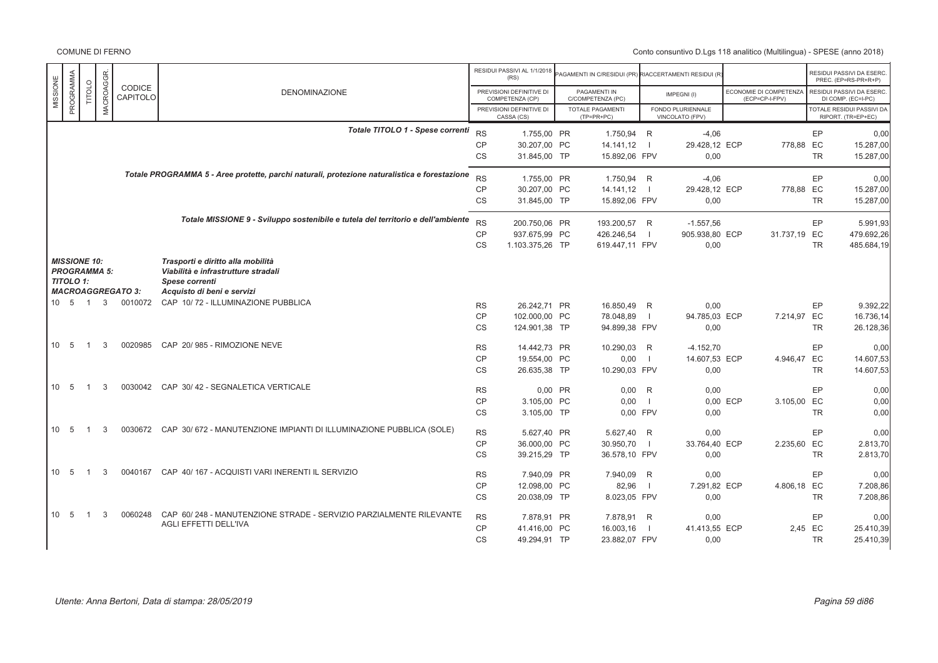|                                         |                |                     |                           |                                                                                                   |           | RESIDUI PASSIVI AL 1/1/2018<br>(RS)         | PAGAMENTI IN C/RESIDUI (PR) RIACCERTAMENTI RESIDUI (R |                |                                      |          |                                          |           | RESIDUI PASSIVI DA ESERC<br>PREC. (EP=RS-PR+R+P)       |
|-----------------------------------------|----------------|---------------------|---------------------------|---------------------------------------------------------------------------------------------------|-----------|---------------------------------------------|-------------------------------------------------------|----------------|--------------------------------------|----------|------------------------------------------|-----------|--------------------------------------------------------|
| PROGRAMMA<br>MISSIONE                   | <b>TITOLO</b>  | MACROAGGR           | CODICE<br><b>CAPITOLO</b> | <b>DENOMINAZIONE</b>                                                                              |           | PREVISIONI DEFINITIVE DI<br>COMPETENZA (CP) | PAGAMENTI IN<br>C/COMPETENZA (PC)                     |                | IMPEGNI(I)                           |          | ECONOMIE DI COMPETENZA<br>(ECP=CP-I-FPV) |           | RESIDUI PASSIVI DA ESERC<br>DI COMP. (EC=I-PC)         |
|                                         |                |                     |                           |                                                                                                   |           | PREVISIONI DEFINITIVE DI<br>CASSA (CS)      | TOTALE PAGAMENTI<br>$(TP=PR+PC)$                      |                | FONDO PLURIENNALE<br>VINCOLATO (FPV) |          |                                          |           | <b>TOTALE RESIDUI PASSIVI DA</b><br>RIPORT. (TR=EP+EC) |
|                                         |                |                     |                           | Totale TITOLO 1 - Spese correnti                                                                  | <b>RS</b> | 1.755,00 PR                                 | 1.750,94 R                                            |                | $-4.06$                              |          |                                          | EP        | 0.00                                                   |
|                                         |                |                     |                           |                                                                                                   | CP        | 30.207,00 PC                                | 14.141,12                                             | $\blacksquare$ | 29.428,12 ECP                        |          | 778,88 EC                                |           | 15.287,00                                              |
|                                         |                |                     |                           |                                                                                                   | CS        | 31.845,00 TP                                | 15.892,06 FPV                                         |                | 0,00                                 |          |                                          | <b>TR</b> | 15.287,00                                              |
|                                         |                |                     |                           | Totale PROGRAMMA 5 - Aree protette, parchi naturali, protezione naturalistica e forestazione      | <b>RS</b> | 1.755,00 PR                                 | 1.750,94 R                                            |                | $-4,06$                              |          |                                          | EP        | 0,00                                                   |
|                                         |                |                     |                           |                                                                                                   |           |                                             |                                                       |                |                                      |          |                                          |           |                                                        |
|                                         |                |                     |                           |                                                                                                   | <b>CP</b> | 30.207.00 PC                                | 14.141,12                                             | $\blacksquare$ | 29.428,12 ECP                        |          | 778.88 EC                                |           | 15.287,00                                              |
|                                         |                |                     |                           |                                                                                                   | <b>CS</b> | 31.845,00 TP                                | 15.892,06 FPV                                         |                | 0,00                                 |          |                                          | <b>TR</b> | 15.287,00                                              |
|                                         |                |                     |                           | Totale MISSIONE 9 - Sviluppo sostenibile e tutela del territorio e dell'ambiente                  | <b>RS</b> | 200.750,06 PR                               | 193.200,57 R                                          |                | $-1.557,56$                          |          |                                          | EP        | 5.991,93                                               |
|                                         |                |                     |                           |                                                                                                   | <b>CP</b> | 937.675,99 PC                               | 426.246,54                                            | $\blacksquare$ | 905.938,80 ECP                       |          | 31.737,19 EC                             |           | 479.692,26                                             |
|                                         |                |                     |                           |                                                                                                   | <b>CS</b> | 1.103.375,26 TP                             | 619.447,11 FPV                                        |                | 0,00                                 |          |                                          | <b>TR</b> | 485.684,19                                             |
|                                         |                |                     |                           |                                                                                                   |           |                                             |                                                       |                |                                      |          |                                          |           |                                                        |
| <b>MISSIONE 10:</b><br><b>TITOLO 1:</b> |                | <b>PROGRAMMA 5:</b> |                           | Trasporti e diritto alla mobilità<br>Viabilità e infrastrutture stradali<br><b>Spese correnti</b> |           |                                             |                                                       |                |                                      |          |                                          |           |                                                        |
|                                         |                |                     | <b>MACROAGGREGATO 3:</b>  | Acquisto di beni e servizi                                                                        |           |                                             |                                                       |                |                                      |          |                                          |           |                                                        |
| 10 5 1                                  |                | $\mathbf{3}$        | 0010072                   | CAP 10/72 - ILLUMINAZIONE PUBBLICA                                                                | <b>RS</b> | 26.242.71 PR                                | 16.850.49 R                                           |                | 0,00                                 |          |                                          | EP        | 9.392.22                                               |
|                                         |                |                     |                           |                                                                                                   | <b>CP</b> | 102.000,00 PC                               | 78.048,89                                             | $\blacksquare$ | 94.785,03 ECP                        |          | 7.214,97 EC                              |           | 16.736,14                                              |
|                                         |                |                     |                           |                                                                                                   | CS        | 124.901,38 TP                               | 94.899,38 FPV                                         |                | 0,00                                 |          |                                          | <b>TR</b> | 26.128,36                                              |
|                                         |                |                     |                           |                                                                                                   |           |                                             |                                                       |                |                                      |          |                                          |           |                                                        |
| 10 <sub>5</sub>                         | $\overline{1}$ | 3                   | 0020985                   | CAP 20/985 - RIMOZIONE NEVE                                                                       | <b>RS</b> | 14.442,73 PR                                | 10.290,03                                             | R              | $-4.152,70$                          |          |                                          | EP        | 0,00                                                   |
|                                         |                |                     |                           |                                                                                                   | <b>CP</b> | 19.554,00 PC                                | 0,00                                                  | $\blacksquare$ | 14.607,53 ECP                        |          | 4.946,47 EC                              |           | 14.607,53                                              |
|                                         |                |                     |                           |                                                                                                   | <b>CS</b> | 26.635,38 TP                                | 10.290,03 FPV                                         |                | 0,00                                 |          |                                          | <b>TR</b> | 14.607,53                                              |
|                                         |                |                     |                           |                                                                                                   |           |                                             |                                                       |                |                                      |          |                                          |           |                                                        |
| 10 <sub>5</sub>                         | $\overline{1}$ | 3                   |                           | 0030042 CAP 30/42 - SEGNALETICA VERTICALE                                                         | <b>RS</b> | 0,00 PR                                     | 0,00                                                  | R              | 0,00                                 |          |                                          | EP        | 0,00                                                   |
|                                         |                |                     |                           |                                                                                                   | <b>CP</b> | 3.105,00 PC                                 | 0,00                                                  | $\blacksquare$ |                                      | 0.00 ECP | 3.105,00 EC                              |           | 0,00                                                   |
|                                         |                |                     |                           |                                                                                                   | CS        | 3.105,00 TP                                 | 0,00 FPV                                              |                | 0,00                                 |          |                                          | <b>TR</b> | 0,00                                                   |
|                                         |                |                     |                           |                                                                                                   |           |                                             |                                                       |                |                                      |          |                                          |           |                                                        |
| 10 5                                    | $\overline{1}$ | 3                   |                           | 0030672 CAP 30/ 672 - MANUTENZIONE IMPIANTI DI ILLUMINAZIONE PUBBLICA (SOLE)                      | RS        | 5.627,40 PR                                 | 5.627,40                                              | R              | 0,00                                 |          |                                          | EP        | 0,00                                                   |
|                                         |                |                     |                           |                                                                                                   | CP        | 36.000,00 PC                                | 30.950,70                                             | $\blacksquare$ | 33.764,40 ECP                        |          | 2.235,60 EC                              |           | 2.813,70                                               |
|                                         |                |                     |                           |                                                                                                   | <b>CS</b> | 39.215,29 TP                                | 36.578,10 FPV                                         |                | 0,00                                 |          |                                          | <b>TR</b> | 2.813,70                                               |
| 10 5                                    | $\overline{1}$ | 3                   | 0040167                   | CAP 40/167 - ACQUISTI VARI INERENTI IL SERVIZIO                                                   | <b>RS</b> | 7.940.09 PR                                 | 7.940,09 R                                            |                | 0.00                                 |          |                                          | EP        | 0.00                                                   |
|                                         |                |                     |                           |                                                                                                   | CP        | 12.098,00 PC                                | 82,96                                                 | $\Box$         | 7.291,82 ECP                         |          | 4.806,18 EC                              |           | 7.208,86                                               |
|                                         |                |                     |                           |                                                                                                   | <b>CS</b> | 20.038,09 TP                                | 8.023,05 FPV                                          |                | 0.00                                 |          |                                          | <b>TR</b> | 7.208,86                                               |
| 10<br>- 5                               | -1             | 3                   | 0060248                   | CAP 60/248 - MANUTENZIONE STRADE - SERVIZIO PARZIALMENTE RILEVANTE                                | <b>RS</b> | 7.878,91 PR                                 | 7.878,91                                              | R              | 0,00                                 |          |                                          | EP        | 0,00                                                   |
|                                         |                |                     |                           | AGLI EFFETTI DELL'IVA                                                                             | <b>CP</b> |                                             |                                                       | - 1            | 41.413.55 ECP                        |          | 2,45 EC                                  |           |                                                        |
|                                         |                |                     |                           |                                                                                                   |           | 41.416.00 PC                                | 16.003,16                                             |                |                                      |          |                                          |           | 25.410,39                                              |
|                                         |                |                     |                           |                                                                                                   | <b>CS</b> | 49.294,91 TP                                | 23.882,07 FPV                                         |                | 0,00                                 |          |                                          | <b>TR</b> | 25.410,39                                              |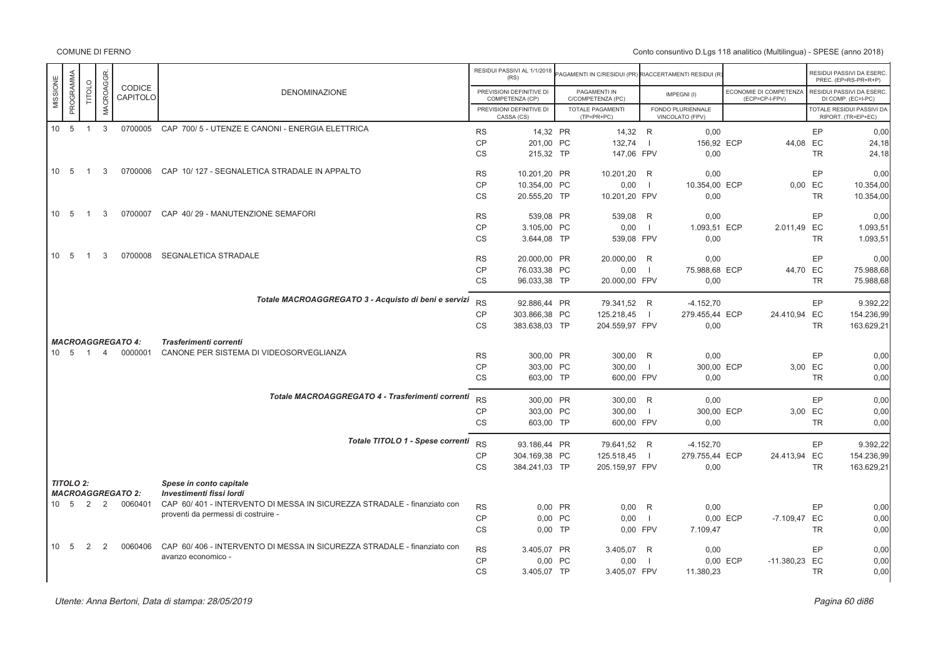Conto consuntivo D.Lgs 118 analitico (Multilingua) - SPESE (anno 2018)

|          | PROGRAMMA    |                | MACROAGGR.     | <b>CODICE</b>            |                                                                         |           | RESIDUI PASSIVI AL 1/1/2018<br>(RS)         | AGAMENTI IN C/RESIDUI (PR) RIACCERTAMENTI RESIDUI (R |                |                                      |                                          |           | RESIDUI PASSIVI DA ESERC.<br>PREC. (EP=RS-PR+R+P) |
|----------|--------------|----------------|----------------|--------------------------|-------------------------------------------------------------------------|-----------|---------------------------------------------|------------------------------------------------------|----------------|--------------------------------------|------------------------------------------|-----------|---------------------------------------------------|
| MISSIONE |              | <b>TITOLO</b>  |                | CAPITOLO                 | <b>DENOMINAZIONE</b>                                                    |           | PREVISIONI DEFINITIVE DI<br>COMPETENZA (CP) | PAGAMENTI IN<br>C/COMPETENZA (PC)                    |                | IMPEGNI(I)                           | ECONOMIE DI COMPETENZA<br>(ECP=CP-I-FPV) |           | RESIDUI PASSIVI DA ESERC.<br>DI COMP. (EC=I-PC)   |
|          |              |                |                |                          |                                                                         |           | PREVISIONI DEFINITIVE DI<br>CASSA (CS)      | TOTALE PAGAMENTI<br>$(TP=PR+PC)$                     |                | FONDO PLURIENNALE<br>VINCOLATO (FPV) |                                          |           | TOTALE RESIDUI PASSIVI DA<br>RIPORT. (TR=EP+EC)   |
|          | 10 5         | $\overline{1}$ | $\mathbf{3}$   |                          | 0700005 CAP 700/5 - UTENZE E CANONI - ENERGIA ELETTRICA                 | <b>RS</b> | 14,32 PR                                    | 14,32 R                                              |                | 0,00                                 |                                          | EP        | 0,00                                              |
|          |              |                |                |                          |                                                                         | <b>CP</b> | 201,00 PC                                   | 132,74                                               | $\blacksquare$ | 156,92 ECP                           | 44,08 EC                                 |           | 24,18                                             |
|          |              |                |                |                          |                                                                         | <b>CS</b> | 215,32 TP                                   | 147,06 FPV                                           |                | 0,00                                 |                                          | <b>TR</b> | 24,18                                             |
| 10       | - 5          | $\overline{1}$ | -3             | 0700006                  | CAP 10/127 - SEGNALETICA STRADALE IN APPALTO                            | <b>RS</b> | 10.201,20 PR                                | 10.201,20 R                                          |                | 0,00                                 |                                          | EP        | 0,00                                              |
|          |              |                |                |                          |                                                                         | <b>CP</b> | 10.354,00 PC                                | 0,00                                                 | $\blacksquare$ | 10.354,00 ECP                        |                                          | 0,00 EC   | 10.354,00                                         |
|          |              |                |                |                          |                                                                         | <b>CS</b> | 20.555,20 TP                                | 10.201,20 FPV                                        |                | 0,00                                 |                                          | <b>TR</b> | 10.354,00                                         |
|          | $10 \quad 5$ | $\overline{1}$ | 3              | 0700007                  | CAP 40/29 - MANUTENZIONE SEMAFORI                                       | <b>RS</b> | 539,08 PR                                   | 539,08 R                                             |                | 0,00                                 |                                          | EP        | 0,00                                              |
|          |              |                |                |                          |                                                                         | CP        | 3.105,00 PC                                 | 0,00                                                 | - 11           | 1.093,51 ECP                         | 2.011,49 EC                              |           | 1.093,51                                          |
|          |              |                |                |                          |                                                                         | <b>CS</b> | 3.644,08 TP                                 | 539,08 FPV                                           |                | 0,00                                 |                                          | <b>TR</b> | 1.093,51                                          |
|          | - 5<br>10    | $\overline{1}$ | 3              | 0700008                  | SEGNALETICA STRADALE                                                    | <b>RS</b> |                                             | 20.000,00 R                                          |                |                                      |                                          | EP        |                                                   |
|          |              |                |                |                          |                                                                         | <b>CP</b> | 20.000,00 PR<br>76.033,38 PC                | 0,00                                                 | $\blacksquare$ | 0,00<br>75.988,68 ECP                | 44,70 EC                                 |           | 0,00<br>75.988,68                                 |
|          |              |                |                |                          |                                                                         | <b>CS</b> | 96.033,38 TP                                | 20.000,00 FPV                                        |                | 0,00                                 |                                          | <b>TR</b> | 75.988,68                                         |
|          |              |                |                |                          |                                                                         |           |                                             |                                                      |                |                                      |                                          |           |                                                   |
|          |              |                |                |                          | Totale MACROAGGREGATO 3 - Acquisto di beni e servizi                    | <b>RS</b> | 92.886,44 PR                                | 79.341,52 R                                          |                | $-4.152,70$                          |                                          | EP        | 9.392,22                                          |
|          |              |                |                |                          |                                                                         | CP        | 303.866,38 PC                               | 125.218,45                                           |                | 279.455,44 ECP                       | 24.410,94 EC                             |           | 154.236,99                                        |
|          |              |                |                |                          |                                                                         | CS        | 383.638,03 TP                               | 204.559,97 FPV                                       |                | 0,00                                 |                                          | TR        | 163.629,21                                        |
|          |              |                |                | <b>MACROAGGREGATO 4:</b> | Trasferimenti correnti                                                  |           |                                             |                                                      |                |                                      |                                          |           |                                                   |
|          | 10 5         | $\overline{1}$ | $\overline{4}$ | 0000001                  | CANONE PER SISTEMA DI VIDEOSORVEGLIANZA                                 | <b>RS</b> | 300,00 PR                                   | 300,00 R                                             |                | 0,00                                 |                                          | EP        | 0,00                                              |
|          |              |                |                |                          |                                                                         | CP        | 303,00 PC                                   | 300,00                                               | $\Box$         | 300,00 ECP                           |                                          | 3,00 EC   | 0,00                                              |
|          |              |                |                |                          |                                                                         | <b>CS</b> | 603,00 TP                                   | 600,00 FPV                                           |                | 0,00                                 |                                          | <b>TR</b> | 0,00                                              |
|          |              |                |                |                          | Totale MACROAGGREGATO 4 - Trasferimenti correnti                        | <b>RS</b> |                                             |                                                      |                |                                      |                                          | EP        |                                                   |
|          |              |                |                |                          |                                                                         | <b>CP</b> | 300.00 PR<br>303.00 PC                      | 300,00 R<br>300,00                                   | $\blacksquare$ | 0,00<br>300,00 ECP                   |                                          | 3,00 EC   | 0,00<br>0,00                                      |
|          |              |                |                |                          |                                                                         | <b>CS</b> | 603,00 TP                                   | 600.00 FPV                                           |                | 0,00                                 |                                          | <b>TR</b> | 0,00                                              |
|          |              |                |                |                          |                                                                         |           |                                             |                                                      |                |                                      |                                          |           |                                                   |
|          |              |                |                |                          | Totale TITOLO 1 - Spese correnti                                        | <b>RS</b> | 93.186,44 PR                                | 79.641,52 R                                          |                | $-4.152,70$                          |                                          | EP        | 9.392,22                                          |
|          |              |                |                |                          |                                                                         | <b>CP</b> | 304.169,38 PC                               | 125.518,45                                           | $\overline{1}$ | 279.755,44 ECP                       | 24.413,94 EC                             |           | 154.236,99                                        |
|          |              |                |                |                          |                                                                         | <b>CS</b> | 384.241,03 TP                               | 205.159,97 FPV                                       |                | 0,00                                 |                                          | <b>TR</b> | 163.629,21                                        |
|          | TITOLO 2:    |                |                | <b>MACROAGGREGATO 2:</b> | Spese in conto capitale<br>Investimenti fissi lordi                     |           |                                             |                                                      |                |                                      |                                          |           |                                                   |
|          | 10 5         | $\overline{2}$ | 2              | 0060401                  | CAP 60/401 - INTERVENTO DI MESSA IN SICUREZZA STRADALE - finanziato con | <b>RS</b> | 0,00 PR                                     | $0,00$ R                                             |                | 0,00                                 |                                          | EP        | 0,00                                              |
|          |              |                |                |                          | proventi da permessi di costruire -                                     | CP        | 0,00 PC                                     | 0,00                                                 | - 1            |                                      | -7.109,47 EC<br>0,00 ECP                 |           | 0,00                                              |
|          |              |                |                |                          |                                                                         | <b>CS</b> | $0,00$ TP                                   | 0,00 FPV                                             |                | 7.109,47                             |                                          | <b>TR</b> | 0,00                                              |
|          | 10 5         | 2              | 2              | 0060406                  | CAP 60/406 - INTERVENTO DI MESSA IN SICUREZZA STRADALE - finanziato con | <b>RS</b> | 3.405,07 PR                                 | 3.405,07 R                                           |                | 0,00                                 |                                          | EP        | 0,00                                              |
|          |              |                |                |                          | avanzo economico -                                                      | CP        | 0,00 PC                                     | 0,00                                                 | - 1            |                                      | 0,00 ECP<br>-11.380,23 EC                |           | 0,00                                              |
|          |              |                |                |                          |                                                                         | <b>CS</b> | 3.405,07 TP                                 | 3.405,07 FPV                                         |                | 11.380,23                            |                                          | <b>TR</b> | 0,00                                              |
|          |              |                |                |                          |                                                                         |           |                                             |                                                      |                |                                      |                                          |           |                                                   |

er di sebagai pada 20 di sebagai pada 20 di sebagai pada 20 di sebagai pada 20 di sebagai pada 20 di 20 di 20<br>Pagina 60 di 20 di 20 di 20 di 20 di 20 di 20 di 20 di 20 di 20 di 20 di 20 di 20 di 20 di 20 di 20 di 20 di 2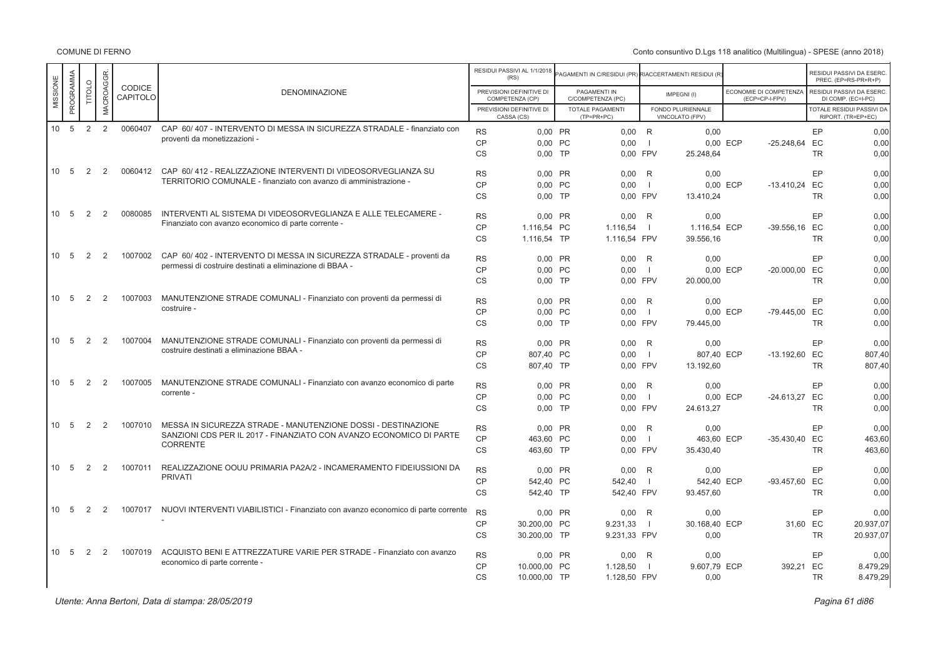COMUNE DI FERNO

|          |           |        |           |                    |                                                                                   |                | RESIDUI PASSIVI AL 1/1/2018<br>(RS)         | AGAMENTI IN C/RESIDUI (PR) RIACCERTAMENTI RESIDUI (R |                |                                      |                                                 |           | RESIDUI PASSIVI DA ESERC<br>PREC. (EP=RS-PR+R+P) |
|----------|-----------|--------|-----------|--------------------|-----------------------------------------------------------------------------------|----------------|---------------------------------------------|------------------------------------------------------|----------------|--------------------------------------|-------------------------------------------------|-----------|--------------------------------------------------|
| MISSIONE | PROGRAMMA | TITOLO | MACROAGGR | CODICE<br>CAPITOLO | <b>DENOMINAZIONE</b>                                                              |                | PREVISIONI DEFINITIVE DI<br>COMPETENZA (CP) | PAGAMENTI IN<br>C/COMPETENZA (PC)                    |                | IMPEGNI(I)                           | <b>ECONOMIE DI COMPETENZA</b><br>(ECP=CP-I-FPV) |           | RESIDUI PASSIVI DA ESERC<br>DI COMP. (EC=I-PC)   |
|          |           |        |           |                    |                                                                                   |                | PREVISIONI DEFINITIVE DI<br>CASSA (CS)      | TOTALE PAGAMENTI<br>$(TP=PR+PC)$                     |                | FONDO PLURIENNALE<br>VINCOLATO (FPV) |                                                 |           | TOTALE RESIDUI PASSIVI DA<br>RIPORT. (TR=EP+EC)  |
|          | 10 5      | 2      | 2         | 0060407            | CAP 60/407 - INTERVENTO DI MESSA IN SICUREZZA STRADALE - finanziato con           | <b>RS</b>      | 0.00 PR                                     | $0,00$ R                                             |                | 0.00                                 |                                                 | EP        | 0.00                                             |
|          |           |        |           |                    | proventi da monetizzazioni -                                                      | CP             | 0.00 PC                                     | 0.00                                                 | $\blacksquare$ |                                      | 0.00 ECP<br>$-25.248.64$                        | EC        | 0.00                                             |
|          |           |        |           |                    |                                                                                   | <b>CS</b>      | $0.00$ TP                                   | 0.00 FPV                                             |                | 25.248.64                            |                                                 | <b>TR</b> | 0.00                                             |
|          | 10 5      | 2      | 2         | 0060412            | CAP 60/412 - REALIZZAZIONE INTERVENTI DI VIDEOSORVEGLIANZA SU                     | <b>RS</b>      | 0.00 PR                                     | 0,00                                                 | R              | 0,00                                 |                                                 | EP        | 0.00                                             |
|          |           |        |           |                    | TERRITORIO COMUNALE - finanziato con avanzo di amministrazione -                  | C <sub>P</sub> | 0.00 PC                                     | 0.00                                                 | $\blacksquare$ |                                      | 0.00 ECP<br>-13.410.24 EC                       |           | 0.00                                             |
|          |           |        |           |                    |                                                                                   | <b>CS</b>      | $0.00$ TP                                   | 0.00 FPV                                             |                | 13.410.24                            |                                                 | <b>TR</b> | 0,00                                             |
|          | 10 5      | 2      | 2         | 0080085            | INTERVENTI AL SISTEMA DI VIDEOSORVEGLIANZA E ALLE TELECAMERE -                    | <b>RS</b>      | 0.00 PR                                     | 0,00                                                 | R              | 0,00                                 |                                                 | EP        | 0,00                                             |
|          |           |        |           |                    | Finanziato con avanzo economico di parte corrente                                 | CP             | 1.116.54 PC                                 | 1.116.54                                             | - 1            | 1.116.54 ECP                         | -39.556.16 EC                                   |           | 0.00                                             |
|          |           |        |           |                    |                                                                                   | <b>CS</b>      | 1.116,54 TP                                 | 1.116,54 FPV                                         |                | 39.556,16                            |                                                 | <b>TR</b> | 0,00                                             |
|          | 10 5      | 2      | 2         | 1007002            | CAP 60/402 - INTERVENTO DI MESSA IN SICUREZZA STRADALE - proventi da              | <b>RS</b>      | 0.00 PR                                     | 0,00                                                 | R              | 0,00                                 |                                                 | EP        | 0,00                                             |
|          |           |        |           |                    | permessi di costruire destinati a eliminazione di BBAA -                          | CP             | 0.00 PC                                     | 0.00                                                 | $\Box$         |                                      | 0.00 ECP<br>-20.000.00 EC                       |           | 0.00                                             |
|          |           |        |           |                    |                                                                                   | <b>CS</b>      | $0.00$ TP                                   | 0,00 FPV                                             |                | 20.000,00                            |                                                 | <b>TR</b> | 0,00                                             |
|          | 10 5      | 2      | 2         | 1007003            | MANUTENZIONE STRADE COMUNALI - Finanziato con proventi da permessi di             | <b>RS</b>      | 0.00 PR                                     | 0,00                                                 | R              | 0,00                                 |                                                 | EP        | 0.00                                             |
|          |           |        |           |                    | costruire -                                                                       | CP             | 0.00 PC                                     | 0.00                                                 | $\Box$         |                                      | 0.00 ECP<br>-79.445.00 EC                       |           | 0.00                                             |
|          |           |        |           |                    |                                                                                   | <b>CS</b>      | $0.00$ TP                                   | 0,00 FPV                                             |                | 79.445,00                            |                                                 | <b>TR</b> | 0,00                                             |
|          | 10 5      | 2      | 2         | 1007004            | MANUTENZIONE STRADE COMUNALI - Finanziato con proventi da permessi di             | <b>RS</b>      | 0.00 PR                                     | 0.00                                                 | R              | 0.00                                 |                                                 | EP        | 0.00                                             |
|          |           |        |           |                    | costruire destinati a eliminazione BBAA -                                         | CP             | 807.40 PC                                   | 0.00                                                 | $\Box$         | 807.40 ECP                           | -13.192.60 EC                                   |           | 807.40                                           |
|          |           |        |           |                    |                                                                                   | <b>CS</b>      | 807,40 TP                                   | 0,00 FPV                                             |                | 13.192,60                            |                                                 | <b>TR</b> | 807,40                                           |
|          | 10 5      | 2      | 2         | 1007005            | MANUTENZIONE STRADE COMUNALI - Finanziato con avanzo economico di parte           | <b>RS</b>      | 0.00 PR                                     | 0,00                                                 | R              | 0,00                                 |                                                 | EP        | 0.00                                             |
|          |           |        |           |                    | corrente -                                                                        | CP             | 0.00 PC                                     | 0.00                                                 | $\Box$         |                                      | 0.00 ECP<br>-24.613.27 EC                       |           | 0.00                                             |
|          |           |        |           |                    |                                                                                   | <b>CS</b>      | $0.00$ TP                                   | 0,00 FPV                                             |                | 24.613,27                            |                                                 | <b>TR</b> | 0,00                                             |
|          | 10 5      | 2      | 2         | 1007010            | MESSA IN SICUREZZA STRADE - MANUTENZIONE DOSSI - DESTINAZIONE                     | <b>RS</b>      | 0.00 PR                                     | 0.00                                                 | R              | 0.00                                 |                                                 | EP        | 0.00                                             |
|          |           |        |           |                    | SANZIONI CDS PER IL 2017 - FINANZIATO CON AVANZO ECONOMICO DI PARTE               | CP             | 463.60 PC                                   | 0.00                                                 | $\Box$         | 463.60 ECP                           | -35.430.40 EC                                   |           | 463.60                                           |
|          |           |        |           |                    | <b>CORRENTE</b>                                                                   | CS             | 463,60 TP                                   | 0,00 FPV                                             |                | 35.430,40                            |                                                 | <b>TR</b> | 463,60                                           |
|          | 10 5      | 2      | 2         | 1007011            | REALIZZAZIONE OOUU PRIMARIA PA2A/2 - INCAMERAMENTO FIDEIUSSIONI DA                | <b>RS</b>      | 0.00 PR                                     | 0.00                                                 | R              | 0.00                                 |                                                 | EP        | 0.00                                             |
|          |           |        |           |                    | <b>PRIVATI</b>                                                                    | <b>CP</b>      | 542.40 PC                                   | 542.40                                               | $\blacksquare$ | 542.40 ECP                           | -93.457.60                                      | EC        | 0.00                                             |
|          |           |        |           |                    |                                                                                   | <b>CS</b>      | 542,40 TP                                   | 542,40 FPV                                           |                | 93.457,60                            |                                                 | <b>TR</b> | 0,00                                             |
|          | 10 5      | 2      | 2         | 1007017            | NUOVI INTERVENTI VIABILISTICI - Finanziato con avanzo economico di parte corrente | <b>RS</b>      | 0.00 PR                                     | 0,00                                                 | R              | 0.00                                 |                                                 | EP        | 0.00                                             |
|          |           |        |           |                    |                                                                                   | <b>CP</b>      | 30.200,00 PC                                | 9.231,33                                             | $\blacksquare$ | 30.168,40 ECP                        | 31.60                                           | EC        | 20.937,07                                        |
|          |           |        |           |                    |                                                                                   | <b>CS</b>      | 30.200,00 TP                                | 9.231,33 FPV                                         |                | 0,00                                 |                                                 | <b>TR</b> | 20.937,07                                        |
|          | 10 5      | 2      | 2         | 1007019            | ACQUISTO BENI E ATTREZZATURE VARIE PER STRADE - Finanziato con avanzo             | <b>RS</b>      | 0,00 PR                                     | 0,00                                                 | $\mathsf{R}$   | 0,00                                 |                                                 | EP        | 0.00                                             |
|          |           |        |           |                    | economico di parte corrente -                                                     | <b>CP</b>      | 10,000.00 PC                                | 1.128.50                                             | $\blacksquare$ | 9.607.79 ECP                         | 392.21                                          | EC        | 8.479,29                                         |
|          |           |        |           |                    |                                                                                   | <b>CS</b>      | 10.000,00 TP                                | 1.128,50 FPV                                         |                | 0,00                                 |                                                 | <b>TR</b> | 8.479,29                                         |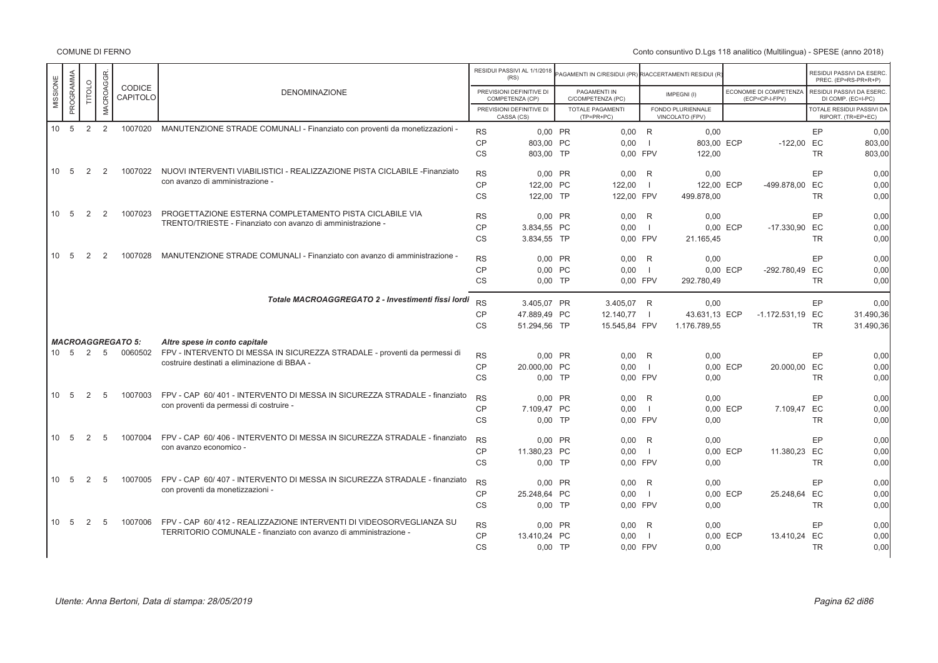COMUNE DI FERNO

|                       |               |                 |                           |                                                                            |           | RESIDUI PASSIVI AL 1/1/2018<br>(RS)         | AGAMENTI IN C/RESIDUI (PR) RIACCERTAMENTI RESIDUI (R) |                |                                      |          |                                          |           | RESIDUI PASSIVI DA ESERC.<br>PREC. (EP=RS-PR+R+P) |
|-----------------------|---------------|-----------------|---------------------------|----------------------------------------------------------------------------|-----------|---------------------------------------------|-------------------------------------------------------|----------------|--------------------------------------|----------|------------------------------------------|-----------|---------------------------------------------------|
| PROGRAMMA<br>MISSIONE | <b>TITOLO</b> | MACROAGGR       | <b>CODICE</b><br>CAPITOLO | <b>DENOMINAZIONE</b>                                                       |           | PREVISIONI DEFINITIVE DI<br>COMPETENZA (CP) | PAGAMENTI IN<br>C/COMPETENZA (PC)                     |                | IMPEGNI(I)                           |          | ECONOMIE DI COMPETENZA<br>(ECP=CP-I-FPV) |           | RESIDUI PASSIVI DA ESERC.<br>DI COMP. (EC=I-PC)   |
|                       |               |                 |                           |                                                                            |           | PREVISIONI DEFINITIVE DI<br>CASSA (CS)      | <b>TOTALE PAGAMENTI</b><br>$(TP=PR+PC)$               |                | FONDO PLURIENNALE<br>VINCOLATO (FPV) |          |                                          |           | TOTALE RESIDUI PASSIVI DA<br>RIPORT, (TR=EP+EC)   |
| 10 <sup>°</sup><br>5  | 2             | 2               | 1007020                   | MANUTENZIONE STRADE COMUNALI - Finanziato con proventi da monetizzazioni - | <b>RS</b> | 0.00 PR                                     | $0.00$ R                                              |                | 0.00                                 |          |                                          | EP        | 0.00                                              |
|                       |               |                 |                           |                                                                            | <b>CP</b> | 803.00 PC                                   | 0.00                                                  | - 11           | 803,00 ECP                           |          | $-122,00$                                | EC        | 803,00                                            |
|                       |               |                 |                           |                                                                            | <b>CS</b> | 803.00 TP                                   | 0.00 FPV                                              |                | 122,00                               |          |                                          | <b>TR</b> | 803,00                                            |
| 10<br>- 5             | 2             | 2               | 1007022                   | NUOVI INTERVENTI VIABILISTICI - REALIZZAZIONE PISTA CICLABILE -Finanziato  | <b>RS</b> | $0.00$ PR                                   | $0.00$ R                                              |                | 0.00                                 |          |                                          | EP        | 0.00                                              |
|                       |               |                 |                           | con avanzo di amministrazione -                                            | <b>CP</b> | 122.00 PC                                   | 122.00                                                | - 1            | 122,00 ECP                           |          | -499.878,00 EC                           |           | 0,00                                              |
|                       |               |                 |                           |                                                                            | <b>CS</b> | 122,00 TP                                   | 122,00 FPV                                            |                | 499.878,00                           |          |                                          | <b>TR</b> | 0,00                                              |
| - 5<br>10             | 2             | $\overline{2}$  | 1007023                   | PROGETTAZIONE ESTERNA COMPLETAMENTO PISTA CICLABILE VIA                    | <b>RS</b> | 0,00 PR                                     | $0,00$ R                                              |                | 0,00                                 |          |                                          | EP        | 0,00                                              |
|                       |               |                 |                           | TRENTO/TRIESTE - Finanziato con avanzo di amministrazione -                | CP        | 3.834,55 PC                                 | 0.00                                                  |                |                                      | 0.00 ECP | $-17.330,90$                             | EC        | 0.00                                              |
|                       |               |                 |                           |                                                                            | <b>CS</b> | 3.834.55 TP                                 | 0.00 FPV                                              |                | 21.165,45                            |          |                                          | <b>TR</b> | 0,00                                              |
| 10<br>- 5             | 2             | 2               | 1007028                   | MANUTENZIONE STRADE COMUNALI - Finanziato con avanzo di amministrazione -  | <b>RS</b> | 0.00 PR                                     | 0.00                                                  |                |                                      |          |                                          | EP        |                                                   |
|                       |               |                 |                           |                                                                            | <b>CP</b> | 0,00 PC                                     | 0,00                                                  | R<br>$\Box$    | 0,00                                 | 0,00 ECP | -292.780,49 EC                           |           | 0,00<br>0,00                                      |
|                       |               |                 |                           |                                                                            | <b>CS</b> | $0.00$ TP                                   | 0.00 FPV                                              |                | 292.780.49                           |          |                                          | <b>TR</b> | 0.00                                              |
|                       |               |                 |                           |                                                                            |           |                                             |                                                       |                |                                      |          |                                          |           |                                                   |
|                       |               |                 |                           | Totale MACROAGGREGATO 2 - Investimenti fissi lordi                         | <b>RS</b> | 3.405.07 PR                                 | 3.405.07 R                                            |                | 0.00                                 |          |                                          | EP        | 0.00                                              |
|                       |               |                 |                           |                                                                            | <b>CP</b> | 47.889,49 PC                                | 12.140,77                                             | $\blacksquare$ | 43.631,13 ECP                        |          | -1.172.531,19 EC                         |           | 31.490,36                                         |
|                       |               |                 |                           |                                                                            | <b>CS</b> | 51.294,56 TP                                | 15.545,84 FPV                                         |                | 1.176.789,55                         |          |                                          | <b>TR</b> | 31.490,36                                         |
|                       |               |                 | <b>MACROAGGREGATO 5:</b>  | Altre spese in conto capitale                                              |           |                                             |                                                       |                |                                      |          |                                          |           |                                                   |
| 5<br>10 <sup>1</sup>  | 2             | 5               | 0060502                   | FPV - INTERVENTO DI MESSA IN SICUREZZA STRADALE - proventi da permessi di  | <b>RS</b> | 0.00 PR                                     | $0.00$ R                                              |                | 0,00                                 |          |                                          | EP        | 0,00                                              |
|                       |               |                 |                           | costruire destinati a eliminazione di BBAA -                               | <b>CP</b> | 20.000,00 PC                                | 0,00                                                  |                |                                      | 0.00 ECP | 20.000,00 EC                             |           | 0.00                                              |
|                       |               |                 |                           |                                                                            | <b>CS</b> | $0.00$ TP                                   | 0.00 FPV                                              |                | 0,00                                 |          |                                          | <b>TR</b> | 0,00                                              |
| 10<br>- 5             | 2             | $5\overline{5}$ | 1007003                   | FPV - CAP 60/401 - INTERVENTO DI MESSA IN SICUREZZA STRADALE - finanziato  | <b>RS</b> | 0,00 PR                                     | 0.00                                                  | R              | 0.00                                 |          |                                          | EP        | 0,00                                              |
|                       |               |                 |                           | con proventi da permessi di costruire -                                    | <b>CP</b> | 7.109.47 PC                                 | 0.00                                                  | - 1            |                                      | 0.00 ECP | 7.109,47                                 | EC        | 0,00                                              |
|                       |               |                 |                           |                                                                            | <b>CS</b> | $0.00$ TP                                   | 0.00 FPV                                              |                | 0,00                                 |          |                                          | <b>TR</b> | 0,00                                              |
| 10<br>5               | 2             | 5               | 1007004                   | FPV - CAP 60/406 - INTERVENTO DI MESSA IN SICUREZZA STRADALE - finanziato  | <b>RS</b> | 0,00 PR                                     | 0,00                                                  | R              | 0,00                                 |          |                                          | EP        | 0,00                                              |
|                       |               |                 |                           | con avanzo economico -                                                     | <b>CP</b> | 11.380,23 PC                                | 0.00                                                  |                |                                      | 0,00 ECP | 11.380,23 EC                             |           | 0.00                                              |
|                       |               |                 |                           |                                                                            | <b>CS</b> | $0.00$ TP                                   | 0.00 FPV                                              |                | 0.00                                 |          |                                          | <b>TR</b> | 0,00                                              |
| 10<br>- 5             | 2             | 5               | 1007005                   | FPV - CAP 60/407 - INTERVENTO DI MESSA IN SICUREZZA STRADALE - finanziato  | <b>RS</b> | 0.00 PR                                     | $0.00$ R                                              |                | 0.00                                 |          |                                          | EP        | 0,00                                              |
|                       |               |                 |                           | con proventi da monetizzazioni -                                           | <b>CP</b> | 25.248,64 PC                                | 0,00                                                  | $\blacksquare$ |                                      | 0,00 ECP | 25.248,64 EC                             |           | 0,00                                              |
|                       |               |                 |                           |                                                                            | <b>CS</b> | $0.00$ TP                                   | 0.00 FPV                                              |                | 0.00                                 |          |                                          | <b>TR</b> | 0,00                                              |
| 10 5                  | 2             | 5               | 1007006                   | FPV - CAP 60/412 - REALIZZAZIONE INTERVENTI DI VIDEOSORVEGLIANZA SU        | <b>RS</b> | 0,00 PR                                     | 0.00                                                  | R              | 0,00                                 |          |                                          | EP        | 0,00                                              |
|                       |               |                 |                           | TERRITORIO COMUNALE - finanziato con avanzo di amministrazione -           | <b>CP</b> | 13.410.24 PC                                | 0,00                                                  |                |                                      | 0,00 ECP | 13.410,24 EC                             |           | 0,00                                              |
|                       |               |                 |                           |                                                                            | <b>CS</b> | $0,00$ TP                                   | 0.00 FPV                                              |                | 0,00                                 |          |                                          | <b>TR</b> | 0,00                                              |
|                       |               |                 |                           |                                                                            |           |                                             |                                                       |                |                                      |          |                                          |           |                                                   |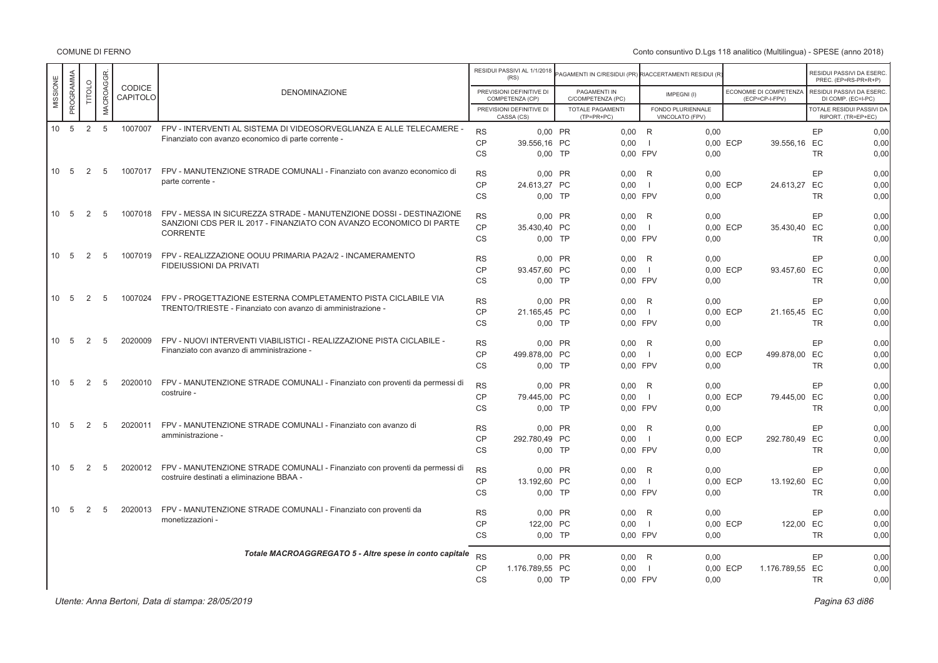COMUNE DI FERNO

|          |                 |        |           |                    |                                                                             |           | RESIDUI PASSIVI AL 1/1/2018<br>(RS)         | PAGAMENTI IN C/RESIDUI (PR) RIACCERTAMENTI RESIDUI (R |                |                                      |                                          |           | RESIDUI PASSIVI DA ESERC<br>PREC. (EP=RS-PR+R+P)       |
|----------|-----------------|--------|-----------|--------------------|-----------------------------------------------------------------------------|-----------|---------------------------------------------|-------------------------------------------------------|----------------|--------------------------------------|------------------------------------------|-----------|--------------------------------------------------------|
| MISSIONE | PROGRAMMA       | TITOLO | MACROAGGR | CODICE<br>CAPITOLO | <b>DENOMINAZIONE</b>                                                        |           | PREVISIONI DEFINITIVE DI<br>COMPETENZA (CP) | PAGAMENTI IN<br>C/COMPETENZA (PC)                     |                | IMPEGNI(I)                           | ECONOMIE DI COMPETENZA<br>(ECP=CP-I-FPV) |           | RESIDUI PASSIVI DA ESERC<br>DI COMP. (EC=I-PC)         |
|          |                 |        |           |                    |                                                                             |           | PREVISIONI DEFINITIVE DI<br>CASSA (CS)      | <b>TOTALE PAGAMENTI</b><br>$(TP=PR+PC)$               |                | FONDO PLURIENNALE<br>VINCOLATO (FPV) |                                          |           | <b>TOTALE RESIDUI PASSIVI DA</b><br>RIPORT. (TR=EP+EC) |
|          | $10 \quad 5$    | 2      | 5         | 1007007            | FPV - INTERVENTI AL SISTEMA DI VIDEOSORVEGLIANZA E ALLE TELECAMERE -        | <b>RS</b> | 0.00 PR                                     | $0.00$ R                                              |                | 0.00                                 |                                          | EP        | 0.00                                                   |
|          |                 |        |           |                    | Finanziato con avanzo economico di parte corrente                           | <b>CP</b> | 39.556.16 PC                                | 0,00                                                  | $\blacksquare$ |                                      | 0.00 ECP<br>39.556,16 EC                 |           | 0,00                                                   |
|          |                 |        |           |                    |                                                                             | <b>CS</b> | $0.00$ TP                                   | 0.00 FPV                                              |                | 0,00                                 |                                          | <b>TR</b> | 0.00                                                   |
|          | 10 5            | 2      | -5        | 1007017            | FPV - MANUTENZIONE STRADE COMUNALI - Finanziato con avanzo economico di     | <b>RS</b> | 0,00 PR                                     | 0,00                                                  | R              | 0,00                                 |                                          | EP        | 0,00                                                   |
|          |                 |        |           |                    | parte corrente -                                                            | <b>CP</b> | 24.613,27 PC                                | 0,00                                                  | $\Box$         |                                      | 0,00 ECP<br>24.613,27                    | EC        | 0,00                                                   |
|          |                 |        |           |                    |                                                                             | <b>CS</b> | $0.00$ TP                                   | 0.00 FPV                                              |                | 0.00                                 |                                          | <b>TR</b> | 0.00                                                   |
|          | 10 5            | 2      | 5         | 1007018            | FPV - MESSA IN SICUREZZA STRADE - MANUTENZIONE DOSSI - DESTINAZIONE         | <b>RS</b> | 0.00 PR                                     | 0.00                                                  | R              | 0.00                                 |                                          | EP        | 0,00                                                   |
|          |                 |        |           |                    | SANZIONI CDS PER IL 2017 - FINANZIATO CON AVANZO ECONOMICO DI PARTE         | CP        | 35.430.40 PC                                | 0,00                                                  | $\blacksquare$ |                                      | 0.00 ECP<br>35.430,40 EC                 |           | 0,00                                                   |
|          |                 |        |           |                    | CORRENTE                                                                    | CS        | $0,00$ TP                                   | 0,00 FPV                                              |                | 0,00                                 |                                          | <b>TR</b> | 0,00                                                   |
|          | 10 <sub>5</sub> | 2      | 5         | 1007019            | FPV - REALIZZAZIONE OOUU PRIMARIA PA2A/2 - INCAMERAMENTO                    | <b>RS</b> | 0.00 PR                                     | 0.00                                                  | R              | 0.00                                 |                                          | EP        | 0.00                                                   |
|          |                 |        |           |                    | <b>FIDEIUSSIONI DA PRIVATI</b>                                              | <b>CP</b> | 93.457,60 PC                                | 0,00                                                  | $\blacksquare$ |                                      | 0,00 ECP<br>93.457,60 EC                 |           | 0,00                                                   |
|          |                 |        |           |                    |                                                                             | CS        | $0,00$ TP                                   | 0,00 FPV                                              |                | 0,00                                 |                                          | <b>TR</b> | 0,00                                                   |
|          | 10 5            | 2      | -5        | 1007024            | FPV - PROGETTAZIONE ESTERNA COMPLETAMENTO PISTA CICLABILE VIA               | <b>RS</b> | 0.00 PR                                     | 0.00                                                  | R              | 0.00                                 |                                          | EP        | 0.00                                                   |
|          |                 |        |           |                    | TRENTO/TRIESTE - Finanziato con avanzo di amministrazione -                 | <b>CP</b> | 21.165,45 PC                                | 0,00                                                  | $\blacksquare$ |                                      | 0,00 ECP<br>21.165,45 EC                 |           | 0,00                                                   |
|          |                 |        |           |                    |                                                                             | <b>CS</b> | $0,00$ TP                                   | 0,00 FPV                                              |                | 0,00                                 |                                          | <b>TR</b> | 0,00                                                   |
|          | 10 5            | 2      | 5         | 2020009            | FPV - NUOVI INTERVENTI VIABILISTICI - REALIZZAZIONE PISTA CICLABILE -       | <b>RS</b> | 0,00 PR                                     | 0,00                                                  | $\mathsf{R}$   | 0,00                                 |                                          | EP        | 0,00                                                   |
|          |                 |        |           |                    | Finanziato con avanzo di amministrazione -                                  | <b>CP</b> | 499.878,00 PC                               | 0,00                                                  | $\blacksquare$ |                                      | 0,00 ECP<br>499.878,00 EC                |           | 0,00                                                   |
|          |                 |        |           |                    |                                                                             | <b>CS</b> | $0.00$ TP                                   | 0.00 FPV                                              |                | 0.00                                 |                                          | <b>TR</b> | 0,00                                                   |
|          | 10 5            | 2      | 5         | 2020010            | FPV - MANUTENZIONE STRADE COMUNALI - Finanziato con proventi da permessi di | <b>RS</b> | 0,00 PR                                     | 0,00                                                  | R              | 0,00                                 |                                          | EP        | 0,00                                                   |
|          |                 |        |           |                    | costruire -                                                                 | <b>CP</b> | 79.445,00 PC                                | 0,00                                                  | $\blacksquare$ |                                      | 0,00 ECP<br>79.445,00 EC                 |           | 0,00                                                   |
|          |                 |        |           |                    |                                                                             | CS        | $0,00$ TP                                   | 0,00 FPV                                              |                | 0,00                                 |                                          | <b>TR</b> | 0,00                                                   |
|          | 10 5            | 2      | 5         | 2020011            | FPV - MANUTENZIONE STRADE COMUNALI - Finanziato con avanzo di               | <b>RS</b> | 0,00 PR                                     | 0,00                                                  | R              | 0,00                                 |                                          | EP        | 0,00                                                   |
|          |                 |        |           |                    | amministrazione -                                                           | <b>CP</b> | 292.780.49 PC                               | 0,00                                                  | $\blacksquare$ |                                      | 0.00 ECP<br>292.780,49 EC                |           | 0,00                                                   |
|          |                 |        |           |                    |                                                                             | CS        | $0,00$ TP                                   | 0,00 FPV                                              |                | 0,00                                 |                                          | <b>TR</b> | 0,00                                                   |
|          | 10 5            | 2      | 5         | 2020012            | FPV - MANUTENZIONE STRADE COMUNALI - Finanziato con proventi da permessi di | <b>RS</b> | 0.00 PR                                     | 0,00                                                  | R              | 0,00                                 |                                          | EP        | 0,00                                                   |
|          |                 |        |           |                    | costruire destinati a eliminazione BBAA -                                   | <b>CP</b> | 13.192,60 PC                                | 0,00                                                  | $\Box$         |                                      | 0,00 ECP<br>13.192,60 EC                 |           | 0,00                                                   |
|          |                 |        |           |                    |                                                                             | <b>CS</b> | $0,00$ TP                                   | 0,00 FPV                                              |                | 0,00                                 |                                          | <b>TR</b> | 0,00                                                   |
|          | 10 5            | 2      | 5         | 2020013            | FPV - MANUTENZIONE STRADE COMUNALI - Finanziato con proventi da             | <b>RS</b> | 0.00 PR                                     | 0.00                                                  | R              | 0.00                                 |                                          | EP        | 0.00                                                   |
|          |                 |        |           |                    | monetizzazioni -                                                            | <b>CP</b> | 122,00 PC                                   | 0,00                                                  | $\blacksquare$ |                                      | 0,00 ECP<br>122,00 EC                    |           | 0,00                                                   |
|          |                 |        |           |                    |                                                                             | <b>CS</b> | $0.00$ TP                                   | 0.00 FPV                                              |                | 0.00                                 |                                          | <b>TR</b> | 0.00                                                   |
|          |                 |        |           |                    | Totale MACROAGGREGATO 5 - Altre spese in conto capitale                     | <b>RS</b> | 0,00 PR                                     | 0,00                                                  | R              | 0,00                                 |                                          | EP        | 0,00                                                   |
|          |                 |        |           |                    |                                                                             | <b>CP</b> | 1.176.789,55 PC                             | 0.00                                                  | $\blacksquare$ |                                      | 0.00 ECP<br>1.176.789,55 EC              |           | 0,00                                                   |
|          |                 |        |           |                    |                                                                             | <b>CS</b> | $0,00$ TP                                   | 0.00 FPV                                              |                | 0,00                                 |                                          | <b>TR</b> | 0,00                                                   |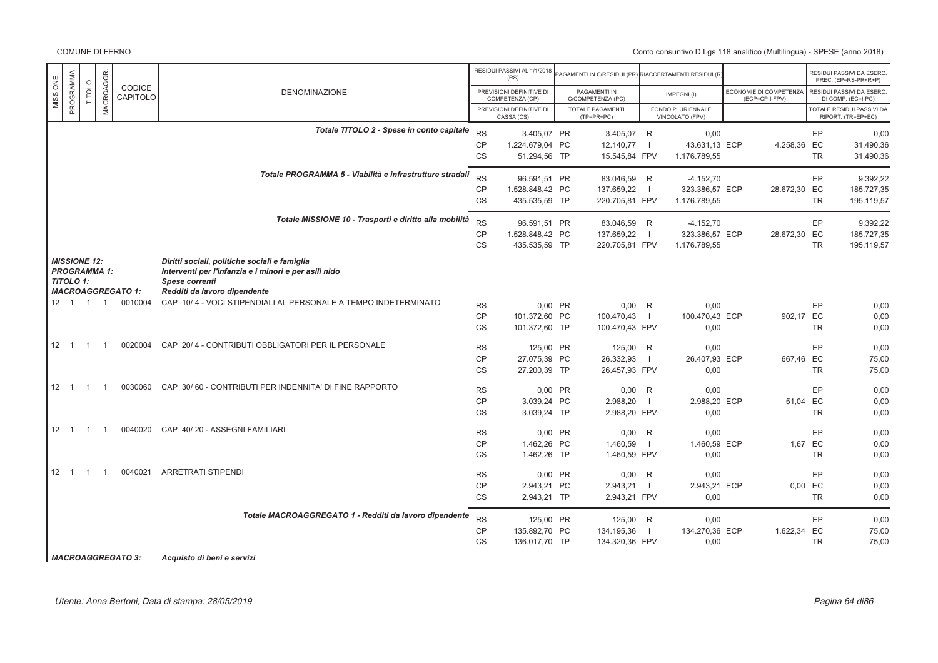Conto consuntivo D.Lgs 118 analitico (Multilingua) - SPESE (anno 2018)

|          |                     |                |                |                          |                                                                |           | RESIDUI PASSIVI AL 1/1/2018<br>(RS)         | AGAMENTI IN C/RESIDUI (PR) RIACCERTAMENTI RESIDUI (R |                |                                      |                                          |           | RESIDUI PASSIVI DA ESERC<br>PREC. (EP=RS-PR+R+P) |
|----------|---------------------|----------------|----------------|--------------------------|----------------------------------------------------------------|-----------|---------------------------------------------|------------------------------------------------------|----------------|--------------------------------------|------------------------------------------|-----------|--------------------------------------------------|
| MISSIONE | PROGRAMMA           | TITOLO         | MACROAGGR      | CODICE<br>CAPITOLO       | <b>DENOMINAZIONE</b>                                           |           | PREVISIONI DEFINITIVE DI<br>COMPETENZA (CP) | PAGAMENTI IN<br>C/COMPETENZA (PC)                    |                | IMPEGNI(I)                           | ECONOMIE DI COMPETENZA<br>(ECP=CP-I-FPV) |           | RESIDUI PASSIVI DA ESERC<br>DI COMP. (EC=I-PC)   |
|          |                     |                |                |                          |                                                                |           | PREVISIONI DEFINITIVE DI<br>CASSA (CS)      | <b>TOTALE PAGAMENTI</b><br>$(TP=PR+PC)$              |                | FONDO PLURIENNALE<br>VINCOLATO (FPV) |                                          |           | TOTALE RESIDUI PASSIVI DA<br>RIPORT. (TR=EP+EC)  |
|          |                     |                |                |                          | Totale TITOLO 2 - Spese in conto capitale                      | <b>RS</b> | 3.405.07 PR                                 | 3.405,07 R                                           |                | 0,00                                 |                                          | EP        | 0,00                                             |
|          |                     |                |                |                          |                                                                | CP        | 1.224.679.04 PC                             | 12.140,77                                            | $\blacksquare$ | 43.631,13 ECP                        | 4.258,36 EC                              |           | 31.490,36                                        |
|          |                     |                |                |                          |                                                                | <b>CS</b> | 51.294,56 TP                                | 15.545,84 FPV                                        |                | 1.176.789,55                         |                                          | TR        | 31.490,36                                        |
|          |                     |                |                |                          | Totale PROGRAMMA 5 - Viabilità e infrastrutture stradali       | <b>RS</b> | 96.591,51 PR                                | 83.046,59 R                                          |                | $-4.152,70$                          |                                          | EP        | 9.392,22                                         |
|          |                     |                |                |                          |                                                                | <b>CP</b> | 1.528.848,42 PC                             | 137.659,22                                           | $\blacksquare$ | 323.386,57 ECP                       | 28.672,30 EC                             |           | 185.727,35                                       |
|          |                     |                |                |                          |                                                                | <b>CS</b> | 435.535,59 TP                               | 220.705,81 FPV                                       |                | 1.176.789,55                         |                                          | <b>TR</b> | 195.119,57                                       |
|          |                     |                |                |                          |                                                                |           |                                             |                                                      |                |                                      |                                          |           |                                                  |
|          |                     |                |                |                          | Totale MISSIONE 10 - Trasporti e diritto alla mobilità         | <b>RS</b> | 96.591,51 PR                                | 83.046,59 R                                          |                | $-4.152,70$                          |                                          | EP        | 9.392,22                                         |
|          |                     |                |                |                          |                                                                | <b>CP</b> | 1.528.848,42 PC                             | 137.659,22                                           | $\blacksquare$ | 323.386,57 ECP                       | 28.672,30 EC                             |           | 185.727,35                                       |
|          |                     |                |                |                          |                                                                |           |                                             |                                                      |                |                                      |                                          |           |                                                  |
|          |                     |                |                |                          |                                                                | CS        | 435.535,59 TP                               | 220.705,81 FPV                                       |                | 1.176.789,55                         |                                          | <b>TR</b> | 195.119,57                                       |
|          | <b>MISSIONE 12:</b> |                |                |                          | Diritti sociali, politiche sociali e famiglia                  |           |                                             |                                                      |                |                                      |                                          |           |                                                  |
|          | <b>PROGRAMMA 1:</b> |                |                |                          | Interventi per l'infanzia e i minori e per asili nido          |           |                                             |                                                      |                |                                      |                                          |           |                                                  |
|          | <b>TITOLO 1:</b>    |                |                |                          | Spese correnti                                                 |           |                                             |                                                      |                |                                      |                                          |           |                                                  |
|          |                     |                |                | <b>MACROAGGREGATO 1:</b> | Redditi da lavoro dipendente                                   |           |                                             |                                                      |                |                                      |                                          |           |                                                  |
|          | $12 \quad 1$        | $\overline{1}$ | $\overline{1}$ | 0010004                  | CAP 10/4 - VOCI STIPENDIALI AL PERSONALE A TEMPO INDETERMINATO | <b>RS</b> | 0,00 PR                                     | $0,00$ R                                             |                | 0,00                                 |                                          | EP        | 0,00                                             |
|          |                     |                |                |                          |                                                                | CP        | 101.372,60 PC                               | 100.470,43                                           | $\blacksquare$ | 100.470,43 ECP                       | 902,17 EC                                |           | 0,00                                             |
|          |                     |                |                |                          |                                                                | <b>CS</b> | 101.372,60 TP                               | 100.470,43 FPV                                       |                | 0,00                                 |                                          | <b>TR</b> | 0,00                                             |
|          |                     |                |                |                          |                                                                |           |                                             |                                                      |                |                                      |                                          |           |                                                  |
|          | $12 \quad 1$        | $\overline{1}$ | $\overline{1}$ |                          | 0020004 CAP 20/4 - CONTRIBUTI OBBLIGATORI PER IL PERSONALE     | <b>RS</b> | 125,00 PR                                   | 125,00 R                                             |                | 0,00                                 |                                          | EP        | 0,00                                             |
|          |                     |                |                |                          |                                                                | CP        | 27.075,39 PC                                | 26.332,93                                            | $\blacksquare$ | 26.407,93 ECP                        | 667,46 EC                                |           | 75,00                                            |
|          |                     |                |                |                          |                                                                | <b>CS</b> | 27.200,39 TP                                | 26.457,93 FPV                                        |                | 0,00                                 |                                          | <b>TR</b> | 75,00                                            |
|          |                     |                |                |                          |                                                                |           |                                             |                                                      |                |                                      |                                          |           |                                                  |
|          | $12 \quad 1$        | $\overline{1}$ |                |                          | 0030060 CAP 30/60 - CONTRIBUTI PER INDENNITA' DI FINE RAPPORTO | <b>RS</b> | 0,00 PR                                     | $0,00$ R                                             |                | 0,00                                 |                                          | EP        | 0,00                                             |
|          |                     |                |                |                          |                                                                | <b>CP</b> | 3.039.24 PC                                 | 2.988,20                                             | - 1            | 2.988.20 ECP                         |                                          | 51,04 EC  | 0,00                                             |
|          |                     |                |                |                          |                                                                | CS        | 3.039,24 TP                                 | 2.988,20 FPV                                         |                | 0,00                                 |                                          | <b>TR</b> | 0,00                                             |
|          |                     |                |                |                          |                                                                |           |                                             |                                                      |                |                                      |                                          |           |                                                  |
|          | $12 \quad 1$        | $\overline{1}$ | $\overline{1}$ | 0040020                  | CAP 40/20 - ASSEGNI FAMILIARI                                  | <b>RS</b> | 0,00 PR                                     | $0,00$ R                                             |                | 0,00                                 |                                          | EP        | 0,00                                             |
|          |                     |                |                |                          |                                                                | <b>CP</b> | 1.462,26 PC                                 | 1.460,59                                             | - 1            | 1.460,59 ECP                         |                                          | 1,67 EC   | 0,00                                             |
|          |                     |                |                |                          |                                                                | <b>CS</b> | 1.462,26 TP                                 | 1.460,59 FPV                                         |                | 0,00                                 |                                          | <b>TR</b> | 0,00                                             |
|          |                     |                |                |                          |                                                                |           |                                             |                                                      |                |                                      |                                          |           |                                                  |
|          | $12 \quad 1$        | $\overline{1}$ | $\overline{1}$ | 0040021                  | <b>ARRETRATI STIPENDI</b>                                      | <b>RS</b> | 0,00 PR                                     | $0,00$ R                                             |                | 0,00                                 |                                          | EP        | 0,00                                             |
|          |                     |                |                |                          |                                                                | <b>CP</b> | 2.943,21 PC                                 | 2.943,21                                             | $\blacksquare$ | 2.943,21 ECP                         |                                          | 0,00 EC   | 0,00                                             |
|          |                     |                |                |                          |                                                                | <b>CS</b> | 2.943,21 TP                                 | 2.943,21 FPV                                         |                | 0,00                                 |                                          | <b>TR</b> | 0,00                                             |
|          |                     |                |                |                          | Totale MACROAGGREGATO 1 - Redditi da lavoro dipendente         | <b>RS</b> | 125,00 PR                                   | 125,00 R                                             |                | 0,00                                 |                                          | EP        | 0.00                                             |
|          |                     |                |                |                          |                                                                | CP        | 135.892,70 PC                               | 134.195,36                                           | - 1            | 134.270,36 ECP                       | 1.622,34 EC                              |           | 75,00                                            |
|          |                     |                |                |                          |                                                                | <b>CS</b> | 136.017,70 TP                               | 134.320,36 FPV                                       |                | 0,00                                 |                                          | <b>TR</b> | 75,00                                            |
|          |                     |                |                |                          |                                                                |           |                                             |                                                      |                |                                      |                                          |           |                                                  |
|          |                     |                |                |                          |                                                                |           |                                             |                                                      |                |                                      |                                          |           |                                                  |

Utente: Anna Bertoni, Data di stampa: 28/05/2019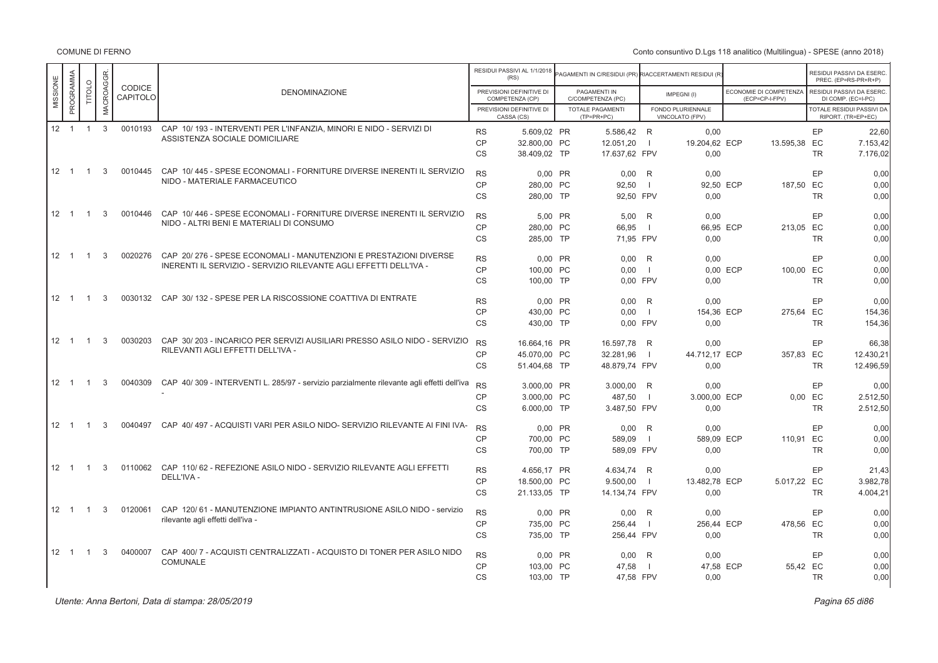|                       |                |              |                    |                                                                                                             |           | RESIDUI PASSIVI AL 1/1/2018<br>(RS)         | AGAMENTI IN C/RESIDUI (PR) RIACCERTAMENTI RESIDUI (R |                          |                                      |          |                                          |           | RESIDUI PASSIVI DA ESERC<br>PREC. (EP=RS-PR+R+P) |
|-----------------------|----------------|--------------|--------------------|-------------------------------------------------------------------------------------------------------------|-----------|---------------------------------------------|------------------------------------------------------|--------------------------|--------------------------------------|----------|------------------------------------------|-----------|--------------------------------------------------|
| PROGRAMMA<br>MISSIONE | TITOLO         | MACROAGGR    | CODICE<br>CAPITOLO | <b>DENOMINAZIONE</b>                                                                                        |           | PREVISIONI DEFINITIVE DI<br>COMPETENZA (CP) | PAGAMENTI IN<br>C/COMPETENZA (PC)                    |                          | IMPEGNI(I)                           |          | ECONOMIE DI COMPETENZA<br>(ECP=CP-I-FPV) |           | RESIDUI PASSIVI DA ESERC<br>DI COMP. (EC=I-PC)   |
|                       |                |              |                    |                                                                                                             |           | PREVISIONI DEFINITIVE DI<br>CASSA (CS)      | <b>TOTALE PAGAMENTI</b><br>(TP=PR+PC)                |                          | FONDO PLURIENNALE<br>VINCOLATO (FPV) |          |                                          |           | TOTALE RESIDUI PASSIVI DA<br>RIPORT. (TR=EP+EC)  |
| $12 \quad 1$          | $\overline{1}$ | $\mathbf{3}$ | 0010193            | CAP 10/193 - INTERVENTI PER L'INFANZIA, MINORI E NIDO - SERVIZI DI<br>ASSISTENZA SOCIALE DOMICILIARE        | <b>RS</b> | 5.609.02 PR                                 | 5.586.42 R                                           |                          | 0.00                                 |          |                                          | EP        | 22.60                                            |
|                       |                |              |                    |                                                                                                             | <b>CP</b> | 32.800,00 PC                                | 12.051,20                                            | $\blacksquare$           | 19.204,62 ECP                        |          | 13.595,38 EC                             |           | 7.153,42                                         |
|                       |                |              |                    |                                                                                                             | <b>CS</b> | 38.409,02 TP                                | 17.637,62 FPV                                        |                          | 0.00                                 |          |                                          | <b>TR</b> | 7.176.02                                         |
| $12 \quad 1$          | $\overline{1}$ | 3            | 0010445            | CAP 10/445 - SPESE ECONOMALI - FORNITURE DIVERSE INERENTI IL SERVIZIO                                       | <b>RS</b> | 0.00 PR                                     | 0.00                                                 | R                        | 0.00                                 |          |                                          | EP        | 0.00                                             |
|                       |                |              |                    | NIDO - MATERIALE FARMACEUTICO                                                                               | <b>CP</b> | 280,00 PC                                   | 92,50                                                | - 1                      | 92,50 ECP                            |          | 187,50 EC                                |           | 0,00                                             |
|                       |                |              |                    |                                                                                                             | CS        | 280,00 TP                                   | 92,50 FPV                                            |                          | 0.00                                 |          |                                          | <b>TR</b> | 0.00                                             |
| $12 \quad 1$          | $\overline{1}$ | 3            | 0010446            | CAP 10/446 - SPESE ECONOMALI - FORNITURE DIVERSE INERENTI IL SERVIZIO                                       | <b>RS</b> | 5.00 PR                                     | 5.00                                                 | R                        | 0.00                                 |          |                                          | EP        | 0.00                                             |
|                       |                |              |                    | NIDO - ALTRI BENI E MATERIALI DI CONSUMO                                                                    | <b>CP</b> | 280.00 PC                                   | 66.95                                                | - 1                      | 66.95 ECP                            |          | 213.05 EC                                |           | 0,00                                             |
|                       |                |              |                    |                                                                                                             | <b>CS</b> | 285,00 TP                                   | 71.95 FPV                                            |                          | 0.00                                 |          |                                          | <b>TR</b> | 0.00                                             |
| $12 \quad 1$          | $\overline{1}$ | 3            | 0020276            | CAP 20/276 - SPESE ECONOMALI - MANUTENZIONI E PRESTAZIONI DIVERSE                                           | <b>RS</b> | 0.00 PR                                     | 0.00                                                 | R                        | 0.00                                 |          |                                          | EP        | 0.00                                             |
|                       |                |              |                    | INERENTI IL SERVIZIO - SERVIZIO RILEVANTE AGLI EFFETTI DELL'IVA -                                           | <b>CP</b> | 100.00 PC                                   | 0.00                                                 | - 1                      |                                      | 0.00 ECP | 100.00 EC                                |           | 0,00                                             |
|                       |                |              |                    |                                                                                                             | <b>CS</b> | 100,00 TP                                   | 0.00 FPV                                             |                          | 0.00                                 |          |                                          | <b>TR</b> | 0.00                                             |
| $12 \quad 1$          | $\overline{1}$ | 3            | 0030132            | CAP 30/132 - SPESE PER LA RISCOSSIONE COATTIVA DI ENTRATE                                                   | <b>RS</b> | 0,00 PR                                     | 0,00                                                 | R                        | 0,00                                 |          |                                          | EP        | 0.00                                             |
|                       |                |              |                    |                                                                                                             | CP        | 430.00 PC                                   | 0.00                                                 | $\blacksquare$           | 154,36 ECP                           |          | 275.64 EC                                |           | 154,36                                           |
|                       |                |              |                    |                                                                                                             | <b>CS</b> | 430,00 TP                                   | 0.00 FPV                                             |                          | 0.00                                 |          |                                          | <b>TR</b> | 154.36                                           |
| $12 \quad 1$          | $\overline{1}$ | 3            | 0030203            | CAP 30/203 - INCARICO PER SERVIZI AUSILIARI PRESSO ASILO NIDO - SERVIZIO                                    | <b>RS</b> | 16.664,16 PR                                | 16.597,78                                            | R                        | 0,00                                 |          |                                          | EP        | 66,38                                            |
|                       |                |              |                    | RILEVANTI AGLI EFFETTI DELL'IVA -                                                                           | <b>CP</b> | 45.070.00 PC                                | 32.281,96                                            | $\blacksquare$           | 44.712,17 ECP                        |          | 357.83 EC                                |           | 12.430,21                                        |
|                       |                |              |                    |                                                                                                             | <b>CS</b> | 51.404,68 TP                                | 48.879,74 FPV                                        |                          | 0.00                                 |          |                                          | <b>TR</b> | 12.496,59                                        |
| $12 \quad 1$          | $\overline{1}$ | 3            | 0040309            | CAP 40/309 - INTERVENTI L. 285/97 - servizio parzialmente rilevante agli effetti dell'iva                   | <b>RS</b> | 3.000,00 PR                                 | 3.000,00                                             | R                        | 0,00                                 |          |                                          | EP        | 0.00                                             |
|                       |                |              |                    |                                                                                                             | CP        | 3.000.00 PC                                 | 487,50                                               | $\blacksquare$           | 3.000.00 ECP                         |          | 0.00                                     | EC        | 2.512,50                                         |
|                       |                |              |                    |                                                                                                             | <b>CS</b> | 6.000,00 TP                                 | 3.487,50 FPV                                         |                          | 0.00                                 |          |                                          | <b>TR</b> | 2.512,50                                         |
| $12 \quad 1$          | $\overline{1}$ | 3            | 0040497            | CAP 40/497 - ACQUISTI VARI PER ASILO NIDO- SERVIZIO RILEVANTE AI FINI IVA-                                  | <b>RS</b> | 0.00 PR                                     | 0,00                                                 | R                        | 0.00                                 |          |                                          | EP        | 0.00                                             |
|                       |                |              |                    |                                                                                                             | <b>CP</b> | 700.00 PC                                   | 589.09                                               | $\overline{\phantom{a}}$ | 589.09 ECP                           |          | 110.91 EC                                |           | 0,00                                             |
|                       |                |              |                    |                                                                                                             | CS        | 700.00 TP                                   | 589.09 FPV                                           |                          | 0.00                                 |          |                                          | <b>TR</b> | 0.00                                             |
| $12 \quad 1$          | $\overline{1}$ | 3            | 0110062            | CAP 110/62 - REFEZIONE ASILO NIDO - SERVIZIO RILEVANTE AGLI EFFETTI<br>DELL'IVA -                           | <b>RS</b> | 4.656.17 PR                                 | 4.634.74                                             | R                        | 0.00                                 |          |                                          | EP        | 21.43                                            |
|                       |                |              |                    |                                                                                                             | CP        | 18.500,00 PC                                | 9.500,00                                             | $\blacksquare$           | 13.482.78 ECP                        |          | 5.017.22 EC                              |           | 3.982,78                                         |
|                       |                |              |                    |                                                                                                             | <b>CS</b> | 21.133,05 TP                                | 14.134,74 FPV                                        |                          | 0.00                                 |          |                                          | <b>TR</b> | 4.004,21                                         |
| $12 \quad 1$          | $\overline{1}$ | 3            | 0120061            | CAP 120/61 - MANUTENZIONE IMPIANTO ANTINTRUSIONE ASILO NIDO - servizio<br>rilevante agli effetti dell'iva - | <b>RS</b> | 0.00 PR                                     | 0,00                                                 | R                        | 0.00                                 |          |                                          | EP        | 0.00                                             |
|                       |                |              |                    |                                                                                                             | <b>CP</b> | 735,00 PC                                   | 256,44                                               | $\overline{\phantom{a}}$ | 256,44 ECP                           |          | 478,56 EC                                |           | 0,00                                             |
|                       |                |              |                    |                                                                                                             | <b>CS</b> | 735,00 TP                                   | 256,44 FPV                                           |                          | 0,00                                 |          |                                          | <b>TR</b> | 0,00                                             |
| $12 \quad 1$          | $\overline{1}$ | 3            | 0400007            | CAP 400/7 - ACQUISTI CENTRALIZZATI - ACQUISTO DI TONER PER ASILO NIDO                                       | <b>RS</b> | 0.00 PR                                     | 0.00                                                 | R                        | 0.00                                 |          |                                          | EP        | 0.00                                             |
|                       |                |              |                    | COMUNALE                                                                                                    | CP        | 103.00 PC                                   | 47.58                                                | - 1                      | 47,58 ECP                            |          | 55.42 EC                                 |           | 0,00                                             |
|                       |                |              |                    |                                                                                                             | CS        | 103,00 TP                                   | 47,58 FPV                                            |                          | 0,00                                 |          |                                          | <b>TR</b> | 0.00                                             |
|                       |                |              |                    |                                                                                                             |           |                                             |                                                      |                          |                                      |          |                                          |           |                                                  |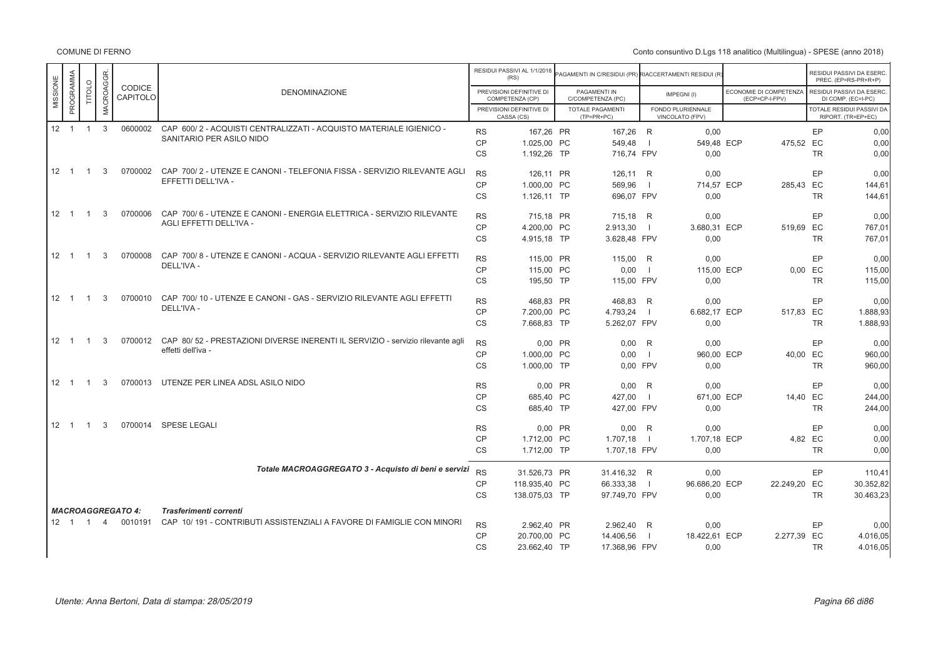|                       |                |                |                                  |                                                                                                      |           | RESIDUI PASSIVI AL 1/1/2018                 |                                                       |                |                                      |                                          |           |                                                   |
|-----------------------|----------------|----------------|----------------------------------|------------------------------------------------------------------------------------------------------|-----------|---------------------------------------------|-------------------------------------------------------|----------------|--------------------------------------|------------------------------------------|-----------|---------------------------------------------------|
|                       |                |                |                                  |                                                                                                      |           | (RS)                                        | AGAMENTI IN C/RESIDUI (PR) RIACCERTAMENTI RESIDUI (R) |                |                                      |                                          |           | RESIDUI PASSIVI DA ESERC.<br>PREC. (EP=RS-PR+R+P) |
| PROGRAMMA<br>MISSIONE | TITOLO         | MACROAGGR.     | <b>CODICE</b><br><b>CAPITOLO</b> | <b>DENOMINAZIONE</b>                                                                                 |           | PREVISIONI DEFINITIVE DI<br>COMPETENZA (CP) | PAGAMENTI IN<br>C/COMPETENZA (PC)                     |                | IMPEGNI(I)                           | ECONOMIE DI COMPETENZA<br>(ECP=CP-I-FPV) |           | RESIDUI PASSIVI DA ESERC.<br>DI COMP. (EC=I-PC)   |
|                       |                |                |                                  |                                                                                                      |           | PREVISIONI DEFINITIVE DI<br>CASSA (CS)      | <b>TOTALE PAGAMENTI</b><br>$(TP=PR+PC)$               |                | FONDO PLURIENNALE<br>VINCOLATO (FPV) |                                          |           | TOTALE RESIDUI PASSIVI DA<br>RIPORT. (TR=EP+EC)   |
| $12 \quad 1$          | $\overline{1}$ | 3              | 0600002                          | CAP 600/2 - ACQUISTI CENTRALIZZATI - ACQUISTO MATERIALE IGIENICO -                                   |           |                                             |                                                       |                |                                      |                                          |           |                                                   |
|                       |                |                |                                  | SANITARIO PER ASILO NIDO                                                                             | <b>RS</b> | 167,26 PR                                   | 167,26 R                                              |                | 0,00                                 |                                          | EP        | 0,00                                              |
|                       |                |                |                                  |                                                                                                      | CP        | 1.025,00 PC                                 | 549,48                                                | $\blacksquare$ | 549,48 ECP                           |                                          | 475,52 EC | 0,00                                              |
|                       |                |                |                                  |                                                                                                      | CS        | 1.192,26 TP                                 | 716,74 FPV                                            |                | 0,00                                 |                                          | <b>TR</b> | 0,00                                              |
| $12 \quad 1$          | $\overline{1}$ | 3              | 0700002                          | CAP 700/2 - UTENZE E CANONI - TELEFONIA FISSA - SERVIZIO RILEVANTE AGLI                              | <b>RS</b> | 126.11 PR                                   | 126,11 R                                              |                | 0.00                                 |                                          | EP        | 0.00                                              |
|                       |                |                |                                  | EFFETTI DELL'IVA -                                                                                   | <b>CP</b> | 1.000,00 PC                                 | 569,96                                                | $\blacksquare$ | 714,57 ECP                           |                                          | 285,43 EC | 144,61                                            |
|                       |                |                |                                  |                                                                                                      | CS        | 1.126,11 TP                                 | 696,07 FPV                                            |                | 0,00                                 |                                          | TR        | 144,61                                            |
|                       |                |                |                                  |                                                                                                      |           |                                             |                                                       |                |                                      |                                          |           |                                                   |
| $12 \quad 1$          | $\overline{1}$ | 3              | 0700006                          | CAP 700/6 - UTENZE E CANONI - ENERGIA ELETTRICA - SERVIZIO RILEVANTE<br>AGLI EFFETTI DELL'IVA -      | <b>RS</b> | 715.18 PR                                   | 715,18 R                                              |                | 0,00                                 |                                          | EP        | 0.00                                              |
|                       |                |                |                                  |                                                                                                      | <b>CP</b> | 4.200,00 PC                                 | 2.913,30                                              | $\blacksquare$ | 3.680,31 ECP                         |                                          | 519,69 EC | 767.01                                            |
|                       |                |                |                                  |                                                                                                      | CS        | 4.915,18 TP                                 | 3.628,48 FPV                                          |                | 0,00                                 |                                          | <b>TR</b> | 767,01                                            |
| $12 \quad 1$          | $\overline{1}$ | 3              | 0700008                          | CAP 700/8 - UTENZE E CANONI - ACQUA - SERVIZIO RILEVANTE AGLI EFFETTI                                |           |                                             |                                                       |                |                                      |                                          |           |                                                   |
|                       |                |                |                                  | DELL'IVA -                                                                                           | <b>RS</b> | 115.00 PR                                   | 115.00 R                                              |                | 0.00                                 |                                          | EP        | 0.00                                              |
|                       |                |                |                                  |                                                                                                      | CP        | 115,00 PC                                   | 0,00                                                  | $\blacksquare$ | 115,00 ECP                           |                                          | $0,00$ EC | 115,00                                            |
|                       |                |                |                                  |                                                                                                      | CS        | 195,50 TP                                   | 115,00 FPV                                            |                | 0,00                                 |                                          | <b>TR</b> | 115,00                                            |
| $12 \quad 1$          | $\overline{1}$ | 3              | 0700010                          | CAP 700/10 - UTENZE E CANONI - GAS - SERVIZIO RILEVANTE AGLI EFFETTI                                 | <b>RS</b> | 468,83 PR                                   | 468,83 R                                              |                | 0,00                                 |                                          | EP        | 0,00                                              |
|                       |                |                |                                  | DELL'IVA -                                                                                           | CP        | 7.200.00 PC                                 | 4.793,24                                              | $\blacksquare$ | 6.682.17 ECP                         |                                          | 517.83 EC | 1.888.93                                          |
|                       |                |                |                                  |                                                                                                      | <b>CS</b> | 7.668,83 TP                                 | 5.262,07 FPV                                          |                | 0,00                                 |                                          | <b>TR</b> | 1.888,93                                          |
|                       |                |                |                                  |                                                                                                      |           |                                             |                                                       |                |                                      |                                          |           |                                                   |
| $12 \quad 1$          | $\overline{1}$ | 3              | 0700012                          | CAP 80/52 - PRESTAZIONI DIVERSE INERENTI IL SERVIZIO - servizio rilevante agli<br>effetti dell'iva - | <b>RS</b> | 0,00 PR                                     | $0,00$ R                                              |                | 0,00                                 |                                          | EP        | 0,00                                              |
|                       |                |                |                                  |                                                                                                      | <b>CP</b> | 1.000,00 PC                                 | 0,00                                                  | $\blacksquare$ | 960,00 ECP                           |                                          | 40,00 EC  | 960,00                                            |
|                       |                |                |                                  |                                                                                                      | <b>CS</b> | 1.000,00 TP                                 | 0.00 FPV                                              |                | 0,00                                 |                                          | <b>TR</b> | 960,00                                            |
| $12 \quad 1$          | $\overline{1}$ | 3              | 0700013                          | UTENZE PER LINEA ADSL ASILO NIDO                                                                     | <b>RS</b> | $0,00$ PR                                   | $0,00$ R                                              |                | 0,00                                 |                                          | EP        | 0,00                                              |
|                       |                |                |                                  |                                                                                                      | <b>CP</b> | 685,40 PC                                   | 427,00                                                | - 1            | 671,00 ECP                           |                                          | 14,40 EC  | 244,00                                            |
|                       |                |                |                                  |                                                                                                      | CS        | 685.40 TP                                   | 427.00 FPV                                            |                | 0.00                                 |                                          | <b>TR</b> | 244,00                                            |
|                       |                |                |                                  |                                                                                                      |           |                                             |                                                       |                |                                      |                                          |           |                                                   |
| $12 \quad 1$          | $\overline{1}$ | 3              | 0700014                          | SPESE LEGALI                                                                                         | <b>RS</b> | 0,00 PR                                     | $0,00$ R                                              |                | 0,00                                 |                                          | EP        | 0,00                                              |
|                       |                |                |                                  |                                                                                                      | <b>CP</b> | 1.712,00 PC                                 | 1.707,18                                              | - 1            | 1.707,18 ECP                         |                                          | 4,82 EC   | 0,00                                              |
|                       |                |                |                                  |                                                                                                      | CS        | 1.712,00 TP                                 | 1.707,18 FPV                                          |                | 0,00                                 |                                          | <b>TR</b> | 0,00                                              |
|                       |                |                |                                  |                                                                                                      |           |                                             |                                                       |                |                                      |                                          |           |                                                   |
|                       |                |                |                                  | Totale MACROAGGREGATO 3 - Acquisto di beni e servizi                                                 | <b>RS</b> | 31.526,73 PR                                | 31.416,32 R                                           |                | 0.00                                 |                                          | EP        | 110,41                                            |
|                       |                |                |                                  |                                                                                                      | <b>CP</b> | 118.935,40 PC                               | 66.333,38                                             | $\blacksquare$ | 96.686,20 ECP                        | 22.249,20 EC                             |           | 30.352,82                                         |
|                       |                |                |                                  |                                                                                                      | <b>CS</b> | 138.075,03 TP                               | 97.749,70 FPV                                         |                | 0,00                                 |                                          | <b>TR</b> | 30.463,23                                         |
|                       |                |                | <b>MACROAGGREGATO 4:</b>         | Trasferimenti correnti                                                                               |           |                                             |                                                       |                |                                      |                                          |           |                                                   |
| $12 \quad 1 \quad 1$  |                | $\overline{4}$ | 0010191                          | CAP 10/191 - CONTRIBUTI ASSISTENZIALI A FAVORE DI FAMIGLIE CON MINORI                                | <b>RS</b> | 2.962,40 PR                                 | 2.962,40 R                                            |                | 0,00                                 |                                          | EP        | 0,00                                              |
|                       |                |                |                                  |                                                                                                      | <b>CP</b> | 20.700,00 PC                                | 14.406,56                                             | $\overline{1}$ | 18.422,61 ECP                        | 2.277,39 EC                              |           | 4.016,05                                          |
|                       |                |                |                                  |                                                                                                      | <b>CS</b> | 23.662,40 TP                                | 17.368,96 FPV                                         |                | 0,00                                 |                                          | <b>TR</b> | 4.016,05                                          |
|                       |                |                |                                  |                                                                                                      |           |                                             |                                                       |                |                                      |                                          |           |                                                   |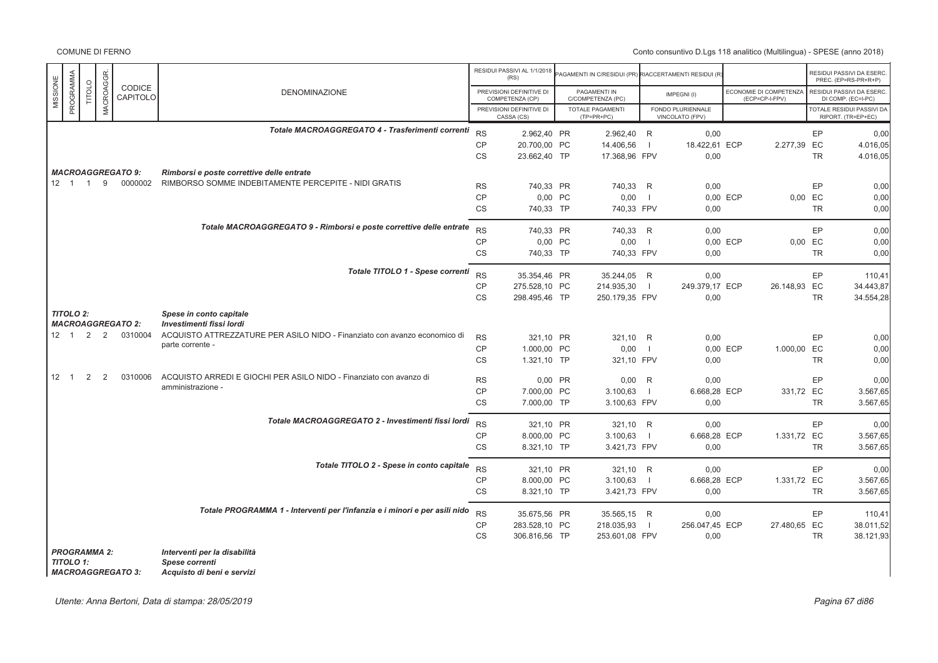# Conto consuntivo D.Lgs 118 analitico (Multilingua) - SPESE (anno 2018)

|          |                      |        |                  |                           |                                                                                                   |                        | RESIDUI PASSIVI AL 1/1/2018<br>(RS)         | PAGAMENTI IN C/RESIDUI (PR) RIACCERTAMENTI RESIDUI (R |                          |                                      |                                          |                      | RESIDUI PASSIVI DA ESERC<br>PREC. (EP=RS-PR+R+P) |
|----------|----------------------|--------|------------------|---------------------------|---------------------------------------------------------------------------------------------------|------------------------|---------------------------------------------|-------------------------------------------------------|--------------------------|--------------------------------------|------------------------------------------|----------------------|--------------------------------------------------|
| MISSIONE | PROGRAMMA            | TITOLO | <b>MACROAGGR</b> | <b>CODICE</b><br>CAPITOLO | <b>DENOMINAZIONE</b>                                                                              |                        | PREVISIONI DEFINITIVE DI<br>COMPETENZA (CP) | PAGAMENTI IN<br>C/COMPETENZA (PC)                     |                          | IMPEGNI(I)                           | ECONOMIE DI COMPETENZA<br>(ECP=CP-I-FPV) |                      | RESIDUI PASSIVI DA ESERC<br>DI COMP. (EC=I-PC)   |
|          |                      |        |                  |                           |                                                                                                   |                        | PREVISIONI DEFINITIVE DI<br>CASSA (CS)      | <b>TOTALE PAGAMENTI</b><br>(TP=PR+PC)                 |                          | FONDO PLURIENNALE<br>VINCOLATO (FPV) |                                          |                      | TOTALE RESIDUI PASSIVI DA<br>RIPORT. (TR=EP+EC)  |
|          |                      |        |                  |                           | Totale MACROAGGREGATO 4 - Trasferimenti correnti                                                  | <b>RS</b>              |                                             |                                                       |                          |                                      |                                          |                      |                                                  |
|          |                      |        |                  |                           |                                                                                                   | <b>CP</b>              | 2.962,40 PR<br>20.700,00 PC                 | 2.962,40 R<br>14.406,56                               | - 1                      | 0,00<br>18.422,61 ECP                | 2.277,39 EC                              | EP                   | 0,00<br>4.016,05                                 |
|          |                      |        |                  |                           |                                                                                                   | CS                     | 23.662,40 TP                                | 17.368,96 FPV                                         |                          | 0,00                                 |                                          | <b>TR</b>            | 4.016,05                                         |
|          |                      |        |                  | <b>MACROAGGREGATO 9:</b>  |                                                                                                   |                        |                                             |                                                       |                          |                                      |                                          |                      |                                                  |
|          | $12 \quad 1 \quad 1$ |        | 9                | 0000002                   | Rimborsi e poste correttive delle entrate<br>RIMBORSO SOMME INDEBITAMENTE PERCEPITE - NIDI GRATIS |                        |                                             |                                                       |                          |                                      |                                          |                      |                                                  |
|          |                      |        |                  |                           |                                                                                                   | <b>RS</b><br><b>CP</b> | 740,33 PR<br>0,00 PC                        | 740,33 R<br>0,00                                      | $\overline{\phantom{0}}$ | 0,00                                 | 0.00 ECP                                 | EP                   | 0,00<br>0.00                                     |
|          |                      |        |                  |                           |                                                                                                   | <b>CS</b>              | 740,33 TP                                   | 740,33 FPV                                            |                          | 0,00                                 |                                          | 0,00 EC<br><b>TR</b> | 0,00                                             |
|          |                      |        |                  |                           |                                                                                                   |                        |                                             |                                                       |                          |                                      |                                          |                      |                                                  |
|          |                      |        |                  |                           | Totale MACROAGGREGATO 9 - Rimborsi e poste correttive delle entrate                               | <b>RS</b>              | 740,33 PR                                   | 740,33 R                                              |                          | 0.00                                 |                                          | EP                   | 0,00                                             |
|          |                      |        |                  |                           |                                                                                                   | CP                     | 0,00 PC                                     | 0,00                                                  | $\blacksquare$           |                                      | 0,00 ECP                                 | 0,00 EC              | 0,00                                             |
|          |                      |        |                  |                           |                                                                                                   | CS                     | 740,33 TP                                   | 740,33 FPV                                            |                          | 0,00                                 |                                          | <b>TR</b>            | 0,00                                             |
|          |                      |        |                  |                           | Totale TITOLO 1 - Spese correnti                                                                  | <b>RS</b>              |                                             |                                                       |                          |                                      |                                          |                      |                                                  |
|          |                      |        |                  |                           |                                                                                                   | <b>CP</b>              | 35.354,46 PR<br>275.528,10 PC               | 35.244,05 R<br>214.935,30                             | $\blacksquare$           | 0,00<br>249.379,17 ECP               | 26.148,93 EC                             | EP                   | 110,41<br>34.443,87                              |
|          |                      |        |                  |                           |                                                                                                   | <b>CS</b>              | 298.495,46 TP                               | 250.179,35 FPV                                        |                          | 0,00                                 |                                          | <b>TR</b>            | 34.554,28                                        |
|          |                      |        |                  |                           |                                                                                                   |                        |                                             |                                                       |                          |                                      |                                          |                      |                                                  |
|          | <b>TITOLO 2:</b>     |        |                  | <b>MACROAGGREGATO 2:</b>  | Spese in conto capitale<br>Investimenti fissi lordi                                               |                        |                                             |                                                       |                          |                                      |                                          |                      |                                                  |
|          |                      |        |                  | 12 1 2 2 0310004          | ACQUISTO ATTREZZATURE PER ASILO NIDO - Finanziato con avanzo economico di                         | <b>RS</b>              | 321.10 PR                                   | 321.10                                                | R                        | 0,00                                 |                                          | EP                   | 0,00                                             |
|          |                      |        |                  |                           | parte corrente -                                                                                  | <b>CP</b>              | 1.000,00 PC                                 | 0,00                                                  | $\overline{1}$           |                                      | 0,00 ECP<br>1.000,00 EC                  |                      | 0,00                                             |
|          |                      |        |                  |                           |                                                                                                   | CS                     | 1.321,10 TP                                 | 321,10 FPV                                            |                          | 0,00                                 |                                          | <b>TR</b>            | 0,00                                             |
|          | $12 \quad 1$         | 2      | 2                | 0310006                   | ACQUISTO ARREDI E GIOCHI PER ASILO NIDO - Finanziato con avanzo di                                |                        |                                             |                                                       |                          |                                      |                                          |                      |                                                  |
|          |                      |        |                  |                           | amministrazione -                                                                                 | <b>RS</b>              | 0,00 PR                                     | 0,00                                                  | R                        | 0.00                                 |                                          | EP                   | 0.00                                             |
|          |                      |        |                  |                           |                                                                                                   | <b>CP</b><br>CS        | 7.000,00 PC<br>7.000,00 TP                  | 3.100,63<br>3.100,63 FPV                              | $\blacksquare$           | 6.668,28 ECP<br>0,00                 | 331,72 EC                                | <b>TR</b>            | 3.567,65<br>3.567,65                             |
|          |                      |        |                  |                           |                                                                                                   |                        |                                             |                                                       |                          |                                      |                                          |                      |                                                  |
|          |                      |        |                  |                           | Totale MACROAGGREGATO 2 - Investimenti fissi lordi                                                | <b>RS</b>              | 321,10 PR                                   | 321,10 R                                              |                          | 0,00                                 |                                          | EP                   | 0,00                                             |
|          |                      |        |                  |                           |                                                                                                   | <b>CP</b>              | 8.000,00 PC                                 | 3.100,63                                              | $\blacksquare$           | 6.668,28 ECP                         | 1.331,72 EC                              |                      | 3.567,65                                         |
|          |                      |        |                  |                           |                                                                                                   | CS                     | 8.321,10 TP                                 | 3.421,73 FPV                                          |                          | 0,00                                 |                                          | <b>TR</b>            | 3.567,65                                         |
|          |                      |        |                  |                           | Totale TITOLO 2 - Spese in conto capitale                                                         | <b>RS</b>              |                                             |                                                       |                          |                                      |                                          |                      |                                                  |
|          |                      |        |                  |                           |                                                                                                   | <b>CP</b>              | 321,10 PR<br>8.000,00 PC                    | 321,10 R<br>3.100,63                                  | $\blacksquare$           | 0,00<br>6.668,28 ECP                 | 1.331,72 EC                              | EP                   | 0,00<br>3.567,65                                 |
|          |                      |        |                  |                           |                                                                                                   | <b>CS</b>              | 8.321,10 TP                                 | 3.421,73 FPV                                          |                          | 0,00                                 |                                          | <b>TR</b>            | 3.567.65                                         |
|          |                      |        |                  |                           |                                                                                                   |                        |                                             |                                                       |                          |                                      |                                          |                      |                                                  |
|          |                      |        |                  |                           | Totale PROGRAMMA 1 - Interventi per l'infanzia e i minori e per asili nido                        | <b>RS</b>              | 35.675,56 PR                                | 35.565,15 R                                           |                          | 0,00                                 |                                          | EP                   | 110,41                                           |
|          |                      |        |                  |                           |                                                                                                   | <b>CP</b>              | 283.528,10 PC                               | 218.035,93                                            | $\blacksquare$           | 256.047,45 ECP                       | 27.480,65 EC                             |                      | 38.011,52                                        |
|          |                      |        |                  |                           |                                                                                                   | CS                     | 306.816,56 TP                               | 253.601,08 FPV                                        |                          | 0,00                                 |                                          | <b>TR</b>            | 38.121,93                                        |
|          | <b>PROGRAMMA 2:</b>  |        |                  |                           | Interventi per la disabilità                                                                      |                        |                                             |                                                       |                          |                                      |                                          |                      |                                                  |
|          | <b>TITOLO 1:</b>     |        |                  |                           | Spese correnti                                                                                    |                        |                                             |                                                       |                          |                                      |                                          |                      |                                                  |

*MACROAGGREGATO 3: MACROAGGREGATO 3: Acquisto di beni e servizi*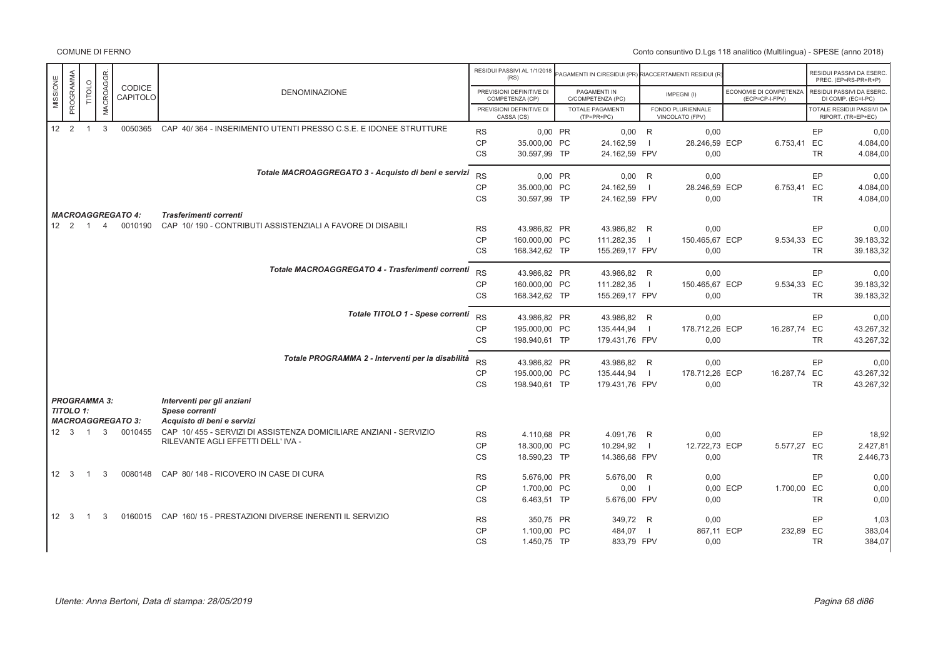|                      |           |                |                |                          |                                                                                                         |           | RESIDUI PASSIVI AL 1/1/2018<br>(RS)         | PAGAMENTI IN C/RESIDUI (PR) RIACCERTAMENTI RESIDUI (R |                |                                      |          |                                          |           | RESIDUI PASSIVI DA ESERC<br>PREC. (EP=RS-PR+R+P)       |
|----------------------|-----------|----------------|----------------|--------------------------|---------------------------------------------------------------------------------------------------------|-----------|---------------------------------------------|-------------------------------------------------------|----------------|--------------------------------------|----------|------------------------------------------|-----------|--------------------------------------------------------|
| MISSIONE             | PROGRAMMA | <b>TITOLO</b>  | MACROAGGR.     | CODICE<br>CAPITOLO       | <b>DENOMINAZIONE</b>                                                                                    |           | PREVISIONI DEFINITIVE DI<br>COMPETENZA (CP) | PAGAMENTI IN<br>C/COMPETENZA (PC)                     |                | IMPEGNI(I)                           |          | ECONOMIE DI COMPETENZA<br>(ECP=CP-I-FPV) |           | RESIDUI PASSIVI DA ESERC<br>DI COMP. (EC=I-PC)         |
|                      |           |                |                |                          |                                                                                                         |           | PREVISIONI DEFINITIVE DI<br>CASSA (CS)      | <b>TOTALE PAGAMENTI</b><br>$(TP=PR+PC)$               |                | FONDO PLURIENNALE<br>VINCOLATO (FPV) |          |                                          |           | <b>TOTALE RESIDUI PASSIVI DA</b><br>RIPORT. (TR=EP+EC) |
| 12 <sup>2</sup>      |           | $\mathbf{1}$   | 3              | 0050365                  | CAP 40/364 - INSERIMENTO UTENTI PRESSO C.S.E. E IDONEE STRUTTURE                                        | <b>RS</b> | 0,00 PR                                     | $0,00$ R                                              |                | 0,00                                 |          |                                          | EP        | 0,00                                                   |
|                      |           |                |                |                          |                                                                                                         | CP        | 35,000.00 PC                                | 24.162,59                                             |                | 28.246,59 ECP                        |          | 6.753,41                                 | EC        | 4.084,00                                               |
|                      |           |                |                |                          |                                                                                                         | CS        | 30.597,99 TP                                | 24.162,59 FPV                                         |                | 0,00                                 |          |                                          | <b>TR</b> | 4.084,00                                               |
|                      |           |                |                |                          | Totale MACROAGGREGATO 3 - Acquisto di beni e servizi                                                    | <b>RS</b> | 0,00 PR                                     | $0,00$ R                                              |                | 0,00                                 |          |                                          | EP        | 0,00                                                   |
|                      |           |                |                |                          |                                                                                                         | <b>CP</b> | 35.000,00 PC                                | 24.162,59                                             | $\blacksquare$ | 28.246,59 ECP                        |          | 6.753,41 EC                              |           | 4.084,00                                               |
|                      |           |                |                |                          |                                                                                                         | <b>CS</b> | 30.597,99 TP                                | 24.162,59 FPV                                         |                | 0,00                                 |          |                                          | <b>TR</b> | 4.084,00                                               |
|                      |           |                |                |                          |                                                                                                         |           |                                             |                                                       |                |                                      |          |                                          |           |                                                        |
|                      |           |                |                | <b>MACROAGGREGATO 4:</b> | Trasferimenti correnti                                                                                  |           |                                             |                                                       |                |                                      |          |                                          |           |                                                        |
| $12 \quad 2 \quad 1$ |           |                | $\overline{4}$ | 0010190                  | CAP 10/190 - CONTRIBUTI ASSISTENZIALI A FAVORE DI DISABILI                                              | <b>RS</b> | 43.986.82 PR                                | 43.986.82 R                                           |                | 0.00                                 |          |                                          | EP        | 0.00                                                   |
|                      |           |                |                |                          |                                                                                                         | <b>CP</b> | 160.000,00 PC                               | 111.282,35                                            | $\blacksquare$ | 150.465,67 ECP                       |          | 9.534,33 EC                              |           | 39.183,32                                              |
|                      |           |                |                |                          |                                                                                                         | CS        | 168.342,62 TP                               | 155.269,17 FPV                                        |                | 0,00                                 |          |                                          | <b>TR</b> | 39.183,32                                              |
|                      |           |                |                |                          | Totale MACROAGGREGATO 4 - Trasferimenti correnti                                                        | <b>RS</b> | 43.986,82 PR                                | 43.986,82 R                                           |                | 0,00                                 |          |                                          | EP        | 0.00                                                   |
|                      |           |                |                |                          |                                                                                                         | <b>CP</b> | 160.000,00 PC                               | 111.282,35                                            | $\blacksquare$ | 150.465,67 ECP                       |          | 9.534,33 EC                              |           | 39.183,32                                              |
|                      |           |                |                |                          |                                                                                                         | CS        | 168.342,62 TP                               | 155.269,17 FPV                                        |                | 0,00                                 |          |                                          | <b>TR</b> | 39.183,32                                              |
|                      |           |                |                |                          | Totale TITOLO 1 - Spese correnti                                                                        | <b>RS</b> | 43.986,82 PR                                | 43.986,82 R                                           |                | 0,00                                 |          |                                          | EP        | 0,00                                                   |
|                      |           |                |                |                          |                                                                                                         | <b>CP</b> | 195.000,00 PC                               | 135.444,94                                            | $\blacksquare$ | 178.712,26 ECP                       |          | 16.287,74 EC                             |           | 43.267,32                                              |
|                      |           |                |                |                          |                                                                                                         | <b>CS</b> | 198.940,61 TP                               | 179.431,76 FPV                                        |                | 0,00                                 |          |                                          | <b>TR</b> | 43.267,32                                              |
|                      |           |                |                |                          | Totale PROGRAMMA 2 - Interventi per la disabilità                                                       | <b>RS</b> | 43.986,82 PR                                | 43.986,82 R                                           |                | 0,00                                 |          |                                          | EP        | 0,00                                                   |
|                      |           |                |                |                          |                                                                                                         | <b>CP</b> | 195.000,00 PC                               | 135.444,94                                            | $\blacksquare$ | 178.712,26 ECP                       |          | 16.287,74 EC                             |           | 43.267,32                                              |
|                      |           |                |                |                          |                                                                                                         | <b>CS</b> | 198.940,61 TP                               | 179.431,76 FPV                                        |                | 0,00                                 |          |                                          | <b>TR</b> | 43.267,32                                              |
| <b>PROGRAMMA 3:</b>  |           |                |                |                          | Interventi per gli anziani                                                                              |           |                                             |                                                       |                |                                      |          |                                          |           |                                                        |
| <b>TITOLO 1:</b>     |           |                |                |                          | <b>Spese correnti</b>                                                                                   |           |                                             |                                                       |                |                                      |          |                                          |           |                                                        |
|                      |           |                |                | <b>MACROAGGREGATO 3:</b> | Acquisto di beni e servizi                                                                              |           |                                             |                                                       |                |                                      |          |                                          |           |                                                        |
| $12 \quad 3 \quad 1$ |           |                | $\mathbf{3}$   | 0010455                  | CAP 10/455 - SERVIZI DI ASSISTENZA DOMICILIARE ANZIANI - SERVIZIO<br>RILEVANTE AGLI EFFETTI DELL' IVA - | <b>RS</b> | 4.110,68 PR                                 | 4.091,76 R                                            |                | 0,00                                 |          |                                          | EP        | 18.92                                                  |
|                      |           |                |                |                          |                                                                                                         | <b>CP</b> | 18.300,00 PC                                | 10.294,92                                             | $\blacksquare$ | 12.722,73 ECP                        |          | 5.577,27 EC                              |           | 2.427,81                                               |
|                      |           |                |                |                          |                                                                                                         | <b>CS</b> | 18.590,23 TP                                | 14.386,68 FPV                                         |                | 0,00                                 |          |                                          | <b>TR</b> | 2.446,73                                               |
| $12 \quad 3$         |           | $\overline{1}$ | 3              | 0080148                  | CAP 80/148 - RICOVERO IN CASE DI CURA                                                                   | <b>RS</b> | 5.676,00 PR                                 | 5.676,00 R                                            |                | 0,00                                 |          |                                          | EP        | 0,00                                                   |
|                      |           |                |                |                          |                                                                                                         | <b>CP</b> | 1.700,00 PC                                 | 0,00                                                  | $\blacksquare$ |                                      | 0.00 ECP | 1.700,00 EC                              |           | 0.00                                                   |
|                      |           |                |                |                          |                                                                                                         | <b>CS</b> | 6.463,51 TP                                 | 5.676,00 FPV                                          |                | 0,00                                 |          |                                          | <b>TR</b> | 0,00                                                   |
| $12 \quad 3$         |           | $\overline{1}$ | 3              |                          | 0160015 CAP 160/15 - PRESTAZIONI DIVERSE INERENTI IL SERVIZIO                                           | <b>RS</b> | 350,75 PR                                   | 349,72 R                                              |                | 0,00                                 |          |                                          | EP        | 1,03                                                   |
|                      |           |                |                |                          |                                                                                                         | CP        | 1.100.00 PC                                 | 484,07                                                | $\blacksquare$ | 867.11 ECP                           |          | 232,89 EC                                |           | 383,04                                                 |
|                      |           |                |                |                          |                                                                                                         | <b>CS</b> | 1.450,75 TP                                 | 833,79 FPV                                            |                | 0,00                                 |          |                                          | <b>TR</b> | 384,07                                                 |
|                      |           |                |                |                          |                                                                                                         |           |                                             |                                                       |                |                                      |          |                                          |           |                                                        |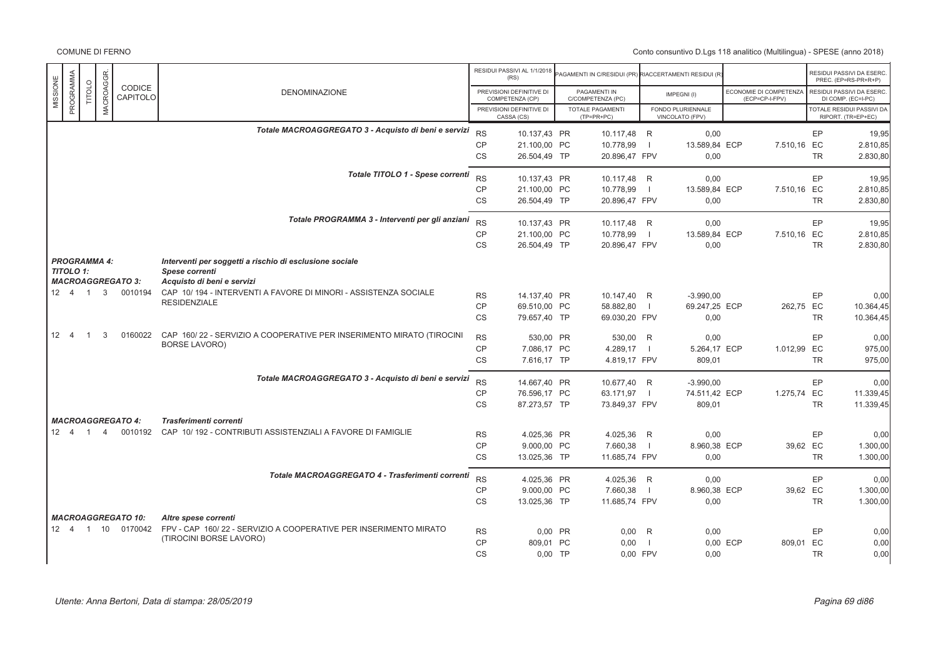|              |                            |                     |                                                  |                                                                                               |           | RESIDUI PASSIVI AL 1/1/2018                 | AGAMENTI IN C/RESIDUI (PR)        |                | RIACCERTAMENTI RESIDUI (R            |          |                                          |           | RESIDUI PASSIVI DA ESERC                        |
|--------------|----------------------------|---------------------|--------------------------------------------------|-----------------------------------------------------------------------------------------------|-----------|---------------------------------------------|-----------------------------------|----------------|--------------------------------------|----------|------------------------------------------|-----------|-------------------------------------------------|
|              |                            |                     | CODICE                                           |                                                                                               |           | (RS)                                        |                                   |                |                                      |          |                                          |           | PREC. (EP=RS-PR+R+P)                            |
| MISSIONE     | PROGRAMMA<br><b>TITOLO</b> | MACROAGGR           | CAPITOLO                                         | <b>DENOMINAZIONE</b>                                                                          |           | PREVISIONI DEFINITIVE DI<br>COMPETENZA (CP) | PAGAMENTI IN<br>C/COMPETENZA (PC) |                | IMPEGNI(I)                           |          | ECONOMIE DI COMPETENZA<br>(ECP=CP-I-FPV) |           | RESIDUI PASSIVI DA ESERC.<br>DI COMP. (EC=I-PC) |
|              |                            |                     |                                                  |                                                                                               |           | PREVISIONI DEFINITIVE DI<br>CASSA (CS)      | TOTALE PAGAMENTI<br>$(TP=PR+PC)$  |                | FONDO PLURIENNALE<br>VINCOLATO (FPV) |          |                                          |           | TOTALE RESIDUI PASSIVI DA<br>RIPORT. (TR=EP+EC) |
|              |                            |                     |                                                  | Totale MACROAGGREGATO 3 - Acquisto di beni e servizi                                          | <b>RS</b> | 10.137,43 PR                                | 10.117,48 R                       |                | 0,00                                 |          |                                          | EP        | 19,95                                           |
|              |                            |                     |                                                  |                                                                                               | <b>CP</b> | 21.100,00 PC                                | 10.778,99                         | $\Box$         | 13.589,84 ECP                        |          | 7.510,16 EC                              |           | 2.810,85                                        |
|              |                            |                     |                                                  |                                                                                               | CS        | 26.504,49 TP                                | 20.896,47 FPV                     |                | 0,00                                 |          |                                          | <b>TR</b> | 2.830,80                                        |
|              |                            |                     |                                                  | Totale TITOLO 1 - Spese correnti                                                              | <b>RS</b> |                                             |                                   |                |                                      |          |                                          |           |                                                 |
|              |                            |                     |                                                  |                                                                                               | <b>CP</b> | 10.137.43 PR<br>21.100,00 PC                | 10.117.48 R<br>10.778,99          | $\blacksquare$ | 0.00<br>13.589,84 ECP                |          | 7.510,16 EC                              | EP        | 19,95<br>2.810,85                               |
|              |                            |                     |                                                  |                                                                                               | CS        | 26.504,49 TP                                | 20.896,47 FPV                     |                | 0,00                                 |          |                                          | <b>TR</b> | 2.830,80                                        |
|              |                            |                     |                                                  |                                                                                               |           |                                             |                                   |                |                                      |          |                                          |           |                                                 |
|              |                            |                     |                                                  | Totale PROGRAMMA 3 - Interventi per gli anziani                                               | <b>RS</b> | 10.137,43 PR                                | 10.117,48 R                       |                | 0,00                                 |          |                                          | EP        | 19,95                                           |
|              |                            |                     |                                                  |                                                                                               | <b>CP</b> | 21.100,00 PC                                | 10.778,99                         | $\Box$         | 13.589,84 ECP                        |          | 7.510,16 EC                              |           | 2.810,85                                        |
|              |                            |                     |                                                  |                                                                                               | <b>CS</b> | 26.504,49 TP                                | 20.896,47 FPV                     |                | 0,00                                 |          |                                          | <b>TR</b> | 2.830,80                                        |
|              |                            | <b>PROGRAMMA 4:</b> |                                                  | Interventi per soggetti a rischio di esclusione sociale                                       |           |                                             |                                   |                |                                      |          |                                          |           |                                                 |
|              | TITOLO 1:                  |                     |                                                  | Spese correnti                                                                                |           |                                             |                                   |                |                                      |          |                                          |           |                                                 |
|              |                            |                     | <b>MACROAGGREGATO 3:</b><br>12  4  1  3  0010194 | Acquisto di beni e servizi<br>CAP 10/194 - INTERVENTI A FAVORE DI MINORI - ASSISTENZA SOCIALE |           |                                             |                                   |                |                                      |          |                                          |           |                                                 |
|              |                            |                     |                                                  | <b>RESIDENZIALE</b>                                                                           | <b>RS</b> | 14.137,40 PR                                | 10.147,40 R                       |                | $-3.990,00$                          |          |                                          | <b>EP</b> | 0,00                                            |
|              |                            |                     |                                                  |                                                                                               | CP        | 69.510.00 PC                                | 58.882,80                         | $\blacksquare$ | 69.247.25 ECP                        |          | 262.75 EC                                |           | 10.364,45                                       |
|              |                            |                     |                                                  |                                                                                               | CS        | 79.657,40 TP                                | 69.030,20 FPV                     |                | 0,00                                 |          |                                          | <b>TR</b> | 10.364,45                                       |
| $12 \quad 4$ | $\overline{1}$             | 3                   | 0160022                                          | CAP 160/22 - SERVIZIO A COOPERATIVE PER INSERIMENTO MIRATO (TIROCINI                          | <b>RS</b> | 530,00 PR                                   | 530,00 R                          |                | 0,00                                 |          |                                          | EP        | 0,00                                            |
|              |                            |                     |                                                  | <b>BORSE LAVORO)</b>                                                                          | CP        | 7.086.17 PC                                 | 4.289,17                          | $\sim$ 1.      | 5.264,17 ECP                         |          | 1.012,99 EC                              |           | 975,00                                          |
|              |                            |                     |                                                  |                                                                                               | <b>CS</b> | 7.616.17 TP                                 | 4.819,17 FPV                      |                | 809.01                               |          |                                          | <b>TR</b> | 975,00                                          |
|              |                            |                     |                                                  | Totale MACROAGGREGATO 3 - Acquisto di beni e servizi                                          | <b>RS</b> | 14.667,40 PR                                | 10.677,40 R                       |                | $-3.990,00$                          |          |                                          | EP        | 0,00                                            |
|              |                            |                     |                                                  |                                                                                               | <b>CP</b> | 76.596,17 PC                                | 63.171,97                         | $\blacksquare$ | 74.511,42 ECP                        |          | 1.275,74 EC                              |           | 11.339,45                                       |
|              |                            |                     |                                                  |                                                                                               | <b>CS</b> | 87.273,57 TP                                | 73.849,37 FPV                     |                | 809,01                               |          |                                          | <b>TR</b> | 11.339,45                                       |
|              |                            |                     | <b>MACROAGGREGATO 4:</b>                         | Trasferimenti correnti                                                                        |           |                                             |                                   |                |                                      |          |                                          |           |                                                 |
| 12 4         | $\overline{1}$             | $\overline{4}$      | 0010192                                          | CAP 10/192 - CONTRIBUTI ASSISTENZIALI A FAVORE DI FAMIGLIE                                    | <b>RS</b> | 4.025,36 PR                                 | 4.025,36 R                        |                | 0.00                                 |          |                                          | EP        | 0,00                                            |
|              |                            |                     |                                                  |                                                                                               | <b>CP</b> | 9.000,00 PC                                 | 7.660,38                          | $\blacksquare$ | 8.960,38 ECP                         |          | 39,62 EC                                 |           | 1.300,00                                        |
|              |                            |                     |                                                  |                                                                                               | CS        | 13.025,36 TP                                | 11.685,74 FPV                     |                | 0,00                                 |          |                                          | <b>TR</b> | 1.300,00                                        |
|              |                            |                     |                                                  | Totale MACROAGGREGATO 4 - Trasferimenti correnti                                              | <b>RS</b> |                                             |                                   |                |                                      |          |                                          |           |                                                 |
|              |                            |                     |                                                  |                                                                                               | CP        | 4.025,36 PR<br>9.000,00 PC                  | 4.025,36 R<br>7.660,38            | $\blacksquare$ | 0,00<br>8.960,38 ECP                 |          | 39,62 EC                                 | EP        | 0,00<br>1.300,00                                |
|              |                            |                     |                                                  |                                                                                               | <b>CS</b> | 13.025,36 TP                                | 11.685,74 FPV                     |                | 0,00                                 |          |                                          | <b>TR</b> | 1.300,00                                        |
|              |                            |                     |                                                  |                                                                                               |           |                                             |                                   |                |                                      |          |                                          |           |                                                 |
|              |                            |                     | <b>MACROAGGREGATO 10:</b>                        | Altre spese correnti                                                                          |           |                                             |                                   |                |                                      |          |                                          |           |                                                 |
|              |                            |                     | 12  4  1  10  0170042                            | FPV - CAP 160/22 - SERVIZIO A COOPERATIVE PER INSERIMENTO MIRATO<br>(TIROCINI BORSE LAVORO)   | <b>RS</b> | 0,00 PR                                     | $0,00$ R                          |                | 0,00                                 |          |                                          | EP        | 0,00                                            |
|              |                            |                     |                                                  |                                                                                               | <b>CP</b> | 809.01 PC                                   | 0,00                              | $\blacksquare$ |                                      | 0,00 ECP | 809,01                                   | EC        | 0,00                                            |
|              |                            |                     |                                                  |                                                                                               | <b>CS</b> | $0.00$ TP                                   | 0.00 FPV                          |                | 0,00                                 |          |                                          | <b>TR</b> | 0,00                                            |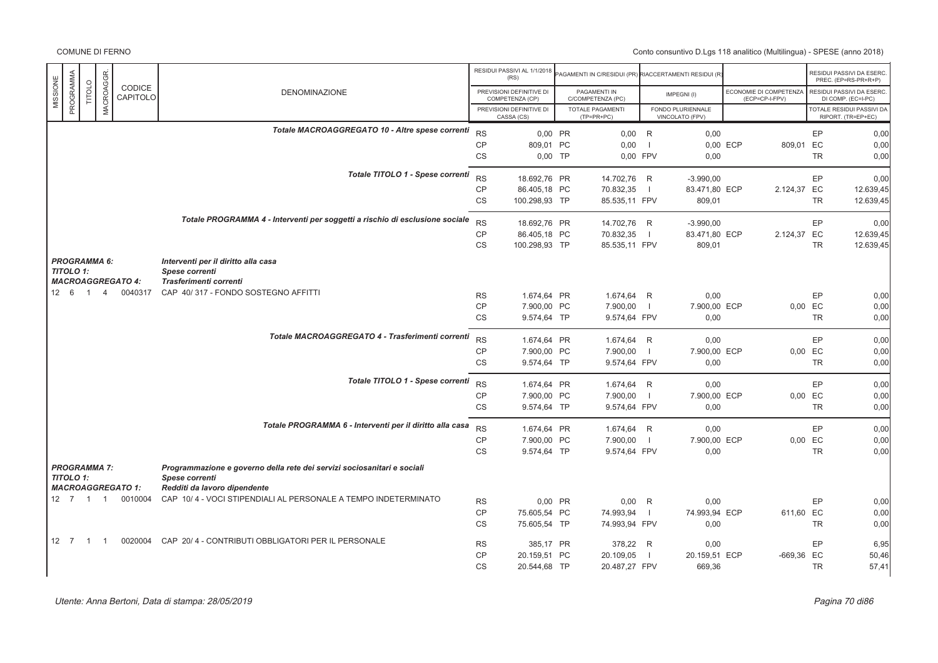|                       |                |                     |                          |                                                                                           |           | RESIDUI PASSIVI AL 1/1/2018<br>(RS)         | PAGAMENTI IN C/RESIDUI (PR) RIACCERTAMENTI RESIDUI (R |                |                                      |                                          |           | RESIDUI PASSIVI DA ESERC<br>PREC. (EP=RS-PR+R+P)       |
|-----------------------|----------------|---------------------|--------------------------|-------------------------------------------------------------------------------------------|-----------|---------------------------------------------|-------------------------------------------------------|----------------|--------------------------------------|------------------------------------------|-----------|--------------------------------------------------------|
| PROGRAMMA<br>MISSIONE | <b>TITOLO</b>  | MACROAGGR.          | CODICE<br>CAPITOLO       | <b>DENOMINAZIONE</b>                                                                      |           | PREVISIONI DEFINITIVE DI<br>COMPETENZA (CP) | PAGAMENTI IN<br>C/COMPETENZA (PC)                     |                | IMPEGNI(I)                           | ECONOMIE DI COMPETENZA<br>(ECP=CP-I-FPV) |           | RESIDUI PASSIVI DA ESERC<br>DI COMP. (EC=I-PC)         |
|                       |                |                     |                          |                                                                                           |           | PREVISIONI DEFINITIVE DI<br>CASSA (CS)      | TOTALE PAGAMENTI<br>$(TP=PR+PC)$                      |                | FONDO PLURIENNALE<br>VINCOLATO (FPV) |                                          |           | <b>TOTALE RESIDUI PASSIVI DA</b><br>RIPORT. (TR=EP+EC) |
|                       |                |                     |                          | Totale MACROAGGREGATO 10 - Altre spese correnti                                           | <b>RS</b> | 0.00 PR                                     | $0.00$ R                                              |                | 0.00                                 |                                          | EP        |                                                        |
|                       |                |                     |                          |                                                                                           | CP        | 809,01 PC                                   | 0,00                                                  | - 1            |                                      | 809,01 EC<br>0,00 ECP                    |           | 0,00<br>0,00                                           |
|                       |                |                     |                          |                                                                                           | <b>CS</b> | $0,00$ TP                                   | 0,00 FPV                                              |                | 0,00                                 |                                          | <b>TR</b> | 0,00                                                   |
|                       |                |                     |                          | Totale TITOLO 1 - Spese correnti                                                          | <b>RS</b> | 18.692,76 PR                                | 14.702,76 R                                           |                | $-3.990,00$                          |                                          | EP        | 0,00                                                   |
|                       |                |                     |                          |                                                                                           | CP        | 86.405,18 PC                                | 70.832,35                                             | $\blacksquare$ | 83.471,80 ECP                        | 2.124,37 EC                              |           | 12.639,45                                              |
|                       |                |                     |                          |                                                                                           | <b>CS</b> | 100.298,93 TP                               | 85.535,11 FPV                                         |                | 809,01                               |                                          | <b>TR</b> | 12.639.45                                              |
|                       |                |                     |                          | Totale PROGRAMMA 4 - Interventi per soggetti a rischio di esclusione sociale              | <b>RS</b> | 18.692,76 PR                                | 14.702,76 R                                           |                | $-3.990,00$                          |                                          | EP        | 0,00                                                   |
|                       |                |                     |                          |                                                                                           | CP        | 86.405,18 PC                                | 70.832,35                                             | $\blacksquare$ | 83.471,80 ECP                        | 2.124,37 EC                              |           | 12.639,45                                              |
|                       |                |                     |                          |                                                                                           | <b>CS</b> | 100.298,93 TP                               | 85.535,11 FPV                                         |                | 809,01                               |                                          | <b>TR</b> | 12.639,45                                              |
|                       |                | <b>PROGRAMMA 6:</b> |                          | Interventi per il diritto alla casa                                                       |           |                                             |                                                       |                |                                      |                                          |           |                                                        |
| TITOLO 1:             |                |                     | <b>MACROAGGREGATO 4:</b> | Spese correnti<br>Trasferimenti correnti                                                  |           |                                             |                                                       |                |                                      |                                          |           |                                                        |
| 12 6                  | $\overline{1}$ | $\overline{4}$      | 0040317                  | CAP 40/317 - FONDO SOSTEGNO AFFITTI                                                       | <b>RS</b> | 1.674,64 PR                                 | 1.674,64 R                                            |                | 0,00                                 |                                          | EP        | 0,00                                                   |
|                       |                |                     |                          |                                                                                           | CP        | 7.900.00 PC                                 | 7.900,00                                              | $\Box$         | 7.900,00 ECP                         |                                          | 0.00 EC   | 0,00                                                   |
|                       |                |                     |                          |                                                                                           | <b>CS</b> | 9.574,64 TP                                 | 9.574,64 FPV                                          |                | 0,00                                 |                                          | <b>TR</b> | 0,00                                                   |
|                       |                |                     |                          | Totale MACROAGGREGATO 4 - Trasferimenti correnti                                          | <b>RS</b> | 1.674,64 PR                                 | 1.674,64 R                                            |                | 0,00                                 |                                          | EP        | 0,00                                                   |
|                       |                |                     |                          |                                                                                           | CP        | 7.900,00 PC                                 | 7.900,00                                              | $\blacksquare$ | 7.900,00 ECP                         |                                          | 0,00 EC   | 0,00                                                   |
|                       |                |                     |                          |                                                                                           | <b>CS</b> | 9.574,64 TP                                 | 9.574,64 FPV                                          |                | 0,00                                 |                                          | <b>TR</b> | 0,00                                                   |
|                       |                |                     |                          | Totale TITOLO 1 - Spese correnti                                                          | <b>RS</b> | 1.674,64 PR                                 | 1.674,64 R                                            |                | 0,00                                 |                                          | EP        | 0,00                                                   |
|                       |                |                     |                          |                                                                                           | <b>CP</b> | 7.900,00 PC                                 | 7.900,00                                              | $\Box$         | 7.900,00 ECP                         |                                          | $0,00$ EC | 0,00                                                   |
|                       |                |                     |                          |                                                                                           | CS        | 9.574,64 TP                                 | 9.574,64 FPV                                          |                | 0,00                                 |                                          | <b>TR</b> | 0,00                                                   |
|                       |                |                     |                          | Totale PROGRAMMA 6 - Interventi per il diritto alla casa                                  | <b>RS</b> | 1.674,64 PR                                 | 1.674,64 R                                            |                | 0,00                                 |                                          | EP        | 0,00                                                   |
|                       |                |                     |                          |                                                                                           | <b>CP</b> | 7.900,00 PC                                 | 7.900,00                                              | $\blacksquare$ | 7.900,00 ECP                         |                                          | 0,00 EC   | 0.00                                                   |
|                       |                |                     |                          |                                                                                           | <b>CS</b> | 9.574.64 TP                                 | 9.574,64 FPV                                          |                | 0.00                                 |                                          | <b>TR</b> | 0.00                                                   |
| TITOLO 1:             |                | <b>PROGRAMMA 7:</b> |                          | Programmazione e governo della rete dei servizi sociosanitari e sociali<br>Spese correnti |           |                                             |                                                       |                |                                      |                                          |           |                                                        |
|                       |                |                     | <b>MACROAGGREGATO 1:</b> | Redditi da lavoro dipendente                                                              |           |                                             |                                                       |                |                                      |                                          |           |                                                        |
|                       |                | 12 7 1 1            | 0010004                  | CAP 10/4 - VOCI STIPENDIALI AL PERSONALE A TEMPO INDETERMINATO                            | <b>RS</b> | 0,00 PR                                     | $0,00$ R                                              |                | 0,00                                 |                                          | EP        | 0,00                                                   |
|                       |                |                     |                          |                                                                                           | <b>CP</b> | 75.605,54 PC                                | 74.993,94                                             | $\blacksquare$ | 74.993,94 ECP                        | 611,60 EC                                |           | 0,00                                                   |
|                       |                |                     |                          |                                                                                           | <b>CS</b> | 75.605,54 TP                                | 74.993,94 FPV                                         |                | 0,00                                 |                                          | <b>TR</b> | 0,00                                                   |
| 12 7                  | $\overline{1}$ | $\overline{1}$      |                          | 0020004 CAP 20/4 - CONTRIBUTI OBBLIGATORI PER IL PERSONALE                                | <b>RS</b> | 385,17 PR                                   | 378,22 R                                              |                | 0,00                                 |                                          | EP        | 6,95                                                   |
|                       |                |                     |                          |                                                                                           | <b>CP</b> | 20.159.51 PC                                | 20.109,05                                             | - 1            | 20.159,51 ECP                        | -669,36 EC                               |           | 50,46                                                  |
|                       |                |                     |                          |                                                                                           | <b>CS</b> | 20.544,68 TP                                | 20.487,27 FPV                                         |                | 669,36                               |                                          | <b>TR</b> | 57,41                                                  |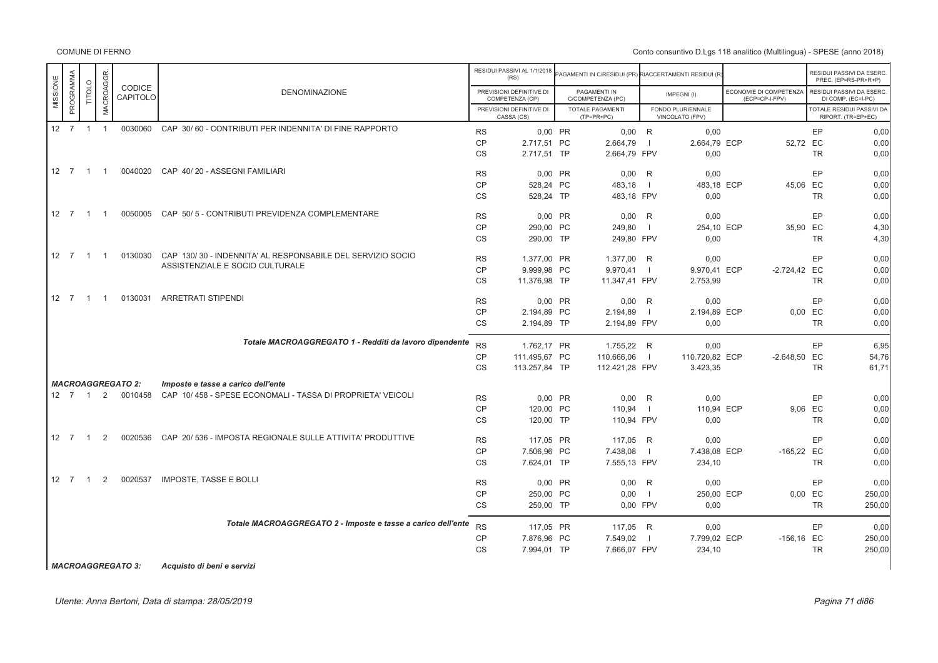Conto consuntivo D.Lgs 118 analitico (Multilingua) - SPESE (anno 2018)

|          |                      |                |                  |                          |                                                                |           | RESIDUI PASSIVI AL 1/1/2018<br>(RS)         | PAGAMENTI IN C/RESIDUI (PR) RIACCERTAMENTI RESIDUI (R |                |                                      |                                          |           | RESIDUI PASSIVI DA ESERC.<br>PREC. (EP=RS-PR+R+P) |
|----------|----------------------|----------------|------------------|--------------------------|----------------------------------------------------------------|-----------|---------------------------------------------|-------------------------------------------------------|----------------|--------------------------------------|------------------------------------------|-----------|---------------------------------------------------|
| MISSIONE | PROGRAMMA            | TITOLO         | <b>MACROAGGR</b> | CODICE<br>CAPITOLO       | <b>DENOMINAZIONE</b>                                           |           | PREVISIONI DEFINITIVE DI<br>COMPETENZA (CP) | PAGAMENTI IN<br>C/COMPETENZA (PC)                     |                | IMPEGNI(I)                           | ECONOMIE DI COMPETENZA<br>(ECP=CP-I-FPV) |           | RESIDUI PASSIVI DA ESERC.<br>DI COMP. (EC=I-PC)   |
|          |                      |                |                  |                          |                                                                |           | PREVISIONI DEFINITIVE DI<br>CASSA (CS)      | <b>TOTALE PAGAMENTI</b><br>$(TP=PR+PC)$               |                | FONDO PLURIENNALE<br>VINCOLATO (FPV) |                                          |           | TOTALE RESIDUI PASSIVI DA<br>RIPORT. (TR=EP+EC)   |
|          | $12 \quad 7 \quad 1$ |                | $\overline{1}$   |                          | 0030060 CAP 30/60 - CONTRIBUTI PER INDENNITA' DI FINE RAPPORTO | <b>RS</b> | 0,00 PR                                     | $0,00$ R                                              |                | 0,00                                 |                                          | <b>EP</b> | 0,00                                              |
|          |                      |                |                  |                          |                                                                | <b>CP</b> | 2.717,51 PC                                 | 2.664,79                                              |                | 2.664,79 ECP                         | 52,72 EC                                 |           | 0,00                                              |
|          |                      |                |                  |                          |                                                                | <b>CS</b> | 2.717,51 TP                                 | 2.664,79 FPV                                          |                | 0,00                                 |                                          | TR        | 0,00                                              |
|          | 12 7                 | $\overline{1}$ | $\overline{1}$   | 0040020                  | CAP 40/20 - ASSEGNI FAMILIARI                                  | <b>RS</b> | $0,00$ PR                                   | 0,00                                                  | R              | 0,00                                 |                                          | EP        | 0,00                                              |
|          |                      |                |                  |                          |                                                                | <b>CP</b> | 528.24 PC                                   | 483.18                                                |                | 483.18 ECP                           | 45.06 EC                                 |           | 0,00                                              |
|          |                      |                |                  |                          |                                                                | <b>CS</b> | 528,24 TP                                   | 483,18 FPV                                            |                | 0,00                                 |                                          | <b>TR</b> | 0,00                                              |
|          | $12 \quad 7 \quad 1$ |                | $\overline{1}$   | 0050005                  | CAP 50/5 - CONTRIBUTI PREVIDENZA COMPLEMENTARE                 | <b>RS</b> | 0,00 PR                                     | 0,00                                                  | R              | 0,00                                 |                                          | EP        | 0,00                                              |
|          |                      |                |                  |                          |                                                                | <b>CP</b> | 290,00 PC                                   | 249,80                                                |                | 254,10 ECP                           | 35,90 EC                                 |           | 4,30                                              |
|          |                      |                |                  |                          |                                                                | <b>CS</b> | 290.00 TP                                   | 249,80 FPV                                            |                | 0,00                                 |                                          | <b>TR</b> | 4,30                                              |
|          | 12 7 1               |                | $\overline{1}$   | 0130030                  | CAP 130/30 - INDENNITA' AL RESPONSABILE DEL SERVIZIO SOCIO     | <b>RS</b> | 1.377,00 PR                                 | 1.377,00 R                                            |                | 0,00                                 |                                          | EP        | 0,00                                              |
|          |                      |                |                  |                          | ASSISTENZIALE E SOCIO CULTURALE                                | <b>CP</b> | 9.999,98 PC                                 | 9.970,41                                              | $\blacksquare$ | 9.970,41 ECP                         | $-2.724,42$ EC                           |           | 0,00                                              |
|          |                      |                |                  |                          |                                                                | <b>CS</b> | 11.376,98 TP                                | 11.347,41 FPV                                         |                | 2.753,99                             |                                          | TR        | 0,00                                              |
|          | 12 7                 | $\overline{1}$ | $\overline{1}$   | 0130031                  | <b>ARRETRATI STIPENDI</b>                                      | <b>RS</b> | $0,00$ PR                                   | 0,00                                                  | R              | 0,00                                 |                                          | EP        | 0,00                                              |
|          |                      |                |                  |                          |                                                                | CP        | 2.194.89 PC                                 | 2.194,89                                              | $\overline{1}$ | 2.194.89 ECP                         |                                          | 0.00 EC   | 0,00                                              |
|          |                      |                |                  |                          |                                                                | <b>CS</b> | 2.194,89 TP                                 | 2.194,89 FPV                                          |                | 0,00                                 |                                          | <b>TR</b> | 0,00                                              |
|          |                      |                |                  |                          | Totale MACROAGGREGATO 1 - Redditi da lavoro dipendente         | <b>RS</b> | 1.762.17 PR                                 | 1.755,22 R                                            |                | 0,00                                 |                                          | EP        | 6,95                                              |
|          |                      |                |                  |                          |                                                                | <b>CP</b> | 111.495,67 PC                               | 110.666,06                                            | $\blacksquare$ | 110.720,82 ECP                       | $-2.648,50$ EC                           |           | 54.76                                             |
|          |                      |                |                  |                          |                                                                | <b>CS</b> | 113.257,84 TP                               | 112.421,28 FPV                                        |                | 3.423,35                             |                                          | TR        | 61,71                                             |
|          |                      |                |                  | <b>MACROAGGREGATO 2:</b> | Imposte e tasse a carico dell'ente                             |           |                                             |                                                       |                |                                      |                                          |           |                                                   |
|          | 12 7 1               |                | 2                | 0010458                  | CAP 10/458 - SPESE ECONOMALI - TASSA DI PROPRIETA' VEICOLI     | <b>RS</b> | 0,00 PR                                     | $0,00$ R                                              |                | 0,00                                 |                                          | EP        | 0,00                                              |
|          |                      |                |                  |                          |                                                                | <b>CP</b> | 120,00 PC                                   | 110,94                                                | - 1            | 110,94 ECP                           |                                          | 9,06 EC   | 0,00                                              |
|          |                      |                |                  |                          |                                                                | <b>CS</b> | 120,00 TP                                   | 110,94 FPV                                            |                | 0,00                                 |                                          | TR        | 0,00                                              |
|          | $12 \quad 7$         | $\overline{1}$ | 2                | 0020536                  | CAP 20/536 - IMPOSTA REGIONALE SULLE ATTIVITA' PRODUTTIVE      | <b>RS</b> | 117.05 PR                                   | 117.05 R                                              |                | 0.00                                 |                                          | EP        | 0,00                                              |
|          |                      |                |                  |                          |                                                                | <b>CP</b> | 7.506.96 PC                                 | 7.438,08                                              |                | 7.438.08 ECP                         | $-165,22$ EC                             |           | 0,00                                              |
|          |                      |                |                  |                          |                                                                | <b>CS</b> | 7.624,01 TP                                 | 7.555,13 FPV                                          |                | 234,10                               |                                          | TR        | 0,00                                              |
|          | $12 \quad 7 \quad 1$ |                | 2                | 0020537                  | <b>IMPOSTE, TASSE E BOLLI</b>                                  | <b>RS</b> | 0,00 PR                                     | 0,00                                                  | R              | 0,00                                 |                                          | EP        | 0,00                                              |
|          |                      |                |                  |                          |                                                                | <b>CP</b> | 250,00 PC                                   | 0,00                                                  | $\mathbf{I}$   | 250,00 ECP                           |                                          | 0,00 EC   | 250,00                                            |
|          |                      |                |                  |                          |                                                                | <b>CS</b> | 250,00 TP                                   | 0.00 FPV                                              |                | 0,00                                 |                                          | <b>TR</b> | 250,00                                            |
|          |                      |                |                  |                          | Totale MACROAGGREGATO 2 - Imposte e tasse a carico dell'ente   | <b>RS</b> | 117,05 PR                                   | 117,05 R                                              |                | 0,00                                 |                                          | EP        | 0,00                                              |
|          |                      |                |                  |                          |                                                                | <b>CP</b> | 7.876,96 PC                                 | 7.549,02                                              |                | 7.799,02 ECP                         | $-156, 16$ EC                            |           | 250,00                                            |
|          |                      |                |                  |                          |                                                                | <b>CS</b> | 7.994,01 TP                                 | 7.666,07 FPV                                          |                | 234,10                               |                                          | TR        | 250,00                                            |

*MACROAGGREGATO 3: Acquisto di beni e servizi*

Utente: Anna Bertoni, Data di stampa: 28/05/2019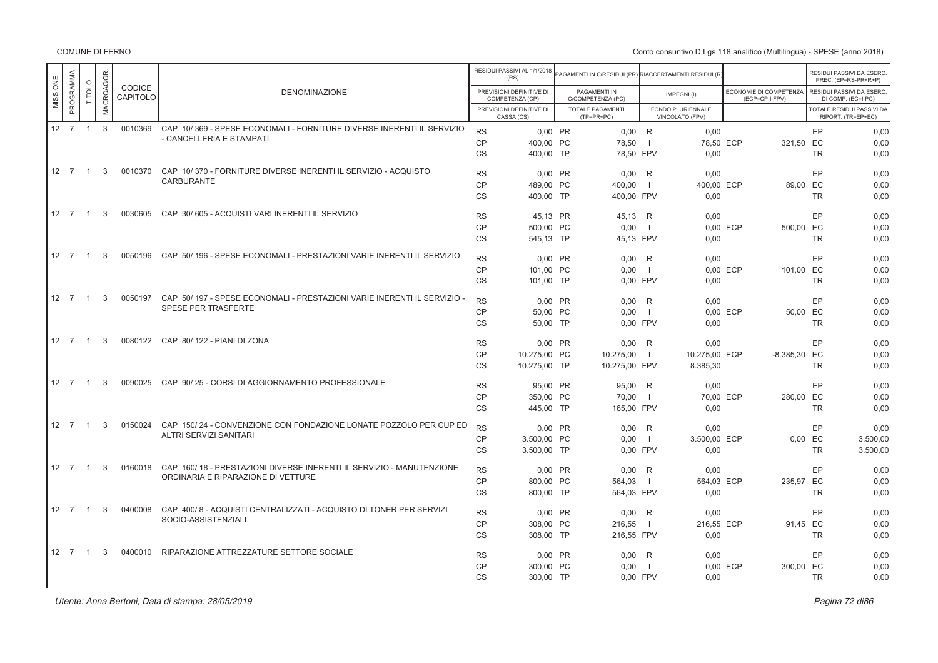|          |                      |                |            |                           |                                                                                                            |                        | RESIDUI PASSIVI AL 1/1/2018<br>(RS)         | PAGAMENTI IN C/RESIDUI (PR) RIACCERTAMENTI RESIDUI (R' |                     |                                      |                                          |           | RESIDUI PASSIVI DA ESERC.<br>PREC. (EP=RS-PR+R+P) |
|----------|----------------------|----------------|------------|---------------------------|------------------------------------------------------------------------------------------------------------|------------------------|---------------------------------------------|--------------------------------------------------------|---------------------|--------------------------------------|------------------------------------------|-----------|---------------------------------------------------|
| MISSIONE | PROGRAMMA            | TITOLO         | MACROAGGR. | <b>CODICE</b><br>CAPITOLO | <b>DENOMINAZIONE</b>                                                                                       |                        | PREVISIONI DEFINITIVE DI<br>COMPETENZA (CP) | PAGAMENTI IN<br>C/COMPETENZA (PC)                      |                     | IMPEGNI(I)                           | ECONOMIE DI COMPETENZA<br>(ECP=CP-I-FPV) |           | RESIDUI PASSIVI DA ESERC.<br>DI COMP. (EC=I-PC)   |
|          |                      |                |            |                           |                                                                                                            |                        | PREVISIONI DEFINITIVE DI<br>CASSA (CS)      | <b>TOTALE PAGAMENTI</b><br>$(TP=PR+PC)$                |                     | FONDO PLURIENNALE<br>VINCOLATO (FPV) |                                          |           | TOTALE RESIDUI PASSIVI DA<br>RIPORT. (TR=EP+EC)   |
|          | 12 7                 | $\overline{1}$ | 3          | 0010369                   | CAP 10/369 - SPESE ECONOMALI - FORNITURE DIVERSE INERENTI IL SERVIZIO                                      | <b>RS</b>              | 0.00 PR                                     | $0,00$ R                                               |                     | 0,00                                 |                                          | EP        | 0,00                                              |
|          |                      |                |            |                           | - CANCELLERIA E STAMPATI                                                                                   | <b>CP</b>              | 400.00 PC                                   | 78,50                                                  | - 1                 | 78,50 ECP                            | 321,50                                   | EC        | 0,00                                              |
|          |                      |                |            |                           |                                                                                                            | CS                     | 400,00 TP                                   | 78,50 FPV                                              |                     | 0,00                                 |                                          | <b>TR</b> | 0,00                                              |
|          | $12 \quad 7 \quad 1$ |                | 3          | 0010370                   | CAP 10/370 - FORNITURE DIVERSE INERENTI IL SERVIZIO - ACQUISTO                                             |                        |                                             |                                                        |                     |                                      |                                          |           |                                                   |
|          |                      |                |            |                           | CARBURANTE                                                                                                 | <b>RS</b><br><b>CP</b> | $0,00$ PR                                   | 0,00<br>400,00                                         | R<br>$\blacksquare$ | 0,00<br>400,00 ECP                   |                                          | EP<br>EC  | 0,00<br>0,00                                      |
|          |                      |                |            |                           |                                                                                                            | <b>CS</b>              | 489,00 PC<br>400.00 TP                      | 400.00 FPV                                             |                     | 0.00                                 | 89,00                                    | <b>TR</b> | 0.00                                              |
|          |                      |                |            |                           |                                                                                                            |                        |                                             |                                                        |                     |                                      |                                          |           |                                                   |
|          | 12 7                 | $\overline{1}$ | 3          | 0030605                   | CAP 30/605 - ACQUISTI VARI INERENTI IL SERVIZIO                                                            | <b>RS</b>              | 45,13 PR                                    | 45,13                                                  | R                   | 0,00                                 |                                          | EP        | 0,00                                              |
|          |                      |                |            |                           |                                                                                                            | CP                     | 500,00 PC                                   | 0,00                                                   | $\mathbf{I}$        |                                      | 0,00 ECP<br>500,00                       | EC        | 0,00                                              |
|          |                      |                |            |                           |                                                                                                            | <b>CS</b>              | 545.13 TP                                   | 45.13 FPV                                              |                     | 0.00                                 |                                          | <b>TR</b> | 0.00                                              |
|          | 12 7                 | $\overline{1}$ | 3          |                           | 0050196 CAP 50/196 - SPESE ECONOMALI - PRESTAZIONI VARIE INERENTI IL SERVIZIO                              |                        |                                             |                                                        |                     |                                      |                                          |           |                                                   |
|          |                      |                |            |                           |                                                                                                            | <b>RS</b>              | $0,00$ PR                                   | 0,00                                                   | R                   | 0,00                                 |                                          | EP        | 0,00                                              |
|          |                      |                |            |                           |                                                                                                            | CP                     | 101,00 PC                                   | 0,00                                                   | $\blacksquare$      |                                      | 0.00 ECP<br>101,00 EC                    |           | 0,00                                              |
|          |                      |                |            |                           |                                                                                                            | <b>CS</b>              | 101,00 TP                                   | 0,00 FPV                                               |                     | 0.00                                 |                                          | <b>TR</b> | 0.00                                              |
|          | 12 7                 | $\overline{1}$ | 3          | 0050197                   | CAP 50/197 - SPESE ECONOMALI - PRESTAZIONI VARIE INERENTI IL SERVIZIO -                                    | <b>RS</b>              | 0,00 PR                                     | 0,00                                                   | R                   | 0,00                                 |                                          | EP        | 0,00                                              |
|          |                      |                |            |                           | <b>SPESE PER TRASFERTE</b>                                                                                 | CP                     | 50,00 PC                                    | 0,00                                                   | $\overline{1}$      |                                      | 0,00 ECP                                 | 50,00 EC  | 0,00                                              |
|          |                      |                |            |                           |                                                                                                            | <b>CS</b>              | 50,00 TP                                    | 0.00 FPV                                               |                     | 0.00                                 |                                          | <b>TR</b> | 0,00                                              |
|          | 12 7                 | $\overline{1}$ | 3          |                           | 0080122 CAP 80/122 - PIANI DI ZONA                                                                         | <b>RS</b>              | $0.00$ PR                                   | $0.00$ R                                               |                     | 0.00                                 |                                          | EP        | 0.00                                              |
|          |                      |                |            |                           |                                                                                                            | <b>CP</b>              | 10.275.00 PC                                | 10.275,00                                              | $\blacksquare$      | 10.275,00 ECP                        | $-8.385,30$ EC                           |           | 0,00                                              |
|          |                      |                |            |                           |                                                                                                            | <b>CS</b>              | 10.275,00 TP                                | 10.275,00 FPV                                          |                     | 8.385,30                             |                                          | <b>TR</b> | 0.00                                              |
|          |                      |                |            |                           |                                                                                                            |                        |                                             |                                                        |                     |                                      |                                          |           |                                                   |
|          | $12 \quad 7$         | $\overline{1}$ | 3          | 0090025                   | CAP 90/25 - CORSI DI AGGIORNAMENTO PROFESSIONALE                                                           | <b>RS</b>              | 95.00 PR                                    | 95,00 R                                                |                     | 0,00                                 |                                          | EP        | 0.00                                              |
|          |                      |                |            |                           |                                                                                                            | CP                     | 350,00 PC                                   | 70,00                                                  | $\overline{1}$      | 70,00 ECP                            | 280,00 EC                                |           | 0,00                                              |
|          |                      |                |            |                           |                                                                                                            | <b>CS</b>              | 445,00 TP                                   | 165,00 FPV                                             |                     | 0,00                                 |                                          | <b>TR</b> | 0,00                                              |
|          | 12 7                 | $\overline{1}$ | 3          | 0150024                   | CAP 150/24 - CONVENZIONE CON FONDAZIONE LONATE POZZOLO PER CUP ED                                          | <b>RS</b>              | 0.00 PR                                     | 0.00                                                   | R                   | 0.00                                 |                                          | EP        | 0.00                                              |
|          |                      |                |            |                           | ALTRI SERVIZI SANITARI                                                                                     | CP                     | 3.500,00 PC                                 | 0,00                                                   | $\overline{1}$      | 3.500,00 ECP                         |                                          | $0,00$ EC | 3.500,00                                          |
|          |                      |                |            |                           |                                                                                                            | CS                     | 3.500,00 TP                                 | 0,00 FPV                                               |                     | 0,00                                 |                                          | <b>TR</b> | 3.500,00                                          |
|          |                      |                |            |                           |                                                                                                            |                        |                                             |                                                        |                     |                                      |                                          |           |                                                   |
|          | 12 7                 | $\overline{1}$ | 3          | 0160018                   | CAP 160/18 - PRESTAZIONI DIVERSE INERENTI IL SERVIZIO - MANUTENZIONE<br>ORDINARIA E RIPARAZIONE DI VETTURE | <b>RS</b>              | 0.00 PR                                     | 0.00                                                   | R                   | 0.00                                 |                                          | EP        | 0.00                                              |
|          |                      |                |            |                           |                                                                                                            | CP                     | 800,00 PC                                   | 564,03                                                 | $\overline{1}$      | 564,03 ECP                           | 235,97 EC                                |           | 0,00                                              |
|          |                      |                |            |                           |                                                                                                            | CS                     | 800,00 TP                                   | 564,03 FPV                                             |                     | 0,00                                 |                                          | <b>TR</b> | 0,00                                              |
|          | 12 7                 | $\overline{1}$ | 3          | 0400008                   | CAP 400/8 - ACQUISTI CENTRALIZZATI - ACQUISTO DI TONER PER SERVIZI                                         | <b>RS</b>              | 0.00 PR                                     | 0,00                                                   | R                   | 0.00                                 |                                          | EP        | 0.00                                              |
|          |                      |                |            |                           | SOCIO-ASSISTENZIALI                                                                                        | <b>CP</b>              | 308.00 PC                                   | 216,55                                                 | $\overline{1}$      | 216,55 ECP                           |                                          | 91.45 EC  | 0,00                                              |
|          |                      |                |            |                           |                                                                                                            | <b>CS</b>              | 308,00 TP                                   | 216,55 FPV                                             |                     | 0,00                                 |                                          | <b>TR</b> | 0,00                                              |
|          |                      |                |            |                           |                                                                                                            |                        |                                             |                                                        |                     |                                      |                                          |           |                                                   |
|          | 12 7                 | $\overline{1}$ | 3          | 0400010                   | RIPARAZIONE ATTREZZATURE SETTORE SOCIALE                                                                   | <b>RS</b>              | 0.00 PR                                     | 0,00                                                   | R                   | 0,00                                 |                                          | EP        | 0.00                                              |
|          |                      |                |            |                           |                                                                                                            | CP                     | 300.00 PC                                   | 0.00                                                   | $\overline{1}$      |                                      | 300,00 EC<br>0,00 ECP                    |           | 0,00                                              |
|          |                      |                |            |                           |                                                                                                            | <b>CS</b>              | 300,00 TP                                   | 0,00 FPV                                               |                     | 0,00                                 |                                          | <b>TR</b> | 0,00                                              |
|          |                      |                |            |                           |                                                                                                            |                        |                                             |                                                        |                     |                                      |                                          |           |                                                   |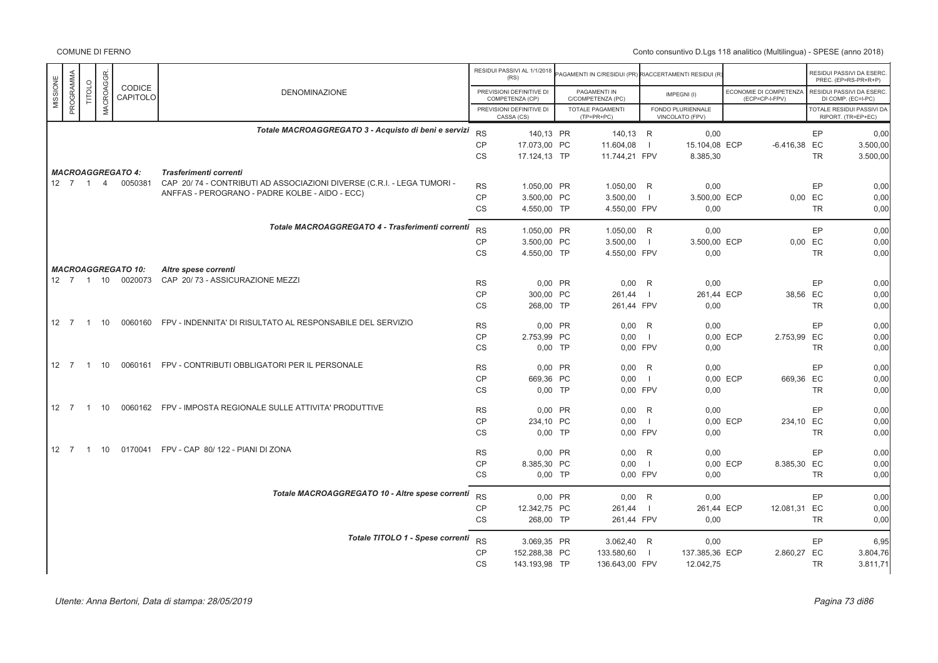COMUNE DI FERNO

|                              |               |                  |                           |                                                                        |                 | RESIDUI PASSIVI AL 1/1/2018<br>(RS)         | PAGAMENTI IN C/RESIDUI (PR) RIACCERTAMENTI RESIDUI (R |                          |                                      |          |                                          |           | RESIDUI PASSIVI DA ESERC<br>PREC. (EP=RS-PR+R+P)       |
|------------------------------|---------------|------------------|---------------------------|------------------------------------------------------------------------|-----------------|---------------------------------------------|-------------------------------------------------------|--------------------------|--------------------------------------|----------|------------------------------------------|-----------|--------------------------------------------------------|
| PROGRAMMA<br>MISSIONE        | <b>TITOLO</b> | <b>MACROAGGR</b> | CODICE<br>CAPITOLO        | <b>DENOMINAZIONE</b>                                                   |                 | PREVISIONI DEFINITIVE DI<br>COMPETENZA (CP) | PAGAMENTI IN<br>C/COMPETENZA (PC)                     |                          | IMPEGNI(I)                           |          | ECONOMIE DI COMPETENZA<br>(ECP=CP-I-FPV) |           | RESIDUI PASSIVI DA ESERC<br>DI COMP. (EC=I-PC)         |
|                              |               |                  |                           |                                                                        |                 | PREVISIONI DEFINITIVE DI<br>CASSA (CS)      | <b>TOTALE PAGAMENTI</b><br>$(TP=PR+PC)$               |                          | FONDO PLURIENNALE<br>VINCOLATO (FPV) |          |                                          |           | <b>TOTALE RESIDUI PASSIVI DA</b><br>RIPORT. (TR=EP+EC) |
|                              |               |                  |                           | Totale MACROAGGREGATO 3 - Acquisto di beni e servizi                   | <b>RS</b>       | 140,13 PR                                   | 140,13 R                                              |                          | 0,00                                 |          |                                          | EP        | 0,00                                                   |
|                              |               |                  |                           |                                                                        | CP              | 17.073,00 PC                                | 11.604,08                                             | $\blacksquare$           | 15.104,08 ECP                        |          | $-6.416,38$ EC                           |           | 3.500,00                                               |
|                              |               |                  |                           |                                                                        | <b>CS</b>       | 17.124,13 TP                                | 11.744,21 FPV                                         |                          | 8.385,30                             |          |                                          | <b>TR</b> | 3.500,00                                               |
|                              |               |                  | <b>MACROAGGREGATO 4:</b>  | Trasferimenti correnti                                                 |                 |                                             |                                                       |                          |                                      |          |                                          |           |                                                        |
| $12 \quad 7 \quad 1 \quad 4$ |               |                  | 0050381                   | CAP 20/74 - CONTRIBUTI AD ASSOCIAZIONI DIVERSE (C.R.I. - LEGA TUMORI - | <b>RS</b>       | 1.050,00 PR                                 | 1.050,00 R                                            |                          | 0,00                                 |          |                                          | EP        | 0,00                                                   |
|                              |               |                  |                           | ANFFAS - PEROGRANO - PADRE KOLBE - AIDO - ECC)                         | <b>CP</b>       | 3.500,00 PC                                 | 3.500,00                                              | $\blacksquare$           | 3.500,00 ECP                         |          | $0,00$ EC                                |           | 0,00                                                   |
|                              |               |                  |                           |                                                                        | <b>CS</b>       | 4.550,00 TP                                 | 4.550,00 FPV                                          |                          | 0,00                                 |          |                                          | TR.       | 0,00                                                   |
|                              |               |                  |                           | Totale MACROAGGREGATO 4 - Trasferimenti correnti                       |                 |                                             |                                                       |                          |                                      |          |                                          |           |                                                        |
|                              |               |                  |                           |                                                                        | <b>RS</b>       | 1.050,00 PR                                 | 1.050,00 R                                            |                          | 0,00                                 |          |                                          | EP        | 0,00                                                   |
|                              |               |                  |                           |                                                                        | <b>CP</b>       | 3.500,00 PC                                 | 3.500,00                                              | $\blacksquare$           | 3.500,00 ECP                         |          | 0,00 EC                                  |           | 0.00                                                   |
|                              |               |                  |                           |                                                                        | CS              | 4.550,00 TP                                 | 4.550,00 FPV                                          |                          | 0,00                                 |          |                                          | <b>TR</b> | 0,00                                                   |
|                              |               |                  | <b>MACROAGGREGATO 10:</b> | Altre spese correnti                                                   |                 |                                             |                                                       |                          |                                      |          |                                          |           |                                                        |
|                              |               |                  | 12 7 1 10 0020073         | CAP 20/73 - ASSICURAZIONE MEZZI                                        | <b>RS</b>       | 0.00 PR                                     | $0,00$ R                                              |                          | 0,00                                 |          |                                          | EP        | 0.00                                                   |
|                              |               |                  |                           |                                                                        | <b>CP</b>       | 300,00 PC                                   | 261,44                                                | $\blacksquare$           | 261,44 ECP                           |          | 38,56 EC                                 |           | 0,00                                                   |
|                              |               |                  |                           |                                                                        | <b>CS</b>       | 268,00 TP                                   | 261,44 FPV                                            |                          | 0,00                                 |          |                                          | <b>TR</b> | 0,00                                                   |
| 12 7 1 10                    |               |                  | 0060160                   | FPV - INDENNITA' DI RISULTATO AL RESPONSABILE DEL SERVIZIO             | <b>RS</b>       | 0,00 PR                                     | 0,00                                                  | R                        | 0,00                                 |          |                                          | EP        | 0,00                                                   |
|                              |               |                  |                           |                                                                        | <b>CP</b>       | 2.753,99 PC                                 | 0,00                                                  | $\blacksquare$           |                                      | 0.00 ECP | 2.753,99 EC                              |           | 0,00                                                   |
|                              |               |                  |                           |                                                                        | <b>CS</b>       | $0,00$ TP                                   | 0,00 FPV                                              |                          | 0,00                                 |          |                                          | <b>TR</b> | 0,00                                                   |
| 12 7 1 10                    |               |                  |                           | 0060161 FPV - CONTRIBUTI OBBLIGATORI PER IL PERSONALE                  | <b>RS</b>       | 0,00 PR                                     | 0,00                                                  | R                        | 0,00                                 |          |                                          | EP        | 0,00                                                   |
|                              |               |                  |                           |                                                                        | <b>CP</b>       | 669,36 PC                                   | 0,00                                                  | $\blacksquare$           |                                      | 0,00 ECP | 669,36 EC                                |           | 0,00                                                   |
|                              |               |                  |                           |                                                                        | <b>CS</b>       | $0,00$ TP                                   | 0,00 FPV                                              |                          | 0,00                                 |          |                                          | <b>TR</b> | 0,00                                                   |
| 12 7 1 10                    |               |                  |                           | 0060162    FPV - IMPOSTA REGIONALE SULLE ATTIVITA' PRODUTTIVE          | <b>RS</b>       | 0,00 PR                                     | 0.00                                                  | R                        | 0.00                                 |          |                                          | EP        | 0,00                                                   |
|                              |               |                  |                           |                                                                        | <b>CP</b>       | 234,10 PC                                   | 0,00                                                  | $\blacksquare$           |                                      | 0,00 ECP | 234,10 EC                                |           | 0,00                                                   |
|                              |               |                  |                           |                                                                        | <b>CS</b>       | $0,00$ TP                                   | 0,00 FPV                                              |                          | 0,00                                 |          |                                          | <b>TR</b> | 0,00                                                   |
| 12 7                         |               | 1 10             |                           | 0170041 FPV - CAP 80/122 - PIANI DI ZONA                               | <b>RS</b>       | 0,00 PR                                     | 0,00                                                  | R                        | 0,00                                 |          |                                          | EP        | 0,00                                                   |
|                              |               |                  |                           |                                                                        | CP              | 8.385,30 PC                                 | 0,00                                                  | $\overline{\phantom{0}}$ |                                      | 0,00 ECP | 8.385,30 EC                              |           | 0,00                                                   |
|                              |               |                  |                           |                                                                        | CS              | $0,00$ TP                                   | 0,00 FPV                                              |                          | 0,00                                 |          |                                          | <b>TR</b> | 0,00                                                   |
|                              |               |                  |                           | Totale MACROAGGREGATO 10 - Altre spese correnti                        |                 |                                             |                                                       |                          |                                      |          |                                          |           |                                                        |
|                              |               |                  |                           |                                                                        | <b>RS</b>       | 0,00 PR                                     | $0.00$ R                                              |                          | 0,00                                 |          |                                          | EP        | 0.00                                                   |
|                              |               |                  |                           |                                                                        | CP<br><b>CS</b> | 12.342,75 PC<br>268,00 TP                   | 261,44<br>261,44 FPV                                  | $\blacksquare$           | 261,44 ECP<br>0,00                   |          | 12.081,31 EC                             | <b>TR</b> | 0,00<br>0,00                                           |
|                              |               |                  |                           |                                                                        |                 |                                             |                                                       |                          |                                      |          |                                          |           |                                                        |
|                              |               |                  |                           | Totale TITOLO 1 - Spese correnti                                       | <b>RS</b>       | 3.069,35 PR                                 | 3.062,40 R                                            |                          | 0,00                                 |          |                                          | EP        | 6,95                                                   |
|                              |               |                  |                           |                                                                        | <b>CP</b>       | 152.288,38 PC                               | 133.580,60                                            | $\Box$                   | 137.385,36 ECP                       |          | 2.860,27 EC                              |           | 3.804,76                                               |
|                              |               |                  |                           |                                                                        | <b>CS</b>       | 143.193,98 TP                               | 136.643,00 FPV                                        |                          | 12.042,75                            |          |                                          | <b>TR</b> | 3.811,71                                               |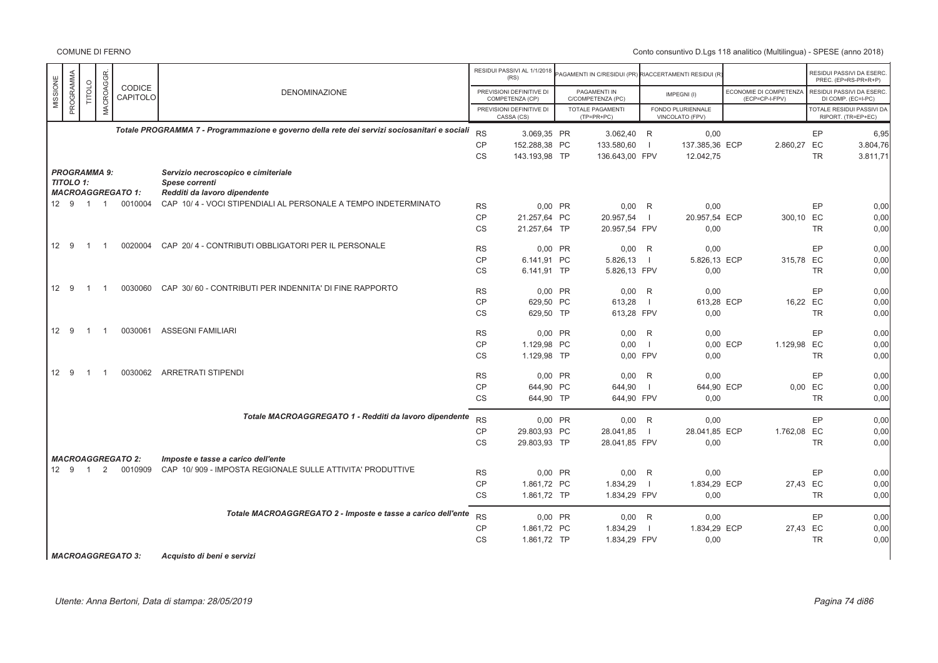COMUNE DI FERNO

|          |                  |                |                     |                          |                                                                                              |           | RESIDUI PASSIVI AL 1/1/2018<br>(RS)         |           | AGAMENTI IN C/RESIDUI (PR) RIACCERTAMENTI RESIDUI (R' |                |                                      |                                          |           | RESIDUI PASSIVI DA ESERC<br>PREC. (EP=RS-PR+R+P) |
|----------|------------------|----------------|---------------------|--------------------------|----------------------------------------------------------------------------------------------|-----------|---------------------------------------------|-----------|-------------------------------------------------------|----------------|--------------------------------------|------------------------------------------|-----------|--------------------------------------------------|
| MISSIONE | PROGRAMMA        | TITOLO         | MACROAGGR           | CODICE<br>CAPITOLO       | <b>DENOMINAZIONE</b>                                                                         |           | PREVISIONI DEFINITIVE DI<br>COMPETENZA (CP) |           | PAGAMENTI IN<br>C/COMPETENZA (PC)                     |                | IMPEGNI(I)                           | ECONOMIE DI COMPETENZA<br>(ECP=CP-I-FPV) |           | RESIDUI PASSIVI DA ESERC<br>DI COMP. (EC=I-PC)   |
|          |                  |                |                     |                          |                                                                                              |           | PREVISIONI DEFINITIVE DI<br>CASSA (CS)      |           | <b>TOTALE PAGAMENTI</b><br>$(TP=PR+PC)$               |                | FONDO PLURIENNALE<br>VINCOLATO (FPV) |                                          |           | TOTALE RESIDUI PASSIVI DA<br>RIPORT. (TR=EP+EC)  |
|          |                  |                |                     |                          | Totale PROGRAMMA 7 - Programmazione e governo della rete dei servizi sociosanitari e sociali | <b>RS</b> | 3.069.35 PR                                 |           | 3.062,40 R                                            |                | 0,00                                 |                                          | EP        | 6,95                                             |
|          |                  |                |                     |                          |                                                                                              | CP        | 152.288,38 PC                               |           | 133.580,60                                            | -1             | 137.385,36 ECP                       | 2.860,27 EC                              |           | 3.804,76                                         |
|          |                  |                |                     |                          |                                                                                              | <b>CS</b> | 143.193,98 TP                               |           | 136.643,00 FPV                                        |                | 12.042,75                            |                                          | <b>TR</b> | 3.811,71                                         |
|          | <b>TITOLO 1:</b> |                | <b>PROGRAMMA 9:</b> | <b>MACROAGGREGATO 1:</b> | Servizio necroscopico e cimiteriale<br>Spese correnti<br>Redditi da lavoro dipendente        |           |                                             |           |                                                       |                |                                      |                                          |           |                                                  |
|          |                  | 12 9 1 1       |                     | 0010004                  | CAP 10/4 - VOCI STIPENDIALI AL PERSONALE A TEMPO INDETERMINATO                               | <b>RS</b> | 0,00 PR                                     |           | $0,00$ R                                              |                | 0,00                                 |                                          | EP        | 0,00                                             |
|          |                  |                |                     |                          |                                                                                              | <b>CP</b> | 21.257.64 PC                                |           | 20.957,54                                             | -1             | 20.957,54 ECP                        | 300,10 EC                                |           | 0,00                                             |
|          |                  |                |                     |                          |                                                                                              | <b>CS</b> | 21.257,64 TP                                |           | 20.957,54 FPV                                         |                | 0,00                                 |                                          | <b>TR</b> | 0,00                                             |
|          | 12 9             | $\overline{1}$ | $\overline{1}$      | 0020004                  | CAP 20/4 - CONTRIBUTI OBBLIGATORI PER IL PERSONALE                                           | <b>RS</b> | 0,00 PR                                     |           | $0,00$ R                                              |                | 0,00                                 |                                          | EP        | 0,00                                             |
|          |                  |                |                     |                          |                                                                                              | <b>CP</b> | 6.141,91 PC                                 |           | 5.826,13                                              | -1             | 5.826,13 ECP                         | 315,78 EC                                |           | 0,00                                             |
|          |                  |                |                     |                          |                                                                                              | CS        | 6.141,91 TP                                 |           | 5.826,13 FPV                                          |                | 0,00                                 |                                          | <b>TR</b> | 0,00                                             |
|          | 12 9             | $\overline{1}$ | $\overline{1}$      | 0030060                  | CAP 30/60 - CONTRIBUTI PER INDENNITA' DI FINE RAPPORTO                                       |           |                                             |           |                                                       |                |                                      |                                          |           |                                                  |
|          |                  |                |                     |                          |                                                                                              | <b>RS</b> | 0,00 PR                                     |           | 0,00                                                  | R              | 0,00                                 |                                          | EP        | 0,00                                             |
|          |                  |                |                     |                          |                                                                                              | <b>CP</b> | 629.50 PC                                   |           | 613,28                                                | $\blacksquare$ | 613,28 ECP                           |                                          | 16,22 EC  | 0,00                                             |
|          |                  |                |                     |                          |                                                                                              | <b>CS</b> | 629,50 TP                                   |           | 613,28 FPV                                            |                | 0,00                                 |                                          | <b>TR</b> | 0,00                                             |
|          | 12 9             | $\overline{1}$ | $\overline{1}$      | 0030061                  | ASSEGNI FAMILIARI                                                                            | <b>RS</b> |                                             | $0.00$ PR | 0,00                                                  | R              | 0,00                                 |                                          | EP        | 0,00                                             |
|          |                  |                |                     |                          |                                                                                              | CP        | 1.129,98 PC                                 |           | 0,00                                                  | $\overline{1}$ |                                      | 0,00 ECP<br>1.129,98 EC                  |           | 0,00                                             |
|          |                  |                |                     |                          |                                                                                              | <b>CS</b> | 1.129,98 TP                                 |           | 0.00 FPV                                              |                | 0.00                                 |                                          | <b>TR</b> | 0,00                                             |
|          | 12 9             | $\overline{1}$ | $\overline{1}$      | 0030062                  | <b>ARRETRATI STIPENDI</b>                                                                    | <b>RS</b> | 0,00 PR                                     |           | 0,00                                                  | R              | 0,00                                 |                                          | EP        | 0,00                                             |
|          |                  |                |                     |                          |                                                                                              | <b>CP</b> | 644,90 PC                                   |           | 644,90                                                | $\blacksquare$ | 644,90 ECP                           |                                          | $0,00$ EC | 0,00                                             |
|          |                  |                |                     |                          |                                                                                              | <b>CS</b> | 644,90 TP                                   |           | 644,90 FPV                                            |                | 0,00                                 |                                          | <b>TR</b> | 0,00                                             |
|          |                  |                |                     |                          | Totale MACROAGGREGATO 1 - Redditi da lavoro dipendente                                       |           |                                             |           |                                                       |                |                                      |                                          |           |                                                  |
|          |                  |                |                     |                          |                                                                                              | <b>RS</b> | 0,00 PR                                     |           | 0,00                                                  | R              | 0,00                                 |                                          | EP        | 0,00                                             |
|          |                  |                |                     |                          |                                                                                              | CP        | 29.803,93 PC                                |           | 28.041,85                                             | $\blacksquare$ | 28.041,85 ECP                        | 1.762,08 EC                              |           | 0,00                                             |
|          |                  |                |                     |                          |                                                                                              | <b>CS</b> | 29.803,93 TP                                |           | 28.041,85 FPV                                         |                | 0,00                                 |                                          | <b>TR</b> | 0.00                                             |
|          |                  |                |                     | <b>MACROAGGREGATO 2:</b> | Imposte e tasse a carico dell'ente                                                           |           |                                             |           |                                                       |                |                                      |                                          |           |                                                  |
|          | 12 9             | $\overline{1}$ | 2                   | 0010909                  | CAP 10/909 - IMPOSTA REGIONALE SULLE ATTIVITA' PRODUTTIVE                                    | <b>RS</b> | 0,00 PR                                     |           | 0,00                                                  | R              | 0,00                                 |                                          | EP        | 0,00                                             |
|          |                  |                |                     |                          |                                                                                              | CP        | 1.861,72 PC                                 |           | 1.834,29                                              |                | 1.834,29 ECP                         |                                          |           |                                                  |
|          |                  |                |                     |                          |                                                                                              |           |                                             |           |                                                       | -1             |                                      |                                          | 27,43 EC  | 0,00                                             |
|          |                  |                |                     |                          |                                                                                              | CS        | 1.861,72 TP                                 |           | 1.834,29 FPV                                          |                | 0,00                                 |                                          | <b>TR</b> | 0,00                                             |
|          |                  |                |                     |                          | Totale MACROAGGREGATO 2 - Imposte e tasse a carico dell'ente                                 | <b>RS</b> | 0,00 PR                                     |           | $0,00$ R                                              |                | 0,00                                 |                                          | EP        | 0,00                                             |
|          |                  |                |                     |                          |                                                                                              | <b>CP</b> | 1.861,72 PC                                 |           | 1.834,29                                              |                | 1.834,29 ECP                         |                                          | 27,43 EC  | 0,00                                             |
|          |                  |                |                     |                          |                                                                                              | <b>CS</b> | 1.861,72 TP                                 |           | 1.834,29 FPV                                          |                | 0,00                                 |                                          | <b>TR</b> | 0.00                                             |
|          |                  |                |                     |                          |                                                                                              |           |                                             |           |                                                       |                |                                      |                                          |           |                                                  |

*MACROAGGREGATO 3: Acquisto di beni e servizi*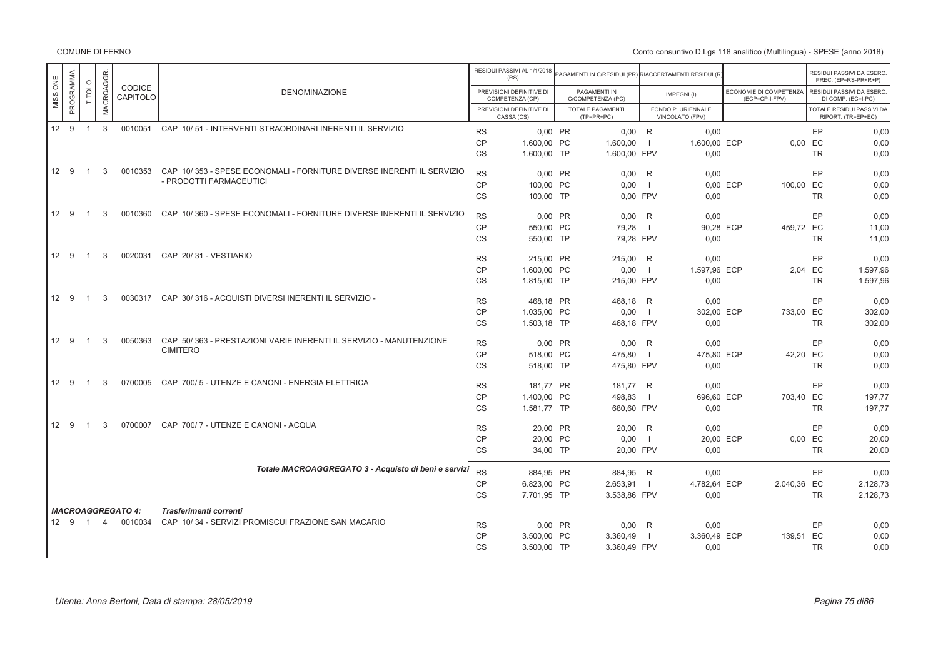|          |           |                |                |                           |                                                                       |                        | RESIDUI PASSIVI AL 1/1/2018<br>(RS)         | PAGAMENTI IN C/RESIDUI (PR) RIACCERTAMENTI RESIDUI (R |                          |                                      |                                          |          | RESIDUI PASSIVI DA ESERC<br>PREC. (EP=RS-PR+R+P)       |
|----------|-----------|----------------|----------------|---------------------------|-----------------------------------------------------------------------|------------------------|---------------------------------------------|-------------------------------------------------------|--------------------------|--------------------------------------|------------------------------------------|----------|--------------------------------------------------------|
| MISSIONE | PROGRAMMA | TITOLO         | MACROAGGR.     | <b>CODICE</b><br>CAPITOLO | <b>DENOMINAZIONE</b>                                                  |                        | PREVISIONI DEFINITIVE DI<br>COMPETENZA (CP) | PAGAMENTI IN<br>C/COMPETENZA (PC)                     |                          | IMPEGNI(I)                           | ECONOMIE DI COMPETENZA<br>(ECP=CP-I-FPV) |          | RESIDUI PASSIVI DA ESERC.<br>DI COMP. (EC=I-PC)        |
|          |           |                |                |                           |                                                                       |                        | PREVISIONI DEFINITIVE DI<br>CASSA (CS)      | <b>TOTALE PAGAMENTI</b><br>$(TP=PR+PC)$               |                          | FONDO PLURIENNALE<br>VINCOLATO (FPV) |                                          |          | <b>TOTALE RESIDUI PASSIVI DA</b><br>RIPORT. (TR=EP+EC) |
|          | 12 9      | $\overline{1}$ | 3              | 0010051                   | CAP 10/51 - INTERVENTI STRAORDINARI INERENTI IL SERVIZIO              | <b>RS</b>              | 0,00 PR                                     | $0,00$ R                                              |                          | 0,00                                 |                                          |          | EP<br>0,00                                             |
|          |           |                |                |                           |                                                                       | CP                     | 1.600,00 PC                                 | 1.600,00                                              |                          | 1.600,00 ECP                         |                                          | 0,00 EC  | 0,00                                                   |
|          |           |                |                |                           |                                                                       | <b>CS</b>              | 1.600,00 TP                                 | 1.600,00 FPV                                          |                          | 0,00                                 |                                          |          | 0,00<br><b>TR</b>                                      |
|          |           |                |                |                           |                                                                       |                        |                                             |                                                       |                          |                                      |                                          |          |                                                        |
|          | 12 9      | $\overline{1}$ | 3              | 0010353                   | CAP 10/353 - SPESE ECONOMALI - FORNITURE DIVERSE INERENTI IL SERVIZIO | <b>RS</b>              | 0,00 PR                                     | 0,00                                                  | R                        | 0,00                                 |                                          |          | EP<br>0,00                                             |
|          |           |                |                |                           | - PRODOTTI FARMACEUTICI                                               | CP                     | 100,00 PC                                   | 0,00                                                  | $\overline{\phantom{0}}$ |                                      | 100,00 EC<br>0,00 ECP                    |          | 0,00                                                   |
|          |           |                |                |                           |                                                                       | <b>CS</b>              | 100.00 TP                                   | 0.00 FPV                                              |                          | 0,00                                 |                                          |          | 0,00<br><b>TR</b>                                      |
|          |           |                |                |                           |                                                                       |                        |                                             |                                                       |                          |                                      |                                          |          |                                                        |
|          | 12 9      | -1             | 3              | 0010360                   | CAP 10/360 - SPESE ECONOMALI - FORNITURE DIVERSE INERENTI IL SERVIZIO | <b>RS</b>              | 0,00 PR                                     | $0,00$ R                                              |                          | 0,00                                 |                                          |          | EP<br>0,00                                             |
|          |           |                |                |                           |                                                                       | CP                     | 550,00 PC                                   | 79,28                                                 | - 1                      | 90,28 ECP                            | 459,72 EC                                |          | 11,00                                                  |
|          |           |                |                |                           |                                                                       | <b>CS</b>              | 550.00 TP                                   | 79.28 FPV                                             |                          | 0,00                                 |                                          |          | <b>TR</b><br>11,00                                     |
|          | 12 9      | $\overline{1}$ | 3              |                           | 0020031 CAP 20/31 - VESTIARIO                                         |                        |                                             |                                                       |                          |                                      |                                          |          |                                                        |
|          |           |                |                |                           |                                                                       | <b>RS</b>              | 215,00 PR                                   | 215,00 R                                              |                          | 0,00                                 |                                          |          | EP<br>0,00                                             |
|          |           |                |                |                           |                                                                       | <b>CP</b>              | 1.600,00 PC                                 | 0,00                                                  | - 1                      | 1.597,96 ECP                         |                                          | 2,04 EC  | 1.597,96                                               |
|          |           |                |                |                           |                                                                       | CS                     | 1.815,00 TP                                 | 215,00 FPV                                            |                          | 0,00                                 |                                          |          | 1.597,96<br><b>TR</b>                                  |
|          | 12 9      | $\overline{1}$ | 3              |                           | 0030317 CAP 30/316 - ACQUISTI DIVERSI INERENTI IL SERVIZIO -          |                        |                                             |                                                       |                          |                                      |                                          |          | EP                                                     |
|          |           |                |                |                           |                                                                       | <b>RS</b><br><b>CP</b> | 468,18 PR                                   | 468,18 R                                              |                          | 0,00                                 |                                          |          | 0,00                                                   |
|          |           |                |                |                           |                                                                       |                        | 1.035,00 PC                                 | 0,00                                                  | $\overline{\phantom{0}}$ | 302,00 ECP                           | 733,00 EC                                |          | 302,00                                                 |
|          |           |                |                |                           |                                                                       | CS                     | 1.503,18 TP                                 | 468,18 FPV                                            |                          | 0,00                                 |                                          |          | <b>TR</b><br>302,00                                    |
|          | 12 9      | $\overline{1}$ | 3              | 0050363                   | CAP 50/363 - PRESTAZIONI VARIE INERENTI IL SERVIZIO - MANUTENZIONE    | <b>RS</b>              | 0.00 PR                                     | $0.00$ R                                              |                          | 0.00                                 |                                          |          | EP<br>0,00                                             |
|          |           |                |                |                           | <b>CIMITERO</b>                                                       | CP                     | 518,00 PC                                   | 475,80                                                |                          | 475,80 ECP                           |                                          | 42,20 EC | 0,00                                                   |
|          |           |                |                |                           |                                                                       | CS                     | 518,00 TP                                   | 475,80 FPV                                            |                          | 0,00                                 |                                          |          | 0,00<br><b>TR</b>                                      |
|          |           |                |                |                           |                                                                       |                        |                                             |                                                       |                          |                                      |                                          |          |                                                        |
|          | 12 9      | $\overline{1}$ | 3              | 0700005                   | CAP 700/5 - UTENZE E CANONI - ENERGIA ELETTRICA                       | <b>RS</b>              | 181,77 PR                                   | 181,77 R                                              |                          | 0,00                                 |                                          |          | EP<br>0,00                                             |
|          |           |                |                |                           |                                                                       | <b>CP</b>              | 1.400,00 PC                                 | 498,83                                                | - 1                      | 696,60 ECP                           | 703,40 EC                                |          | 197,77                                                 |
|          |           |                |                |                           |                                                                       | <b>CS</b>              | 1.581,77 TP                                 | 680,60 FPV                                            |                          | 0,00                                 |                                          |          | 197,77<br><b>TR</b>                                    |
|          |           |                |                |                           |                                                                       |                        |                                             |                                                       |                          |                                      |                                          |          |                                                        |
|          | 12 9      | $\overline{1}$ | $\mathcal{R}$  | 0700007                   | CAP 700/7 - UTENZE E CANONI - ACQUA                                   | <b>RS</b>              | 20,00 PR                                    | 20,00 R                                               |                          | 0.00                                 |                                          |          | EP<br>0,00                                             |
|          |           |                |                |                           |                                                                       | CP                     | 20,00 PC                                    | 0,00                                                  | - 1                      | 20,00 ECP                            |                                          | 0,00 EC  | 20,00                                                  |
|          |           |                |                |                           |                                                                       | CS                     | 34,00 TP                                    | 20,00 FPV                                             |                          | 0,00                                 |                                          |          | <b>TR</b><br>20,00                                     |
|          |           |                |                |                           |                                                                       |                        |                                             |                                                       |                          |                                      |                                          |          |                                                        |
|          |           |                |                |                           | Totale MACROAGGREGATO 3 - Acquisto di beni e servizi                  | <b>RS</b>              | 884.95 PR                                   | 884.95 R                                              |                          | 0.00                                 |                                          |          | EP<br>0,00                                             |
|          |           |                |                |                           |                                                                       | CP                     | 6.823,00 PC                                 | 2.653,91                                              | $\blacksquare$           | 4.782,64 ECP                         | 2.040,36 EC                              |          | 2.128,73                                               |
|          |           |                |                |                           |                                                                       | <b>CS</b>              | 7.701,95 TP                                 | 3.538,86 FPV                                          |                          | 0,00                                 |                                          |          | 2.128,73<br><b>TR</b>                                  |
|          |           |                |                | <b>MACROAGGREGATO 4:</b>  | Trasferimenti correnti                                                |                        |                                             |                                                       |                          |                                      |                                          |          |                                                        |
|          | 12 9      | $\overline{1}$ | $\overline{4}$ | 0010034                   | CAP 10/34 - SERVIZI PROMISCUI FRAZIONE SAN MACARIO                    |                        |                                             |                                                       |                          |                                      |                                          |          |                                                        |
|          |           |                |                |                           |                                                                       | <b>RS</b>              | 0,00 PR                                     | $0,00$ R                                              |                          | 0,00                                 |                                          |          | EP<br>0,00                                             |
|          |           |                |                |                           |                                                                       | <b>CP</b>              | 3.500,00 PC                                 | 3.360,49                                              |                          | 3.360,49 ECP                         | 139,51 EC                                |          | 0,00                                                   |
|          |           |                |                |                           |                                                                       | <b>CS</b>              | 3.500,00 TP                                 | 3.360,49 FPV                                          |                          | 0,00                                 |                                          |          | <b>TR</b><br>0,00                                      |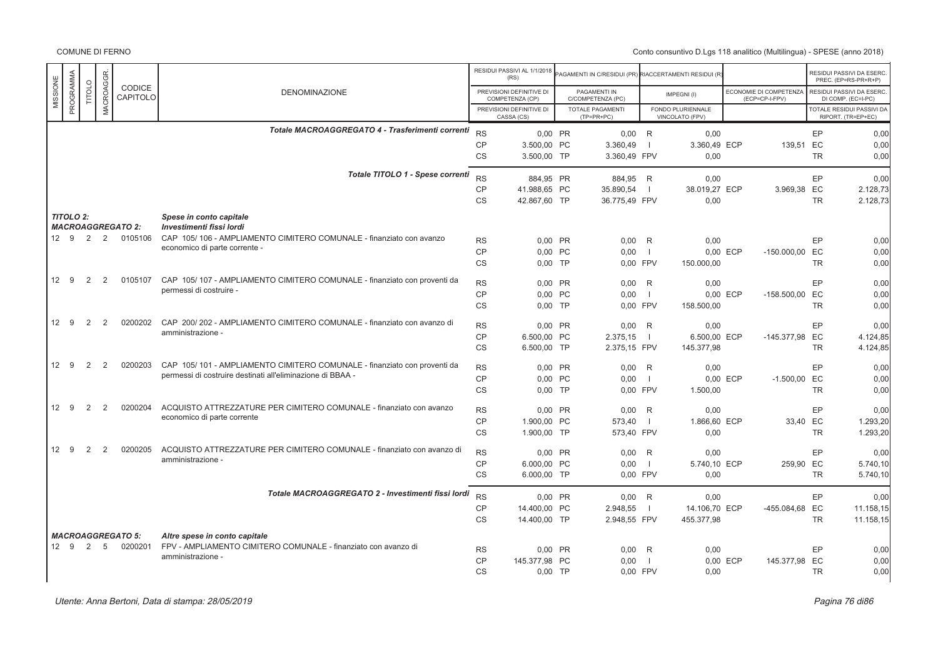|                        |               |                |                          |                                                                          |           | RESIDUI PASSIVI AL 1/1/2018<br>(RS)         | AGAMENTI IN C/RESIDUI (PR) RIACCERTAMENTI RESIDUI (R |                          |                                      |          |                                          |           | RESIDUI PASSIVI DA ESERC<br>PREC. (EP=RS-PR+R+P) |
|------------------------|---------------|----------------|--------------------------|--------------------------------------------------------------------------|-----------|---------------------------------------------|------------------------------------------------------|--------------------------|--------------------------------------|----------|------------------------------------------|-----------|--------------------------------------------------|
| PROGRAMMA<br>MISSIONE  | <b>TITOLO</b> | MACROAGGR      | CODICE<br>CAPITOLO       | <b>DENOMINAZIONE</b>                                                     |           | PREVISIONI DEFINITIVE DI<br>COMPETENZA (CP) | PAGAMENTI IN<br>C/COMPETENZA (PC)                    |                          | IMPEGNI(I)                           |          | ECONOMIE DI COMPETENZA<br>(ECP=CP-I-FPV) |           | RESIDUI PASSIVI DA ESERC<br>DI COMP. (EC=I-PC)   |
|                        |               |                |                          |                                                                          |           | PREVISIONI DEFINITIVE DI<br>CASSA (CS)      | TOTALE PAGAMENTI<br>$(TP=PR+PC)$                     |                          | FONDO PLURIENNALE<br>VINCOLATO (FPV) |          |                                          |           | TOTALE RESIDUI PASSIVI DA<br>RIPORT. (TR=EP+EC)  |
|                        |               |                |                          | Totale MACROAGGREGATO 4 - Trasferimenti correnti                         | <b>RS</b> |                                             |                                                      |                          |                                      |          |                                          |           |                                                  |
|                        |               |                |                          |                                                                          | <b>CP</b> | 0.00 PR<br>3.500,00 PC                      | $0.00$ R<br>3.360,49                                 | - 1                      | 0.00<br>3.360,49 ECP                 |          | 139.51                                   | EP<br>EC  | 0.00<br>0.00                                     |
|                        |               |                |                          |                                                                          | <b>CS</b> | 3.500,00 TP                                 | 3.360,49 FPV                                         |                          | 0.00                                 |          |                                          | <b>TR</b> | 0.00                                             |
|                        |               |                |                          | Totale TITOLO 1 - Spese correnti                                         | <b>RS</b> | 884,95 PR                                   | 884,95 R                                             |                          | 0,00                                 |          |                                          | EP        | 0,00                                             |
|                        |               |                |                          |                                                                          | <b>CP</b> | 41.988,65 PC                                | 35.890,54                                            | $\overline{\phantom{0}}$ | 38.019,27 ECP                        |          | 3.969,38 EC                              |           | 2.128,73                                         |
|                        |               |                |                          |                                                                          | <b>CS</b> | 42.867,60 TP                                | 36.775,49 FPV                                        |                          | 0,00                                 |          |                                          | <b>TR</b> | 2.128,73                                         |
| <b>TITOLO 2:</b>       |               |                | <b>MACROAGGREGATO 2:</b> | Spese in conto capitale<br>Investimenti fissi lordi                      |           |                                             |                                                      |                          |                                      |          |                                          |           |                                                  |
| 12 9 2                 |               | $\overline{2}$ | 0105106                  | CAP 105/106 - AMPLIAMENTO CIMITERO COMUNALE - finanziato con avanzo      |           |                                             |                                                      |                          |                                      |          |                                          |           |                                                  |
|                        |               |                |                          | economico di parte corrente -                                            | <b>RS</b> | 0.00 PR                                     | 0,00                                                 | R                        | 0,00                                 |          |                                          | EP        | 0,00                                             |
|                        |               |                |                          |                                                                          | <b>CP</b> | 0,00 PC                                     | 0,00                                                 | $\blacksquare$           |                                      | 0,00 ECP | -150.000,00 EC                           |           | 0,00                                             |
|                        |               |                |                          |                                                                          | <b>CS</b> | $0.00$ TP                                   | 0.00 FPV                                             |                          | 150.000,00                           |          |                                          | <b>TR</b> | 0.00                                             |
| 12 9                   | 2             | 2              | 0105107                  | CAP 105/107 - AMPLIAMENTO CIMITERO COMUNALE - finanziato con proventi da | <b>RS</b> | 0,00 PR                                     | 0,00                                                 | -R                       | 0,00                                 |          |                                          | EP        | 0,00                                             |
|                        |               |                |                          | permessi di costruire -                                                  | <b>CP</b> | 0.00 PC                                     | 0.00                                                 | - 1                      |                                      | 0.00 ECP | -158.500.00 EC                           |           | 0.00                                             |
|                        |               |                |                          |                                                                          | <b>CS</b> | $0.00$ TP                                   | 0.00 FPV                                             |                          | 158.500,00                           |          |                                          | <b>TR</b> | 0.00                                             |
| 12 <sup>2</sup><br>- 9 | 2             | $\mathcal{P}$  | 0200202                  | CAP 200/202 - AMPLIAMENTO CIMITERO COMUNALE - finanziato con avanzo di   | <b>RS</b> | 0,00 PR                                     | 0,00                                                 | R                        | 0,00                                 |          |                                          | EP        | 0.00                                             |
|                        |               |                |                          | amministrazione -                                                        | <b>CP</b> | 6.500.00 PC                                 | 2.375.15                                             | $\blacksquare$           | 6.500.00 ECP                         |          | $-145.377.98$                            | EC        | 4.124,85                                         |
|                        |               |                |                          |                                                                          | <b>CS</b> | 6.500,00 TP                                 | 2.375,15 FPV                                         |                          | 145.377,98                           |          |                                          | <b>TR</b> | 4.124,85                                         |
| 12 9                   | 2             | 2              | 0200203                  | CAP 105/101 - AMPLIAMENTO CIMITERO COMUNALE - finanziato con proventi da | <b>RS</b> | 0.00 PR                                     | 0.00                                                 | R                        | 0.00                                 |          |                                          | EP        | 0.00                                             |
|                        |               |                |                          | permessi di costruire destinati all'eliminazione di BBAA -               | CP        | 0,00 PC                                     | 0,00                                                 | $\blacksquare$           |                                      | 0,00 ECP | $-1.500,00$ EC                           |           | 0,00                                             |
|                        |               |                |                          |                                                                          | <b>CS</b> | $0,00$ TP                                   | 0,00 FPV                                             |                          | 1.500,00                             |          |                                          | <b>TR</b> | 0,00                                             |
| 12 9                   | 2             | 2              | 0200204                  | ACQUISTO ATTREZZATURE PER CIMITERO COMUNALE - finanziato con avanzo      | <b>RS</b> | 0,00 PR                                     | 0,00                                                 | R                        | 0,00                                 |          |                                          | EP        | 0,00                                             |
|                        |               |                |                          | economico di parte corrente                                              | <b>CP</b> | 1.900,00 PC                                 | 573,40                                               | $\blacksquare$           | 1.866,60 ECP                         |          | 33,40 EC                                 |           | 1.293,20                                         |
|                        |               |                |                          |                                                                          | <b>CS</b> | 1.900,00 TP                                 | 573,40 FPV                                           |                          | 0,00                                 |          |                                          | <b>TR</b> | 1.293,20                                         |
| 12 <sup>2</sup><br>9   | 2             | $\overline{2}$ | 0200205                  | ACQUISTO ATTREZZATURE PER CIMITERO COMUNALE - finanziato con avanzo di   | <b>RS</b> | 0,00 PR                                     | 0,00                                                 | R                        | 0,00                                 |          |                                          | EP        | 0.00                                             |
|                        |               |                |                          | amministrazione -                                                        | <b>CP</b> | 6.000,00 PC                                 | 0.00                                                 | $\blacksquare$           | 5.740,10 ECP                         |          | 259.90 EC                                |           | 5.740,10                                         |
|                        |               |                |                          |                                                                          | <b>CS</b> | 6.000,00 TP                                 | 0,00 FPV                                             |                          | 0,00                                 |          |                                          | <b>TR</b> | 5.740,10                                         |
|                        |               |                |                          | Totale MACROAGGREGATO 2 - Investimenti fissi lordi                       | <b>RS</b> | 0.00 PR                                     | $0.00$ R                                             |                          | 0.00                                 |          |                                          | EP        | 0.00                                             |
|                        |               |                |                          |                                                                          | <b>CP</b> | 14.400,00 PC                                | 2.948,55                                             | $\blacksquare$           | 14.106,70 ECP                        |          | -455.084,68 EC                           |           | 11.158,15                                        |
|                        |               |                |                          |                                                                          | <b>CS</b> | 14.400,00 TP                                | 2.948,55 FPV                                         |                          | 455.377,98                           |          |                                          | <b>TR</b> | 11.158,15                                        |
|                        |               |                | <b>MACROAGGREGATO 5:</b> | Altre spese in conto capitale                                            |           |                                             |                                                      |                          |                                      |          |                                          |           |                                                  |
| 12 9                   | 2             | 5              | 0200201                  | FPV - AMPLIAMENTO CIMITERO COMUNALE - finanziato con avanzo di           | <b>RS</b> | 0,00 PR                                     | 0,00                                                 | R                        | 0,00                                 |          |                                          | EP        | 0,00                                             |
|                        |               |                |                          | amministrazione -                                                        | <b>CP</b> | 145.377,98 PC                               | 0,00                                                 | - 11                     |                                      | 0,00 ECP | 145.377,98 EC                            |           | 0,00                                             |
|                        |               |                |                          |                                                                          | <b>CS</b> | $0,00$ TP                                   | 0.00 FPV                                             |                          | 0,00                                 |          |                                          | <b>TR</b> | 0.00                                             |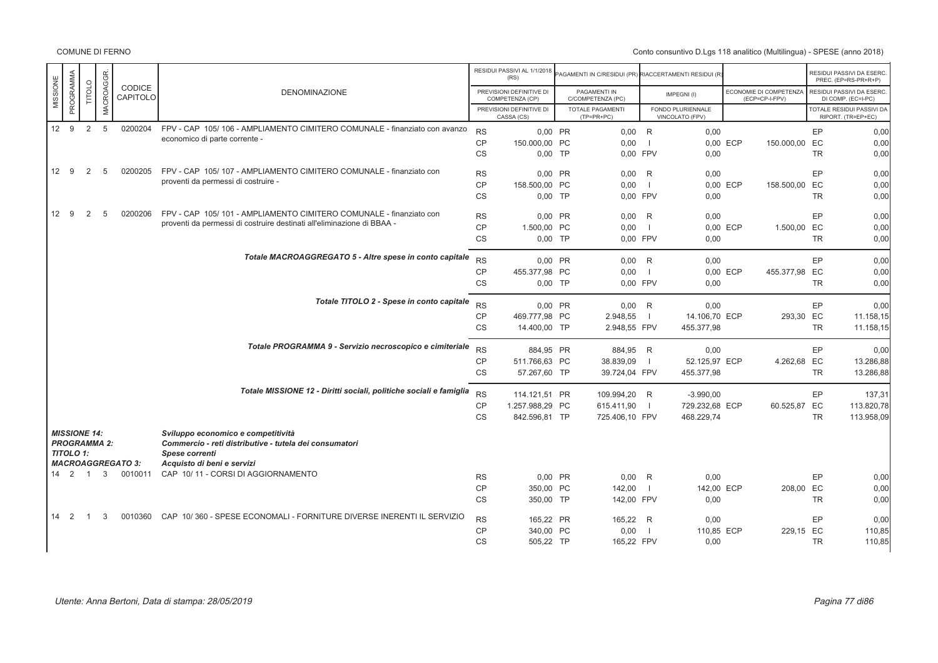COMUNE DI FERNO

|                      |           |                             |              |                          |                                                                           |           | RESIDUI PASSIVI AL 1/1/2018<br>(RS)         | PAGAMENTI IN C/RESIDUI (PR) RIACCERTAMENTI RESIDUI (R |                |                                      |                                          |              |           | RESIDUI PASSIVI DA ESERC<br>PREC. (EP=RS-PR+R+P)       |
|----------------------|-----------|-----------------------------|--------------|--------------------------|---------------------------------------------------------------------------|-----------|---------------------------------------------|-------------------------------------------------------|----------------|--------------------------------------|------------------------------------------|--------------|-----------|--------------------------------------------------------|
| MISSIONE             | PROGRAMMA | MACROAGGR.<br><b>TITOLO</b> |              | CODICE<br>CAPITOLO       | <b>DENOMINAZIONE</b>                                                      |           | PREVISIONI DEFINITIVE DI<br>COMPETENZA (CP) | PAGAMENTI IN<br>C/COMPETENZA (PC)                     |                | IMPEGNI(I)                           | ECONOMIE DI COMPETENZA<br>(ECP=CP-I-FPV) |              |           | RESIDUI PASSIVI DA ESERC<br>DI COMP. (EC=I-PC)         |
|                      |           |                             |              |                          |                                                                           |           | PREVISIONI DEFINITIVE DI<br>CASSA (CS)      | <b>TOTALE PAGAMENTI</b><br>$(TP=PR+PC)$               |                | FONDO PLURIENNALE<br>VINCOLATO (FPV) |                                          |              |           | <b>TOTALE RESIDUI PASSIVI DA</b><br>RIPORT. (TR=EP+EC) |
| 12 <sup>°</sup>      | 9         | 2<br>5                      |              | 0200204                  | FPV - CAP 105/106 - AMPLIAMENTO CIMITERO COMUNALE - finanziato con avanzo | <b>RS</b> | 0.00 PR                                     | $0,00$ R                                              |                | 0,00                                 |                                          |              | EP        | 0,00                                                   |
|                      |           |                             |              |                          | economico di parte corrente -                                             | <b>CP</b> | 150.000,00 PC                               | 0.00                                                  | $\blacksquare$ |                                      | 150.000,00 EC<br>0.00 ECP                |              |           | 0.00                                                   |
|                      |           |                             |              |                          |                                                                           | <b>CS</b> | $0,00$ TP                                   | 0,00 FPV                                              |                | 0,00                                 |                                          |              | <b>TR</b> | 0,00                                                   |
|                      |           |                             |              |                          |                                                                           |           |                                             |                                                       |                |                                      |                                          |              |           |                                                        |
| 12                   | - 9       | 2<br>5                      |              | 0200205                  | FPV - CAP 105/107 - AMPLIAMENTO CIMITERO COMUNALE - finanziato con        | <b>RS</b> | 0,00 PR                                     | 0,00                                                  | R              | 0,00                                 |                                          |              | EP        | 0,00                                                   |
|                      |           |                             |              |                          | proventi da permessi di costruire -                                       | <b>CP</b> | 158.500,00 PC                               | 0.00                                                  | $\blacksquare$ |                                      | 0.00 ECP<br>158.500,00 EC                |              |           | 0,00                                                   |
|                      |           |                             |              |                          |                                                                           | <b>CS</b> | $0,00$ TP                                   | 0,00 FPV                                              |                | 0,00                                 |                                          |              | <b>TR</b> | 0,00                                                   |
|                      |           | 2<br>5                      |              |                          | FPV - CAP 105/101 - AMPLIAMENTO CIMITERO COMUNALE - finanziato con        |           |                                             |                                                       |                |                                      |                                          |              |           |                                                        |
| 12 <sup>°</sup>      | - 9       |                             |              | 0200206                  | proventi da permessi di costruire destinati all'eliminazione di BBAA -    | <b>RS</b> | 0,00 PR                                     | 0,00                                                  | R              | 0,00                                 |                                          |              | EP        | 0,00                                                   |
|                      |           |                             |              |                          |                                                                           | <b>CP</b> | 1.500,00 PC                                 | 0.00                                                  | $\blacksquare$ |                                      | 0.00 ECP                                 | 1.500,00 EC  |           | 0.00                                                   |
|                      |           |                             |              |                          |                                                                           | CS        | $0,00$ TP                                   | 0,00 FPV                                              |                | 0,00                                 |                                          |              | <b>TR</b> | 0,00                                                   |
|                      |           |                             |              |                          | Totale MACROAGGREGATO 5 - Altre spese in conto capitale                   |           |                                             |                                                       |                |                                      |                                          |              |           |                                                        |
|                      |           |                             |              |                          |                                                                           | <b>RS</b> | 0,00 PR                                     | $0,00$ R                                              |                | 0,00                                 |                                          |              | EP        | 0,00                                                   |
|                      |           |                             |              |                          |                                                                           | CP        | 455.377,98 PC                               | 0,00                                                  | $\blacksquare$ |                                      | 0,00 ECP<br>455.377,98 EC                |              |           | 0,00                                                   |
|                      |           |                             |              |                          |                                                                           | CS        | $0,00$ TP                                   | 0.00 FPV                                              |                | 0,00                                 |                                          |              | <b>TR</b> | 0,00                                                   |
|                      |           |                             |              |                          | Totale TITOLO 2 - Spese in conto capitale                                 | <b>RS</b> | 0.00 PR                                     | $0,00$ R                                              |                | 0.00                                 |                                          |              | EP        | 0.00                                                   |
|                      |           |                             |              |                          |                                                                           | <b>CP</b> | 469.777,98 PC                               | 2.948,55                                              | $\blacksquare$ | 14.106,70 ECP                        |                                          | 293,30 EC    |           | 11.158,15                                              |
|                      |           |                             |              |                          |                                                                           | <b>CS</b> | 14.400.00 TP                                | 2.948,55 FPV                                          |                | 455.377.98                           |                                          |              | <b>TR</b> | 11.158,15                                              |
|                      |           |                             |              |                          |                                                                           |           |                                             |                                                       |                |                                      |                                          |              |           |                                                        |
|                      |           |                             |              |                          | Totale PROGRAMMA 9 - Servizio necroscopico e cimiteriale                  | <b>RS</b> | 884,95 PR                                   | 884,95 R                                              |                | 0,00                                 |                                          |              | EP        | 0.00                                                   |
|                      |           |                             |              |                          |                                                                           | <b>CP</b> | 511.766,63 PC                               | 38.839,09                                             | $\Box$         | 52.125,97 ECP                        |                                          | 4.262,68 EC  |           | 13.286,88                                              |
|                      |           |                             |              |                          |                                                                           | <b>CS</b> | 57.267,60 TP                                | 39.724,04 FPV                                         |                | 455.377,98                           |                                          |              | <b>TR</b> | 13.286,88                                              |
|                      |           |                             |              |                          |                                                                           |           |                                             |                                                       |                |                                      |                                          |              |           |                                                        |
|                      |           |                             |              |                          | Totale MISSIONE 12 - Diritti sociali, politiche sociali e famiglia        | <b>RS</b> | 114.121,51 PR                               | 109.994,20 R                                          |                | $-3.990,00$                          |                                          |              | EP        | 137,31                                                 |
|                      |           |                             |              |                          |                                                                           | <b>CP</b> | 1.257.988,29 PC                             | 615.411,90                                            | $\Box$         | 729.232,68 ECP                       |                                          | 60.525,87 EC |           | 113.820,78                                             |
|                      |           |                             |              |                          |                                                                           | <b>CS</b> | 842.596,81 TP                               | 725.406,10 FPV                                        |                | 468.229,74                           |                                          |              | <b>TR</b> | 113.958,09                                             |
| <b>MISSIONE 14:</b>  |           |                             |              |                          | Sviluppo economico e competitività                                        |           |                                             |                                                       |                |                                      |                                          |              |           |                                                        |
|                      |           | <b>PROGRAMMA 2:</b>         |              |                          | Commercio - reti distributive - tutela dei consumatori                    |           |                                             |                                                       |                |                                      |                                          |              |           |                                                        |
| <b>TITOLO 1:</b>     |           |                             |              |                          | Spese correnti                                                            |           |                                             |                                                       |                |                                      |                                          |              |           |                                                        |
|                      |           |                             |              | <b>MACROAGGREGATO 3:</b> | Acquisto di beni e servizi                                                |           |                                             |                                                       |                |                                      |                                          |              |           |                                                        |
| 14 2 1               |           |                             | $\mathbf{3}$ | 0010011                  | CAP 10/11 - CORSI DI AGGIORNAMENTO                                        | <b>RS</b> | 0.00 PR                                     | $0,00$ R                                              |                | 0,00                                 |                                          |              | EP        | 0,00                                                   |
|                      |           |                             |              |                          |                                                                           | CP        | 350.00 PC                                   | 142,00                                                | $\Box$         | 142,00 ECP                           |                                          | 208.00 EC    |           | 0.00                                                   |
|                      |           |                             |              |                          |                                                                           | <b>CS</b> | 350,00 TP                                   | 142,00 FPV                                            |                | 0,00                                 |                                          |              | <b>TR</b> | 0,00                                                   |
|                      |           |                             |              |                          |                                                                           |           |                                             |                                                       |                |                                      |                                          |              |           |                                                        |
| 14<br>$\overline{2}$ |           | $\mathcal{R}$               |              | 0010360                  | CAP 10/360 - SPESE ECONOMALI - FORNITURE DIVERSE INERENTI IL SERVIZIO     | <b>RS</b> | 165,22 PR                                   | 165,22 R                                              |                | 0,00                                 |                                          |              | EP        | 0,00                                                   |
|                      |           |                             |              |                          |                                                                           | <b>CP</b> | 340.00 PC                                   | 0.00                                                  | $\blacksquare$ | 110.85 ECP                           |                                          | 229.15 EC    |           | 110,85                                                 |
|                      |           |                             |              |                          |                                                                           | <b>CS</b> | 505,22 TP                                   | 165,22 FPV                                            |                | 0,00                                 |                                          |              | <b>TR</b> | 110,85                                                 |
|                      |           |                             |              |                          |                                                                           |           |                                             |                                                       |                |                                      |                                          |              |           |                                                        |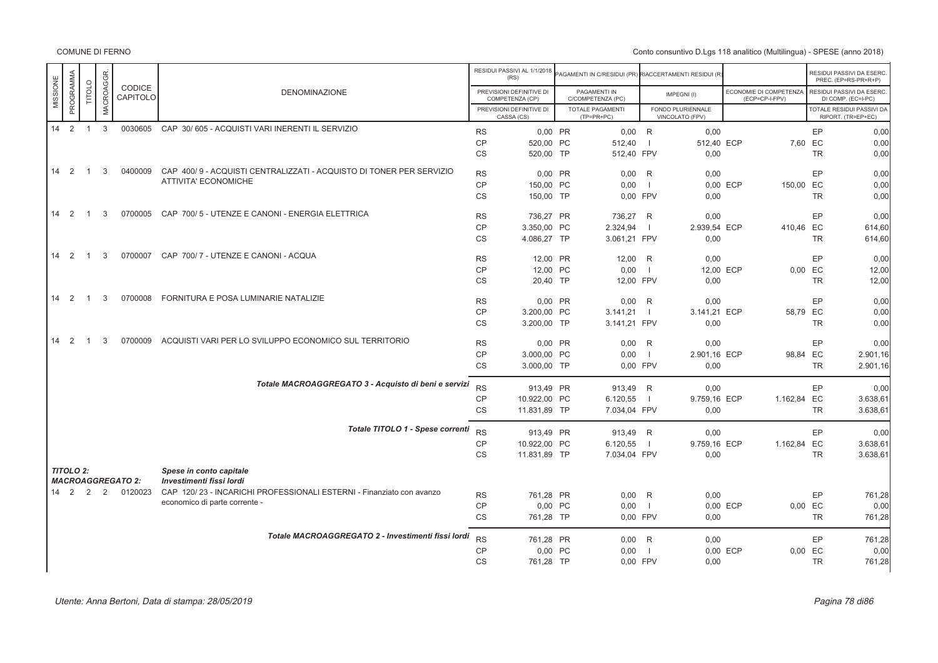|                      | PROGRAMMA |                | <b>MACROAGGR</b> | <b>CODICE</b>            |                                                                                                       |           | RESIDUI PASSIVI AL 1/1/2018<br>(RS)         | PAGAMENTI IN C/RESIDUI (PR) RIACCERTAMENTI RESIDUI (R |                |                                      |                                          |           | RESIDUI PASSIVI DA ESERC.<br>PREC. (EP=RS-PR+R+P) |
|----------------------|-----------|----------------|------------------|--------------------------|-------------------------------------------------------------------------------------------------------|-----------|---------------------------------------------|-------------------------------------------------------|----------------|--------------------------------------|------------------------------------------|-----------|---------------------------------------------------|
| MISSIONE             |           | <b>TITOLO</b>  |                  | CAPITOLO                 | <b>DENOMINAZIONE</b>                                                                                  |           | PREVISIONI DEFINITIVE DI<br>COMPETENZA (CP) | PAGAMENTI IN<br>C/COMPETENZA (PC)                     |                | IMPEGNI(I)                           | ECONOMIE DI COMPETENZA<br>(ECP=CP-I-FPV) |           | RESIDUI PASSIVI DA ESERC.<br>DI COMP. (EC=I-PC)   |
|                      |           |                |                  |                          |                                                                                                       |           | PREVISIONI DEFINITIVE DI<br>CASSA (CS)      | TOTALE PAGAMENTI<br>$(TP=PR+PC)$                      |                | FONDO PLURIENNALE<br>VINCOLATO (FPV) |                                          |           | TOTALE RESIDUI PASSIVI DA<br>RIPORT. (TR=EP+EC)   |
| $14$ 2 1 3           |           |                |                  |                          | 0030605 CAP 30/605 - ACQUISTI VARI INERENTI IL SERVIZIO                                               | <b>RS</b> | 0,00 PR                                     | $0,00$ R                                              |                | 0,00                                 |                                          | EP        | 0,00                                              |
|                      |           |                |                  |                          |                                                                                                       | <b>CP</b> | 520,00 PC                                   | 512,40                                                | $\blacksquare$ | 512,40 ECP                           |                                          | 7,60 EC   | 0,00                                              |
|                      |           |                |                  |                          |                                                                                                       | <b>CS</b> | 520.00 TP                                   | 512,40 FPV                                            |                | 0,00                                 |                                          | <b>TR</b> | 0,00                                              |
| $14 \quad 2$         |           | $\overline{1}$ | 3                | 0400009                  | CAP 400/9 - ACQUISTI CENTRALIZZATI - ACQUISTO DI TONER PER SERVIZIO                                   | <b>RS</b> | 0.00 PR                                     | $0,00$ R                                              |                | 0,00                                 |                                          | EP        | 0,00                                              |
|                      |           |                |                  |                          | ATTIVITA' ECONOMICHE                                                                                  | CP        | 150,00 PC                                   | 0,00                                                  | $\blacksquare$ |                                      | 0,00 ECP<br>150,00 EC                    |           | 0,00                                              |
|                      |           |                |                  |                          |                                                                                                       | <b>CS</b> | 150,00 TP                                   | 0.00 FPV                                              |                | 0,00                                 |                                          | <b>TR</b> | 0,00                                              |
| $14 \quad 2$         |           | $\overline{1}$ | 3                | 0700005                  | CAP 700/5 - UTENZE E CANONI - ENERGIA ELETTRICA                                                       | <b>RS</b> | 736,27 PR                                   | 736,27 R                                              |                | 0,00                                 |                                          | EP        | 0,00                                              |
|                      |           |                |                  |                          |                                                                                                       | <b>CP</b> | 3.350,00 PC                                 | 2.324,94                                              | $\overline{1}$ | 2.939,54 ECP                         | 410,46 EC                                |           | 614,60                                            |
|                      |           |                |                  |                          |                                                                                                       | <b>CS</b> | 4.086,27 TP                                 | 3.061,21 FPV                                          |                | 0,00                                 |                                          | <b>TR</b> | 614,60                                            |
| $14 \quad 2$         |           | $\overline{1}$ | 3                | 0700007                  | CAP 700/7 - UTENZE E CANONI - ACQUA                                                                   | <b>RS</b> | 12.00 PR                                    | 12.00 R                                               |                | 0,00                                 |                                          | EP        | 0,00                                              |
|                      |           |                |                  |                          |                                                                                                       | <b>CP</b> | 12,00 PC                                    | 0,00                                                  | $\blacksquare$ | 12,00 ECP                            |                                          | 0,00 EC   | 12,00                                             |
|                      |           |                |                  |                          |                                                                                                       | <b>CS</b> | 20.40 TP                                    | 12.00 FPV                                             |                | 0,00                                 |                                          | <b>TR</b> | 12,00                                             |
| $14 \quad 2$         |           | $\overline{1}$ | 3                | 0700008                  | FORNITURA E POSA LUMINARIE NATALIZIE                                                                  | <b>RS</b> | 0,00 PR                                     | $0.00$ R                                              |                | 0.00                                 |                                          | EP        | 0.00                                              |
|                      |           |                |                  |                          |                                                                                                       | <b>CP</b> | 3.200,00 PC                                 | 3.141,21                                              | $\blacksquare$ | 3.141,21 ECP                         | 58,79 EC                                 |           | 0,00                                              |
|                      |           |                |                  |                          |                                                                                                       | <b>CS</b> | 3.200,00 TP                                 | 3.141,21 FPV                                          |                | 0,00                                 |                                          | <b>TR</b> | 0,00                                              |
| $\overline{2}$<br>14 |           | $\overline{1}$ | 3                | 0700009                  | ACQUISTI VARI PER LO SVILUPPO ECONOMICO SUL TERRITORIO                                                | <b>RS</b> | 0.00 PR                                     | $0.00$ R                                              |                | 0.00                                 |                                          | EP        | 0.00                                              |
|                      |           |                |                  |                          |                                                                                                       | <b>CP</b> | 3.000,00 PC                                 | 0,00                                                  | - 1            | 2.901,16 ECP                         | 98,84 EC                                 |           | 2.901,16                                          |
|                      |           |                |                  |                          |                                                                                                       | <b>CS</b> | 3.000,00 TP                                 | 0,00 FPV                                              |                | 0,00                                 |                                          | <b>TR</b> | 2.901,16                                          |
|                      |           |                |                  |                          | Totale MACROAGGREGATO 3 - Acquisto di beni e servizi                                                  | <b>RS</b> | 913,49 PR                                   | 913,49 R                                              |                | 0,00                                 |                                          | EP        | 0,00                                              |
|                      |           |                |                  |                          |                                                                                                       | <b>CP</b> | 10.922,00 PC                                | 6.120,55                                              | $\blacksquare$ | 9.759,16 ECP                         | 1.162,84 EC                              |           | 3.638,61                                          |
|                      |           |                |                  |                          |                                                                                                       | <b>CS</b> | 11.831,89 TP                                | 7.034,04 FPV                                          |                | 0,00                                 |                                          | <b>TR</b> | 3.638,61                                          |
|                      |           |                |                  |                          | Totale TITOLO 1 - Spese correnti                                                                      | <b>RS</b> | 913,49 PR                                   | 913,49 R                                              |                | 0,00                                 |                                          | EP        | 0,00                                              |
|                      |           |                |                  |                          |                                                                                                       | <b>CP</b> | 10.922,00 PC                                | 6.120,55                                              | - 1            | 9.759,16 ECP                         | 1.162,84 EC                              |           | 3.638,61                                          |
|                      |           |                |                  |                          |                                                                                                       | <b>CS</b> | 11.831,89 TP                                | 7.034,04 FPV                                          |                | 0,00                                 |                                          | <b>TR</b> | 3.638,61                                          |
| <b>TITOLO 2:</b>     |           |                |                  |                          | Spese in conto capitale                                                                               |           |                                             |                                                       |                |                                      |                                          |           |                                                   |
|                      |           |                |                  | <b>MACROAGGREGATO 2:</b> | Investimenti fissi lordi                                                                              |           |                                             |                                                       |                |                                      |                                          |           |                                                   |
| 14 2 2               |           |                | 2                | 0120023                  | CAP 120/23 - INCARICHI PROFESSIONALI ESTERNI - Finanziato con avanzo<br>economico di parte corrente - | <b>RS</b> | 761,28 PR                                   | $0,00$ R                                              |                | 0,00                                 |                                          | EP        | 761,28                                            |
|                      |           |                |                  |                          |                                                                                                       | <b>CP</b> | 0.00 PC                                     | 0,00                                                  | $\blacksquare$ |                                      | 0,00 ECP                                 | 0,00 EC   | 0.00                                              |
|                      |           |                |                  |                          |                                                                                                       | <b>CS</b> | 761,28 TP                                   | 0,00 FPV                                              |                | 0,00                                 |                                          | <b>TR</b> | 761,28                                            |
|                      |           |                |                  |                          | Totale MACROAGGREGATO 2 - Investimenti fissi lordi                                                    | <b>RS</b> | 761,28 PR                                   | $0.00$ R                                              |                | 0,00                                 |                                          | EP        | 761,28                                            |
|                      |           |                |                  |                          |                                                                                                       | CP        | 0,00 PC                                     | 0,00                                                  | $\blacksquare$ |                                      | 0,00 ECP                                 | 0,00 EC   | 0,00                                              |
|                      |           |                |                  |                          |                                                                                                       | <b>CS</b> | 761,28 TP                                   | 0.00 FPV                                              |                | 0,00                                 |                                          | <b>TR</b> | 761,28                                            |
|                      |           |                |                  |                          |                                                                                                       |           |                                             |                                                       |                |                                      |                                          |           |                                                   |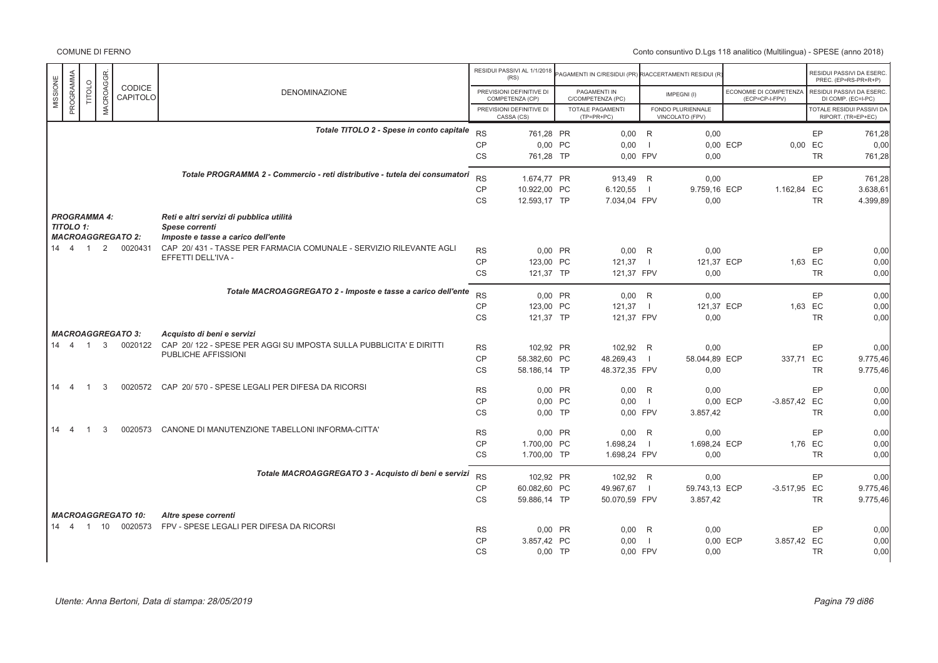|                       |                |           |                           |                                                                             |           | RESIDUI PASSIVI AL 1/1/2018<br>(RS)         | PAGAMENTI IN C/RESIDUI (PR) RIACCERTAMENTI RESIDUI (R |                |                                      |                                          |           | RESIDUI PASSIVI DA ESERC<br>PREC. (EP=RS-PR+R+P)       |
|-----------------------|----------------|-----------|---------------------------|-----------------------------------------------------------------------------|-----------|---------------------------------------------|-------------------------------------------------------|----------------|--------------------------------------|------------------------------------------|-----------|--------------------------------------------------------|
| PROGRAMMA<br>MISSIONE | <b>TITOLO</b>  | MACROAGGR | CODICE<br>CAPITOLO        | <b>DENOMINAZIONE</b>                                                        |           | PREVISIONI DEFINITIVE DI<br>COMPETENZA (CP) | PAGAMENTI IN<br>C/COMPETENZA (PC)                     |                | IMPEGNI(I)                           | ECONOMIE DI COMPETENZA<br>(ECP=CP-I-FPV) |           | RESIDUI PASSIVI DA ESERC<br>DI COMP. (EC=I-PC)         |
|                       |                |           |                           |                                                                             |           | PREVISIONI DEFINITIVE DI<br>CASSA (CS)      | <b>TOTALE PAGAMENTI</b><br>$(TP=PR+PC)$               |                | FONDO PLURIENNALE<br>VINCOLATO (FPV) |                                          |           | <b>TOTALE RESIDUI PASSIVI DA</b><br>RIPORT. (TR=EP+EC) |
|                       |                |           |                           | Totale TITOLO 2 - Spese in conto capitale                                   | <b>RS</b> | 761.28 PR                                   | $0,00$ R                                              |                | 0,00                                 |                                          | EP        | 761.28                                                 |
|                       |                |           |                           |                                                                             | <b>CP</b> | 0,00 PC                                     | 0,00                                                  | $\overline{1}$ |                                      | 0.00 ECP<br>0.00                         | EC        | 0,00                                                   |
|                       |                |           |                           |                                                                             | <b>CS</b> | 761.28 TP                                   | 0.00 FPV                                              |                | 0.00                                 |                                          | <b>TR</b> | 761.28                                                 |
|                       |                |           |                           | Totale PROGRAMMA 2 - Commercio - reti distributive - tutela dei consumatori | <b>RS</b> | 1.674.77 PR                                 | 913.49 R                                              |                | 0.00                                 |                                          | EP        | 761.28                                                 |
|                       |                |           |                           |                                                                             | <b>CP</b> | 10.922,00 PC                                | 6.120,55                                              | $\blacksquare$ | 9.759,16 ECP                         | 1.162,84 EC                              |           | 3.638,61                                               |
|                       |                |           |                           |                                                                             | CS        | 12.593,17 TP                                | 7.034,04 FPV                                          |                | 0,00                                 |                                          | <b>TR</b> | 4.399,89                                               |
| <b>PROGRAMMA 4:</b>   |                |           |                           | Reti e altri servizi di pubblica utilità                                    |           |                                             |                                                       |                |                                      |                                          |           |                                                        |
| TITOLO 1:             |                |           | <b>MACROAGGREGATO 2:</b>  | Spese correnti<br>Imposte e tasse a carico dell'ente                        |           |                                             |                                                       |                |                                      |                                          |           |                                                        |
| 14 4 1                |                | 2         | 0020431                   | CAP 20/431 - TASSE PER FARMACIA COMUNALE - SERVIZIO RILEVANTE AGLI          | <b>RS</b> | 0.00 PR                                     | 0,00                                                  | R              | 0,00                                 |                                          | EP        | 0,00                                                   |
|                       |                |           |                           | EFFETTI DELL'IVA -                                                          | <b>CP</b> | 123,00 PC                                   | 121,37                                                | $\Box$         | 121,37 ECP                           |                                          | 1,63 EC   | 0,00                                                   |
|                       |                |           |                           |                                                                             | <b>CS</b> | 121,37 TP                                   | 121,37 FPV                                            |                | 0,00                                 |                                          | <b>TR</b> | 0,00                                                   |
|                       |                |           |                           | Totale MACROAGGREGATO 2 - Imposte e tasse a carico dell'ente                | <b>RS</b> | 0.00 PR                                     | $0.00$ R                                              |                | 0.00                                 |                                          | EP        | 0.00                                                   |
|                       |                |           |                           |                                                                             | <b>CP</b> | 123,00 PC                                   | 121,37                                                | $\blacksquare$ | 121,37 ECP                           |                                          | 1.63 EC   | 0,00                                                   |
|                       |                |           |                           |                                                                             | <b>CS</b> | 121,37 TP                                   | 121,37 FPV                                            |                | 0,00                                 |                                          | <b>TR</b> | 0,00                                                   |
|                       |                |           | <b>MACROAGGREGATO 3:</b>  | Acquisto di beni e servizi                                                  |           |                                             |                                                       |                |                                      |                                          |           |                                                        |
| 14 4 1                |                | 3         | 0020122                   | CAP 20/122 - SPESE PER AGGI SU IMPOSTA SULLA PUBBLICITA' E DIRITTI          | <b>RS</b> | 102,92 PR                                   | 102,92 R                                              |                | 0,00                                 |                                          | EP        | 0,00                                                   |
|                       |                |           |                           | PUBLICHE AFFISSIONI                                                         | <b>CP</b> | 58.382,60 PC                                | 48.269,43                                             | - 1            | 58.044,89 ECP                        | 337,71 EC                                |           | 9.775,46                                               |
|                       |                |           |                           |                                                                             | CS        | 58.186,14 TP                                | 48.372,35 FPV                                         |                | 0,00                                 |                                          | <b>TR</b> | 9.775,46                                               |
| $14 \quad 4$          | $\overline{1}$ | 3         | 0020572                   | CAP 20/570 - SPESE LEGALI PER DIFESA DA RICORSI                             | <b>RS</b> | 0,00 PR                                     | 0,00                                                  | R              | 0.00                                 |                                          | EP        | 0,00                                                   |
|                       |                |           |                           |                                                                             | CP        | 0.00 PC                                     | 0.00                                                  | $\blacksquare$ |                                      | 0.00 ECP<br>$-3.857,42$ EC               |           | 0,00                                                   |
|                       |                |           |                           |                                                                             | <b>CS</b> | $0.00$ TP                                   | 0.00 FPV                                              |                | 3.857,42                             |                                          | <b>TR</b> | 0.00                                                   |
| 14<br>$\overline{4}$  |                | 3         | 0020573                   | CANONE DI MANUTENZIONE TABELLONI INFORMA-CITTA'                             | <b>RS</b> | 0.00 PR                                     | $0.00$ R                                              |                | 0.00                                 |                                          | EP        | 0.00                                                   |
|                       |                |           |                           |                                                                             | <b>CP</b> | 1.700,00 PC                                 | 1.698,24                                              | $\blacksquare$ | 1.698,24 ECP                         |                                          | 1,76 EC   | 0,00                                                   |
|                       |                |           |                           |                                                                             | CS        | 1.700,00 TP                                 | 1.698,24 FPV                                          |                | 0,00                                 |                                          | <b>TR</b> | 0,00                                                   |
|                       |                |           |                           | Totale MACROAGGREGATO 3 - Acquisto di beni e servizi                        | <b>RS</b> | 102,92 PR                                   | 102,92 R                                              |                | 0,00                                 |                                          | EP        | 0,00                                                   |
|                       |                |           |                           |                                                                             | <b>CP</b> | 60.082,60 PC                                | 49.967,67                                             | $\blacksquare$ | 59.743,13 ECP                        | -3.517,95 EC                             |           | 9.775,46                                               |
|                       |                |           |                           |                                                                             | CS        | 59.886,14 TP                                | 50.070,59 FPV                                         |                | 3.857,42                             |                                          | <b>TR</b> | 9.775,46                                               |
|                       |                |           | <b>MACROAGGREGATO 10:</b> | Altre spese correnti                                                        |           |                                             |                                                       |                |                                      |                                          |           |                                                        |
| $14 \quad 4$          |                | 1 10      | 0020573                   | FPV - SPESE LEGALI PER DIFESA DA RICORSI                                    | <b>RS</b> | 0,00 PR                                     | 0.00                                                  | R              | 0,00                                 |                                          | EP        | 0,00                                                   |
|                       |                |           |                           |                                                                             | CP        | 3.857.42 PC                                 | 0.00                                                  | $\overline{1}$ |                                      | 0.00 ECP<br>3.857.42 EC                  |           | 0,00                                                   |
|                       |                |           |                           |                                                                             | <b>CS</b> | $0.00$ TP                                   | 0.00 FPV                                              |                | 0.00                                 |                                          | <b>TR</b> | 0.00                                                   |
|                       |                |           |                           |                                                                             |           |                                             |                                                       |                |                                      |                                          |           |                                                        |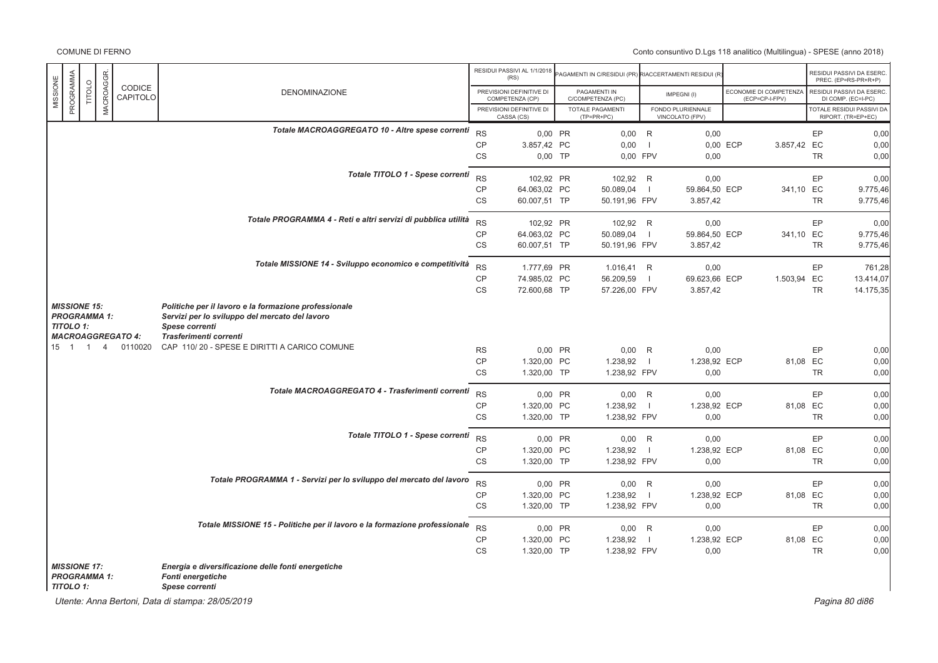# Conto consuntivo D.Lgs 118 analitico (Multilingua) - SPESE (anno 2018)

|          |                                                                                                            |                |                |                                                                                                                                                     |                                                                                                         |           | RESIDUI PASSIVI AL 1/1/2018<br>(RS)         | PAGAMENTI IN C/RESIDUI (PR) RIACCERTAMENTI RESIDUI (R) |                          |                                      |                                          |           | RESIDUI PASSIVI DA ESERC<br>PREC. (EP=RS-PR+R+P) |
|----------|------------------------------------------------------------------------------------------------------------|----------------|----------------|-----------------------------------------------------------------------------------------------------------------------------------------------------|---------------------------------------------------------------------------------------------------------|-----------|---------------------------------------------|--------------------------------------------------------|--------------------------|--------------------------------------|------------------------------------------|-----------|--------------------------------------------------|
| MISSIONE | PROGRAMMA                                                                                                  | TITOLO         | MACROAGGR.     | CODICE<br>CAPITOLO                                                                                                                                  | <b>DENOMINAZIONE</b>                                                                                    |           | PREVISIONI DEFINITIVE DI<br>COMPETENZA (CP) | PAGAMENTI IN<br>C/COMPETENZA (PC)                      |                          | IMPEGNI(I)                           | ECONOMIE DI COMPETENZA<br>(ECP=CP-I-FPV) |           | RESIDUI PASSIVI DA ESERC<br>DI COMP. (EC=I-PC)   |
|          |                                                                                                            |                |                |                                                                                                                                                     |                                                                                                         |           | PREVISIONI DEFINITIVE DI<br>CASSA (CS)      | <b>TOTALE PAGAMENTI</b><br>$(TP=PR+PC)$                |                          | FONDO PLURIENNALE<br>VINCOLATO (FPV) |                                          |           | TOTALE RESIDUI PASSIVI DA<br>RIPORT. (TR=EP+EC)  |
|          |                                                                                                            |                |                |                                                                                                                                                     | Totale MACROAGGREGATO 10 - Altre spese correnti                                                         | <b>RS</b> | 0,00 PR                                     | $0,00$ R                                               |                          | 0,00                                 |                                          | EP        | 0,00                                             |
|          |                                                                                                            |                |                |                                                                                                                                                     |                                                                                                         | <b>CP</b> | 3.857,42 PC                                 | 0,00                                                   | $\blacksquare$           |                                      | 0,00 ECP<br>3.857,42 EC                  |           | 0,00                                             |
|          |                                                                                                            |                |                |                                                                                                                                                     |                                                                                                         | CS        | $0,00$ TP                                   | 0,00 FPV                                               |                          | 0,00                                 |                                          | <b>TR</b> | 0.00                                             |
|          |                                                                                                            |                |                |                                                                                                                                                     | Totale TITOLO 1 - Spese correnti                                                                        | <b>RS</b> | 102,92 PR                                   | 102,92 R                                               |                          | 0,00                                 |                                          | EP        | 0,00                                             |
|          |                                                                                                            |                |                |                                                                                                                                                     |                                                                                                         | <b>CP</b> | 64.063,02 PC                                | 50.089,04                                              | $\overline{1}$           | 59.864,50 ECP                        | 341,10 EC                                |           | 9.775,46                                         |
|          |                                                                                                            |                |                |                                                                                                                                                     |                                                                                                         | CS        | 60.007,51 TP                                | 50.191,96 FPV                                          |                          | 3.857,42                             |                                          | <b>TR</b> | 9.775,46                                         |
|          |                                                                                                            |                |                |                                                                                                                                                     | Totale PROGRAMMA 4 - Reti e altri servizi di pubblica utilità                                           | <b>RS</b> | 102,92 PR                                   | 102.92 R                                               |                          | 0,00                                 |                                          | EP        | 0,00                                             |
|          |                                                                                                            |                |                |                                                                                                                                                     |                                                                                                         | <b>CP</b> | 64.063,02 PC                                | 50.089,04                                              | $\blacksquare$           | 59.864,50 ECP                        | 341,10 EC                                |           | 9.775,46                                         |
|          |                                                                                                            |                |                |                                                                                                                                                     |                                                                                                         | CS        | 60.007,51 TP                                | 50.191,96 FPV                                          |                          | 3.857,42                             |                                          | <b>TR</b> | 9.775,46                                         |
|          |                                                                                                            |                |                |                                                                                                                                                     | Totale MISSIONE 14 - Sviluppo economico e competitività                                                 | <b>RS</b> | 1.777,69 PR                                 | 1.016,41 R                                             |                          | 0,00                                 |                                          | EP        | 761,28                                           |
|          |                                                                                                            |                |                |                                                                                                                                                     |                                                                                                         | <b>CP</b> | 74.985,02 PC                                | 56.209,59                                              | - 1                      | 69.623,66 ECP                        | 1.503,94 EC                              |           | 13.414,07                                        |
|          |                                                                                                            |                |                |                                                                                                                                                     |                                                                                                         | CS        | 72.600,68 TP                                | 57.226,00 FPV                                          |                          | 3.857,42                             |                                          | <b>TR</b> | 14.175,35                                        |
|          | <b>MISSIONE 15:</b><br><b>PROGRAMMA 1:</b><br><b>TITOLO 1:</b><br><b>MACROAGGREGATO 4:</b><br>$15 \quad 1$ |                |                | Politiche per il lavoro e la formazione professionale<br>Servizi per lo sviluppo del mercato del lavoro<br>Spese correnti<br>Trasferimenti correnti |                                                                                                         |           |                                             |                                                        |                          |                                      |                                          |           |                                                  |
|          |                                                                                                            | $\overline{1}$ | $\overline{4}$ | 0110020                                                                                                                                             | CAP 110/20 - SPESE E DIRITTI A CARICO COMUNE                                                            | <b>RS</b> | 0,00 PR                                     | $0,00$ R                                               |                          | 0,00                                 |                                          | EP        | 0,00                                             |
|          |                                                                                                            |                |                |                                                                                                                                                     |                                                                                                         | <b>CP</b> | 1.320,00 PC                                 | 1.238,92                                               | $\blacksquare$           | 1.238,92 ECP                         |                                          | 81,08 EC  | 0,00                                             |
|          |                                                                                                            |                |                |                                                                                                                                                     |                                                                                                         | CS        | 1.320,00 TP                                 | 1.238,92 FPV                                           |                          | 0,00                                 |                                          | <b>TR</b> | 0,00                                             |
|          |                                                                                                            |                |                |                                                                                                                                                     | Totale MACROAGGREGATO 4 - Trasferimenti correnti                                                        | <b>RS</b> | 0,00 PR                                     | $0,00$ R                                               |                          | 0,00                                 |                                          | EP        | 0,00                                             |
|          |                                                                                                            |                |                |                                                                                                                                                     |                                                                                                         | <b>CP</b> | 1.320,00 PC                                 | 1.238,92                                               | $\overline{\phantom{0}}$ | 1.238,92 ECP                         |                                          | 81,08 EC  | 0,00                                             |
|          |                                                                                                            |                |                |                                                                                                                                                     |                                                                                                         | <b>CS</b> | 1.320,00 TP                                 | 1.238,92 FPV                                           |                          | 0,00                                 |                                          | <b>TR</b> | 0,00                                             |
|          |                                                                                                            |                |                |                                                                                                                                                     | Totale TITOLO 1 - Spese correnti                                                                        | <b>RS</b> | 0,00 PR                                     | $0,00$ R                                               |                          | 0,00                                 |                                          | EP        | 0,00                                             |
|          |                                                                                                            |                |                |                                                                                                                                                     |                                                                                                         | <b>CP</b> | 1.320,00 PC                                 | 1.238,92                                               | $\blacksquare$           | 1.238,92 ECP                         |                                          | 81,08 EC  | 0,00                                             |
|          |                                                                                                            |                |                |                                                                                                                                                     |                                                                                                         | <b>CS</b> | 1.320,00 TP                                 | 1.238,92 FPV                                           |                          | 0,00                                 |                                          | <b>TR</b> | 0,00                                             |
|          |                                                                                                            |                |                |                                                                                                                                                     | Totale PROGRAMMA 1 - Servizi per lo sviluppo del mercato del lavoro                                     | <b>RS</b> | $0.00$ PR                                   | $0,00$ R                                               |                          | 0,00                                 |                                          | EP        | 0,00                                             |
|          |                                                                                                            |                |                |                                                                                                                                                     |                                                                                                         | <b>CP</b> | 1.320,00 PC                                 | 1.238,92                                               | $\blacksquare$           | 1.238,92 ECP                         |                                          | 81,08 EC  | 0,00                                             |
|          |                                                                                                            |                |                |                                                                                                                                                     |                                                                                                         | CS        | 1.320,00 TP                                 | 1.238,92 FPV                                           |                          | 0,00                                 |                                          | <b>TR</b> | 0,00                                             |
|          |                                                                                                            |                |                |                                                                                                                                                     | Totale MISSIONE 15 - Politiche per il lavoro e la formazione professionale                              | <b>RS</b> | 0,00 PR                                     | $0,00$ R                                               |                          | 0,00                                 |                                          | EP        | 0,00                                             |
|          |                                                                                                            |                |                |                                                                                                                                                     |                                                                                                         | <b>CP</b> | 1.320,00 PC                                 | 1.238,92                                               | $\blacksquare$           | 1.238,92 ECP                         |                                          | 81,08 EC  | 0,00                                             |
|          |                                                                                                            |                |                |                                                                                                                                                     |                                                                                                         | <b>CS</b> | 1.320,00 TP                                 | 1.238,92 FPV                                           |                          | 0,00                                 |                                          | <b>TR</b> | 0,00                                             |
|          | <b>MISSIONE 17:</b><br><b>PROGRAMMA 1:</b><br><b>TITOLO 1:</b>                                             |                |                |                                                                                                                                                     | Energia e diversificazione delle fonti energetiche<br><b>Fonti energetiche</b><br><b>Spese correnti</b> |           |                                             |                                                        |                          |                                      |                                          |           |                                                  |

Utente: Anna Bertoni, Data di stampa: 28/05/2019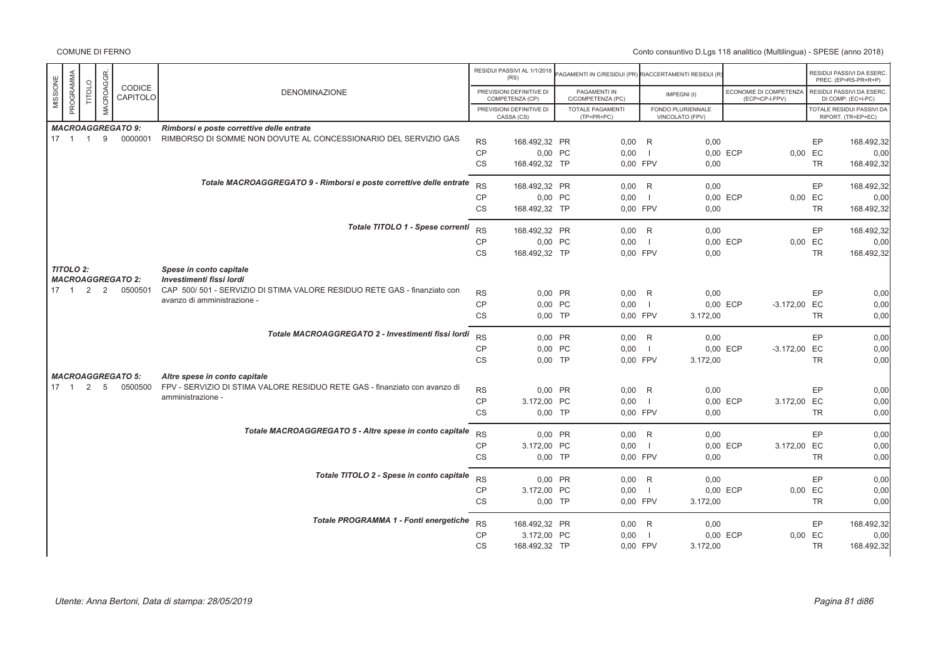|                       |                |                              |                          |                                                                            |           | RESIDUI PASSIVI AL 1/1/2018<br>(RS)         | AGAMENTI IN C/RESIDUI (PR) RIACCERTAMENTI RESIDUI (R |                |                                      |          |                                          |           | RESIDUI PASSIVI DA ESERC<br>PREC. (EP=RS-PR+R+P) |
|-----------------------|----------------|------------------------------|--------------------------|----------------------------------------------------------------------------|-----------|---------------------------------------------|------------------------------------------------------|----------------|--------------------------------------|----------|------------------------------------------|-----------|--------------------------------------------------|
| PROGRAMMA<br>MISSIONE | <b>TITOLO</b>  | MACROAGGR.                   | CODICE<br>CAPITOLO       | <b>DENOMINAZIONE</b>                                                       |           | PREVISIONI DEFINITIVE DI<br>COMPETENZA (CP) | PAGAMENTI IN<br>C/COMPETENZA (PC)                    |                | IMPEGNI(I)                           |          | ECONOMIE DI COMPETENZA<br>(ECP=CP-I-FPV) |           | RESIDUI PASSIVI DA ESERC.<br>DI COMP. (EC=I-PC)  |
|                       |                |                              |                          |                                                                            |           | PREVISIONI DEFINITIVE DI<br>CASSA (CS)      | TOTALE PAGAMENTI<br>$(TP=PR+PC)$                     |                | FONDO PLURIENNALE<br>VINCOLATO (FPV) |          |                                          |           | TOTALE RESIDUI PASSIVI DA<br>RIPORT. (TR=EP+EC)  |
|                       |                |                              | <b>MACROAGGREGATO 9:</b> | Rimborsi e poste correttive delle entrate                                  |           |                                             |                                                      |                |                                      |          |                                          |           |                                                  |
| $17-1$                | $\overline{1}$ | 9                            | 0000001                  | RIMBORSO DI SOMME NON DOVUTE AL CONCESSIONARIO DEL SERVIZIO GAS            | <b>RS</b> | 168.492,32 PR                               | 0,00                                                 | R              | 0,00                                 |          |                                          | EP        | 168.492,32                                       |
|                       |                |                              |                          |                                                                            | <b>CP</b> | 0,00 PC                                     | 0.00                                                 | $\blacksquare$ |                                      | 0.00 ECP | 0.00 EC                                  |           | 0,00                                             |
|                       |                |                              |                          |                                                                            | <b>CS</b> | 168.492,32 TP                               | 0,00 FPV                                             |                | 0,00                                 |          |                                          | TR        | 168.492,32                                       |
|                       |                |                              |                          | Totale MACROAGGREGATO 9 - Rimborsi e poste correttive delle entrate        | <b>RS</b> | 168.492,32 PR                               | 0,00                                                 | R              | 0,00                                 |          |                                          | EP        | 168.492,32                                       |
|                       |                |                              |                          |                                                                            | <b>CP</b> | 0,00 PC                                     | 0,00                                                 | $\blacksquare$ |                                      | 0.00 ECP | 0,00 EC                                  |           | 0,00                                             |
|                       |                |                              |                          |                                                                            | <b>CS</b> | 168.492,32 TP                               | 0,00 FPV                                             |                | 0,00                                 |          |                                          | <b>TR</b> | 168.492,32                                       |
|                       |                |                              |                          | Totale TITOLO 1 - Spese correnti                                           | <b>RS</b> | 168.492,32 PR                               | $0,00$ R                                             |                | 0,00                                 |          |                                          | EP        | 168.492,32                                       |
|                       |                |                              |                          |                                                                            | <b>CP</b> | 0,00 PC                                     | 0,00                                                 | $\blacksquare$ |                                      | 0,00 ECP | 0,00 EC                                  |           | 0,00                                             |
|                       |                |                              |                          |                                                                            | <b>CS</b> | 168.492,32 TP                               | 0,00 FPV                                             |                | 0,00                                 |          |                                          | <b>TR</b> | 168.492,32                                       |
| <b>TITOLO 2:</b>      |                |                              | <b>MACROAGGREGATO 2:</b> | Spese in conto capitale<br>Investimenti fissi lordi                        |           |                                             |                                                      |                |                                      |          |                                          |           |                                                  |
| $17 \quad 1$          | 2              | 2                            | 0500501                  | CAP 500/501 - SERVIZIO DI STIMA VALORE RESIDUO RETE GAS - finanziato con   | <b>RS</b> | 0,00 PR                                     | 0,00                                                 | R              | 0,00                                 |          |                                          | EP        | 0,00                                             |
|                       |                |                              |                          | avanzo di amministrazione -                                                | CP        | 0,00 PC                                     | 0,00                                                 | $\blacksquare$ |                                      | 0,00 ECP | -3.172,00 EC                             |           | 0,00                                             |
|                       |                |                              |                          |                                                                            | <b>CS</b> | $0,00$ TP                                   | 0,00 FPV                                             |                | 3.172,00                             |          |                                          | <b>TR</b> | 0,00                                             |
|                       |                |                              |                          | Totale MACROAGGREGATO 2 - Investimenti fissi lordi                         | <b>RS</b> | 0,00 PR                                     | $0,00$ R                                             |                | 0.00                                 |          |                                          | EP        | 0,00                                             |
|                       |                |                              |                          |                                                                            | <b>CP</b> | 0,00 PC                                     | 0,00                                                 | $\overline{1}$ |                                      | 0,00 ECP | -3.172,00 EC                             |           | 0,00                                             |
|                       |                |                              |                          |                                                                            | <b>CS</b> | $0,00$ TP                                   | 0,00 FPV                                             |                | 3.172,00                             |          |                                          | <b>TR</b> | 0,00                                             |
|                       |                |                              | <b>MACROAGGREGATO 5:</b> | Altre spese in conto capitale                                              |           |                                             |                                                      |                |                                      |          |                                          |           |                                                  |
|                       |                | $17 \quad 1 \quad 2 \quad 5$ | 0500500                  | FPV - SERVIZIO DI STIMA VALORE RESIDUO RETE GAS - finanziato con avanzo di | <b>RS</b> | 0.00 PR                                     | $0,00$ R                                             |                | 0,00                                 |          |                                          | EP        | 0,00                                             |
|                       |                |                              |                          | amministrazione -                                                          | <b>CP</b> | 3.172,00 PC                                 | 0,00                                                 | $\blacksquare$ |                                      | 0,00 ECP | 3.172,00 EC                              |           | 0,00                                             |
|                       |                |                              |                          |                                                                            | CS        | $0,00$ TP                                   | 0,00 FPV                                             |                | 0,00                                 |          |                                          | <b>TR</b> | 0,00                                             |
|                       |                |                              |                          | Totale MACROAGGREGATO 5 - Altre spese in conto capitale                    | <b>RS</b> | 0,00 PR                                     | $0,00$ R                                             |                | 0,00                                 |          |                                          | EP        | 0,00                                             |
|                       |                |                              |                          |                                                                            | CP        | 3.172,00 PC                                 | 0,00                                                 | $\blacksquare$ |                                      | 0,00 ECP | 3.172,00 EC                              |           | 0,00                                             |
|                       |                |                              |                          |                                                                            | CS        | $0,00$ TP                                   | 0,00 FPV                                             |                | 0,00                                 |          |                                          | <b>TR</b> | 0,00                                             |
|                       |                |                              |                          | Totale TITOLO 2 - Spese in conto capitale                                  | <b>RS</b> | 0.00 PR                                     |                                                      |                | 0.00                                 |          |                                          | EP        |                                                  |
|                       |                |                              |                          |                                                                            | <b>CP</b> | 3.172,00 PC                                 | $0,00$ R<br>0,00                                     | $\blacksquare$ |                                      | 0,00 ECP | 0,00 EC                                  |           | 0,00<br>0,00                                     |
|                       |                |                              |                          |                                                                            | <b>CS</b> | $0,00$ TP                                   | 0,00 FPV                                             |                | 3.172,00                             |          |                                          | TR        | 0,00                                             |
|                       |                |                              |                          |                                                                            |           |                                             |                                                      |                |                                      |          |                                          |           |                                                  |
|                       |                |                              |                          | Totale PROGRAMMA 1 - Fonti energetiche                                     | <b>RS</b> | 168.492,32 PR                               | $0,00$ R                                             |                | 0,00                                 |          |                                          | EP        | 168.492,32                                       |
|                       |                |                              |                          |                                                                            | <b>CP</b> | 3.172,00 PC                                 | 0,00                                                 | $\overline{1}$ |                                      | 0,00 ECP | 0,00 EC                                  |           | 0,00                                             |
|                       |                |                              |                          |                                                                            | <b>CS</b> | 168.492,32 TP                               | 0,00 FPV                                             |                | 3.172,00                             |          |                                          | <b>TR</b> | 168.492,32                                       |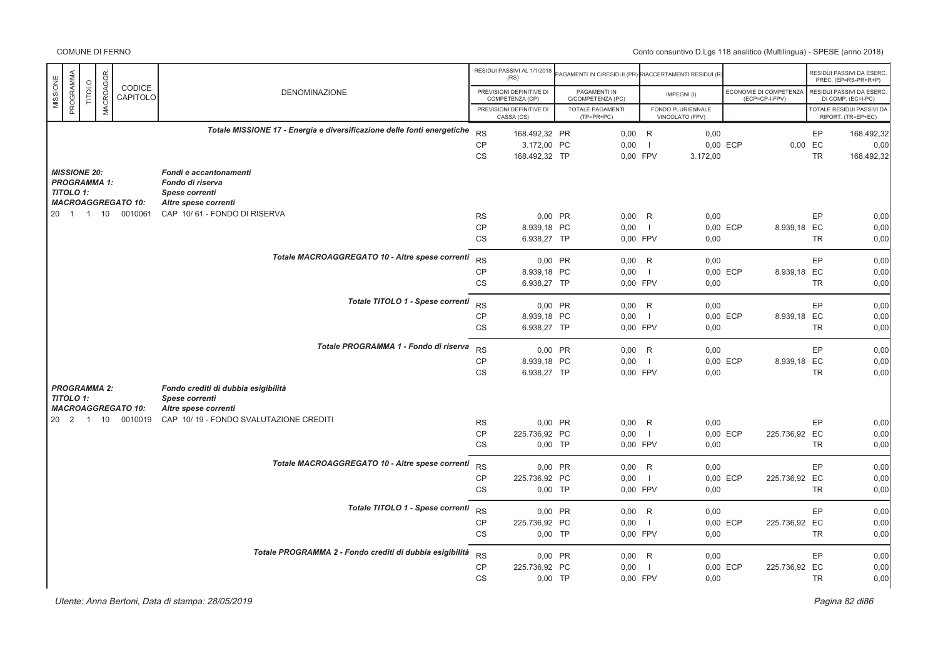COMUNE DI FERNO

|                       |                |            |                                                |                                                                         |                 | RESIDUI PASSIVI AL 1/1/2018                 |                                                      |                          |                   |          |                                          |           |                                                  |
|-----------------------|----------------|------------|------------------------------------------------|-------------------------------------------------------------------------|-----------------|---------------------------------------------|------------------------------------------------------|--------------------------|-------------------|----------|------------------------------------------|-----------|--------------------------------------------------|
|                       |                |            |                                                |                                                                         |                 | (RS)                                        | AGAMENTI IN C/RESIDUI (PR) RIACCERTAMENTI RESIDUI (R |                          |                   |          |                                          |           | RESIDUI PASSIVI DA ESERC<br>PREC. (EP=RS-PR+R+P) |
| PROGRAMMA<br>MISSIONE | TITOLO         | MACROAGGR. | CODICE<br>CAPITOLO                             | <b>DENOMINAZIONE</b>                                                    |                 | PREVISIONI DEFINITIVE DI<br>COMPETENZA (CP) | PAGAMENTI IN<br>C/COMPETENZA (PC)                    |                          | IMPEGNI(I)        |          | ECONOMIE DI COMPETENZA<br>(ECP=CP-I-FPV) |           | RESIDUI PASSIVI DA ESERC<br>DI COMP. (EC=I-PC)   |
|                       |                |            |                                                |                                                                         |                 | PREVISIONI DEFINITIVE DI                    | TOTALE PAGAMENTI                                     |                          | FONDO PLURIENNALE |          |                                          |           | <b>TOTALE RESIDUI PASSIVI DA</b>                 |
|                       |                |            |                                                |                                                                         |                 | CASSA (CS)                                  | $(TP=PR+PC)$                                         |                          | VINCOLATO (FPV)   |          |                                          |           | RIPORT. (TR=EP+EC)                               |
|                       |                |            |                                                | Totale MISSIONE 17 - Energia e diversificazione delle fonti energetiche | <b>RS</b>       | 168.492,32 PR                               | 0,00                                                 | R                        | 0,00              |          |                                          | EP        | 168.492,32                                       |
|                       |                |            |                                                |                                                                         | CP              | 3.172,00 PC                                 | 0,00                                                 | $\overline{1}$           |                   | 0,00 ECP | 0,00 EC                                  |           | 0,00                                             |
|                       |                |            |                                                |                                                                         | <b>CS</b>       | 168.492,32 TP                               | 0,00 FPV                                             |                          | 3.172,00          |          |                                          | <b>TR</b> | 168.492,32                                       |
| <b>MISSIONE 20:</b>   |                |            |                                                | Fondi e accantonamenti                                                  |                 |                                             |                                                      |                          |                   |          |                                          |           |                                                  |
| <b>PROGRAMMA 1:</b>   |                |            |                                                | Fondo di riserva                                                        |                 |                                             |                                                      |                          |                   |          |                                          |           |                                                  |
| <b>TITOLO 1:</b>      |                |            | <b>MACROAGGREGATO 10:</b>                      | <b>Spese correnti</b><br>Altre spese correnti                           |                 |                                             |                                                      |                          |                   |          |                                          |           |                                                  |
| $20 \quad 1$          | $\overline{1}$ |            | 10 0010061                                     | CAP 10/61 - FONDO DI RISERVA                                            | <b>RS</b>       | 0,00 PR                                     | 0,00                                                 | R                        | 0,00              |          |                                          | EP        | 0,00                                             |
|                       |                |            |                                                |                                                                         | <b>CP</b>       | 8.939,18 PC                                 | 0,00                                                 | - 1                      |                   | 0,00 ECP | 8.939,18 EC                              |           | 0,00                                             |
|                       |                |            |                                                |                                                                         | CS              | 6.938,27 TP                                 | 0,00 FPV                                             |                          | 0,00              |          |                                          | <b>TR</b> | 0,00                                             |
|                       |                |            |                                                |                                                                         |                 |                                             |                                                      |                          |                   |          |                                          |           |                                                  |
|                       |                |            |                                                | Totale MACROAGGREGATO 10 - Altre spese correnti                         | <b>RS</b>       | 0,00 PR                                     | $0.00$ R                                             |                          | 0,00              |          |                                          | EP        | 0,00                                             |
|                       |                |            |                                                |                                                                         | CP              | 8.939,18 PC                                 | 0,00                                                 | $\overline{\phantom{0}}$ |                   | 0,00 ECP | 8.939,18 EC                              |           | 0,00                                             |
|                       |                |            |                                                |                                                                         | <b>CS</b>       | 6.938,27 TP                                 | 0,00 FPV                                             |                          | 0,00              |          |                                          | <b>TR</b> | 0,00                                             |
|                       |                |            |                                                | Totale TITOLO 1 - Spese correnti                                        | <b>RS</b>       | 0,00 PR                                     | 0,00                                                 | R                        | 0,00              |          |                                          | EP        | 0,00                                             |
|                       |                |            |                                                |                                                                         | <b>CP</b>       | 8.939,18 PC                                 | 0,00                                                 | $\blacksquare$           |                   | 0,00 ECP | 8.939,18 EC                              |           | 0,00                                             |
|                       |                |            |                                                |                                                                         | <b>CS</b>       | 6.938,27 TP                                 | 0,00 FPV                                             |                          | 0,00              |          |                                          | <b>TR</b> | 0,00                                             |
|                       |                |            |                                                |                                                                         |                 |                                             |                                                      |                          |                   |          |                                          |           |                                                  |
|                       |                |            |                                                | Totale PROGRAMMA 1 - Fondo di riserva                                   | <b>RS</b>       | 0,00 PR                                     | 0,00                                                 | R                        | 0,00              |          |                                          | EP        | 0,00                                             |
|                       |                |            |                                                |                                                                         | <b>CP</b>       | 8.939,18 PC                                 | 0,00                                                 | $\overline{1}$           |                   | 0,00 ECP | 8.939,18 EC                              |           | 0,00                                             |
|                       |                |            |                                                |                                                                         | <b>CS</b>       | 6.938,27 TP                                 | 0,00 FPV                                             |                          | 0,00              |          |                                          | <b>TR</b> | 0.00                                             |
| <b>PROGRAMMA 2:</b>   |                |            |                                                | Fondo crediti di dubbia esigibilità                                     |                 |                                             |                                                      |                          |                   |          |                                          |           |                                                  |
| <b>TITOLO 1:</b>      |                |            |                                                | <b>Spese correnti</b>                                                   |                 |                                             |                                                      |                          |                   |          |                                          |           |                                                  |
|                       |                |            | <b>MACROAGGREGATO 10:</b><br>20 2 1 10 0010019 | Altre spese correnti<br>CAP 10/19 - FONDO SVALUTAZIONE CREDITI          |                 |                                             |                                                      |                          |                   |          |                                          |           |                                                  |
|                       |                |            |                                                |                                                                         | <b>RS</b>       | 0,00 PR                                     | 0,00                                                 | R                        | 0,00              |          |                                          | EP        | 0,00                                             |
|                       |                |            |                                                |                                                                         | <b>CP</b><br>CS | 225.736,92 PC<br>$0,00$ TP                  | 0,00<br>0,00 FPV                                     | $\blacksquare$           | 0,00              | 0,00 ECP | 225.736,92 EC                            | <b>TR</b> | 0,00<br>0,00                                     |
|                       |                |            |                                                |                                                                         |                 |                                             |                                                      |                          |                   |          |                                          |           |                                                  |
|                       |                |            |                                                | Totale MACROAGGREGATO 10 - Altre spese correnti                         | <b>RS</b>       | 0,00 PR                                     | $0,00$ R                                             |                          | 0,00              |          |                                          | EP        | 0,00                                             |
|                       |                |            |                                                |                                                                         | CP              | 225.736,92 PC                               | 0,00                                                 | $\blacksquare$           |                   | 0,00 ECP | 225.736,92 EC                            |           | 0,00                                             |
|                       |                |            |                                                |                                                                         | <b>CS</b>       | $0,00$ TP                                   | 0,00 FPV                                             |                          | 0,00              |          |                                          | <b>TR</b> | 0,00                                             |
|                       |                |            |                                                | Totale TITOLO 1 - Spese correnti                                        |                 |                                             |                                                      |                          |                   |          |                                          |           |                                                  |
|                       |                |            |                                                |                                                                         | <b>RS</b>       | 0,00 PR                                     | 0,00                                                 | R                        | 0,00              |          |                                          | EP        | 0,00                                             |
|                       |                |            |                                                |                                                                         | <b>CP</b>       | 225.736,92 PC                               | 0,00                                                 | $\overline{\phantom{0}}$ |                   | 0,00 ECP | 225.736,92 EC                            |           | 0,00                                             |
|                       |                |            |                                                |                                                                         | CS              | 0,00 TP                                     | 0,00 FPV                                             |                          | 0,00              |          |                                          | <b>TR</b> | 0,00                                             |
|                       |                |            |                                                | Totale PROGRAMMA 2 - Fondo crediti di dubbia esigibilità                | <b>RS</b>       | 0,00 PR                                     | 0,00                                                 | R                        | 0.00              |          |                                          | EP        | 0,00                                             |
|                       |                |            |                                                |                                                                         | CP              | 225.736,92 PC                               | 0,00                                                 | - 1                      |                   | 0,00 ECP | 225.736,92 EC                            |           | 0,00                                             |
|                       |                |            |                                                |                                                                         | <b>CS</b>       | $0,00$ TP                                   | 0,00 FPV                                             |                          | 0,00              |          |                                          | <b>TR</b> | 0.00                                             |
|                       |                |            |                                                |                                                                         |                 |                                             |                                                      |                          |                   |          |                                          |           |                                                  |

 $P$ agina 82 di86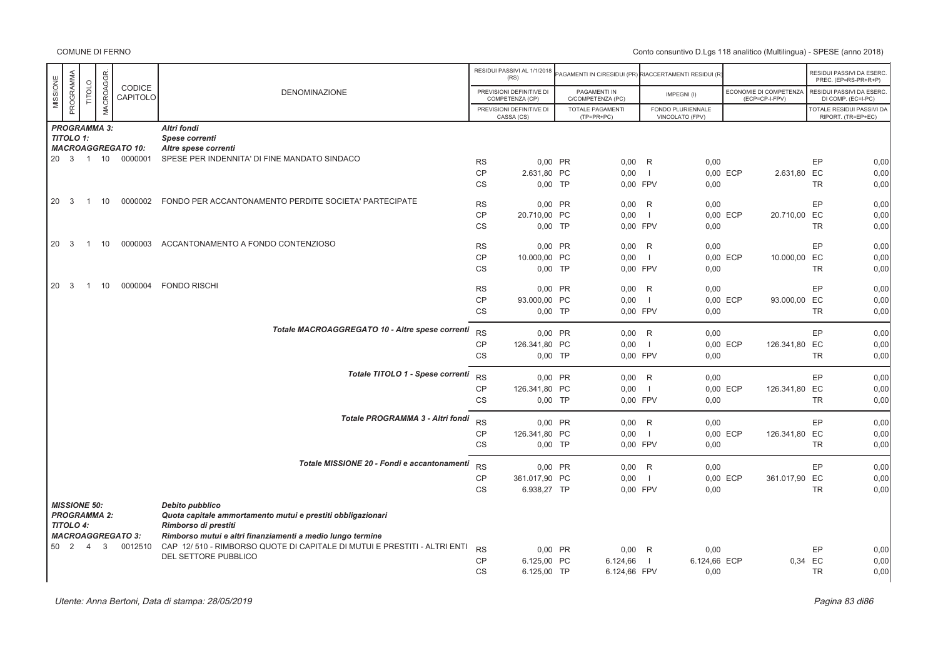|                     |           |                             |                           |                                                                                                  |           | RESIDUI PASSIVI AL 1/1/2018<br>(RS)         | AGAMENTI IN C/RESIDUI (PR) RIACCERTAMENTI RESIDUI (R |                          |                                      |          |                                          |           | RESIDUI PASSIVI DA ESERC.<br>PREC. (EP=RS-PR+R+P) |
|---------------------|-----------|-----------------------------|---------------------------|--------------------------------------------------------------------------------------------------|-----------|---------------------------------------------|------------------------------------------------------|--------------------------|--------------------------------------|----------|------------------------------------------|-----------|---------------------------------------------------|
| MISSIONE            | PROGRAMMA | MACROAGGR.<br><b>TITOLO</b> | <b>CODICE</b><br>CAPITOLO | <b>DENOMINAZIONE</b>                                                                             |           | PREVISIONI DEFINITIVE DI<br>COMPETENZA (CP) | PAGAMENTI IN<br>C/COMPETENZA (PC)                    |                          | IMPEGNI(I)                           |          | ECONOMIE DI COMPETENZA<br>(ECP=CP-I-FPV) |           | RESIDUI PASSIVI DA ESERC.<br>DI COMP. (EC=I-PC)   |
|                     |           |                             |                           |                                                                                                  |           | PREVISIONI DEFINITIVE DI<br>CASSA (CS)      | TOTALE PAGAMENTI<br>$(TP=PR+PC)$                     |                          | FONDO PLURIENNALE<br>VINCOLATO (FPV) |          |                                          |           | TOTALE RESIDUI PASSIVI DA<br>RIPORT. (TR=EP+EC)   |
|                     |           | <b>PROGRAMMA 3:</b>         |                           | Altri fondi                                                                                      |           |                                             |                                                      |                          |                                      |          |                                          |           |                                                   |
| <b>TITOLO 1:</b>    |           |                             |                           | Spese correnti                                                                                   |           |                                             |                                                      |                          |                                      |          |                                          |           |                                                   |
|                     |           |                             | <b>MACROAGGREGATO 10:</b> | Altre spese correnti                                                                             |           |                                             |                                                      |                          |                                      |          |                                          |           |                                                   |
|                     |           |                             | 20 3 1 10 0000001         | SPESE PER INDENNITA' DI FINE MANDATO SINDACO                                                     | <b>RS</b> | 0,00 PR                                     | $0,00$ R                                             |                          | 0,00                                 |          |                                          | EP        | 0,00                                              |
|                     |           |                             |                           |                                                                                                  | CP        | 2.631,80 PC                                 | 0,00                                                 | $\blacksquare$           |                                      | 0,00 ECP | 2.631,80 EC                              |           | 0,00                                              |
|                     |           |                             |                           |                                                                                                  | CS        | $0,00$ TP                                   | 0,00 FPV                                             |                          | 0,00                                 |          |                                          | <b>TR</b> | 0,00                                              |
| 20<br>- 3           |           | 10<br>$\overline{1}$        |                           | 0000002 FONDO PER ACCANTONAMENTO PERDITE SOCIETA' PARTECIPATE                                    |           |                                             |                                                      |                          |                                      |          |                                          |           |                                                   |
|                     |           |                             |                           |                                                                                                  | <b>RS</b> | 0,00 PR                                     | $0,00$ R                                             |                          | 0,00                                 |          |                                          | EP        | 0,00                                              |
|                     |           |                             |                           |                                                                                                  | CP        | 20.710,00 PC                                | 0,00                                                 | - 1                      |                                      | 0,00 ECP | 20.710,00 EC                             |           | 0,00                                              |
|                     |           |                             |                           |                                                                                                  | <b>CS</b> | $0,00$ TP                                   | 0.00 FPV                                             |                          | 0,00                                 |          |                                          | <b>TR</b> | 0,00                                              |
| 20                  | - 3       | 10<br>$\overline{1}$        | 0000003                   | ACCANTONAMENTO A FONDO CONTENZIOSO                                                               | <b>RS</b> | 0,00 PR                                     | 0,00                                                 | R                        | 0,00                                 |          |                                          | EP        | 0,00                                              |
|                     |           |                             |                           |                                                                                                  | CP        |                                             | 0,00                                                 | $\overline{\phantom{0}}$ |                                      | 0,00 ECP |                                          |           | 0,00                                              |
|                     |           |                             |                           |                                                                                                  | <b>CS</b> | 10.000,00 PC<br>$0,00$ TP                   | 0,00 FPV                                             |                          | 0,00                                 |          | 10.000,00 EC                             | <b>TR</b> | 0,00                                              |
|                     |           |                             |                           |                                                                                                  |           |                                             |                                                      |                          |                                      |          |                                          |           |                                                   |
| 20                  | - 3       | 10<br>$\overline{1}$        | 0000004                   | <b>FONDO RISCHI</b>                                                                              | <b>RS</b> | 0,00 PR                                     | 0,00                                                 | R                        | 0,00                                 |          |                                          | EP        | 0,00                                              |
|                     |           |                             |                           |                                                                                                  | CP        | 93.000,00 PC                                | 0,00                                                 | $\Box$                   |                                      | 0,00 ECP | 93.000,00 EC                             |           | 0,00                                              |
|                     |           |                             |                           |                                                                                                  | CS        | $0,00$ TP                                   | 0,00 FPV                                             |                          | 0,00                                 |          |                                          | <b>TR</b> | 0,00                                              |
|                     |           |                             |                           |                                                                                                  |           |                                             |                                                      |                          |                                      |          |                                          |           |                                                   |
|                     |           |                             |                           | Totale MACROAGGREGATO 10 - Altre spese correnti                                                  | <b>RS</b> | 0,00 PR                                     | $0,00$ R                                             |                          | 0,00                                 |          |                                          | EP        | 0,00                                              |
|                     |           |                             |                           |                                                                                                  | CP        | 126.341,80 PC                               | 0,00                                                 | $\blacksquare$           |                                      | 0,00 ECP | 126.341,80 EC                            |           | 0,00                                              |
|                     |           |                             |                           |                                                                                                  | <b>CS</b> | $0,00$ TP                                   | 0,00 FPV                                             |                          | 0,00                                 |          |                                          | <b>TR</b> | 0,00                                              |
|                     |           |                             |                           |                                                                                                  |           |                                             |                                                      |                          |                                      |          |                                          |           |                                                   |
|                     |           |                             |                           | Totale TITOLO 1 - Spese correnti                                                                 | <b>RS</b> | 0,00 PR                                     | $0,00$ R                                             |                          | 0,00                                 |          |                                          | EP        | 0,00                                              |
|                     |           |                             |                           |                                                                                                  | CP        | 126.341,80 PC                               | 0,00                                                 | - 1                      |                                      | 0,00 ECP | 126.341,80 EC                            |           | 0,00                                              |
|                     |           |                             |                           |                                                                                                  | <b>CS</b> | $0,00$ TP                                   | 0,00 FPV                                             |                          | 0,00                                 |          |                                          | <b>TR</b> | 0,00                                              |
|                     |           |                             |                           | Totale PROGRAMMA 3 - Altri fondi                                                                 |           |                                             |                                                      |                          |                                      |          |                                          |           |                                                   |
|                     |           |                             |                           |                                                                                                  | <b>RS</b> | 0.00 PR                                     | $0.00$ R                                             |                          | 0,00                                 |          |                                          | EP        | 0,00                                              |
|                     |           |                             |                           |                                                                                                  | <b>CP</b> | 126.341,80 PC                               | 0,00                                                 | $\blacksquare$           |                                      | 0,00 ECP | 126.341,80 EC                            |           | 0,00                                              |
|                     |           |                             |                           |                                                                                                  | <b>CS</b> | $0,00$ TP                                   | 0.00 FPV                                             |                          | 0,00                                 |          |                                          | <b>TR</b> | 0,00                                              |
|                     |           |                             |                           | Totale MISSIONE 20 - Fondi e accantonamenti                                                      |           |                                             |                                                      |                          |                                      |          |                                          |           |                                                   |
|                     |           |                             |                           |                                                                                                  | <b>RS</b> | 0,00 PR                                     | $0,00$ R                                             |                          | 0,00                                 |          |                                          | EP        | 0,00                                              |
|                     |           |                             |                           |                                                                                                  | CP        | 361.017,90 PC                               | 0,00                                                 | $\overline{\phantom{0}}$ |                                      | 0,00 ECP | 361.017,90 EC                            |           | 0,00                                              |
|                     |           |                             |                           |                                                                                                  | <b>CS</b> | 6.938,27 TP                                 | 0,00 FPV                                             |                          | 0,00                                 |          |                                          | <b>TR</b> | 0,00                                              |
| <b>MISSIONE 50:</b> |           |                             |                           | Debito pubblico                                                                                  |           |                                             |                                                      |                          |                                      |          |                                          |           |                                                   |
|                     |           | <b>PROGRAMMA 2:</b>         |                           | Quota capitale ammortamento mutui e prestiti obbligazionari                                      |           |                                             |                                                      |                          |                                      |          |                                          |           |                                                   |
| <b>TITOLO 4:</b>    |           |                             |                           | Rimborso di prestiti                                                                             |           |                                             |                                                      |                          |                                      |          |                                          |           |                                                   |
|                     |           |                             | <b>MACROAGGREGATO 3:</b>  | Rimborso mutui e altri finanziamenti a medio lungo termine                                       |           |                                             |                                                      |                          |                                      |          |                                          |           |                                                   |
| 50 2                |           | 3<br>$\overline{4}$         | 0012510                   | CAP 12/510 - RIMBORSO QUOTE DI CAPITALE DI MUTUI E PRESTITI - ALTRI ENTI<br>DEL SETTORE PUBBLICO | <b>RS</b> | 0,00 PR                                     | $0,00$ R                                             |                          | 0,00                                 |          |                                          | EP        | 0,00                                              |
|                     |           |                             |                           |                                                                                                  | CP        | 6.125,00 PC                                 | 6.124,66                                             | - 1                      | 6.124,66 ECP                         |          | 0,34 EC                                  |           | 0,00                                              |
|                     |           |                             |                           |                                                                                                  | <b>CS</b> | 6.125,00 TP                                 | 6.124,66 FPV                                         |                          | 0,00                                 |          |                                          | <b>TR</b> | 0,00                                              |
|                     |           |                             |                           |                                                                                                  |           |                                             |                                                      |                          |                                      |          |                                          |           |                                                   |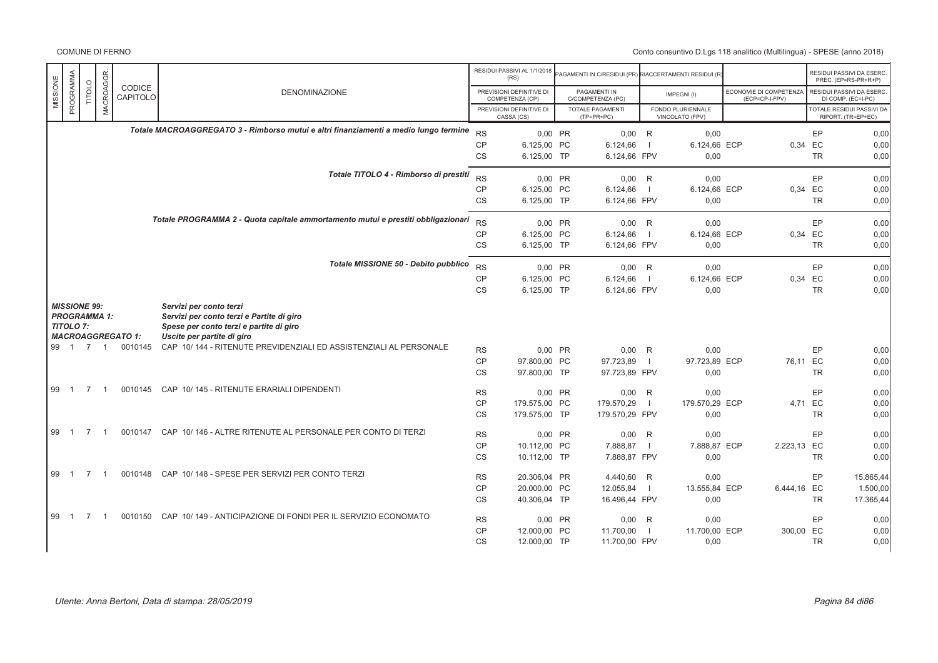|                                                                |                |                |                           |                                                                                                                                               |           | RESIDUI PASSIVI AL 1/1/2018<br>(RS)         | AGAMENTI IN C/RESIDUI (PR) RIACCERTAMENTI RESIDUI (R) |                |                                      |                                          |           | RESIDUI PASSIVI DA ESERC.<br>PREC. (EP=RS-PR+R+P) |
|----------------------------------------------------------------|----------------|----------------|---------------------------|-----------------------------------------------------------------------------------------------------------------------------------------------|-----------|---------------------------------------------|-------------------------------------------------------|----------------|--------------------------------------|------------------------------------------|-----------|---------------------------------------------------|
| PROGRAMMA<br>MISSIONE                                          | TITOLO         | MACROAGGR      | <b>CODICE</b><br>CAPITOLO | <b>DENOMINAZIONE</b>                                                                                                                          |           | PREVISIONI DEFINITIVE DI<br>COMPETENZA (CP) | PAGAMENTI IN<br>C/COMPETENZA (PC)                     |                | IMPEGNI(I)                           | ECONOMIE DI COMPETENZA<br>(ECP=CP-I-FPV) |           | RESIDUI PASSIVI DA ESERC.<br>DI COMP. (EC=I-PC)   |
|                                                                |                |                |                           |                                                                                                                                               |           | PREVISIONI DEFINITIVE DI<br>CASSA (CS)      | <b>TOTALE PAGAMENTI</b><br>$(TP=PR+PC)$               |                | FONDO PLURIENNALE<br>VINCOLATO (FPV) |                                          |           | TOTALE RESIDUI PASSIVI DA<br>RIPORT. (TR=EP+EC)   |
|                                                                |                |                |                           | Totale MACROAGGREGATO 3 - Rimborso mutui e altri finanziamenti a medio lungo termine                                                          | <b>RS</b> | 0.00 PR                                     | $0.00$ R                                              |                | 0.00                                 |                                          | EP        | 0,00                                              |
|                                                                |                |                |                           |                                                                                                                                               | <b>CP</b> | 6.125,00 PC                                 | 6.124,66                                              | - 1            | 6.124,66 ECP                         | 0,34                                     | EC        | 0,00                                              |
|                                                                |                |                |                           |                                                                                                                                               | <b>CS</b> | 6.125.00 TP                                 | 6.124,66 FPV                                          |                | 0.00                                 |                                          | <b>TR</b> | 0,00                                              |
|                                                                |                |                |                           | Totale TITOLO 4 - Rimborso di prestiti                                                                                                        | <b>RS</b> | 0,00 PR                                     | $0,00$ R                                              |                | 0,00                                 |                                          | EP        | 0,00                                              |
|                                                                |                |                |                           |                                                                                                                                               | <b>CP</b> | 6.125.00 PC                                 | 6.124,66                                              | $\blacksquare$ | 6.124,66 ECP                         |                                          | 0.34 EC   | 0,00                                              |
|                                                                |                |                |                           |                                                                                                                                               | <b>CS</b> | 6.125,00 TP                                 | 6.124,66 FPV                                          |                | 0,00                                 |                                          | <b>TR</b> | 0,00                                              |
|                                                                |                |                |                           | Totale PROGRAMMA 2 - Quota capitale ammortamento mutui e prestiti obbligazionari                                                              | <b>RS</b> | 0,00 PR                                     | $0,00$ R                                              |                | 0,00                                 |                                          | EP        | 0,00                                              |
|                                                                |                |                |                           |                                                                                                                                               | <b>CP</b> | 6.125.00 PC                                 | 6.124,66                                              | $\blacksquare$ | 6.124.66 ECP                         | 0.34                                     | EC        | 0,00                                              |
|                                                                |                |                |                           |                                                                                                                                               | <b>CS</b> | 6.125,00 TP                                 | 6.124,66 FPV                                          |                | 0,00                                 |                                          | <b>TR</b> | 0,00                                              |
|                                                                |                |                |                           | Totale MISSIONE 50 - Debito pubblico                                                                                                          |           |                                             |                                                       |                |                                      |                                          |           |                                                   |
|                                                                |                |                |                           |                                                                                                                                               | <b>RS</b> | 0,00 PR                                     | $0,00$ R                                              |                | 0,00                                 |                                          | EP        | 0,00                                              |
|                                                                |                |                |                           |                                                                                                                                               | CP        | 6.125,00 PC                                 | 6.124,66                                              | $\blacksquare$ | 6.124.66 ECP                         | 0,34                                     | EC        | 0.00                                              |
|                                                                |                |                |                           |                                                                                                                                               | <b>CS</b> | 6.125,00 TP                                 | 6.124,66 FPV                                          |                | 0,00                                 |                                          | <b>TR</b> | 0,00                                              |
| <b>MISSIONE 99:</b><br><b>PROGRAMMA 1:</b><br><b>TITOLO 7:</b> |                |                | <b>MACROAGGREGATO 1:</b>  | Servizi per conto terzi<br>Servizi per conto terzi e Partite di giro<br>Spese per conto terzi e partite di giro<br>Uscite per partite di giro |           |                                             |                                                       |                |                                      |                                          |           |                                                   |
| 99 1 7                                                         |                | $\overline{1}$ | 0010145                   | CAP 10/144 - RITENUTE PREVIDENZIALI ED ASSISTENZIALI AL PERSONALE                                                                             | <b>RS</b> | 0,00 PR                                     | 0,00                                                  | R              | 0,00                                 |                                          | EP        | 0,00                                              |
|                                                                |                |                |                           |                                                                                                                                               | <b>CP</b> | 97.800.00 PC                                | 97.723,89                                             | - 1            | 97.723,89 ECP                        | 76,11 EC                                 |           | 0,00                                              |
|                                                                |                |                |                           |                                                                                                                                               | <b>CS</b> | 97.800,00 TP                                | 97.723,89 FPV                                         |                | 0,00                                 |                                          | <b>TR</b> | 0,00                                              |
| 99 1                                                           | $\overline{7}$ | $\overline{1}$ | 0010145                   | CAP 10/145 - RITENUTE ERARIALI DIPENDENTI                                                                                                     | <b>RS</b> | 0,00 PR                                     | 0,00                                                  | R              | 0,00                                 |                                          | EP        | 0,00                                              |
|                                                                |                |                |                           |                                                                                                                                               | CP        | 179.575.00 PC                               | 179.570,29                                            | $\blacksquare$ | 179.570.29 ECP                       | 4.71                                     | EC        | 0,00                                              |
|                                                                |                |                |                           |                                                                                                                                               | <b>CS</b> | 179.575,00 TP                               | 179.570,29 FPV                                        |                | 0,00                                 |                                          | <b>TR</b> | 0,00                                              |
| 99 1                                                           | $\overline{7}$ | - 1            | 0010147                   | CAP 10/146 - ALTRE RITENUTE AL PERSONALE PER CONTO DI TERZI                                                                                   | <b>RS</b> | 0.00 PR                                     | 0,00                                                  | R              | 0.00                                 |                                          | EP        | 0,00                                              |
|                                                                |                |                |                           |                                                                                                                                               | <b>CP</b> | 10.112,00 PC                                | 7.888,87                                              | $\blacksquare$ | 7.888,87 ECP                         | 2.223,13 EC                              |           | 0,00                                              |
|                                                                |                |                |                           |                                                                                                                                               | <b>CS</b> | 10.112,00 TP                                | 7.888,87 FPV                                          |                | 0,00                                 |                                          | <b>TR</b> | 0,00                                              |
| 99<br>$\overline{1}$                                           | $\overline{7}$ |                | 0010148                   | CAP 10/148 - SPESE PER SERVIZI PER CONTO TERZI                                                                                                | <b>RS</b> | 20.306.04 PR                                | 4.440.60 R                                            |                | 0.00                                 |                                          | EP        | 15.865.44                                         |
|                                                                |                |                |                           |                                                                                                                                               | <b>CP</b> | 20.000,00 PC                                | 12.055,84                                             | $\blacksquare$ | 13.555,84 ECP                        | 6.444,16 EC                              |           | 1.500,00                                          |
|                                                                |                |                |                           |                                                                                                                                               | <b>CS</b> | 40.306,04 TP                                | 16.496,44 FPV                                         |                | 0,00                                 |                                          | <b>TR</b> | 17.365,44                                         |
| 99 1                                                           | $\overline{7}$ | -1             | 0010150                   | CAP 10/149 - ANTICIPAZIONE DI FONDI PER IL SERVIZIO ECONOMATO                                                                                 | <b>RS</b> | 0,00 PR                                     | $0,00$ R                                              |                | 0,00                                 |                                          | EP        | 0,00                                              |
|                                                                |                |                |                           |                                                                                                                                               | <b>CP</b> | 12,000.00 PC                                | 11.700,00                                             | $\blacksquare$ | 11.700.00 ECP                        | 300,00 EC                                |           | 0,00                                              |
|                                                                |                |                |                           |                                                                                                                                               | <b>CS</b> | 12.000,00 TP                                | 11.700,00 FPV                                         |                | 0,00                                 |                                          | <b>TR</b> | 0,00                                              |
|                                                                |                |                |                           |                                                                                                                                               |           |                                             |                                                       |                |                                      |                                          |           |                                                   |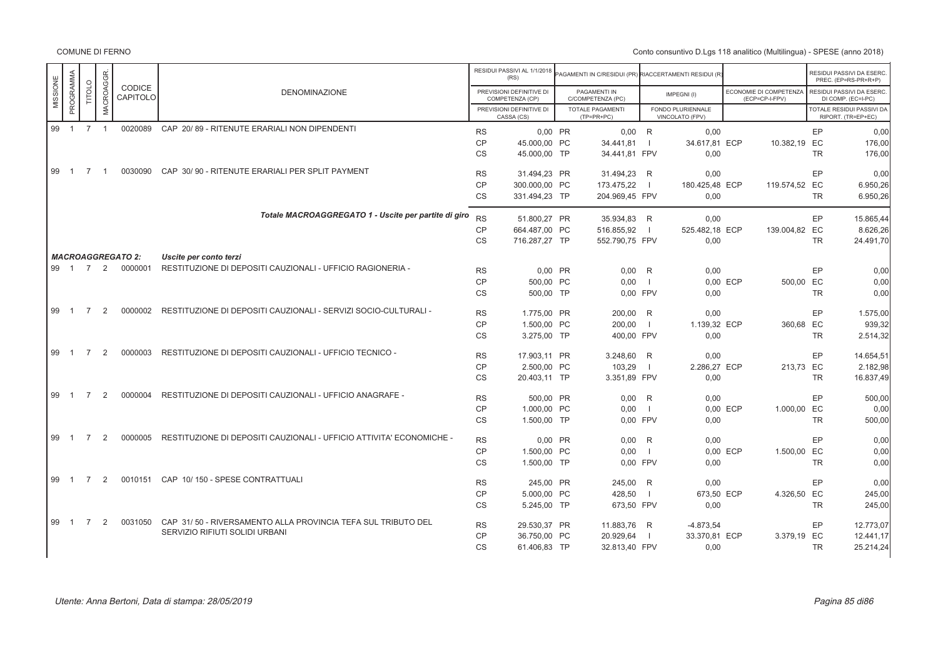| PROGRAMMA            |                     | MACROAGGR.     | <b>CODICE</b>            |                                                                         |           | RESIDUI PASSIVI AL 1/1/2018<br>(RS)         | AGAMENTI IN C/RESIDUI (PR) RIACCERTAMENTI RESIDUI (R |                          |                                      |                                          |           | RESIDUI PASSIVI DA ESERC.<br>PREC. (EP=RS-PR+R+P) |
|----------------------|---------------------|----------------|--------------------------|-------------------------------------------------------------------------|-----------|---------------------------------------------|------------------------------------------------------|--------------------------|--------------------------------------|------------------------------------------|-----------|---------------------------------------------------|
| MISSIONE             | <b>TITOLO</b>       |                | CAPITOLO                 | <b>DENOMINAZIONE</b>                                                    |           | PREVISIONI DEFINITIVE DI<br>COMPETENZA (CP) | PAGAMENTI IN<br>C/COMPETENZA (PC)                    |                          | IMPEGNI(I)                           | ECONOMIE DI COMPETENZA<br>(ECP=CP-I-FPV) |           | RESIDUI PASSIVI DA ESERC.<br>DI COMP. (EC=I-PC)   |
|                      |                     |                |                          |                                                                         |           | PREVISIONI DEFINITIVE DI<br>CASSA (CS)      | <b>TOTALE PAGAMENTI</b><br>$(TP=PR+PC)$              |                          | FONDO PLURIENNALE<br>VINCOLATO (FPV) |                                          |           | TOTALE RESIDUI PASSIVI DA<br>RIPORT. (TR=EP+EC)   |
| 99                   | $1 \quad 7 \quad 1$ |                | 0020089                  | CAP 20/89 - RITENUTE ERARIALI NON DIPENDENTI                            | <b>RS</b> | 0.00 PR                                     | $0.00$ R                                             |                          | 0,00                                 |                                          | EP        | 0,00                                              |
|                      |                     |                |                          |                                                                         | <b>CP</b> | 45.000,00 PC                                | 34.441,81                                            | $\blacksquare$           | 34.617,81 ECP                        | 10.382,19 EC                             |           | 176,00                                            |
|                      |                     |                |                          |                                                                         | <b>CS</b> | 45,000.00 TP                                | 34.441,81 FPV                                        |                          | 0,00                                 |                                          | <b>TR</b> | 176,00                                            |
| 99<br>$\overline{1}$ | $\overline{7}$      | $\overline{1}$ | 0030090                  | CAP 30/90 - RITENUTE ERARIALI PER SPLIT PAYMENT                         | <b>RS</b> | 31.494,23 PR                                | 31.494,23 R                                          |                          | 0,00                                 |                                          | EP        | 0,00                                              |
|                      |                     |                |                          |                                                                         | <b>CP</b> | 300.000,00 PC                               | 173.475,22                                           |                          | 180.425,48 ECP                       | 119.574,52 EC                            |           | 6.950,26                                          |
|                      |                     |                |                          |                                                                         | <b>CS</b> | 331.494,23 TP                               | 204.969,45 FPV                                       |                          | 0.00                                 |                                          | <b>TR</b> | 6.950,26                                          |
|                      |                     |                |                          | Totale MACROAGGREGATO 1 - Uscite per partite di giro                    | <b>RS</b> | 51.800,27 PR                                | 35.934,83 R                                          |                          | 0,00                                 |                                          | EP        | 15.865,44                                         |
|                      |                     |                |                          |                                                                         | <b>CP</b> | 664.487,00 PC                               | 516.855,92                                           | $\overline{\phantom{0}}$ | 525.482,18 ECP                       | 139.004,82 EC                            |           | 8.626,26                                          |
|                      |                     |                |                          |                                                                         | <b>CS</b> | 716.287.27 TP                               | 552.790,75 FPV                                       |                          | 0,00                                 |                                          | <b>TR</b> | 24.491.70                                         |
|                      |                     |                |                          |                                                                         |           |                                             |                                                      |                          |                                      |                                          |           |                                                   |
|                      |                     |                | <b>MACROAGGREGATO 2:</b> | Uscite per conto terzi                                                  |           |                                             |                                                      |                          |                                      |                                          |           |                                                   |
|                      |                     | 99 1 7 2       | 0000001                  | RESTITUZIONE DI DEPOSITI CAUZIONALI - UFFICIO RAGIONERIA -              | <b>RS</b> | 0,00 PR                                     | $0,00$ R                                             |                          | 0,00                                 |                                          | EP        | 0,00                                              |
|                      |                     |                |                          |                                                                         | <b>CP</b> | 500,00 PC                                   | 0,00                                                 | $\blacksquare$           |                                      | 0,00 ECP<br>500,00 EC                    |           | 0,00                                              |
|                      |                     |                |                          |                                                                         | <b>CS</b> | 500.00 TP                                   | 0.00 FPV                                             |                          | 0.00                                 |                                          | <b>TR</b> | 0,00                                              |
| 99 1                 | $\overline{7}$      | 2              |                          | 0000002 RESTITUZIONE DI DEPOSITI CAUZIONALI - SERVIZI SOCIO-CULTURALI - | <b>RS</b> | 1.775,00 PR                                 | 200,00 R                                             |                          | 0,00                                 |                                          | EP        | 1.575,00                                          |
|                      |                     |                |                          |                                                                         | <b>CP</b> | 1.500,00 PC                                 | 200,00                                               | $\blacksquare$           | 1.139,32 ECP                         | 360,68 EC                                |           | 939,32                                            |
|                      |                     |                |                          |                                                                         | <b>CS</b> | 3.275,00 TP                                 | 400,00 FPV                                           |                          | 0,00                                 |                                          | <b>TR</b> | 2.514,32                                          |
| 99<br>$\overline{1}$ | $\overline{7}$      | 2              | 0000003                  | RESTITUZIONE DI DEPOSITI CAUZIONALI - UFFICIO TECNICO -                 | <b>RS</b> | 17.903,11 PR                                | 3.248,60 R                                           |                          | 0,00                                 |                                          | EP        | 14.654,51                                         |
|                      |                     |                |                          |                                                                         | <b>CP</b> | 2.500,00 PC                                 | 103,29                                               |                          | 2.286,27 ECP                         | 213,73 EC                                |           | 2.182,98                                          |
|                      |                     |                |                          |                                                                         | <b>CS</b> | 20.403.11 TP                                | 3.351,89 FPV                                         |                          | 0,00                                 |                                          | <b>TR</b> | 16.837,49                                         |
| 99 1                 | $\overline{7}$      | 2              | 0000004                  | RESTITUZIONE DI DEPOSITI CAUZIONALI - UFFICIO ANAGRAFE -                | <b>RS</b> | 500.00 PR                                   | 0.00                                                 | R                        | 0.00                                 |                                          | EP        | 500,00                                            |
|                      |                     |                |                          |                                                                         | <b>CP</b> | 1.000,00 PC                                 | 0,00                                                 | $\blacksquare$           |                                      | 0,00 ECP<br>1.000,00 EC                  |           | 0,00                                              |
|                      |                     |                |                          |                                                                         | <b>CS</b> | 1.500,00 TP                                 | 0.00 FPV                                             |                          | 0,00                                 |                                          | <b>TR</b> | 500,00                                            |
| 99 1                 | $\overline{7}$      | 2              | 0000005                  | RESTITUZIONE DI DEPOSITI CAUZIONALI - UFFICIO ATTIVITA' ECONOMICHE -    | <b>RS</b> | 0,00 PR                                     | $0,00$ R                                             |                          | 0,00                                 |                                          | EP        | 0,00                                              |
|                      |                     |                |                          |                                                                         | <b>CP</b> | 1.500,00 PC                                 | 0,00                                                 | - 1                      |                                      | 0,00 ECP<br>1.500,00 EC                  |           | 0,00                                              |
|                      |                     |                |                          |                                                                         | CS        | 1.500,00 TP                                 | 0,00 FPV                                             |                          | 0,00                                 |                                          | TR        | 0,00                                              |
| 99<br>$\overline{1}$ | $\overline{7}$      | 2              | 0010151                  | CAP 10/150 - SPESE CONTRATTUALI                                         | <b>RS</b> | 245.00 PR                                   | 245.00 R                                             |                          | 0.00                                 |                                          | EP        | 0,00                                              |
|                      |                     |                |                          |                                                                         | <b>CP</b> | 5.000,00 PC                                 | 428,50                                               | $\overline{1}$           | 673,50 ECP                           | 4.326,50 EC                              |           | 245,00                                            |
|                      |                     |                |                          |                                                                         | <b>CS</b> | 5.245,00 TP                                 | 673,50 FPV                                           |                          | 0,00                                 |                                          | <b>TR</b> | 245,00                                            |
| 99 1                 | $\overline{7}$      | 2              | 0031050                  | CAP 31/50 - RIVERSAMENTO ALLA PROVINCIA TEFA SUL TRIBUTO DEL            | <b>RS</b> | 29.530,37 PR                                | 11.883,76 R                                          |                          | $-4.873,54$                          |                                          | EP        | 12.773,07                                         |
|                      |                     |                |                          | SERVIZIO RIFIUTI SOLIDI URBANI                                          | <b>CP</b> | 36.750,00 PC                                | 20.929,64                                            |                          | 33.370,81 ECP                        | 3.379,19 EC                              |           | 12.441,17                                         |
|                      |                     |                |                          |                                                                         | <b>CS</b> | 61.406,83 TP                                | 32.813,40 FPV                                        |                          | 0,00                                 |                                          | <b>TR</b> | 25.214,24                                         |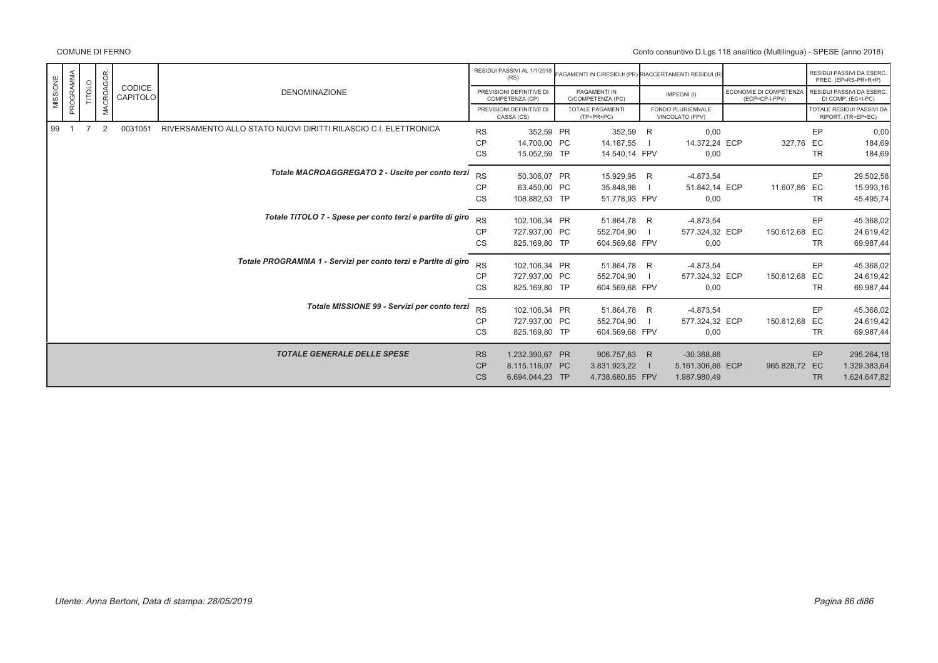|          |           |        |                  |                    |                                                                 |           | RESIDUI PASSIVI AL 1/1/2018<br>(RS)         | PAGAMENTI IN C/RESIDUI (PR) RIACCERTAMENTI RESIDUI (R) |   |                                      |                                          |           | RESIDUI PASSIVI DA ESERC.<br>PREC. (EP=RS-PR+R+P) |
|----------|-----------|--------|------------------|--------------------|-----------------------------------------------------------------|-----------|---------------------------------------------|--------------------------------------------------------|---|--------------------------------------|------------------------------------------|-----------|---------------------------------------------------|
| MISSIONE | PROGRAMMA | TITOLO | <b>MACROAGGR</b> | CODICE<br>CAPITOLO | <b>DENOMINAZIONE</b>                                            |           | PREVISIONI DEFINITIVE DI<br>COMPETENZA (CP) | PAGAMENTI IN<br>C/COMPETENZA (PC)                      |   | IMPEGNI(I)                           | ECONOMIE DI COMPETENZA<br>(ECP=CP-I-FPV) |           | RESIDUI PASSIVI DA ESERC.<br>DI COMP. (EC=I-PC)   |
|          |           |        |                  |                    |                                                                 |           | PREVISIONI DEFINITIVE DI<br>CASSA (CS)      | TOTALE PAGAMENTI<br>$(TP=PR+PC)$                       |   | FONDO PLURIENNALE<br>VINCOLATO (FPV) |                                          |           | TOTALE RESIDUI PASSIVI DA<br>RIPORT. (TR=EP+EC)   |
| 99       |           |        | 2                | 0031051            | RIVERSAMENTO ALLO STATO NUOVI DIRITTI RILASCIO C.I. ELETTRONICA | <b>RS</b> | 352,59 PR                                   | 352,59                                                 | R | 0,00                                 |                                          | EP        | 0,00                                              |
|          |           |        |                  |                    |                                                                 | <b>CP</b> | 14,700.00 PC                                | 14.187,55                                              |   | 14.372,24 ECP                        | 327,76 EC                                |           | 184,69                                            |
|          |           |        |                  |                    |                                                                 | CS        | 15.052,59 TP                                | 14.540,14 FPV                                          |   | 0,00                                 |                                          | TR        | 184,69                                            |
|          |           |        |                  |                    | Totale MACROAGGREGATO 2 - Uscite per conto terzi                | <b>RS</b> | 50.306,07 PR                                | 15.929,95 R                                            |   | $-4.873,54$                          |                                          | EP        | 29.502,58                                         |
|          |           |        |                  |                    |                                                                 | <b>CP</b> | 63.450,00 PC                                | 35.848,98                                              |   | 51.842,14 ECP                        | 11.607,86 EC                             |           | 15.993,16                                         |
|          |           |        |                  |                    |                                                                 | CS        | 108.882,53 TP                               | 51.778,93 FPV                                          |   | 0,00                                 |                                          | <b>TR</b> | 45.495,74                                         |
|          |           |        |                  |                    | Totale TITOLO 7 - Spese per conto terzi e partite di giro       | <b>RS</b> | 102.106,34 PR                               | 51.864,78 R                                            |   | $-4.873,54$                          |                                          | EP        | 45.368,02                                         |
|          |           |        |                  |                    |                                                                 | <b>CP</b> | 727.937.00 PC                               | 552.704,90                                             |   | 577.324,32 ECP                       | 150.612,68 EC                            |           | 24.619,42                                         |
|          |           |        |                  |                    |                                                                 | CS        | 825.169,80 TP                               | 604.569,68 FPV                                         |   | 0,00                                 |                                          | TR        | 69.987,44                                         |
|          |           |        |                  |                    | Totale PROGRAMMA 1 - Servizi per conto terzi e Partite di giro  | <b>RS</b> | 102.106,34 PR                               | 51.864,78 R                                            |   | $-4.873,54$                          |                                          | EP        | 45.368,02                                         |
|          |           |        |                  |                    |                                                                 | <b>CP</b> | 727.937,00 PC                               | 552.704,90                                             |   | 577.324,32 ECP                       | 150.612,68 EC                            |           | 24.619,42                                         |
|          |           |        |                  |                    |                                                                 | CS        | 825.169,80 TP                               | 604.569,68 FPV                                         |   | 0,00                                 |                                          | TR        | 69.987,44                                         |
|          |           |        |                  |                    | Totale MISSIONE 99 - Servizi per conto terzi                    | <b>RS</b> | 102.106,34 PR                               | 51.864,78 R                                            |   | $-4.873,54$                          |                                          | EP        | 45.368,02                                         |
|          |           |        |                  |                    |                                                                 | CP        | 727.937,00 PC                               | 552.704,90                                             |   | 577.324,32 ECP                       | 150.612,68 EC                            |           | 24.619,42                                         |
|          |           |        |                  |                    |                                                                 | CS        | 825.169,80 TP                               | 604.569,68 FPV                                         |   | 0,00                                 |                                          | <b>TR</b> | 69.987,44                                         |
|          |           |        |                  |                    | <b>TOTALE GENERALE DELLE SPESE</b>                              | <b>RS</b> | 1.232.390,67 PR                             | 906.757,63 R                                           |   | $-30.368,86$                         |                                          | EP        | 295.264,18                                        |
|          |           |        |                  |                    |                                                                 | CP        | 8.115.116,07 PC                             | 3.831.923,22                                           |   | 5.161.306,86 ECP                     | 965.828,72 EC                            |           | 1.329.383,64                                      |
|          |           |        |                  |                    |                                                                 | <b>CS</b> | 6.694.044,23 TP                             | 4.738.680,85 FPV                                       |   | 1.987.980,49                         |                                          | <b>TR</b> | 1.624.647,82                                      |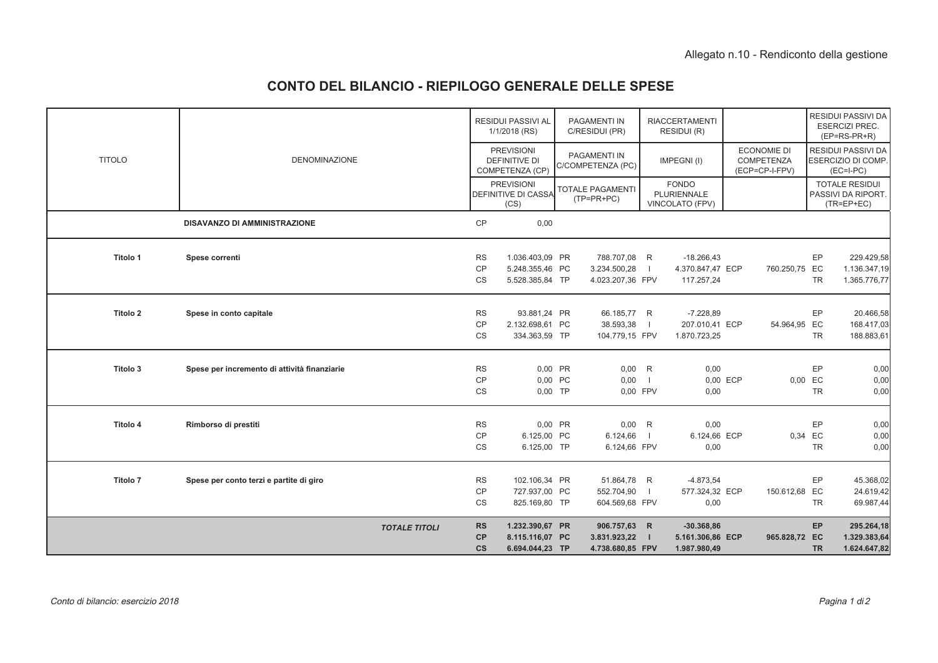# **CONTO DEL BILANCIO - RIEPILOGO GENERALE DELLE SPESE**

|               |                                              |                                  | <b>RESIDUI PASSIVI AL</b><br>1/1/2018 (RS)              | PAGAMENTI IN<br>C/RESIDUI (PR)                   |                | <b>RIACCERTAMENTI</b><br>RESIDUI (R)             |                                                    |                 | RESIDUI PASSIVI DA<br><b>ESERCIZI PREC.</b><br>$(EP=RS-PR+R)$   |
|---------------|----------------------------------------------|----------------------------------|---------------------------------------------------------|--------------------------------------------------|----------------|--------------------------------------------------|----------------------------------------------------|-----------------|-----------------------------------------------------------------|
| <b>TITOLO</b> | <b>DENOMINAZIONE</b>                         |                                  | <b>PREVISIONI</b><br>DEFINITIVE DI<br>COMPETENZA (CP)   | <b>PAGAMENTI IN</b><br>C/COMPETENZA (PC)         |                | IMPEGNI(I)                                       | <b>ECONOMIE DI</b><br>COMPETENZA<br>(ECP=CP-I-FPV) |                 | <b>RESIDUI PASSIVI DA</b><br>ESERCIZIO DI COMP.<br>$(EC=I-PC)$  |
|               |                                              |                                  | <b>PREVISIONI</b><br><b>DEFINITIVE DI CASSA</b><br>(CS) | <b>TOTALE PAGAMENTI</b><br>$(TP=PR+PC)$          |                | <b>FONDO</b><br>PLURIENNALE<br>VINCOLATO (FPV)   |                                                    |                 | <b>TOTALE RESIDUI</b><br>PASSIVI DA RIPORT.<br>$(TR = EP + EC)$ |
|               | <b>DISAVANZO DI AMMINISTRAZIONE</b>          | CP                               | 0,00                                                    |                                                  |                |                                                  |                                                    |                 |                                                                 |
| Titolo 1      | Spese correnti                               | <b>RS</b>                        | 1.036.403,09 PR                                         | 788.707,08 R                                     |                | $-18.266,43$                                     |                                                    | EP              | 229.429,58                                                      |
|               |                                              | CP<br><b>CS</b>                  | 5.248.355,46 PC<br>5.528.385,84 TP                      | 3.234.500,28<br>4.023.207.36 FPV                 |                | 4.370.847,47 ECP<br>117.257,24                   | 760.250,75 EC                                      | <b>TR</b>       | 1.136.347,19<br>1.365.776,77                                    |
| Titolo 2      | Spese in conto capitale                      | <b>RS</b>                        | 93.881,24 PR                                            | 66.185,77 R                                      |                | $-7.228,89$                                      |                                                    | EP              | 20.466,58                                                       |
|               |                                              | CP<br>CS                         | 2.132.698,61 PC<br>334.363,59 TP                        | 38.593,38<br>104.779,15 FPV                      | $\blacksquare$ | 207.010,41 ECP<br>1.870.723,25                   | 54.964,95 EC                                       | <b>TR</b>       | 168.417,03<br>188.883,61                                        |
| Titolo 3      | Spese per incremento di attività finanziarie | <b>RS</b>                        | 0,00 PR                                                 | 0,00                                             | R              | 0,00                                             |                                                    | EP              | 0,00                                                            |
|               |                                              | CP<br>CS                         | 0,00 PC<br>0,00 TP                                      | 0,00<br>0,00 FPV                                 | $\blacksquare$ | 0,00 ECP<br>0,00                                 | 0,00 EC                                            | <b>TR</b>       | 0,00<br>0,00                                                    |
| Titolo 4      | Rimborso di prestiti                         | <b>RS</b>                        | 0,00 PR                                                 | 0,00                                             | R              | 0,00                                             |                                                    | EP              | 0,00                                                            |
|               |                                              | CP<br>CS                         | 6.125,00 PC<br>6.125,00 TP                              | 6.124,66<br>6.124,66 FPV                         | $\blacksquare$ | 6.124,66 ECP<br>0,00                             | 0,34 EC                                            | <b>TR</b>       | 0,00<br>0,00                                                    |
| Titolo 7      | Spese per conto terzi e partite di giro      | <b>RS</b>                        | 102.106,34 PR                                           | 51.864,78 R                                      |                | $-4.873,54$                                      |                                                    | EP              | 45.368,02                                                       |
|               |                                              | CP<br>CS                         | 727.937,00 PC<br>825.169,80 TP                          | 552.704,90<br>604.569,68 FPV                     |                | 577.324,32 ECP<br>0,00                           | 150.612,68 EC                                      | <b>TR</b>       | 24.619,42<br>69.987,44                                          |
|               | <b>TOTALE TITOLI</b>                         | <b>RS</b><br>CP<br>$\mathsf{cs}$ | 1.232.390,67 PR<br>8.115.116,07 PC<br>6.694.044,23 TP   | 906.757,63 R<br>3.831.923,22<br>4.738.680,85 FPV | $\blacksquare$ | $-30.368,86$<br>5.161.306,86 ECP<br>1.987.980,49 | 965.828,72 EC                                      | EP<br><b>TR</b> | 295.264,18<br>1.329.383,64<br>1.624.647,82                      |